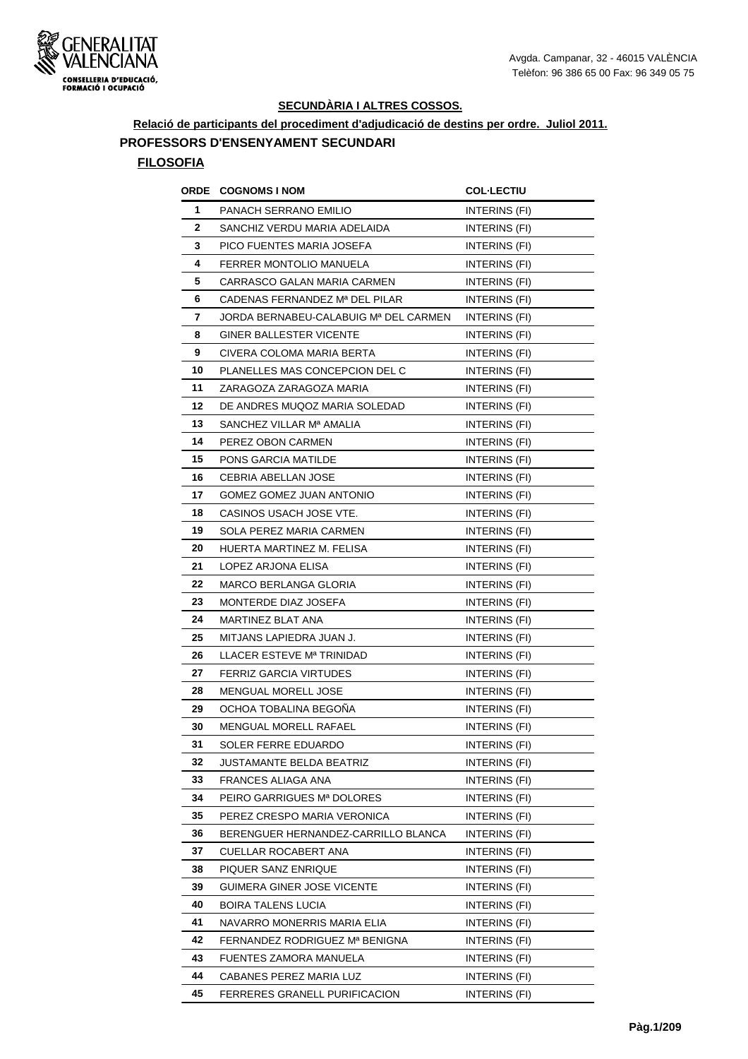

**Relació de participants del procediment d'adjudicació de destins per ordre. Juliol 2011.**

## **PROFESSORS D'ENSENYAMENT SECUNDARI**

| ORDE | <b>COGNOMS I NOM</b>                  | <b>COL·LECTIU</b>    |
|------|---------------------------------------|----------------------|
| 1    | PANACH SERRANO EMILIO                 | INTERINS (FI)        |
| 2    | SANCHIZ VERDU MARIA ADELAIDA          | <b>INTERINS (FI)</b> |
| 3    | PICO FUENTES MARIA JOSEFA             | INTERINS (FI)        |
| 4    | FERRER MONTOLIO MANUELA               | INTERINS (FI)        |
| 5    | CARRASCO GALAN MARIA CARMEN           | INTERINS (FI)        |
| 6    | CADENAS FERNANDEZ Mª DEL PILAR        | INTERINS (FI)        |
| 7    | JORDA BERNABEU-CALABUIG Mª DEL CARMEN | INTERINS (FI)        |
| 8    | GINER BALLESTER VICENTE               | INTERINS (FI)        |
| 9    | CIVERA COLOMA MARIA BERTA             | <b>INTERINS (FI)</b> |
| 10   | PLANELLES MAS CONCEPCION DEL C        | INTERINS (FI)        |
| 11   | ZARAGOZA ZARAGOZA MARIA               | INTERINS (FI)        |
| 12   | DE ANDRES MUQOZ MARIA SOLEDAD         | INTERINS (FI)        |
| 13   | SANCHEZ VILLAR Mª AMALIA              | INTERINS (FI)        |
| 14   | PEREZ OBON CARMEN                     | INTERINS (FI)        |
| 15   | PONS GARCIA MATILDE                   | INTERINS (FI)        |
| 16   | CEBRIA ABELLAN JOSE                   | INTERINS (FI)        |
| 17   | GOMEZ GOMEZ JUAN ANTONIO              | INTERINS (FI)        |
| 18   | CASINOS USACH JOSE VTE.               | INTERINS (FI)        |
| 19   | SOLA PEREZ MARIA CARMEN               | INTERINS (FI)        |
| 20   | HUERTA MARTINEZ M. FELISA             | INTERINS (FI)        |
| 21   | LOPEZ ARJONA ELISA                    | INTERINS (FI)        |
| 22   | MARCO BERLANGA GLORIA                 | INTERINS (FI)        |
| 23   | MONTERDE DIAZ JOSEFA                  | <b>INTERINS (FI)</b> |
| 24   | MARTINEZ BLAT ANA                     | INTERINS (FI)        |
| 25   | MITJANS LAPIEDRA JUAN J.              | INTERINS (FI)        |
| 26   | LLACER ESTEVE Mª TRINIDAD             | <b>INTERINS (FI)</b> |
| 27   | <b>FERRIZ GARCIA VIRTUDES</b>         | INTERINS (FI)        |
| 28   | <b>MENGUAL MORELL JOSE</b>            | INTERINS (FI)        |
| 29   | OCHOA TOBALINA BEGONA                 | INTERINS (FI)        |
| 30   | MENGUAL MORELL RAFAEL                 | INTERINS (FI)        |
| 31   | SOLER FERRE EDUARDO                   | INTERINS (FI)        |
| 32   | JUSTAMANTE BELDA BEATRIZ              | INTERINS (FI)        |
| 33   | FRANCES ALIAGA ANA                    | INTERINS (FI)        |
| 34   | PEIRO GARRIGUES Mª DOLORES            | INTERINS (FI)        |
| 35   | PEREZ CRESPO MARIA VERONICA           | INTERINS (FI)        |
| 36   | BERENGUER HERNANDEZ-CARRILLO BLANCA   | INTERINS (FI)        |
| 37   | CUELLAR ROCABERT ANA                  | INTERINS (FI)        |
| 38   | PIQUER SANZ ENRIQUE                   | INTERINS (FI)        |
| 39   | GUIMERA GINER JOSE VICENTE            | INTERINS (FI)        |
| 40   | BOIRA TALENS LUCIA                    | INTERINS (FI)        |
| 41   | NAVARRO MONERRIS MARIA ELIA           | INTERINS (FI)        |
| 42   | FERNANDEZ RODRIGUEZ Mª BENIGNA        | INTERINS (FI)        |
| 43   | FUENTES ZAMORA MANUELA                | INTERINS (FI)        |
| 44   | CABANES PEREZ MARIA LUZ               | INTERINS (FI)        |
| 45   | FERRERES GRANELL PURIFICACION         | <b>INTERINS (FI)</b> |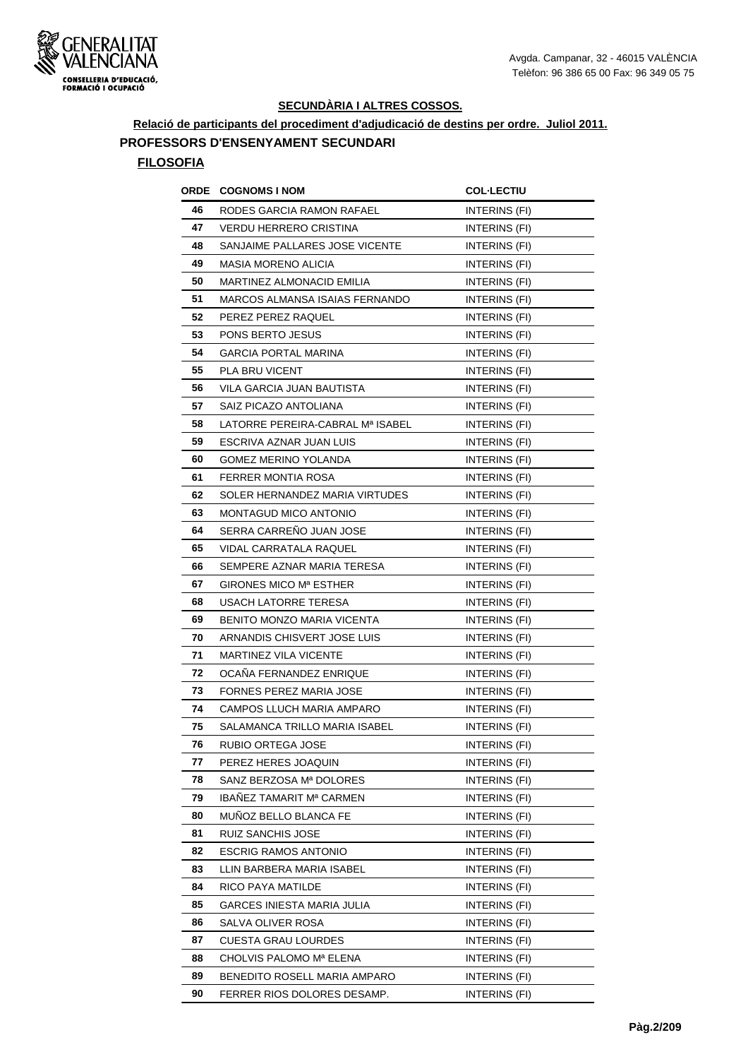

**Relació de participants del procediment d'adjudicació de destins per ordre. Juliol 2011.**

## **PROFESSORS D'ENSENYAMENT SECUNDARI**

| ORDE | <b>COGNOMS I NOM</b>              | <b>COL·LECTIU</b>    |
|------|-----------------------------------|----------------------|
| 46   | RODES GARCIA RAMON RAFAEL         | INTERINS (FI)        |
| 47   | VERDU HERRERO CRISTINA            | <b>INTERINS (FI)</b> |
| 48   | SANJAIME PALLARES JOSE VICENTE    | INTERINS (FI)        |
| 49   | <b>MASIA MORENO ALICIA</b>        | INTERINS (FI)        |
| 50   | MARTINEZ ALMONACID EMILIA         | INTERINS (FI)        |
| 51   | MARCOS ALMANSA ISAIAS FERNANDO    | INTERINS (FI)        |
| 52   | PEREZ PEREZ RAQUEL                | INTERINS (FI)        |
| 53   | PONS BERTO JESUS                  | <b>INTERINS (FI)</b> |
| 54   | <b>GARCIA PORTAL MARINA</b>       | INTERINS (FI)        |
| 55   | PLA BRU VICENT                    | INTERINS (FI)        |
| 56   | VILA GARCIA JUAN BAUTISTA         | INTERINS (FI)        |
| 57   | SAIZ PICAZO ANTOLIANA             | INTERINS (FI)        |
| 58   | LATORRE PEREIRA-CABRAL Mª ISABEL  | INTERINS (FI)        |
| 59   | ESCRIVA AZNAR JUAN LUIS           | INTERINS (FI)        |
| 60   | <b>GOMEZ MERINO YOLANDA</b>       | INTERINS (FI)        |
| 61   | FERRER MONTIA ROSA                | INTERINS (FI)        |
| 62   | SOLER HERNANDEZ MARIA VIRTUDES    | INTERINS (FI)        |
| 63   | MONTAGUD MICO ANTONIO             | INTERINS (FI)        |
| 64   | SERRA CARRENO JUAN JOSE           | INTERINS (FI)        |
| 65   | VIDAL CARRATALA RAQUEL            | INTERINS (FI)        |
| 66   | SEMPERE AZNAR MARIA TERESA        | INTERINS (FI)        |
| 67   | GIRONES MICO Mª ESTHER            | INTERINS (FI)        |
| 68   | USACH LATORRE TERESA              | <b>INTERINS (FI)</b> |
| 69   | <b>BENITO MONZO MARIA VICENTA</b> | INTERINS (FI)        |
| 70   | ARNANDIS CHISVERT JOSE LUIS       | INTERINS (FI)        |
| 71   | MARTINEZ VILA VICENTE             | <b>INTERINS (FI)</b> |
| 72   | OCAÑA FERNANDEZ ENRIQUE           | INTERINS (FI)        |
| 73   | FORNES PEREZ MARIA JOSE           | INTERINS (FI)        |
| 74   | CAMPOS LLUCH MARIA AMPARO         | INTERINS (FI)        |
| 75   | SALAMANCA TRILLO MARIA ISABEL     | INTERINS (FI)        |
| 76   | RUBIO ORTEGA JOSE                 | INTERINS (FI)        |
| 77   | PEREZ HERES JOAQUIN               | INTERINS (FI)        |
| 78   | SANZ BERZOSA Mª DOLORES           | INTERINS (FI)        |
| 79   | IBAÑEZ TAMARIT Mª CARMEN          | INTERINS (FI)        |
| 80   | MUNOZ BELLO BLANCA FE             | INTERINS (FI)        |
| 81   | RUIZ SANCHIS JOSE                 | INTERINS (FI)        |
| 82   | <b>ESCRIG RAMOS ANTONIO</b>       | INTERINS (FI)        |
| 83   | LLIN BARBERA MARIA ISABEL         | INTERINS (FI)        |
| 84   | RICO PAYA MATILDE                 | INTERINS (FI)        |
| 85   | GARCES INIESTA MARIA JULIA        | INTERINS (FI)        |
| 86   | SALVA OLIVER ROSA                 | INTERINS (FI)        |
| 87   | <b>CUESTA GRAU LOURDES</b>        | INTERINS (FI)        |
| 88   | CHOLVIS PALOMO Mª ELENA           | INTERINS (FI)        |
| 89   | BENEDITO ROSELL MARIA AMPARO      | INTERINS (FI)        |
| 90   | FERRER RIOS DOLORES DESAMP.       | INTERINS (FI)        |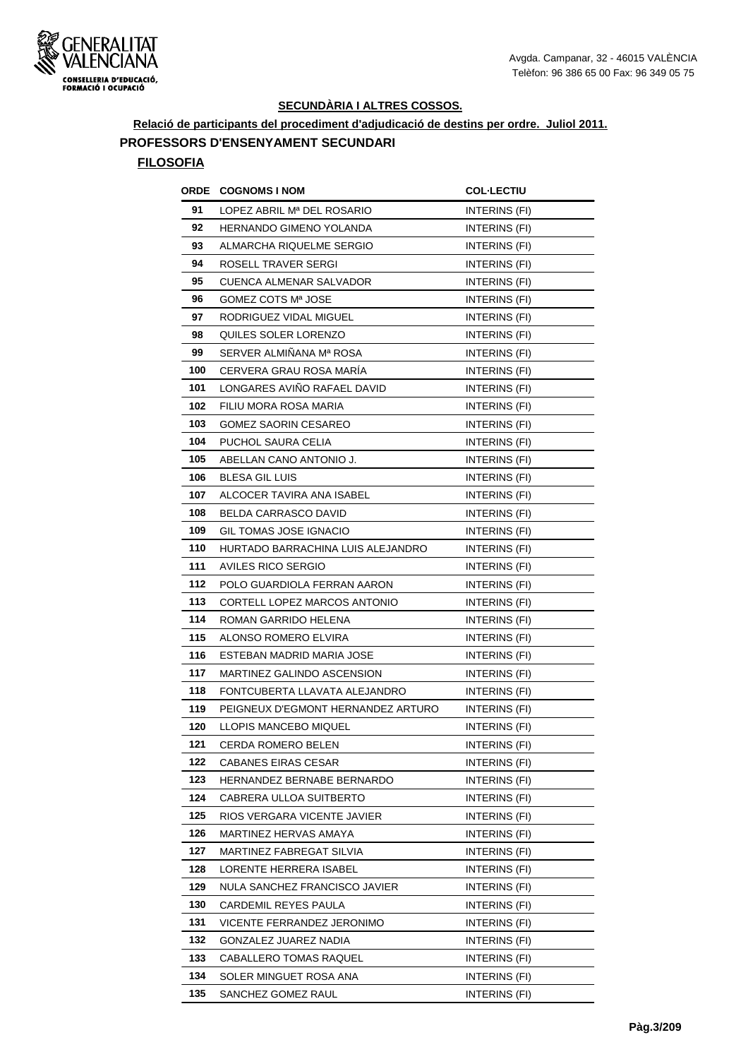

**Relació de participants del procediment d'adjudicació de destins per ordre. Juliol 2011. PROFESSORS D'ENSENYAMENT SECUNDARI**

| ORDE | <b>COGNOMS I NOM</b>               | <b>COL-LECTIU</b>    |
|------|------------------------------------|----------------------|
| 91   | LOPEZ ABRIL Mª DEL ROSARIO         | INTERINS (FI)        |
| 92   | HERNANDO GIMENO YOLANDA            | INTERINS (FI)        |
| 93   | ALMARCHA RIQUELME SERGIO           | INTERINS (FI)        |
| 94   | ROSELL TRAVER SERGI                | INTERINS (FI)        |
| 95   | CUENCA ALMENAR SALVADOR            | INTERINS (FI)        |
| 96   | GOMEZ COTS Mª JOSE                 | <b>INTERINS (FI)</b> |
| 97   | RODRIGUEZ VIDAL MIGUEL             | <b>INTERINS (FI)</b> |
| 98   | QUILES SOLER LORENZO               | INTERINS (FI)        |
| 99   | SERVER ALMIÑANA Mª ROSA            | INTERINS (FI)        |
| 100  | CERVERA GRAU ROSA MARÍA            | INTERINS (FI)        |
| 101  | LONGARES AVINO RAFAEL DAVID        | INTERINS (FI)        |
| 102  | FILIU MORA ROSA MARIA              | INTERINS (FI)        |
| 103  | <b>GOMEZ SAORIN CESAREO</b>        | INTERINS (FI)        |
| 104  | PUCHOL SAURA CELIA                 | INTERINS (FI)        |
| 105  | ABELLAN CANO ANTONIO J.            | INTERINS (FI)        |
| 106  | <b>BLESA GIL LUIS</b>              | INTERINS (FI)        |
| 107  | ALCOCER TAVIRA ANA ISABEL          | INTERINS (FI)        |
| 108  | BELDA CARRASCO DAVID               | INTERINS (FI)        |
| 109  | <b>GIL TOMAS JOSE IGNACIO</b>      | INTERINS (FI)        |
| 110  | HURTADO BARRACHINA LUIS ALEJANDRO  | INTERINS (FI)        |
| 111  | AVILES RICO SERGIO                 | INTERINS (FI)        |
| 112  | POLO GUARDIOLA FERRAN AARON        | INTERINS (FI)        |
| 113  | CORTELL LOPEZ MARCOS ANTONIO       | INTERINS (FI)        |
| 114  | ROMAN GARRIDO HELENA               | INTERINS (FI)        |
| 115  | ALONSO ROMERO ELVIRA               | INTERINS (FI)        |
| 116  | ESTEBAN MADRID MARIA JOSE          | <b>INTERINS (FI)</b> |
| 117  | MARTINEZ GALINDO ASCENSION         | INTERINS (FI)        |
| 118  | FONTCUBERTA LLAVATA ALEJANDRO      | INTERINS (FI)        |
| 119  | PEIGNEUX D'EGMONT HERNANDEZ ARTURO | INTERINS (FI)        |
| 120  | LLOPIS MANCEBO MIQUEL              | INTERINS (FI)        |
| 121  | CERDA ROMERO BELEN                 | INTERINS (FI)        |
| 122  | CABANES EIRAS CESAR                | INTERINS (FI)        |
| 123  | HERNANDEZ BERNABE BERNARDO         | INTERINS (FI)        |
| 124  | CABRERA ULLOA SUITBERTO            | INTERINS (FI)        |
| 125  | RIOS VERGARA VICENTE JAVIER        | INTERINS (FI)        |
| 126  | MARTINEZ HERVAS AMAYA              | INTERINS (FI)        |
| 127  | MARTINEZ FABREGAT SILVIA           | INTERINS (FI)        |
| 128  | LORENTE HERRERA ISABEL             | INTERINS (FI)        |
| 129  | NULA SANCHEZ FRANCISCO JAVIER      | INTERINS (FI)        |
| 130  | CARDEMIL REYES PAULA               | INTERINS (FI)        |
| 131  | VICENTE FERRANDEZ JERONIMO         | INTERINS (FI)        |
| 132  | GONZALEZ JUAREZ NADIA              | INTERINS (FI)        |
| 133  | CABALLERO TOMAS RAQUEL             | INTERINS (FI)        |
| 134  | SOLER MINGUET ROSA ANA             | INTERINS (FI)        |
| 135  | SANCHEZ GOMEZ RAUL                 | INTERINS (FI)        |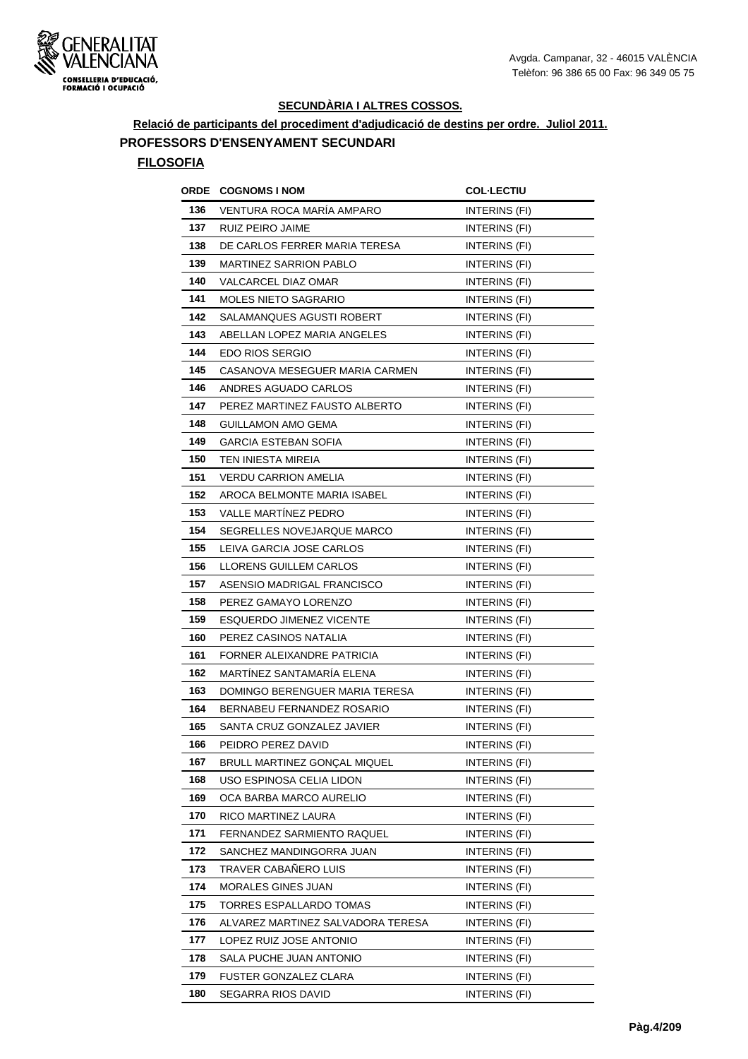

**Relació de participants del procediment d'adjudicació de destins per ordre. Juliol 2011.**

#### **PROFESSORS D'ENSENYAMENT SECUNDARI**

| ORDE | <b>COGNOMS I NOM</b>               | <b>COL·LECTIU</b>    |
|------|------------------------------------|----------------------|
| 136  | VENTURA ROCA MARÍA AMPARO          | INTERINS (FI)        |
| 137  | RUIZ PEIRO JAIME                   | <b>INTERINS (FI)</b> |
| 138  | DE CARLOS FERRER MARIA TERESA      | INTERINS (FI)        |
| 139  | <b>MARTINEZ SARRION PABLO</b>      | INTERINS (FI)        |
| 140  | VALCARCEL DIAZ OMAR                | INTERINS (FI)        |
| 141  | <b>MOLES NIETO SAGRARIO</b>        | INTERINS (FI)        |
| 142  | SALAMANQUES AGUSTI ROBERT          | INTERINS (FI)        |
| 143  | ABELLAN LOPEZ MARIA ANGELES        | INTERINS (FI)        |
| 144  | EDO RIOS SERGIO                    | INTERINS (FI)        |
| 145  | CASANOVA MESEGUER MARIA CARMEN     | INTERINS (FI)        |
| 146  | ANDRES AGUADO CARLOS               | INTERINS (FI)        |
| 147  | PEREZ MARTINEZ FAUSTO ALBERTO      | INTERINS (FI)        |
| 148  | <b>GUILLAMON AMO GEMA</b>          | INTERINS (FI)        |
| 149  | GARCIA ESTEBAN SOFIA               | INTERINS (FI)        |
| 150  | TEN INIESTA MIREIA                 | INTERINS (FI)        |
| 151  | <b>VERDU CARRION AMELIA</b>        | INTERINS (FI)        |
| 152  | <b>AROCA BELMONTE MARIA ISABEL</b> | INTERINS (FI)        |
| 153  | <b>VALLE MARTINEZ PEDRO</b>        | INTERINS (FI)        |
| 154  | SEGRELLES NOVEJARQUE MARCO         | INTERINS (FI)        |
| 155  | LEIVA GARCIA JOSE CARLOS           | INTERINS (FI)        |
| 156  | LLORENS GUILLEM CARLOS             | INTERINS (FI)        |
| 157  | ASENSIO MADRIGAL FRANCISCO         | INTERINS (FI)        |
| 158  | PEREZ GAMAYO LORENZO               | INTERINS (FI)        |
| 159  | <b>ESQUERDO JIMENEZ VICENTE</b>    | INTERINS (FI)        |
| 160  | PEREZ CASINOS NATALIA              | INTERINS (FI)        |
| 161  | FORNER ALEIXANDRE PATRICIA         | INTERINS (FI)        |
| 162  | MARTÍNEZ SANTAMARÍA ELENA          | INTERINS (FI)        |
| 163  | DOMINGO BERENGUER MARIA TERESA     | INTERINS (FI)        |
| 164  | BERNABEU FERNANDEZ ROSARIO         | INTERINS (FI)        |
| 165  | SANTA CRUZ GONZALEZ JAVIER         | INTERINS (FI)        |
| 166  | PEIDRO PEREZ DAVID                 | INTERINS (FI)        |
| 167  | BRULL MARTINEZ GONÇAL MIQUEL       | INTERINS (FI)        |
| 168  | USO ESPINOSA CELIA LIDON           | INTERINS (FI)        |
| 169  | OCA BARBA MARCO AURELIO            | INTERINS (FI)        |
| 170  | RICO MARTINEZ LAURA                | INTERINS (FI)        |
| 171  | FERNANDEZ SARMIENTO RAQUEL         | INTERINS (FI)        |
| 172  | SANCHEZ MANDINGORRA JUAN           | INTERINS (FI)        |
| 173  | TRAVER CABAÑERO LUIS               | INTERINS (FI)        |
| 174  | MORALES GINES JUAN                 | INTERINS (FI)        |
| 175  | TORRES ESPALLARDO TOMAS            | INTERINS (FI)        |
| 176  | ALVAREZ MARTINEZ SALVADORA TERESA  | INTERINS (FI)        |
| 177  | LOPEZ RUIZ JOSE ANTONIO            | INTERINS (FI)        |
| 178  | SALA PUCHE JUAN ANTONIO            | INTERINS (FI)        |
| 179  | FUSTER GONZALEZ CLARA              | INTERINS (FI)        |
| 180  | SEGARRA RIOS DAVID                 | INTERINS (FI)        |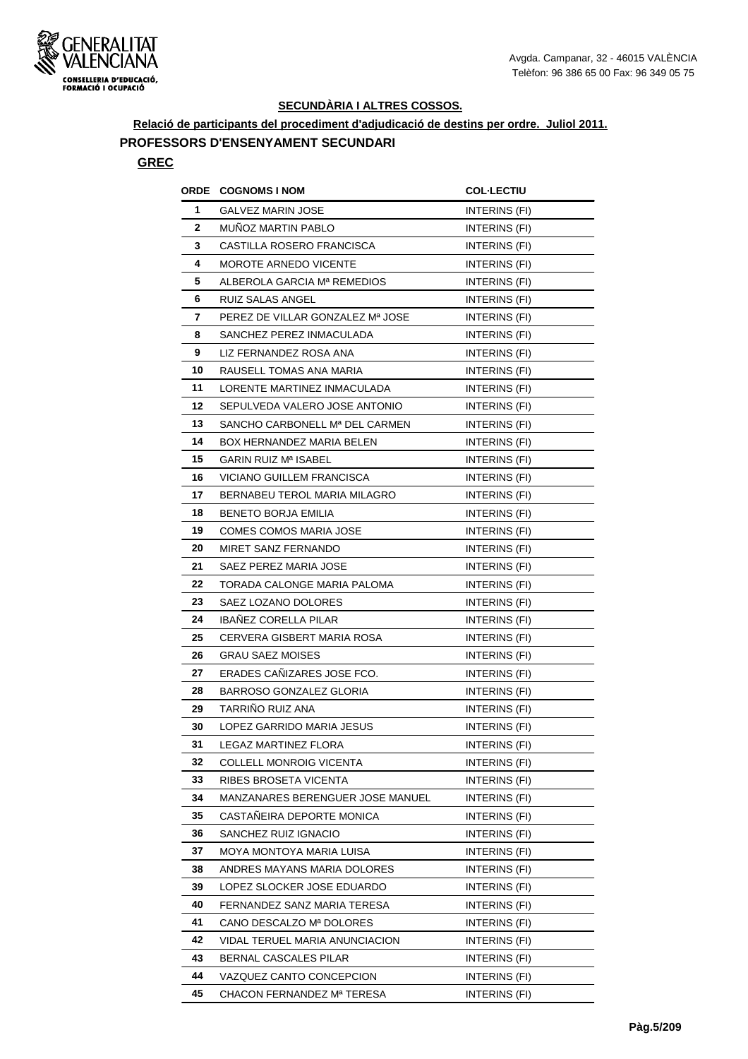

**Relació de participants del procediment d'adjudicació de destins per ordre. Juliol 2011.**

## **PROFESSORS D'ENSENYAMENT SECUNDARI**

### **GREC**

| ORDE | <b>COGNOMS I NOM</b>             | <b>COL·LECTIU</b>    |
|------|----------------------------------|----------------------|
| 1    | GALVEZ MARIN JOSE                | INTERINS (FI)        |
| 2    | <b>MUNOZ MARTIN PABLO</b>        | INTERINS (FI)        |
| 3    | CASTILLA ROSERO FRANCISCA        | INTERINS (FI)        |
| 4    | <b>MOROTE ARNEDO VICENTE</b>     | INTERINS (FI)        |
| 5    | ALBEROLA GARCIA Mª REMEDIOS      | INTERINS (FI)        |
| 6    | RUIZ SALAS ANGEL                 | INTERINS (FI)        |
| 7    | PEREZ DE VILLAR GONZALEZ Mª JOSE | INTERINS (FI)        |
| 8    | SANCHEZ PEREZ INMACULADA         | INTERINS (FI)        |
| 9    | LIZ FERNANDEZ ROSA ANA           | INTERINS (FI)        |
| 10   | RAUSELL TOMAS ANA MARIA          | INTERINS (FI)        |
| 11   | LORENTE MARTINEZ INMACULADA      | INTERINS (FI)        |
| 12   | SEPULVEDA VALERO JOSE ANTONIO    | INTERINS (FI)        |
| 13   | SANCHO CARBONELL Mª DEL CARMEN   | INTERINS (FI)        |
| 14   | BOX HERNANDEZ MARIA BELEN        | INTERINS (FI)        |
| 15   | <b>GARIN RUIZ Mª ISABEL</b>      | INTERINS (FI)        |
| 16   | VICIANO GUILLEM FRANCISCA        | INTERINS (FI)        |
| 17   | BERNABEU TEROL MARIA MILAGRO     | INTERINS (FI)        |
| 18   | <b>BENETO BORJA EMILIA</b>       | INTERINS (FI)        |
| 19   | COMES COMOS MARIA JOSE           | INTERINS (FI)        |
| 20   | MIRET SANZ FERNANDO              | INTERINS (FI)        |
| 21   | SAEZ PEREZ MARIA JOSE            | INTERINS (FI)        |
| 22   | TORADA CALONGE MARIA PALOMA      | <b>INTERINS (FI)</b> |
| 23   | SAEZ LOZANO DOLORES              | INTERINS (FI)        |
| 24   | <b>IBANEZ CORELLA PILAR</b>      | INTERINS (FI)        |
| 25   | CERVERA GISBERT MARIA ROSA       | INTERINS (FI)        |
| 26   | GRAU SAEZ MOISES                 | INTERINS (FI)        |
| 27   | ERADES CAÑIZARES JOSE FCO.       | INTERINS (FI)        |
| 28   | BARROSO GONZALEZ GLORIA          | INTERINS (FI)        |
| 29   | TARRINO RUIZ ANA                 | INTERINS (FI)        |
| 30   | LOPEZ GARRIDO MARIA JESUS        | INTERINS (FI)        |
| 31   | LEGAZ MARTINEZ FLORA             | INTERINS (FI)        |
| 32   | COLLELL MONROIG VICENTA          | INTERINS (FI)        |
| 33   | RIBES BROSETA VICENTA            | INTERINS (FI)        |
| 34   | MANZANARES BERENGUER JOSE MANUEL | INTERINS (FI)        |
| 35   | CASTAÑEIRA DEPORTE MONICA        | INTERINS (FI)        |
| 36   | SANCHEZ RUIZ IGNACIO             | INTERINS (FI)        |
| 37   | MOYA MONTOYA MARIA LUISA         | INTERINS (FI)        |
| 38   | ANDRES MAYANS MARIA DOLORES      | INTERINS (FI)        |
| 39   | LOPEZ SLOCKER JOSE EDUARDO       | INTERINS (FI)        |
| 40   | FERNANDEZ SANZ MARIA TERESA      | INTERINS (FI)        |
| 41   | CANO DESCALZO Mª DOLORES         | INTERINS (FI)        |
| 42   | VIDAL TERUEL MARIA ANUNCIACION   | INTERINS (FI)        |
| 43   | BERNAL CASCALES PILAR            | INTERINS (FI)        |
| 44   | VAZQUEZ CANTO CONCEPCION         | INTERINS (FI)        |
| 45   | CHACON FERNANDEZ Mª TERESA       | INTERINS (FI)        |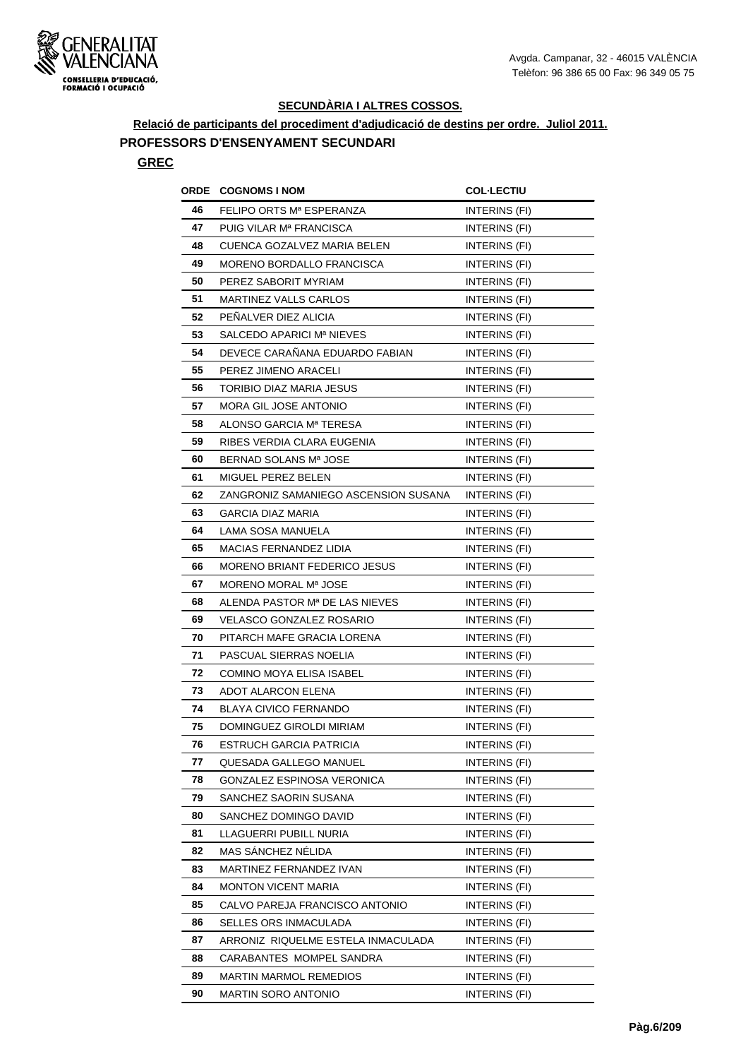

**Relació de participants del procediment d'adjudicació de destins per ordre. Juliol 2011.**

## **PROFESSORS D'ENSENYAMENT SECUNDARI**

#### **GREC**

| ORDE | <b>COGNOMS I NOM</b>                 | <b>COL·LECTIU</b>    |
|------|--------------------------------------|----------------------|
| 46   | FELIPO ORTS Mª ESPERANZA             | INTERINS (FI)        |
| 47   | PUIG VILAR M <sup>a</sup> FRANCISCA  | INTERINS (FI)        |
| 48   | CUENCA GOZALVEZ MARIA BELEN          | INTERINS (FI)        |
| 49   | MORENO BORDALLO FRANCISCA            | INTERINS (FI)        |
| 50   | PEREZ SABORIT MYRIAM                 | INTERINS (FI)        |
| 51   | <b>MARTINEZ VALLS CARLOS</b>         | INTERINS (FI)        |
| 52   | PENALVER DIEZ ALICIA                 | INTERINS (FI)        |
| 53   | SALCEDO APARICI Mª NIEVES            | INTERINS (FI)        |
| 54   | DEVECE CARAÑANA EDUARDO FABIAN       | INTERINS (FI)        |
| 55   | PEREZ JIMENO ARACELI                 | INTERINS (FI)        |
| 56   | TORIBIO DIAZ MARIA JESUS             | INTERINS (FI)        |
| 57   | <b>MORA GIL JOSE ANTONIO</b>         | INTERINS (FI)        |
| 58   | ALONSO GARCIA Mª TERESA              | INTERINS (FI)        |
| 59   | RIBES VERDIA CLARA EUGENIA           | INTERINS (FI)        |
| 60   | BERNAD SOLANS Mª JOSE                | INTERINS (FI)        |
| 61   | MIGUEL PEREZ BELEN                   | INTERINS (FI)        |
| 62   | ZANGRONIZ SAMANIEGO ASCENSION SUSANA | INTERINS (FI)        |
| 63   | GARCIA DIAZ MARIA                    | INTERINS (FI)        |
| 64   | LAMA SOSA MANUELA                    | <b>INTERINS (FI)</b> |
| 65   | <b>MACIAS FERNANDEZ LIDIA</b>        | INTERINS (FI)        |
| 66   | <b>MORENO BRIANT FEDERICO JESUS</b>  | INTERINS (FI)        |
| 67   | MORENO MORAL Mª JOSE                 | INTERINS (FI)        |
| 68   | ALENDA PASTOR Mª DE LAS NIEVES       | INTERINS (FI)        |
| 69   | VELASCO GONZALEZ ROSARIO             | INTERINS (FI)        |
| 70   | PITARCH MAFE GRACIA LORENA           | INTERINS (FI)        |
| 71   | PASCUAL SIERRAS NOELIA               | INTERINS (FI)        |
| 72   | <b>COMINO MOYA ELISA ISABEL</b>      | INTERINS (FI)        |
| 73   | ADOT ALARCON ELENA                   | INTERINS (FI)        |
| 74   | <b>BLAYA CIVICO FERNANDO</b>         | INTERINS (FI)        |
| 75   | DOMINGUEZ GIROLDI MIRIAM             | INTERINS (FI)        |
| 76   | ESTRUCH GARCIA PATRICIA              | INTERINS (FI)        |
| 77   | QUESADA GALLEGO MANUEL               | INTERINS (FI)        |
| 78   | GONZALEZ ESPINOSA VERONICA           | INTERINS (FI)        |
| 79   | SANCHEZ SAORIN SUSANA                | INTERINS (FI)        |
| 80   | SANCHEZ DOMINGO DAVID                | INTERINS (FI)        |
| 81   | LLAGUERRI PUBILL NURIA               | INTERINS (FI)        |
| 82   | MAS SÁNCHEZ NÉLIDA                   | INTERINS (FI)        |
| 83   | MARTINEZ FERNANDEZ IVAN              | INTERINS (FI)        |
| 84   | <b>MONTON VICENT MARIA</b>           | INTERINS (FI)        |
| 85   | CALVO PAREJA FRANCISCO ANTONIO       | INTERINS (FI)        |
| 86   | SELLES ORS INMACULADA                | INTERINS (FI)        |
| 87   | ARRONIZ RIQUELME ESTELA INMACULADA   | INTERINS (FI)        |
| 88   | CARABANTES MOMPEL SANDRA             | INTERINS (FI)        |
| 89   | <b>MARTIN MARMOL REMEDIOS</b>        | INTERINS (FI)        |
| 90   | <b>MARTIN SORO ANTONIO</b>           | INTERINS (FI)        |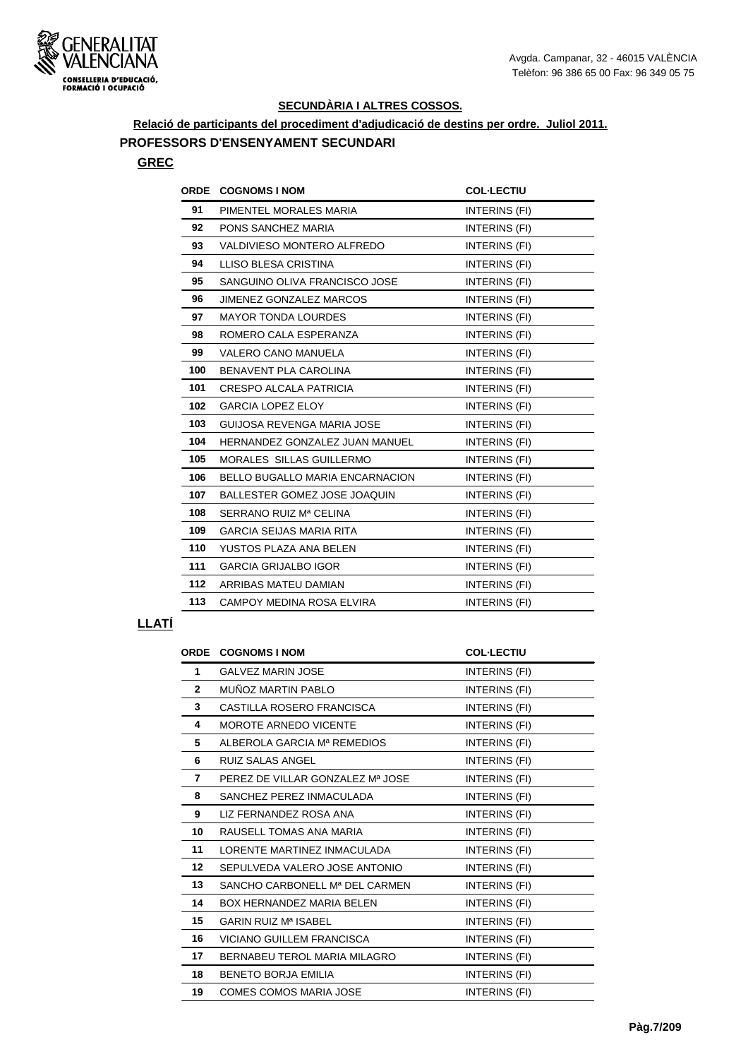

**Relació de participants del procediment d'adjudicació de destins per ordre. Juliol 2011.**

## **PROFESSORS D'ENSENYAMENT SECUNDARI**

## **GREC**

| <b>ORDE</b> | <b>COGNOMS I NOM</b>            | <b>COL-LECTIU</b>    |
|-------------|---------------------------------|----------------------|
| 91          | PIMENTEL MORALES MARIA          | <b>INTERINS (FI)</b> |
| 92          | PONS SANCHEZ MARIA              | INTERINS (FI)        |
| 93          | VALDIVIESO MONTERO ALFREDO      | <b>INTERINS (FI)</b> |
| 94          | LLISO BLESA CRISTINA            | INTERINS (FI)        |
| 95          | SANGUINO OLIVA FRANCISCO JOSE   | INTERINS (FI)        |
| 96          | <b>JIMENEZ GONZALEZ MARCOS</b>  | INTERINS (FI)        |
| 97          | <b>MAYOR TONDA LOURDES</b>      | INTERINS (FI)        |
| 98          | ROMERO CALA ESPERANZA           | <b>INTERINS (FI)</b> |
| 99          | <b>VALERO CANO MANUELA</b>      | INTERINS (FI)        |
| 100         | BENAVENT PLA CAROLINA           | INTERINS (FI)        |
| 101         | <b>CRESPO ALCALA PATRICIA</b>   | INTERINS (FI)        |
| 102         | <b>GARCIA LOPEZ ELOY</b>        | INTERINS (FI)        |
| 103         | GUIJOSA REVENGA MARIA JOSE      | INTERINS (FI)        |
| 104         | HERNANDEZ GONZALEZ JUAN MANUEL  | INTERINS (FI)        |
| 105         | MORALES SILLAS GUILLERMO        | INTERINS (FI)        |
| 106         | BELLO BUGALLO MARIA ENCARNACION | INTERINS (FI)        |
| 107         | BALLESTER GOMEZ JOSE JOAQUIN    | INTERINS (FI)        |
| 108         | SERRANO RUIZ Mª CELINA          | INTERINS (FI)        |
| 109         | <b>GARCIA SEIJAS MARIA RITA</b> | INTERINS (FI)        |
| 110         | YUSTOS PLAZA ANA BELEN          | <b>INTERINS (FI)</b> |
| 111         | <b>GARCIA GRIJALBO IGOR</b>     | INTERINS (FI)        |
| 112         | ARRIBAS MATEU DAMIAN            | INTERINS (FI)        |
| 113         | CAMPOY MEDINA ROSA ELVIRA       | INTERINS (FI)        |
|             |                                 |                      |

#### **LLATÍ**

| ORDE         | <b>COGNOMS I NOM</b>             | <b>COL-LECTIU</b> |
|--------------|----------------------------------|-------------------|
| 1            | <b>GALVEZ MARIN JOSE</b>         | INTERINS (FI)     |
| $\mathbf{2}$ | MUÑOZ MARTIN PABLO               | INTERINS (FI)     |
| 3            | CASTILLA ROSERO FRANCISCA        | INTERINS (FI)     |
| 4            | <b>MOROTE ARNEDO VICENTE</b>     | INTERINS (FI)     |
| 5            | ALBEROLA GARCIA Mª REMEDIOS      | INTERINS (FI)     |
| 6            | <b>RUIZ SALAS ANGEL</b>          | INTERINS (FI)     |
| 7            | PEREZ DE VILLAR GONZALEZ Mª JOSE | INTERINS (FI)     |
| 8            | SANCHEZ PEREZ INMACULADA         | INTERINS (FI)     |
| 9            | LIZ FERNANDEZ ROSA ANA           | INTERINS (FI)     |
| 10           | RAUSELL TOMAS ANA MARIA          | INTERINS (FI)     |
| 11           | LORENTE MARTINEZ INMACULADA      | INTERINS (FI)     |
| 12           | SEPULVEDA VALERO JOSE ANTONIO    | INTERINS (FI)     |
| 13           | SANCHO CARBONELL Mª DEL CARMEN   | INTERINS (FI)     |
| 14           | <b>BOX HERNANDEZ MARIA BELEN</b> | INTERINS (FI)     |
| 15           | <b>GARIN RUIZ Mª ISABEL</b>      | INTERINS (FI)     |
| 16           | VICIANO GUILLEM FRANCISCA        | INTERINS (FI)     |
| 17           | BERNABEU TEROL MARIA MILAGRO     | INTERINS (FI)     |
| 18           | <b>BENETO BORJA EMILIA</b>       | INTERINS (FI)     |
| 19           | <b>COMES COMOS MARIA JOSE</b>    | INTERINS (FI)     |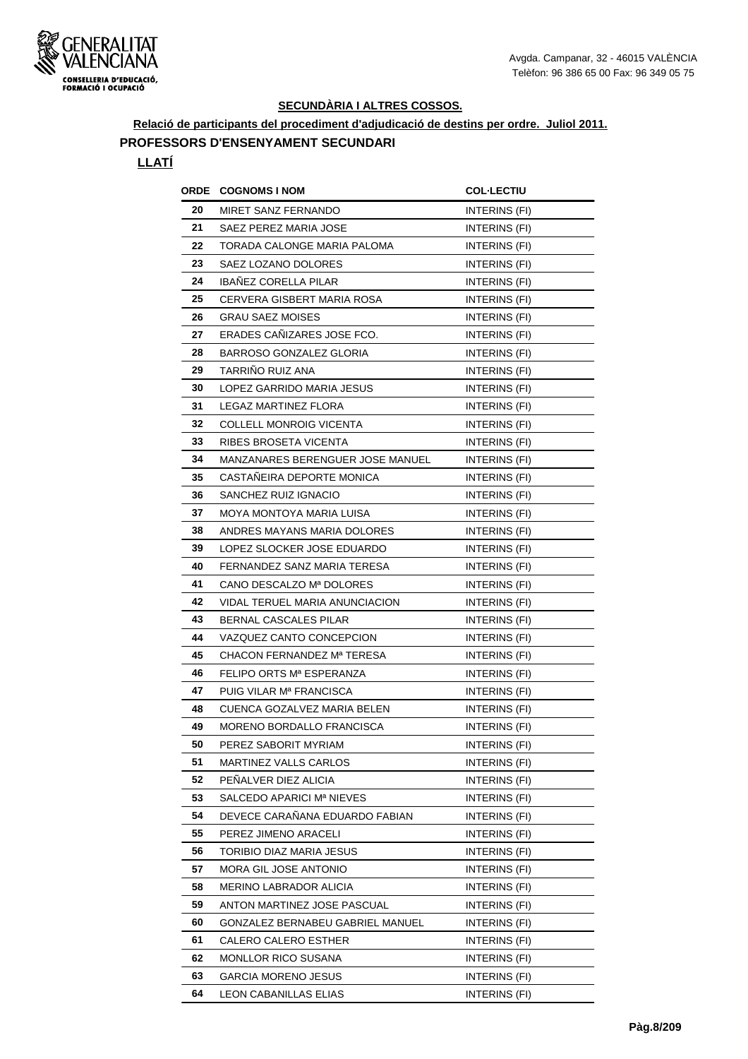

**Relació de participants del procediment d'adjudicació de destins per ordre. Juliol 2011.**

## **PROFESSORS D'ENSENYAMENT SECUNDARI**

## **LLATÍ**

| ORDE | <b>COGNOMS I NOM</b>                | <b>COL·LECTIU</b>    |
|------|-------------------------------------|----------------------|
| 20   | MIRET SANZ FERNANDO                 | INTERINS (FI)        |
| 21   | SAEZ PEREZ MARIA JOSE               | <b>INTERINS (FI)</b> |
| 22   | TORADA CALONGE MARIA PALOMA         | INTERINS (FI)        |
| 23   | SAEZ LOZANO DOLORES                 | INTERINS (FI)        |
| 24   | <b>IBANEZ CORELLA PILAR</b>         | INTERINS (FI)        |
| 25   | CERVERA GISBERT MARIA ROSA          | INTERINS (FI)        |
| 26   | <b>GRAU SAEZ MOISES</b>             | INTERINS (FI)        |
| 27   | ERADES CANIZARES JOSE FCO.          | INTERINS (FI)        |
| 28   | BARROSO GONZALEZ GLORIA             | INTERINS (FI)        |
| 29   | TARRINO RUIZ ANA                    | INTERINS (FI)        |
| 30   | LOPEZ GARRIDO MARIA JESUS           | INTERINS (FI)        |
| 31   | LEGAZ MARTINEZ FLORA                | INTERINS (FI)        |
| 32   | COLLELL MONROIG VICENTA             | INTERINS (FI)        |
| 33   | RIBES BROSETA VICENTA               | <b>INTERINS (FI)</b> |
| 34   | MANZANARES BERENGUER JOSE MANUEL    | INTERINS (FI)        |
| 35   | CASTAÑEIRA DEPORTE MONICA           | INTERINS (FI)        |
| 36   | SANCHEZ RUIZ IGNACIO                | INTERINS (FI)        |
| 37   | MOYA MONTOYA MARIA LUISA            | INTERINS (FI)        |
| 38   | ANDRES MAYANS MARIA DOLORES         | INTERINS (FI)        |
| 39   | LOPEZ SLOCKER JOSE EDUARDO          | INTERINS (FI)        |
| 40   | FERNANDEZ SANZ MARIA TERESA         | INTERINS (FI)        |
| 41   | CANO DESCALZO Mª DOLORES            | INTERINS (FI)        |
| 42   | VIDAL TERUEL MARIA ANUNCIACION      | INTERINS (FI)        |
| 43   | BERNAL CASCALES PILAR               | INTERINS (FI)        |
| 44   | VAZQUEZ CANTO CONCEPCION            | INTERINS (FI)        |
| 45   | CHACON FERNANDEZ Mª TERESA          | INTERINS (FI)        |
| 46   | FELIPO ORTS Mª ESPERANZA            | INTERINS (FI)        |
| 47   | PUIG VILAR M <sup>a</sup> FRANCISCA | INTERINS (FI)        |
| 48   | CUENCA GOZALVEZ MARIA BELEN         | INTERINS (FI)        |
| 49   | MORENO BORDALLO FRANCISCA           | INTERINS (FI)        |
| 50   | PEREZ SABORIT MYRIAM                | INTERINS (FI)        |
| 51   | <b>MARTINEZ VALLS CARLOS</b>        | INTERINS (FI)        |
| 52   | PEÑALVER DIEZ ALICIA                | INTERINS (FI)        |
| 53   | SALCEDO APARICI Mª NIEVES           | INTERINS (FI)        |
| 54   | DEVECE CARANANA EDUARDO FABIAN      | INTERINS (FI)        |
| 55   | PEREZ JIMENO ARACELI                | INTERINS (FI)        |
| 56   | TORIBIO DIAZ MARIA JESUS            | INTERINS (FI)        |
| 57   | MORA GIL JOSE ANTONIO               | INTERINS (FI)        |
| 58   | MERINO LABRADOR ALICIA              | INTERINS (FI)        |
| 59   | ANTON MARTINEZ JOSE PASCUAL         | INTERINS (FI)        |
| 60   | GONZALEZ BERNABEU GABRIEL MANUEL    | INTERINS (FI)        |
| 61   | CALERO CALERO ESTHER                | INTERINS (FI)        |
| 62   | <b>MONLLOR RICO SUSANA</b>          | INTERINS (FI)        |
| 63   | <b>GARCIA MORENO JESUS</b>          | INTERINS (FI)        |
| 64   | LEON CABANILLAS ELIAS               | INTERINS (FI)        |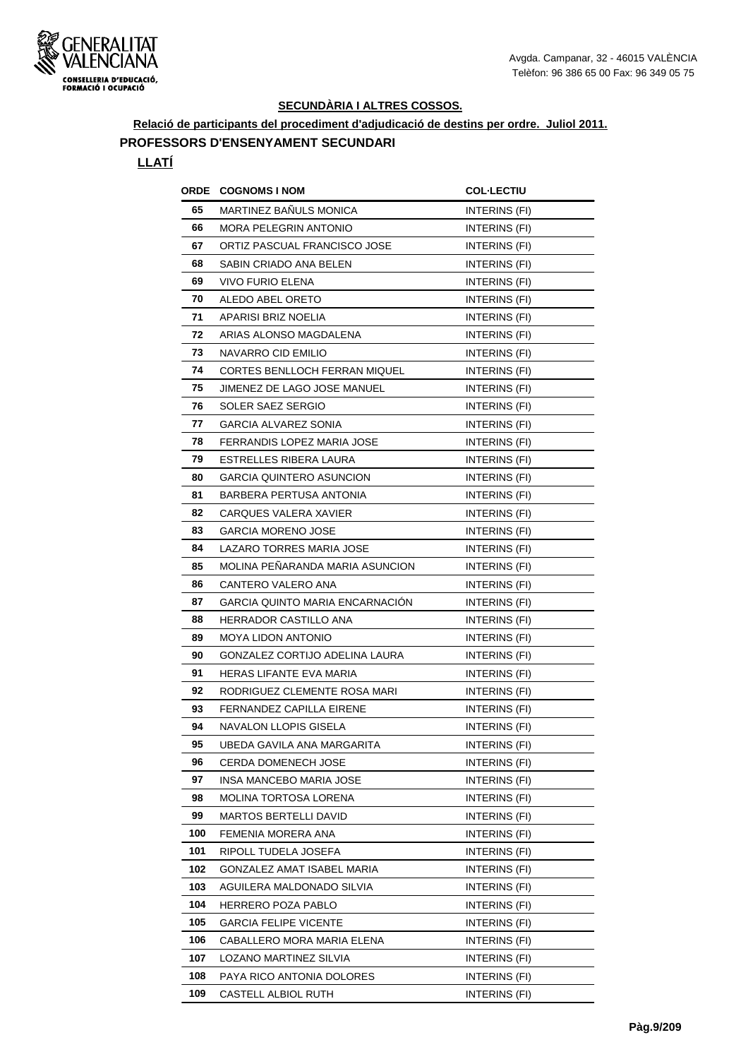

**Relació de participants del procediment d'adjudicació de destins per ordre. Juliol 2011.**

## **PROFESSORS D'ENSENYAMENT SECUNDARI**

## **LLATÍ**

|     | <b>ORDE COGNOMS I NOM</b>              | <b>COL·LECTIU</b> |
|-----|----------------------------------------|-------------------|
| 65  | MARTINEZ BAÑULS MONICA                 | INTERINS (FI)     |
| 66  | <b>MORA PELEGRIN ANTONIO</b>           | INTERINS (FI)     |
| 67  | ORTIZ PASCUAL FRANCISCO JOSE           | INTERINS (FI)     |
| 68  | SABIN CRIADO ANA BELEN                 | INTERINS (FI)     |
| 69  | <b>VIVO FURIO ELENA</b>                | INTERINS (FI)     |
| 70  | ALEDO ABEL ORETO                       | INTERINS (FI)     |
| 71  | APARISI BRIZ NOELIA                    | INTERINS (FI)     |
| 72  | ARIAS ALONSO MAGDALENA                 | INTERINS (FI)     |
| 73  | NAVARRO CID EMILIO                     | INTERINS (FI)     |
| 74  | CORTES BENLLOCH FERRAN MIQUEL          | INTERINS (FI)     |
| 75  | JIMENEZ DE LAGO JOSE MANUEL            | INTERINS (FI)     |
| 76  | SOLER SAEZ SERGIO                      | INTERINS (FI)     |
| 77  | GARCIA ALVAREZ SONIA                   | INTERINS (FI)     |
| 78  | FERRANDIS LOPEZ MARIA JOSE             | INTERINS (FI)     |
| 79  | ESTRELLES RIBERA LAURA                 | INTERINS (FI)     |
| 80  | <b>GARCIA QUINTERO ASUNCION</b>        | INTERINS (FI)     |
| 81  | BARBERA PERTUSA ANTONIA                | INTERINS (FI)     |
| 82  | <b>CARQUES VALERA XAVIER</b>           | INTERINS (FI)     |
| 83  | <b>GARCIA MORENO JOSE</b>              | INTERINS (FI)     |
| 84  | LAZARO TORRES MARIA JOSE               | INTERINS (FI)     |
| 85  | MOLINA PEÑARANDA MARIA ASUNCION        | INTERINS (FI)     |
| 86  | CANTERO VALERO ANA                     | INTERINS (FI)     |
| 87  | <b>GARCIA QUINTO MARIA ENCARNACION</b> | INTERINS (FI)     |
| 88  | HERRADOR CASTILLO ANA                  | INTERINS (FI)     |
| 89  | <b>MOYA LIDON ANTONIO</b>              | INTERINS (FI)     |
| 90  | GONZALEZ CORTIJO ADELINA LAURA         | INTERINS (FI)     |
| 91  | HERAS LIFANTE EVA MARIA                | INTERINS (FI)     |
| 92  | RODRIGUEZ CLEMENTE ROSA MARI           | INTERINS (FI)     |
| 93  | <b>FERNANDEZ CAPILLA EIRENE</b>        | INTERINS (FI)     |
| 94  | <b>NAVALON LLOPIS GISELA</b>           | INTERINS (FI)     |
| 95  | UBEDA GAVILA ANA MARGARITA             | INTERINS (FI)     |
| 96  | <b>CERDA DOMENECH JOSE</b>             | INTERINS (FI)     |
| 97  | INSA MANCEBO MARIA JOSE                | INTERINS (FI)     |
| 98  | MOLINA TORTOSA LORENA                  | INTERINS (FI)     |
| 99  | <b>MARTOS BERTELLI DAVID</b>           | INTERINS (FI)     |
| 100 | FEMENIA MORERA ANA                     | INTERINS (FI)     |
| 101 | RIPOLL TUDELA JOSEFA                   | INTERINS (FI)     |
| 102 | GONZALEZ AMAT ISABEL MARIA             | INTERINS (FI)     |
| 103 | AGUILERA MALDONADO SILVIA              | INTERINS (FI)     |
| 104 | HERRERO POZA PABLO                     | INTERINS (FI)     |
| 105 | <b>GARCIA FELIPE VICENTE</b>           | INTERINS (FI)     |
| 106 | CABALLERO MORA MARIA ELENA             | INTERINS (FI)     |
| 107 | LOZANO MARTINEZ SILVIA                 | INTERINS (FI)     |
| 108 | PAYA RICO ANTONIA DOLORES              | INTERINS (FI)     |
| 109 | CASTELL ALBIOL RUTH                    | INTERINS (FI)     |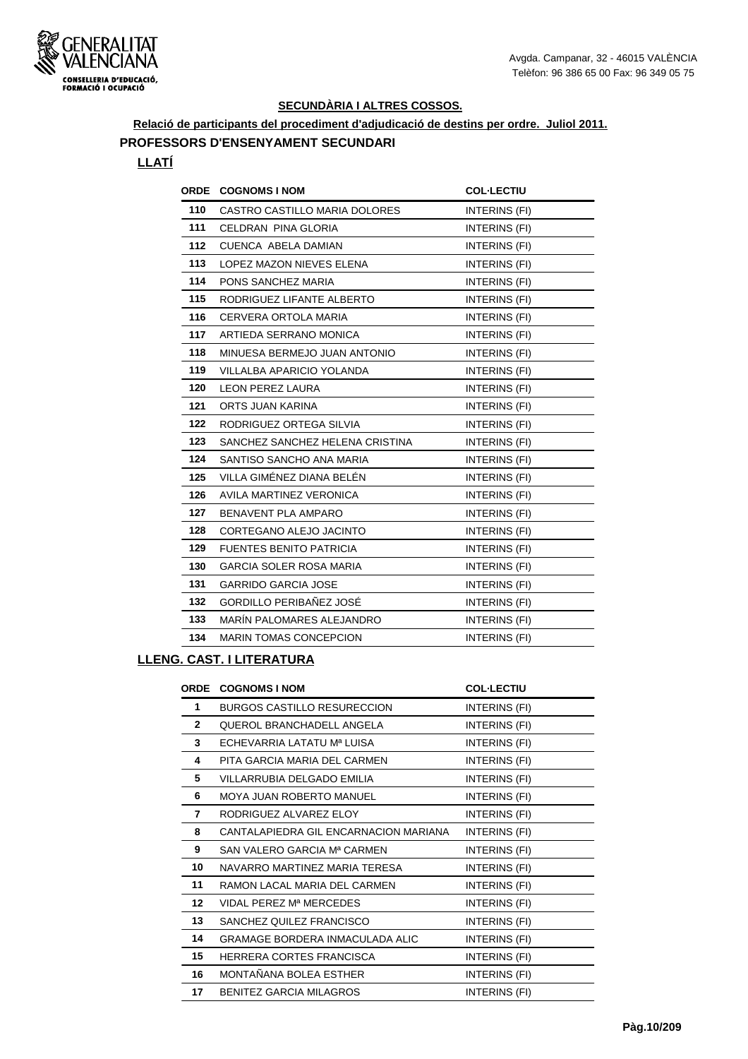

**Relació de participants del procediment d'adjudicació de destins per ordre. Juliol 2011.**

## **PROFESSORS D'ENSENYAMENT SECUNDARI**

## **LLATÍ**

| <b>ORDE</b> | <b>COGNOMS I NOM</b>            | <b>COL-LECTIU</b>    |
|-------------|---------------------------------|----------------------|
| 110         | CASTRO CASTILLO MARIA DOLORES   | INTERINS (FI)        |
| 111         | CELDRAN PINA GLORIA             | INTERINS (FI)        |
| 112         | CUENCA ABELA DAMIAN             | INTERINS (FI)        |
| 113         | LOPEZ MAZON NIEVES ELENA        | INTERINS (FI)        |
| 114         | PONS SANCHEZ MARIA              | INTERINS (FI)        |
| 115         | RODRIGUEZ LIFANTE ALBERTO       | INTERINS (FI)        |
| 116         | CERVERA ORTOLA MARIA            | INTERINS (FI)        |
| 117         | ARTIEDA SERRANO MONICA          | INTERINS (FI)        |
| 118         | MINUESA BERMEJO JUAN ANTONIO    | INTERINS (FI)        |
| 119         | VILLALBA APARICIO YOLANDA       | INTERINS (FI)        |
| 120         | <b>LEON PEREZ LAURA</b>         | INTERINS (FI)        |
| 121         | ORTS JUAN KARINA                | INTERINS (FI)        |
| 122         | RODRIGUEZ ORTEGA SILVIA         | INTERINS (FI)        |
| 123         | SANCHEZ SANCHEZ HELENA CRISTINA | INTERINS (FI)        |
| 124         | SANTISO SANCHO ANA MARIA        | INTERINS (FI)        |
| 125         | VILLA GIMÉNEZ DIANA BELÉN       | INTERINS (FI)        |
| 126         | AVILA MARTINEZ VERONICA         | INTERINS (FI)        |
| 127         | BENAVENT PLA AMPARO             | INTERINS (FI)        |
| 128         | CORTEGANO ALEJO JACINTO         | INTERINS (FI)        |
| 129         | <b>FUENTES BENITO PATRICIA</b>  | INTERINS (FI)        |
| 130         | <b>GARCIA SOLER ROSA MARIA</b>  | <b>INTERINS (FI)</b> |
| 131         | <b>GARRIDO GARCIA JOSE</b>      | INTERINS (FI)        |
| 132         | GORDILLO PERIBAÑEZ JOSÉ         | INTERINS (FI)        |
| 133         | MARÍN PALOMARES ALEJANDRO       | INTERINS (FI)        |
| 134         | <b>MARIN TOMAS CONCEPCION</b>   | INTERINS (FI)        |
|             |                                 |                      |

| ORDE         | <b>COGNOMS I NOM</b>                   | <b>COL-LECTIU</b> |
|--------------|----------------------------------------|-------------------|
| 1            | <b>BURGOS CASTILLO RESURECCION</b>     | INTERINS (FI)     |
| $\mathbf{2}$ | QUEROL BRANCHADELL ANGELA              | INTERINS (FI)     |
| 3            | ECHEVARRIA LATATU Mª LUISA             | INTERINS (FI)     |
| 4            | PITA GARCIA MARIA DEL CARMEN           | INTERINS (FI)     |
| 5            | VILLARRUBIA DELGADO EMILIA             | INTERINS (FI)     |
| 6            | MOYA JUAN ROBERTO MANUEL               | INTERINS (FI)     |
| 7            | RODRIGUEZ ALVAREZ ELOY                 | INTERINS (FI)     |
| 8            | CANTALAPIEDRA GIL ENCARNACION MARIANA  | INTERINS (FI)     |
| 9            | SAN VALERO GARCIA Mª CARMEN            | INTERINS (FI)     |
| 10           | NAVARRO MARTINEZ MARIA TERESA          | INTERINS (FI)     |
| 11           | RAMON LACAL MARIA DEL CARMEN           | INTERINS (FI)     |
| 12           | VIDAL PEREZ Mª MERCEDES                | INTERINS (FI)     |
| 13           | SANCHEZ QUILEZ FRANCISCO               | INTERINS (FI)     |
| 14           | <b>GRAMAGE BORDERA INMACULADA ALIC</b> | INTERINS (FI)     |
| 15           | HERRERA CORTES FRANCISCA               | INTERINS (FI)     |
| 16           | MONTAÑANA BOLEA ESTHER                 | INTERINS (FI)     |
| 17           | <b>BENITEZ GARCIA MILAGROS</b>         | INTERINS (FI)     |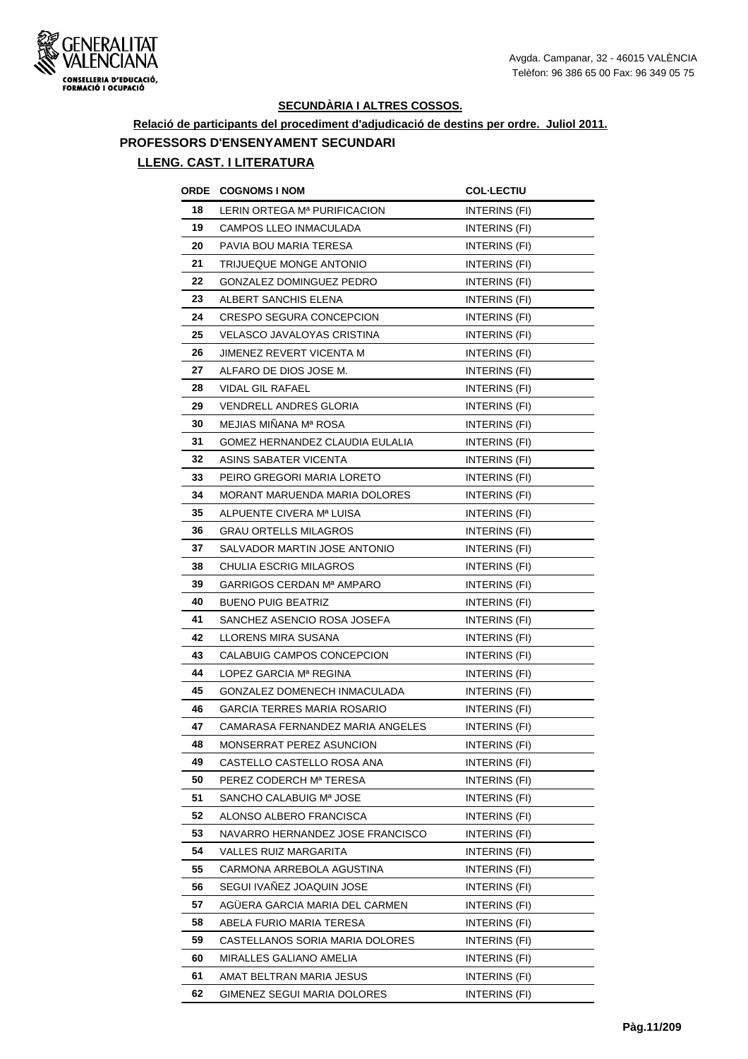

# **Relació de participants del procediment d'adjudicació de destins per ordre. Juliol 2011. PROFESSORS D'ENSENYAMENT SECUNDARI**

| ORDE | <b>COGNOMS I NOM</b>               | <b>COL·LECTIU</b>    |
|------|------------------------------------|----------------------|
| 18   | LERIN ORTEGA Mª PURIFICACION       | INTERINS (FI)        |
| 19   | CAMPOS LLEO INMACULADA             | INTERINS (FI)        |
| 20   | PAVIA BOU MARIA TERESA             | INTERINS (FI)        |
| 21   | TRIJUEQUE MONGE ANTONIO            | INTERINS (FI)        |
| 22   | GONZALEZ DOMINGUEZ PEDRO           | INTERINS (FI)        |
| 23   | ALBERT SANCHIS ELENA               | INTERINS (FI)        |
| 24   | CRESPO SEGURA CONCEPCION           | INTERINS (FI)        |
| 25   | VELASCO JAVALOYAS CRISTINA         | INTERINS (FI)        |
| 26   | JIMENEZ REVERT VICENTA M           | INTERINS (FI)        |
| 27   | ALFARO DE DIOS JOSE M.             | INTERINS (FI)        |
| 28   | <b>VIDAL GIL RAFAEL</b>            | INTERINS (FI)        |
| 29   | <b>VENDRELL ANDRES GLORIA</b>      | INTERINS (FI)        |
| 30   | MEJIAS MINANA Mª ROSA              | INTERINS (FI)        |
| 31   | GOMEZ HERNANDEZ CLAUDIA EULALIA    | INTERINS (FI)        |
| 32   | ASINS SABATER VICENTA              | INTERINS (FI)        |
| 33   | PEIRO GREGORI MARIA LORETO         | INTERINS (FI)        |
| 34   | MORANT MARUENDA MARIA DOLORES      | INTERINS (FI)        |
| 35   | ALPUENTE CIVERA Mª LUISA           | <b>INTERINS (FI)</b> |
| 36   | <b>GRAU ORTELLS MILAGROS</b>       | INTERINS (FI)        |
| 37   | SALVADOR MARTIN JOSE ANTONIO       | INTERINS (FI)        |
| 38   | CHULIA ESCRIG MILAGROS             | INTERINS (FI)        |
| 39   | GARRIGOS CERDAN Mª AMPARO          | INTERINS (FI)        |
| 40   | <b>BUENO PUIG BEATRIZ</b>          | INTERINS (FI)        |
| 41   | SANCHEZ ASENCIO ROSA JOSEFA        | INTERINS (FI)        |
| 42   | LLORENS MIRA SUSANA                | INTERINS (FI)        |
| 43   | CALABUIG CAMPOS CONCEPCION         | <b>INTERINS (FI)</b> |
| 44   | LOPEZ GARCIA Mª REGINA             | <b>INTERINS (FI)</b> |
| 45   | GONZALEZ DOMENECH INMACULADA       | INTERINS (FI)        |
| 46   | <b>GARCIA TERRES MARIA ROSARIO</b> | INTERINS (FI)        |
| 47   | CAMARASA FERNANDEZ MARIA ANGELES   | INTERINS (FI)        |
| 48   | MONSERRAT PEREZ ASUNCION           | INTERINS (FI)        |
| 49   | CASTELLO CASTELLO ROSA ANA         | INTERINS (FI)        |
| 50   | PEREZ CODERCH Mª TERESA            | INTERINS (FI)        |
| 51   | SANCHO CALABUIG Mª JOSE            | INTERINS (FI)        |
| 52   | ALONSO ALBERO FRANCISCA            | INTERINS (FI)        |
| 53   | NAVARRO HERNANDEZ JOSE FRANCISCO   | INTERINS (FI)        |
| 54   | VALLES RUIZ MARGARITA              | INTERINS (FI)        |
| 55   | CARMONA ARREBOLA AGUSTINA          | INTERINS (FI)        |
| 56   | SEGUI IVAÑEZ JOAQUIN JOSE          | INTERINS (FI)        |
| 57   | AGUERA GARCIA MARIA DEL CARMEN     | INTERINS (FI)        |
| 58   | ABELA FURIO MARIA TERESA           | INTERINS (FI)        |
| 59   | CASTELLANOS SORIA MARIA DOLORES    | INTERINS (FI)        |
| 60   | MIRALLES GALIANO AMELIA            | INTERINS (FI)        |
| 61   | AMAT BELTRAN MARIA JESUS           | INTERINS (FI)        |
| 62   | GIMENEZ SEGUI MARIA DOLORES        | INTERINS (FI)        |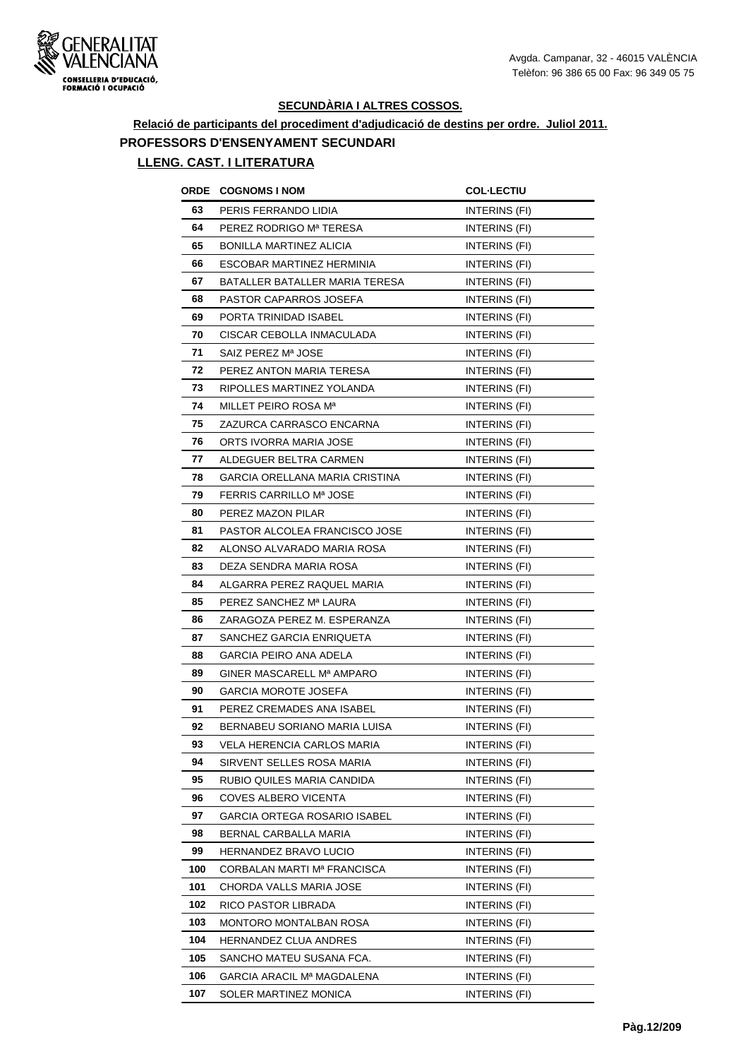

## **Relació de participants del procediment d'adjudicació de destins per ordre. Juliol 2011. PROFESSORS D'ENSENYAMENT SECUNDARI**

| ORDE | <b>COGNOMS I NOM</b>             | <b>COL-LECTIU</b>    |
|------|----------------------------------|----------------------|
| 63   | PERIS FERRANDO LIDIA             | INTERINS (FI)        |
| 64   | PEREZ RODRIGO Mª TERESA          | INTERINS (FI)        |
| 65   | <b>BONILLA MARTINEZ ALICIA</b>   | INTERINS (FI)        |
| 66   | ESCOBAR MARTINEZ HERMINIA        | INTERINS (FI)        |
| 67   | BATALLER BATALLER MARIA TERESA   | INTERINS (FI)        |
| 68   | PASTOR CAPARROS JOSEFA           | INTERINS (FI)        |
| 69   | PORTA TRINIDAD ISABEL            | INTERINS (FI)        |
| 70   | CISCAR CEBOLLA INMACULADA        | INTERINS (FI)        |
| 71   | SAIZ PEREZ Mª JOSE               | INTERINS (FI)        |
| 72   | PEREZ ANTON MARIA TERESA         | INTERINS (FI)        |
| 73   | RIPOLLES MARTINEZ YOLANDA        | INTERINS (FI)        |
| 74   | MILLET PEIRO ROSA M <sup>a</sup> | INTERINS (FI)        |
| 75   | ZAZURCA CARRASCO ENCARNA         | INTERINS (FI)        |
| 76   | ORTS IVORRA MARIA JOSE           | INTERINS (FI)        |
| 77   | ALDEGUER BELTRA CARMEN           | INTERINS (FI)        |
| 78   | GARCIA ORELLANA MARIA CRISTINA   | INTERINS (FI)        |
| 79   | <b>FERRIS CARRILLO Mª JOSE</b>   | INTERINS (FI)        |
| 80   | PEREZ MAZON PILAR                | INTERINS (FI)        |
| 81   | PASTOR ALCOLEA FRANCISCO JOSE    | <b>INTERINS (FI)</b> |
| 82   | ALONSO ALVARADO MARIA ROSA       | INTERINS (FI)        |
| 83   | DEZA SENDRA MARIA ROSA           | INTERINS (FI)        |
| 84   | ALGARRA PEREZ RAQUEL MARIA       | INTERINS (FI)        |
| 85   | PEREZ SANCHEZ Mª LAURA           | INTERINS (FI)        |
| 86   | ZARAGOZA PEREZ M. ESPERANZA      | INTERINS (FI)        |
| 87   | SANCHEZ GARCIA ENRIQUETA         | INTERINS (FI)        |
| 88   | GARCIA PEIRO ANA ADELA           | <b>INTERINS (FI)</b> |
| 89   | GINER MASCARELL Mª AMPARO        | INTERINS (FI)        |
| 90   | <b>GARCIA MOROTE JOSEFA</b>      | INTERINS (FI)        |
| 91   | PEREZ CREMADES ANA ISABEL        | INTERINS (FI)        |
| 92   | BERNABEU SORIANO MARIA LUISA     | <b>INTERINS (FI)</b> |
| 93   | VELA HERENCIA CARLOS MARIA       | INTERINS (FI)        |
| 94   | SIRVENT SELLES ROSA MARIA        | INTERINS (FI)        |
| 95   | RUBIO QUILES MARIA CANDIDA       | INTERINS (FI)        |
| 96   | <b>COVES ALBERO VICENTA</b>      | INTERINS (FI)        |
| 97   | GARCIA ORTEGA ROSARIO ISABEL     | INTERINS (FI)        |
| 98   | BERNAL CARBALLA MARIA            | INTERINS (FI)        |
| 99   | HERNANDEZ BRAVO LUCIO            | INTERINS (FI)        |
| 100  | CORBALAN MARTI Mª FRANCISCA      | INTERINS (FI)        |
| 101  | CHORDA VALLS MARIA JOSE          | INTERINS (FI)        |
| 102  | RICO PASTOR LIBRADA              | INTERINS (FI)        |
| 103  | MONTORO MONTALBAN ROSA           | INTERINS (FI)        |
| 104  | <b>HERNANDEZ CLUA ANDRES</b>     | INTERINS (FI)        |
| 105  | SANCHO MATEU SUSANA FCA.         | INTERINS (FI)        |
| 106  | GARCIA ARACIL Mª MAGDALENA       | INTERINS (FI)        |
| 107  | SOLER MARTINEZ MONICA            | INTERINS (FI)        |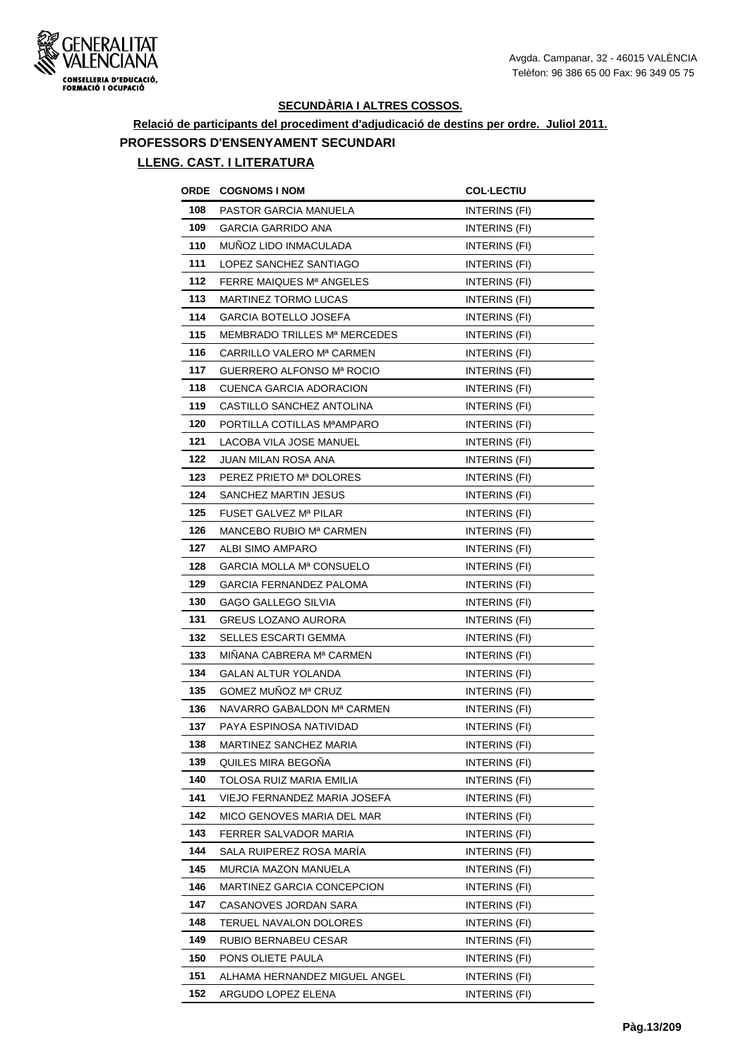

**Relació de participants del procediment d'adjudicació de destins per ordre. Juliol 2011. PROFESSORS D'ENSENYAMENT SECUNDARI**

| ORDE | <b>COGNOMS I NOM</b>                 | <b>COL·LECTIU</b>    |
|------|--------------------------------------|----------------------|
| 108  | PASTOR GARCIA MANUELA                | INTERINS (FI)        |
| 109  | <b>GARCIA GARRIDO ANA</b>            | INTERINS (FI)        |
| 110  | MUNOZ LIDO INMACULADA                | INTERINS (FI)        |
| 111  | LOPEZ SANCHEZ SANTIAGO               | INTERINS (FI)        |
| 112  | FERRE MAIQUES M <sup>a</sup> ANGELES | INTERINS (FI)        |
| 113  | MARTINEZ TORMO LUCAS                 | INTERINS (FI)        |
| 114  | <b>GARCIA BOTELLO JOSEFA</b>         | INTERINS (FI)        |
| 115  | MEMBRADO TRILLES Mª MERCEDES         | INTERINS (FI)        |
| 116  | CARRILLO VALERO Mª CARMEN            | INTERINS (FI)        |
| 117  | GUERRERO ALFONSO Mª ROCIO            | INTERINS (FI)        |
| 118  | CUENCA GARCIA ADORACION              | INTERINS (FI)        |
| 119  | CASTILLO SANCHEZ ANTOLINA            | INTERINS (FI)        |
| 120  | PORTILLA COTILLAS MªAMPARO           | INTERINS (FI)        |
| 121  | LACOBA VILA JOSE MANUEL              | INTERINS (FI)        |
| 122  | JUAN MILAN ROSA ANA                  | <b>INTERINS (FI)</b> |
| 123  | PEREZ PRIETO Mª DOLORES              | INTERINS (FI)        |
| 124  | SANCHEZ MARTIN JESUS                 | INTERINS (FI)        |
| 125  | FUSET GALVEZ Mª PILAR                | INTERINS (FI)        |
| 126  | MANCEBO RUBIO Mª CARMEN              | INTERINS (FI)        |
| 127  | ALBI SIMO AMPARO                     | INTERINS (FI)        |
| 128  | GARCIA MOLLA Mª CONSUELO             | INTERINS (FI)        |
| 129  | GARCIA FERNANDEZ PALOMA              | INTERINS (FI)        |
| 130  | GAGO GALLEGO SILVIA                  | INTERINS (FI)        |
| 131  | GREUS LOZANO AURORA                  | INTERINS (FI)        |
| 132  | <b>SELLES ESCARTI GEMMA</b>          | INTERINS (FI)        |
| 133  | MINANA CABRERA Mª CARMEN             | <b>INTERINS (FI)</b> |
| 134  | GALAN ALTUR YOLANDA                  | INTERINS (FI)        |
| 135  | GOMEZ MUNOZ Mª CRUZ                  | INTERINS (FI)        |
| 136  | NAVARRO GABALDON Mª CARMEN           | INTERINS (FI)        |
| 137  | PAYA ESPINOSA NATIVIDAD              | INTERINS (FI)        |
| 138  | MARTINEZ SANCHEZ MARIA               | INTERINS (FI)        |
| 139  | QUILES MIRA BEGOÑA                   | INTERINS (FI)        |
| 140  | TOLOSA RUIZ MARIA EMILIA             | INTERINS (FI)        |
| 141  | VIEJO FERNANDEZ MARIA JOSEFA         | INTERINS (FI)        |
| 142  | MICO GENOVES MARIA DEL MAR           | INTERINS (FI)        |
| 143  | FERRER SALVADOR MARIA                | INTERINS (FI)        |
| 144  | SALA RUIPEREZ ROSA MARIA             | INTERINS (FI)        |
| 145  | MURCIA MAZON MANUELA                 | INTERINS (FI)        |
| 146  | MARTINEZ GARCIA CONCEPCION           | INTERINS (FI)        |
| 147  | CASANOVES JORDAN SARA                | INTERINS (FI)        |
| 148  | TERUEL NAVALON DOLORES               | INTERINS (FI)        |
| 149  | RUBIO BERNABEU CESAR                 | INTERINS (FI)        |
| 150  | PONS OLIETE PAULA                    | INTERINS (FI)        |
| 151  | ALHAMA HERNANDEZ MIGUEL ANGEL        | INTERINS (FI)        |
| 152  | ARGUDO LOPEZ ELENA                   | INTERINS (FI)        |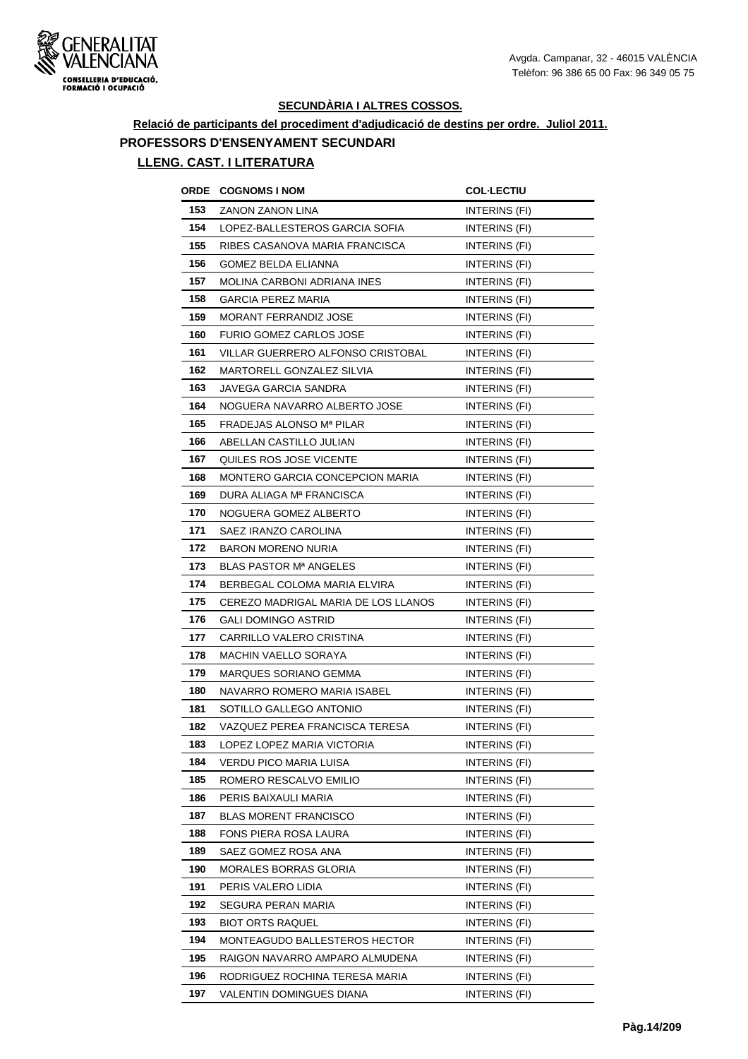

# **Relació de participants del procediment d'adjudicació de destins per ordre. Juliol 2011. PROFESSORS D'ENSENYAMENT SECUNDARI**

|     | <b>ORDE COGNOMS INOM</b>            | <b>COL·LECTIU</b>    |
|-----|-------------------------------------|----------------------|
| 153 | <b>ZANON ZANON LINA</b>             | INTERINS (FI)        |
| 154 | LOPEZ-BALLESTEROS GARCIA SOFIA      | INTERINS (FI)        |
| 155 | RIBES CASANOVA MARIA FRANCISCA      | INTERINS (FI)        |
| 156 | <b>GOMEZ BELDA ELIANNA</b>          | INTERINS (FI)        |
| 157 | <b>MOLINA CARBONI ADRIANA INES</b>  | INTERINS (FI)        |
| 158 | <b>GARCIA PEREZ MARIA</b>           | INTERINS (FI)        |
| 159 | <b>MORANT FERRANDIZ JOSE</b>        | INTERINS (FI)        |
| 160 | <b>FURIO GOMEZ CARLOS JOSE</b>      | <b>INTERINS (FI)</b> |
| 161 | VILLAR GUERRERO ALFONSO CRISTOBAL   | INTERINS (FI)        |
| 162 | MARTORELL GONZALEZ SILVIA           | <b>INTERINS (FI)</b> |
| 163 | JAVEGA GARCIA SANDRA                | INTERINS (FI)        |
| 164 | NOGUERA NAVARRO ALBERTO JOSE        | INTERINS (FI)        |
| 165 | FRADEJAS ALONSO Mª PILAR            | INTERINS (FI)        |
| 166 | ABELLAN CASTILLO JULIAN             | INTERINS (FI)        |
| 167 | QUILES ROS JOSE VICENTE             | INTERINS (FI)        |
| 168 | MONTERO GARCIA CONCEPCION MARIA     | INTERINS (FI)        |
| 169 | DURA ALIAGA Mª FRANCISCA            | INTERINS (FI)        |
| 170 | NOGUERA GOMEZ ALBERTO               | INTERINS (FI)        |
| 171 | SAEZ IRANZO CAROLINA                | INTERINS (FI)        |
| 172 | <b>BARON MORENO NURIA</b>           | INTERINS (FI)        |
| 173 | BLAS PASTOR M <sup>a</sup> ANGELES  | INTERINS (FI)        |
| 174 | BERBEGAL COLOMA MARIA ELVIRA        | <b>INTERINS (FI)</b> |
| 175 | CEREZO MADRIGAL MARIA DE LOS LLANOS | INTERINS (FI)        |
| 176 | GALI DOMINGO ASTRID                 | INTERINS (FI)        |
| 177 | CARRILLO VALERO CRISTINA            | INTERINS (FI)        |
| 178 | MACHIN VAELLO SORAYA                | INTERINS (FI)        |
| 179 | <b>MARQUES SORIANO GEMMA</b>        | INTERINS (FI)        |
| 180 | NAVARRO ROMERO MARIA ISABEL         | INTERINS (FI)        |
| 181 | SOTILLO GALLEGO ANTONIO             | INTERINS (FI)        |
| 182 | VAZQUEZ PEREA FRANCISCA TERESA      | INTERINS (FI)        |
| 183 | LOPEZ LOPEZ MARIA VICTORIA          | INTERINS (FI)        |
| 184 | VERDU PICO MARIA LUISA              | <b>INTERINS (FI)</b> |
| 185 | ROMERO RESCALVO EMILIO              | INTERINS (FI)        |
| 186 | PERIS BAIXAULI MARIA                | INTERINS (FI)        |
| 187 | <b>BLAS MORENT FRANCISCO</b>        | INTERINS (FI)        |
| 188 | FONS PIERA ROSA LAURA               | INTERINS (FI)        |
| 189 | SAEZ GOMEZ ROSA ANA                 | INTERINS (FI)        |
| 190 | MORALES BORRAS GLORIA               | INTERINS (FI)        |
| 191 | PERIS VALERO LIDIA                  | INTERINS (FI)        |
| 192 | SEGURA PERAN MARIA                  | INTERINS (FI)        |
| 193 | <b>BIOT ORTS RAQUEL</b>             | INTERINS (FI)        |
| 194 | MONTEAGUDO BALLESTEROS HECTOR       | INTERINS (FI)        |
| 195 | RAIGON NAVARRO AMPARO ALMUDENA      | INTERINS (FI)        |
| 196 | RODRIGUEZ ROCHINA TERESA MARIA      | INTERINS (FI)        |
| 197 | VALENTIN DOMINGUES DIANA            | INTERINS (FI)        |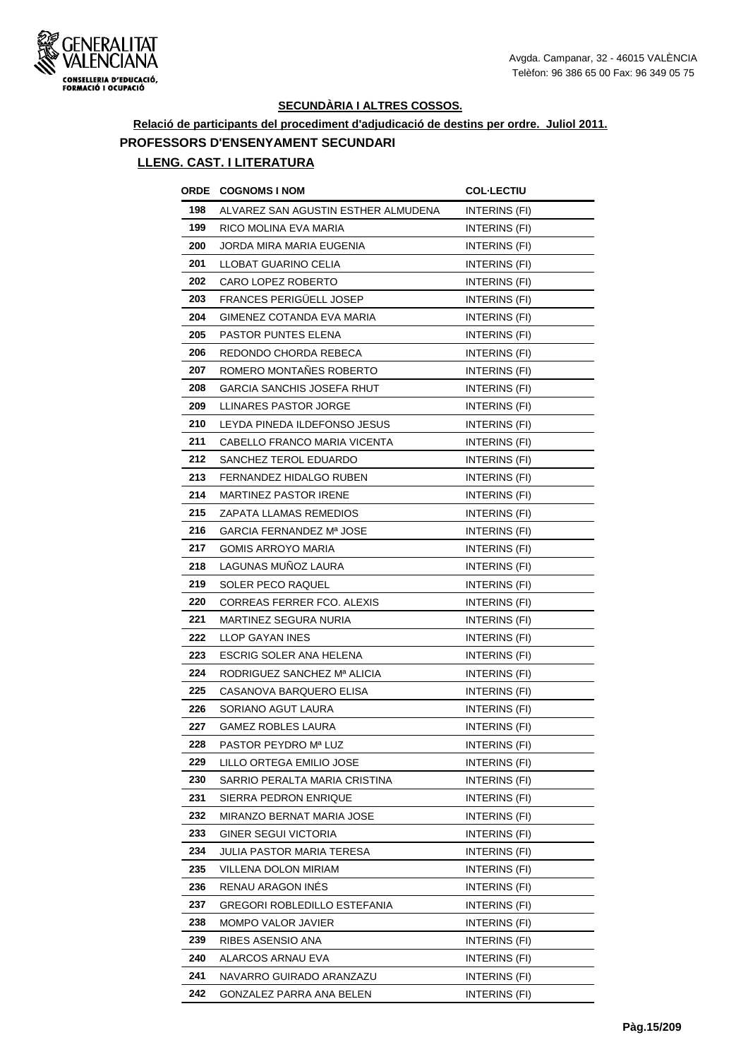

# **Relació de participants del procediment d'adjudicació de destins per ordre. Juliol 2011. PROFESSORS D'ENSENYAMENT SECUNDARI**

| ORDE | <b>COGNOMS I NOM</b>                | <b>COL·LECTIU</b>    |
|------|-------------------------------------|----------------------|
| 198  | ALVAREZ SAN AGUSTIN ESTHER ALMUDENA | INTERINS (FI)        |
| 199  | RICO MOLINA EVA MARIA               | INTERINS (FI)        |
| 200  | JORDA MIRA MARIA EUGENIA            | INTERINS (FI)        |
| 201  | LLOBAT GUARINO CELIA                | INTERINS (FI)        |
| 202  | CARO LOPEZ ROBERTO                  | INTERINS (FI)        |
| 203  | FRANCES PERIGÜELL JOSEP             | INTERINS (FI)        |
| 204  | GIMENEZ COTANDA EVA MARIA           | INTERINS (FI)        |
| 205  | PASTOR PUNTES ELENA                 | INTERINS (FI)        |
| 206  | REDONDO CHORDA REBECA               | <b>INTERINS (FI)</b> |
| 207  | ROMERO MONTAÑES ROBERTO             | INTERINS (FI)        |
| 208  | GARCIA SANCHIS JOSEFA RHUT          | INTERINS (FI)        |
| 209  | LLINARES PASTOR JORGE               | INTERINS (FI)        |
| 210  | LEYDA PINEDA ILDEFONSO JESUS        | INTERINS (FI)        |
| 211  | CABELLO FRANCO MARIA VICENTA        | INTERINS (FI)        |
| 212  | SANCHEZ TEROL EDUARDO               | INTERINS (FI)        |
| 213  | FERNANDEZ HIDALGO RUBEN             | INTERINS (FI)        |
| 214  | <b>MARTINEZ PASTOR IRENE</b>        | INTERINS (FI)        |
| 215  | ZAPATA LLAMAS REMEDIOS              | INTERINS (FI)        |
| 216  | GARCIA FERNANDEZ Mª JOSE            | INTERINS (FI)        |
| 217  | <b>GOMIS ARROYO MARIA</b>           | INTERINS (FI)        |
| 218  | LAGUNAS MUÑOZ LAURA                 | INTERINS (FI)        |
| 219  | SOLER PECO RAQUEL                   | INTERINS (FI)        |
| 220  | CORREAS FERRER FCO. ALEXIS          | <b>INTERINS (FI)</b> |
| 221  | MARTINEZ SEGURA NURIA               | INTERINS (FI)        |
| 222  | LLOP GAYAN INES                     | INTERINS (FI)        |
| 223  | ESCRIG SOLER ANA HELENA             | <b>INTERINS (FI)</b> |
| 224  | RODRIGUEZ SANCHEZ Mª ALICIA         | INTERINS (FI)        |
| 225  | CASANOVA BARQUERO ELISA             | INTERINS (FI)        |
| 226  | SORIANO AGUT LAURA                  | INTERINS (FI)        |
| 227  | <b>GAMEZ ROBLES LAURA</b>           | INTERINS (FI)        |
| 228  | PASTOR PEYDRO Mª LUZ                | INTERINS (FI)        |
| 229  | LILLO ORTEGA EMILIO JOSE            | INTERINS (FI)        |
| 230  | SARRIO PERALTA MARIA CRISTINA       | INTERINS (FI)        |
| 231  | SIERRA PEDRON ENRIQUE               | INTERINS (FI)        |
| 232  | MIRANZO BERNAT MARIA JOSE           | INTERINS (FI)        |
| 233  | GINER SEGUI VICTORIA                | INTERINS (FI)        |
| 234  | JULIA PASTOR MARIA TERESA           | INTERINS (FI)        |
| 235  | VILLENA DOLON MIRIAM                | INTERINS (FI)        |
| 236  | RENAU ARAGON INÉS                   | INTERINS (FI)        |
| 237  | GREGORI ROBLEDILLO ESTEFANIA        | INTERINS (FI)        |
| 238  | MOMPO VALOR JAVIER                  | INTERINS (FI)        |
| 239  | RIBES ASENSIO ANA                   | INTERINS (FI)        |
| 240  | ALARCOS ARNAU EVA                   | INTERINS (FI)        |
| 241  | NAVARRO GUIRADO ARANZAZU            | INTERINS (FI)        |
| 242  | GONZALEZ PARRA ANA BELEN            | INTERINS (FI)        |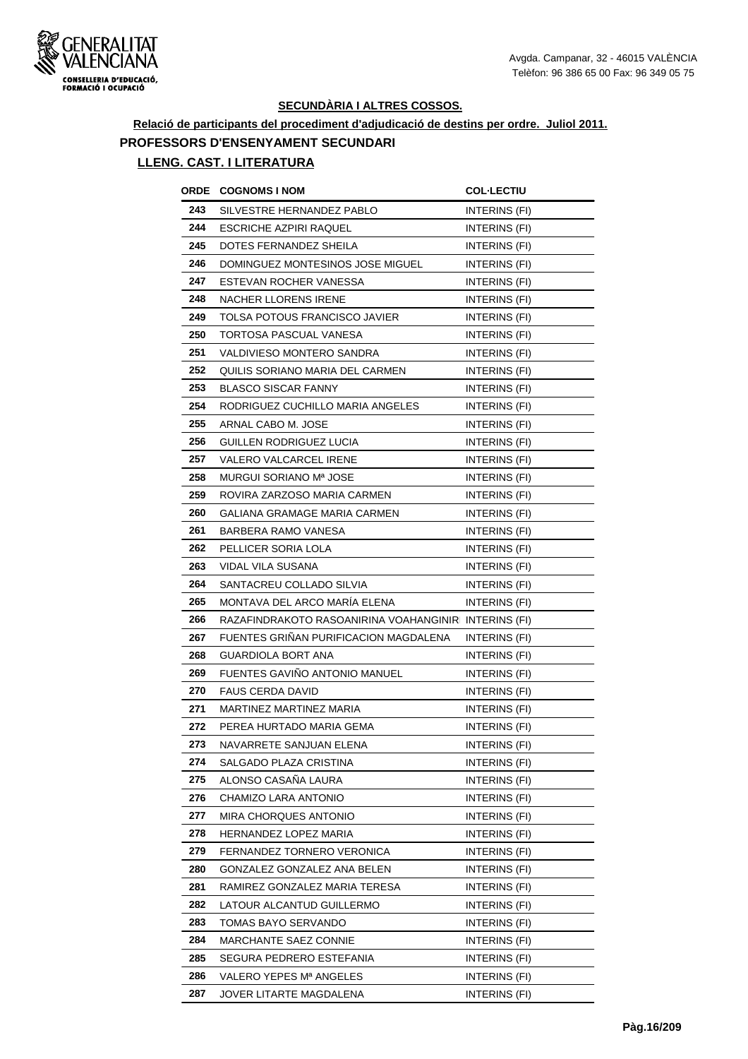

# **Relació de participants del procediment d'adjudicació de destins per ordre. Juliol 2011. PROFESSORS D'ENSENYAMENT SECUNDARI**

| ORDE | <b>COGNOMS I NOM</b>                                  | <b>COL·LECTIU</b>    |
|------|-------------------------------------------------------|----------------------|
| 243  | SILVESTRE HERNANDEZ PABLO                             | INTERINS (FI)        |
| 244  | ESCRICHE AZPIRI RAQUEL                                | INTERINS (FI)        |
| 245  | DOTES FERNANDEZ SHEILA                                | INTERINS (FI)        |
| 246  | DOMINGUEZ MONTESINOS JOSE MIGUEL                      | INTERINS (FI)        |
| 247  | ESTEVAN ROCHER VANESSA                                | INTERINS (FI)        |
| 248  | NACHER LLORENS IRENE                                  | INTERINS (FI)        |
| 249  | TOLSA POTOUS FRANCISCO JAVIER                         | INTERINS (FI)        |
| 250  | <b>TORTOSA PASCUAL VANESA</b>                         | INTERINS (FI)        |
| 251  | VALDIVIESO MONTERO SANDRA                             | INTERINS (FI)        |
| 252  | QUILIS SORIANO MARIA DEL CARMEN                       | INTERINS (FI)        |
| 253  | <b>BLASCO SISCAR FANNY</b>                            | INTERINS (FI)        |
| 254  | RODRIGUEZ CUCHILLO MARIA ANGELES                      | <b>INTERINS (FI)</b> |
| 255  | ARNAL CABO M. JOSE                                    | INTERINS (FI)        |
| 256  | GUILLEN RODRIGUEZ LUCIA                               | INTERINS (FI)        |
| 257  | VALERO VALCARCEL IRENE                                | <b>INTERINS (FI)</b> |
| 258  | MURGUI SORIANO Mª JOSE                                | INTERINS (FI)        |
| 259  | ROVIRA ZARZOSO MARIA CARMEN                           | INTERINS (FI)        |
| 260  | GALIANA GRAMAGE MARIA CARMEN                          | INTERINS (FI)        |
| 261  | BARBERA RAMO VANESA                                   | INTERINS (FI)        |
| 262  | PELLICER SORIA LOLA                                   | INTERINS (FI)        |
| 263  | VIDAL VILA SUSANA                                     | INTERINS (FI)        |
| 264  | SANTACREU COLLADO SILVIA                              | INTERINS (FI)        |
| 265  | MONTAVA DEL ARCO MARÍA ELENA                          | INTERINS (FI)        |
| 266  | RAZAFINDRAKOTO RASOANIRINA VOAHANGINIRI INTERINS (FI) |                      |
| 267  | FUENTES GRINAN PURIFICACION MAGDALENA                 | INTERINS (FI)        |
| 268  | GUARDIOLA BORT ANA                                    | <b>INTERINS (FI)</b> |
| 269  | FUENTES GAVIÑO ANTONIO MANUEL                         | INTERINS (FI)        |
| 270  | <b>FAUS CERDA DAVID</b>                               | INTERINS (FI)        |
| 271  | MARTINEZ MARTINEZ MARIA                               | INTERINS (FI)        |
| 272  | PEREA HURTADO MARIA GEMA                              | INTERINS (FI)        |
| 273  | NAVARRETE SANJUAN ELENA                               | INTERINS (FI)        |
| 274  | SALGADO PLAZA CRISTINA                                | INTERINS (FI)        |
| 275  | ALONSO CASANA LAURA                                   | INTERINS (FI)        |
| 276  | CHAMIZO LARA ANTONIO                                  | INTERINS (FI)        |
| 277  | MIRA CHORQUES ANTONIO                                 | INTERINS (FI)        |
| 278  | HERNANDEZ LOPEZ MARIA                                 | INTERINS (FI)        |
| 279  | FERNANDEZ TORNERO VERONICA                            | INTERINS (FI)        |
| 280  | GONZALEZ GONZALEZ ANA BELEN                           | INTERINS (FI)        |
| 281  | RAMIREZ GONZALEZ MARIA TERESA                         | INTERINS (FI)        |
| 282  | LATOUR ALCANTUD GUILLERMO                             | INTERINS (FI)        |
| 283  | TOMAS BAYO SERVANDO                                   | INTERINS (FI)        |
| 284  | MARCHANTE SAEZ CONNIE                                 | INTERINS (FI)        |
| 285  | SEGURA PEDRERO ESTEFANIA                              | INTERINS (FI)        |
| 286  | VALERO YEPES Mª ANGELES                               | INTERINS (FI)        |
| 287  | JOVER LITARTE MAGDALENA                               | INTERINS (FI)        |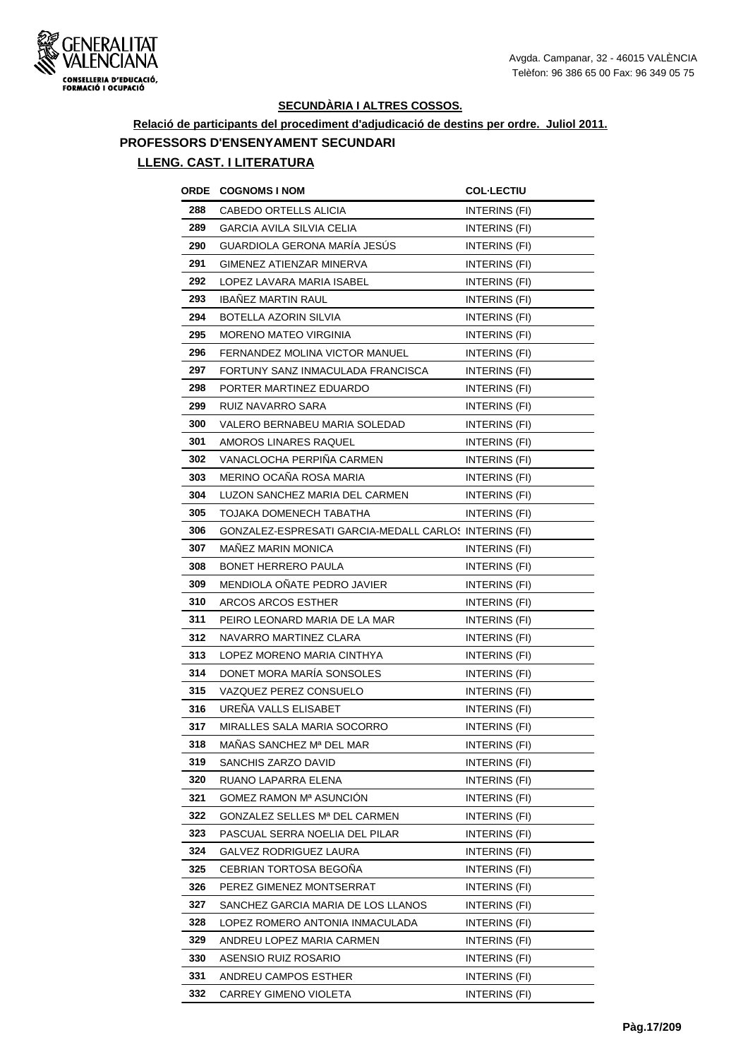

## **Relació de participants del procediment d'adjudicació de destins per ordre. Juliol 2011. PROFESSORS D'ENSENYAMENT SECUNDARI**

| ORDE | <b>COGNOMS I NOM</b>                                  | <b>COL·LECTIU</b>    |
|------|-------------------------------------------------------|----------------------|
| 288  | CABEDO ORTELLS ALICIA                                 | INTERINS (FI)        |
| 289  | GARCIA AVILA SILVIA CELIA                             | INTERINS (FI)        |
| 290  | GUARDIOLA GERONA MARÍA JESÚS                          | INTERINS (FI)        |
| 291  | GIMENEZ ATIENZAR MINERVA                              | INTERINS (FI)        |
| 292  | LOPEZ LAVARA MARIA ISABEL                             | INTERINS (FI)        |
| 293  | <b>IBANEZ MARTIN RAUL</b>                             | INTERINS (FI)        |
| 294  | BOTELLA AZORIN SILVIA                                 | INTERINS (FI)        |
| 295  | <b>MORENO MATEO VIRGINIA</b>                          | INTERINS (FI)        |
| 296  | FERNANDEZ MOLINA VICTOR MANUEL                        | INTERINS (FI)        |
| 297  | FORTUNY SANZ INMACULADA FRANCISCA                     | INTERINS (FI)        |
| 298  | PORTER MARTINEZ EDUARDO                               | INTERINS (FI)        |
| 299  | RUIZ NAVARRO SARA                                     | INTERINS (FI)        |
| 300  | VALERO BERNABEU MARIA SOLEDAD                         | INTERINS (FI)        |
| 301  | AMOROS LINARES RAQUEL                                 | INTERINS (FI)        |
| 302  | VANACLOCHA PERPIÑA CARMEN                             | <b>INTERINS (FI)</b> |
| 303  | MERINO OCAÑA ROSA MARIA                               | INTERINS (FI)        |
| 304  | LUZON SANCHEZ MARIA DEL CARMEN                        | INTERINS (FI)        |
| 305  | TOJAKA DOMENECH TABATHA                               | INTERINS (FI)        |
| 306  | GONZALEZ-ESPRESATI GARCIA-MEDALL CARLOS INTERINS (FI) |                      |
| 307  | <b>MANEZ MARIN MONICA</b>                             | INTERINS (FI)        |
| 308  | <b>BONET HERRERO PAULA</b>                            | INTERINS (FI)        |
| 309  | MENDIOLA OÑATE PEDRO JAVIER                           | INTERINS (FI)        |
| 310  | ARCOS ARCOS ESTHER                                    | INTERINS (FI)        |
| 311  | PEIRO LEONARD MARIA DE LA MAR                         | INTERINS (FI)        |
| 312  | NAVARRO MARTINEZ CLARA                                | INTERINS (FI)        |
| 313  | LOPEZ MORENO MARIA CINTHYA                            | INTERINS (FI)        |
| 314  | DONET MORA MARÍA SONSOLES                             | INTERINS (FI)        |
| 315  | VAZQUEZ PEREZ CONSUELO                                | INTERINS (FI)        |
| 316  | URENA VALLS ELISABET                                  | INTERINS (FI)        |
| 317  | MIRALLES SALA MARIA SOCORRO                           | <b>INTERINS (FI)</b> |
| 318  | MAÑAS SANCHEZ Mª DEL MAR                              | INTERINS (FI)        |
| 319  | SANCHIS ZARZO DAVID                                   | INTERINS (FI)        |
| 320  | RUANO LAPARRA ELENA                                   | INTERINS (FI)        |
| 321  | <b>GOMEZ RAMON Mª ASUNCION</b>                        | INTERINS (FI)        |
| 322  | GONZALEZ SELLES Mª DEL CARMEN                         | INTERINS (FI)        |
| 323  | PASCUAL SERRA NOELIA DEL PILAR                        | INTERINS (FI)        |
| 324  | GALVEZ RODRIGUEZ LAURA                                | INTERINS (FI)        |
| 325  | CEBRIAN TORTOSA BEGOÑA                                | INTERINS (FI)        |
| 326  | PEREZ GIMENEZ MONTSERRAT                              | INTERINS (FI)        |
| 327  | SANCHEZ GARCIA MARIA DE LOS LLANOS                    | INTERINS (FI)        |
| 328  | LOPEZ ROMERO ANTONIA INMACULADA                       | INTERINS (FI)        |
| 329  | ANDREU LOPEZ MARIA CARMEN                             | INTERINS (FI)        |
| 330  | ASENSIO RUIZ ROSARIO                                  | INTERINS (FI)        |
| 331  | ANDREU CAMPOS ESTHER                                  | INTERINS (FI)        |
| 332  | CARREY GIMENO VIOLETA                                 | INTERINS (FI)        |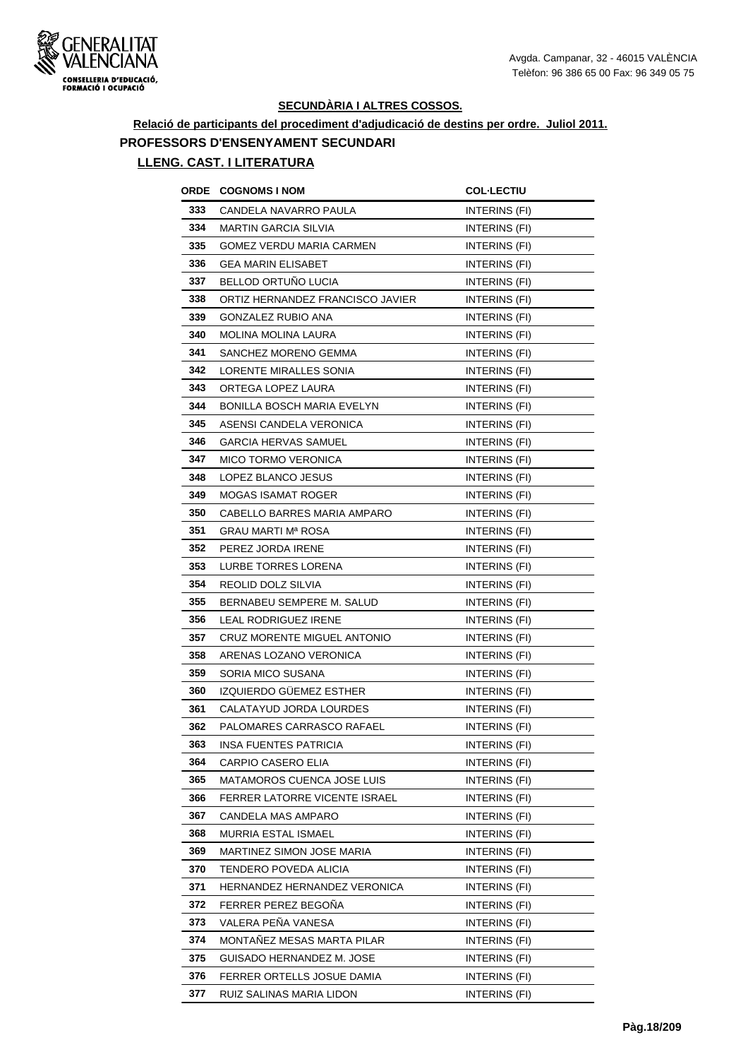

## **Relació de participants del procediment d'adjudicació de destins per ordre. Juliol 2011. PROFESSORS D'ENSENYAMENT SECUNDARI**

| ORDE | <b>COGNOMS I NOM</b>                 | <b>COL·LECTIU</b>    |
|------|--------------------------------------|----------------------|
| 333  | CANDELA NAVARRO PAULA                | INTERINS (FI)        |
| 334  | MARTIN GARCIA SILVIA                 | INTERINS (FI)        |
| 335  | GOMEZ VERDU MARIA CARMEN             | INTERINS (FI)        |
| 336  | <b>GEA MARIN ELISABET</b>            | INTERINS (FI)        |
| 337  | BELLOD ORTUNO LUCIA                  | INTERINS (FI)        |
| 338  | ORTIZ HERNANDEZ FRANCISCO JAVIER     | INTERINS (FI)        |
| 339  | GONZALEZ RUBIO ANA                   | INTERINS (FI)        |
| 340  | <b>MOLINA MOLINA LAURA</b>           | INTERINS (FI)        |
| 341  | SANCHEZ MORENO GEMMA                 | INTERINS (FI)        |
| 342  | LORENTE MIRALLES SONIA               | INTERINS (FI)        |
| 343  | ORTEGA LOPEZ LAURA                   | INTERINS (FI)        |
| 344  | <b>BONILLA BOSCH MARIA EVELYN</b>    | INTERINS (FI)        |
| 345  | ASENSI CANDELA VERONICA              | INTERINS (FI)        |
| 346  | <b>GARCIA HERVAS SAMUEL</b>          | <b>INTERINS (FI)</b> |
| 347  | <b>MICO TORMO VERONICA</b>           | <b>INTERINS (FI)</b> |
| 348  | LOPEZ BLANCO JESUS                   | INTERINS (FI)        |
| 349  | MOGAS ISAMAT ROGER                   | INTERINS (FI)        |
| 350  | CABELLO BARRES MARIA AMPARO          | <b>INTERINS (FI)</b> |
| 351  | GRAU MARTI Mª ROSA                   | INTERINS (FI)        |
| 352  | PEREZ JORDA IRENE                    | INTERINS (FI)        |
| 353  | LURBE TORRES LORENA                  | INTERINS (FI)        |
| 354  | REOLID DOLZ SILVIA                   | INTERINS (FI)        |
| 355  | BERNABEU SEMPERE M. SALUD            | INTERINS (FI)        |
| 356  | LEAL RODRIGUEZ IRENE                 | INTERINS (FI)        |
| 357  | CRUZ MORENTE MIGUEL ANTONIO          | INTERINS (FI)        |
| 358  | ARENAS LOZANO VERONICA               | <b>INTERINS (FI)</b> |
| 359  | SORIA MICO SUSANA                    | INTERINS (FI)        |
| 360  | IZQUIERDO GÜEMEZ ESTHER              | INTERINS (FI)        |
| 361  | CALATAYUD JORDA LOURDES              | INTERINS (FI)        |
| 362  | PALOMARES CARRASCO RAFAEL            | <b>INTERINS (FI)</b> |
| 363  | INSA FUENTES PATRICIA                | INTERINS (FI)        |
| 364  | CARPIO CASERO ELIA                   | INTERINS (FI)        |
| 365  | MATAMOROS CUENCA JOSE LUIS           | INTERINS (FI)        |
| 366  | <b>FERRER LATORRE VICENTE ISRAEL</b> | INTERINS (FI)        |
| 367  | CANDELA MAS AMPARO                   | INTERINS (FI)        |
| 368  | MURRIA ESTAL ISMAEL                  | INTERINS (FI)        |
| 369  | MARTINEZ SIMON JOSE MARIA            | INTERINS (FI)        |
| 370  | TENDERO POVEDA ALICIA                | INTERINS (FI)        |
| 371  | HERNANDEZ HERNANDEZ VERONICA         | INTERINS (FI)        |
| 372  | FERRER PEREZ BEGONA                  | INTERINS (FI)        |
| 373  | VALERA PEÑA VANESA                   | INTERINS (FI)        |
| 374  | MONTAÑEZ MESAS MARTA PILAR           | INTERINS (FI)        |
| 375  | GUISADO HERNANDEZ M. JOSE            | INTERINS (FI)        |
| 376  | FERRER ORTELLS JOSUE DAMIA           | INTERINS (FI)        |
| 377  | RUIZ SALINAS MARIA LIDON             | INTERINS (FI)        |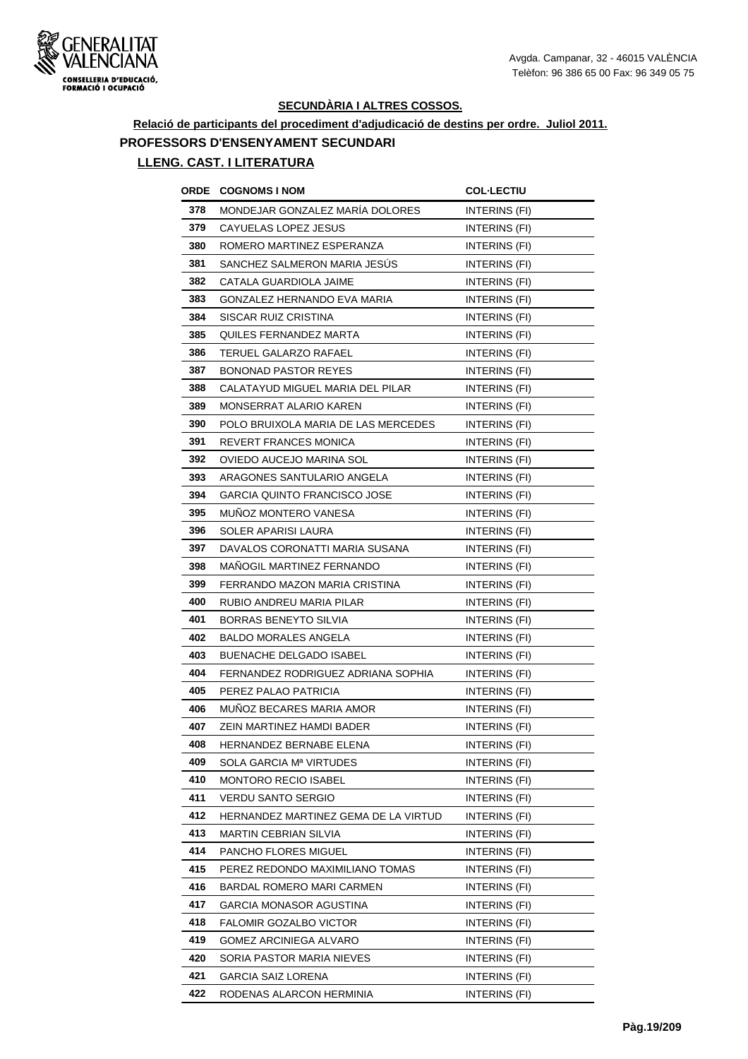

# **Relació de participants del procediment d'adjudicació de destins per ordre. Juliol 2011. PROFESSORS D'ENSENYAMENT SECUNDARI**

| ORDE | <b>COGNOMS I NOM</b>                 | <b>COL·LECTIU</b>    |
|------|--------------------------------------|----------------------|
| 378  | MONDEJAR GONZALEZ MARÍA DOLORES      | INTERINS (FI)        |
| 379  | CAYUELAS LOPEZ JESUS                 | INTERINS (FI)        |
| 380  | ROMERO MARTINEZ ESPERANZA            | INTERINS (FI)        |
| 381  | SANCHEZ SALMERON MARIA JESUS         | INTERINS (FI)        |
| 382  | CATALA GUARDIOLA JAIME               | INTERINS (FI)        |
| 383  | GONZALEZ HERNANDO EVA MARIA          | INTERINS (FI)        |
| 384  | SISCAR RUIZ CRISTINA                 | INTERINS (FI)        |
| 385  | QUILES FERNANDEZ MARTA               | INTERINS (FI)        |
| 386  | TERUEL GALARZO RAFAEL                | INTERINS (FI)        |
| 387  | BONONAD PASTOR REYES                 | INTERINS (FI)        |
| 388  | CALATAYUD MIGUEL MARIA DEL PILAR     | INTERINS (FI)        |
| 389  | MONSERRAT ALARIO KAREN               | INTERINS (FI)        |
| 390  | POLO BRUIXOLA MARIA DE LAS MERCEDES  | INTERINS (FI)        |
| 391  | REVERT FRANCES MONICA                | <b>INTERINS (FI)</b> |
| 392  | OVIEDO AUCEJO MARINA SOL             | <b>INTERINS (FI)</b> |
| 393  | ARAGONES SANTULARIO ANGELA           | INTERINS (FI)        |
| 394  | GARCIA QUINTO FRANCISCO JOSE         | INTERINS (FI)        |
| 395  | MUÑOZ MONTERO VANESA                 | <b>INTERINS (FI)</b> |
| 396  | SOLER APARISI LAURA                  | INTERINS (FI)        |
| 397  | DAVALOS CORONATTI MARIA SUSANA       | INTERINS (FI)        |
| 398  | MAÑOGIL MARTINEZ FERNANDO            | INTERINS (FI)        |
| 399  | FERRANDO MAZON MARIA CRISTINA        | INTERINS (FI)        |
| 400  | RUBIO ANDREU MARIA PILAR             | INTERINS (FI)        |
| 401  | BORRAS BENEYTO SILVIA                | INTERINS (FI)        |
| 402  | <b>BALDO MORALES ANGELA</b>          | INTERINS (FI)        |
| 403  | <b>BUENACHE DELGADO ISABEL</b>       | INTERINS (FI)        |
| 404  | FERNANDEZ RODRIGUEZ ADRIANA SOPHIA   | INTERINS (FI)        |
| 405  | PEREZ PALAO PATRICIA                 | INTERINS (FI)        |
| 406  | MUÑOZ BECARES MARIA AMOR             | INTERINS (FI)        |
| 407  | ZEIN MARTINEZ HAMDI BADER            | INTERINS (FI)        |
| 408  | HERNANDEZ BERNABE ELENA              | INTERINS (FI)        |
| 409  | SOLA GARCIA Mª VIRTUDES              | INTERINS (FI)        |
| 410  | <b>MONTORO RECIO ISABEL</b>          | INTERINS (FI)        |
| 411  | VERDU SANTO SERGIO                   | INTERINS (FI)        |
| 412  | HERNANDEZ MARTINEZ GEMA DE LA VIRTUD | INTERINS (FI)        |
| 413  | MARTIN CEBRIAN SILVIA                | INTERINS (FI)        |
| 414  | PANCHO FLORES MIGUEL                 | INTERINS (FI)        |
| 415  | PEREZ REDONDO MAXIMILIANO TOMAS      | INTERINS (FI)        |
| 416  | BARDAL ROMERO MARI CARMEN            | INTERINS (FI)        |
| 417  | GARCIA MONASOR AGUSTINA              | INTERINS (FI)        |
| 418  | FALOMIR GOZALBO VICTOR               | INTERINS (FI)        |
| 419  | GOMEZ ARCINIEGA ALVARO               | INTERINS (FI)        |
| 420  | SORIA PASTOR MARIA NIEVES            | INTERINS (FI)        |
| 421  | GARCIA SAIZ LORENA                   | INTERINS (FI)        |
| 422  | RODENAS ALARCON HERMINIA             | INTERINS (FI)        |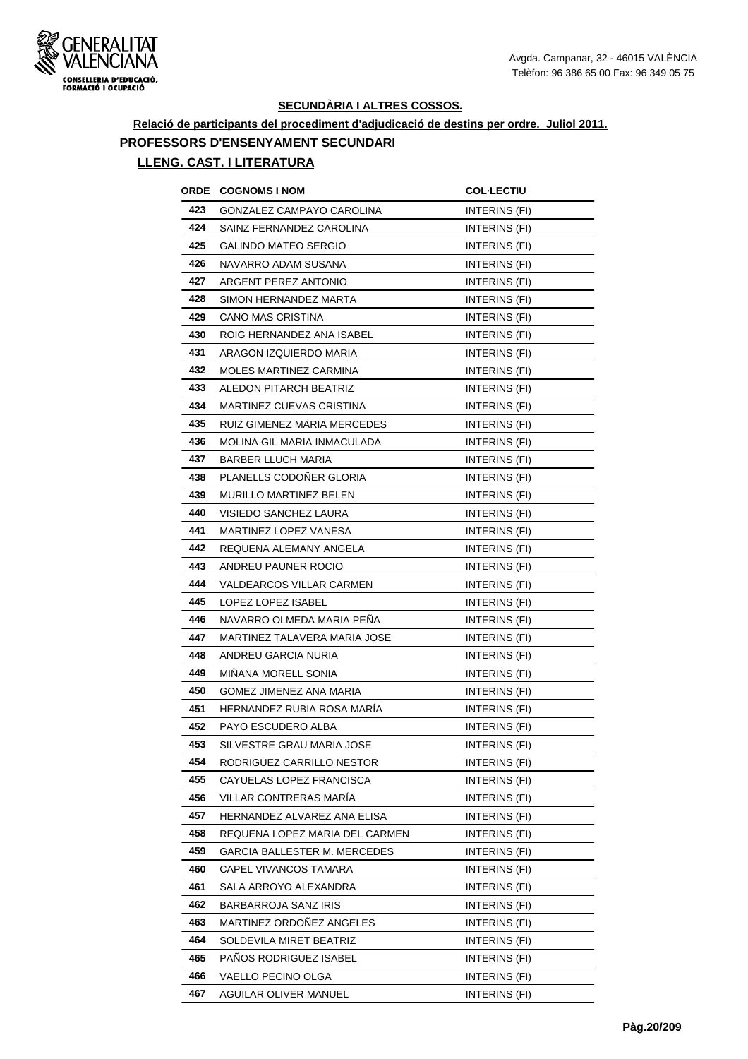

## **Relació de participants del procediment d'adjudicació de destins per ordre. Juliol 2011. PROFESSORS D'ENSENYAMENT SECUNDARI**

| ORDE | <b>COGNOMS I NOM</b>           | <b>COL·LECTIU</b> |
|------|--------------------------------|-------------------|
| 423  | GONZALEZ CAMPAYO CAROLINA      | INTERINS (FI)     |
| 424  | SAINZ FERNANDEZ CAROLINA       | INTERINS (FI)     |
| 425  | GALINDO MATEO SERGIO           | INTERINS (FI)     |
| 426  | NAVARRO ADAM SUSANA            | INTERINS (FI)     |
| 427  | ARGENT PEREZ ANTONIO           | INTERINS (FI)     |
| 428  | SIMON HERNANDEZ MARTA          | INTERINS (FI)     |
| 429  | CANO MAS CRISTINA              | INTERINS (FI)     |
| 430  | ROIG HERNANDEZ ANA ISABEL      | INTERINS (FI)     |
| 431  | ARAGON IZQUIERDO MARIA         | INTERINS (FI)     |
| 432  | MOLES MARTINEZ CARMINA         | INTERINS (FI)     |
| 433  | ALEDON PITARCH BEATRIZ         | INTERINS (FI)     |
| 434  | MARTINEZ CUEVAS CRISTINA       | INTERINS (FI)     |
| 435  | RUIZ GIMENEZ MARIA MERCEDES    | INTERINS (FI)     |
| 436  | MOLINA GIL MARIA INMACULADA    | INTERINS (FI)     |
| 437  | BARBER LLUCH MARIA             | INTERINS (FI)     |
| 438  | PLANELLS CODOÑER GLORIA        | INTERINS (FI)     |
| 439  | MURILLO MARTINEZ BELEN         | INTERINS (FI)     |
| 440  | VISIEDO SANCHEZ LAURA          | INTERINS (FI)     |
| 441  | MARTINEZ LOPEZ VANESA          | INTERINS (FI)     |
| 442  | REQUENA ALEMANY ANGELA         | INTERINS (FI)     |
| 443  | ANDREU PAUNER ROCIO            | INTERINS (FI)     |
| 444  | VALDEARCOS VILLAR CARMEN       | INTERINS (FI)     |
| 445  | LOPEZ LOPEZ ISABEL             | INTERINS (FI)     |
| 446  | NAVARRO OLMEDA MARIA PENA      | INTERINS (FI)     |
| 447  | MARTINEZ TALAVERA MARIA JOSE   | INTERINS (FI)     |
| 448  | ANDREU GARCIA NURIA            | INTERINS (FI)     |
| 449  | MIÑANA MORELL SONIA            | INTERINS (FI)     |
| 450  | GOMEZ JIMENEZ ANA MARIA        | INTERINS (FI)     |
| 451  | HERNANDEZ RUBIA ROSA MARIA     | INTERINS (FI)     |
| 452  | PAYO ESCUDERO ALBA             | INTERINS (FI)     |
| 453  | SILVESTRE GRAU MARIA JOSE      | INTERINS (FI)     |
| 454  | RODRIGUEZ CARRILLO NESTOR      | INTERINS (FI)     |
| 455  | CAYUELAS LOPEZ FRANCISCA       | INTERINS (FI)     |
| 456  | VILLAR CONTRERAS MARIA         | INTERINS (FI)     |
| 457  | HERNANDEZ ALVAREZ ANA ELISA    | INTERINS (FI)     |
| 458  | REQUENA LOPEZ MARIA DEL CARMEN | INTERINS (FI)     |
| 459  | GARCIA BALLESTER M. MERCEDES   | INTERINS (FI)     |
| 460  | CAPEL VIVANCOS TAMARA          | INTERINS (FI)     |
| 461  | SALA ARROYO ALEXANDRA          | INTERINS (FI)     |
| 462  | BARBARROJA SANZ IRIS           | INTERINS (FI)     |
| 463  | MARTINEZ ORDOÑEZ ANGELES       | INTERINS (FI)     |
| 464  | SOLDEVILA MIRET BEATRIZ        | INTERINS (FI)     |
| 465  | PANOS RODRIGUEZ ISABEL         | INTERINS (FI)     |
| 466  | VAELLO PECINO OLGA             | INTERINS (FI)     |
| 467  | AGUILAR OLIVER MANUEL          | INTERINS (FI)     |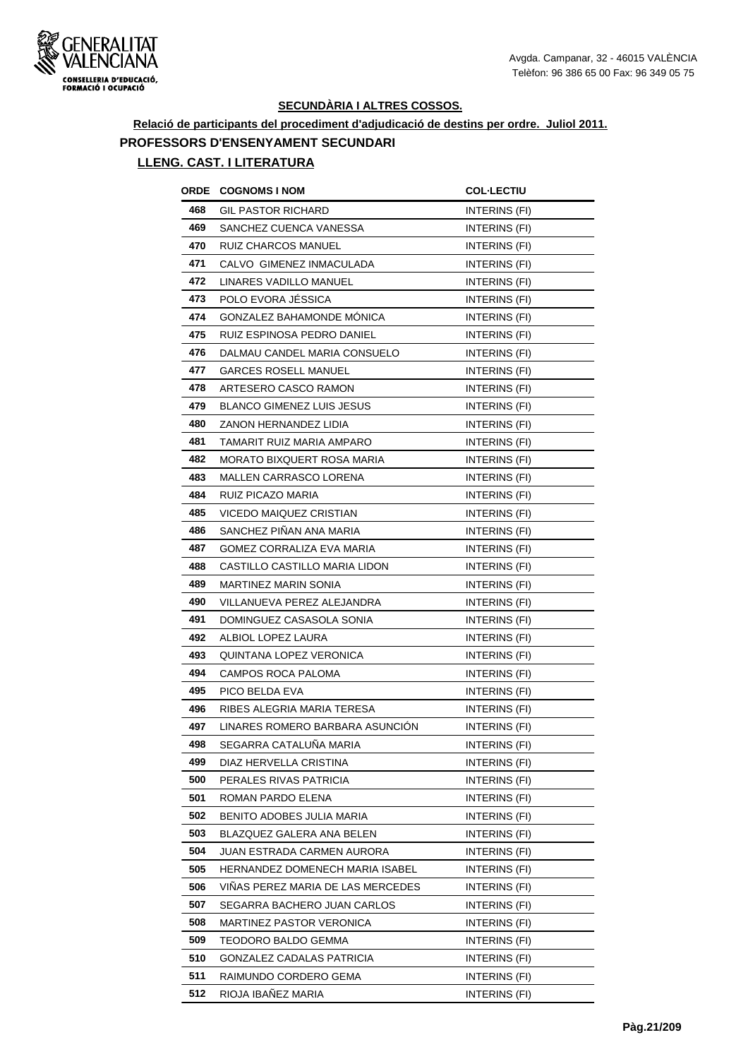

**Relació de participants del procediment d'adjudicació de destins per ordre. Juliol 2011. PROFESSORS D'ENSENYAMENT SECUNDARI**

| ORDE | <b>COGNOMS I NOM</b>              | <b>COL·LECTIU</b>    |
|------|-----------------------------------|----------------------|
| 468  | <b>GIL PASTOR RICHARD</b>         | INTERINS (FI)        |
| 469  | SANCHEZ CUENCA VANESSA            | INTERINS (FI)        |
| 470  | RUIZ CHARCOS MANUEL               | INTERINS (FI)        |
| 471  | CALVO GIMENEZ INMACULADA          | INTERINS (FI)        |
| 472  | LINARES VADILLO MANUEL            | INTERINS (FI)        |
| 473  | POLO EVORA JÉSSICA                | INTERINS (FI)        |
| 474  | GONZALEZ BAHAMONDE MONICA         | INTERINS (FI)        |
| 475  | RUIZ ESPINOSA PEDRO DANIEL        | INTERINS (FI)        |
| 476  | DALMAU CANDEL MARIA CONSUELO      | INTERINS (FI)        |
| 477  | GARCES ROSELL MANUEL              | INTERINS (FI)        |
| 478  | ARTESERO CASCO RAMON              | INTERINS (FI)        |
| 479  | <b>BLANCO GIMENEZ LUIS JESUS</b>  | INTERINS (FI)        |
| 480  | ZANON HERNANDEZ LIDIA             | INTERINS (FI)        |
| 481  | TAMARIT RUIZ MARIA AMPARO         | <b>INTERINS (FI)</b> |
| 482  | MORATO BIXQUERT ROSA MARIA        | <b>INTERINS (FI)</b> |
| 483  | <b>MALLEN CARRASCO LORENA</b>     | INTERINS (FI)        |
| 484  | RUIZ PICAZO MARIA                 | INTERINS (FI)        |
| 485  | VICEDO MAIQUEZ CRISTIAN           | INTERINS (FI)        |
| 486  | SANCHEZ PIÑAN ANA MARIA           | INTERINS (FI)        |
| 487  | GOMEZ CORRALIZA EVA MARIA         | INTERINS (FI)        |
| 488  | CASTILLO CASTILLO MARIA LIDON     | INTERINS (FI)        |
| 489  | MARTINEZ MARIN SONIA              | INTERINS (FI)        |
| 490  | VILLANUEVA PEREZ ALEJANDRA        | INTERINS (FI)        |
| 491  | DOMINGUEZ CASASOLA SONIA          | INTERINS (FI)        |
| 492  | ALBIOL LOPEZ LAURA                | INTERINS (FI)        |
| 493  | QUINTANA LOPEZ VERONICA           | <b>INTERINS (FI)</b> |
| 494  | CAMPOS ROCA PALOMA                | INTERINS (FI)        |
| 495  | PICO BELDA EVA                    | INTERINS (FI)        |
| 496  | RIBES ALEGRIA MARIA TERESA        | INTERINS (FI)        |
| 497  | LINARES ROMERO BARBARA ASUNCIÓN   | INTERINS (FI)        |
| 498  | SEGARRA CATALUÑA MARIA            | INTERINS (FI)        |
| 499  | DIAZ HERVELLA CRISTINA            | INTERINS (FI)        |
| 500  | PERALES RIVAS PATRICIA            | INTERINS (FI)        |
| 501  | ROMAN PARDO ELENA                 | INTERINS (FI)        |
| 502  | BENITO ADOBES JULIA MARIA         | INTERINS (FI)        |
| 503  | BLAZQUEZ GALERA ANA BELEN         | INTERINS (FI)        |
| 504  | JUAN ESTRADA CARMEN AURORA        | INTERINS (FI)        |
| 505  | HERNANDEZ DOMENECH MARIA ISABEL   | INTERINS (FI)        |
| 506  | VINAS PEREZ MARIA DE LAS MERCEDES | INTERINS (FI)        |
| 507  | SEGARRA BACHERO JUAN CARLOS       | INTERINS (FI)        |
| 508  | MARTINEZ PASTOR VERONICA          | INTERINS (FI)        |
| 509  | TEODORO BALDO GEMMA               | INTERINS (FI)        |
| 510  | GONZALEZ CADALAS PATRICIA         | INTERINS (FI)        |
| 511  | RAIMUNDO CORDERO GEMA             | INTERINS (FI)        |
| 512  | RIOJA IBAÑEZ MARIA                | INTERINS (FI)        |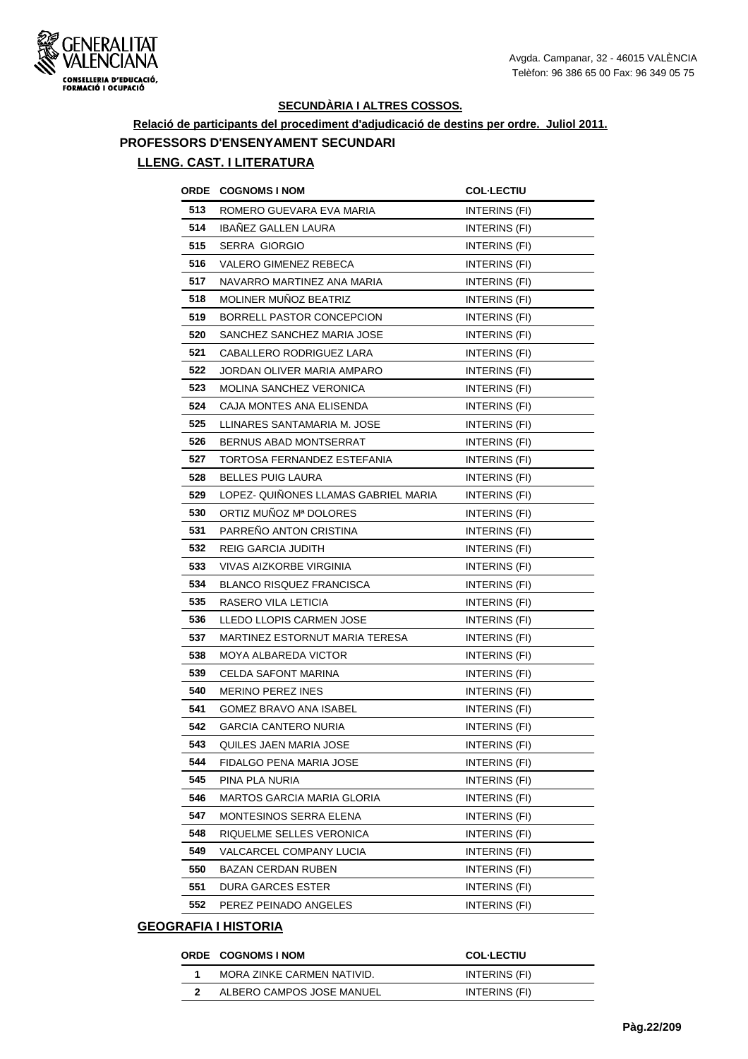

## **Relació de participants del procediment d'adjudicació de destins per ordre. Juliol 2011. PROFESSORS D'ENSENYAMENT SECUNDARI**

#### **LLENG. CAST. I LITERATURA**

| ORDE | <b>COGNOMS I NOM</b>                 | <b>COL-LECTIU</b>    |
|------|--------------------------------------|----------------------|
| 513  | ROMERO GUEVARA EVA MARIA             | INTERINS (FI)        |
| 514  | IBAÑEZ GALLEN LAURA                  | INTERINS (FI)        |
| 515  | SERRA GIORGIO                        | INTERINS (FI)        |
| 516  | <b>VALERO GIMENEZ REBECA</b>         | INTERINS (FI)        |
| 517  | NAVARRO MARTINEZ ANA MARIA           | INTERINS (FI)        |
| 518  | MOLINER MUÑOZ BEATRIZ                | INTERINS (FI)        |
| 519  | BORRELL PASTOR CONCEPCION            | INTERINS (FI)        |
| 520  | SANCHEZ SANCHEZ MARIA JOSE           | INTERINS (FI)        |
| 521  | CABALLERO RODRIGUEZ LARA             | <b>INTERINS (FI)</b> |
| 522  | JORDAN OLIVER MARIA AMPARO           | INTERINS (FI)        |
| 523  | MOLINA SANCHEZ VERONICA              | INTERINS (FI)        |
| 524  | CAJA MONTES ANA ELISENDA             | INTERINS (FI)        |
| 525  | LLINARES SANTAMARIA M. JOSE          | INTERINS (FI)        |
| 526  | BERNUS ABAD MONTSERRAT               | INTERINS (FI)        |
| 527  | TORTOSA FERNANDEZ ESTEFANIA          | INTERINS (FI)        |
| 528  | <b>BELLES PUIG LAURA</b>             | INTERINS (FI)        |
| 529  | LOPEZ- QUIÑONES LLAMAS GABRIEL MARIA | INTERINS (FI)        |
| 530  | ORTIZ MUÑOZ Mª DOLORES               | INTERINS (FI)        |
| 531  | PARRENO ANTON CRISTINA               | INTERINS (FI)        |
| 532  | <b>REIG GARCIA JUDITH</b>            | INTERINS (FI)        |
| 533  | VIVAS AIZKORBE VIRGINIA              | INTERINS (FI)        |
| 534  | <b>BLANCO RISQUEZ FRANCISCA</b>      | INTERINS (FI)        |
| 535  | RASERO VILA LETICIA                  | INTERINS (FI)        |
| 536  | LLEDO LLOPIS CARMEN JOSE             | INTERINS (FI)        |
| 537  | MARTINEZ ESTORNUT MARIA TERESA       | INTERINS (FI)        |
| 538  | MOYA ALBAREDA VICTOR                 | <b>INTERINS (FI)</b> |
| 539  | <b>CELDA SAFONT MARINA</b>           | INTERINS (FI)        |
| 540  | <b>MERINO PEREZ INES</b>             | INTERINS (FI)        |
| 541  | GOMEZ BRAVO ANA ISABEL               | INTERINS (FI)        |
| 542  | <b>GARCIA CANTERO NURIA</b>          | INTERINS (FI)        |
| 543  | QUILES JAEN MARIA JOSE               | INTERINS (FI)        |
| 544  | FIDALGO PENA MARIA JOSE              | INTERINS (FI)        |
| 545  | PINA PLA NURIA                       | INTERINS (FI)        |
| 546  | MARTOS GARCIA MARIA GLORIA           | INTERINS (FI)        |
| 547  | MONTESINOS SERRA ELENA               | INTERINS (FI)        |
| 548  | RIQUELME SELLES VERONICA             | INTERINS (FI)        |
| 549  | VALCARCEL COMPANY LUCIA              | INTERINS (FI)        |
| 550  | BAZAN CERDAN RUBEN                   | INTERINS (FI)        |
| 551  | DURA GARCES ESTER                    | INTERINS (FI)        |
| 552  | PEREZ PEINADO ANGELES                | INTERINS (FI)        |

| <b>ORDE COGNOMS INOM</b>   | <b>COL-LECTIU</b> |
|----------------------------|-------------------|
| MORA ZINKE CARMEN NATIVID. | INTERINS (FI)     |
| ALBERO CAMPOS JOSE MANUEL  | INTERINS (FI)     |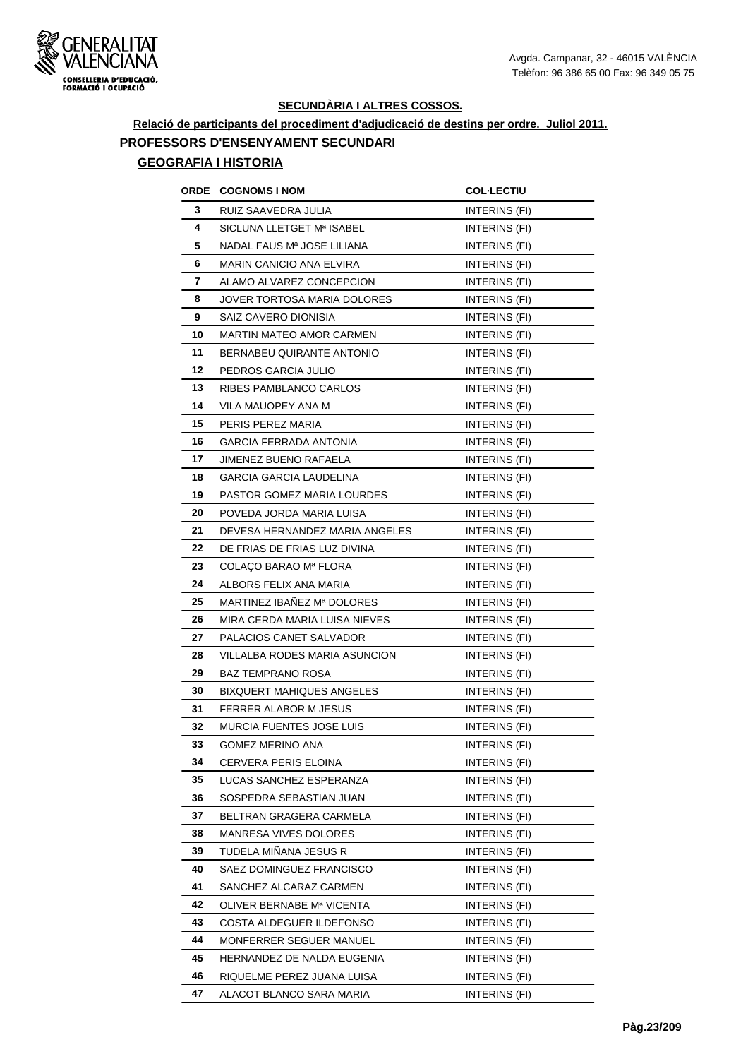

# **Relació de participants del procediment d'adjudicació de destins per ordre. Juliol 2011. PROFESSORS D'ENSENYAMENT SECUNDARI**

|    | <b>ORDE COGNOMS INOM</b>         | <b>COL-LECTIU</b>    |
|----|----------------------------------|----------------------|
| 3  | RUIZ SAAVEDRA JULIA              | INTERINS (FI)        |
| 4  | SICLUNA LLETGET Mª ISABEL        | INTERINS (FI)        |
| 5  | NADAL FAUS Mª JOSE LILIANA       | INTERINS (FI)        |
| 6  | MARIN CANICIO ANA ELVIRA         | INTERINS (FI)        |
| 7  | ALAMO ALVAREZ CONCEPCION         | INTERINS (FI)        |
| 8  | JOVER TORTOSA MARIA DOLORES      | <b>INTERINS (FI)</b> |
| 9  | SAIZ CAVERO DIONISIA             | INTERINS (FI)        |
| 10 | <b>MARTIN MATEO AMOR CARMEN</b>  | INTERINS (FI)        |
| 11 | BERNABEU QUIRANTE ANTONIO        | <b>INTERINS (FI)</b> |
| 12 | PEDROS GARCIA JULIO              | INTERINS (FI)        |
| 13 | RIBES PAMBLANCO CARLOS           | INTERINS (FI)        |
| 14 | VILA MAUOPEY ANA M               | INTERINS (FI)        |
| 15 | PERIS PEREZ MARIA                | INTERINS (FI)        |
| 16 | <b>GARCIA FERRADA ANTONIA</b>    | INTERINS (FI)        |
| 17 | <b>JIMENEZ BUENO RAFAELA</b>     | INTERINS (FI)        |
| 18 | <b>GARCIA GARCIA LAUDELINA</b>   | INTERINS (FI)        |
| 19 | PASTOR GOMEZ MARIA LOURDES       | INTERINS (FI)        |
| 20 | POVEDA JORDA MARIA LUISA         | <b>INTERINS (FI)</b> |
| 21 | DEVESA HERNANDEZ MARIA ANGELES   | <b>INTERINS (FI)</b> |
| 22 | DE FRIAS DE FRIAS LUZ DIVINA     | INTERINS (FI)        |
| 23 | COLAÇO BARAO Mª FLORA            | INTERINS (FI)        |
| 24 | ALBORS FELIX ANA MARIA           | INTERINS (FI)        |
| 25 | MARTINEZ IBAÑEZ Mª DOLORES       | INTERINS (FI)        |
| 26 | MIRA CERDA MARIA LUISA NIEVES    | INTERINS (FI)        |
| 27 | PALACIOS CANET SALVADOR          | INTERINS (FI)        |
| 28 | VILLALBA RODES MARIA ASUNCION    | <b>INTERINS (FI)</b> |
| 29 | <b>BAZ TEMPRANO ROSA</b>         | INTERINS (FI)        |
| 30 | <b>BIXQUERT MAHIQUES ANGELES</b> | INTERINS (FI)        |
| 31 | FERRER ALABOR M JESUS            | INTERINS (FI)        |
| 32 | <b>MURCIA FUENTES JOSE LUIS</b>  | INTERINS (FI)        |
| 33 | GOMEZ MERINO ANA                 | INTERINS (FI)        |
| 34 | CERVERA PERIS ELOINA             | INTERINS (FI)        |
| 35 | LUCAS SANCHEZ ESPERANZA          | INTERINS (FI)        |
| 36 | SOSPEDRA SEBASTIAN JUAN          | INTERINS (FI)        |
| 37 | BELTRAN GRAGERA CARMELA          | INTERINS (FI)        |
| 38 | MANRESA VIVES DOLORES            | INTERINS (FI)        |
| 39 | TUDELA MIÑANA JESUS R            | INTERINS (FI)        |
| 40 | SAEZ DOMINGUEZ FRANCISCO         | INTERINS (FI)        |
| 41 | SANCHEZ ALCARAZ CARMEN           | INTERINS (FI)        |
| 42 | OLIVER BERNABE Mª VICENTA        | INTERINS (FI)        |
| 43 | COSTA ALDEGUER ILDEFONSO         | INTERINS (FI)        |
| 44 | MONFERRER SEGUER MANUEL          | INTERINS (FI)        |
| 45 | HERNANDEZ DE NALDA EUGENIA       | INTERINS (FI)        |
| 46 | RIQUELME PEREZ JUANA LUISA       | INTERINS (FI)        |
| 47 | ALACOT BLANCO SARA MARIA         | INTERINS (FI)        |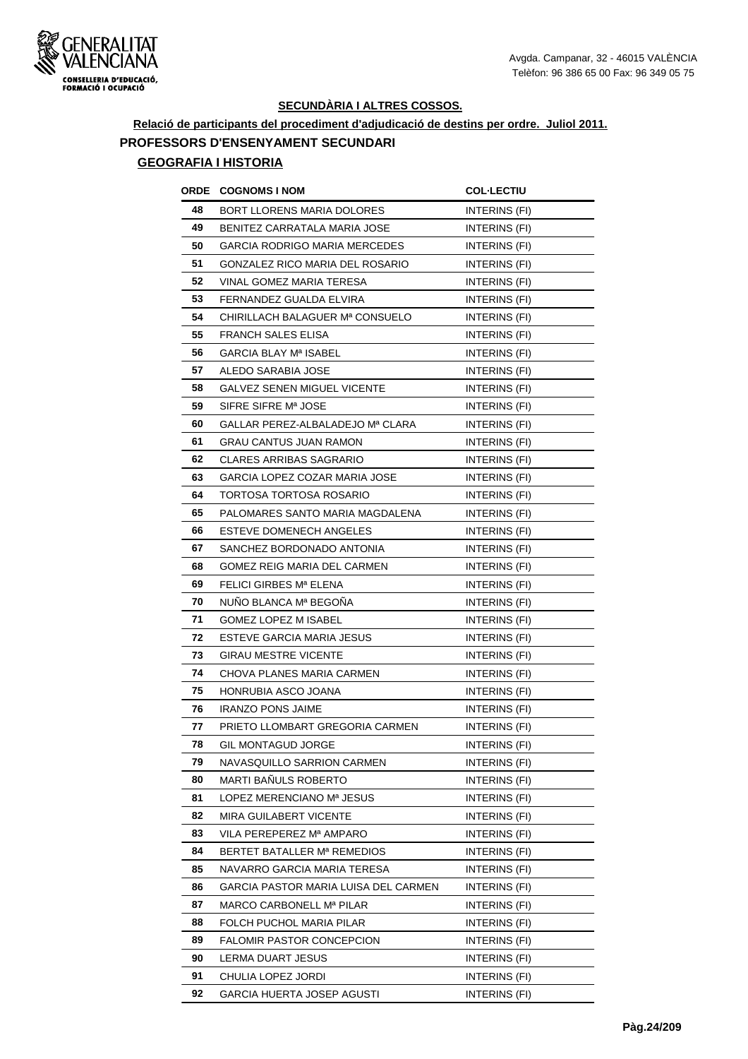

# **Relació de participants del procediment d'adjudicació de destins per ordre. Juliol 2011. PROFESSORS D'ENSENYAMENT SECUNDARI**

| ORDE | <b>COGNOMS I NOM</b>                 | <b>COL-LECTIU</b>    |
|------|--------------------------------------|----------------------|
| 48   | BORT LLORENS MARIA DOLORES           | INTERINS (FI)        |
| 49   | BENITEZ CARRATALA MARIA JOSE         | <b>INTERINS (FI)</b> |
| 50   | <b>GARCIA RODRIGO MARIA MERCEDES</b> | INTERINS (FI)        |
| 51   | GONZALEZ RICO MARIA DEL ROSARIO      | INTERINS (FI)        |
| 52   | VINAL GOMEZ MARIA TERESA             | INTERINS (FI)        |
| 53   | FERNANDEZ GUALDA ELVIRA              | INTERINS (FI)        |
| 54   | CHIRILLACH BALAGUER Mª CONSUELO      | INTERINS (FI)        |
| 55   | <b>FRANCH SALES ELISA</b>            | INTERINS (FI)        |
| 56   | <b>GARCIA BLAY Mª ISABEL</b>         | INTERINS (FI)        |
| 57   | ALEDO SARABIA JOSE                   | INTERINS (FI)        |
| 58   | <b>GALVEZ SENEN MIGUEL VICENTE</b>   | INTERINS (FI)        |
| 59   | SIFRE SIFRE M <sup>a</sup> JOSE      | INTERINS (FI)        |
| 60   | GALLAR PEREZ-ALBALADEJO Mª CLARA     | INTERINS (FI)        |
| 61   | GRAU CANTUS JUAN RAMON               | INTERINS (FI)        |
| 62   | CLARES ARRIBAS SAGRARIO              | <b>INTERINS (FI)</b> |
| 63   | GARCIA LOPEZ COZAR MARIA JOSE        | INTERINS (FI)        |
| 64   | TORTOSA TORTOSA ROSARIO              | INTERINS (FI)        |
| 65   | PALOMARES SANTO MARIA MAGDALENA      | INTERINS (FI)        |
| 66   | ESTEVE DOMENECH ANGELES              | INTERINS (FI)        |
| 67   | SANCHEZ BORDONADO ANTONIA            | INTERINS (FI)        |
| 68   | GOMEZ REIG MARIA DEL CARMEN          | INTERINS (FI)        |
| 69   | FELICI GIRBES Mª ELENA               | INTERINS (FI)        |
| 70   | NUÑO BLANCA Mª BEGOÑA                | <b>INTERINS (FI)</b> |
| 71   | <b>GOMEZ LOPEZ M ISABEL</b>          | INTERINS (FI)        |
| 72   | ESTEVE GARCIA MARIA JESUS            | INTERINS (FI)        |
| 73   | GIRAU MESTRE VICENTE                 | INTERINS (FI)        |
| 74   | CHOVA PLANES MARIA CARMEN            | INTERINS (FI)        |
| 75   | HONRUBIA ASCO JOANA                  | INTERINS (FI)        |
| 76   | <b>IRANZO PONS JAIME</b>             | INTERINS (FI)        |
| 77   | PRIETO LLOMBART GREGORIA CARMEN      | INTERINS (FI)        |
| 78   | GIL MONTAGUD JORGE                   | INTERINS (FI)        |
| 79   | NAVASQUILLO SARRION CARMEN           | INTERINS (FI)        |
| 80   | MARTI BAÑULS ROBERTO                 | INTERINS (FI)        |
| 81   | LOPEZ MERENCIANO Mª JESUS            | INTERINS (FI)        |
| 82   | MIRA GUILABERT VICENTE               | INTERINS (FI)        |
| 83   | VILA PEREPEREZ Mª AMPARO             | INTERINS (FI)        |
| 84   | BERTET BATALLER Mª REMEDIOS          | INTERINS (FI)        |
| 85   | NAVARRO GARCIA MARIA TERESA          | INTERINS (FI)        |
| 86   | GARCIA PASTOR MARIA LUISA DEL CARMEN | INTERINS (FI)        |
| 87   | MARCO CARBONELL Mª PILAR             | <b>INTERINS (FI)</b> |
| 88   | FOLCH PUCHOL MARIA PILAR             | INTERINS (FI)        |
| 89   | <b>FALOMIR PASTOR CONCEPCION</b>     | INTERINS (FI)        |
| 90   | LERMA DUART JESUS                    | INTERINS (FI)        |
| 91   | CHULIA LOPEZ JORDI                   | INTERINS (FI)        |
| 92   | GARCIA HUERTA JOSEP AGUSTI           | INTERINS (FI)        |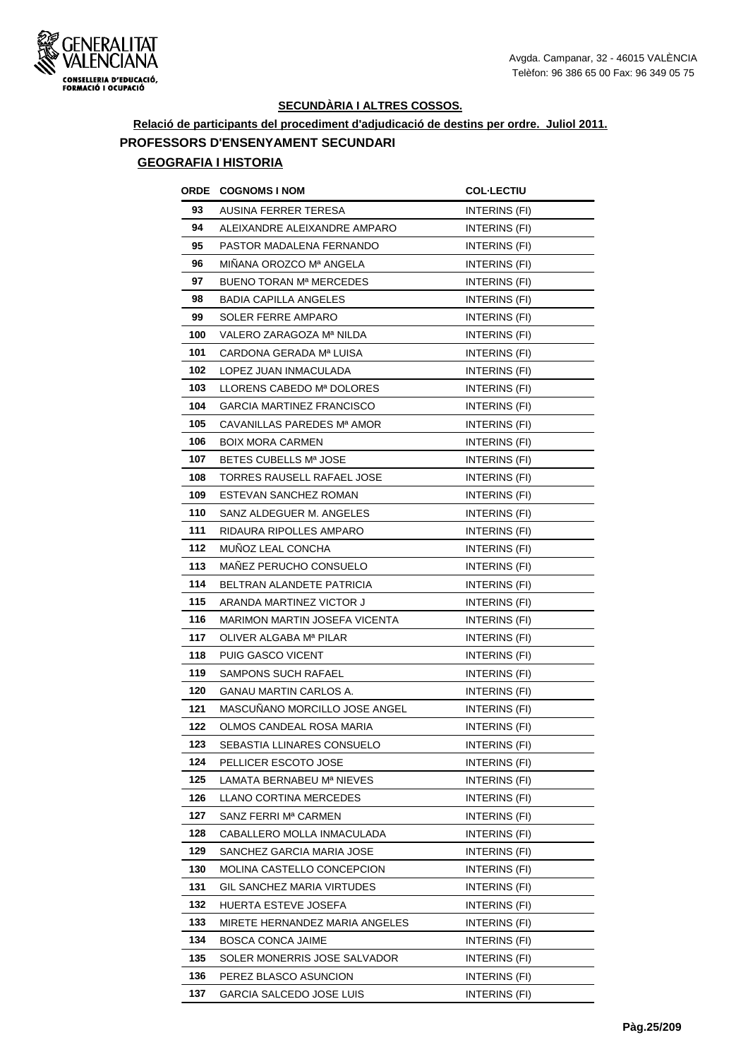

# **Relació de participants del procediment d'adjudicació de destins per ordre. Juliol 2011. PROFESSORS D'ENSENYAMENT SECUNDARI**

| ORDE | <b>COGNOMS I NOM</b>                 | <b>COL·LECTIU</b>    |
|------|--------------------------------------|----------------------|
| 93   | AUSINA FERRER TERESA                 | INTERINS (FI)        |
| 94   | ALEIXANDRE ALEIXANDRE AMPARO         | <b>INTERINS (FI)</b> |
| 95   | PASTOR MADALENA FERNANDO             | INTERINS (FI)        |
| 96   | MINANA OROZCO Mª ANGELA              | INTERINS (FI)        |
| 97   | BUENO TORAN Mª MERCEDES              | INTERINS (FI)        |
| 98   | <b>BADIA CAPILLA ANGELES</b>         | INTERINS (FI)        |
| 99   | SOLER FERRE AMPARO                   | INTERINS (FI)        |
| 100  | VALERO ZARAGOZA Mª NILDA             | <b>INTERINS (FI)</b> |
| 101  | CARDONA GERADA Mª LUISA              | INTERINS (FI)        |
| 102  | LOPEZ JUAN INMACULADA                | INTERINS (FI)        |
| 103  | LLORENS CABEDO Mª DOLORES            | INTERINS (FI)        |
| 104  | GARCIA MARTINEZ FRANCISCO            | INTERINS (FI)        |
| 105  | CAVANILLAS PAREDES Mª AMOR           | INTERINS (FI)        |
| 106  | <b>BOIX MORA CARMEN</b>              | INTERINS (FI)        |
| 107  | BETES CUBELLS Mª JOSE                | INTERINS (FI)        |
| 108  | TORRES RAUSELL RAFAEL JOSE           | INTERINS (FI)        |
| 109  | ESTEVAN SANCHEZ ROMAN                | INTERINS (FI)        |
| 110  | SANZ ALDEGUER M. ANGELES             | INTERINS (FI)        |
| 111  | RIDAURA RIPOLLES AMPARO              | INTERINS (FI)        |
| 112  | MUNOZ LEAL CONCHA                    | INTERINS (FI)        |
| 113  | MANEZ PERUCHO CONSUELO               | INTERINS (FI)        |
| 114  | BELTRAN ALANDETE PATRICIA            | INTERINS (FI)        |
| 115  | ARANDA MARTINEZ VICTOR J             | <b>INTERINS (FI)</b> |
| 116  | <b>MARIMON MARTIN JOSEFA VICENTA</b> | INTERINS (FI)        |
| 117  | OLIVER ALGABA Mª PILAR               | INTERINS (FI)        |
| 118  | PUIG GASCO VICENT                    | <b>INTERINS (FI)</b> |
| 119  | <b>SAMPONS SUCH RAFAEL</b>           | INTERINS (FI)        |
| 120  | GANAU MARTIN CARLOS A.               | INTERINS (FI)        |
| 121  | MASCUNANO MORCILLO JOSE ANGEL        | INTERINS (FI)        |
| 122  | OLMOS CANDEAL ROSA MARIA             | INTERINS (FI)        |
| 123  | SEBASTIA LLINARES CONSUELO           | INTERINS (FI)        |
| 124  | PELLICER ESCOTO JOSE                 | INTERINS (FI)        |
| 125  | LAMATA BERNABEU Mª NIEVES            | INTERINS (FI)        |
| 126  | LLANO CORTINA MERCEDES               | INTERINS (FI)        |
| 127  | SANZ FERRI Mª CARMEN                 | INTERINS (FI)        |
| 128  | CABALLERO MOLLA INMACULADA           | INTERINS (FI)        |
| 129  | SANCHEZ GARCIA MARIA JOSE            | INTERINS (FI)        |
| 130  | MOLINA CASTELLO CONCEPCION           | INTERINS (FI)        |
| 131  | GIL SANCHEZ MARIA VIRTUDES           | INTERINS (FI)        |
| 132  | HUERTA ESTEVE JOSEFA                 | INTERINS (FI)        |
| 133  | MIRETE HERNANDEZ MARIA ANGELES       | INTERINS (FI)        |
| 134  | BOSCA CONCA JAIME                    | INTERINS (FI)        |
| 135  | SOLER MONERRIS JOSE SALVADOR         | INTERINS (FI)        |
| 136  | PEREZ BLASCO ASUNCION                | INTERINS (FI)        |
| 137  | GARCIA SALCEDO JOSE LUIS             | INTERINS (FI)        |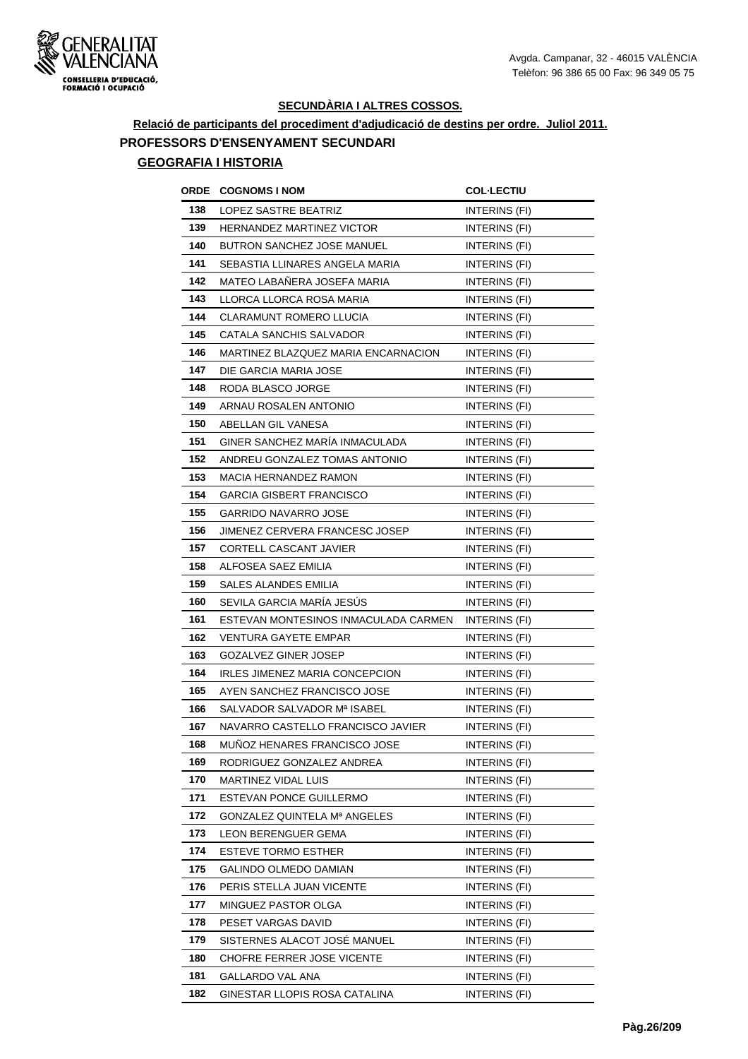

# **Relació de participants del procediment d'adjudicació de destins per ordre. Juliol 2011. PROFESSORS D'ENSENYAMENT SECUNDARI**

| ORDE | <b>COGNOMS I NOM</b>                 | <b>COL·LECTIU</b>    |
|------|--------------------------------------|----------------------|
| 138  | LOPEZ SASTRE BEATRIZ                 | INTERINS (FI)        |
| 139  | <b>HERNANDEZ MARTINEZ VICTOR</b>     | <b>INTERINS (FI)</b> |
| 140  | <b>BUTRON SANCHEZ JOSE MANUEL</b>    | INTERINS (FI)        |
| 141  | SEBASTIA LLINARES ANGELA MARIA       | INTERINS (FI)        |
| 142  | MATEO LABAÑERA JOSEFA MARIA          | <b>INTERINS (FI)</b> |
| 143  | LLORCA LLORCA ROSA MARIA             | INTERINS (FI)        |
| 144  | CLARAMUNT ROMERO LLUCIA              | INTERINS (FI)        |
| 145  | CATALA SANCHIS SALVADOR              | INTERINS (FI)        |
| 146  | MARTINEZ BLAZQUEZ MARIA ENCARNACION  | INTERINS (FI)        |
| 147  | DIE GARCIA MARIA JOSE                | INTERINS (FI)        |
| 148  | RODA BLASCO JORGE                    | INTERINS (FI)        |
| 149  | ARNAU ROSALEN ANTONIO                | INTERINS (FI)        |
| 150  | ABELLAN GIL VANESA                   | INTERINS (FI)        |
| 151  | GINER SANCHEZ MARÍA INMACULADA       | INTERINS (FI)        |
| 152  | ANDREU GONZALEZ TOMAS ANTONIO        | INTERINS (FI)        |
| 153  | <b>MACIA HERNANDEZ RAMON</b>         | INTERINS (FI)        |
| 154  | GARCIA GISBERT FRANCISCO             | INTERINS (FI)        |
| 155  | GARRIDO NAVARRO JOSE                 | INTERINS (FI)        |
| 156  | JIMENEZ CERVERA FRANCESC JOSEP       | INTERINS (FI)        |
| 157  | CORTELL CASCANT JAVIER               | INTERINS (FI)        |
| 158  | ALFOSEA SAEZ EMILIA                  | INTERINS (FI)        |
| 159  | SALES ALANDES EMILIA                 | INTERINS (FI)        |
| 160  | SEVILA GARCIA MARÍA JESÚS            | INTERINS (FI)        |
| 161  | ESTEVAN MONTESINOS INMACULADA CARMEN | INTERINS (FI)        |
| 162  | <b>VENTURA GAYETE EMPAR</b>          | INTERINS (FI)        |
| 163  | GOZALVEZ GINER JOSEP                 | INTERINS (FI)        |
| 164  | IRLES JIMENEZ MARIA CONCEPCION       | <b>INTERINS (FI)</b> |
| 165  | AYEN SANCHEZ FRANCISCO JOSE          | INTERINS (FI)        |
| 166  | SALVADOR SALVADOR Mª ISABEL          | INTERINS (FI)        |
| 167  | NAVARRO CASTELLO FRANCISCO JAVIER    | INTERINS (FI)        |
| 168  | MUNOZ HENARES FRANCISCO JOSE         | INTERINS (FI)        |
| 169  | RODRIGUEZ GONZALEZ ANDREA            | INTERINS (FI)        |
| 170  | MARTINEZ VIDAL LUIS                  | INTERINS (FI)        |
| 171  | ESTEVAN PONCE GUILLERMO              | INTERINS (FI)        |
| 172  | GONZALEZ QUINTELA Mª ANGELES         | INTERINS (FI)        |
| 173  | LEON BERENGUER GEMA                  | INTERINS (FI)        |
| 174  | ESTEVE TORMO ESTHER                  | INTERINS (FI)        |
| 175  | GALINDO OLMEDO DAMIAN                | INTERINS (FI)        |
| 176  | PERIS STELLA JUAN VICENTE            | INTERINS (FI)        |
| 177  | MINGUEZ PASTOR OLGA                  | INTERINS (FI)        |
| 178  | PESET VARGAS DAVID                   | INTERINS (FI)        |
| 179  | SISTERNES ALACOT JOSÉ MANUEL         | INTERINS (FI)        |
| 180  | CHOFRE FERRER JOSE VICENTE           | INTERINS (FI)        |
| 181  | GALLARDO VAL ANA                     | INTERINS (FI)        |
| 182  | GINESTAR LLOPIS ROSA CATALINA        | INTERINS (FI)        |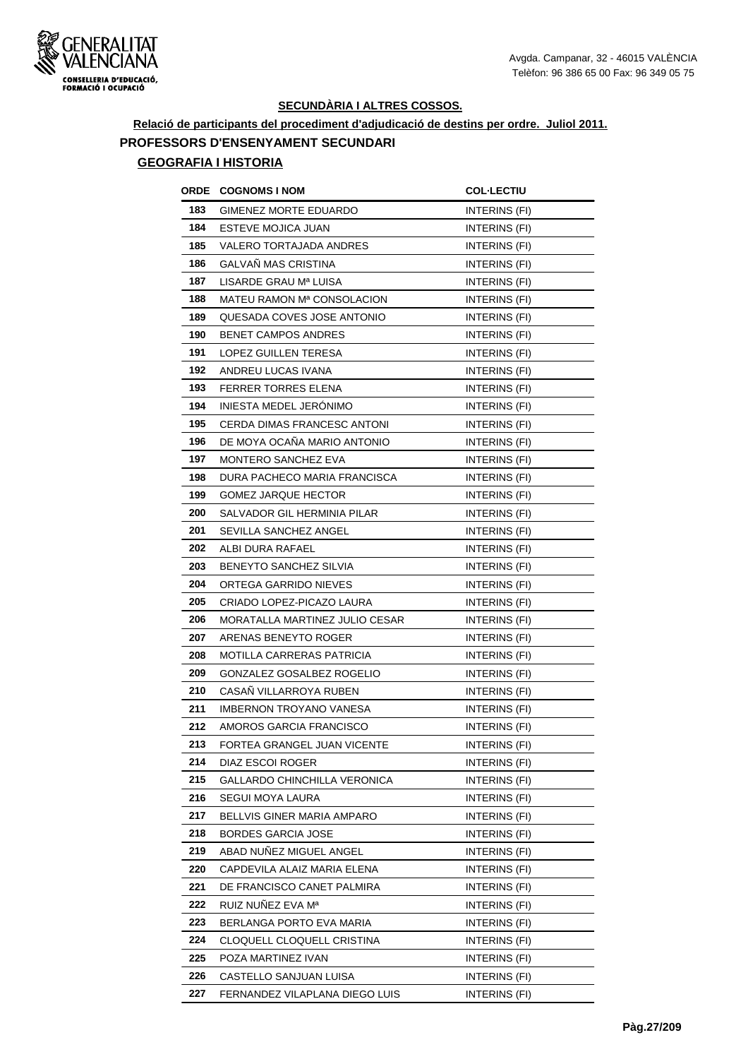

# **Relació de participants del procediment d'adjudicació de destins per ordre. Juliol 2011. PROFESSORS D'ENSENYAMENT SECUNDARI**

| ORDE | <b>COGNOMS I NOM</b>             | <b>COL-LECTIU</b>    |
|------|----------------------------------|----------------------|
| 183  | GIMENEZ MORTE EDUARDO            | INTERINS (FI)        |
| 184  | ESTEVE MOJICA JUAN               | INTERINS (FI)        |
| 185  | VALERO TORTAJADA ANDRES          | INTERINS (FI)        |
| 186  | <b>GALVAN MAS CRISTINA</b>       | INTERINS (FI)        |
| 187  | LISARDE GRAU Mª LUISA            | <b>INTERINS (FI)</b> |
| 188  | MATEU RAMON Mª CONSOLACION       | INTERINS (FI)        |
| 189  | QUESADA COVES JOSE ANTONIO       | INTERINS (FI)        |
| 190  | <b>BENET CAMPOS ANDRES</b>       | INTERINS (FI)        |
| 191  | LOPEZ GUILLEN TERESA             | INTERINS (FI)        |
| 192  | ANDREU LUCAS IVANA               | INTERINS (FI)        |
| 193  | <b>FERRER TORRES ELENA</b>       | INTERINS (FI)        |
| 194  | INIESTA MEDEL JERÓNIMO           | INTERINS (FI)        |
| 195  | CERDA DIMAS FRANCESC ANTONI      | INTERINS (FI)        |
| 196  | DE MOYA OCAÑA MARIO ANTONIO      | INTERINS (FI)        |
| 197  | <b>MONTERO SANCHEZ EVA</b>       | INTERINS (FI)        |
| 198  | DURA PACHECO MARIA FRANCISCA     | INTERINS (FI)        |
| 199  | <b>GOMEZ JARQUE HECTOR</b>       | INTERINS (FI)        |
| 200  | SALVADOR GIL HERMINIA PILAR      | INTERINS (FI)        |
| 201  | SEVILLA SANCHEZ ANGEL            | INTERINS (FI)        |
| 202  | ALBI DURA RAFAEL                 | INTERINS (FI)        |
| 203  | BENEYTO SANCHEZ SILVIA           | INTERINS (FI)        |
| 204  | ORTEGA GARRIDO NIEVES            | <b>INTERINS (FI)</b> |
| 205  | CRIADO LOPEZ-PICAZO LAURA        | INTERINS (FI)        |
| 206  | MORATALLA MARTINEZ JULIO CESAR   | INTERINS (FI)        |
| 207  | ARENAS BENEYTO ROGER             | INTERINS (FI)        |
| 208  | MOTILLA CARRERAS PATRICIA        | INTERINS (FI)        |
| 209  | <b>GONZALEZ GOSALBEZ ROGELIO</b> | INTERINS (FI)        |
| 210  | CASAÑ VILLARROYA RUBEN           | INTERINS (FI)        |
| 211  | <b>IMBERNON TROYANO VANESA</b>   | INTERINS (FI)        |
| 212  | AMOROS GARCIA FRANCISCO          | INTERINS (FI)        |
| 213  | FORTEA GRANGEL JUAN VICENTE      | INTERINS (FI)        |
| 214  | DIAZ ESCOI ROGER                 | INTERINS (FI)        |
| 215  | GALLARDO CHINCHILLA VERONICA     | INTERINS (FI)        |
| 216  | SEGUI MOYA LAURA                 | INTERINS (FI)        |
| 217  | BELLVIS GINER MARIA AMPARO       | INTERINS (FI)        |
| 218  | <b>BORDES GARCIA JOSE</b>        | INTERINS (FI)        |
| 219  | ABAD NUNEZ MIGUEL ANGEL          | INTERINS (FI)        |
| 220  | CAPDEVILA ALAIZ MARIA ELENA      | INTERINS (FI)        |
| 221  | DE FRANCISCO CANET PALMIRA       | INTERINS (FI)        |
| 222  | RUIZ NUÑEZ EVA Mª                | INTERINS (FI)        |
| 223  | BERLANGA PORTO EVA MARIA         | INTERINS (FI)        |
| 224  | CLOQUELL CLOQUELL CRISTINA       | INTERINS (FI)        |
| 225  | POZA MARTINEZ IVAN               | INTERINS (FI)        |
| 226  | CASTELLO SANJUAN LUISA           | INTERINS (FI)        |
| 227  | FERNANDEZ VILAPLANA DIEGO LUIS   | INTERINS (FI)        |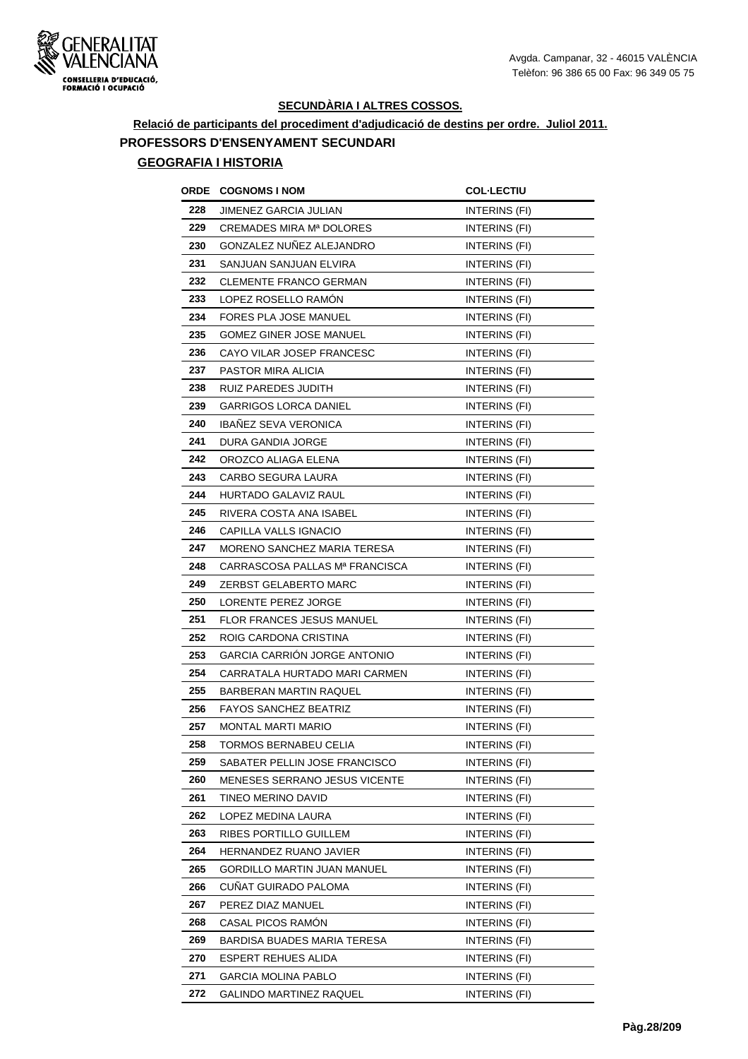

**Relació de participants del procediment d'adjudicació de destins per ordre. Juliol 2011. PROFESSORS D'ENSENYAMENT SECUNDARI**

| ORDE | <b>COGNOMS I NOM</b>                | <b>COL·LECTIU</b>    |
|------|-------------------------------------|----------------------|
| 228  | JIMENEZ GARCIA JULIAN               | INTERINS (FI)        |
| 229  | <b>CREMADES MIRA Mª DOLORES</b>     | INTERINS (FI)        |
| 230  | GONZALEZ NUÑEZ ALEJANDRO            | INTERINS (FI)        |
| 231  | SANJUAN SANJUAN ELVIRA              | INTERINS (FI)        |
| 232  | CLEMENTE FRANCO GERMAN              | INTERINS (FI)        |
| 233  | LOPEZ ROSELLO RAMON                 | INTERINS (FI)        |
| 234  | FORES PLA JOSE MANUEL               | INTERINS (FI)        |
| 235  | <b>GOMEZ GINER JOSE MANUEL</b>      | INTERINS (FI)        |
| 236  | CAYO VILAR JOSEP FRANCESC           | INTERINS (FI)        |
| 237  | PASTOR MIRA ALICIA                  | INTERINS (FI)        |
| 238  | RUIZ PAREDES JUDITH                 | INTERINS (FI)        |
| 239  | GARRIGOS LORCA DANIEL               | INTERINS (FI)        |
| 240  | <b>IBANEZ SEVA VERONICA</b>         | INTERINS (FI)        |
| 241  | DURA GANDIA JORGE                   | INTERINS (FI)        |
| 242  | OROZCO ALIAGA ELENA                 | INTERINS (FI)        |
| 243  | CARBO SEGURA LAURA                  | <b>INTERINS (FI)</b> |
| 244  | <b>HURTADO GALAVIZ RAUL</b>         | INTERINS (FI)        |
| 245  | RIVERA COSTA ANA ISABEL             | <b>INTERINS (FI)</b> |
| 246  | CAPILLA VALLS IGNACIO               | INTERINS (FI)        |
| 247  | MORENO SANCHEZ MARIA TERESA         | INTERINS (FI)        |
| 248  | CARRASCOSA PALLAS Mª FRANCISCA      | INTERINS (FI)        |
| 249  | ZERBST GELABERTO MARC               | <b>INTERINS (FI)</b> |
| 250  | LORENTE PEREZ JORGE                 | INTERINS (FI)        |
| 251  | FLOR FRANCES JESUS MANUEL           | INTERINS (FI)        |
| 252  | ROIG CARDONA CRISTINA               | INTERINS (FI)        |
| 253  | <b>GARCIA CARRION JORGE ANTONIO</b> | INTERINS (FI)        |
| 254  | CARRATALA HURTADO MARI CARMEN       | INTERINS (FI)        |
| 255  | BARBERAN MARTIN RAQUEL              | INTERINS (FI)        |
| 256  | <b>FAYOS SANCHEZ BEATRIZ</b>        | INTERINS (FI)        |
| 257  | MONTAL MARTI MARIO                  | INTERINS (FI)        |
| 258  | TORMOS BERNABEU CELIA               | INTERINS (FI)        |
| 259  | SABATER PELLIN JOSE FRANCISCO       | INTERINS (FI)        |
| 260  | MENESES SERRANO JESUS VICENTE       | INTERINS (FI)        |
| 261  | TINEO MERINO DAVID                  | INTERINS (FI)        |
| 262  | LOPEZ MEDINA LAURA                  | INTERINS (FI)        |
| 263  | RIBES PORTILLO GUILLEM              | INTERINS (FI)        |
| 264  | HERNANDEZ RUANO JAVIER              | INTERINS (FI)        |
| 265  | GORDILLO MARTIN JUAN MANUEL         | INTERINS (FI)        |
| 266  | CUÑAT GUIRADO PALOMA                | INTERINS (FI)        |
| 267  | PEREZ DIAZ MANUEL                   | INTERINS (FI)        |
| 268  | CASAL PICOS RAMON                   | INTERINS (FI)        |
| 269  | BARDISA BUADES MARIA TERESA         | INTERINS (FI)        |
| 270  | ESPERT REHUES ALIDA                 | INTERINS (FI)        |
| 271  | GARCIA MOLINA PABLO                 | INTERINS (FI)        |
| 272  | GALINDO MARTINEZ RAQUEL             | INTERINS (FI)        |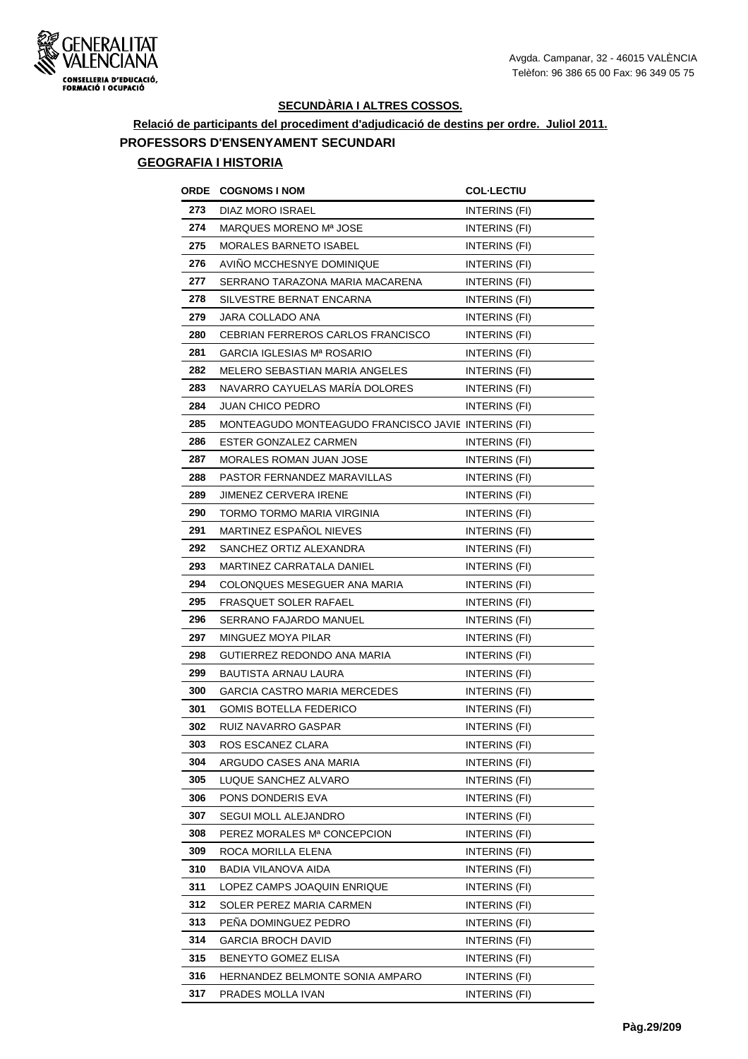

# **Relació de participants del procediment d'adjudicació de destins per ordre. Juliol 2011. PROFESSORS D'ENSENYAMENT SECUNDARI**

| ORDE | <b>COGNOMS I NOM</b>                                | <b>COL·LECTIU</b>    |
|------|-----------------------------------------------------|----------------------|
| 273  | DIAZ MORO ISRAEL                                    | INTERINS (FI)        |
| 274  | MARQUES MORENO Mª JOSE                              | INTERINS (FI)        |
| 275  | <b>MORALES BARNETO ISABEL</b>                       | INTERINS (FI)        |
| 276  | AVINO MCCHESNYE DOMINIQUE                           | <b>INTERINS (FI)</b> |
| 277  | SERRANO TARAZONA MARIA MACARENA                     | INTERINS (FI)        |
| 278  | SILVESTRE BERNAT ENCARNA                            | INTERINS (FI)        |
| 279  | JARA COLLADO ANA                                    | INTERINS (FI)        |
| 280  | CEBRIAN FERREROS CARLOS FRANCISCO                   | INTERINS (FI)        |
| 281  | <b>GARCIA IGLESIAS Mª ROSARIO</b>                   | INTERINS (FI)        |
| 282  | MELERO SEBASTIAN MARIA ANGELES                      | INTERINS (FI)        |
| 283  | NAVARRO CAYUELAS MARÍA DOLORES                      | INTERINS (FI)        |
| 284  | <b>JUAN CHICO PEDRO</b>                             | INTERINS (FI)        |
| 285  | MONTEAGUDO MONTEAGUDO FRANCISCO JAVIE INTERINS (FI) |                      |
| 286  | ESTER GONZALEZ CARMEN                               | INTERINS (FI)        |
| 287  | <b>MORALES ROMAN JUAN JOSE</b>                      | INTERINS (FI)        |
| 288  | PASTOR FERNANDEZ MARAVILLAS                         | INTERINS (FI)        |
| 289  | <b>JIMENEZ CERVERA IRENE</b>                        | INTERINS (FI)        |
| 290  | TORMO TORMO MARIA VIRGINIA                          | INTERINS (FI)        |
| 291  | MARTINEZ ESPAÑOL NIEVES                             | INTERINS (FI)        |
| 292  | SANCHEZ ORTIZ ALEXANDRA                             | INTERINS (FI)        |
| 293  | MARTINEZ CARRATALA DANIEL                           | INTERINS (FI)        |
| 294  | COLONQUES MESEGUER ANA MARIA                        | INTERINS (FI)        |
| 295  | FRASQUET SOLER RAFAEL                               | INTERINS (FI)        |
| 296  | SERRANO FAJARDO MANUEL                              | INTERINS (FI)        |
| 297  | MINGUEZ MOYA PILAR                                  | INTERINS (FI)        |
| 298  | GUTIERREZ REDONDO ANA MARIA                         | INTERINS (FI)        |
| 299  | <b>BAUTISTA ARNAU LAURA</b>                         | INTERINS (FI)        |
| 300  | GARCIA CASTRO MARIA MERCEDES                        | INTERINS (FI)        |
| 301  | <b>GOMIS BOTELLA FEDERICO</b>                       | INTERINS (FI)        |
| 302  | RUIZ NAVARRO GASPAR                                 | INTERINS (FI)        |
| 303  | ROS ESCANEZ CLARA                                   | INTERINS (FI)        |
| 304  | ARGUDO CASES ANA MARIA                              | INTERINS (FI)        |
| 305  | LUQUE SANCHEZ ALVARO                                | INTERINS (FI)        |
| 306  | PONS DONDERIS EVA                                   | INTERINS (FI)        |
| 307  | SEGUI MOLL ALEJANDRO                                | <b>INTERINS (FI)</b> |
| 308  | PEREZ MORALES Mª CONCEPCION                         | INTERINS (FI)        |
| 309  | ROCA MORILLA ELENA                                  | INTERINS (FI)        |
| 310  | BADIA VILANOVA AIDA                                 | INTERINS (FI)        |
| 311  | LOPEZ CAMPS JOAQUIN ENRIQUE                         | INTERINS (FI)        |
| 312  | SOLER PEREZ MARIA CARMEN                            | INTERINS (FI)        |
| 313  | PEÑA DOMINGUEZ PEDRO                                | INTERINS (FI)        |
| 314  | GARCIA BROCH DAVID                                  | INTERINS (FI)        |
| 315  | <b>BENEYTO GOMEZ ELISA</b>                          | INTERINS (FI)        |
| 316  | HERNANDEZ BELMONTE SONIA AMPARO                     | INTERINS (FI)        |
| 317  | PRADES MOLLA IVAN                                   | INTERINS (FI)        |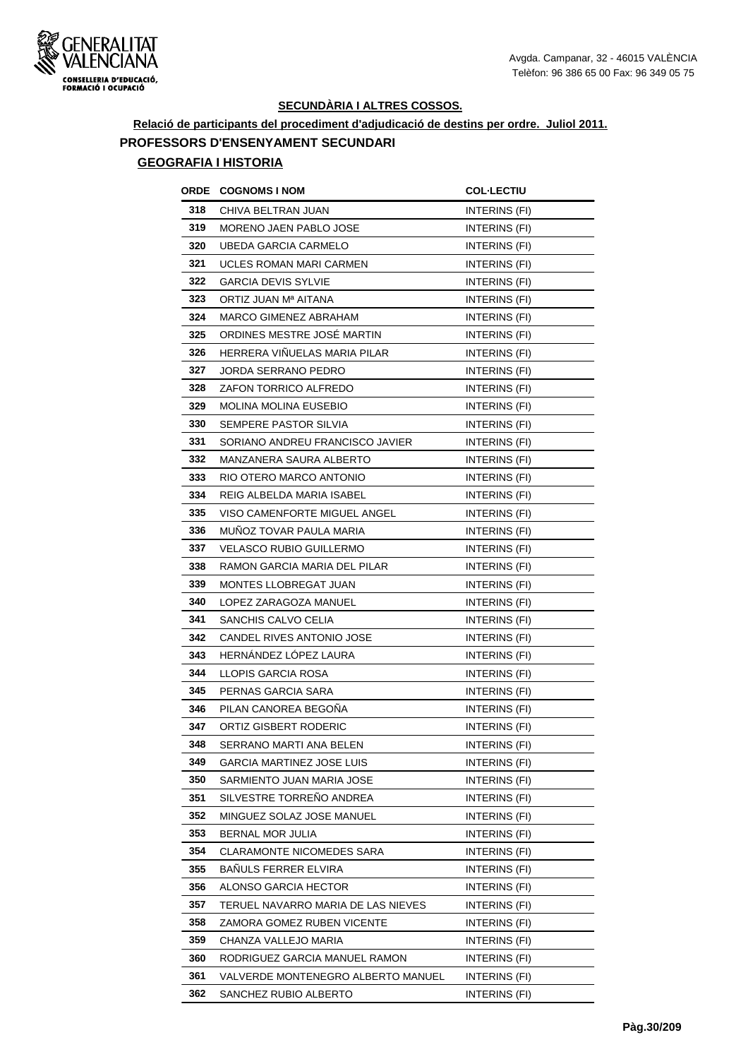

**Relació de participants del procediment d'adjudicació de destins per ordre. Juliol 2011. PROFESSORS D'ENSENYAMENT SECUNDARI**

| ORDE | <b>COGNOMS I NOM</b>               | <b>COL·LECTIU</b>    |
|------|------------------------------------|----------------------|
| 318  | CHIVA BELTRAN JUAN                 | INTERINS (FI)        |
| 319  | MORENO JAEN PABLO JOSE             | <b>INTERINS (FI)</b> |
| 320  | UBEDA GARCIA CARMELO               | INTERINS (FI)        |
| 321  | UCLES ROMAN MARI CARMEN            | INTERINS (FI)        |
| 322  | <b>GARCIA DEVIS SYLVIE</b>         | INTERINS (FI)        |
| 323  | ORTIZ JUAN Mª AITANA               | INTERINS (FI)        |
| 324  | MARCO GIMENEZ ABRAHAM              | INTERINS (FI)        |
| 325  | ORDINES MESTRE JOSÉ MARTIN         | INTERINS (FI)        |
| 326  | HERRERA VIÑUELAS MARIA PILAR       | INTERINS (FI)        |
| 327  | JORDA SERRANO PEDRO                | INTERINS (FI)        |
| 328  | ZAFON TORRICO ALFREDO              | INTERINS (FI)        |
| 329  | MOLINA MOLINA EUSEBIO              | INTERINS (FI)        |
| 330  | SEMPERE PASTOR SILVIA              | INTERINS (FI)        |
| 331  | SORIANO ANDREU FRANCISCO JAVIER    | INTERINS (FI)        |
| 332  | MANZANERA SAURA ALBERTO            | INTERINS (FI)        |
| 333  | RIO OTERO MARCO ANTONIO            | INTERINS (FI)        |
| 334  | REIG ALBELDA MARIA ISABEL          | INTERINS (FI)        |
| 335  | VISO CAMENFORTE MIGUEL ANGEL       | INTERINS (FI)        |
| 336  | MUNOZ TOVAR PAULA MARIA            | INTERINS (FI)        |
| 337  | <b>VELASCO RUBIO GUILLERMO</b>     | INTERINS (FI)        |
| 338  | RAMON GARCIA MARIA DEL PILAR       | INTERINS (FI)        |
| 339  | MONTES LLOBREGAT JUAN              | INTERINS (FI)        |
| 340  | LOPEZ ZARAGOZA MANUEL              | INTERINS (FI)        |
| 341  | SANCHIS CALVO CELIA                | INTERINS (FI)        |
| 342  | CANDEL RIVES ANTONIO JOSE          | INTERINS (FI)        |
| 343  | <b>HERNANDEZ LOPEZ LAURA</b>       | INTERINS (FI)        |
| 344  | LLOPIS GARCIA ROSA                 | INTERINS (FI)        |
| 345  | PERNAS GARCIA SARA                 | INTERINS (FI)        |
| 346  | PILAN CANOREA BEGOÑA               | INTERINS (FI)        |
| 347  | ORTIZ GISBERT RODERIC              | INTERINS (FI)        |
| 348  | SERRANO MARTI ANA BELEN            | INTERINS (FI)        |
| 349  | GARCIA MARTINEZ JOSE LUIS          | INTERINS (FI)        |
| 350  | SARMIENTO JUAN MARIA JOSE          | INTERINS (FI)        |
| 351  | SILVESTRE TORREÑO ANDREA           | INTERINS (FI)        |
| 352  | MINGUEZ SOLAZ JOSE MANUEL          | INTERINS (FI)        |
| 353  | BERNAL MOR JULIA                   | INTERINS (FI)        |
| 354  | CLARAMONTE NICOMEDES SARA          | INTERINS (FI)        |
| 355  | BAÑULS FERRER ELVIRA               | INTERINS (FI)        |
| 356  | ALONSO GARCIA HECTOR               | INTERINS (FI)        |
| 357  | TERUEL NAVARRO MARIA DE LAS NIEVES | INTERINS (FI)        |
| 358  | ZAMORA GOMEZ RUBEN VICENTE         | INTERINS (FI)        |
| 359  | CHANZA VALLEJO MARIA               | INTERINS (FI)        |
| 360  | RODRIGUEZ GARCIA MANUEL RAMON      | INTERINS (FI)        |
| 361  | VALVERDE MONTENEGRO ALBERTO MANUEL | INTERINS (FI)        |
| 362  | SANCHEZ RUBIO ALBERTO              | <b>INTERINS (FI)</b> |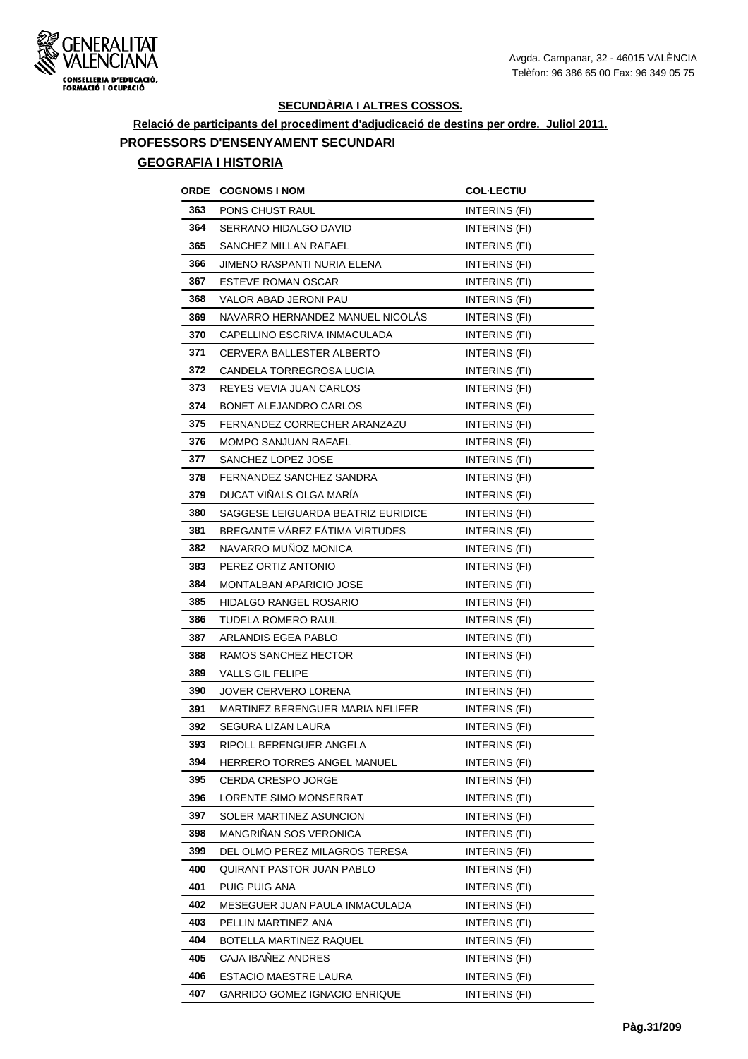

**Relació de participants del procediment d'adjudicació de destins per ordre. Juliol 2011. PROFESSORS D'ENSENYAMENT SECUNDARI**

| ORDE | <b>COGNOMS I NOM</b>               | <b>COL-LECTIU</b>    |
|------|------------------------------------|----------------------|
| 363  | PONS CHUST RAUL                    | INTERINS (FI)        |
| 364  | SERRANO HIDALGO DAVID              | INTERINS (FI)        |
| 365  | SANCHEZ MILLAN RAFAEL              | INTERINS (FI)        |
| 366  | JIMENO RASPANTI NURIA ELENA        | INTERINS (FI)        |
| 367  | <b>ESTEVE ROMAN OSCAR</b>          | INTERINS (FI)        |
| 368  | VALOR ABAD JERONI PAU              | INTERINS (FI)        |
| 369  | NAVARRO HERNANDEZ MANUEL NICOLAS   | INTERINS (FI)        |
| 370  | CAPELLINO ESCRIVA INMACULADA       | <b>INTERINS (FI)</b> |
| 371  | CERVERA BALLESTER ALBERTO          | <b>INTERINS (FI)</b> |
| 372  | CANDELA TORREGROSA LUCIA           | <b>INTERINS (FI)</b> |
| 373  | REYES VEVIA JUAN CARLOS            | INTERINS (FI)        |
| 374  | BONET ALEJANDRO CARLOS             | INTERINS (FI)        |
| 375  | FERNANDEZ CORRECHER ARANZAZU       | INTERINS (FI)        |
| 376  | <b>MOMPO SANJUAN RAFAEL</b>        | INTERINS (FI)        |
| 377  | SANCHEZ LOPEZ JOSE                 | INTERINS (FI)        |
| 378  | FERNANDEZ SANCHEZ SANDRA           | INTERINS (FI)        |
| 379  | DUCAT VIÑALS OLGA MARÍA            | INTERINS (FI)        |
| 380  | SAGGESE LEIGUARDA BEATRIZ EURIDICE | <b>INTERINS (FI)</b> |
| 381  | BREGANTE VÁREZ FÁTIMA VIRTUDES     | INTERINS (FI)        |
| 382  | NAVARRO MUÑOZ MONICA               | INTERINS (FI)        |
| 383  | PEREZ ORTIZ ANTONIO                | INTERINS (FI)        |
| 384  | <b>MONTALBAN APARICIO JOSE</b>     | <b>INTERINS (FI)</b> |
| 385  | HIDALGO RANGEL ROSARIO             | INTERINS (FI)        |
| 386  | TUDELA ROMERO RAUL                 | INTERINS (FI)        |
| 387  | ARLANDIS EGEA PABLO                | INTERINS (FI)        |
| 388  | RAMOS SANCHEZ HECTOR               | INTERINS (FI)        |
| 389  | VALLS GIL FELIPE                   | INTERINS (FI)        |
| 390  | JOVER CERVERO LORENA               | INTERINS (FI)        |
| 391  | MARTINEZ BERENGUER MARIA NELIFER   | INTERINS (FI)        |
| 392  | SEGURA LIZAN LAURA                 | <b>INTERINS (FI)</b> |
| 393  | RIPOLL BERENGUER ANGELA            | INTERINS (FI)        |
| 394  | HERRERO TORRES ANGEL MANUEL        | INTERINS (FI)        |
| 395  | CERDA CRESPO JORGE                 | INTERINS (FI)        |
| 396  | LORENTE SIMO MONSERRAT             | INTERINS (FI)        |
| 397  | SOLER MARTINEZ ASUNCION            | INTERINS (FI)        |
| 398  | MANGRIÑAN SOS VERONICA             | INTERINS (FI)        |
| 399  | DEL OLMO PEREZ MILAGROS TERESA     | INTERINS (FI)        |
| 400  | QUIRANT PASTOR JUAN PABLO          | INTERINS (FI)        |
| 401  | PUIG PUIG ANA                      | INTERINS (FI)        |
| 402  | MESEGUER JUAN PAULA INMACULADA     | INTERINS (FI)        |
| 403  | PELLIN MARTINEZ ANA                | <b>INTERINS (FI)</b> |
| 404  | BOTELLA MARTINEZ RAQUEL            | INTERINS (FI)        |
| 405  | CAJA IBAÑEZ ANDRES                 | INTERINS (FI)        |
| 406  | <b>ESTACIO MAESTRE LAURA</b>       | INTERINS (FI)        |
| 407  | GARRIDO GOMEZ IGNACIO ENRIQUE      | INTERINS (FI)        |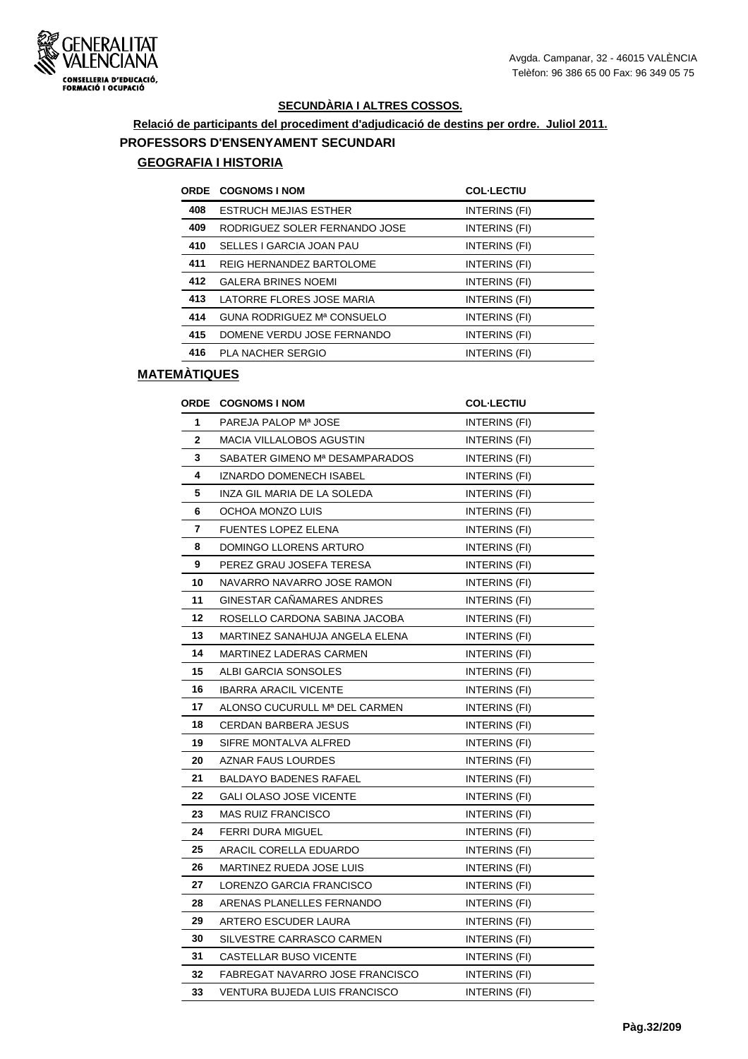

# **Relació de participants del procediment d'adjudicació de destins per ordre. Juliol 2011. PROFESSORS D'ENSENYAMENT SECUNDARI**

### **GEOGRAFIA I HISTORIA**

|     | ORDE COGNOMS I NOM            | <b>COL-LECTIU</b> |
|-----|-------------------------------|-------------------|
| 408 | <b>ESTRUCH MEJIAS ESTHER</b>  | INTERINS (FI)     |
| 409 | RODRIGUEZ SOLER FERNANDO JOSE | INTERINS (FI)     |
| 410 | SELLES I GARCIA JOAN PAU      | INTERINS (FI)     |
| 411 | REIG HERNANDEZ BARTOLOME      | INTERINS (FI)     |
| 412 | <b>GALERA BRINES NOEMI</b>    | INTERINS (FI)     |
| 413 | LATORRE FLORES JOSE MARIA     | INTERINS (FI)     |
| 414 | GUNA RODRIGUEZ Mª CONSUELO    | INTERINS (FI)     |
| 415 | DOMENE VERDU JOSE FERNANDO    | INTERINS (FI)     |
| 416 | PLA NACHER SERGIO             | INTERINS (FI)     |

| <b>ORDE</b> | <b>COGNOMS I NOM</b>                 | <b>COL-LECTIU</b>    |
|-------------|--------------------------------------|----------------------|
| 1           | PAREJA PALOP Mª JOSE                 | INTERINS (FI)        |
| 2           | <b>MACIA VILLALOBOS AGUSTIN</b>      | <b>INTERINS (FI)</b> |
| 3           | SABATER GIMENO Mª DESAMPARADOS       | INTERINS (FI)        |
| 4           | IZNARDO DOMENECH ISABEL              | INTERINS (FI)        |
| 5           | INZA GIL MARIA DE LA SOLEDA          | INTERINS (FI)        |
| 6           | OCHOA MONZO LUIS                     | INTERINS (FI)        |
| 7           | <b>FUENTES LOPEZ ELENA</b>           | <b>INTERINS (FI)</b> |
| 8           | DOMINGO LLORENS ARTURO               | INTERINS (FI)        |
| 9           | PEREZ GRAU JOSEFA TERESA             | INTERINS (FI)        |
| 10          | NAVARRO NAVARRO JOSE RAMON           | INTERINS (FI)        |
| 11          | GINESTAR CAÑAMARES ANDRES            | INTERINS (FI)        |
| 12          | ROSELLO CARDONA SABINA JACOBA        | INTERINS (FI)        |
| 13          | MARTINEZ SANAHUJA ANGELA ELENA       | INTERINS (FI)        |
| 14          | MARTINEZ LADERAS CARMEN              | INTERINS (FI)        |
| 15          | ALBI GARCIA SONSOLES                 | INTERINS (FI)        |
| 16          | <b>IBARRA ARACIL VICENTE</b>         | INTERINS (FI)        |
| 17          | ALONSO CUCURULL Mª DEL CARMEN        | INTERINS (FI)        |
| 18          | <b>CERDAN BARBERA JESUS</b>          | INTERINS (FI)        |
| 19          | SIFRE MONTALVA ALFRED                | INTERINS (FI)        |
| 20          | AZNAR FAUS LOURDES                   | INTERINS (FI)        |
| 21          | BALDAYO BADENES RAFAEL               | INTERINS (FI)        |
| 22          | <b>GALI OLASO JOSE VICENTE</b>       | INTERINS (FI)        |
| 23          | <b>MAS RUIZ FRANCISCO</b>            | INTERINS (FI)        |
| 24          | <b>FERRI DURA MIGUEL</b>             | INTERINS (FI)        |
| 25          | ARACIL CORELLA EDUARDO               | INTERINS (FI)        |
| 26          | MARTINEZ RUEDA JOSE LUIS             | INTERINS (FI)        |
| 27          | LORENZO GARCIA FRANCISCO             | INTERINS (FI)        |
| 28          | ARENAS PLANELLES FERNANDO            | INTERINS (FI)        |
| 29          | ARTERO ESCUDER LAURA                 | INTERINS (FI)        |
| 30          | SILVESTRE CARRASCO CARMEN            | INTERINS (FI)        |
| 31          | CASTELLAR BUSO VICENTE               | INTERINS (FI)        |
| 32          | FABREGAT NAVARRO JOSE FRANCISCO      | INTERINS (FI)        |
| 33          | <b>VENTURA BUJEDA LUIS FRANCISCO</b> | INTERINS (FI)        |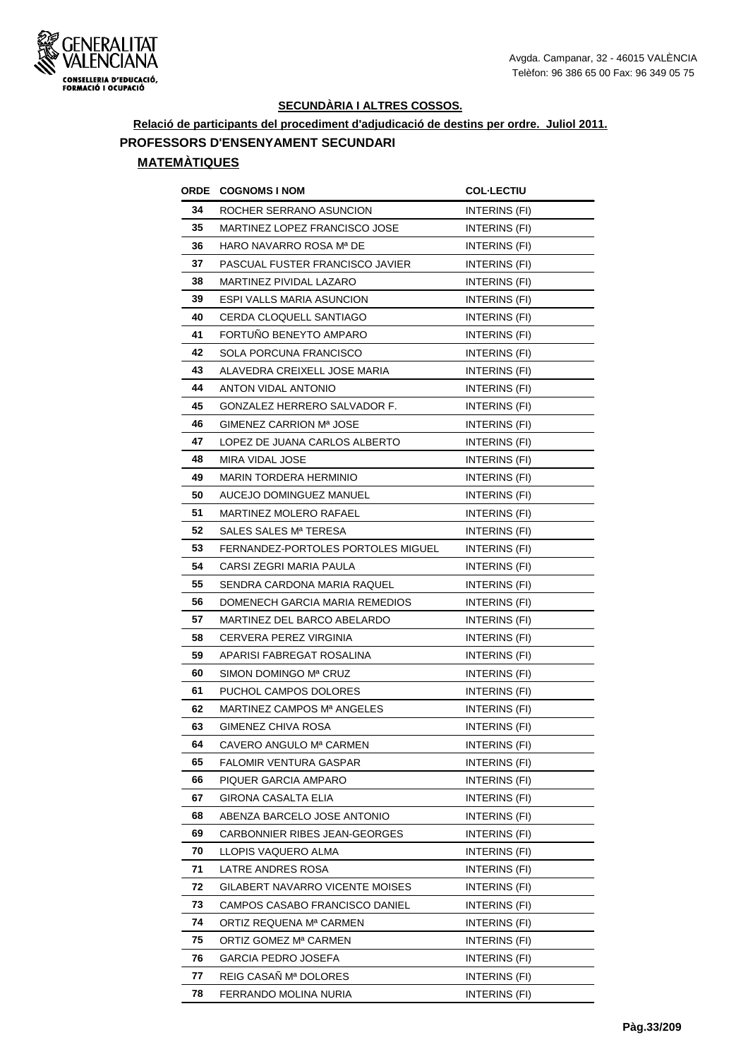

## **Relació de participants del procediment d'adjudicació de destins per ordre. Juliol 2011. PROFESSORS D'ENSENYAMENT SECUNDARI**

| ORDE | <b>COGNOMS I NOM</b>               | <b>COL·LECTIU</b>    |
|------|------------------------------------|----------------------|
| 34   | ROCHER SERRANO ASUNCION            | INTERINS (FI)        |
| 35   | MARTINEZ LOPEZ FRANCISCO JOSE      | INTERINS (FI)        |
| 36   | HARO NAVARRO ROSA Mª DE            | INTERINS (FI)        |
| 37   | PASCUAL FUSTER FRANCISCO JAVIER    | INTERINS (FI)        |
| 38   | MARTINEZ PIVIDAL LAZARO            | INTERINS (FI)        |
| 39   | ESPI VALLS MARIA ASUNCION          | INTERINS (FI)        |
| 40   | <b>CERDA CLOQUELL SANTIAGO</b>     | INTERINS (FI)        |
| 41   | FORTUNO BENEYTO AMPARO             | INTERINS (FI)        |
| 42   | SOLA PORCUNA FRANCISCO             | INTERINS (FI)        |
| 43   | ALAVEDRA CREIXELL JOSE MARIA       | INTERINS (FI)        |
| 44   | ANTON VIDAL ANTONIO                | INTERINS (FI)        |
| 45   | GONZALEZ HERRERO SALVADOR F.       | INTERINS (FI)        |
| 46   | GIMENEZ CARRION Mª JOSE            | INTERINS (FI)        |
| 47   | LOPEZ DE JUANA CARLOS ALBERTO      | INTERINS (FI)        |
| 48   | MIRA VIDAL JOSE                    | INTERINS (FI)        |
| 49   | MARIN TORDERA HERMINIO             | INTERINS (FI)        |
| 50   | AUCEJO DOMINGUEZ MANUEL            | INTERINS (FI)        |
| 51   | MARTINEZ MOLERO RAFAEL             | INTERINS (FI)        |
| 52   | SALES SALES Mª TERESA              | INTERINS (FI)        |
| 53   | FERNANDEZ-PORTOLES PORTOLES MIGUEL | INTERINS (FI)        |
| 54   | CARSI ZEGRI MARIA PAULA            | INTERINS (FI)        |
| 55   | SENDRA CARDONA MARIA RAQUEL        | INTERINS (FI)        |
| 56   | DOMENECH GARCIA MARIA REMEDIOS     | INTERINS (FI)        |
| 57   | MARTINEZ DEL BARCO ABELARDO        | INTERINS (FI)        |
| 58   | CERVERA PEREZ VIRGINIA             | INTERINS (FI)        |
| 59   | APARISI FABREGAT ROSALINA          | INTERINS (FI)        |
| 60   | SIMON DOMINGO Mª CRUZ              | INTERINS (FI)        |
| 61   | PUCHOL CAMPOS DOLORES              | INTERINS (FI)        |
| 62   | MARTINEZ CAMPOS Mª ANGELES         | INTERINS (FI)        |
| 63   | GIMENEZ CHIVA ROSA                 | <b>INTERINS (FI)</b> |
| 64   | CAVERO ANGULO Mª CARMEN            | INTERINS (FI)        |
| 65   | FALOMIR VENTURA GASPAR             | INTERINS (FI)        |
| 66   | PIQUER GARCIA AMPARO               | INTERINS (FI)        |
| 67   | GIRONA CASALTA ELIA                | INTERINS (FI)        |
| 68   | ABENZA BARCELO JOSE ANTONIO        | INTERINS (FI)        |
| 69   | CARBONNIER RIBES JEAN-GEORGES      | INTERINS (FI)        |
| 70   | LLOPIS VAQUERO ALMA                | INTERINS (FI)        |
| 71   | LATRE ANDRES ROSA                  | INTERINS (FI)        |
| 72   | GILABERT NAVARRO VICENTE MOISES    | INTERINS (FI)        |
| 73   | CAMPOS CASABO FRANCISCO DANIEL     | INTERINS (FI)        |
| 74   | ORTIZ REQUENA Mª CARMEN            | INTERINS (FI)        |
| 75   | ORTIZ GOMEZ Mª CARMEN              | INTERINS (FI)        |
| 76   | GARCIA PEDRO JOSEFA                | INTERINS (FI)        |
| 77   | REIG CASAÑ Mª DOLORES              | INTERINS (FI)        |
| 78   | FERRANDO MOLINA NURIA              | INTERINS (FI)        |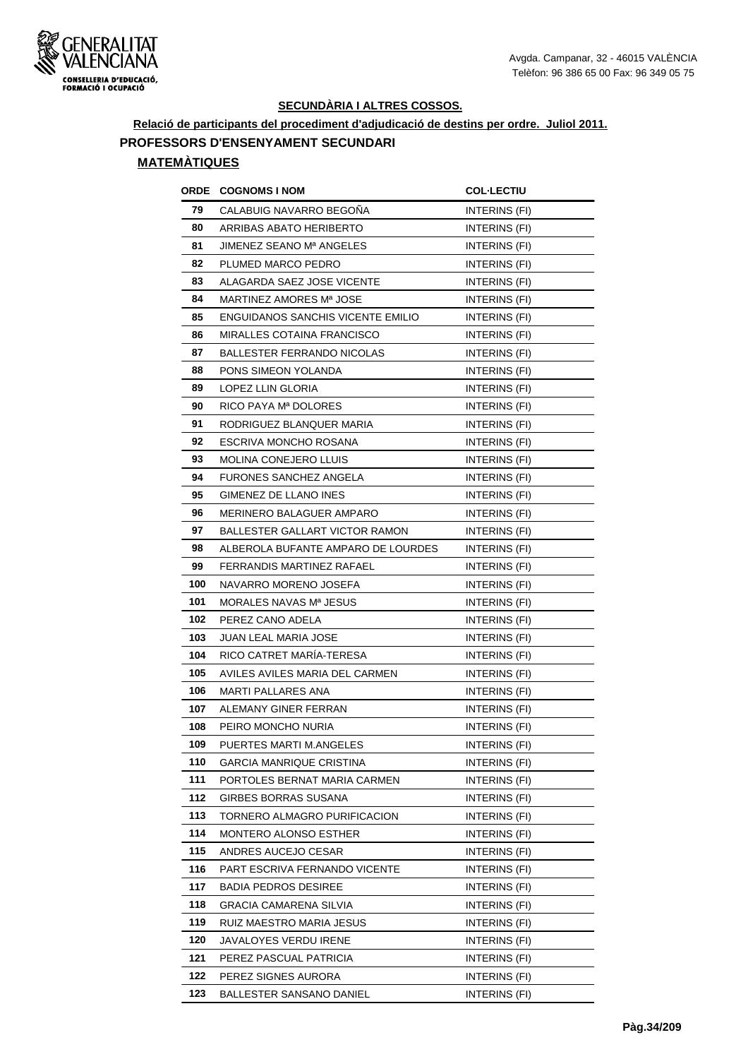

**Relació de participants del procediment d'adjudicació de destins per ordre. Juliol 2011.**

# **PROFESSORS D'ENSENYAMENT SECUNDARI**

| ORDE | <b>COGNOMS I NOM</b>                     | <b>COL-LECTIU</b>    |
|------|------------------------------------------|----------------------|
| 79   | CALABUIG NAVARRO BEGONA                  | INTERINS (FI)        |
| 80   | ARRIBAS ABATO HERIBERTO                  | INTERINS (FI)        |
| 81   | <b>JIMENEZ SEANO Mª ANGELES</b>          | INTERINS (FI)        |
| 82   | PLUMED MARCO PEDRO                       | <b>INTERINS (FI)</b> |
| 83   | ALAGARDA SAEZ JOSE VICENTE               | INTERINS (FI)        |
| 84   | MARTINEZ AMORES Mª JOSE                  | INTERINS (FI)        |
| 85   | <b>ENGUIDANOS SANCHIS VICENTE EMILIO</b> | INTERINS (FI)        |
| 86   | <b>MIRALLES COTAINA FRANCISCO</b>        | INTERINS (FI)        |
| 87   | <b>BALLESTER FERRANDO NICOLAS</b>        | INTERINS (FI)        |
| 88   | PONS SIMEON YOLANDA                      | INTERINS (FI)        |
| 89   | LOPEZ LLIN GLORIA                        | INTERINS (FI)        |
| 90   | RICO PAYA Mª DOLORES                     | INTERINS (FI)        |
| 91   | RODRIGUEZ BLANQUER MARIA                 | INTERINS (FI)        |
| 92   | ESCRIVA MONCHO ROSANA                    | INTERINS (FI)        |
| 93   | MOLINA CONEJERO LLUIS                    | INTERINS (FI)        |
| 94   | <b>FURONES SANCHEZ ANGELA</b>            | INTERINS (FI)        |
| 95   | GIMENEZ DE LLANO INES                    | <b>INTERINS (FI)</b> |
| 96   | MERINERO BALAGUER AMPARO                 | INTERINS (FI)        |
| 97   | BALLESTER GALLART VICTOR RAMON           | INTERINS (FI)        |
| 98   | ALBEROLA BUFANTE AMPARO DE LOURDES       | INTERINS (FI)        |
| 99   | FERRANDIS MARTINEZ RAFAEL                | INTERINS (FI)        |
| 100  | NAVARRO MORENO JOSEFA                    | INTERINS (FI)        |
| 101  | MORALES NAVAS Mª JESUS                   | INTERINS (FI)        |
| 102  | PEREZ CANO ADELA                         | <b>INTERINS (FI)</b> |
| 103  | JUAN LEAL MARIA JOSE                     | INTERINS (FI)        |
| 104  | RICO CATRET MARIA-TERESA                 | <b>INTERINS (FI)</b> |
| 105  | AVILES AVILES MARIA DEL CARMEN           | INTERINS (FI)        |
| 106  | <b>MARTI PALLARES ANA</b>                | INTERINS (FI)        |
| 107  | ALEMANY GINER FERRAN                     | INTERINS (FI)        |
| 108  | PEIRO MONCHO NURIA                       | INTERINS (FI)        |
| 109  | PUERTES MARTI M.ANGELES                  | INTERINS (FI)        |
| 110  | GARCIA MANRIQUE CRISTINA                 | INTERINS (FI)        |
| 111  | PORTOLES BERNAT MARIA CARMEN             | INTERINS (FI)        |
| 112  | GIRBES BORRAS SUSANA                     | INTERINS (FI)        |
| 113  | TORNERO ALMAGRO PURIFICACION             | INTERINS (FI)        |
| 114  | MONTERO ALONSO ESTHER                    | INTERINS (FI)        |
| 115  | ANDRES AUCEJO CESAR                      | INTERINS (FI)        |
| 116  | PART ESCRIVA FERNANDO VICENTE            | INTERINS (FI)        |
| 117  | <b>BADIA PEDROS DESIREE</b>              | INTERINS (FI)        |
| 118  | GRACIA CAMARENA SILVIA                   | INTERINS (FI)        |
| 119  | RUIZ MAESTRO MARIA JESUS                 | INTERINS (FI)        |
| 120  | JAVALOYES VERDU IRENE                    | INTERINS (FI)        |
| 121  | PEREZ PASCUAL PATRICIA                   | INTERINS (FI)        |
| 122  | PEREZ SIGNES AURORA                      | INTERINS (FI)        |
| 123  | BALLESTER SANSANO DANIEL                 | INTERINS (FI)        |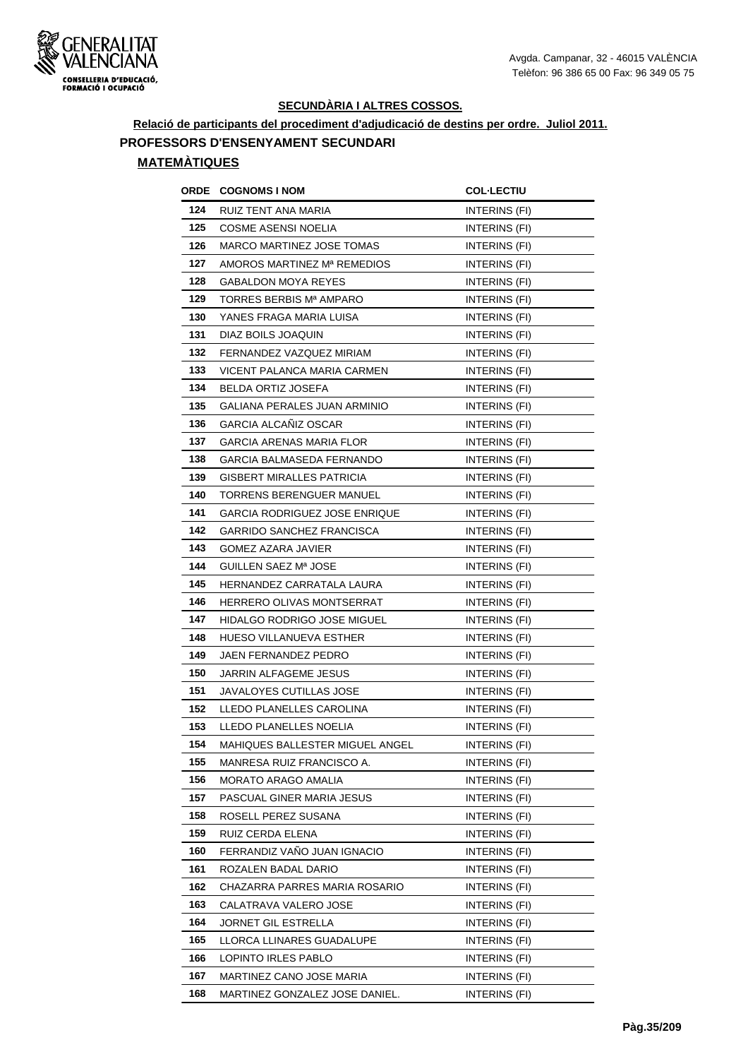

**Relació de participants del procediment d'adjudicació de destins per ordre. Juliol 2011.**

**PROFESSORS D'ENSENYAMENT SECUNDARI**

| ORDE | <b>COGNOMS I NOM</b>                 | <b>COL·LECTIU</b>    |
|------|--------------------------------------|----------------------|
| 124  | RUIZ TENT ANA MARIA                  | INTERINS (FI)        |
| 125  | <b>COSME ASENSI NOELIA</b>           | INTERINS (FI)        |
| 126  | MARCO MARTINEZ JOSE TOMAS            | INTERINS (FI)        |
| 127  | AMOROS MARTINEZ Mª REMEDIOS          | INTERINS (FI)        |
| 128  | <b>GABALDON MOYA REYES</b>           | INTERINS (FI)        |
| 129  | TORRES BERBIS Mª AMPARO              | INTERINS (FI)        |
| 130  | YANES FRAGA MARIA LUISA              | INTERINS (FI)        |
| 131  | DIAZ BOILS JOAQUIN                   | INTERINS (FI)        |
| 132  | FERNANDEZ VAZQUEZ MIRIAM             | INTERINS (FI)        |
| 133  | VICENT PALANCA MARIA CARMEN          | INTERINS (FI)        |
| 134  | <b>BELDA ORTIZ JOSEFA</b>            | INTERINS (FI)        |
| 135  | GALIANA PERALES JUAN ARMINIO         | INTERINS (FI)        |
| 136  | <b>GARCIA ALCANIZ OSCAR</b>          | INTERINS (FI)        |
| 137  | <b>GARCIA ARENAS MARIA FLOR</b>      | INTERINS (FI)        |
| 138  | GARCIA BALMASEDA FERNANDO            | INTERINS (FI)        |
| 139  | <b>GISBERT MIRALLES PATRICIA</b>     | INTERINS (FI)        |
| 140  | TORRENS BERENGUER MANUEL             | INTERINS (FI)        |
| 141  | <b>GARCIA RODRIGUEZ JOSE ENRIQUE</b> | INTERINS (FI)        |
| 142  | <b>GARRIDO SANCHEZ FRANCISCA</b>     | INTERINS (FI)        |
| 143  | <b>GOMEZ AZARA JAVIER</b>            | INTERINS (FI)        |
| 144  | GUILLEN SAEZ Mª JOSE                 | INTERINS (FI)        |
| 145  | HERNANDEZ CARRATALA LAURA            | INTERINS (FI)        |
| 146  | HERRERO OLIVAS MONTSERRAT            | INTERINS (FI)        |
| 147  | HIDALGO RODRIGO JOSE MIGUEL          | INTERINS (FI)        |
| 148  | <b>HUESO VILLANUEVA ESTHER</b>       | INTERINS (FI)        |
| 149  | JAEN FERNANDEZ PEDRO                 | INTERINS (FI)        |
| 150  | JARRIN ALFAGEME JESUS                | <b>INTERINS (FI)</b> |
| 151  | JAVALOYES CUTILLAS JOSE              | INTERINS (FI)        |
| 152  | LLEDO PLANELLES CAROLINA             | INTERINS (FI)        |
| 153  | LLEDO PLANELLES NOELIA               | INTERINS (FI)        |
| 154  | MAHIQUES BALLESTER MIGUEL ANGEL      | INTERINS (FI)        |
| 155  | MANRESA RUIZ FRANCISCO A.            | INTERINS (FI)        |
| 156  | MORATO ARAGO AMALIA                  | INTERINS (FI)        |
| 157  | PASCUAL GINER MARIA JESUS            | INTERINS (FI)        |
| 158  | ROSELL PEREZ SUSANA                  | INTERINS (FI)        |
| 159  | RUIZ CERDA ELENA                     | INTERINS (FI)        |
| 160  | FERRANDIZ VAÑO JUAN IGNACIO          | INTERINS (FI)        |
| 161  | ROZALEN BADAL DARIO                  | INTERINS (FI)        |
| 162  | CHAZARRA PARRES MARIA ROSARIO        | INTERINS (FI)        |
| 163  | CALATRAVA VALERO JOSE                | INTERINS (FI)        |
| 164  | JORNET GIL ESTRELLA                  | INTERINS (FI)        |
| 165  | LLORCA LLINARES GUADALUPE            | INTERINS (FI)        |
| 166  | LOPINTO IRLES PABLO                  | INTERINS (FI)        |
| 167  | MARTINEZ CANO JOSE MARIA             | INTERINS (FI)        |
| 168  | MARTINEZ GONZALEZ JOSE DANIEL.       | INTERINS (FI)        |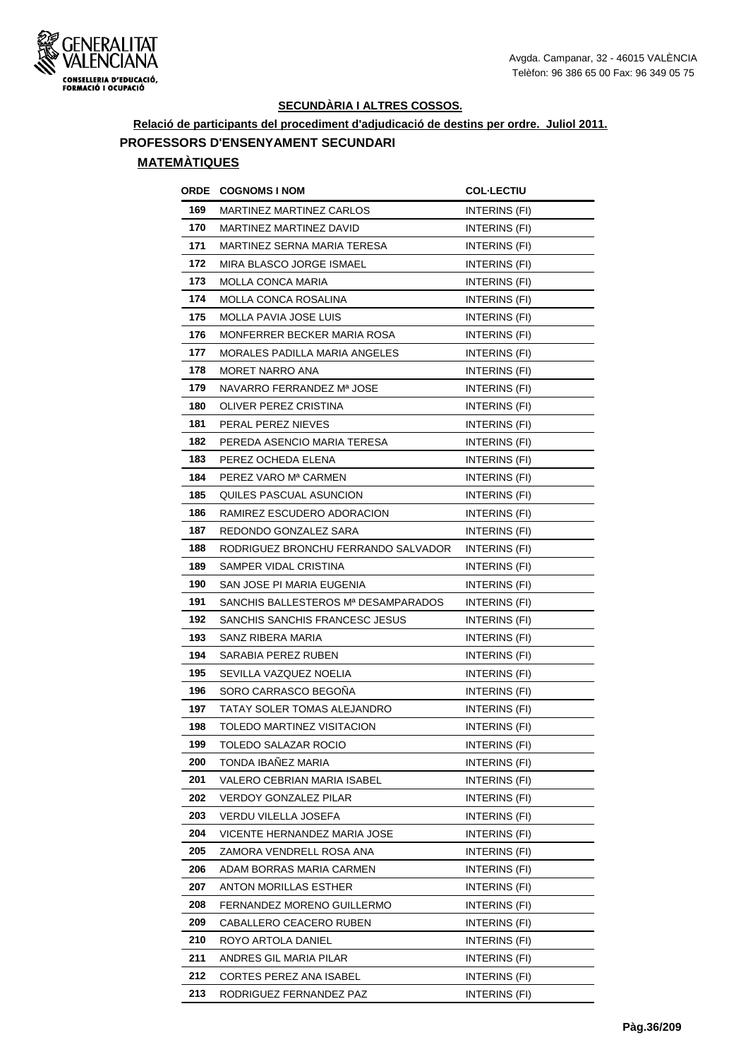

**Relació de participants del procediment d'adjudicació de destins per ordre. Juliol 2011.**

**PROFESSORS D'ENSENYAMENT SECUNDARI**

| ORDE | <b>COGNOMS I NOM</b>                | <b>COL·LECTIU</b>    |
|------|-------------------------------------|----------------------|
| 169  | MARTINEZ MARTINEZ CARLOS            | INTERINS (FI)        |
| 170  | MARTINEZ MARTINEZ DAVID             | <b>INTERINS (FI)</b> |
| 171  | MARTINEZ SERNA MARIA TERESA         | INTERINS (FI)        |
| 172  | MIRA BLASCO JORGE ISMAEL            | INTERINS (FI)        |
| 173  | MOLLA CONCA MARIA                   | INTERINS (FI)        |
| 174  | <b>MOLLA CONCA ROSALINA</b>         | INTERINS (FI)        |
| 175  | MOLLA PAVIA JOSE LUIS               | INTERINS (FI)        |
| 176  | MONFERRER BECKER MARIA ROSA         | INTERINS (FI)        |
| 177  | MORALES PADILLA MARIA ANGELES       | <b>INTERINS (FI)</b> |
| 178  | MORET NARRO ANA                     | INTERINS (FI)        |
| 179  | NAVARRO FERRANDEZ Mª JOSE           | INTERINS (FI)        |
| 180  | OLIVER PEREZ CRISTINA               | INTERINS (FI)        |
| 181  | PERAL PEREZ NIEVES                  | INTERINS (FI)        |
| 182  | PEREDA ASENCIO MARIA TERESA         | INTERINS (FI)        |
| 183  | PEREZ OCHEDA ELENA                  | INTERINS (FI)        |
| 184  | PEREZ VARO Mª CARMEN                | INTERINS (FI)        |
| 185  | QUILES PASCUAL ASUNCION             | INTERINS (FI)        |
| 186  | RAMIREZ ESCUDERO ADORACION          | INTERINS (FI)        |
| 187  | REDONDO GONZALEZ SARA               | INTERINS (FI)        |
| 188  | RODRIGUEZ BRONCHU FERRANDO SALVADOR | INTERINS (FI)        |
| 189  | SAMPER VIDAL CRISTINA               | INTERINS (FI)        |
| 190  | SAN JOSE PI MARIA EUGENIA           | INTERINS (FI)        |
| 191  | SANCHIS BALLESTEROS Mª DESAMPARADOS | INTERINS (FI)        |
| 192  | SANCHIS SANCHIS FRANCESC JESUS      | INTERINS (FI)        |
| 193  | SANZ RIBERA MARIA                   | INTERINS (FI)        |
| 194  | SARABIA PEREZ RUBEN                 | INTERINS (FI)        |
| 195  | SEVILLA VAZQUEZ NOELIA              | INTERINS (FI)        |
| 196  | SORO CARRASCO BEGONA                | INTERINS (FI)        |
| 197  | TATAY SOLER TOMAS ALEJANDRO         | INTERINS (FI)        |
| 198  | TOLEDO MARTINEZ VISITACION          | INTERINS (FI)        |
| 199  | TOLEDO SALAZAR ROCIO                | INTERINS (FI)        |
| 200  | TONDA IBAÑEZ MARIA                  | INTERINS (FI)        |
| 201  | VALERO CEBRIAN MARIA ISABEL         | INTERINS (FI)        |
| 202  | VERDOY GONZALEZ PILAR               | INTERINS (FI)        |
| 203  | VERDU VILELLA JOSEFA                | INTERINS (FI)        |
| 204  | VICENTE HERNANDEZ MARIA JOSE        | INTERINS (FI)        |
| 205  | ZAMORA VENDRELL ROSA ANA            | INTERINS (FI)        |
| 206  | ADAM BORRAS MARIA CARMEN            | INTERINS (FI)        |
| 207  | ANTON MORILLAS ESTHER               | INTERINS (FI)        |
| 208  | FERNANDEZ MORENO GUILLERMO          | INTERINS (FI)        |
| 209  | CABALLERO CEACERO RUBEN             | INTERINS (FI)        |
| 210  | ROYO ARTOLA DANIEL                  | INTERINS (FI)        |
| 211  | ANDRES GIL MARIA PILAR              | INTERINS (FI)        |
| 212  | CORTES PEREZ ANA ISABEL             | INTERINS (FI)        |
| 213  | RODRIGUEZ FERNANDEZ PAZ             | INTERINS (FI)        |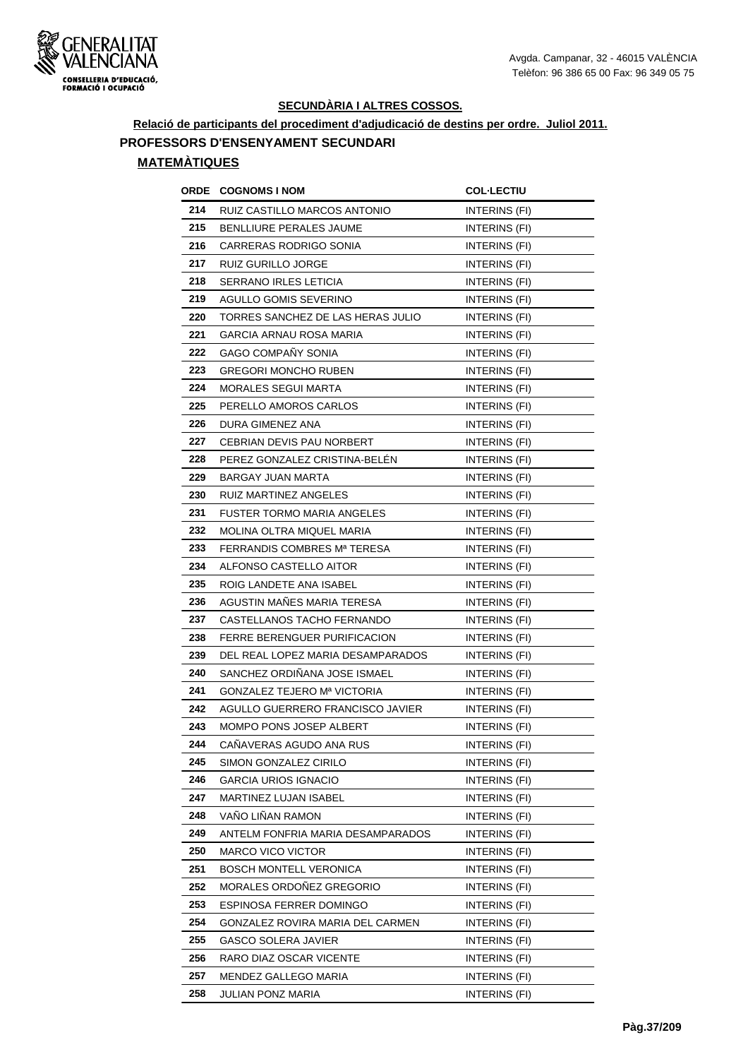

**Relació de participants del procediment d'adjudicació de destins per ordre. Juliol 2011.**

**PROFESSORS D'ENSENYAMENT SECUNDARI**

| ORDE | <b>COGNOMS I NOM</b>               | <b>COL·LECTIU</b>    |
|------|------------------------------------|----------------------|
| 214  | RUIZ CASTILLO MARCOS ANTONIO       | INTERINS (FI)        |
| 215  | <b>BENLLIURE PERALES JAUME</b>     | <b>INTERINS (FI)</b> |
| 216  | CARRERAS RODRIGO SONIA             | INTERINS (FI)        |
| 217  | RUIZ GURILLO JORGE                 | INTERINS (FI)        |
| 218  | <b>SERRANO IRLES LETICIA</b>       | INTERINS (FI)        |
| 219  | <b>AGULLO GOMIS SEVERINO</b>       | INTERINS (FI)        |
| 220  | TORRES SANCHEZ DE LAS HERAS JULIO  | INTERINS (FI)        |
| 221  | <b>GARCIA ARNAU ROSA MARIA</b>     | <b>INTERINS (FI)</b> |
| 222  | <b>GAGO COMPANY SONIA</b>          | INTERINS (FI)        |
| 223  | <b>GREGORI MONCHO RUBEN</b>        | INTERINS (FI)        |
| 224  | <b>MORALES SEGUI MARTA</b>         | INTERINS (FI)        |
| 225  | PERELLO AMOROS CARLOS              | INTERINS (FI)        |
| 226  | DURA GIMENEZ ANA                   | INTERINS (FI)        |
| 227  | CEBRIAN DEVIS PAU NORBERT          | INTERINS (FI)        |
| 228  | PEREZ GONZALEZ CRISTINA-BELEN      | INTERINS (FI)        |
| 229  | <b>BARGAY JUAN MARTA</b>           | INTERINS (FI)        |
| 230  | RUIZ MARTINEZ ANGELES              | INTERINS (FI)        |
| 231  | <b>FUSTER TORMO MARIA ANGELES</b>  | INTERINS (FI)        |
| 232  | MOLINA OLTRA MIQUEL MARIA          | INTERINS (FI)        |
| 233  | FERRANDIS COMBRES Mª TERESA        | INTERINS (FI)        |
| 234  | ALFONSO CASTELLO AITOR             | INTERINS (FI)        |
| 235  | ROIG LANDETE ANA ISABEL            | INTERINS (FI)        |
| 236  | AGUSTIN MAÑES MARIA TERESA         | <b>INTERINS (FI)</b> |
| 237  | CASTELLANOS TACHO FERNANDO         | <b>INTERINS (FI)</b> |
| 238  | FERRE BERENGUER PURIFICACION       | INTERINS (FI)        |
| 239  | DEL REAL LOPEZ MARIA DESAMPARADOS  | <b>INTERINS (FI)</b> |
| 240  | SANCHEZ ORDIÑANA JOSE ISMAEL       | INTERINS (FI)        |
| 241  | <b>GONZALEZ TEJERO Mª VICTORIA</b> | INTERINS (FI)        |
| 242  | AGULLO GUERRERO FRANCISCO JAVIER   | INTERINS (FI)        |
| 243  | MOMPO PONS JOSEP ALBERT            | INTERINS (FI)        |
| 244  | CANAVERAS AGUDO ANA RUS            | INTERINS (FI)        |
| 245  | SIMON GONZALEZ CIRILO              | INTERINS (FI)        |
| 246  | <b>GARCIA URIOS IGNACIO</b>        | INTERINS (FI)        |
| 247  | MARTINEZ LUJAN ISABEL              | INTERINS (FI)        |
| 248  | VANO LINAN RAMON                   | INTERINS (FI)        |
| 249  | ANTELM FONFRIA MARIA DESAMPARADOS  | INTERINS (FI)        |
| 250  | <b>MARCO VICO VICTOR</b>           | INTERINS (FI)        |
| 251  | BOSCH MONTELL VERONICA             | INTERINS (FI)        |
| 252  | MORALES ORDOÑEZ GREGORIO           | INTERINS (FI)        |
| 253  | ESPINOSA FERRER DOMINGO            | INTERINS (FI)        |
| 254  | GONZALEZ ROVIRA MARIA DEL CARMEN   | INTERINS (FI)        |
| 255  | <b>GASCO SOLERA JAVIER</b>         | INTERINS (FI)        |
| 256  | RARO DIAZ OSCAR VICENTE            | INTERINS (FI)        |
| 257  | MENDEZ GALLEGO MARIA               | INTERINS (FI)        |
| 258  | JULIAN PONZ MARIA                  | INTERINS (FI)        |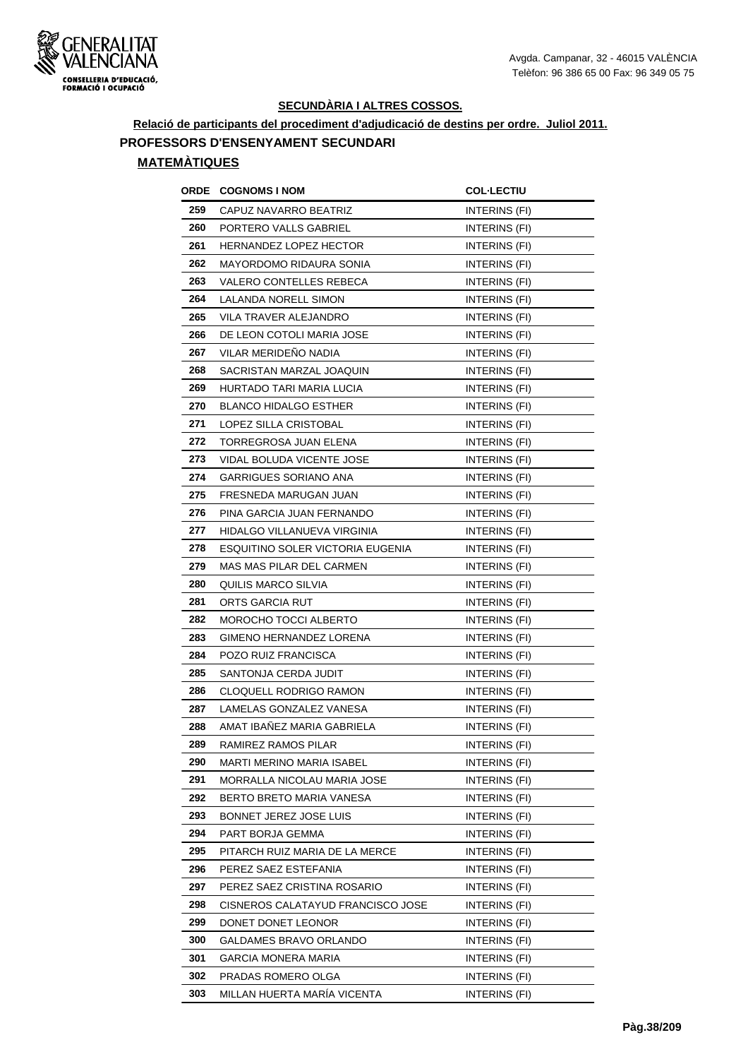

**Relació de participants del procediment d'adjudicació de destins per ordre. Juliol 2011.**

**PROFESSORS D'ENSENYAMENT SECUNDARI**

| ORDE | <b>COGNOMS I NOM</b>              | <b>COL-LECTIU</b>    |
|------|-----------------------------------|----------------------|
| 259  | CAPUZ NAVARRO BEATRIZ             | INTERINS (FI)        |
| 260  | PORTERO VALLS GABRIEL             | INTERINS (FI)        |
| 261  | <b>HERNANDEZ LOPEZ HECTOR</b>     | INTERINS (FI)        |
| 262  | MAYORDOMO RIDAURA SONIA           | INTERINS (FI)        |
| 263  | VALERO CONTELLES REBECA           | INTERINS (FI)        |
| 264  | LALANDA NORELL SIMON              | INTERINS (FI)        |
| 265  | <b>VILA TRAVER ALEJANDRO</b>      | INTERINS (FI)        |
| 266  | DE LEON COTOLI MARIA JOSE         | INTERINS (FI)        |
| 267  | VILAR MERIDEÑO NADIA              | INTERINS (FI)        |
| 268  | SACRISTAN MARZAL JOAQUIN          | INTERINS (FI)        |
| 269  | HURTADO TARI MARIA LUCIA          | INTERINS (FI)        |
| 270  | <b>BLANCO HIDALGO ESTHER</b>      | INTERINS (FI)        |
| 271  | LOPEZ SILLA CRISTOBAL             | INTERINS (FI)        |
| 272  | <b>TORREGROSA JUAN ELENA</b>      | INTERINS (FI)        |
| 273  | VIDAL BOLUDA VICENTE JOSE         | INTERINS (FI)        |
| 274  | GARRIGUES SORIANO ANA             | INTERINS (FI)        |
| 275  | FRESNEDA MARUGAN JUAN             | INTERINS (FI)        |
| 276  | PINA GARCIA JUAN FERNANDO         | INTERINS (FI)        |
| 277  | HIDALGO VILLANUEVA VIRGINIA       | INTERINS (FI)        |
| 278  | ESQUITINO SOLER VICTORIA EUGENIA  | INTERINS (FI)        |
| 279  | MAS MAS PILAR DEL CARMEN          | <b>INTERINS (FI)</b> |
| 280  | QUILIS MARCO SILVIA               | INTERINS (FI)        |
| 281  | ORTS GARCIA RUT                   | INTERINS (FI)        |
| 282  | MOROCHO TOCCI ALBERTO             | INTERINS (FI)        |
| 283  | GIMENO HERNANDEZ LORENA           | INTERINS (FI)        |
| 284  | POZO RUIZ FRANCISCA               | INTERINS (FI)        |
| 285  | SANTONJA CERDA JUDIT              | INTERINS (FI)        |
| 286  | <b>CLOQUELL RODRIGO RAMON</b>     | INTERINS (FI)        |
| 287  | LAMELAS GONZALEZ VANESA           | INTERINS (FI)        |
| 288  | AMAT IBANEZ MARIA GABRIELA        | <b>INTERINS (FI)</b> |
| 289  | RAMIREZ RAMOS PILAR               | INTERINS (FI)        |
| 290  | MARTI MERINO MARIA ISABEL         | INTERINS (FI)        |
| 291  | MORRALLA NICOLAU MARIA JOSE       | INTERINS (FI)        |
| 292  | BERTO BRETO MARIA VANESA          | INTERINS (FI)        |
| 293  | BONNET JEREZ JOSE LUIS            | INTERINS (FI)        |
| 294  | PART BORJA GEMMA                  | INTERINS (FI)        |
| 295  | PITARCH RUIZ MARIA DE LA MERCE    | INTERINS (FI)        |
| 296  | PEREZ SAEZ ESTEFANIA              | INTERINS (FI)        |
| 297  | PEREZ SAEZ CRISTINA ROSARIO       | INTERINS (FI)        |
| 298  | CISNEROS CALATAYUD FRANCISCO JOSE | INTERINS (FI)        |
| 299  | DONET DONET LEONOR                | INTERINS (FI)        |
| 300  | GALDAMES BRAVO ORLANDO            | INTERINS (FI)        |
| 301  | GARCIA MONERA MARIA               | INTERINS (FI)        |
| 302  | PRADAS ROMERO OLGA                | INTERINS (FI)        |
| 303  | MILLAN HUERTA MARÍA VICENTA       | INTERINS (FI)        |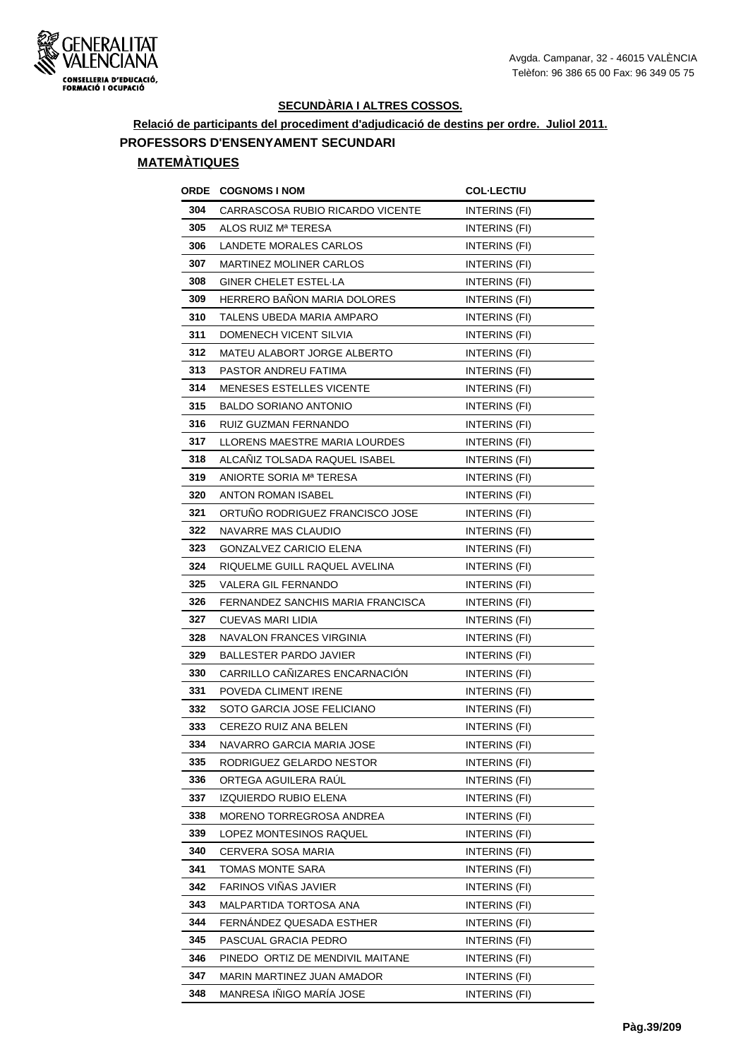

**Relació de participants del procediment d'adjudicació de destins per ordre. Juliol 2011. PROFESSORS D'ENSENYAMENT SECUNDARI**

|     | <b>ORDE COGNOMS INOM</b>           | <b>COL-LECTIU</b>    |
|-----|------------------------------------|----------------------|
| 304 | CARRASCOSA RUBIO RICARDO VICENTE   | INTERINS (FI)        |
| 305 | ALOS RUIZ Mª TERESA                | INTERINS (FI)        |
| 306 | LANDETE MORALES CARLOS             | INTERINS (FI)        |
| 307 | <b>MARTINEZ MOLINER CARLOS</b>     | <b>INTERINS (FI)</b> |
| 308 | GINER CHELET ESTEL LA              | INTERINS (FI)        |
| 309 | <b>HERRERO BANON MARIA DOLORES</b> | <b>INTERINS (FI)</b> |
| 310 | TALENS UBEDA MARIA AMPARO          | <b>INTERINS (FI)</b> |
| 311 | DOMENECH VICENT SILVIA             | INTERINS (FI)        |
| 312 | MATEU ALABORT JORGE ALBERTO        | INTERINS (FI)        |
| 313 | PASTOR ANDREU FATIMA               | INTERINS (FI)        |
| 314 | <b>MENESES ESTELLES VICENTE</b>    | INTERINS (FI)        |
| 315 | BALDO SORIANO ANTONIO              | INTERINS (FI)        |
| 316 | RUIZ GUZMAN FERNANDO               | INTERINS (FI)        |
| 317 | LLORENS MAESTRE MARIA LOURDES      | <b>INTERINS (FI)</b> |
| 318 | ALCANIZ TOLSADA RAQUEL ISABEL      | INTERINS (FI)        |
| 319 | ANIORTE SORIA Mª TERESA            | INTERINS (FI)        |
| 320 | ANTON ROMAN ISABEL                 | INTERINS (FI)        |
| 321 | ORTUNO RODRIGUEZ FRANCISCO JOSE    | INTERINS (FI)        |
| 322 | NAVARRE MAS CLAUDIO                | INTERINS (FI)        |
| 323 | GONZALVEZ CARICIO ELENA            | INTERINS (FI)        |
| 324 | RIQUELME GUILL RAQUEL AVELINA      | INTERINS (FI)        |
| 325 | VALERA GIL FERNANDO                | INTERINS (FI)        |
| 326 | FERNANDEZ SANCHIS MARIA FRANCISCA  | INTERINS (FI)        |
| 327 | CUEVAS MARI LIDIA                  | INTERINS (FI)        |
| 328 | NAVALON FRANCES VIRGINIA           | INTERINS (FI)        |
| 329 | <b>BALLESTER PARDO JAVIER</b>      | INTERINS (FI)        |
| 330 | CARRILLO CANIZARES ENCARNACION     | INTERINS (FI)        |
| 331 | POVEDA CLIMENT IRENE               | <b>INTERINS (FI)</b> |
| 332 | SOTO GARCIA JOSE FELICIANO         | INTERINS (FI)        |
| 333 | CEREZO RUIZ ANA BELEN              | INTERINS (FI)        |
| 334 | NAVARRO GARCIA MARIA JOSE          | INTERINS (FI)        |
| 335 | RODRIGUEZ GELARDO NESTOR           | INTERINS (FI)        |
| 336 | ORTEGA AGUILERA RAUL               | INTERINS (FI)        |
| 337 | IZQUIERDO RUBIO ELENA              | INTERINS (FI)        |
| 338 | MORENO TORREGROSA ANDREA           | INTERINS (FI)        |
| 339 | LOPEZ MONTESINOS RAQUEL            | INTERINS (FI)        |
| 340 | CERVERA SOSA MARIA                 | INTERINS (FI)        |
| 341 | TOMAS MONTE SARA                   | INTERINS (FI)        |
| 342 | FARINOS VIÑAS JAVIER               | INTERINS (FI)        |
| 343 | MALPARTIDA TORTOSA ANA             | INTERINS (FI)        |
| 344 | FERNÁNDEZ QUESADA ESTHER           | INTERINS (FI)        |
| 345 | PASCUAL GRACIA PEDRO               | INTERINS (FI)        |
| 346 | PINEDO ORTIZ DE MENDIVIL MAITANE   | INTERINS (FI)        |
| 347 | MARIN MARTINEZ JUAN AMADOR         | INTERINS (FI)        |
| 348 | MANRESA IÑIGO MARÍA JOSE           | INTERINS (FI)        |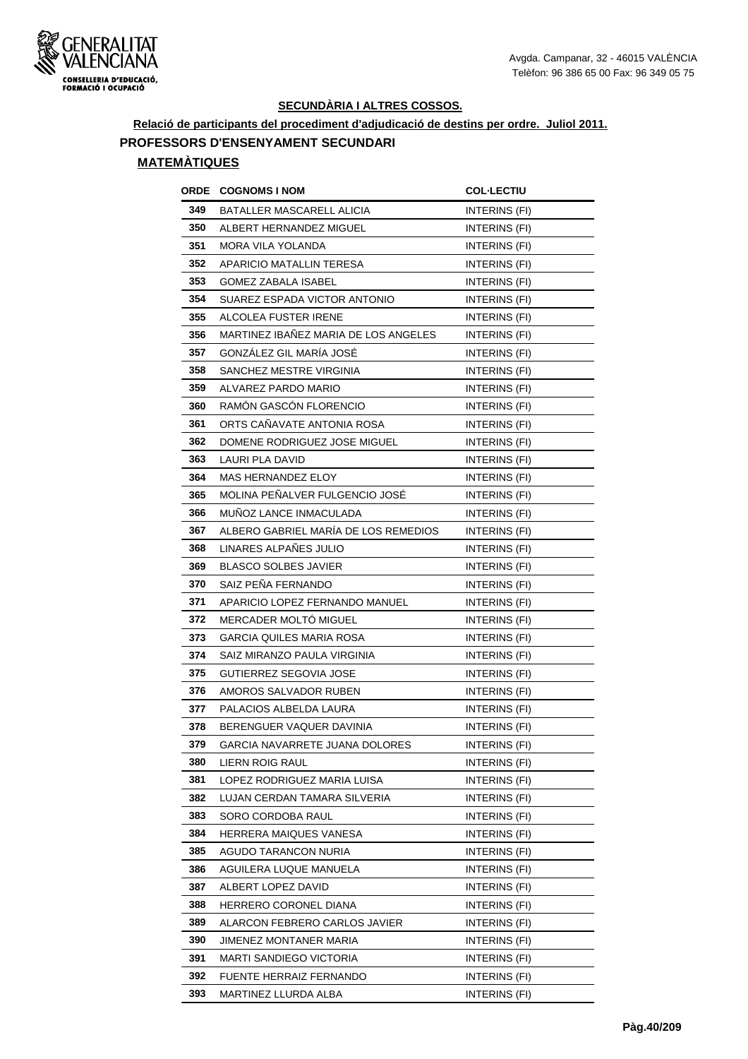

**Relació de participants del procediment d'adjudicació de destins per ordre. Juliol 2011.**

**PROFESSORS D'ENSENYAMENT SECUNDARI**

| ORDE | <b>COGNOMS I NOM</b>                 | <b>COL·LECTIU</b>    |
|------|--------------------------------------|----------------------|
| 349  | BATALLER MASCARELL ALICIA            | INTERINS (FI)        |
| 350  | ALBERT HERNANDEZ MIGUEL              | <b>INTERINS (FI)</b> |
| 351  | MORA VILA YOLANDA                    | INTERINS (FI)        |
| 352  | APARICIO MATALLIN TERESA             | INTERINS (FI)        |
| 353  | GOMEZ ZABALA ISABEL                  | <b>INTERINS (FI)</b> |
| 354  | SUAREZ ESPADA VICTOR ANTONIO         | INTERINS (FI)        |
| 355  | ALCOLEA FUSTER IRENE                 | INTERINS (FI)        |
| 356  | MARTINEZ IBAÑEZ MARIA DE LOS ANGELES | INTERINS (FI)        |
| 357  | GONZÁLEZ GIL MARÍA JOSÉ              | INTERINS (FI)        |
| 358  | SANCHEZ MESTRE VIRGINIA              | INTERINS (FI)        |
| 359  | ALVAREZ PARDO MARIO                  | INTERINS (FI)        |
| 360  | RAMÓN GASCÓN FLORENCIO               | INTERINS (FI)        |
| 361  | ORTS CANAVATE ANTONIA ROSA           | INTERINS (FI)        |
| 362  | DOMENE RODRIGUEZ JOSE MIGUEL         | INTERINS (FI)        |
| 363  | LAURI PLA DAVID                      | INTERINS (FI)        |
| 364  | <b>MAS HERNANDEZ ELOY</b>            | <b>INTERINS (FI)</b> |
| 365  | MOLINA PEÑALVER FULGENCIO JOSÉ       | INTERINS (FI)        |
| 366  | MUNOZ LANCE INMACULADA               | INTERINS (FI)        |
| 367  | ALBERO GABRIEL MARÍA DE LOS REMEDIOS | INTERINS (FI)        |
| 368  | LINARES ALPAÑES JULIO                | INTERINS (FI)        |
| 369  | <b>BLASCO SOLBES JAVIER</b>          | INTERINS (FI)        |
| 370  | SAIZ PEÑA FERNANDO                   | INTERINS (FI)        |
| 371  | APARICIO LOPEZ FERNANDO MANUEL       | INTERINS (FI)        |
| 372  | <b>MERCADER MOLTO MIGUEL</b>         | INTERINS (FI)        |
| 373  | GARCIA QUILES MARIA ROSA             | INTERINS (FI)        |
| 374  | SAIZ MIRANZO PAULA VIRGINIA          | INTERINS (FI)        |
| 375  | GUTIERREZ SEGOVIA JOSE               | INTERINS (FI)        |
| 376  | AMOROS SALVADOR RUBEN                | INTERINS (FI)        |
| 377  | PALACIOS ALBELDA LAURA               | INTERINS (FI)        |
| 378  | BERENGUER VAQUER DAVINIA             | INTERINS (FI)        |
| 379  | GARCIA NAVARRETE JUANA DOLORES       | INTERINS (FI)        |
| 380  | LIERN ROIG RAUL                      | INTERINS (FI)        |
| 381  | LOPEZ RODRIGUEZ MARIA LUISA          | INTERINS (FI)        |
| 382  | LUJAN CERDAN TAMARA SILVERIA         | INTERINS (FI)        |
| 383  | SORO CORDOBA RAUL                    | INTERINS (FI)        |
| 384  | HERRERA MAIQUES VANESA               | INTERINS (FI)        |
| 385  | AGUDO TARANCON NURIA                 | INTERINS (FI)        |
| 386  | AGUILERA LUQUE MANUELA               | INTERINS (FI)        |
| 387  | ALBERT LOPEZ DAVID                   | INTERINS (FI)        |
| 388  | HERRERO CORONEL DIANA                | INTERINS (FI)        |
| 389  | ALARCON FEBRERO CARLOS JAVIER        | INTERINS (FI)        |
| 390  | JIMENEZ MONTANER MARIA               | INTERINS (FI)        |
| 391  | MARTI SANDIEGO VICTORIA              | INTERINS (FI)        |
| 392  | FUENTE HERRAIZ FERNANDO              | INTERINS (FI)        |
| 393  | MARTINEZ LLURDA ALBA                 | INTERINS (FI)        |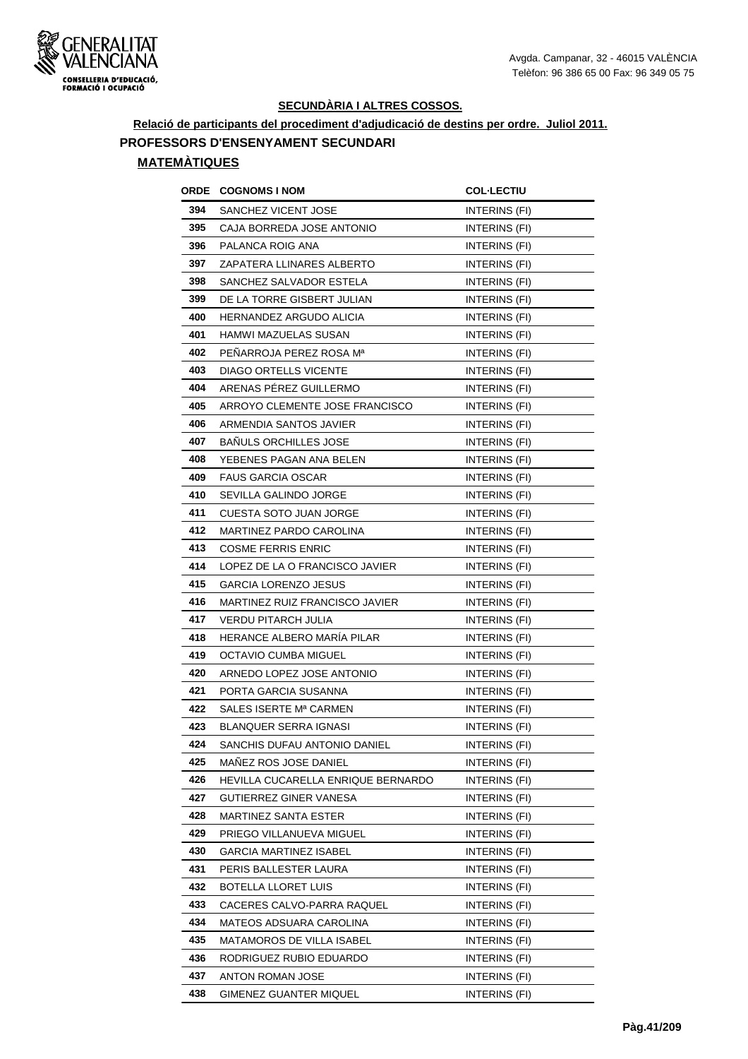

**Relació de participants del procediment d'adjudicació de destins per ordre. Juliol 2011.**

**PROFESSORS D'ENSENYAMENT SECUNDARI**

| <b>ORDE</b> | <b>COGNOMS I NOM</b>               | <b>COL-LECTIU</b>    |
|-------------|------------------------------------|----------------------|
| 394         | SANCHEZ VICENT JOSE                | <b>INTERINS (FI)</b> |
| 395         | CAJA BORREDA JOSE ANTONIO          | INTERINS (FI)        |
| 396         | PALANCA ROIG ANA                   | INTERINS (FI)        |
| 397         | ZAPATERA LLINARES ALBERTO          | INTERINS (FI)        |
| 398         | SANCHEZ SALVADOR ESTELA            | INTERINS (FI)        |
| 399         | DE LA TORRE GISBERT JULIAN         | INTERINS (FI)        |
| 400         | <b>HERNANDEZ ARGUDO ALICIA</b>     | INTERINS (FI)        |
| 401         | <b>HAMWI MAZUELAS SUSAN</b>        | INTERINS (FI)        |
| 402         | PEÑARROJA PEREZ ROSA Mª            | INTERINS (FI)        |
| 403         | <b>DIAGO ORTELLS VICENTE</b>       | INTERINS (FI)        |
| 404         | ARENAS PEREZ GUILLERMO             | INTERINS (FI)        |
| 405         | ARROYO CLEMENTE JOSE FRANCISCO     | INTERINS (FI)        |
| 406         | ARMENDIA SANTOS JAVIER             | INTERINS (FI)        |
| 407         | <b>BAÑULS ORCHILLES JOSE</b>       | INTERINS (FI)        |
| 408         | YEBENES PAGAN ANA BELEN            | INTERINS (FI)        |
| 409         | <b>FAUS GARCIA OSCAR</b>           | INTERINS (FI)        |
| 410         | SEVILLA GALINDO JORGE              | INTERINS (FI)        |
| 411         | CUESTA SOTO JUAN JORGE             | INTERINS (FI)        |
| 412         | MARTINEZ PARDO CAROLINA            | INTERINS (FI)        |
| 413         | <b>COSME FERRIS ENRIC</b>          | INTERINS (FI)        |
| 414         | LOPEZ DE LA O FRANCISCO JAVIER     | INTERINS (FI)        |
| 415         | <b>GARCIA LORENZO JESUS</b>        | INTERINS (FI)        |
| 416         | MARTINEZ RUIZ FRANCISCO JAVIER     | INTERINS (FI)        |
| 417         | <b>VERDU PITARCH JULIA</b>         | <b>INTERINS (FI)</b> |
| 418         | HERANCE ALBERO MARIA PILAR         | INTERINS (FI)        |
| 419         | OCTAVIO CUMBA MIGUEL               | INTERINS (FI)        |
| 420         | ARNEDO LOPEZ JOSE ANTONIO          | INTERINS (FI)        |
| 421         | PORTA GARCIA SUSANNA               | INTERINS (FI)        |
| 422         | SALES ISERTE Mª CARMEN             | INTERINS (FI)        |
| 423         | <b>BLANQUER SERRA IGNASI</b>       | <b>INTERINS (FI)</b> |
| 424         | SANCHIS DUFAU ANTONIO DANIEL       | INTERINS (FI)        |
| 425         | MAÑEZ ROS JOSE DANIEL              | INTERINS (FI)        |
| 426         | HEVILLA CUCARELLA ENRIQUE BERNARDO | INTERINS (FI)        |
| 427         | GUTIERREZ GINER VANESA             | INTERINS (FI)        |
| 428         | <b>MARTINEZ SANTA ESTER</b>        | INTERINS (FI)        |
| 429         | PRIEGO VILLANUEVA MIGUEL           | INTERINS (FI)        |
| 430         | <b>GARCIA MARTINEZ ISABEL</b>      | INTERINS (FI)        |
| 431         | PERIS BALLESTER LAURA              | INTERINS (FI)        |
| 432         | <b>BOTELLA LLORET LUIS</b>         | INTERINS (FI)        |
| 433         | CACERES CALVO-PARRA RAQUEL         | INTERINS (FI)        |
| 434         | MATEOS ADSUARA CAROLINA            | INTERINS (FI)        |
| 435         | MATAMOROS DE VILLA ISABEL          | INTERINS (FI)        |
| 436         | RODRIGUEZ RUBIO EDUARDO            | INTERINS (FI)        |
| 437         | ANTON ROMAN JOSE                   | INTERINS (FI)        |
| 438         | GIMENEZ GUANTER MIQUEL             | INTERINS (FI)        |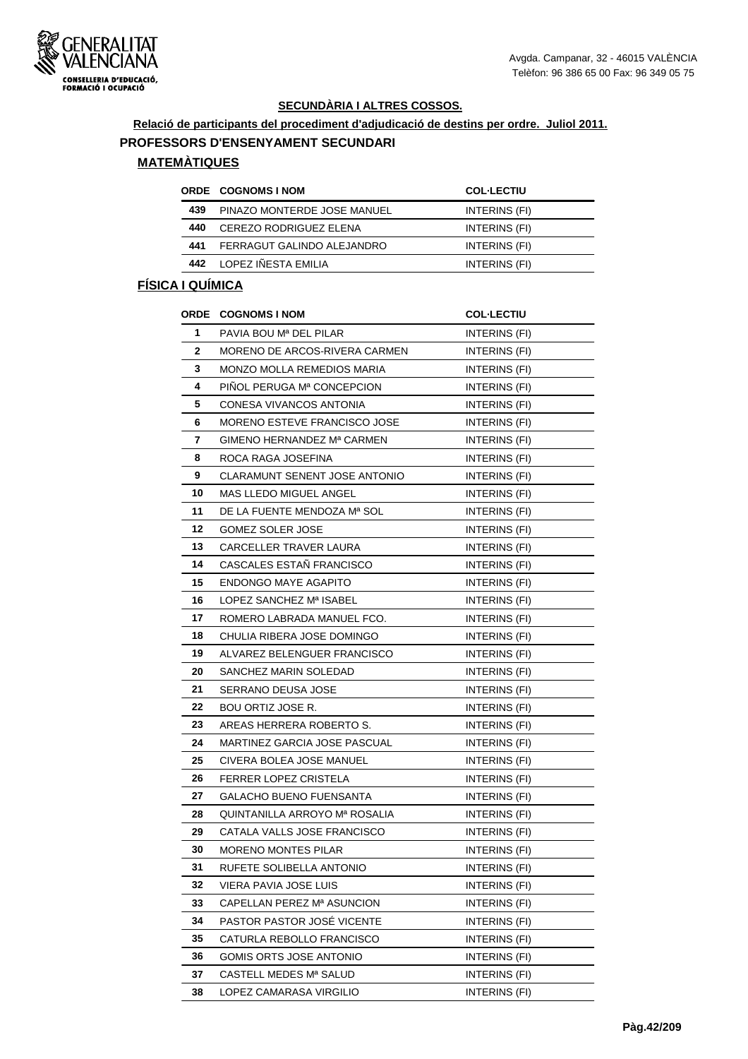

**Relació de participants del procediment d'adjudicació de destins per ordre. Juliol 2011.**

#### **PROFESSORS D'ENSENYAMENT SECUNDARI**

# **MATEMÀTIQUES**

|     | <b>ORDE COGNOMS INOM</b>    | <b>COL-LECTIU</b> |
|-----|-----------------------------|-------------------|
| 439 | PINAZO MONTERDE JOSE MANUEL | INTERINS (FI)     |
| 440 | CEREZO RODRIGUEZ ELENA      | INTERINS (FI)     |
| 441 | FERRAGUT GALINDO ALEJANDRO  | INTERINS (FI)     |
| 442 | LOPEZ IÑESTA EMILIA         | INTERINS (FI)     |

|    | <b>ORDE COGNOMS INOM</b>               | <b>COL-LECTIU</b>    |
|----|----------------------------------------|----------------------|
| 1  | PAVIA BOU Mª DEL PILAR                 | INTERINS (FI)        |
| 2  | MORENO DE ARCOS-RIVERA CARMEN          | <b>INTERINS (FI)</b> |
| 3  | <b>MONZO MOLLA REMEDIOS MARIA</b>      | INTERINS (FI)        |
| 4  | PINOL PERUGA M <sup>a</sup> CONCEPCION | INTERINS (FI)        |
| 5  | CONESA VIVANCOS ANTONIA                | INTERINS (FI)        |
| 6  | MORENO ESTEVE FRANCISCO JOSE           | INTERINS (FI)        |
| 7  | GIMENO HERNANDEZ Mª CARMEN             | INTERINS (FI)        |
| 8  | ROCA RAGA JOSEFINA                     | INTERINS (FI)        |
| 9  | CLARAMUNT SENENT JOSE ANTONIO          | INTERINS (FI)        |
| 10 | MAS LLEDO MIGUEL ANGEL                 | INTERINS (FI)        |
| 11 | DE LA FUENTE MENDOZA Mª SOL            | <b>INTERINS (FI)</b> |
| 12 | GOMEZ SOLER JOSE                       | INTERINS (FI)        |
| 13 | CARCELLER TRAVER LAURA                 | <b>INTERINS (FI)</b> |
| 14 | CASCALES ESTAÑ FRANCISCO               | <b>INTERINS (FI)</b> |
| 15 | <b>ENDONGO MAYE AGAPITO</b>            | INTERINS (FI)        |
| 16 | LOPEZ SANCHEZ Mª ISABEL                | INTERINS (FI)        |
| 17 | ROMERO LABRADA MANUEL FCO.             | INTERINS (FI)        |
| 18 | CHULIA RIBERA JOSE DOMINGO             | INTERINS (FI)        |
| 19 | ALVAREZ BELENGUER FRANCISCO            | <b>INTERINS (FI)</b> |
| 20 | SANCHEZ MARIN SOLEDAD                  | INTERINS (FI)        |
| 21 | SERRANO DEUSA JOSE                     | INTERINS (FI)        |
| 22 | <b>BOU ORTIZ JOSE R.</b>               | INTERINS (FI)        |
| 23 | AREAS HERRERA ROBERTO S.               | INTERINS (FI)        |
| 24 | MARTINEZ GARCIA JOSE PASCUAL           | INTERINS (FI)        |
| 25 | CIVERA BOLEA JOSE MANUEL               | <b>INTERINS (FI)</b> |
| 26 | FERRER LOPEZ CRISTELA                  | INTERINS (FI)        |
| 27 | GALACHO BUENO FUENSANTA                | INTERINS (FI)        |
| 28 | QUINTANILLA ARROYO Mª ROSALIA          | INTERINS (FI)        |
| 29 | CATALA VALLS JOSE FRANCISCO            | INTERINS (FI)        |
| 30 | <b>MORENO MONTES PILAR</b>             | INTERINS (FI)        |
| 31 | RUFETE SOLIBELLA ANTONIO               | INTERINS (FI)        |
| 32 | VIERA PAVIA JOSE LUIS                  | INTERINS (FI)        |
| 33 | CAPELLAN PEREZ Mª ASUNCION             | INTERINS (FI)        |
| 34 | PASTOR PASTOR JOSÉ VICENTE             | INTERINS (FI)        |
| 35 | CATURLA REBOLLO FRANCISCO              | INTERINS (FI)        |
| 36 | GOMIS ORTS JOSE ANTONIO                | INTERINS (FI)        |
| 37 | CASTELL MEDES Mª SALUD                 | INTERINS (FI)        |
| 38 | LOPEZ CAMARASA VIRGILIO                | INTERINS (FI)        |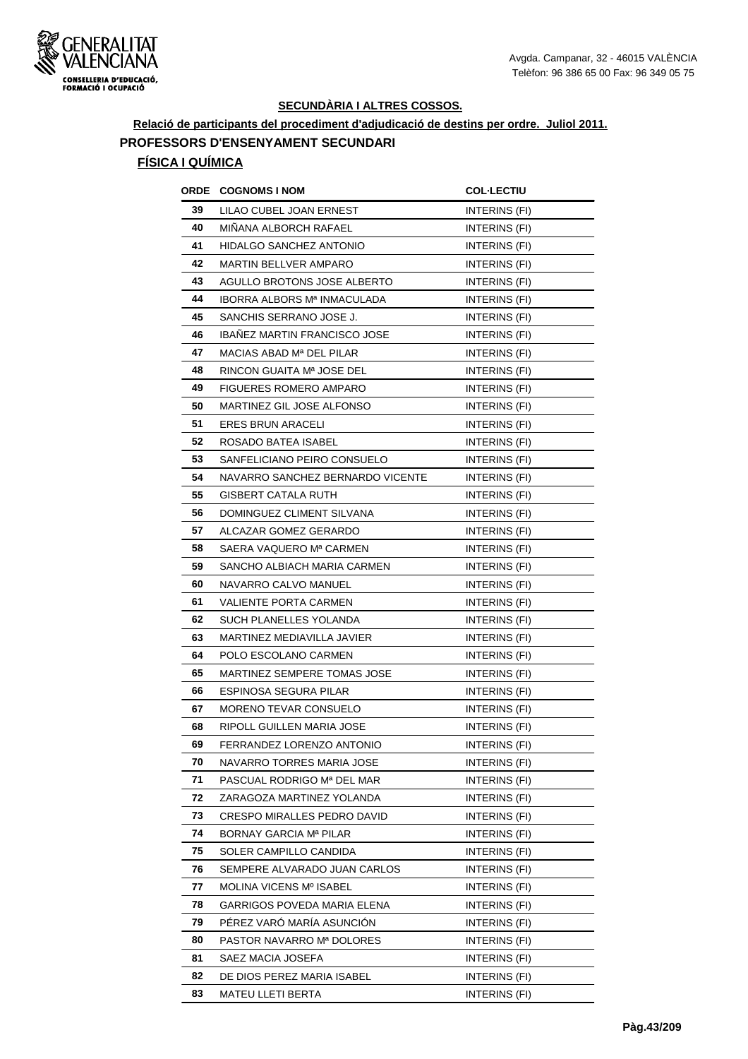

# **Relació de participants del procediment d'adjudicació de destins per ordre. Juliol 2011. PROFESSORS D'ENSENYAMENT SECUNDARI**

| ORDE | <b>COGNOMS I NOM</b>                | <b>COL·LECTIU</b>    |
|------|-------------------------------------|----------------------|
| 39   | LILAO CUBEL JOAN ERNEST             | INTERINS (FI)        |
| 40   | MINANA ALBORCH RAFAEL               | <b>INTERINS (FI)</b> |
| 41   | HIDALGO SANCHEZ ANTONIO             | INTERINS (FI)        |
| 42   | <b>MARTIN BELLVER AMPARO</b>        | <b>INTERINS (FI)</b> |
| 43   | AGULLO BROTONS JOSE ALBERTO         | <b>INTERINS (FI)</b> |
| 44   | <b>IBORRA ALBORS Mª INMACULADA</b>  | INTERINS (FI)        |
| 45   | SANCHIS SERRANO JOSE J.             | INTERINS (FI)        |
| 46   | <b>IBAÑEZ MARTIN FRANCISCO JOSE</b> | INTERINS (FI)        |
| 47   | MACIAS ABAD Mª DEL PILAR            | INTERINS (FI)        |
| 48   | RINCON GUAITA Mª JOSE DEL           | INTERINS (FI)        |
| 49   | <b>FIGUERES ROMERO AMPARO</b>       | INTERINS (FI)        |
| 50   | MARTINEZ GIL JOSE ALFONSO           | INTERINS (FI)        |
| 51   | <b>ERES BRUN ARACELI</b>            | INTERINS (FI)        |
| 52   | ROSADO BATEA ISABEL                 | INTERINS (FI)        |
| 53   | SANFELICIANO PEIRO CONSUELO         | INTERINS (FI)        |
| 54   | NAVARRO SANCHEZ BERNARDO VICENTE    | <b>INTERINS (FI)</b> |
| 55   | <b>GISBERT CATALA RUTH</b>          | INTERINS (FI)        |
| 56   | DOMINGUEZ CLIMENT SILVANA           | INTERINS (FI)        |
| 57   | ALCAZAR GOMEZ GERARDO               | <b>INTERINS (FI)</b> |
| 58   | SAERA VAQUERO Mª CARMEN             | INTERINS (FI)        |
| 59   | SANCHO ALBIACH MARIA CARMEN         | INTERINS (FI)        |
| 60   | NAVARRO CALVO MANUEL                | INTERINS (FI)        |
| 61   | VALIENTE PORTA CARMEN               | INTERINS (FI)        |
| 62   | SUCH PLANELLES YOLANDA              | INTERINS (FI)        |
| 63   | MARTINEZ MEDIAVILLA JAVIER          | INTERINS (FI)        |
| 64   | POLO ESCOLANO CARMEN                | INTERINS (FI)        |
| 65   | MARTINEZ SEMPERE TOMAS JOSE         | INTERINS (FI)        |
| 66   | ESPINOSA SEGURA PILAR               | INTERINS (FI)        |
| 67   | <b>MORENO TEVAR CONSUELO</b>        | INTERINS (FI)        |
| 68   | RIPOLL GUILLEN MARIA JOSE           | INTERINS (FI)        |
| 69   | FERRANDEZ LORENZO ANTONIO           | INTERINS (FI)        |
| 70   | NAVARRO TORRES MARIA JOSE           | INTERINS (FI)        |
| 71   | PASCUAL RODRIGO Mª DEL MAR          | INTERINS (FI)        |
| 72   | ZARAGOZA MARTINEZ YOLANDA           | INTERINS (FI)        |
| 73   | CRESPO MIRALLES PEDRO DAVID         | INTERINS (FI)        |
| 74   | <b>BORNAY GARCIA Mª PILAR</b>       | INTERINS (FI)        |
| 75   | SOLER CAMPILLO CANDIDA              | INTERINS (FI)        |
| 76   | SEMPERE ALVARADO JUAN CARLOS        | INTERINS (FI)        |
| 77   | MOLINA VICENS Mº ISABEL             | INTERINS (FI)        |
| 78   | GARRIGOS POVEDA MARIA ELENA         | INTERINS (FI)        |
| 79   | PÉREZ VARÓ MARÍA ASUNCIÓN           | INTERINS (FI)        |
| 80   | PASTOR NAVARRO Mª DOLORES           | INTERINS (FI)        |
| 81   | SAEZ MACIA JOSEFA                   | INTERINS (FI)        |
| 82   | DE DIOS PEREZ MARIA ISABEL          | INTERINS (FI)        |
| 83   | MATEU LLETI BERTA                   | INTERINS (FI)        |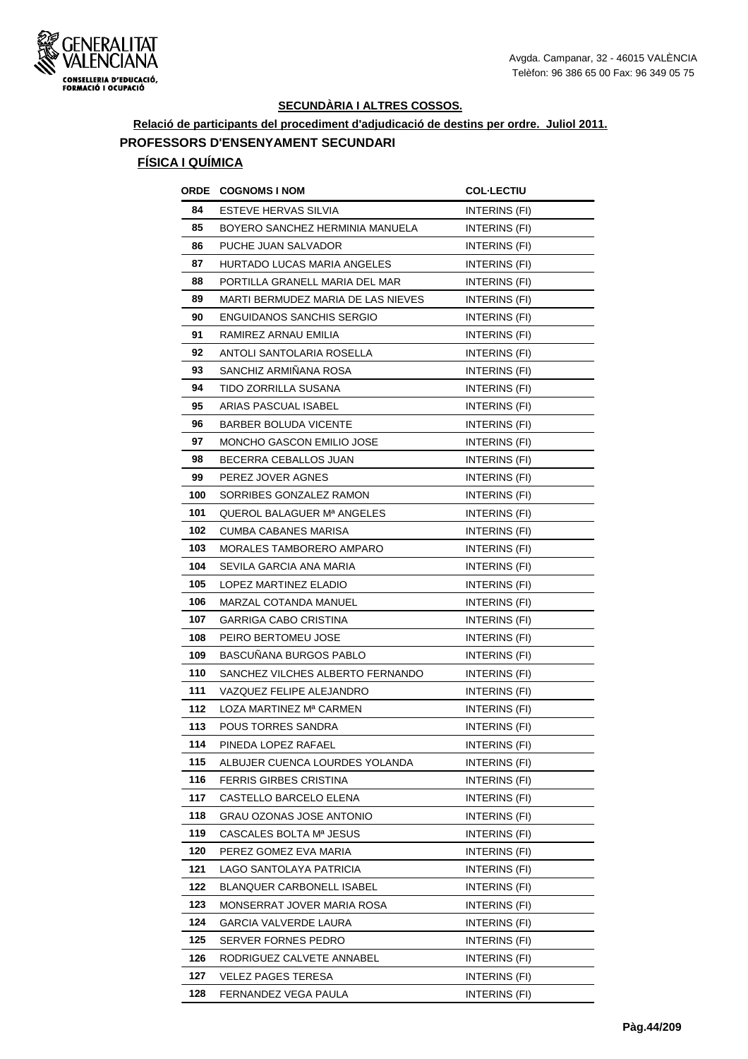

# **Relació de participants del procediment d'adjudicació de destins per ordre. Juliol 2011. PROFESSORS D'ENSENYAMENT SECUNDARI**

| ORDE | <b>COGNOMS I NOM</b>               | <b>COL·LECTIU</b>    |
|------|------------------------------------|----------------------|
| 84   | ESTEVE HERVAS SILVIA               | INTERINS (FI)        |
| 85   | BOYERO SANCHEZ HERMINIA MANUELA    | <b>INTERINS (FI)</b> |
| 86   | PUCHE JUAN SALVADOR                | INTERINS (FI)        |
| 87   | HURTADO LUCAS MARIA ANGELES        | INTERINS (FI)        |
| 88   | PORTILLA GRANELL MARIA DEL MAR     | <b>INTERINS (FI)</b> |
| 89   | MARTI BERMUDEZ MARIA DE LAS NIEVES | INTERINS (FI)        |
| 90   | ENGUIDANOS SANCHIS SERGIO          | INTERINS (FI)        |
| 91   | RAMIREZ ARNAU EMILIA               | INTERINS (FI)        |
| 92   | ANTOLI SANTOLARIA ROSELLA          | INTERINS (FI)        |
| 93   | SANCHIZ ARMIÑANA ROSA              | INTERINS (FI)        |
| 94   | TIDO ZORRILLA SUSANA               | INTERINS (FI)        |
| 95   | ARIAS PASCUAL ISABEL               | INTERINS (FI)        |
| 96   | <b>BARBER BOLUDA VICENTE</b>       | INTERINS (FI)        |
| 97   | MONCHO GASCON EMILIO JOSE          | INTERINS (FI)        |
| 98   | BECERRA CEBALLOS JUAN              | INTERINS (FI)        |
| 99   | PEREZ JOVER AGNES                  | INTERINS (FI)        |
| 100  | SORRIBES GONZALEZ RAMON            | INTERINS (FI)        |
| 101  | QUEROL BALAGUER Mª ANGELES         | INTERINS (FI)        |
| 102  | CUMBA CABANES MARISA               | INTERINS (FI)        |
| 103  | MORALES TAMBORERO AMPARO           | INTERINS (FI)        |
| 104  | SEVILA GARCIA ANA MARIA            | INTERINS (FI)        |
| 105  | LOPEZ MARTINEZ ELADIO              | INTERINS (FI)        |
| 106  | MARZAL COTANDA MANUEL              | INTERINS (FI)        |
| 107  | GARRIGA CABO CRISTINA              | INTERINS (FI)        |
| 108  | PEIRO BERTOMEU JOSE                | INTERINS (FI)        |
| 109  | BASCUNANA BURGOS PABLO             | INTERINS (FI)        |
| 110  | SANCHEZ VILCHES ALBERTO FERNANDO   | INTERINS (FI)        |
| 111  | VAZQUEZ FELIPE ALEJANDRO           | INTERINS (FI)        |
| 112  | LOZA MARTINEZ Mª CARMEN            | INTERINS (FI)        |
| 113  | <b>POUS TORRES SANDRA</b>          | INTERINS (FI)        |
| 114  | PINEDA LOPEZ RAFAEL                | INTERINS (FI)        |
| 115  | ALBUJER CUENCA LOURDES YOLANDA     | INTERINS (FI)        |
| 116  | FERRIS GIRBES CRISTINA             | INTERINS (FI)        |
| 117  | CASTELLO BARCELO ELENA             | INTERINS (FI)        |
| 118  | GRAU OZONAS JOSE ANTONIO           | INTERINS (FI)        |
| 119  | CASCALES BOLTA Mª JESUS            | INTERINS (FI)        |
| 120  | PEREZ GOMEZ EVA MARIA              | INTERINS (FI)        |
| 121  | LAGO SANTOLAYA PATRICIA            | INTERINS (FI)        |
| 122  | <b>BLANQUER CARBONELL ISABEL</b>   | INTERINS (FI)        |
| 123  | MONSERRAT JOVER MARIA ROSA         | INTERINS (FI)        |
| 124  | <b>GARCIA VALVERDE LAURA</b>       | INTERINS (FI)        |
| 125  | SERVER FORNES PEDRO                | INTERINS (FI)        |
| 126  | RODRIGUEZ CALVETE ANNABEL          | INTERINS (FI)        |
| 127  | VELEZ PAGES TERESA                 | INTERINS (FI)        |
| 128  | FERNANDEZ VEGA PAULA               | INTERINS (FI)        |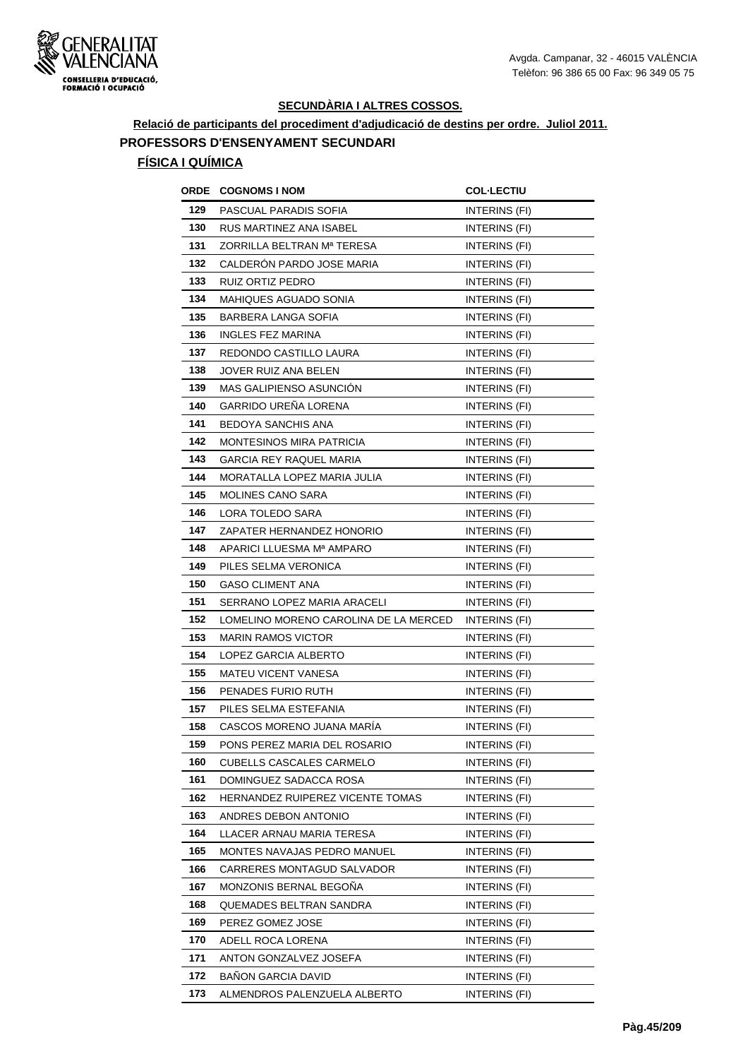

# **Relació de participants del procediment d'adjudicació de destins per ordre. Juliol 2011. PROFESSORS D'ENSENYAMENT SECUNDARI**

| ORDE | <b>COGNOMS I NOM</b>                  | <b>COL-LECTIU</b>    |
|------|---------------------------------------|----------------------|
| 129  | PASCUAL PARADIS SOFIA                 | INTERINS (FI)        |
| 130  | RUS MARTINEZ ANA ISABEL               | INTERINS (FI)        |
| 131  | ZORRILLA BELTRAN Mª TERESA            | INTERINS (FI)        |
| 132  | CALDERON PARDO JOSE MARIA             | INTERINS (FI)        |
| 133  | RUIZ ORTIZ PEDRO                      | INTERINS (FI)        |
| 134  | MAHIQUES AGUADO SONIA                 | INTERINS (FI)        |
| 135  | BARBERA LANGA SOFIA                   | <b>INTERINS (FI)</b> |
| 136  | <b>INGLES FEZ MARINA</b>              | INTERINS (FI)        |
| 137  | REDONDO CASTILLO LAURA                | INTERINS (FI)        |
| 138  | JOVER RUIZ ANA BELEN                  | INTERINS (FI)        |
| 139  | MAS GALIPIENSO ASUNCIÓN               | INTERINS (FI)        |
| 140  | <b>GARRIDO UREÑA LORENA</b>           | <b>INTERINS (FI)</b> |
| 141  | BEDOYA SANCHIS ANA                    | INTERINS (FI)        |
| 142  | <b>MONTESINOS MIRA PATRICIA</b>       | <b>INTERINS (FI)</b> |
| 143  | GARCIA REY RAQUEL MARIA               | <b>INTERINS (FI)</b> |
| 144  | MORATALLA LOPEZ MARIA JULIA           | INTERINS (FI)        |
| 145  | <b>MOLINES CANO SARA</b>              | INTERINS (FI)        |
| 146  | LORA TOLEDO SARA                      | INTERINS (FI)        |
| 147  | ZAPATER HERNANDEZ HONORIO             | INTERINS (FI)        |
| 148  | APARICI LLUESMA Mª AMPARO             | INTERINS (FI)        |
| 149  | PILES SELMA VERONICA                  | INTERINS (FI)        |
| 150  | <b>GASO CLIMENT ANA</b>               | INTERINS (FI)        |
| 151  | SERRANO LOPEZ MARIA ARACELI           | INTERINS (FI)        |
| 152  | LOMELINO MORENO CAROLINA DE LA MERCED | INTERINS (FI)        |
| 153  | <b>MARIN RAMOS VICTOR</b>             | INTERINS (FI)        |
| 154  | LOPEZ GARCIA ALBERTO                  | <b>INTERINS (FI)</b> |
| 155  | <b>MATEU VICENT VANESA</b>            | INTERINS (FI)        |
| 156  | PENADES FURIO RUTH                    | INTERINS (FI)        |
| 157  | PILES SELMA ESTEFANIA                 | INTERINS (FI)        |
| 158  | CASCOS MORENO JUANA MARÍA             | INTERINS (FI)        |
| 159  | PONS PEREZ MARIA DEL ROSARIO          | INTERINS (FI)        |
| 160  | <b>CUBELLS CASCALES CARMELO</b>       | INTERINS (FI)        |
| 161  | DOMINGUEZ SADACCA ROSA                | INTERINS (FI)        |
| 162  | HERNANDEZ RUIPEREZ VICENTE TOMAS      | INTERINS (FI)        |
| 163  | ANDRES DEBON ANTONIO                  | INTERINS (FI)        |
| 164  | LLACER ARNAU MARIA TERESA             | INTERINS (FI)        |
| 165  | MONTES NAVAJAS PEDRO MANUEL           | INTERINS (FI)        |
| 166  | CARRERES MONTAGUD SALVADOR            | INTERINS (FI)        |
| 167  | MONZONIS BERNAL BEGONA                | INTERINS (FI)        |
| 168  | QUEMADES BELTRAN SANDRA               | INTERINS (FI)        |
| 169  | PEREZ GOMEZ JOSE                      | INTERINS (FI)        |
| 170  | ADELL ROCA LORENA                     | INTERINS (FI)        |
| 171  | ANTON GONZALVEZ JOSEFA                | INTERINS (FI)        |
| 172  | <b>BAÑON GARCIA DAVID</b>             | INTERINS (FI)        |
| 173  | ALMENDROS PALENZUELA ALBERTO          | INTERINS (FI)        |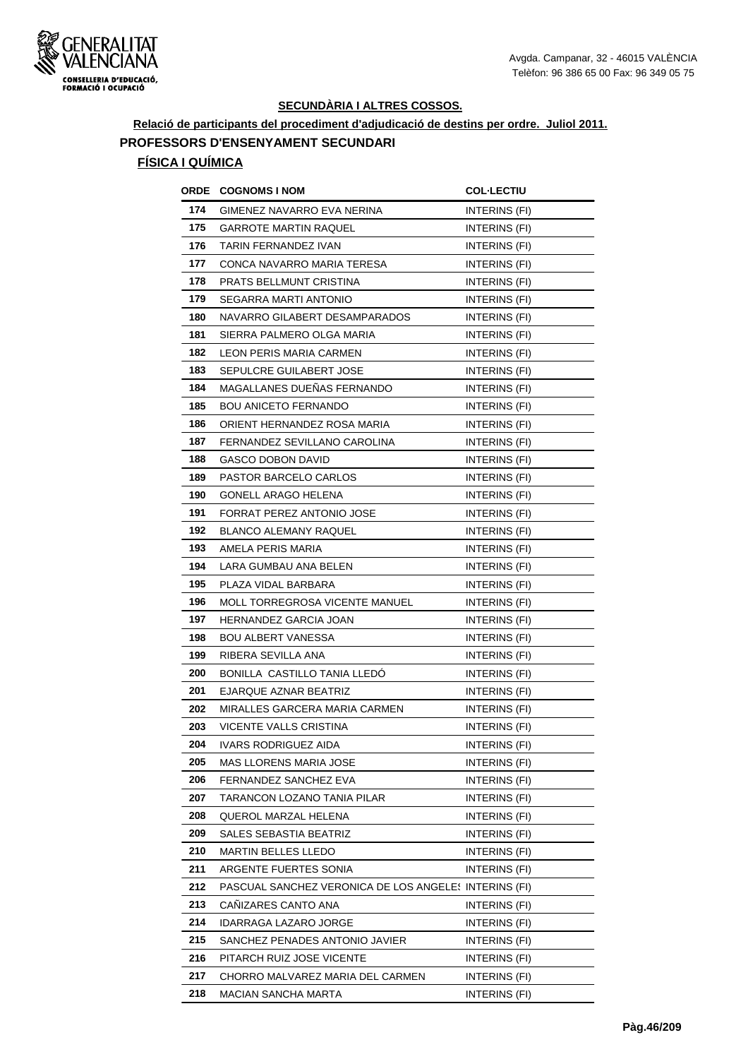

# **Relació de participants del procediment d'adjudicació de destins per ordre. Juliol 2011. PROFESSORS D'ENSENYAMENT SECUNDARI**

| ORDE | <b>COGNOMS I NOM</b>                                  | <b>COL-LECTIU</b>    |
|------|-------------------------------------------------------|----------------------|
| 174  | GIMENEZ NAVARRO EVA NERINA                            | INTERINS (FI)        |
| 175  | <b>GARROTE MARTIN RAQUEL</b>                          | <b>INTERINS (FI)</b> |
| 176  | TARIN FERNANDEZ IVAN                                  | INTERINS (FI)        |
| 177  | CONCA NAVARRO MARIA TERESA                            | <b>INTERINS (FI)</b> |
| 178  | PRATS BELLMUNT CRISTINA                               | INTERINS (FI)        |
| 179  | SEGARRA MARTI ANTONIO                                 | INTERINS (FI)        |
| 180  | NAVARRO GILABERT DESAMPARADOS                         | INTERINS (FI)        |
| 181  | SIERRA PALMERO OLGA MARIA                             | INTERINS (FI)        |
| 182  | <b>LEON PERIS MARIA CARMEN</b>                        | INTERINS (FI)        |
| 183  | SEPULCRE GUILABERT JOSE                               | INTERINS (FI)        |
| 184  | MAGALLANES DUEÑAS FERNANDO                            | <b>INTERINS (FI)</b> |
| 185  | <b>BOU ANICETO FERNANDO</b>                           | INTERINS (FI)        |
| 186  | ORIENT HERNANDEZ ROSA MARIA                           | INTERINS (FI)        |
| 187  | FERNANDEZ SEVILLANO CAROLINA                          | INTERINS (FI)        |
| 188  | GASCO DOBON DAVID                                     | INTERINS (FI)        |
| 189  | PASTOR BARCELO CARLOS                                 | <b>INTERINS (FI)</b> |
| 190  | <b>GONELL ARAGO HELENA</b>                            | INTERINS (FI)        |
| 191  | FORRAT PEREZ ANTONIO JOSE                             | INTERINS (FI)        |
| 192  | <b>BLANCO ALEMANY RAQUEL</b>                          | INTERINS (FI)        |
| 193  | AMELA PERIS MARIA                                     | INTERINS (FI)        |
| 194  | LARA GUMBAU ANA BELEN                                 | INTERINS (FI)        |
| 195  | PLAZA VIDAL BARBARA                                   | INTERINS (FI)        |
| 196  | MOLL TORREGROSA VICENTE MANUEL                        | INTERINS (FI)        |
| 197  | <b>HERNANDEZ GARCIA JOAN</b>                          | INTERINS (FI)        |
| 198  | <b>BOU ALBERT VANESSA</b>                             | INTERINS (FI)        |
| 199  | RIBERA SEVILLA ANA                                    | INTERINS (FI)        |
| 200  | BONILLA CASTILLO TANIA LLEDO                          | <b>INTERINS (FI)</b> |
| 201  | EJARQUE AZNAR BEATRIZ                                 | INTERINS (FI)        |
| 202  | MIRALLES GARCERA MARIA CARMEN                         | <b>INTERINS (FI)</b> |
| 203  | VICENTE VALLS CRISTINA                                | INTERINS (FI)        |
| 204  | IVARS RODRIGUEZ AIDA                                  | INTERINS (FI)        |
| 205  | MAS LLORENS MARIA JOSE                                | INTERINS (FI)        |
| 206  | FERNANDEZ SANCHEZ EVA                                 | INTERINS (FI)        |
| 207  | TARANCON LOZANO TANIA PILAR                           | INTERINS (FI)        |
| 208  | QUEROL MARZAL HELENA                                  | INTERINS (FI)        |
| 209  | SALES SEBASTIA BEATRIZ                                | INTERINS (FI)        |
| 210  | MARTIN BELLES LLEDO                                   | INTERINS (FI)        |
| 211  | ARGENTE FUERTES SONIA                                 | INTERINS (FI)        |
| 212  | PASCUAL SANCHEZ VERONICA DE LOS ANGELE: INTERINS (FI) |                      |
| 213  | CANIZARES CANTO ANA                                   | INTERINS (FI)        |
| 214  | IDARRAGA LAZARO JORGE                                 | INTERINS (FI)        |
| 215  | SANCHEZ PENADES ANTONIO JAVIER                        | INTERINS (FI)        |
| 216  | PITARCH RUIZ JOSE VICENTE                             | INTERINS (FI)        |
| 217  | CHORRO MALVAREZ MARIA DEL CARMEN                      | INTERINS (FI)        |
| 218  | MACIAN SANCHA MARTA                                   | INTERINS (FI)        |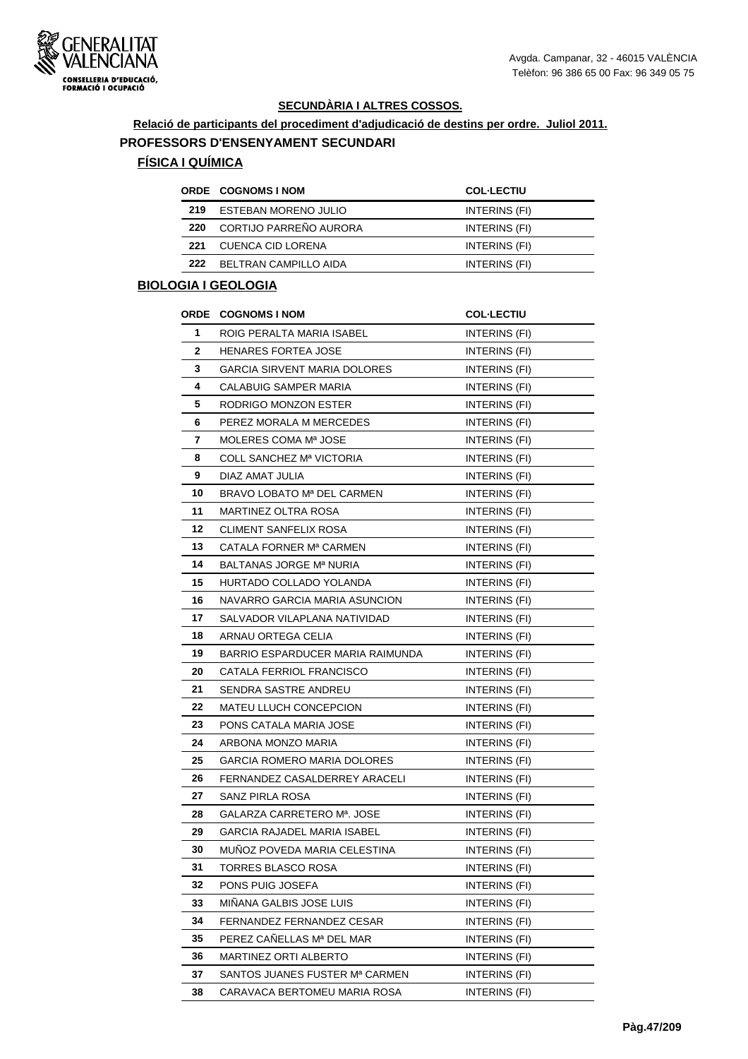

#### **Relació de participants del procediment d'adjudicació de destins per ordre. Juliol 2011.**

#### **PROFESSORS D'ENSENYAMENT SECUNDARI**

# **FÍSICA I QUÍMICA**

|     | <b>ORDE COGNOMS INOM</b> | <b>COL-LECTIU</b> |
|-----|--------------------------|-------------------|
| 219 | ESTEBAN MORENO JULIO     | INTERINS (FI)     |
| 220 | CORTIJO PARREÑO AURORA   | INTERINS (FI)     |
| 221 | CUENCA CID LORENA        | INTERINS (FI)     |
| 222 | BELTRAN CAMPILLO AIDA    | INTERINS (FI)     |

# **BIOLOGIA I GEOLOGIA**

|    | <b>ORDE COGNOMS INOM</b>         | <b>COL-LECTIU</b>    |
|----|----------------------------------|----------------------|
| 1  | ROIG PERALTA MARIA ISABEL        | INTERINS (FI)        |
| 2  | <b>HENARES FORTEA JOSE</b>       | INTERINS (FI)        |
| 3  | GARCIA SIRVENT MARIA DOLORES     | INTERINS (FI)        |
| 4  | CALABUIG SAMPER MARIA            | INTERINS (FI)        |
| 5  | RODRIGO MONZON ESTER             | INTERINS (FI)        |
| 6  | PEREZ MORALA M MERCEDES          | INTERINS (FI)        |
| 7  | MOLERES COMA Mª JOSE             | INTERINS (FI)        |
| 8  | COLL SANCHEZ Mª VICTORIA         | INTERINS (FI)        |
| 9  | DIAZ AMAT JULIA                  | INTERINS (FI)        |
| 10 | BRAVO LOBATO Mª DEL CARMEN       | INTERINS (FI)        |
| 11 | MARTINEZ OLTRA ROSA              | INTERINS (FI)        |
| 12 | CLIMENT SANFELIX ROSA            | INTERINS (FI)        |
| 13 | CATALA FORNER Mª CARMEN          | INTERINS (FI)        |
| 14 | BALTANAS JORGE Mª NURIA          | INTERINS (FI)        |
| 15 | HURTADO COLLADO YOLANDA          | INTERINS (FI)        |
| 16 | NAVARRO GARCIA MARIA ASUNCION    | INTERINS (FI)        |
| 17 | SALVADOR VILAPLANA NATIVIDAD     | INTERINS (FI)        |
| 18 | ARNAU ORTEGA CELIA               | INTERINS (FI)        |
| 19 | BARRIO ESPARDUCER MARIA RAIMUNDA | INTERINS (FI)        |
| 20 | CATALA FERRIOL FRANCISCO         | INTERINS (FI)        |
| 21 | SENDRA SASTRE ANDREU             | INTERINS (FI)        |
| 22 | MATEU LLUCH CONCEPCION           | INTERINS (FI)        |
| 23 | PONS CATALA MARIA JOSE           | INTERINS (FI)        |
| 24 | ARBONA MONZO MARIA               | INTERINS (FI)        |
| 25 | GARCIA ROMERO MARIA DOLORES      | INTERINS (FI)        |
| 26 | FERNANDEZ CASALDERREY ARACELI    | INTERINS (FI)        |
| 27 | SANZ PIRLA ROSA                  | INTERINS (FI)        |
| 28 | GALARZA CARRETERO Mª. JOSE       | INTERINS (FI)        |
| 29 | GARCIA RAJADEL MARIA ISABEL      | INTERINS (FI)        |
| 30 | MUNOZ POVEDA MARIA CELESTINA     | INTERINS (FI)        |
| 31 | TORRES BLASCO ROSA               | INTERINS (FI)        |
| 32 | PONS PUIG JOSEFA                 | INTERINS (FI)        |
| 33 | MIÑANA GALBIS JOSE LUIS          | INTERINS (FI)        |
| 34 | <b>FERNANDEZ FERNANDEZ CESAR</b> | INTERINS (FI)        |
| 35 | PEREZ CAÑELLAS Mª DEL MAR        | INTERINS (FI)        |
| 36 | MARTINEZ ORTI ALBERTO            | INTERINS (FI)        |
| 37 | SANTOS JUANES FUSTER Mª CARMEN   | <b>INTERINS (FI)</b> |
| 38 | CARAVACA BERTOMEU MARIA ROSA     | INTERINS (FI)        |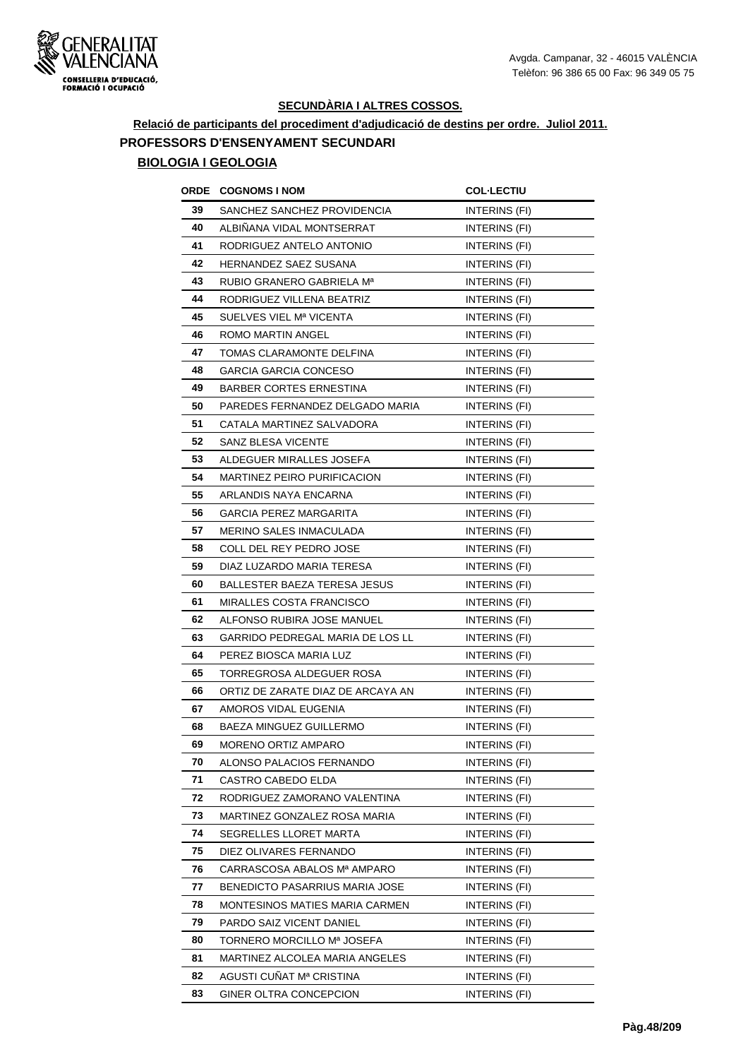

# **Relació de participants del procediment d'adjudicació de destins per ordre. Juliol 2011. PROFESSORS D'ENSENYAMENT SECUNDARI BIOLOGIA I GEOLOGIA**

|    | <b>ORDE COGNOMS INOM</b>          | <b>COL·LECTIU</b>    |
|----|-----------------------------------|----------------------|
| 39 | SANCHEZ SANCHEZ PROVIDENCIA       | INTERINS (FI)        |
| 40 | ALBIÑANA VIDAL MONTSERRAT         | INTERINS (FI)        |
| 41 | RODRIGUEZ ANTELO ANTONIO          | INTERINS (FI)        |
| 42 | <b>HERNANDEZ SAEZ SUSANA</b>      | INTERINS (FI)        |
| 43 | RUBIO GRANERO GABRIELA Mª         | INTERINS (FI)        |
| 44 | RODRIGUEZ VILLENA BEATRIZ         | INTERINS (FI)        |
| 45 | SUELVES VIEL Mª VICENTA           | INTERINS (FI)        |
| 46 | ROMO MARTIN ANGEL                 | <b>INTERINS (FI)</b> |
| 47 | TOMAS CLARAMONTE DELFINA          | INTERINS (FI)        |
| 48 | GARCIA GARCIA CONCESO             | INTERINS (FI)        |
| 49 | <b>BARBER CORTES ERNESTINA</b>    | INTERINS (FI)        |
| 50 | PAREDES FERNANDEZ DELGADO MARIA   | INTERINS (FI)        |
| 51 | CATALA MARTINEZ SALVADORA         | INTERINS (FI)        |
| 52 | SANZ BLESA VICENTE                | INTERINS (FI)        |
| 53 | ALDEGUER MIRALLES JOSEFA          | INTERINS (FI)        |
| 54 | MARTINEZ PEIRO PURIFICACION       | INTERINS (FI)        |
| 55 | ARLANDIS NAYA ENCARNA             | INTERINS (FI)        |
| 56 | <b>GARCIA PEREZ MARGARITA</b>     | INTERINS (FI)        |
| 57 | MERINO SALES INMACULADA           | INTERINS (FI)        |
| 58 | COLL DEL REY PEDRO JOSE           | INTERINS (FI)        |
| 59 | DIAZ LUZARDO MARIA TERESA         | INTERINS (FI)        |
| 60 | BALLESTER BAEZA TERESA JESUS      | INTERINS (FI)        |
| 61 | MIRALLES COSTA FRANCISCO          | INTERINS (FI)        |
| 62 | ALFONSO RUBIRA JOSE MANUEL        | INTERINS (FI)        |
| 63 | GARRIDO PEDREGAL MARIA DE LOS LL  | INTERINS (FI)        |
| 64 | PEREZ BIOSCA MARIA LUZ            | INTERINS (FI)        |
| 65 | TORREGROSA ALDEGUER ROSA          | INTERINS (FI)        |
| 66 | ORTIZ DE ZARATE DIAZ DE ARCAYA AN | INTERINS (FI)        |
| 67 | AMOROS VIDAL EUGENIA              | <b>INTERINS (FI)</b> |
| 68 | BAEZA MINGUEZ GUILLERMO           | INTERINS (FI)        |
| 69 | MORENO ORTIZ AMPARO               | INTERINS (FI)        |
| 70 | ALONSO PALACIOS FERNANDO          | INTERINS (FI)        |
| 71 | CASTRO CABEDO ELDA                | INTERINS (FI)        |
| 72 | RODRIGUEZ ZAMORANO VALENTINA      | INTERINS (FI)        |
| 73 | MARTINEZ GONZALEZ ROSA MARIA      | INTERINS (FI)        |
| 74 | SEGRELLES LLORET MARTA            | INTERINS (FI)        |
| 75 | DIEZ OLIVARES FERNANDO            | INTERINS (FI)        |
| 76 | CARRASCOSA ABALOS Mª AMPARO       | INTERINS (FI)        |
| 77 | BENEDICTO PASARRIUS MARIA JOSE    | INTERINS (FI)        |
| 78 | MONTESINOS MATIES MARIA CARMEN    | INTERINS (FI)        |
| 79 | PARDO SAIZ VICENT DANIEL          | INTERINS (FI)        |
| 80 | TORNERO MORCILLO Mª JOSEFA        | INTERINS (FI)        |
| 81 | MARTINEZ ALCOLEA MARIA ANGELES    | INTERINS (FI)        |
| 82 | AGUSTI CUÑAT Mª CRISTINA          | INTERINS (FI)        |
| 83 | GINER OLTRA CONCEPCION            | INTERINS (FI)        |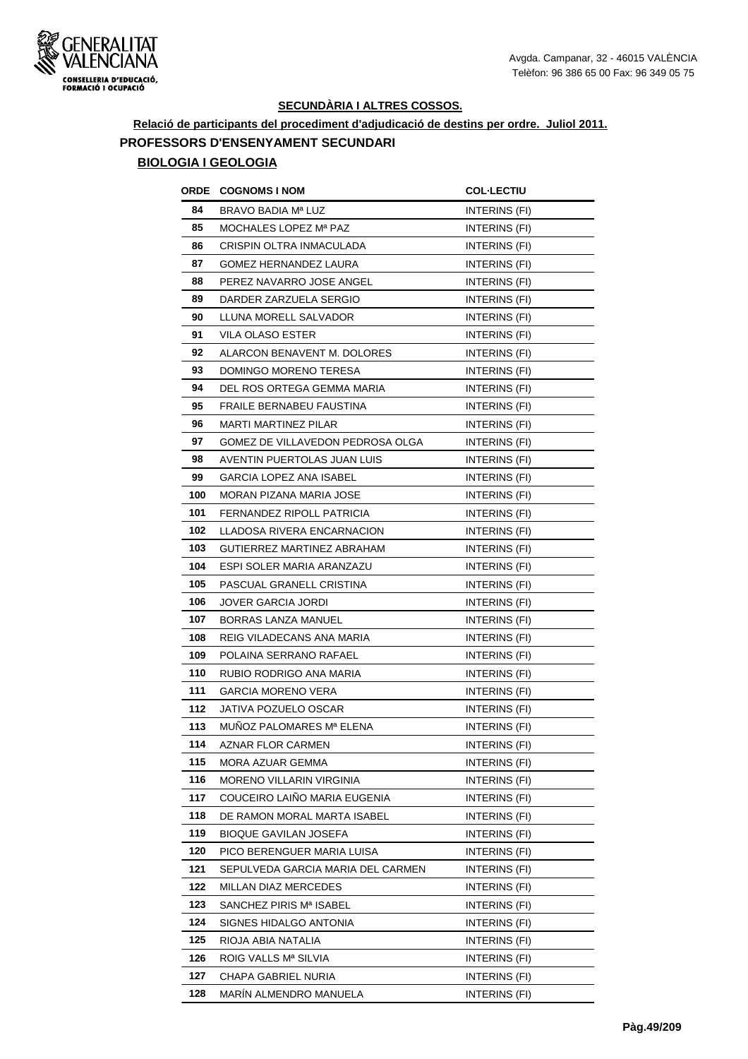

# **Relació de participants del procediment d'adjudicació de destins per ordre. Juliol 2011. PROFESSORS D'ENSENYAMENT SECUNDARI BIOLOGIA I GEOLOGIA**

|     | <b>ORDE COGNOMS INOM</b>          | <b>COL-LECTIU</b>    |
|-----|-----------------------------------|----------------------|
| 84  | BRAVO BADIA Mª LUZ                | INTERINS (FI)        |
| 85  | MOCHALES LOPEZ Mª PAZ             | INTERINS (FI)        |
| 86  | CRISPIN OLTRA INMACULADA          | INTERINS (FI)        |
| 87  | <b>GOMEZ HERNANDEZ LAURA</b>      | INTERINS (FI)        |
| 88  | PEREZ NAVARRO JOSE ANGEL          | INTERINS (FI)        |
| 89  | DARDER ZARZUELA SERGIO            | INTERINS (FI)        |
| 90  | LLUNA MORELL SALVADOR             | INTERINS (FI)        |
| 91  | VILA OLASO ESTER                  | INTERINS (FI)        |
| 92  | ALARCON BENAVENT M. DOLORES       | INTERINS (FI)        |
| 93  | DOMINGO MORENO TERESA             | INTERINS (FI)        |
| 94  | DEL ROS ORTEGA GEMMA MARIA        | INTERINS (FI)        |
| 95  | FRAILE BERNABEU FAUSTINA          | INTERINS (FI)        |
| 96  | MARTI MARTINEZ PILAR              | INTERINS (FI)        |
| 97  | GOMEZ DE VILLAVEDON PEDROSA OLGA  | INTERINS (FI)        |
| 98  | AVENTIN PUERTOLAS JUAN LUIS       | INTERINS (FI)        |
| 99  | <b>GARCIA LOPEZ ANA ISABEL</b>    | INTERINS (FI)        |
| 100 | MORAN PIZANA MARIA JOSE           | INTERINS (FI)        |
| 101 | FERNANDEZ RIPOLL PATRICIA         | INTERINS (FI)        |
| 102 | LLADOSA RIVERA ENCARNACION        | INTERINS (FI)        |
| 103 | GUTIERREZ MARTINEZ ABRAHAM        | INTERINS (FI)        |
| 104 | ESPI SOLER MARIA ARANZAZU         | INTERINS (FI)        |
| 105 | PASCUAL GRANELL CRISTINA          | INTERINS (FI)        |
| 106 | JOVER GARCIA JORDI                | INTERINS (FI)        |
| 107 | BORRAS LANZA MANUEL               | INTERINS (FI)        |
| 108 | REIG VILADECANS ANA MARIA         | <b>INTERINS (FI)</b> |
| 109 | POLAINA SERRANO RAFAEL            | INTERINS (FI)        |
| 110 | RUBIO RODRIGO ANA MARIA           | INTERINS (FI)        |
| 111 | <b>GARCIA MORENO VERA</b>         | INTERINS (FI)        |
| 112 | JATIVA POZUELO OSCAR              | INTERINS (FI)        |
| 113 | MUNOZ PALOMARES Mª ELENA          | INTERINS (FI)        |
| 114 | AZNAR FLOR CARMEN                 | INTERINS (FI)        |
| 115 | MORA AZUAR GEMMA                  | INTERINS (FI)        |
| 116 | <b>MORENO VILLARIN VIRGINIA</b>   | INTERINS (FI)        |
| 117 | COUCEIRO LAIÑO MARIA EUGENIA      | <b>INTERINS (FI)</b> |
| 118 | DE RAMON MORAL MARTA ISABEL       | INTERINS (FI)        |
| 119 | <b>BIOQUE GAVILAN JOSEFA</b>      | INTERINS (FI)        |
| 120 | PICO BERENGUER MARIA LUISA        | INTERINS (FI)        |
| 121 | SEPULVEDA GARCIA MARIA DEL CARMEN | INTERINS (FI)        |
| 122 | MILLAN DIAZ MERCEDES              | INTERINS (FI)        |
| 123 | SANCHEZ PIRIS Mª ISABEL           | INTERINS (FI)        |
| 124 | SIGNES HIDALGO ANTONIA            | INTERINS (FI)        |
| 125 | RIOJA ABIA NATALIA                | INTERINS (FI)        |
| 126 | ROIG VALLS Mª SILVIA              | <b>INTERINS (FI)</b> |
| 127 | CHAPA GABRIEL NURIA               | INTERINS (FI)        |
| 128 | MARÍN ALMENDRO MANUELA            | INTERINS (FI)        |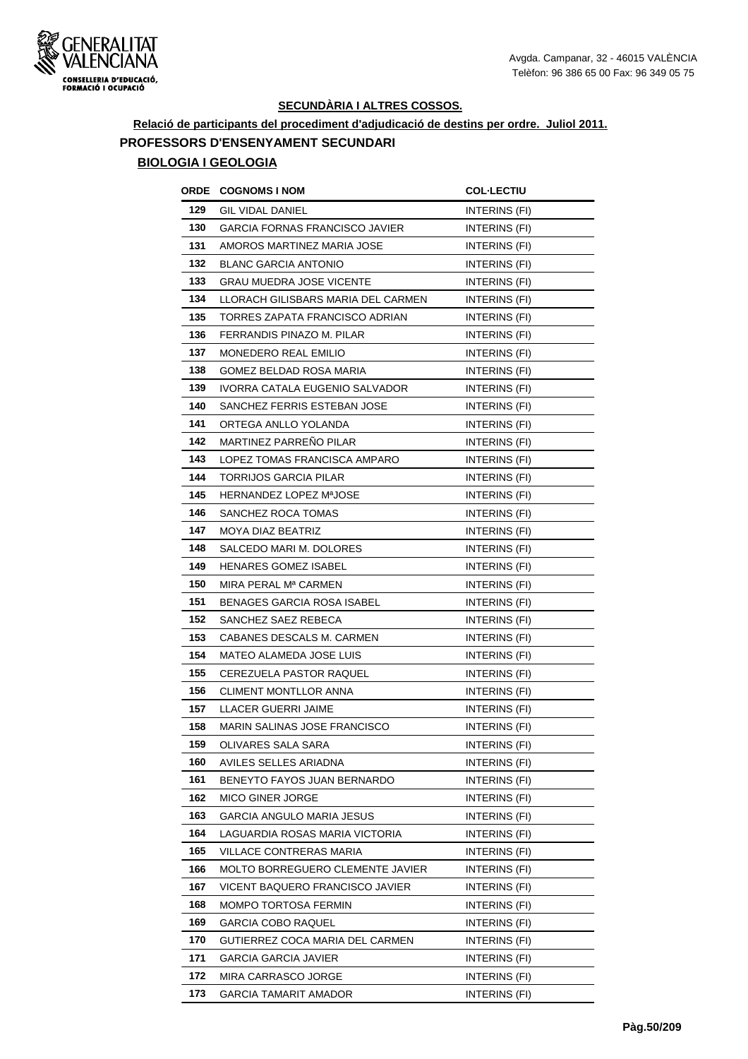

# **Relació de participants del procediment d'adjudicació de destins per ordre. Juliol 2011. PROFESSORS D'ENSENYAMENT SECUNDARI BIOLOGIA I GEOLOGIA**

|     | ORDE COGNOMS I NOM                  | <b>COL-LECTIU</b>    |
|-----|-------------------------------------|----------------------|
| 129 | <b>GIL VIDAL DANIEL</b>             | INTERINS (FI)        |
| 130 | GARCIA FORNAS FRANCISCO JAVIER      | <b>INTERINS (FI)</b> |
| 131 | AMOROS MARTINEZ MARIA JOSE          | INTERINS (FI)        |
| 132 | <b>BLANC GARCIA ANTONIO</b>         | <b>INTERINS (FI)</b> |
| 133 | GRAU MUEDRA JOSE VICENTE            | INTERINS (FI)        |
| 134 | LLORACH GILISBARS MARIA DEL CARMEN  | <b>INTERINS (FI)</b> |
| 135 | TORRES ZAPATA FRANCISCO ADRIAN      | INTERINS (FI)        |
| 136 | FERRANDIS PINAZO M. PILAR           | <b>INTERINS (FI)</b> |
| 137 | <b>MONEDERO REAL EMILIO</b>         | INTERINS (FI)        |
| 138 | GOMEZ BELDAD ROSA MARIA             | INTERINS (FI)        |
| 139 | IVORRA CATALA EUGENIO SALVADOR      | <b>INTERINS (FI)</b> |
| 140 | SANCHEZ FERRIS ESTEBAN JOSE         | INTERINS (FI)        |
| 141 | ORTEGA ANLLO YOLANDA                | <b>INTERINS (FI)</b> |
| 142 | <b>MARTINEZ PARRENO PILAR</b>       | INTERINS (FI)        |
| 143 | LOPEZ TOMAS FRANCISCA AMPARO        | INTERINS (FI)        |
| 144 | TORRIJOS GARCIA PILAR               | INTERINS (FI)        |
| 145 | HERNANDEZ LOPEZ MªJOSE              | INTERINS (FI)        |
| 146 | SANCHEZ ROCA TOMAS                  | INTERINS (FI)        |
| 147 | <b>MOYA DIAZ BEATRIZ</b>            | INTERINS (FI)        |
| 148 | SALCEDO MARI M. DOLORES             | <b>INTERINS (FI)</b> |
| 149 | <b>HENARES GOMEZ ISABEL</b>         | INTERINS (FI)        |
| 150 | MIRA PERAL Mª CARMEN                | INTERINS (FI)        |
| 151 | BENAGES GARCIA ROSA ISABEL          | INTERINS (FI)        |
| 152 | SANCHEZ SAEZ REBECA                 | INTERINS (FI)        |
| 153 | CABANES DESCALS M. CARMEN           | <b>INTERINS (FI)</b> |
| 154 | MATEO ALAMEDA JOSE LUIS             | INTERINS (FI)        |
| 155 | <b>CEREZUELA PASTOR RAQUEL</b>      | INTERINS (FI)        |
| 156 | <b>CLIMENT MONTLLOR ANNA</b>        | INTERINS (FI)        |
| 157 | LLACER GUERRI JAIME                 | INTERINS (FI)        |
| 158 | <b>MARIN SALINAS JOSE FRANCISCO</b> | INTERINS (FI)        |
| 159 | OLIVARES SALA SARA                  | INTERINS (FI)        |
| 160 | AVILES SELLES ARIADNA               | INTERINS (FI)        |
| 161 | BENEYTO FAYOS JUAN BERNARDO         | INTERINS (FI)        |
| 162 | <b>MICO GINER JORGE</b>             | INTERINS (FI)        |
| 163 | GARCIA ANGULO MARIA JESUS           | INTERINS (FI)        |
| 164 | LAGUARDIA ROSAS MARIA VICTORIA      | INTERINS (FI)        |
| 165 | VILLACE CONTRERAS MARIA             | INTERINS (FI)        |
| 166 | MOLTO BORREGUERO CLEMENTE JAVIER    | <b>INTERINS (FI)</b> |
| 167 | VICENT BAQUERO FRANCISCO JAVIER     | INTERINS (FI)        |
| 168 | MOMPO TORTOSA FERMIN                | INTERINS (FI)        |
| 169 | GARCIA COBO RAQUEL                  | INTERINS (FI)        |
| 170 | GUTIERREZ COCA MARIA DEL CARMEN     | INTERINS (FI)        |
| 171 | <b>GARCIA GARCIA JAVIER</b>         | INTERINS (FI)        |
| 172 | MIRA CARRASCO JORGE                 | INTERINS (FI)        |
| 173 | <b>GARCIA TAMARIT AMADOR</b>        | INTERINS (FI)        |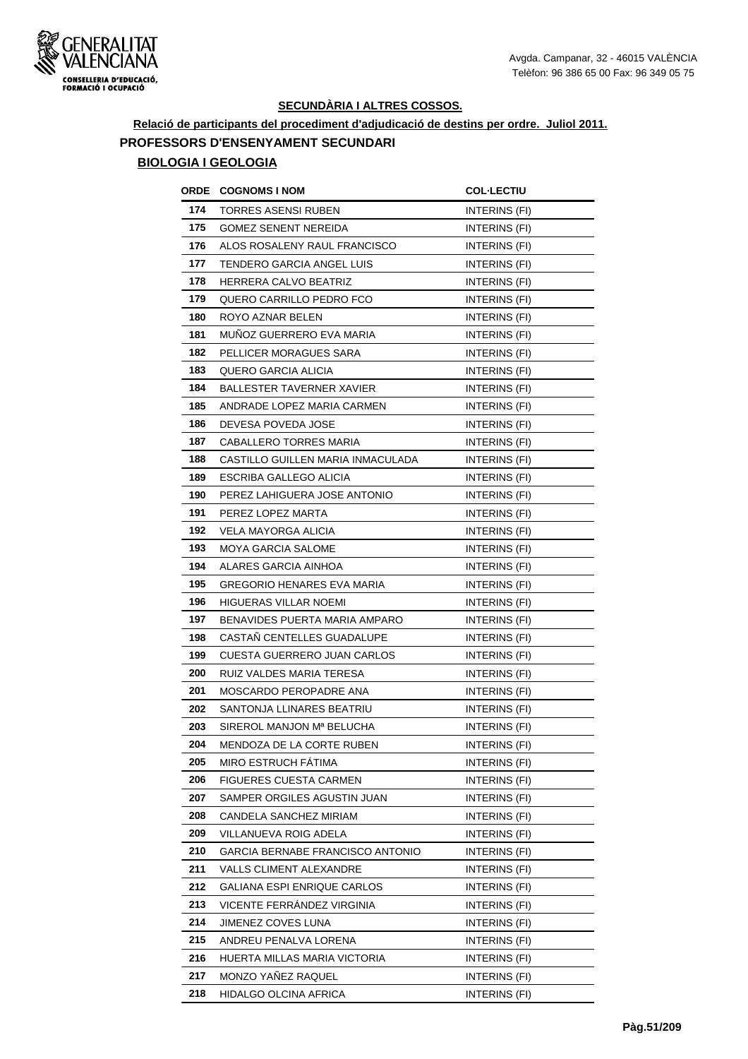

# **Relació de participants del procediment d'adjudicació de destins per ordre. Juliol 2011. PROFESSORS D'ENSENYAMENT SECUNDARI**

# **BIOLOGIA I GEOLOGIA**

| ORDE | <b>COGNOMS I NOM</b>              | <b>COL-LECTIU</b>    |
|------|-----------------------------------|----------------------|
| 174  | TORRES ASENSI RUBEN               | INTERINS (FI)        |
| 175  | <b>GOMEZ SENENT NEREIDA</b>       | <b>INTERINS (FI)</b> |
| 176  | ALOS ROSALENY RAUL FRANCISCO      | INTERINS (FI)        |
| 177  | TENDERO GARCIA ANGEL LUIS         | INTERINS (FI)        |
| 178  | HERRERA CALVO BEATRIZ             | INTERINS (FI)        |
| 179  | QUERO CARRILLO PEDRO FCO          | INTERINS (FI)        |
| 180  | ROYO AZNAR BELEN                  | INTERINS (FI)        |
| 181  | MUNOZ GUERRERO EVA MARIA          | INTERINS (FI)        |
| 182  | PELLICER MORAGUES SARA            | <b>INTERINS (FI)</b> |
| 183  | QUERO GARCIA ALICIA               | INTERINS (FI)        |
| 184  | <b>BALLESTER TAVERNER XAVIER</b>  | INTERINS (FI)        |
| 185  | ANDRADE LOPEZ MARIA CARMEN        | INTERINS (FI)        |
| 186  | DEVESA POVEDA JOSE                | INTERINS (FI)        |
| 187  | CABALLERO TORRES MARIA            | INTERINS (FI)        |
| 188  | CASTILLO GUILLEN MARIA INMACULADA | INTERINS (FI)        |
| 189  | ESCRIBA GALLEGO ALICIA            | INTERINS (FI)        |
| 190  | PEREZ LAHIGUERA JOSE ANTONIO      | INTERINS (FI)        |
| 191  | PEREZ LOPEZ MARTA                 | INTERINS (FI)        |
| 192  | VELA MAYORGA ALICIA               | INTERINS (FI)        |
| 193  | <b>MOYA GARCIA SALOME</b>         | INTERINS (FI)        |
| 194  | ALARES GARCIA AINHOA              | INTERINS (FI)        |
| 195  | GREGORIO HENARES EVA MARIA        | INTERINS (FI)        |
| 196  | HIGUERAS VILLAR NOEMI             | INTERINS (FI)        |
| 197  | BENAVIDES PUERTA MARIA AMPARO     | <b>INTERINS (FI)</b> |
| 198  | CASTAÑ CENTELLES GUADALUPE        | INTERINS (FI)        |
| 199  | CUESTA GUERRERO JUAN CARLOS       | <b>INTERINS (FI)</b> |
| 200  | RUIZ VALDES MARIA TERESA          | INTERINS (FI)        |
| 201  | MOSCARDO PEROPADRE ANA            | INTERINS (FI)        |
| 202  | SANTONJA LLINARES BEATRIU         | INTERINS (FI)        |
| 203  | SIREROL MANJON Mª BELUCHA         | INTERINS (FI)        |
| 204  | MENDOZA DE LA CORTE RUBEN         | INTERINS (FI)        |
| 205  | MIRO ESTRUCH FATIMA               | INTERINS (FI)        |
| 206  | <b>FIGUERES CUESTA CARMEN</b>     | <b>INTERINS (FI)</b> |
| 207  | SAMPER ORGILES AGUSTIN JUAN       | INTERINS (FI)        |
| 208  | CANDELA SANCHEZ MIRIAM            | INTERINS (FI)        |
| 209  | VILLANUEVA ROIG ADELA             | INTERINS (FI)        |
| 210  | GARCIA BERNABE FRANCISCO ANTONIO  | INTERINS (FI)        |
| 211  | VALLS CLIMENT ALEXANDRE           | INTERINS (FI)        |
| 212  | GALIANA ESPI ENRIQUE CARLOS       | INTERINS (FI)        |
| 213  | VICENTE FERRANDEZ VIRGINIA        | INTERINS (FI)        |
| 214  | JIMENEZ COVES LUNA                | INTERINS (FI)        |
| 215  | ANDREU PENALVA LORENA             | INTERINS (FI)        |
| 216  | HUERTA MILLAS MARIA VICTORIA      | INTERINS (FI)        |
| 217  | MONZO YAÑEZ RAQUEL                | INTERINS (FI)        |
| 218  | HIDALGO OLCINA AFRICA             | INTERINS (FI)        |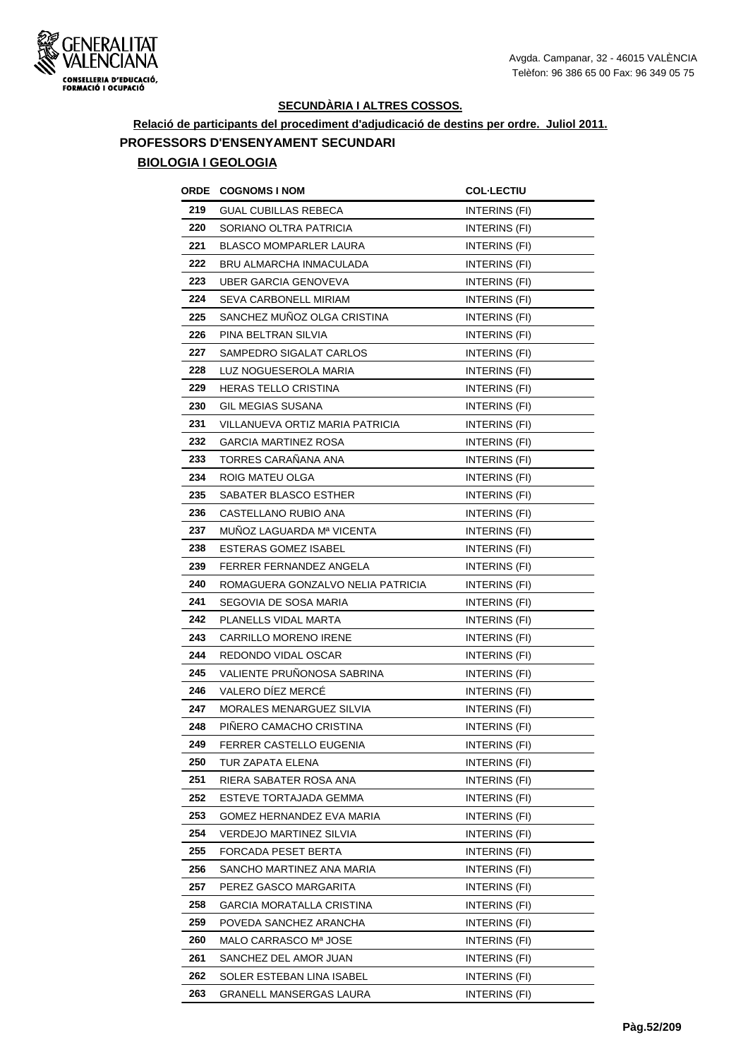

## **Relació de participants del procediment d'adjudicació de destins per ordre. Juliol 2011. PROFESSORS D'ENSENYAMENT SECUNDARI BIOLOGIA I GEOLOGIA**

# **ORDE COGNOMS I NOM COL·LECTIU 219 GUAL CUBILLAS REBECA INTERINS (FI) 220 SORIANO OLTRA PATRICIA INTERINS** (FI) **221 BLASCO MOMPARLER LAURA** INTERINS (FI) **222 BRU ALMARCHA INMACULADA INTERINS** (FI) **223** UBER GARCIA GENOVEVA **INTERINS** (FI) **224** SEVA CARBONELL MIRIAM **INTERINS** (FI) **225** SANCHEZ MUÑOZ OLGA CRISTINA INTERINS (FI) **226** PINA BELTRAN SILVIA **INTERINS** (FI) **227 SAMPEDRO SIGALAT CARLOS** INTERINS (FI) **228 LUZ NOGUESEROLA MARIA INTERINS** (FI) **229 HERAS TELLO CRISTINA INTERINS** (FI) **230** GIL MEGIAS SUSANA **INTERINS** (FI) 231 VILLANUEVA ORTIZ MARIA PATRICIA **INTERINS** (FI) **232** GARCIA MARTINEZ ROSA **INTERINS** (FI) **233** TORRES CARAÑANA ANA INTERINS (FI) **234** ROIG MATEU OLGA **INTERINS** (FI) **235** SABATER BLASCO ESTHER **INTERINS** (FI) **236** CASTELLANO RUBIO ANA **INTERINS** (FI) **237** MUÑOZ LAGUARDA Mª VICENTA **INTERINS** (FI) **238** ESTERAS GOMEZ ISABEL **INTERINS** (FI) **239 FERRER FERNANDEZ ANGELA** INTERINS (FI) **240** ROMAGUERA GONZALVO NELIA PATRICIA INTERINS (FI) **241 SEGOVIA DE SOSA MARIA INTERINS** (FI) **242** PLANELLS VIDAL MARTA INTERINS (FI) **243** CARRILLO MORENO IRENE INTERINS (FI) **244** REDONDO VIDAL OSCAR INTERINS (FI) **245** VALIENTE PRUÑONOSA SABRINA INTERINS (FI) **246** VALERO DÍEZ MERCÉ INTERINS (FI) **247** MORALES MENARGUEZ SILVIA **INTERINS** (FI) **248 PIÑERO CAMACHO CRISTINA INTERINS (FI) 249 FERRER CASTELLO EUGENIA** INTERINS (FI) **250** TUR ZAPATA ELENA **INTERINS** (FI) **251 RIERA SABATER ROSA ANA** INTERINS (FI) **252 ESTEVE TORTAJADA GEMMA** INTERINS (FI) **253** GOMEZ HERNANDEZ EVA MARIA **INTERINS** (FI) **254** VERDEJO MARTINEZ SILVIA **INTERINS** (FI) **255** FORCADA PESET BERTA INTERINS (FI) **256** SANCHO MARTINEZ ANA MARIA **INTERINS** (FI) **257** PEREZ GASCO MARGARITA **INTERINS** (FI) **258** GARCIA MORATALLA CRISTINA **INTERINS** (FI) **259 POVEDA SANCHEZ ARANCHA** INTERINS (FI) **260** MALO CARRASCO M<sup>ª</sup> JOSE INTERINS (FI)

**261** SANCHEZ DEL AMOR JUAN **INTERINS** (FI) **262** SOLER ESTEBAN LINA ISABEL INTERINS (FI) **263** GRANELL MANSERGAS LAURA INTERINS (FI)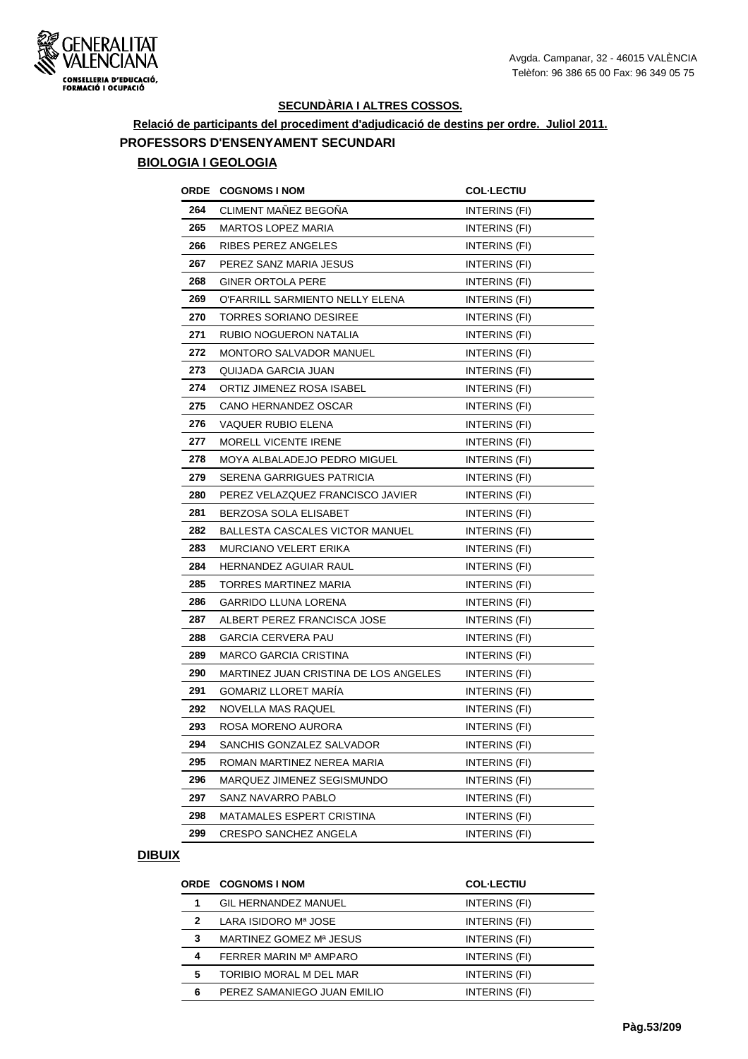

## **Relació de participants del procediment d'adjudicació de destins per ordre. Juliol 2011. PROFESSORS D'ENSENYAMENT SECUNDARI BIOLOGIA I GEOLOGIA**

# **ORDE COGNOMS I NOM COL·LECTIU**  CLIMENT MAÑEZ BEGOÑA INTERINS (FI) MARTOS LOPEZ MARIA **INTERINS** (FI) RIBES PEREZ ANGELES **INTERINS** (FI) PEREZ SANZ MARIA JESUS **INTERINS** (FI) GINER ORTOLA PERE INTERINS (FI) 269 O'FARRILL SARMIENTO NELLY ELENA INTERINS (FI) **270 TORRES SORIANO DESIREE** INTERINS (FI) **271 RUBIO NOGUERON NATALIA INTERINS** (FI) **272 MONTORO SALVADOR MANUEL INTERINS (FI)**  QUIJADA GARCIA JUAN **INTERINS** (FI) ORTIZ JIMENEZ ROSA ISABEL **INTERINS** (FI) CANO HERNANDEZ OSCAR INTERINS (FI) VAQUER RUBIO ELENA **INTERINS** (FI) MORELL VICENTE IRENE **INTERINS** (FI) 278 MOYA ALBALADEJO PEDRO MIGUEL **INTERINS** (FI) SERENA GARRIGUES PATRICIA **INTERINS** (FI) PEREZ VELAZQUEZ FRANCISCO JAVIER INTERINS (FI) **281 BERZOSA SOLA ELISABET INTERINS (FI)**  BALLESTA CASCALES VICTOR MANUEL INTERINS (FI) MURCIANO VELERT ERIKA INTERINS (FI) **284 HERNANDEZ AGUIAR RAUL INTERINS (FI)**  TORRES MARTINEZ MARIA **INTERINS** (FI) GARRIDO LLUNA LORENA **INTERINS** (FI) 287 ALBERT PEREZ FRANCISCA JOSE **INTERINS** (FI) GARCIA CERVERA PAU **INTERINS** (FI) **289 MARCO GARCIA CRISTINA** INTERINS (FI) 290 MARTINEZ JUAN CRISTINA DE LOS ANGELES INTERINS (FI) GOMARIZ LLORET MARÍA **INTERINS** (FI) NOVELLA MAS RAQUEL **INTERINS** (FI) ROSA MORENO AURORA **INTERINS** (FI) SANCHIS GONZALEZ SALVADOR INTERINS (FI) ROMAN MARTINEZ NEREA MARIA **INTERINS** (FI) MARQUEZ JIMENEZ SEGISMUNDO INTERINS (FI) SANZ NAVARRO PABLO **INTERINS** (FI) MATAMALES ESPERT CRISTINA INTERINS (FI) CRESPO SANCHEZ ANGELA INTERINS (FI)

|              | ORDE COGNOMS I NOM          | <b>COL-LECTIU</b> |
|--------------|-----------------------------|-------------------|
|              | <b>GIL HERNANDEZ MANUEL</b> | INTERINS (FI)     |
| $\mathbf{2}$ | LARA ISIDORO Mª JOSE        | INTERINS (FI)     |
| 3            | MARTINEZ GOMEZ Mª JESUS     | INTERINS (FI)     |
| 4            | FERRER MARIN Mª AMPARO      | INTERINS (FI)     |
| 5            | TORIBIO MORAL M DEL MAR     | INTERINS (FI)     |
| 6            | PEREZ SAMANIEGO JUAN EMILIO | INTERINS (FI)     |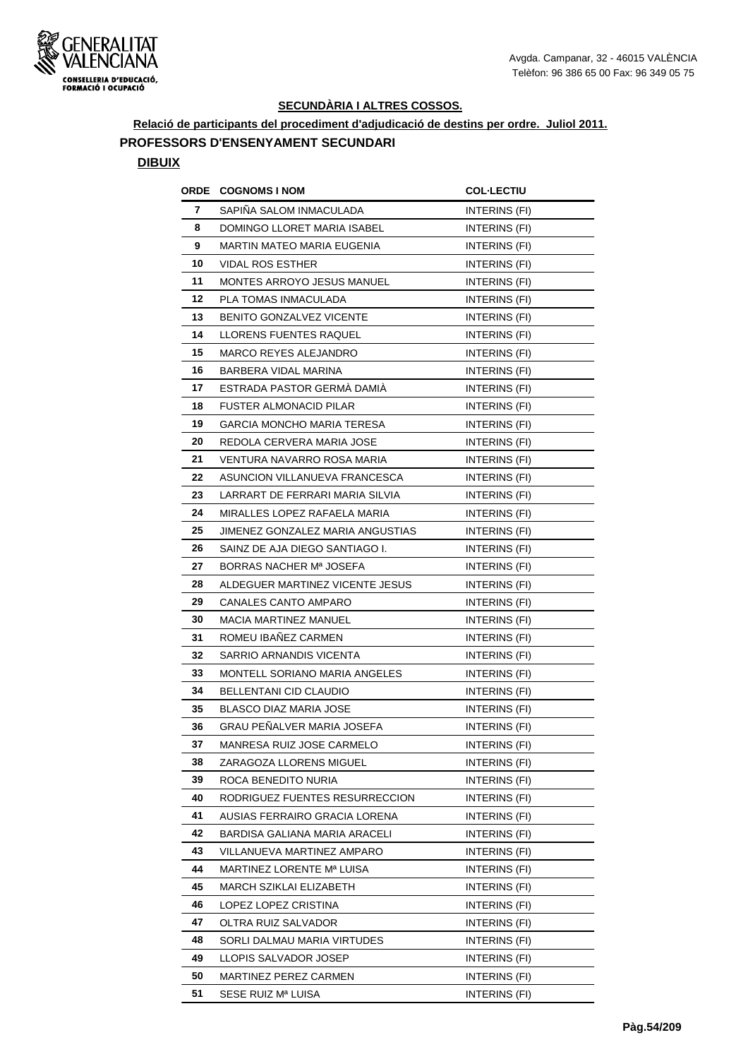

**Relació de participants del procediment d'adjudicació de destins per ordre. Juliol 2011.**

#### **PROFESSORS D'ENSENYAMENT SECUNDARI**

| ORDE | <b>COGNOMS I NOM</b>             | <b>COL·LECTIU</b>    |
|------|----------------------------------|----------------------|
| 7    | SAPIÑA SALOM INMACULADA          | INTERINS (FI)        |
| 8    | DOMINGO LLORET MARIA ISABEL      | <b>INTERINS (FI)</b> |
| 9    | MARTIN MATEO MARIA EUGENIA       | INTERINS (FI)        |
| 10   | VIDAL ROS ESTHER                 | INTERINS (FI)        |
| 11   | MONTES ARROYO JESUS MANUEL       | INTERINS (FI)        |
| 12   | PLA TOMAS INMACULADA             | INTERINS (FI)        |
| 13   | BENITO GONZALVEZ VICENTE         | INTERINS (FI)        |
| 14   | LLORENS FUENTES RAQUEL           | INTERINS (FI)        |
| 15   | MARCO REYES ALEJANDRO            | INTERINS (FI)        |
| 16   | BARBERA VIDAL MARINA             | INTERINS (FI)        |
| 17   | ESTRADA PASTOR GERMA DAMIA       | INTERINS (FI)        |
| 18   | <b>FUSTER ALMONACID PILAR</b>    | INTERINS (FI)        |
| 19   | GARCIA MONCHO MARIA TERESA       | INTERINS (FI)        |
| 20   | REDOLA CERVERA MARIA JOSE        | INTERINS (FI)        |
| 21   | VENTURA NAVARRO ROSA MARIA       | INTERINS (FI)        |
| 22   | ASUNCION VILLANUEVA FRANCESCA    | INTERINS (FI)        |
| 23   | LARRART DE FERRARI MARIA SILVIA  | INTERINS (FI)        |
| 24   | MIRALLES LOPEZ RAFAELA MARIA     | INTERINS (FI)        |
| 25   | JIMENEZ GONZALEZ MARIA ANGUSTIAS | INTERINS (FI)        |
| 26   | SAINZ DE AJA DIEGO SANTIAGO I.   | INTERINS (FI)        |
| 27   | BORRAS NACHER Mª JOSEFA          | INTERINS (FI)        |
| 28   | ALDEGUER MARTINEZ VICENTE JESUS  | INTERINS (FI)        |
| 29   | CANALES CANTO AMPARO             | INTERINS (FI)        |
| 30   | MACIA MARTINEZ MANUEL            | INTERINS (FI)        |
| 31   | ROMEU IBANEZ CARMEN              | INTERINS (FI)        |
| 32   | SARRIO ARNANDIS VICENTA          | INTERINS (FI)        |
| 33   | MONTELL SORIANO MARIA ANGELES    | INTERINS (FI)        |
| 34   | BELLENTANI CID CLAUDIO           | INTERINS (FI)        |
| 35   | BLASCO DIAZ MARIA JOSE           | INTERINS (FI)        |
| 36   | GRAU PENALVER MARIA JOSEFA       | INTERINS (FI)        |
| 37   | MANRESA RUIZ JOSE CARMELO        | INTERINS (FI)        |
| 38   | ZARAGOZA LLORENS MIGUEL          | INTERINS (FI)        |
| 39   | ROCA BENEDITO NURIA              | INTERINS (FI)        |
| 40   | RODRIGUEZ FUENTES RESURRECCION   | INTERINS (FI)        |
| 41   | AUSIAS FERRAIRO GRACIA LORENA    | INTERINS (FI)        |
| 42   | BARDISA GALIANA MARIA ARACELI    | INTERINS (FI)        |
| 43   | VILLANUEVA MARTINEZ AMPARO       | INTERINS (FI)        |
| 44   | MARTINEZ LORENTE Mª LUISA        | INTERINS (FI)        |
| 45   | MARCH SZIKLAI ELIZABETH          | INTERINS (FI)        |
| 46   | LOPEZ LOPEZ CRISTINA             | INTERINS (FI)        |
| 47   | OLTRA RUIZ SALVADOR              | INTERINS (FI)        |
| 48   | SORLI DALMAU MARIA VIRTUDES      | INTERINS (FI)        |
| 49   | LLOPIS SALVADOR JOSEP            | INTERINS (FI)        |
| 50   | MARTINEZ PEREZ CARMEN            | INTERINS (FI)        |
| 51   | SESE RUIZ Mª LUISA               | INTERINS (FI)        |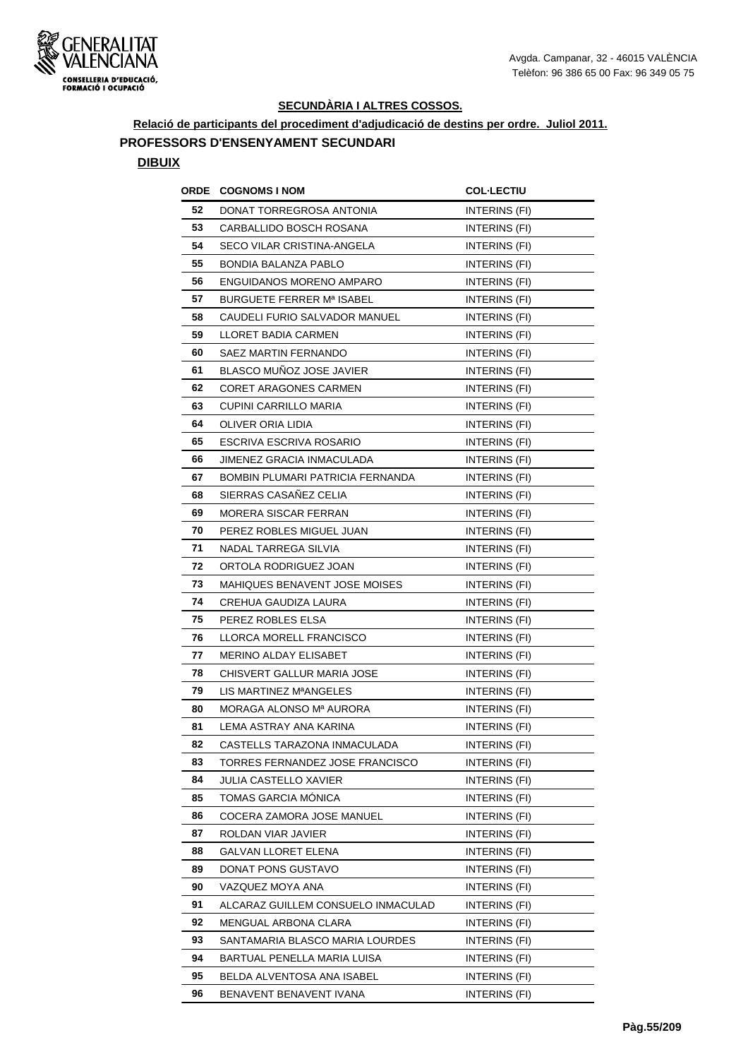

**Relació de participants del procediment d'adjudicació de destins per ordre. Juliol 2011.**

#### **PROFESSORS D'ENSENYAMENT SECUNDARI**

| ORDE | <b>COGNOMS I NOM</b>                | <b>COL·LECTIU</b>    |
|------|-------------------------------------|----------------------|
| 52   | DONAT TORREGROSA ANTONIA            | INTERINS (FI)        |
| 53   | CARBALLIDO BOSCH ROSANA             | INTERINS (FI)        |
| 54   | SECO VILAR CRISTINA-ANGELA          | INTERINS (FI)        |
| 55   | <b>BONDIA BALANZA PABLO</b>         | INTERINS (FI)        |
| 56   | ENGUIDANOS MORENO AMPARO            | INTERINS (FI)        |
| 57   | BURGUETE FERRER Mª ISABEL           | INTERINS (FI)        |
| 58   | CAUDELI FURIO SALVADOR MANUEL       | INTERINS (FI)        |
| 59   | LLORET BADIA CARMEN                 | <b>INTERINS (FI)</b> |
| 60   | SAEZ MARTIN FERNANDO                | INTERINS (FI)        |
| 61   | BLASCO MUÑOZ JOSE JAVIER            | INTERINS (FI)        |
| 62   | CORET ARAGONES CARMEN               | INTERINS (FI)        |
| 63   | CUPINI CARRILLO MARIA               | INTERINS (FI)        |
| 64   | OLIVER ORIA LIDIA                   | INTERINS (FI)        |
| 65   | ESCRIVA ESCRIVA ROSARIO             | INTERINS (FI)        |
| 66   | JIMENEZ GRACIA INMACULADA           | INTERINS (FI)        |
| 67   | BOMBIN PLUMARI PATRICIA FERNANDA    | INTERINS (FI)        |
| 68   | SIERRAS CASAÑEZ CELIA               | <b>INTERINS (FI)</b> |
| 69   | MORERA SISCAR FERRAN                | INTERINS (FI)        |
| 70   | PEREZ ROBLES MIGUEL JUAN            | INTERINS (FI)        |
| 71   | NADAL TARREGA SILVIA                | INTERINS (FI)        |
| 72   | ORTOLA RODRIGUEZ JOAN               | <b>INTERINS (FI)</b> |
| 73   | MAHIQUES BENAVENT JOSE MOISES       | INTERINS (FI)        |
| 74   | CREHUA GAUDIZA LAURA                | INTERINS (FI)        |
| 75   | PEREZ ROBLES ELSA                   | INTERINS (FI)        |
| 76   | LLORCA MORELL FRANCISCO             | INTERINS (FI)        |
| 77   | MERINO ALDAY ELISABET               | <b>INTERINS (FI)</b> |
| 78   | CHISVERT GALLUR MARIA JOSE          | INTERINS (FI)        |
| 79   | LIS MARTINEZ M <sup>a</sup> ANGELES | INTERINS (FI)        |
| 80   | MORAGA ALONSO Mª AURORA             | INTERINS (FI)        |
| 81   | LEMA ASTRAY ANA KARINA              | <b>INTERINS (FI)</b> |
| 82   | CASTELLS TARAZONA INMACULADA        | INTERINS (FI)        |
| 83   | TORRES FERNANDEZ JOSE FRANCISCO     | INTERINS (FI)        |
| 84   | JULIA CASTELLO XAVIER               | INTERINS (FI)        |
| 85   | TOMAS GARCIA MONICA                 | INTERINS (FI)        |
| 86   | COCERA ZAMORA JOSE MANUEL           | INTERINS (FI)        |
| 87   | ROLDAN VIAR JAVIER                  | INTERINS (FI)        |
| 88   | GALVAN LLORET ELENA                 | INTERINS (FI)        |
| 89   | DONAT PONS GUSTAVO                  | INTERINS (FI)        |
| 90   | VAZQUEZ MOYA ANA                    | INTERINS (FI)        |
| 91   | ALCARAZ GUILLEM CONSUELO INMACULAD  | INTERINS (FI)        |
| 92   | MENGUAL ARBONA CLARA                | INTERINS (FI)        |
| 93   | SANTAMARIA BLASCO MARIA LOURDES     | INTERINS (FI)        |
| 94   | BARTUAL PENELLA MARIA LUISA         | INTERINS (FI)        |
| 95   | BELDA ALVENTOSA ANA ISABEL          | INTERINS (FI)        |
| 96   | BENAVENT BENAVENT IVANA             | INTERINS (FI)        |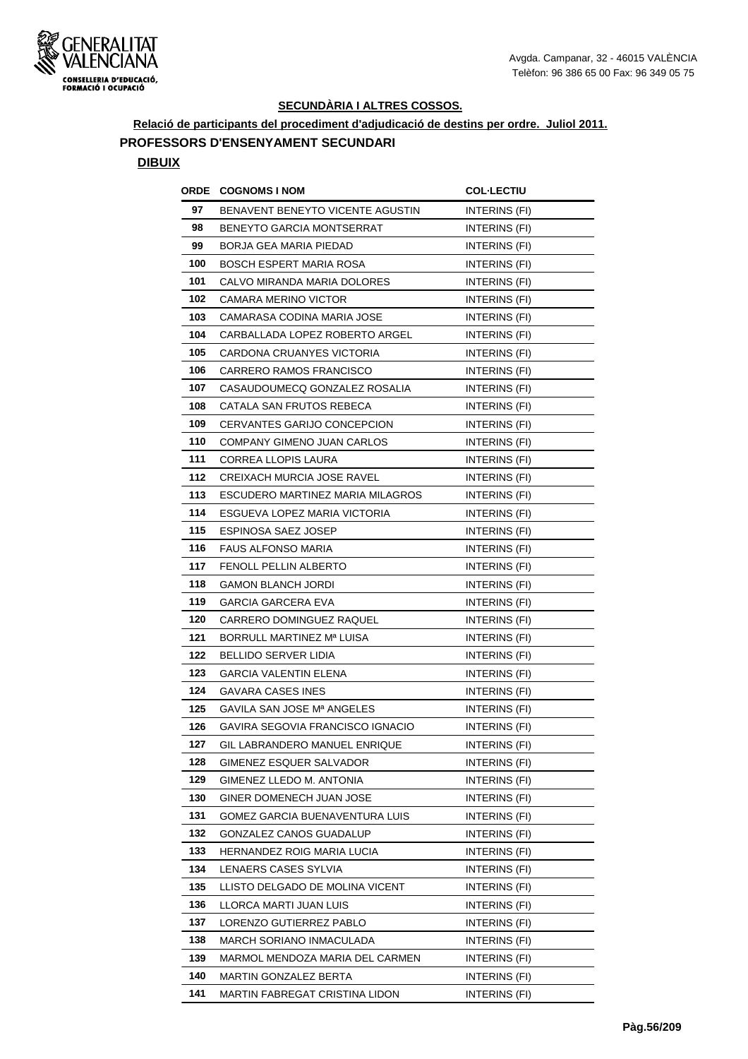

**Relació de participants del procediment d'adjudicació de destins per ordre. Juliol 2011. PROFESSORS D'ENSENYAMENT SECUNDARI**

|     | <b>ORDE COGNOMS INOM</b>             | <b>COL-LECTIU</b>    |
|-----|--------------------------------------|----------------------|
| 97  | BENAVENT BENEYTO VICENTE AGUSTIN     | INTERINS (FI)        |
| 98  | <b>BENEYTO GARCIA MONTSERRAT</b>     | INTERINS (FI)        |
| 99  | BORJA GEA MARIA PIEDAD               | INTERINS (FI)        |
| 100 | <b>BOSCH ESPERT MARIA ROSA</b>       | <b>INTERINS (FI)</b> |
| 101 | CALVO MIRANDA MARIA DOLORES          | INTERINS (FI)        |
| 102 | CAMARA MERINO VICTOR                 | <b>INTERINS (FI)</b> |
| 103 | CAMARASA CODINA MARIA JOSE           | INTERINS (FI)        |
| 104 | CARBALLADA LOPEZ ROBERTO ARGEL       | INTERINS (FI)        |
| 105 | CARDONA CRUANYES VICTORIA            | INTERINS (FI)        |
| 106 | <b>CARRERO RAMOS FRANCISCO</b>       | INTERINS (FI)        |
| 107 | CASAUDOUMECQ GONZALEZ ROSALIA        | INTERINS (FI)        |
| 108 | CATALA SAN FRUTOS REBECA             | <b>INTERINS (FI)</b> |
| 109 | CERVANTES GARIJO CONCEPCION          | INTERINS (FI)        |
| 110 | COMPANY GIMENO JUAN CARLOS           | INTERINS (FI)        |
| 111 | CORREA LLOPIS LAURA                  | INTERINS (FI)        |
| 112 | CREIXACH MURCIA JOSE RAVEL           | INTERINS (FI)        |
| 113 | ESCUDERO MARTINEZ MARIA MILAGROS     | <b>INTERINS (FI)</b> |
| 114 | ESGUEVA LOPEZ MARIA VICTORIA         | INTERINS (FI)        |
| 115 | ESPINOSA SAEZ JOSEP                  | INTERINS (FI)        |
| 116 | FAUS ALFONSO MARIA                   | INTERINS (FI)        |
| 117 | FENOLL PELLIN ALBERTO                | INTERINS (FI)        |
| 118 | <b>GAMON BLANCH JORDI</b>            | INTERINS (FI)        |
| 119 | GARCIA GARCERA EVA                   | INTERINS (FI)        |
| 120 | CARRERO DOMINGUEZ RAQUEL             | INTERINS (FI)        |
| 121 | BORRULL MARTINEZ Mª LUISA            | INTERINS (FI)        |
| 122 | BELLIDO SERVER LIDIA                 | <b>INTERINS (FI)</b> |
| 123 | <b>GARCIA VALENTIN ELENA</b>         | INTERINS (FI)        |
| 124 | <b>GAVARA CASES INES</b>             | INTERINS (FI)        |
| 125 | GAVILA SAN JOSE Mª ANGELES           | INTERINS (FI)        |
| 126 | GAVIRA SEGOVIA FRANCISCO IGNACIO     | INTERINS (FI)        |
| 127 | <b>GIL LABRANDERO MANUEL ENRIQUE</b> | INTERINS (FI)        |
| 128 | GIMENEZ ESQUER SALVADOR              | INTERINS (FI)        |
| 129 | GIMENEZ LLEDO M. ANTONIA             | INTERINS (FI)        |
| 130 | GINER DOMENECH JUAN JOSE             | INTERINS (FI)        |
| 131 | GOMEZ GARCIA BUENAVENTURA LUIS       | INTERINS (FI)        |
| 132 | GONZALEZ CANOS GUADALUP              | INTERINS (FI)        |
| 133 | HERNANDEZ ROIG MARIA LUCIA           | INTERINS (FI)        |
| 134 | LENAERS CASES SYLVIA                 | INTERINS (FI)        |
| 135 | LLISTO DELGADO DE MOLINA VICENT      | INTERINS (FI)        |
| 136 | LLORCA MARTI JUAN LUIS               | INTERINS (FI)        |
| 137 | LORENZO GUTIERREZ PABLO              | INTERINS (FI)        |
| 138 | MARCH SORIANO INMACULADA             | INTERINS (FI)        |
| 139 | MARMOL MENDOZA MARIA DEL CARMEN      | INTERINS (FI)        |
| 140 | MARTIN GONZALEZ BERTA                | INTERINS (FI)        |
| 141 | MARTIN FABREGAT CRISTINA LIDON       | INTERINS (FI)        |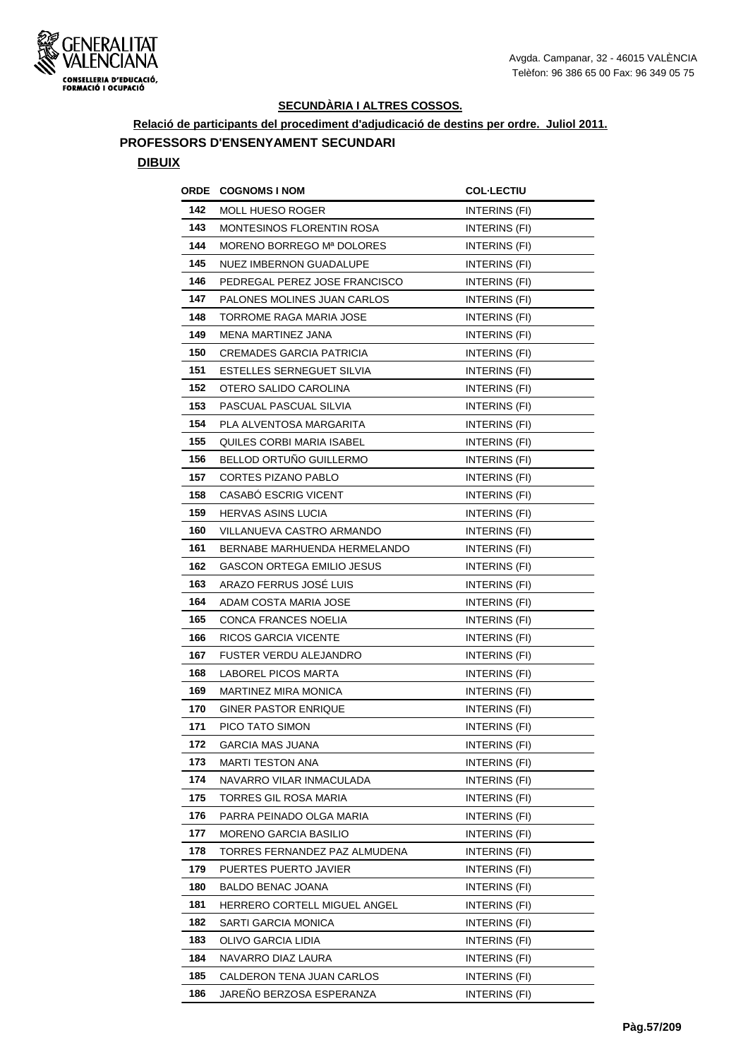

**Relació de participants del procediment d'adjudicació de destins per ordre. Juliol 2011.**

### **PROFESSORS D'ENSENYAMENT SECUNDARI**

| ORDE | <b>COGNOMS I NOM</b>              | <b>COL·LECTIU</b> |
|------|-----------------------------------|-------------------|
| 142  | <b>MOLL HUESO ROGER</b>           | INTERINS (FI)     |
| 143  | <b>MONTESINOS FLORENTIN ROSA</b>  | INTERINS (FI)     |
| 144  | MORENO BORREGO Mª DOLORES         | INTERINS (FI)     |
| 145  | <b>NUEZ IMBERNON GUADALUPE</b>    | INTERINS (FI)     |
| 146  | PEDREGAL PEREZ JOSE FRANCISCO     | INTERINS (FI)     |
| 147  | PALONES MOLINES JUAN CARLOS       | INTERINS (FI)     |
| 148  | TORROME RAGA MARIA JOSE           | INTERINS (FI)     |
| 149  | MENA MARTINEZ JANA                | INTERINS (FI)     |
| 150  | <b>CREMADES GARCIA PATRICIA</b>   | INTERINS (FI)     |
| 151  | ESTELLES SERNEGUET SILVIA         | INTERINS (FI)     |
| 152  | OTERO SALIDO CAROLINA             | INTERINS (FI)     |
| 153  | PASCUAL PASCUAL SILVIA            | INTERINS (FI)     |
| 154  | PLA ALVENTOSA MARGARITA           | INTERINS (FI)     |
| 155  | QUILES CORBI MARIA ISABEL         | INTERINS (FI)     |
| 156  | BELLOD ORTUNO GUILLERMO           | INTERINS (FI)     |
| 157  | <b>CORTES PIZANO PABLO</b>        | INTERINS (FI)     |
| 158  | <b>CASABO ESCRIG VICENT</b>       | INTERINS (FI)     |
| 159  | <b>HERVAS ASINS LUCIA</b>         | INTERINS (FI)     |
| 160  | VILLANUEVA CASTRO ARMANDO         | INTERINS (FI)     |
| 161  | BERNABE MARHUENDA HERMELANDO      | INTERINS (FI)     |
| 162  | <b>GASCON ORTEGA EMILIO JESUS</b> | INTERINS (FI)     |
| 163  | ARAZO FERRUS JOSE LUIS            | INTERINS (FI)     |
| 164  | ADAM COSTA MARIA JOSE             | INTERINS (FI)     |
| 165  | CONCA FRANCES NOELIA              | INTERINS (FI)     |
| 166  | RICOS GARCIA VICENTE              | INTERINS (FI)     |
| 167  | FUSTER VERDU ALEJANDRO            | INTERINS (FI)     |
| 168  | <b>LABOREL PICOS MARTA</b>        | INTERINS (FI)     |
| 169  | MARTINEZ MIRA MONICA              | INTERINS (FI)     |
| 170  | <b>GINER PASTOR ENRIQUE</b>       | INTERINS (FI)     |
| 171  | PICO TATO SIMON                   | INTERINS (FI)     |
| 172  | <b>GARCIA MAS JUANA</b>           | INTERINS (FI)     |
| 173  | <b>MARTI TESTON ANA</b>           | INTERINS (FI)     |
| 174  | NAVARRO VILAR INMACULADA          | INTERINS (FI)     |
| 175  | TORRES GIL ROSA MARIA             | INTERINS (FI)     |
| 176  | PARRA PEINADO OLGA MARIA          | INTERINS (FI)     |
| 177  | MORENO GARCIA BASILIO             | INTERINS (FI)     |
| 178  | TORRES FERNANDEZ PAZ ALMUDENA     | INTERINS (FI)     |
| 179  | PUERTES PUERTO JAVIER             | INTERINS (FI)     |
| 180  | BALDO BENAC JOANA                 | INTERINS (FI)     |
| 181  | HERRERO CORTELL MIGUEL ANGEL      | INTERINS (FI)     |
| 182  | SARTI GARCIA MONICA               | INTERINS (FI)     |
| 183  | OLIVO GARCIA LIDIA                | INTERINS (FI)     |
| 184  | NAVARRO DIAZ LAURA                | INTERINS (FI)     |
| 185  | CALDERON TENA JUAN CARLOS         | INTERINS (FI)     |
| 186  | JAREÑO BERZOSA ESPERANZA          | INTERINS (FI)     |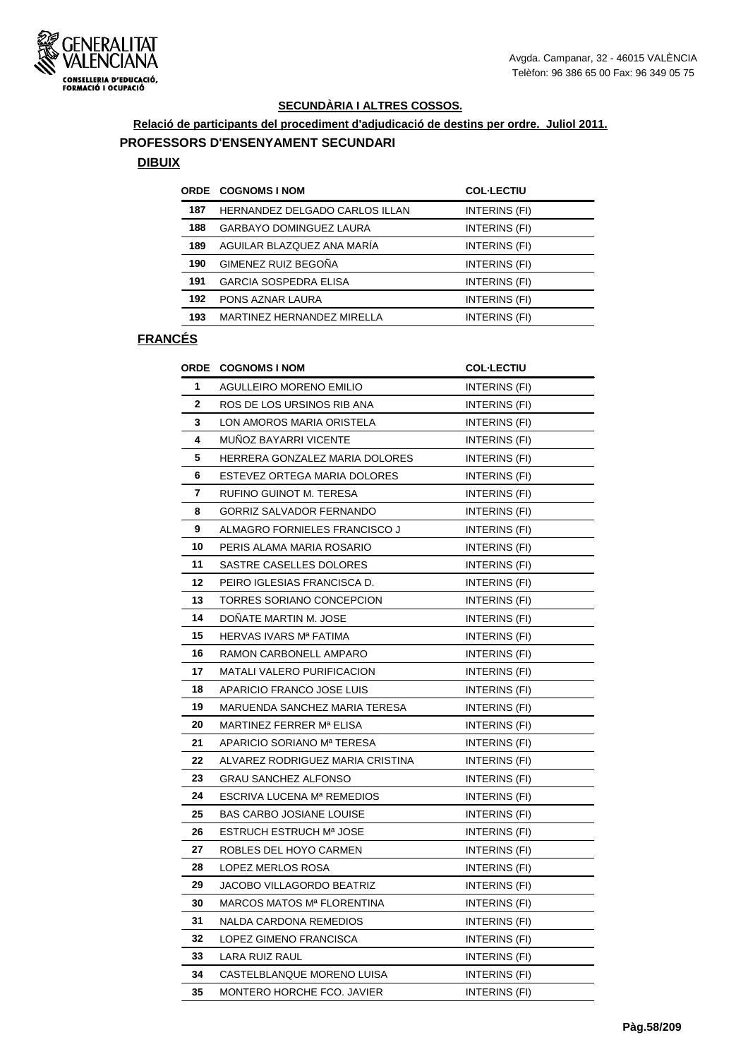

#### **Relació de participants del procediment d'adjudicació de destins per ordre. Juliol 2011.**

#### **PROFESSORS D'ENSENYAMENT SECUNDARI**

#### **DIBUIX**

|     | <b>ORDE COGNOMS I NOM</b>      | <b>COL-LECTIU</b> |
|-----|--------------------------------|-------------------|
| 187 | HERNANDEZ DELGADO CARLOS ILLAN | INTERINS (FI)     |
| 188 | <b>GARBAYO DOMINGUEZ LAURA</b> | INTERINS (FI)     |
| 189 | AGUILAR BLAZQUEZ ANA MARÍA     | INTERINS (FI)     |
| 190 | GIMENEZ RUIZ BEGOÑA            | INTERINS (FI)     |
| 191 | <b>GARCIA SOSPEDRA ELISA</b>   | INTERINS (FI)     |
| 192 | PONS AZNAR LAURA               | INTERINS (FI)     |
| 193 | MARTINEZ HERNANDEZ MIRELLA     | INTERINS (FI)     |
|     |                                |                   |

| <b>ORDE</b>  | <b>COGNOMS I NOM</b>              | <b>COL·LECTIU</b>    |
|--------------|-----------------------------------|----------------------|
| 1            | <b>AGULLEIRO MORENO EMILIO</b>    | <b>INTERINS (FI)</b> |
| $\mathbf{2}$ | ROS DE LOS URSINOS RIB ANA        | INTERINS (FI)        |
| 3            | LON AMOROS MARIA ORISTELA         | INTERINS (FI)        |
| 4            | MUÑOZ BAYARRI VICENTE             | INTERINS (FI)        |
| 5            | HERRERA GONZALEZ MARIA DOLORES    | INTERINS (FI)        |
| 6            | ESTEVEZ ORTEGA MARIA DOLORES      | INTERINS (FI)        |
| 7            | RUFINO GUINOT M. TERESA           | INTERINS (FI)        |
| 8            | <b>GORRIZ SALVADOR FERNANDO</b>   | INTERINS (FI)        |
| 9            | ALMAGRO FORNIELES FRANCISCO J     | INTERINS (FI)        |
| 10           | PERIS ALAMA MARIA ROSARIO         | INTERINS (FI)        |
| 11           | SASTRE CASELLES DOLORES           | INTERINS (FI)        |
| 12           | PEIRO IGLESIAS FRANCISCA D.       | <b>INTERINS (FI)</b> |
| 13           | TORRES SORIANO CONCEPCION         | <b>INTERINS (FI)</b> |
| 14           | DONATE MARTIN M. JOSE             | INTERINS (FI)        |
| 15           | HERVAS IVARS Mª FATIMA            | INTERINS (FI)        |
| 16           | RAMON CARBONELL AMPARO            | INTERINS (FI)        |
| 17           | <b>MATALI VALERO PURIFICACION</b> | INTERINS (FI)        |
| 18           | APARICIO FRANCO JOSE LUIS         | INTERINS (FI)        |
| 19           | MARUENDA SANCHEZ MARIA TERESA     | INTERINS (FI)        |
| 20           | MARTINEZ FERRER Mª ELISA          | INTERINS (FI)        |
| 21           | APARICIO SORIANO Mª TERESA        | INTERINS (FI)        |
| 22           | ALVAREZ RODRIGUEZ MARIA CRISTINA  | <b>INTERINS (FI)</b> |
| 23           | <b>GRAU SANCHEZ ALFONSO</b>       | <b>INTERINS (FI)</b> |
| 24           | <b>ESCRIVA LUCENA Mª REMEDIOS</b> | INTERINS (FI)        |
| 25           | <b>BAS CARBO JOSIANE LOUISE</b>   | INTERINS (FI)        |
| 26           | <b>ESTRUCH ESTRUCH Mª JOSE</b>    | INTERINS (FI)        |
| 27           | ROBLES DEL HOYO CARMEN            | INTERINS (FI)        |
| 28           | LOPEZ MERLOS ROSA                 | INTERINS (FI)        |
| 29           | <b>JACOBO VILLAGORDO BEATRIZ</b>  | INTERINS (FI)        |
| 30           | MARCOS MATOS Mª FLORENTINA        | INTERINS (FI)        |
| 31           | NALDA CARDONA REMEDIOS            | INTERINS (FI)        |
| 32           | LOPEZ GIMENO FRANCISCA            | INTERINS (FI)        |
| 33           | LARA RUIZ RAUL                    | INTERINS (FI)        |
| 34           | CASTELBLANQUE MORENO LUISA        | INTERINS (FI)        |
| 35           | MONTERO HORCHE FCO. JAVIER        | INTERINS (FI)        |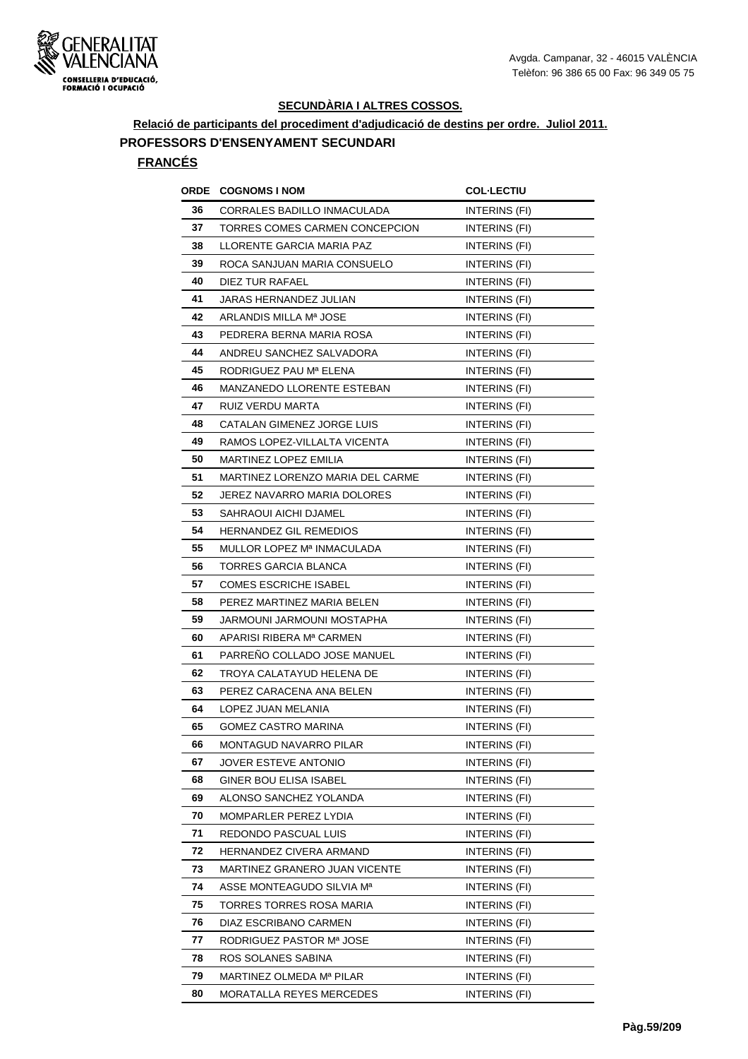

**Relació de participants del procediment d'adjudicació de destins per ordre. Juliol 2011. PROFESSORS D'ENSENYAMENT SECUNDARI**

| ORDE | <b>COGNOMS I NOM</b>             | <b>COL·LECTIU</b>    |
|------|----------------------------------|----------------------|
| 36   | CORRALES BADILLO INMACULADA      | INTERINS (FI)        |
| 37   | TORRES COMES CARMEN CONCEPCION   | INTERINS (FI)        |
| 38   | LLORENTE GARCIA MARIA PAZ        | INTERINS (FI)        |
| 39   | ROCA SANJUAN MARIA CONSUELO      | INTERINS (FI)        |
| 40   | DIEZ TUR RAFAEL                  | INTERINS (FI)        |
| 41   | JARAS HERNANDEZ JULIAN           | INTERINS (FI)        |
| 42   | ARLANDIS MILLA Mª JOSE           | INTERINS (FI)        |
| 43   | PEDRERA BERNA MARIA ROSA         | INTERINS (FI)        |
| 44   | ANDREU SANCHEZ SALVADORA         | INTERINS (FI)        |
| 45   | RODRIGUEZ PAU Mª ELENA           | INTERINS (FI)        |
| 46   | MANZANEDO LLORENTE ESTEBAN       | INTERINS (FI)        |
| 47   | RUIZ VERDU MARTA                 | INTERINS (FI)        |
| 48   | CATALAN GIMENEZ JORGE LUIS       | INTERINS (FI)        |
| 49   | RAMOS LOPEZ-VILLALTA VICENTA     | INTERINS (FI)        |
| 50   | MARTINEZ LOPEZ EMILIA            | INTERINS (FI)        |
| 51   | MARTINEZ LORENZO MARIA DEL CARME | INTERINS (FI)        |
| 52   | JEREZ NAVARRO MARIA DOLORES      | INTERINS (FI)        |
| 53   | SAHRAOUI AICHI DJAMEL            | INTERINS (FI)        |
| 54   | HERNANDEZ GIL REMEDIOS           | <b>INTERINS (FI)</b> |
| 55   | MULLOR LOPEZ Mª INMACULADA       | INTERINS (FI)        |
| 56   | TORRES GARCIA BLANCA             | INTERINS (FI)        |
| 57   | <b>COMES ESCRICHE ISABEL</b>     | INTERINS (FI)        |
| 58   | PEREZ MARTINEZ MARIA BELEN       | INTERINS (FI)        |
| 59   | JARMOUNI JARMOUNI MOSTAPHA       | INTERINS (FI)        |
| 60   | APARISI RIBERA Mª CARMEN         | INTERINS (FI)        |
| 61   | PARRENO COLLADO JOSE MANUEL      | INTERINS (FI)        |
| 62   | TROYA CALATAYUD HELENA DE        | INTERINS (FI)        |
| 63   | PEREZ CARACENA ANA BELEN         | INTERINS (FI)        |
| 64   | LOPEZ JUAN MELANIA               | INTERINS (FI)        |
| 65   | <b>GOMEZ CASTRO MARINA</b>       | INTERINS (FI)        |
| 66   | MONTAGUD NAVARRO PILAR           | INTERINS (FI)        |
| 67   | JOVER ESTEVE ANTONIO             | INTERINS (FI)        |
| 68   | GINER BOU ELISA ISABEL           | INTERINS (FI)        |
| 69   | ALONSO SANCHEZ YOLANDA           | INTERINS (FI)        |
| 70   | MOMPARLER PEREZ LYDIA            | INTERINS (FI)        |
| 71   | REDONDO PASCUAL LUIS             | INTERINS (FI)        |
| 72   | HERNANDEZ CIVERA ARMAND          | INTERINS (FI)        |
| 73   | MARTINEZ GRANERO JUAN VICENTE    | INTERINS (FI)        |
| 74   | ASSE MONTEAGUDO SILVIA Mª        | INTERINS (FI)        |
| 75   | TORRES TORRES ROSA MARIA         | INTERINS (FI)        |
| 76   | DIAZ ESCRIBANO CARMEN            | INTERINS (FI)        |
| 77   | RODRIGUEZ PASTOR Mª JOSE         | INTERINS (FI)        |
| 78   | ROS SOLANES SABINA               | INTERINS (FI)        |
| 79   | MARTINEZ OLMEDA Mª PILAR         | INTERINS (FI)        |
| 80   | MORATALLA REYES MERCEDES         | INTERINS (FI)        |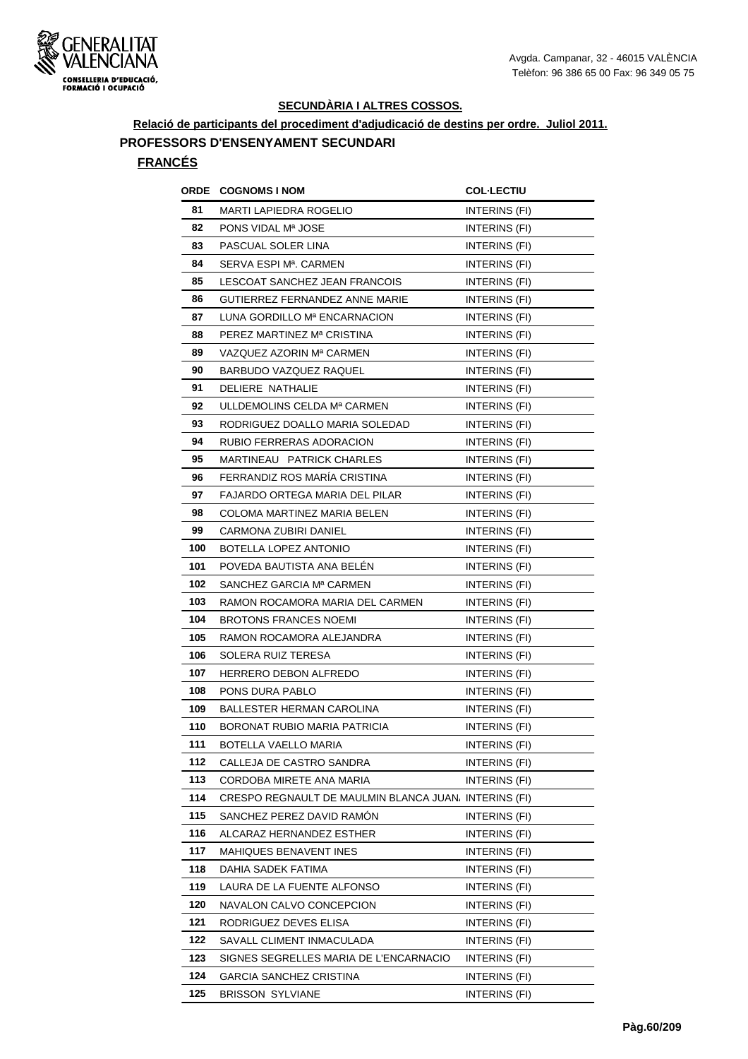

**Relació de participants del procediment d'adjudicació de destins per ordre. Juliol 2011.**

# **PROFESSORS D'ENSENYAMENT SECUNDARI**

| ORDE | <b>COGNOMS I NOM</b>                                  | <b>COL-LECTIU</b>    |
|------|-------------------------------------------------------|----------------------|
| 81   | MARTI LAPIEDRA ROGELIO                                | INTERINS (FI)        |
| 82   | PONS VIDAL Mª JOSE                                    | INTERINS (FI)        |
| 83   | PASCUAL SOLER LINA                                    | INTERINS (FI)        |
| 84   | SERVA ESPI M <sup>a</sup> . CARMEN                    | <b>INTERINS (FI)</b> |
| 85   | LESCOAT SANCHEZ JEAN FRANCOIS                         | INTERINS (FI)        |
| 86   | GUTIERREZ FERNANDEZ ANNE MARIE                        | INTERINS (FI)        |
| 87   | LUNA GORDILLO Mª ENCARNACION                          | INTERINS (FI)        |
| 88   | PEREZ MARTINEZ Mª CRISTINA                            | INTERINS (FI)        |
| 89   | VAZQUEZ AZORIN Mª CARMEN                              | INTERINS (FI)        |
| 90   | BARBUDO VAZQUEZ RAQUEL                                | INTERINS (FI)        |
| 91   | DELIERE NATHALIE                                      | INTERINS (FI)        |
| 92   | ULLDEMOLINS CELDA Mª CARMEN                           | INTERINS (FI)        |
| 93   | RODRIGUEZ DOALLO MARIA SOLEDAD                        | INTERINS (FI)        |
| 94   | RUBIO FERRERAS ADORACION                              | INTERINS (FI)        |
| 95   | MARTINEAU PATRICK CHARLES                             | INTERINS (FI)        |
| 96   | FERRANDIZ ROS MARÍA CRISTINA                          | INTERINS (FI)        |
| 97   | <b>FAJARDO ORTEGA MARIA DEL PILAR</b>                 | INTERINS (FI)        |
| 98   | COLOMA MARTINEZ MARIA BELEN                           | <b>INTERINS (FI)</b> |
| 99   | CARMONA ZUBIRI DANIEL                                 | INTERINS (FI)        |
| 100  | BOTELLA LOPEZ ANTONIO                                 | INTERINS (FI)        |
| 101  | POVEDA BAUTISTA ANA BELEN                             | INTERINS (FI)        |
| 102  | SANCHEZ GARCIA Mª CARMEN                              | <b>INTERINS (FI)</b> |
| 103  | RAMON ROCAMORA MARIA DEL CARMEN                       | INTERINS (FI)        |
| 104  | <b>BROTONS FRANCES NOEMI</b>                          | INTERINS (FI)        |
| 105  | RAMON ROCAMORA ALEJANDRA                              | INTERINS (FI)        |
| 106  | SOLERA RUIZ TERESA                                    | <b>INTERINS (FI)</b> |
| 107  | HERRERO DEBON ALFREDO                                 | <b>INTERINS (FI)</b> |
| 108  | PONS DURA PABLO                                       | INTERINS (FI)        |
| 109  | <b>BALLESTER HERMAN CAROLINA</b>                      | INTERINS (FI)        |
| 110  | <b>BORONAT RUBIO MARIA PATRICIA</b>                   | INTERINS (FI)        |
| 111  | BOTELLA VAELLO MARIA                                  | INTERINS (FI)        |
| 112  | CALLEJA DE CASTRO SANDRA                              | INTERINS (FI)        |
| 113  | CORDOBA MIRETE ANA MARIA                              | INTERINS (FI)        |
| 114  | CRESPO REGNAULT DE MAULMIN BLANCA JUAN, INTERINS (FI) |                      |
| 115  | SANCHEZ PEREZ DAVID RAMÓN                             | <b>INTERINS (FI)</b> |
| 116  | ALCARAZ HERNANDEZ ESTHER                              | INTERINS (FI)        |
| 117  | MAHIQUES BENAVENT INES                                | INTERINS (FI)        |
| 118  | DAHIA SADEK FATIMA                                    | INTERINS (FI)        |
| 119  | LAURA DE LA FUENTE ALFONSO                            | INTERINS (FI)        |
| 120  | NAVALON CALVO CONCEPCION                              | INTERINS (FI)        |
| 121  | RODRIGUEZ DEVES ELISA                                 | INTERINS (FI)        |
| 122  | SAVALL CLIMENT INMACULADA                             | INTERINS (FI)        |
| 123  | SIGNES SEGRELLES MARIA DE L'ENCARNACIO                | INTERINS (FI)        |
| 124  | <b>GARCIA SANCHEZ CRISTINA</b>                        | INTERINS (FI)        |
| 125  | <b>BRISSON SYLVIANE</b>                               | INTERINS (FI)        |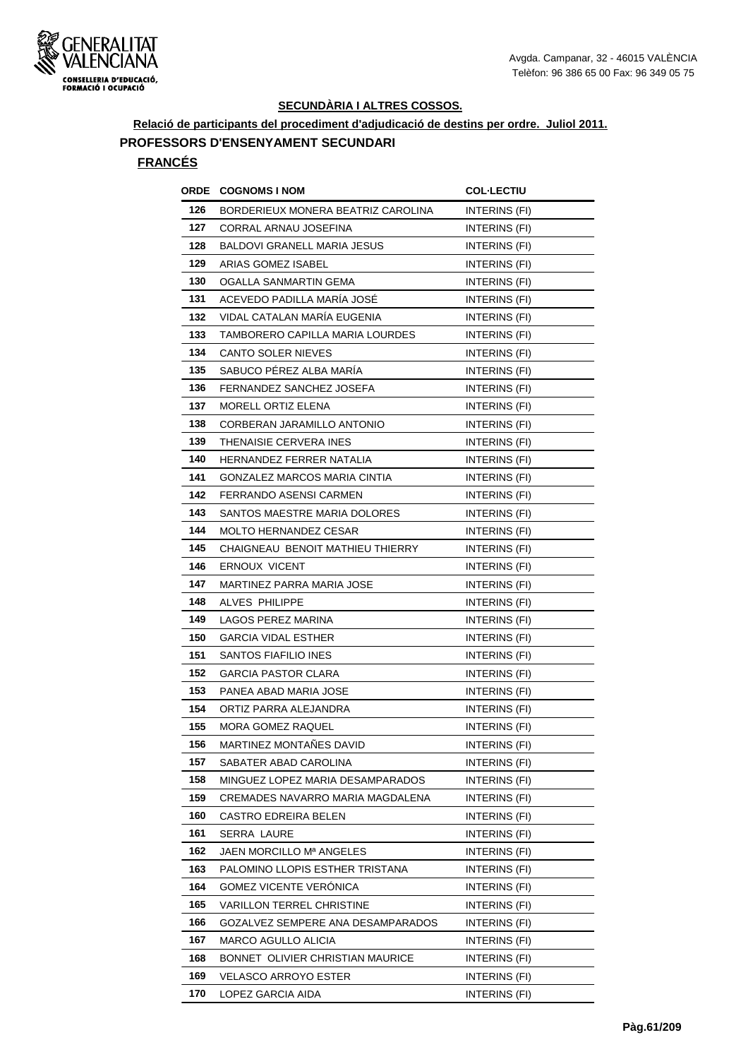

**Relació de participants del procediment d'adjudicació de destins per ordre. Juliol 2011. PROFESSORS D'ENSENYAMENT SECUNDARI**

|     | <b>ORDE COGNOMS INOM</b>            | <b>COL-LECTIU</b>    |
|-----|-------------------------------------|----------------------|
| 126 | BORDERIEUX MONERA BEATRIZ CAROLINA  | INTERINS (FI)        |
| 127 | CORRAL ARNAU JOSEFINA               | INTERINS (FI)        |
| 128 | BALDOVI GRANELL MARIA JESUS         | INTERINS (FI)        |
| 129 | ARIAS GOMEZ ISABEL                  | <b>INTERINS (FI)</b> |
| 130 | OGALLA SANMARTIN GEMA               | INTERINS (FI)        |
| 131 | ACEVEDO PADILLA MARÍA JOSÉ          | <b>INTERINS (FI)</b> |
| 132 | VIDAL CATALAN MARÍA EUGENIA         | INTERINS (FI)        |
| 133 | TAMBORERO CAPILLA MARIA LOURDES     | INTERINS (FI)        |
| 134 | <b>CANTO SOLER NIEVES</b>           | INTERINS (FI)        |
| 135 | SABUCO PÉREZ ALBA MARÍA             | INTERINS (FI)        |
| 136 | FERNANDEZ SANCHEZ JOSEFA            | INTERINS (FI)        |
| 137 | MORELL ORTIZ ELENA                  | INTERINS (FI)        |
| 138 | CORBERAN JARAMILLO ANTONIO          | INTERINS (FI)        |
| 139 | THENAISIE CERVERA INES              | <b>INTERINS (FI)</b> |
| 140 | HERNANDEZ FERRER NATALIA            | INTERINS (FI)        |
| 141 | <b>GONZALEZ MARCOS MARIA CINTIA</b> | INTERINS (FI)        |
| 142 | FERRANDO ASENSI CARMEN              | INTERINS (FI)        |
| 143 | SANTOS MAESTRE MARIA DOLORES        | INTERINS (FI)        |
| 144 | <b>MOLTO HERNANDEZ CESAR</b>        | <b>INTERINS (FI)</b> |
| 145 | CHAIGNEAU BENOIT MATHIEU THIERRY    | INTERINS (FI)        |
| 146 | <b>ERNOUX VICENT</b>                | INTERINS (FI)        |
| 147 | MARTINEZ PARRA MARIA JOSE           | INTERINS (FI)        |
| 148 | ALVES PHILIPPE                      | INTERINS (FI)        |
| 149 | LAGOS PEREZ MARINA                  | INTERINS (FI)        |
| 150 | <b>GARCIA VIDAL ESTHER</b>          | INTERINS (FI)        |
| 151 | SANTOS FIAFILIO INES                | <b>INTERINS (FI)</b> |
| 152 | <b>GARCIA PASTOR CLARA</b>          | INTERINS (FI)        |
| 153 | PANEA ABAD MARIA JOSE               | <b>INTERINS (FI)</b> |
| 154 | ORTIZ PARRA ALEJANDRA               | INTERINS (FI)        |
| 155 | <b>MORA GOMEZ RAQUEL</b>            | INTERINS (FI)        |
| 156 | MARTINEZ MONTAÑES DAVID             | INTERINS (FI)        |
| 157 | SABATER ABAD CAROLINA               | INTERINS (FI)        |
| 158 | MINGUEZ LOPEZ MARIA DESAMPARADOS    | INTERINS (FI)        |
| 159 | CREMADES NAVARRO MARIA MAGDALENA    | INTERINS (FI)        |
| 160 | CASTRO EDREIRA BELEN                | INTERINS (FI)        |
| 161 | SERRA LAURE                         | INTERINS (FI)        |
| 162 | JAEN MORCILLO Mª ANGELES            | INTERINS (FI)        |
| 163 | PALOMINO LLOPIS ESTHER TRISTANA     | INTERINS (FI)        |
| 164 | <b>GOMEZ VICENTE VERONICA</b>       | INTERINS (FI)        |
| 165 | VARILLON TERREL CHRISTINE           | <b>INTERINS (FI)</b> |
| 166 | GOZALVEZ SEMPERE ANA DESAMPARADOS   | INTERINS (FI)        |
| 167 | MARCO AGULLO ALICIA                 | INTERINS (FI)        |
| 168 | BONNET OLIVIER CHRISTIAN MAURICE    | INTERINS (FI)        |
| 169 | <b>VELASCO ARROYO ESTER</b>         | INTERINS (FI)        |
| 170 | LOPEZ GARCIA AIDA                   | <b>INTERINS (FI)</b> |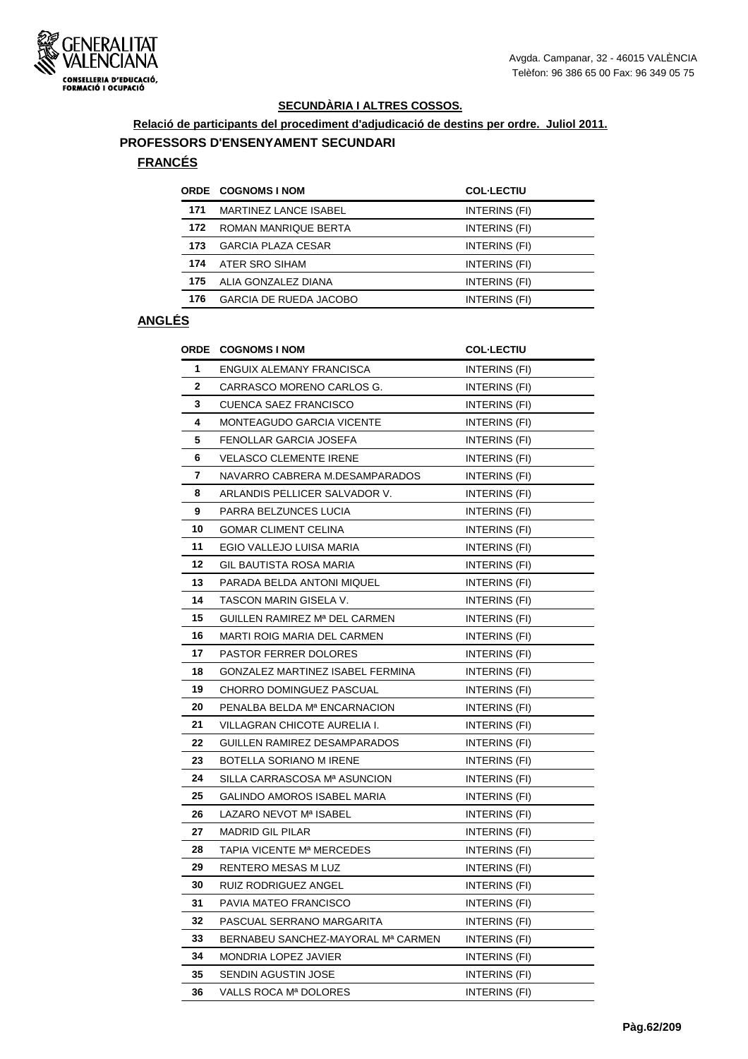

**Relació de participants del procediment d'adjudicació de destins per ordre. Juliol 2011.**

#### **PROFESSORS D'ENSENYAMENT SECUNDARI**

# **FRANCÉS**

|     | <b>ORDE COGNOMS I NOM</b>     | <b>COL-LECTIU</b> |
|-----|-------------------------------|-------------------|
| 171 | <b>MARTINEZ LANCE ISABEL</b>  | INTERINS (FI)     |
| 172 | ROMAN MANRIQUE BERTA          | INTERINS (FI)     |
| 173 | <b>GARCIA PLAZA CESAR</b>     | INTERINS (FI)     |
| 174 | ATER SRO SIHAM                | INTERINS (FI)     |
| 175 | ALIA GONZALEZ DIANA           | INTERINS (FI)     |
| 176 | <b>GARCIA DE RUEDA JACOBO</b> | INTERINS (FI)     |

|    | <b>ORDE COGNOMS I NOM</b>          | <b>COL-LECTIU</b>    |
|----|------------------------------------|----------------------|
| 1  | ENGUIX ALEMANY FRANCISCA           | INTERINS (FI)        |
| 2  | CARRASCO MORENO CARLOS G.          | INTERINS (FI)        |
| 3  | <b>CUENCA SAEZ FRANCISCO</b>       | INTERINS (FI)        |
| 4  | <b>MONTEAGUDO GARCIA VICENTE</b>   | INTERINS (FI)        |
| 5  | FENOLLAR GARCIA JOSEFA             | INTERINS (FI)        |
| 6  | <b>VELASCO CLEMENTE IRENE</b>      | INTERINS (FI)        |
| 7  | NAVARRO CABRERA M.DESAMPARADOS     | INTERINS (FI)        |
| 8  | ARLANDIS PELLICER SALVADOR V.      | INTERINS (FI)        |
| 9  | PARRA BELZUNCES LUCIA              | INTERINS (FI)        |
| 10 | <b>GOMAR CLIMENT CELINA</b>        | INTERINS (FI)        |
| 11 | EGIO VALLEJO LUISA MARIA           | INTERINS (FI)        |
| 12 | GIL BAUTISTA ROSA MARIA            | INTERINS (FI)        |
| 13 | PARADA BELDA ANTONI MIQUEL         | INTERINS (FI)        |
| 14 | TASCON MARIN GISELA V.             | <b>INTERINS (FI)</b> |
| 15 | GUILLEN RAMIREZ Mª DEL CARMEN      | INTERINS (FI)        |
| 16 | MARTI ROIG MARIA DEL CARMEN        | INTERINS (FI)        |
| 17 | <b>PASTOR FERRER DOLORES</b>       | INTERINS (FI)        |
| 18 | GONZALEZ MARTINEZ ISABEL FERMINA   | INTERINS (FI)        |
| 19 | CHORRO DOMINGUEZ PASCUAL           | INTERINS (FI)        |
| 20 | PENALBA BELDA Mª ENCARNACION       | INTERINS (FI)        |
| 21 | VILLAGRAN CHICOTE AURELIA I.       | INTERINS (FI)        |
| 22 | GUILLEN RAMIREZ DESAMPARADOS       | <b>INTERINS (FI)</b> |
| 23 | BOTELLA SORIANO M IRENE            | INTERINS (FI)        |
| 24 | SILLA CARRASCOSA Mª ASUNCION       | <b>INTERINS (FI)</b> |
| 25 | GALINDO AMOROS ISABEL MARIA        | INTERINS (FI)        |
| 26 | LAZARO NEVOT Mª ISABEL             | INTERINS (FI)        |
| 27 | <b>MADRID GIL PILAR</b>            | INTERINS (FI)        |
| 28 | TAPIA VICENTE Mª MERCEDES          | INTERINS (FI)        |
| 29 | RENTERO MESAS M LUZ                | INTERINS (FI)        |
| 30 | RUIZ RODRIGUEZ ANGEL               | INTERINS (FI)        |
| 31 | PAVIA MATEO FRANCISCO              | INTERINS (FI)        |
| 32 | PASCUAL SERRANO MARGARITA          | INTERINS (FI)        |
| 33 | BERNABEU SANCHEZ-MAYORAL Mª CARMEN | INTERINS (FI)        |
| 34 | MONDRIA LOPEZ JAVIER               | INTERINS (FI)        |
| 35 | SENDIN AGUSTIN JOSE                | INTERINS (FI)        |
| 36 | VALLS ROCA Mª DOLORES              | INTERINS (FI)        |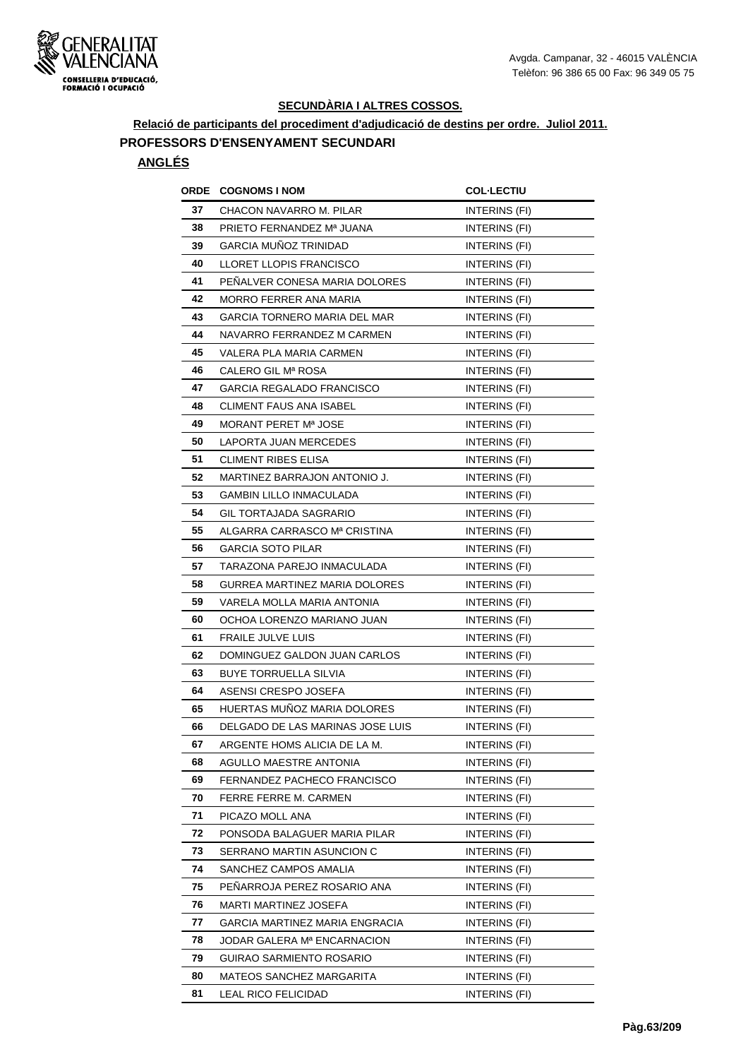

**Relació de participants del procediment d'adjudicació de destins per ordre. Juliol 2011.**

# **PROFESSORS D'ENSENYAMENT SECUNDARI**

| ORDE | <b>COGNOMS I NOM</b>             | <b>COL·LECTIU</b>    |
|------|----------------------------------|----------------------|
| 37   | CHACON NAVARRO M. PILAR          | INTERINS (FI)        |
| 38   | PRIETO FERNANDEZ Mª JUANA        | <b>INTERINS (FI)</b> |
| 39   | GARCIA MUÑOZ TRINIDAD            | INTERINS (FI)        |
| 40   | LLORET LLOPIS FRANCISCO          | INTERINS (FI)        |
| 41   | PENALVER CONESA MARIA DOLORES    | <b>INTERINS (FI)</b> |
| 42   | MORRO FERRER ANA MARIA           | INTERINS (FI)        |
| 43   | GARCIA TORNERO MARIA DEL MAR     | INTERINS (FI)        |
| 44   | NAVARRO FERRANDEZ M CARMEN       | INTERINS (FI)        |
| 45   | VALERA PLA MARIA CARMEN          | INTERINS (FI)        |
| 46   | CALERO GIL Mª ROSA               | INTERINS (FI)        |
| 47   | GARCIA REGALADO FRANCISCO        | INTERINS (FI)        |
| 48   | CLIMENT FAUS ANA ISABEL          | INTERINS (FI)        |
| 49   | MORANT PERET Mª JOSE             | INTERINS (FI)        |
| 50   | LAPORTA JUAN MERCEDES            | INTERINS (FI)        |
| 51   | CLIMENT RIBES ELISA              | INTERINS (FI)        |
| 52   | MARTINEZ BARRAJON ANTONIO J.     | <b>INTERINS (FI)</b> |
| 53   | <b>GAMBIN LILLO INMACULADA</b>   | INTERINS (FI)        |
| 54   | <b>GIL TORTAJADA SAGRARIO</b>    | INTERINS (FI)        |
| 55   | ALGARRA CARRASCO Mª CRISTINA     | INTERINS (FI)        |
| 56   | <b>GARCIA SOTO PILAR</b>         | INTERINS (FI)        |
| 57   | TARAZONA PAREJO INMACULADA       | INTERINS (FI)        |
| 58   | GURREA MARTINEZ MARIA DOLORES    | INTERINS (FI)        |
| 59   | VARELA MOLLA MARIA ANTONIA       | INTERINS (FI)        |
| 60   | OCHOA LORENZO MARIANO JUAN       | INTERINS (FI)        |
| 61   | FRAILE JULVE LUIS                | INTERINS (FI)        |
| 62   | DOMINGUEZ GALDON JUAN CARLOS     | INTERINS (FI)        |
| 63   | <b>BUYE TORRUELLA SILVIA</b>     | INTERINS (FI)        |
| 64   | ASENSI CRESPO JOSEFA             | INTERINS (FI)        |
| 65   | HUERTAS MUNOZ MARIA DOLORES      | INTERINS (FI)        |
| 66   | DELGADO DE LAS MARINAS JOSE LUIS | INTERINS (FI)        |
| 67   | ARGENTE HOMS ALICIA DE LA M.     | INTERINS (FI)        |
| 68   | AGULLO MAESTRE ANTONIA           | INTERINS (FI)        |
| 69   | FERNANDEZ PACHECO FRANCISCO      | INTERINS (FI)        |
| 70   | FERRE FERRE M. CARMEN            | INTERINS (FI)        |
| 71   | PICAZO MOLL ANA                  | INTERINS (FI)        |
| 72   | PONSODA BALAGUER MARIA PILAR     | INTERINS (FI)        |
| 73   | SERRANO MARTIN ASUNCION C        | INTERINS (FI)        |
| 74   | SANCHEZ CAMPOS AMALIA            | INTERINS (FI)        |
| 75   | PENARROJA PEREZ ROSARIO ANA      | INTERINS (FI)        |
| 76   | <b>MARTI MARTINEZ JOSEFA</b>     | INTERINS (FI)        |
| 77   | GARCIA MARTINEZ MARIA ENGRACIA   | INTERINS (FI)        |
| 78   | JODAR GALERA Mª ENCARNACION      | INTERINS (FI)        |
| 79   | GUIRAO SARMIENTO ROSARIO         | INTERINS (FI)        |
| 80   | MATEOS SANCHEZ MARGARITA         | INTERINS (FI)        |
| 81   | LEAL RICO FELICIDAD              | INTERINS (FI)        |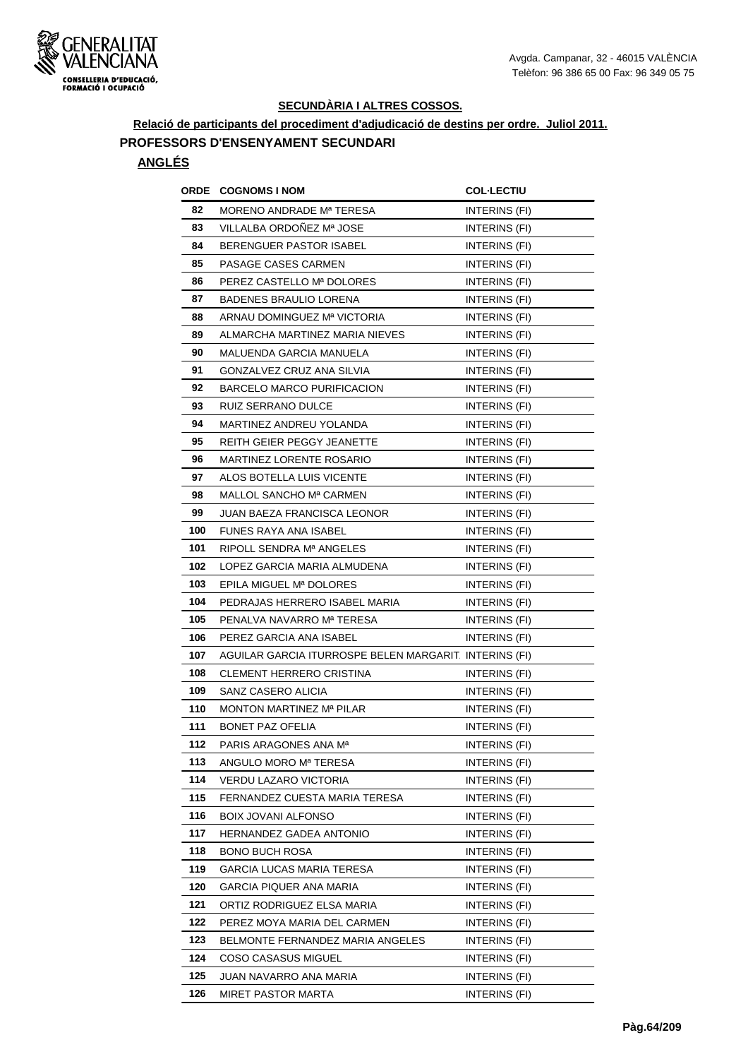

**Relació de participants del procediment d'adjudicació de destins per ordre. Juliol 2011.**

# **PROFESSORS D'ENSENYAMENT SECUNDARI**

| ORDE | <b>COGNOMS I NOM</b>                                   | <b>COL·LECTIU</b>    |
|------|--------------------------------------------------------|----------------------|
| 82   | MORENO ANDRADE Mª TERESA                               | INTERINS (FI)        |
| 83   | VILLALBA ORDOÑEZ Mª JOSE                               | <b>INTERINS (FI)</b> |
| 84   | BERENGUER PASTOR ISABEL                                | INTERINS (FI)        |
| 85   | PASAGE CASES CARMEN                                    | INTERINS (FI)        |
| 86   | PEREZ CASTELLO Mª DOLORES                              | INTERINS (FI)        |
| 87   | <b>BADENES BRAULIO LORENA</b>                          | INTERINS (FI)        |
| 88   | ARNAU DOMINGUEZ Mª VICTORIA                            | INTERINS (FI)        |
| 89   | ALMARCHA MARTINEZ MARIA NIEVES                         | INTERINS (FI)        |
| 90   | MALUENDA GARCIA MANUELA                                | INTERINS (FI)        |
| 91   | GONZALVEZ CRUZ ANA SILVIA                              | INTERINS (FI)        |
| 92   | BARCELO MARCO PURIFICACION                             | INTERINS (FI)        |
| 93   | RUIZ SERRANO DULCE                                     | INTERINS (FI)        |
| 94   | MARTINEZ ANDREU YOLANDA                                | INTERINS (FI)        |
| 95   | REITH GEIER PEGGY JEANETTE                             | INTERINS (FI)        |
| 96   | <b>MARTINEZ LORENTE ROSARIO</b>                        | INTERINS (FI)        |
| 97   | ALOS BOTELLA LUIS VICENTE                              | INTERINS (FI)        |
| 98   | MALLOL SANCHO Mª CARMEN                                | INTERINS (FI)        |
| 99   | JUAN BAEZA FRANCISCA LEONOR                            | INTERINS (FI)        |
| 100  | FUNES RAYA ANA ISABEL                                  | INTERINS (FI)        |
| 101  | RIPOLL SENDRA Mª ANGELES                               | INTERINS (FI)        |
| 102  | LOPEZ GARCIA MARIA ALMUDENA                            | INTERINS (FI)        |
| 103  | EPILA MIGUEL Mª DOLORES                                | INTERINS (FI)        |
| 104  | PEDRAJAS HERRERO ISABEL MARIA                          | INTERINS (FI)        |
| 105  | PENALVA NAVARRO Mª TERESA                              | INTERINS (FI)        |
| 106  | PEREZ GARCIA ANA ISABEL                                | INTERINS (FI)        |
| 107  | AGUILAR GARCIA ITURROSPE BELEN MARGARIT. INTERINS (FI) |                      |
| 108  | <b>CLEMENT HERRERO CRISTINA</b>                        | INTERINS (FI)        |
| 109  | SANZ CASERO ALICIA                                     | INTERINS (FI)        |
| 110  | MONTON MARTINEZ Mª PILAR                               | INTERINS (FI)        |
| 111  | <b>BONET PAZ OFELIA</b>                                | INTERINS (FI)        |
| 112  | PARIS ARAGONES ANA M <sup>a</sup>                      | INTERINS (FI)        |
| 113  | ANGULO MORO Mª TERESA                                  | INTERINS (FI)        |
| 114  | <b>VERDU LAZARO VICTORIA</b>                           | INTERINS (FI)        |
| 115  | FERNANDEZ CUESTA MARIA TERESA                          | INTERINS (FI)        |
| 116  | <b>BOIX JOVANI ALFONSO</b>                             | INTERINS (FI)        |
| 117  | <b>HERNANDEZ GADEA ANTONIO</b>                         | INTERINS (FI)        |
| 118  | <b>BONO BUCH ROSA</b>                                  | INTERINS (FI)        |
| 119  | GARCIA LUCAS MARIA TERESA                              | INTERINS (FI)        |
| 120  | <b>GARCIA PIQUER ANA MARIA</b>                         | INTERINS (FI)        |
| 121  | ORTIZ RODRIGUEZ ELSA MARIA                             | INTERINS (FI)        |
| 122  | PEREZ MOYA MARIA DEL CARMEN                            | INTERINS (FI)        |
| 123  | BELMONTE FERNANDEZ MARIA ANGELES                       | INTERINS (FI)        |
| 124  | COSO CASASUS MIGUEL                                    | INTERINS (FI)        |
| 125  | JUAN NAVARRO ANA MARIA                                 | INTERINS (FI)        |
| 126  | MIRET PASTOR MARTA                                     | INTERINS (FI)        |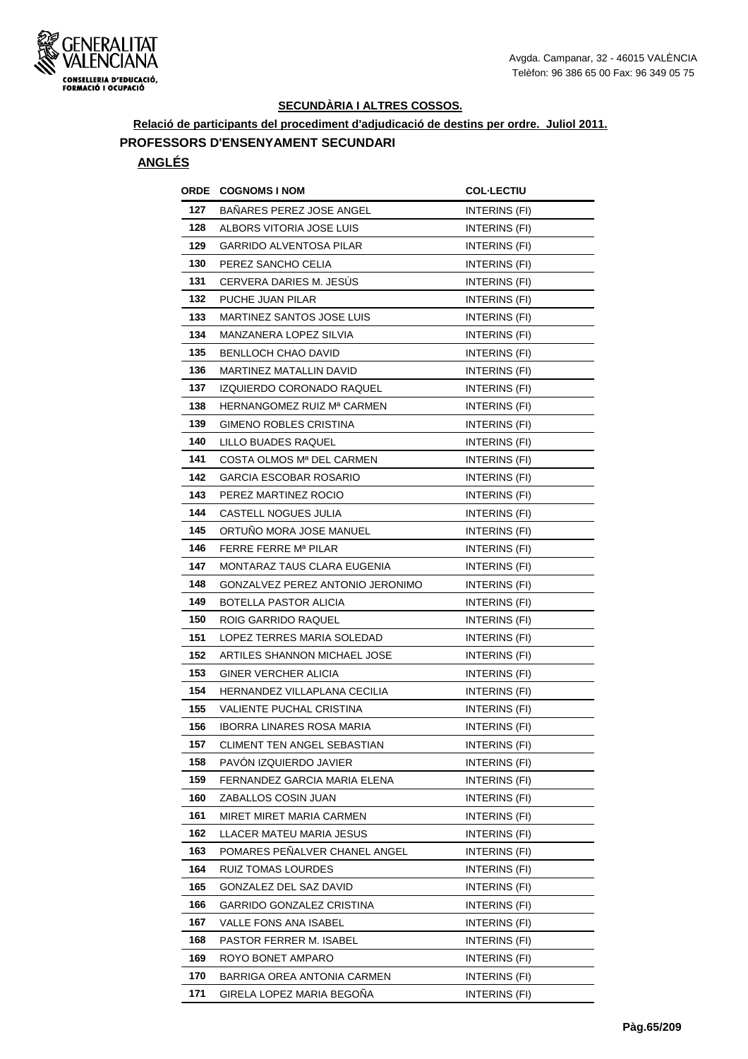

**Relació de participants del procediment d'adjudicació de destins per ordre. Juliol 2011.**

# **PROFESSORS D'ENSENYAMENT SECUNDARI**

| ORDE | <b>COGNOMS I NOM</b>                | <b>COL·LECTIU</b>    |
|------|-------------------------------------|----------------------|
| 127  | <b>BANARES PEREZ JOSE ANGEL</b>     | INTERINS (FI)        |
| 128  | ALBORS VITORIA JOSE LUIS            | INTERINS (FI)        |
| 129  | <b>GARRIDO ALVENTOSA PILAR</b>      | INTERINS (FI)        |
| 130  | PEREZ SANCHO CELIA                  | INTERINS (FI)        |
| 131  | CERVERA DARIES M. JESÚS             | INTERINS (FI)        |
| 132  | PUCHE JUAN PILAR                    | INTERINS (FI)        |
| 133  | <b>MARTINEZ SANTOS JOSE LUIS</b>    | INTERINS (FI)        |
| 134  | MANZANERA LOPEZ SILVIA              | INTERINS (FI)        |
| 135  | BENLLOCH CHAO DAVID                 | INTERINS (FI)        |
| 136  | MARTINEZ MATALLIN DAVID             | INTERINS (FI)        |
| 137  | IZQUIERDO CORONADO RAQUEL           | INTERINS (FI)        |
| 138  | HERNANGOMEZ RUIZ Mª CARMEN          | INTERINS (FI)        |
| 139  | <b>GIMENO ROBLES CRISTINA</b>       | INTERINS (FI)        |
| 140  | LILLO BUADES RAQUEL                 | INTERINS (FI)        |
| 141  | COSTA OLMOS Mª DEL CARMEN           | INTERINS (FI)        |
| 142  | GARCIA ESCOBAR ROSARIO              | INTERINS (FI)        |
| 143  | PEREZ MARTINEZ ROCIO                | <b>INTERINS (FI)</b> |
| 144  | CASTELL NOGUES JULIA                | INTERINS (FI)        |
| 145  | ORTUNO MORA JOSE MANUEL             | INTERINS (FI)        |
| 146  | FERRE FERRE Mª PILAR                | INTERINS (FI)        |
| 147  | MONTARAZ TAUS CLARA EUGENIA         | <b>INTERINS (FI)</b> |
| 148  | GONZALVEZ PEREZ ANTONIO JERONIMO    | INTERINS (FI)        |
| 149  | BOTELLA PASTOR ALICIA               | INTERINS (FI)        |
| 150  | ROIG GARRIDO RAQUEL                 | INTERINS (FI)        |
| 151  | LOPEZ TERRES MARIA SOLEDAD          | INTERINS (FI)        |
| 152  | ARTILES SHANNON MICHAEL JOSE        | <b>INTERINS (FI)</b> |
| 153  | <b>GINER VERCHER ALICIA</b>         | INTERINS (FI)        |
| 154  | <b>HERNANDEZ VILLAPLANA CECILIA</b> | INTERINS (FI)        |
| 155  | VALIENTE PUCHAL CRISTINA            | INTERINS (FI)        |
| 156  | <b>IBORRA LINARES ROSA MARIA</b>    | INTERINS (FI)        |
| 157  | CLIMENT TEN ANGEL SEBASTIAN         | INTERINS (FI)        |
| 158  | PAVON IZQUIERDO JAVIER              | INTERINS (FI)        |
| 159  | FERNANDEZ GARCIA MARIA ELENA        | INTERINS (FI)        |
| 160  | ZABALLOS COSIN JUAN                 | INTERINS (FI)        |
| 161  | MIRET MIRET MARIA CARMEN            | INTERINS (FI)        |
| 162  | LLACER MATEU MARIA JESUS            | INTERINS (FI)        |
| 163  | POMARES PENALVER CHANEL ANGEL       | INTERINS (FI)        |
| 164  | RUIZ TOMAS LOURDES                  | INTERINS (FI)        |
| 165  | GONZALEZ DEL SAZ DAVID              | INTERINS (FI)        |
| 166  | GARRIDO GONZALEZ CRISTINA           | INTERINS (FI)        |
| 167  | VALLE FONS ANA ISABEL               | INTERINS (FI)        |
| 168  | PASTOR FERRER M. ISABEL             | INTERINS (FI)        |
| 169  | ROYO BONET AMPARO                   | INTERINS (FI)        |
| 170  | BARRIGA OREA ANTONIA CARMEN         | INTERINS (FI)        |
| 171  | GIRELA LOPEZ MARIA BEGOÑA           | INTERINS (FI)        |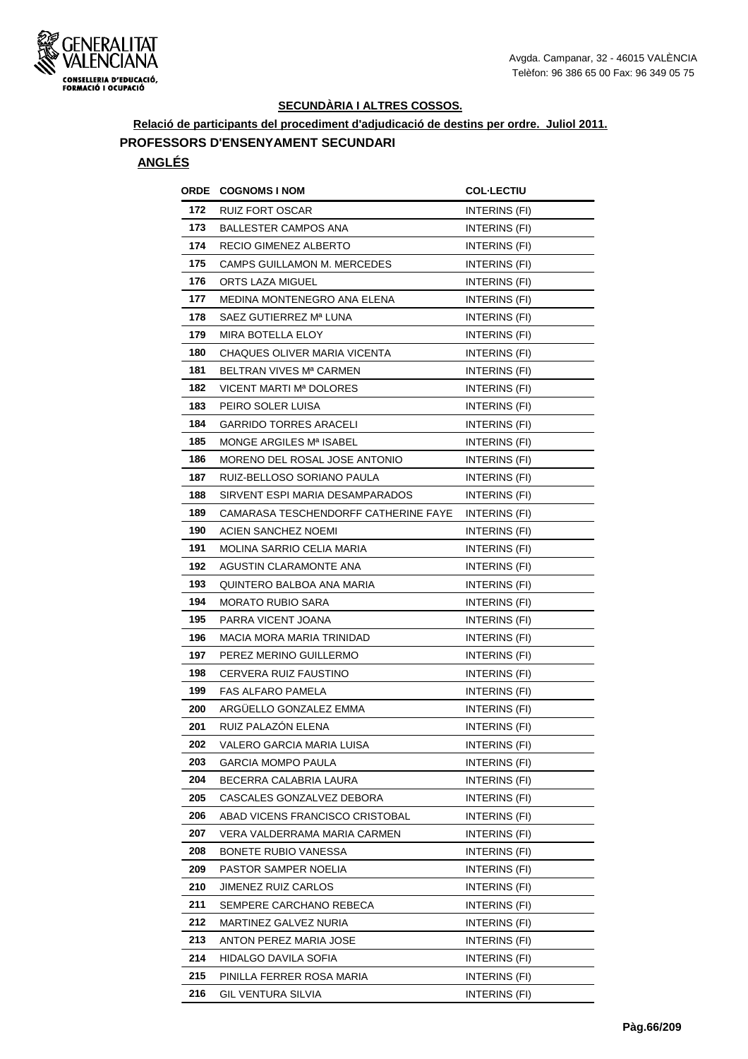

**Relació de participants del procediment d'adjudicació de destins per ordre. Juliol 2011.**

# **PROFESSORS D'ENSENYAMENT SECUNDARI**

| ORDE | <b>COGNOMS I NOM</b>                 | <b>COL·LECTIU</b>    |
|------|--------------------------------------|----------------------|
| 172  | <b>RUIZ FORT OSCAR</b>               | INTERINS (FI)        |
| 173  | <b>BALLESTER CAMPOS ANA</b>          | INTERINS (FI)        |
| 174  | RECIO GIMENEZ ALBERTO                | INTERINS (FI)        |
| 175  | CAMPS GUILLAMON M. MERCEDES          | INTERINS (FI)        |
| 176  | ORTS LAZA MIGUEL                     | INTERINS (FI)        |
| 177  | MEDINA MONTENEGRO ANA ELENA          | INTERINS (FI)        |
| 178  | SAEZ GUTIERREZ Mª LUNA               | INTERINS (FI)        |
| 179  | <b>MIRA BOTELLA ELOY</b>             | INTERINS (FI)        |
| 180  | CHAQUES OLIVER MARIA VICENTA         | INTERINS (FI)        |
| 181  | BELTRAN VIVES Mª CARMEN              | INTERINS (FI)        |
| 182  | VICENT MARTI Mª DOLORES              | INTERINS (FI)        |
| 183  | PEIRO SOLER LUISA                    | INTERINS (FI)        |
| 184  | <b>GARRIDO TORRES ARACELI</b>        | INTERINS (FI)        |
| 185  | MONGE ARGILES Mª ISABEL              | INTERINS (FI)        |
| 186  | MORENO DEL ROSAL JOSE ANTONIO        | <b>INTERINS (FI)</b> |
| 187  | RUIZ-BELLOSO SORIANO PAULA           | INTERINS (FI)        |
| 188  | SIRVENT ESPI MARIA DESAMPARADOS      | INTERINS (FI)        |
| 189  | CAMARASA TESCHENDORFF CATHERINE FAYE | INTERINS (FI)        |
| 190  | ACIEN SANCHEZ NOEMI                  | INTERINS (FI)        |
| 191  | MOLINA SARRIO CELIA MARIA            | INTERINS (FI)        |
| 192  | AGUSTIN CLARAMONTE ANA               | INTERINS (FI)        |
| 193  | QUINTERO BALBOA ANA MARIA            | INTERINS (FI)        |
| 194  | <b>MORATO RUBIO SARA</b>             | INTERINS (FI)        |
| 195  | PARRA VICENT JOANA                   | INTERINS (FI)        |
| 196  | MACIA MORA MARIA TRINIDAD            | INTERINS (FI)        |
| 197  | PEREZ MERINO GUILLERMO               | INTERINS (FI)        |
| 198  | CERVERA RUIZ FAUSTINO                | INTERINS (FI)        |
| 199  | <b>FAS ALFARO PAMELA</b>             | INTERINS (FI)        |
| 200  | ARGUELLO GONZALEZ EMMA               | INTERINS (FI)        |
| 201  | RUIZ PALAZÓN ELENA                   | INTERINS (FI)        |
| 202  | VALERO GARCIA MARIA LUISA            | INTERINS (FI)        |
| 203  | <b>GARCIA MOMPO PAULA</b>            | INTERINS (FI)        |
| 204  | BECERRA CALABRIA LAURA               | INTERINS (FI)        |
| 205  | CASCALES GONZALVEZ DEBORA            | INTERINS (FI)        |
| 206  | ABAD VICENS FRANCISCO CRISTOBAL      | INTERINS (FI)        |
| 207  | VERA VALDERRAMA MARIA CARMEN         | INTERINS (FI)        |
| 208  | <b>BONETE RUBIO VANESSA</b>          | INTERINS (FI)        |
| 209  | PASTOR SAMPER NOELIA                 | INTERINS (FI)        |
| 210  | JIMENEZ RUIZ CARLOS                  | INTERINS (FI)        |
| 211  | SEMPERE CARCHANO REBECA              | INTERINS (FI)        |
| 212  | MARTINEZ GALVEZ NURIA                | INTERINS (FI)        |
| 213  | ANTON PEREZ MARIA JOSE               | INTERINS (FI)        |
| 214  | HIDALGO DAVILA SOFIA                 | INTERINS (FI)        |
| 215  | PINILLA FERRER ROSA MARIA            | INTERINS (FI)        |
| 216  | GIL VENTURA SILVIA                   | INTERINS (FI)        |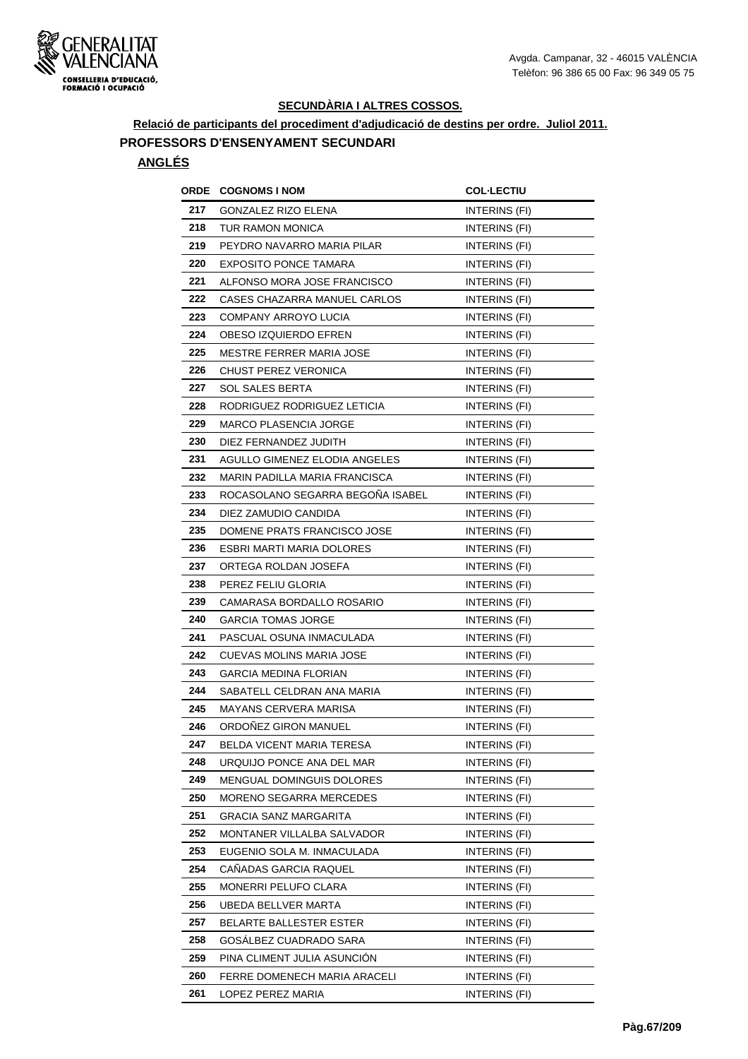

**Relació de participants del procediment d'adjudicació de destins per ordre. Juliol 2011.**

### **PROFESSORS D'ENSENYAMENT SECUNDARI**

| ORDE | <b>COGNOMS I NOM</b>                 | <b>COL·LECTIU</b>    |
|------|--------------------------------------|----------------------|
| 217  | GONZALEZ RIZO ELENA                  | INTERINS (FI)        |
| 218  | TUR RAMON MONICA                     | <b>INTERINS (FI)</b> |
| 219  | PEYDRO NAVARRO MARIA PILAR           | INTERINS (FI)        |
| 220  | <b>EXPOSITO PONCE TAMARA</b>         | INTERINS (FI)        |
| 221  | ALFONSO MORA JOSE FRANCISCO          | INTERINS (FI)        |
| 222  | CASES CHAZARRA MANUEL CARLOS         | INTERINS (FI)        |
| 223  | COMPANY ARROYO LUCIA                 | INTERINS (FI)        |
| 224  | OBESO IZQUIERDO EFREN                | INTERINS (FI)        |
| 225  | <b>MESTRE FERRER MARIA JOSE</b>      | <b>INTERINS (FI)</b> |
| 226  | CHUST PEREZ VERONICA                 | INTERINS (FI)        |
| 227  | SOL SALES BERTA                      | INTERINS (FI)        |
| 228  | RODRIGUEZ RODRIGUEZ LETICIA          | INTERINS (FI)        |
| 229  | <b>MARCO PLASENCIA JORGE</b>         | INTERINS (FI)        |
| 230  | DIEZ FERNANDEZ JUDITH                | INTERINS (FI)        |
| 231  | <b>AGULLO GIMENEZ ELODIA ANGELES</b> | INTERINS (FI)        |
| 232  | <b>MARIN PADILLA MARIA FRANCISCA</b> | INTERINS (FI)        |
| 233  | ROCASOLANO SEGARRA BEGOÑA ISABEL     | INTERINS (FI)        |
| 234  | DIEZ ZAMUDIO CANDIDA                 | INTERINS (FI)        |
| 235  | DOMENE PRATS FRANCISCO JOSE          | INTERINS (FI)        |
| 236  | ESBRI MARTI MARIA DOLORES            | INTERINS (FI)        |
| 237  | ORTEGA ROLDAN JOSEFA                 | INTERINS (FI)        |
| 238  | PEREZ FELIU GLORIA                   | INTERINS (FI)        |
| 239  | CAMARASA BORDALLO ROSARIO            | INTERINS (FI)        |
| 240  | <b>GARCIA TOMAS JORGE</b>            | INTERINS (FI)        |
| 241  | PASCUAL OSUNA INMACULADA             | INTERINS (FI)        |
| 242  | CUEVAS MOLINS MARIA JOSE             | <b>INTERINS (FI)</b> |
| 243  | <b>GARCIA MEDINA FLORIAN</b>         | INTERINS (FI)        |
| 244  | SABATELL CELDRAN ANA MARIA           | INTERINS (FI)        |
| 245  | MAYANS CERVERA MARISA                | INTERINS (FI)        |
| 246  | ORDOÑEZ GIRON MANUEL                 | INTERINS (FI)        |
| 247  | BELDA VICENT MARIA TERESA            | INTERINS (FI)        |
| 248  | URQUIJO PONCE ANA DEL MAR            | INTERINS (FI)        |
| 249  | MENGUAL DOMINGUIS DOLORES            | INTERINS (FI)        |
| 250  | MORENO SEGARRA MERCEDES              | INTERINS (FI)        |
| 251  | GRACIA SANZ MARGARITA                | INTERINS (FI)        |
| 252  | MONTANER VILLALBA SALVADOR           | INTERINS (FI)        |
| 253  | EUGENIO SOLA M. INMACULADA           | INTERINS (FI)        |
| 254  | CAÑADAS GARCIA RAQUEL                | INTERINS (FI)        |
| 255  | MONERRI PELUFO CLARA                 | INTERINS (FI)        |
| 256  | UBEDA BELLVER MARTA                  | INTERINS (FI)        |
| 257  | BELARTE BALLESTER ESTER              | INTERINS (FI)        |
| 258  | GOSALBEZ CUADRADO SARA               | INTERINS (FI)        |
| 259  | PINA CLIMENT JULIA ASUNCION          | INTERINS (FI)        |
| 260  | FERRE DOMENECH MARIA ARACELI         | INTERINS (FI)        |
| 261  | LOPEZ PEREZ MARIA                    | INTERINS (FI)        |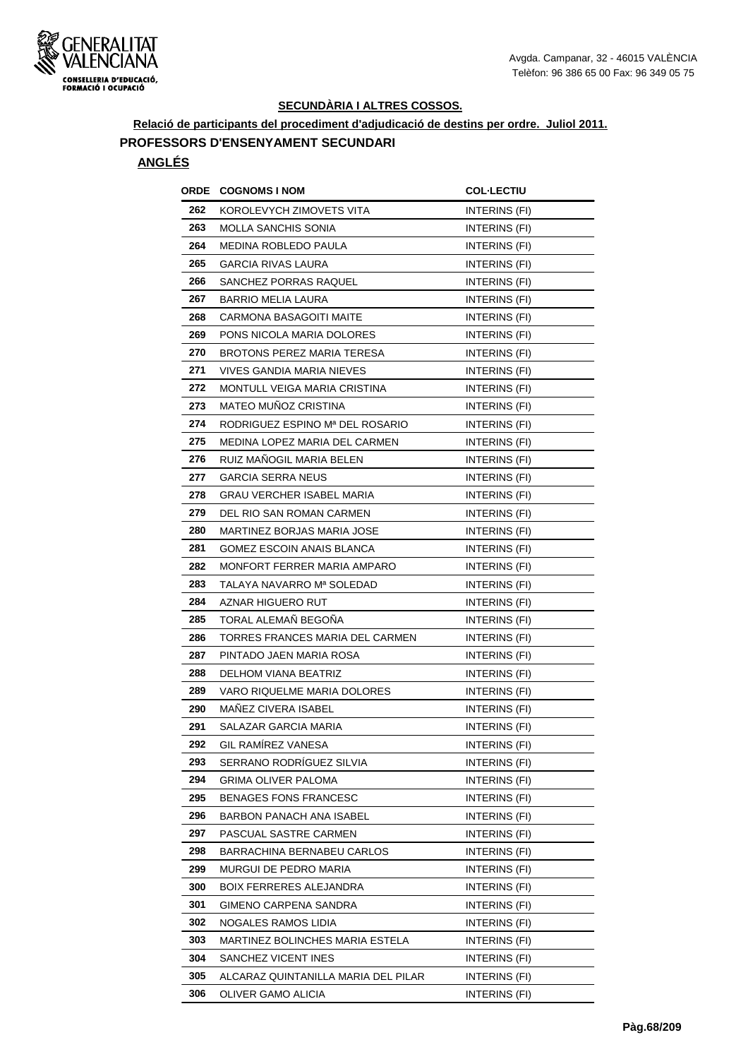

**Relació de participants del procediment d'adjudicació de destins per ordre. Juliol 2011.**

# **PROFESSORS D'ENSENYAMENT SECUNDARI**

| ORDE | <b>COGNOMS I NOM</b>                | <b>COL-LECTIU</b>    |
|------|-------------------------------------|----------------------|
| 262  | KOROLEVYCH ZIMOVETS VITA            | INTERINS (FI)        |
| 263  | <b>MOLLA SANCHIS SONIA</b>          | INTERINS (FI)        |
| 264  | MEDINA ROBLEDO PAULA                | INTERINS (FI)        |
| 265  | <b>GARCIA RIVAS LAURA</b>           | INTERINS (FI)        |
| 266  | SANCHEZ PORRAS RAQUEL               | INTERINS (FI)        |
| 267  | <b>BARRIO MELIA LAURA</b>           | INTERINS (FI)        |
| 268  | <b>CARMONA BASAGOITI MAITE</b>      | INTERINS (FI)        |
| 269  | PONS NICOLA MARIA DOLORES           | INTERINS (FI)        |
| 270  | BROTONS PEREZ MARIA TERESA          | INTERINS (FI)        |
| 271  | <b>VIVES GANDIA MARIA NIEVES</b>    | INTERINS (FI)        |
| 272  | MONTULL VEIGA MARIA CRISTINA        | INTERINS (FI)        |
| 273  | <b>MATEO MUNOZ CRISTINA</b>         | INTERINS (FI)        |
| 274  | RODRIGUEZ ESPINO Mª DEL ROSARIO     | INTERINS (FI)        |
| 275  | MEDINA LOPEZ MARIA DEL CARMEN       | INTERINS (FI)        |
| 276  | RUIZ MANOGIL MARIA BELEN            | INTERINS (FI)        |
| 277  | <b>GARCIA SERRA NEUS</b>            | INTERINS (FI)        |
| 278  | GRAU VERCHER ISABEL MARIA           | INTERINS (FI)        |
| 279  | DEL RIO SAN ROMAN CARMEN            | INTERINS (FI)        |
| 280  | MARTINEZ BORJAS MARIA JOSE          | INTERINS (FI)        |
| 281  | GOMEZ ESCOIN ANAIS BLANCA           | INTERINS (FI)        |
| 282  | MONFORT FERRER MARIA AMPARO         | INTERINS (FI)        |
| 283  | TALAYA NAVARRO Mª SOLEDAD           | INTERINS (FI)        |
| 284  | AZNAR HIGUERO RUT                   | INTERINS (FI)        |
| 285  | TORAL ALEMAÑ BEGOÑA                 | <b>INTERINS (FI)</b> |
| 286  | TORRES FRANCES MARIA DEL CARMEN     | INTERINS (FI)        |
| 287  | PINTADO JAEN MARIA ROSA             | INTERINS (FI)        |
| 288  | DELHOM VIANA BEATRIZ                | INTERINS (FI)        |
| 289  | VARO RIQUELME MARIA DOLORES         | INTERINS (FI)        |
| 290  | <b>MANEZ CIVERA ISABEL</b>          | INTERINS (FI)        |
| 291  | SALAZAR GARCIA MARIA                | <b>INTERINS (FI)</b> |
| 292  | <b>GIL RAMÍREZ VANESA</b>           | INTERINS (FI)        |
| 293  | SERRANO RODRÍGUEZ SILVIA            | INTERINS (FI)        |
| 294  | GRIMA OLIVER PALOMA                 | INTERINS (FI)        |
| 295  | <b>BENAGES FONS FRANCESC</b>        | INTERINS (FI)        |
| 296  | BARBON PANACH ANA ISABEL            | INTERINS (FI)        |
| 297  | PASCUAL SASTRE CARMEN               | INTERINS (FI)        |
| 298  | <b>BARRACHINA BERNABEU CARLOS</b>   | INTERINS (FI)        |
| 299  | MURGUI DE PEDRO MARIA               | INTERINS (FI)        |
| 300  | <b>BOIX FERRERES ALEJANDRA</b>      | INTERINS (FI)        |
| 301  | GIMENO CARPENA SANDRA               | INTERINS (FI)        |
| 302  | NOGALES RAMOS LIDIA                 | INTERINS (FI)        |
| 303  | MARTINEZ BOLINCHES MARIA ESTELA     | INTERINS (FI)        |
| 304  | SANCHEZ VICENT INES                 | INTERINS (FI)        |
| 305  | ALCARAZ QUINTANILLA MARIA DEL PILAR | INTERINS (FI)        |
| 306  | OLIVER GAMO ALICIA                  | INTERINS (FI)        |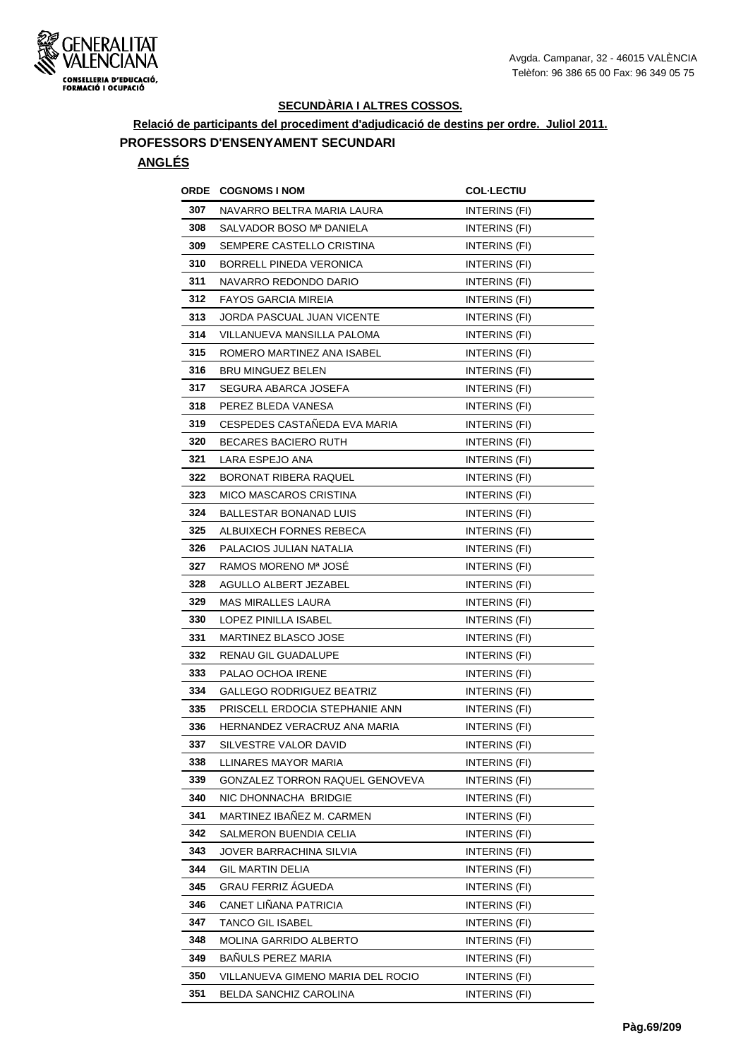

**Relació de participants del procediment d'adjudicació de destins per ordre. Juliol 2011.**

#### **PROFESSORS D'ENSENYAMENT SECUNDARI**

| ORDE | <b>COGNOMS I NOM</b>              | <b>COL·LECTIU</b>    |
|------|-----------------------------------|----------------------|
| 307  | NAVARRO BELTRA MARIA LAURA        | INTERINS (FI)        |
| 308  | SALVADOR BOSO Mª DANIELA          | <b>INTERINS (FI)</b> |
| 309  | SEMPERE CASTELLO CRISTINA         | INTERINS (FI)        |
| 310  | <b>BORRELL PINEDA VERONICA</b>    | INTERINS (FI)        |
| 311  | NAVARRO REDONDO DARIO             | INTERINS (FI)        |
| 312  | <b>FAYOS GARCIA MIREIA</b>        | INTERINS (FI)        |
| 313  | JORDA PASCUAL JUAN VICENTE        | INTERINS (FI)        |
| 314  | VILLANUEVA MANSILLA PALOMA        | INTERINS (FI)        |
| 315  | ROMERO MARTINEZ ANA ISABEL        | <b>INTERINS (FI)</b> |
| 316  | <b>BRU MINGUEZ BELEN</b>          | INTERINS (FI)        |
| 317  | SEGURA ABARCA JOSEFA              | INTERINS (FI)        |
| 318  | PEREZ BLEDA VANESA                | INTERINS (FI)        |
| 319  | CESPEDES CASTAÑEDA EVA MARIA      | INTERINS (FI)        |
| 320  | <b>BECARES BACIERO RUTH</b>       | INTERINS (FI)        |
| 321  | LARA ESPEJO ANA                   | INTERINS (FI)        |
| 322  | BORONAT RIBERA RAQUEL             | INTERINS (FI)        |
| 323  | <b>MICO MASCAROS CRISTINA</b>     | INTERINS (FI)        |
| 324  | BALLESTAR BONANAD LUIS            | INTERINS (FI)        |
| 325  | ALBUIXECH FORNES REBECA           | INTERINS (FI)        |
| 326  | PALACIOS JULIAN NATALIA           | INTERINS (FI)        |
| 327  | RAMOS MORENO Mª JOSE              | INTERINS (FI)        |
| 328  | AGULLO ALBERT JEZABEL             | INTERINS (FI)        |
| 329  | MAS MIRALLES LAURA                | INTERINS (FI)        |
| 330  | LOPEZ PINILLA ISABEL              | INTERINS (FI)        |
| 331  | MARTINEZ BLASCO JOSE              | INTERINS (FI)        |
| 332  | RENAU GIL GUADALUPE               | INTERINS (FI)        |
| 333  | PALAO OCHOA IRENE                 | INTERINS (FI)        |
| 334  | <b>GALLEGO RODRIGUEZ BEATRIZ</b>  | INTERINS (FI)        |
| 335  | PRISCELL ERDOCIA STEPHANIE ANN    | INTERINS (FI)        |
| 336  | HERNANDEZ VERACRUZ ANA MARIA      | INTERINS (FI)        |
| 337  | SILVESTRE VALOR DAVID             | INTERINS (FI)        |
| 338  | LLINARES MAYOR MARIA              | INTERINS (FI)        |
| 339  | GONZALEZ TORRON RAQUEL GENOVEVA   | INTERINS (FI)        |
| 340  | NIC DHONNACHA BRIDGIE             | INTERINS (FI)        |
| 341  | MARTINEZ IBANEZ M. CARMEN         | INTERINS (FI)        |
| 342  | SALMERON BUENDIA CELIA            | INTERINS (FI)        |
| 343  | JOVER BARRACHINA SILVIA           | INTERINS (FI)        |
| 344  | <b>GIL MARTIN DELIA</b>           | INTERINS (FI)        |
| 345  | GRAU FERRIZ ÁGUEDA                | INTERINS (FI)        |
| 346  | CANET LIÑANA PATRICIA             | INTERINS (FI)        |
| 347  | TANCO GIL ISABEL                  | INTERINS (FI)        |
| 348  | <b>MOLINA GARRIDO ALBERTO</b>     | INTERINS (FI)        |
| 349  | BAÑULS PEREZ MARIA                | INTERINS (FI)        |
| 350  | VILLANUEVA GIMENO MARIA DEL ROCIO | INTERINS (FI)        |
| 351  | BELDA SANCHIZ CAROLINA            | INTERINS (FI)        |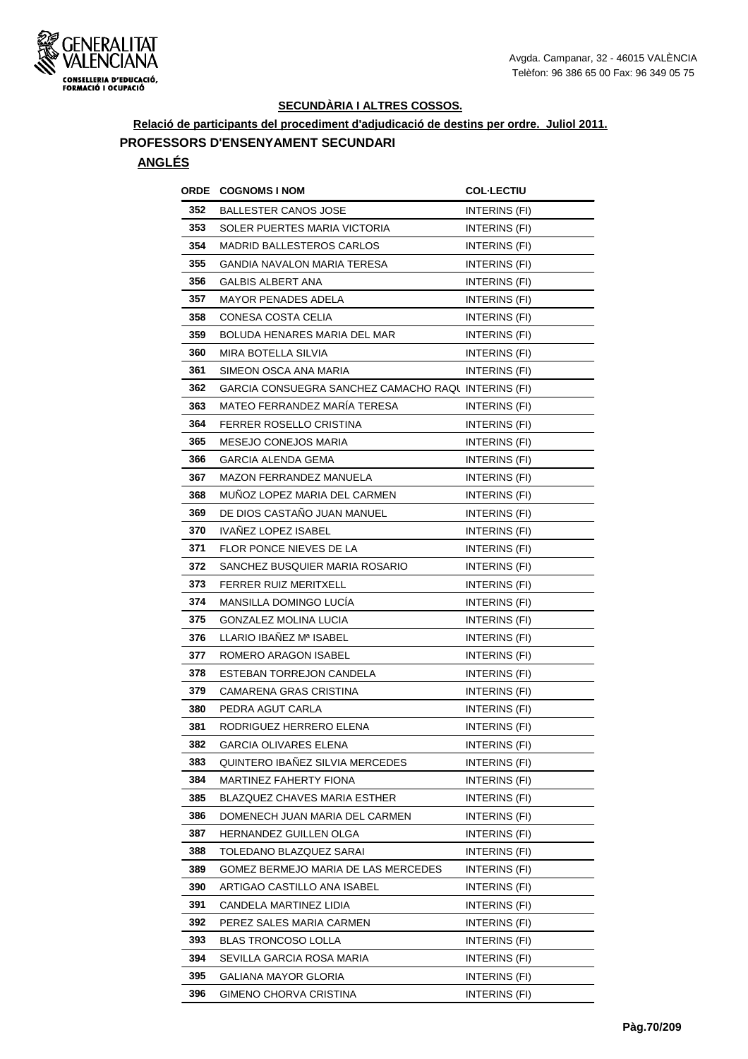

**Relació de participants del procediment d'adjudicació de destins per ordre. Juliol 2011.**

#### **PROFESSORS D'ENSENYAMENT SECUNDARI**

| ORDE | <b>COGNOMS I NOM</b>                               | <b>COL·LECTIU</b>    |
|------|----------------------------------------------------|----------------------|
| 352  | <b>BALLESTER CANOS JOSE</b>                        | INTERINS (FI)        |
| 353  | SOLER PUERTES MARIA VICTORIA                       | <b>INTERINS (FI)</b> |
| 354  | <b>MADRID BALLESTEROS CARLOS</b>                   | INTERINS (FI)        |
| 355  | GANDIA NAVALON MARIA TERESA                        | INTERINS (FI)        |
| 356  | <b>GALBIS ALBERT ANA</b>                           | INTERINS (FI)        |
| 357  | <b>MAYOR PENADES ADELA</b>                         | INTERINS (FI)        |
| 358  | CONESA COSTA CELIA                                 | INTERINS (FI)        |
| 359  | BOLUDA HENARES MARIA DEL MAR                       | <b>INTERINS (FI)</b> |
| 360  | MIRA BOTELLA SILVIA                                | INTERINS (FI)        |
| 361  | SIMEON OSCA ANA MARIA                              | INTERINS (FI)        |
| 362  | GARCIA CONSUEGRA SANCHEZ CAMACHO RAQUINTERINS (FI) |                      |
| 363  | MATEO FERRANDEZ MARÍA TERESA                       | INTERINS (FI)        |
| 364  | FERRER ROSELLO CRISTINA                            | INTERINS (FI)        |
| 365  | <b>MESEJO CONEJOS MARIA</b>                        | <b>INTERINS (FI)</b> |
| 366  | <b>GARCIA ALENDA GEMA</b>                          | INTERINS (FI)        |
| 367  | <b>MAZON FERRANDEZ MANUELA</b>                     | INTERINS (FI)        |
| 368  | MUNOZ LOPEZ MARIA DEL CARMEN                       | INTERINS (FI)        |
| 369  | DE DIOS CASTANO JUAN MANUEL                        | INTERINS (FI)        |
| 370  | <b>IVANEZ LOPEZ ISABEL</b>                         | INTERINS (FI)        |
| 371  | FLOR PONCE NIEVES DE LA                            | INTERINS (FI)        |
| 372  | SANCHEZ BUSQUIER MARIA ROSARIO                     | <b>INTERINS (FI)</b> |
| 373  | <b>FERRER RUIZ MERITXELL</b>                       | INTERINS (FI)        |
| 374  | MANSILLA DOMINGO LUCÍA                             | INTERINS (FI)        |
| 375  | GONZALEZ MOLINA LUCIA                              | <b>INTERINS (FI)</b> |
| 376  | LLARIO IBAÑEZ Mª ISABEL                            | INTERINS (FI)        |
| 377  | ROMERO ARAGON ISABEL                               | <b>INTERINS (FI)</b> |
| 378  | ESTEBAN TORREJON CANDELA                           | <b>INTERINS (FI)</b> |
| 379  | CAMARENA GRAS CRISTINA                             | INTERINS (FI)        |
| 380  | PEDRA AGUT CARLA                                   | INTERINS (FI)        |
| 381  | RODRIGUEZ HERRERO ELENA                            | INTERINS (FI)        |
| 382  | GARCIA OLIVARES ELENA                              | INTERINS (FI)        |
| 383  | QUINTERO IBAÑEZ SILVIA MERCEDES                    | INTERINS (FI)        |
| 384  | MARTINEZ FAHERTY FIONA                             | INTERINS (FI)        |
| 385  | <b>BLAZQUEZ CHAVES MARIA ESTHER</b>                | INTERINS (FI)        |
| 386  | DOMENECH JUAN MARIA DEL CARMEN                     | INTERINS (FI)        |
| 387  | HERNANDEZ GUILLEN OLGA                             | INTERINS (FI)        |
| 388  | TOLEDANO BLAZQUEZ SARAI                            | INTERINS (FI)        |
| 389  | GOMEZ BERMEJO MARIA DE LAS MERCEDES                | INTERINS (FI)        |
| 390  | ARTIGAO CASTILLO ANA ISABEL                        | INTERINS (FI)        |
| 391  | CANDELA MARTINEZ LIDIA                             | INTERINS (FI)        |
| 392  | PEREZ SALES MARIA CARMEN                           | INTERINS (FI)        |
| 393  | <b>BLAS TRONCOSO LOLLA</b>                         | INTERINS (FI)        |
| 394  | SEVILLA GARCIA ROSA MARIA                          | INTERINS (FI)        |
| 395  | GALIANA MAYOR GLORIA                               | INTERINS (FI)        |
| 396  | GIMENO CHORVA CRISTINA                             | INTERINS (FI)        |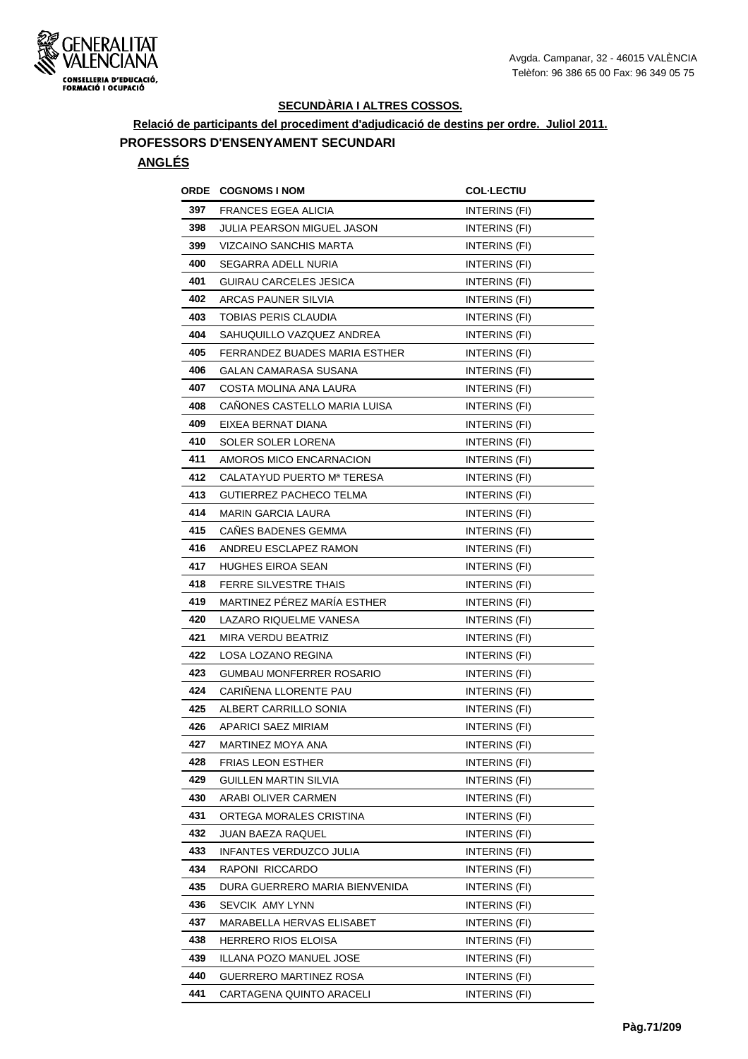

**Relació de participants del procediment d'adjudicació de destins per ordre. Juliol 2011.**

#### **PROFESSORS D'ENSENYAMENT SECUNDARI**

| ORDE | <b>COGNOMS I NOM</b>              | <b>COL·LECTIU</b>    |
|------|-----------------------------------|----------------------|
| 397  | <b>FRANCES EGEA ALICIA</b>        | INTERINS (FI)        |
| 398  | <b>JULIA PEARSON MIGUEL JASON</b> | <b>INTERINS (FI)</b> |
| 399  | VIZCAINO SANCHIS MARTA            | INTERINS (FI)        |
| 400  | SEGARRA ADELL NURIA               | INTERINS (FI)        |
| 401  | GUIRAU CARCELES JESICA            | INTERINS (FI)        |
| 402  | ARCAS PAUNER SILVIA               | INTERINS (FI)        |
| 403  | TOBIAS PERIS CLAUDIA              | INTERINS (FI)        |
| 404  | SAHUQUILLO VAZQUEZ ANDREA         | INTERINS (FI)        |
| 405  | FERRANDEZ BUADES MARIA ESTHER     | <b>INTERINS (FI)</b> |
| 406  | GALAN CAMARASA SUSANA             | INTERINS (FI)        |
| 407  | COSTA MOLINA ANA LAURA            | INTERINS (FI)        |
| 408  | CANONES CASTELLO MARIA LUISA      | INTERINS (FI)        |
| 409  | EIXEA BERNAT DIANA                | INTERINS (FI)        |
| 410  | SOLER SOLER LORENA                | INTERINS (FI)        |
| 411  | AMOROS MICO ENCARNACION           | INTERINS (FI)        |
| 412  | CALATAYUD PUERTO Mª TERESA        | INTERINS (FI)        |
| 413  | <b>GUTIERREZ PACHECO TELMA</b>    | INTERINS (FI)        |
| 414  | <b>MARIN GARCIA LAURA</b>         | INTERINS (FI)        |
| 415  | <b>CANES BADENES GEMMA</b>        | INTERINS (FI)        |
| 416  | ANDREU ESCLAPEZ RAMON             | INTERINS (FI)        |
| 417  | <b>HUGHES EIROA SEAN</b>          | INTERINS (FI)        |
| 418  | <b>FERRE SILVESTRE THAIS</b>      | INTERINS (FI)        |
| 419  | MARTINEZ PÉREZ MARÍA ESTHER       | <b>INTERINS (FI)</b> |
| 420  | LAZARO RIQUELME VANESA            | <b>INTERINS (FI)</b> |
| 421  | MIRA VERDU BEATRIZ                | INTERINS (FI)        |
| 422  | LOSA LOZANO REGINA                | <b>INTERINS (FI)</b> |
| 423  | <b>GUMBAU MONFERRER ROSARIO</b>   | INTERINS (FI)        |
| 424  | CARINENA LLORENTE PAU             | INTERINS (FI)        |
| 425  | ALBERT CARRILLO SONIA             | INTERINS (FI)        |
| 426  | APARICI SAEZ MIRIAM               | INTERINS (FI)        |
| 427  | MARTINEZ MOYA ANA                 | INTERINS (FI)        |
| 428  | <b>FRIAS LEON ESTHER</b>          | INTERINS (FI)        |
| 429  | <b>GUILLEN MARTIN SILVIA</b>      | INTERINS (FI)        |
| 430  | ARABI OLIVER CARMEN               | INTERINS (FI)        |
| 431  | ORTEGA MORALES CRISTINA           | INTERINS (FI)        |
| 432  | JUAN BAEZA RAQUEL                 | INTERINS (FI)        |
| 433  | INFANTES VERDUZCO JULIA           | INTERINS (FI)        |
| 434  | RAPONI RICCARDO                   | INTERINS (FI)        |
| 435  | DURA GUERRERO MARIA BIENVENIDA    | INTERINS (FI)        |
| 436  | SEVCIK AMY LYNN                   | INTERINS (FI)        |
| 437  | MARABELLA HERVAS ELISABET         | INTERINS (FI)        |
| 438  | <b>HERRERO RIOS ELOISA</b>        | INTERINS (FI)        |
| 439  | ILLANA POZO MANUEL JOSE           | INTERINS (FI)        |
| 440  | GUERRERO MARTINEZ ROSA            | INTERINS (FI)        |
| 441  | CARTAGENA QUINTO ARACELI          | INTERINS (FI)        |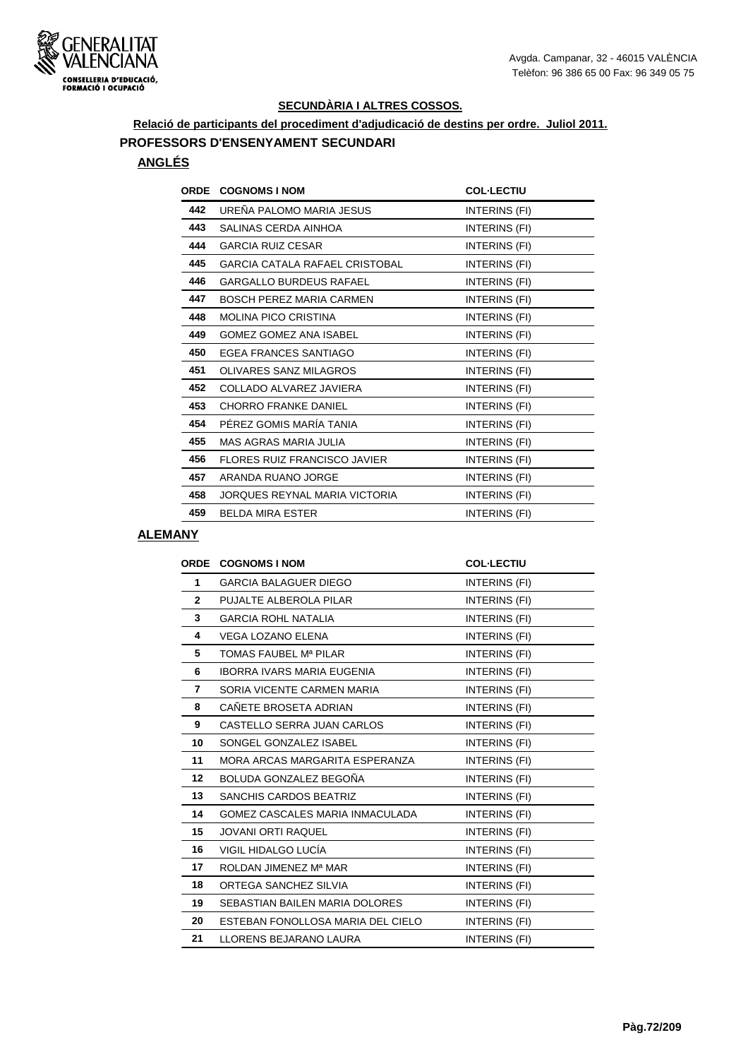

**Relació de participants del procediment d'adjudicació de destins per ordre. Juliol 2011.**

# **PROFESSORS D'ENSENYAMENT SECUNDARI**

# **ANGLÉS**

| <b>ORDE</b> | <b>COGNOMS I NOM</b>                | <b>COL-LECTIU</b> |
|-------------|-------------------------------------|-------------------|
| 442         | UREÑA PALOMO MARIA JESUS            | INTERINS (FI)     |
| 443         | SALINAS CERDA AINHOA                | INTERINS (FI)     |
| 444         | <b>GARCIA RUIZ CESAR</b>            | INTERINS (FI)     |
| 445         | GARCIA CATALA RAFAEL CRISTOBAL      | INTERINS (FI)     |
| 446         | <b>GARGALLO BURDEUS RAFAEL</b>      | INTERINS (FI)     |
| 447         | <b>BOSCH PEREZ MARIA CARMEN</b>     | INTERINS (FI)     |
| 448         | <b>MOLINA PICO CRISTINA</b>         | INTERINS (FI)     |
| 449         | <b>GOMEZ GOMEZ ANA ISABEL</b>       | INTERINS (FI)     |
| 450         | EGEA FRANCES SANTIAGO               | INTERINS (FI)     |
| 451         | OLIVARES SANZ MILAGROS              | INTERINS (FI)     |
| 452         | COLLADO ALVAREZ JAVIERA             | INTERINS (FI)     |
| 453         | <b>CHORRO FRANKE DANIEL</b>         | INTERINS (FI)     |
| 454         | PÉREZ GOMIS MARÍA TANIA             | INTERINS (FI)     |
| 455         | <b>MAS AGRAS MARIA JULIA</b>        | INTERINS (FI)     |
| 456         | <b>FLORES RUIZ FRANCISCO JAVIER</b> | INTERINS (FI)     |
| 457         | ARANDA RUANO JORGE                  | INTERINS (FI)     |
| 458         | JORQUES REYNAL MARIA VICTORIA       | INTERINS (FI)     |
| 459         | <b>BELDA MIRA ESTER</b>             | INTERINS (FI)     |
|             |                                     |                   |

#### **ALEMANY**

| <b>ORDE</b>  | <b>COGNOMS I NOM</b>              | <b>COL-LECTIU</b>    |
|--------------|-----------------------------------|----------------------|
| 1            | <b>GARCIA BALAGUER DIEGO</b>      | INTERINS (FI)        |
| $\mathbf{2}$ | PUJALTE ALBEROLA PILAR            | INTERINS (FI)        |
| 3            | <b>GARCIA ROHL NATALIA</b>        | INTERINS (FI)        |
| 4            | VEGA LOZANO ELENA                 | INTERINS (FI)        |
| 5            | TOMAS FAUBEL Mª PILAR             | INTERINS (FI)        |
| 6            | <b>IBORRA IVARS MARIA EUGENIA</b> | INTERINS (FI)        |
| 7            | SORIA VICENTE CARMEN MARIA        | INTERINS (FI)        |
| 8            | CAÑETE BROSETA ADRIAN             | INTERINS (FI)        |
| 9            | CASTELLO SERRA JUAN CARLOS        | INTERINS (FI)        |
| 10           | SONGEL GONZALEZ ISABEL            | INTERINS (FI)        |
| 11           | MORA ARCAS MARGARITA ESPERANZA    | INTERINS (FI)        |
| 12           | BOLUDA GONZALEZ BEGOÑA            | INTERINS (FI)        |
| 13           | <b>SANCHIS CARDOS BEATRIZ</b>     | INTERINS (FI)        |
| 14           | GOMEZ CASCALES MARIA INMACULADA   | INTERINS (FI)        |
| 15           | <b>JOVANI ORTI RAQUEL</b>         | <b>INTERINS (FI)</b> |
| 16           | VIGIL HIDALGO LUCÍA               | INTERINS (FI)        |
| 17           | ROLDAN JIMENEZ Mª MAR             | INTERINS (FI)        |
| 18           | ORTEGA SANCHEZ SILVIA             | INTERINS (FI)        |
| 19           | SEBASTIAN BAILEN MARIA DOLORES    | INTERINS (FI)        |
| 20           | ESTEBAN FONOLLOSA MARIA DEL CIELO | INTERINS (FI)        |
| 21           | LLORENS BEJARANO LAURA            | INTERINS (FI)        |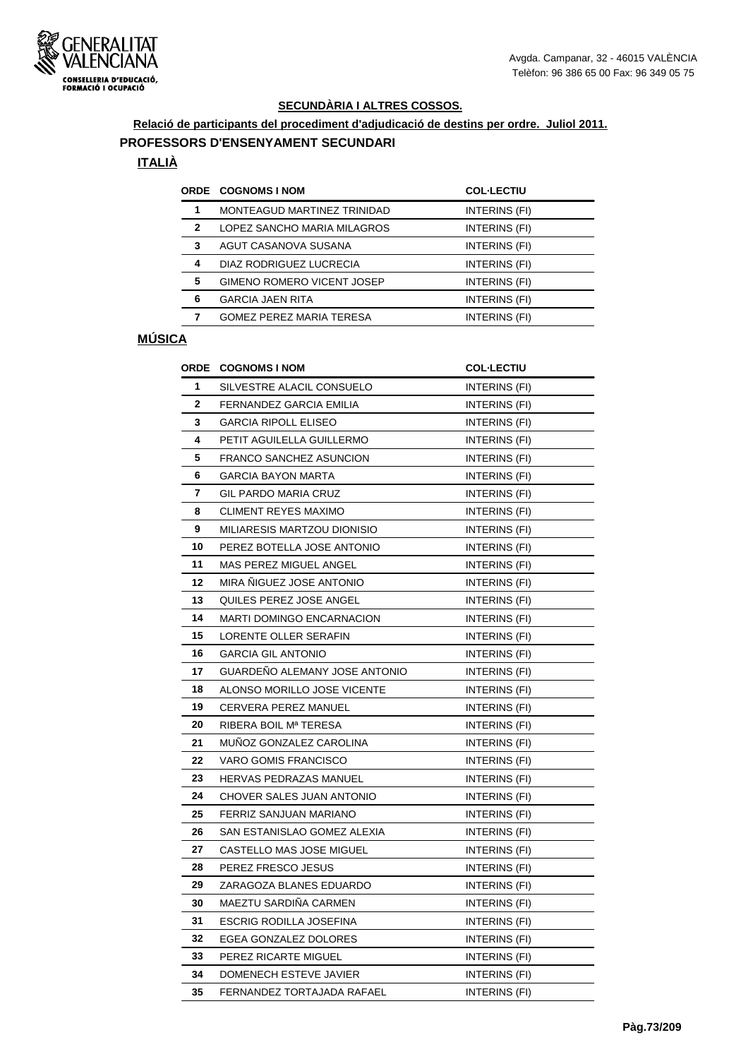

# **Relació de participants del procediment d'adjudicació de destins per ordre. Juliol 2011.**

## **PROFESSORS D'ENSENYAMENT SECUNDARI**

### **ITALIÀ**

|   | ORDE COGNOMS I NOM                | <b>COL-LECTIU</b> |
|---|-----------------------------------|-------------------|
| 1 | MONTEAGUD MARTINEZ TRINIDAD       | INTERINS (FI)     |
| 2 | LOPEZ SANCHO MARIA MILAGROS       | INTERINS (FI)     |
| 3 | AGUT CASANOVA SUSANA              | INTERINS (FI)     |
| 4 | DIAZ RODRIGUEZ LUCRECIA           | INTERINS (FI)     |
| 5 | <b>GIMENO ROMERO VICENT JOSEP</b> | INTERINS (FI)     |
| 6 | <b>GARCIA JAEN RITA</b>           | INTERINS (FI)     |
|   | <b>GOMEZ PEREZ MARIA TERESA</b>   | INTERINS (FI)     |
|   |                                   |                   |

## **MÚSICA**

| <b>ORDE</b>  | <b>COGNOMS I NOM</b>              | <b>COL-LECTIU</b>    |
|--------------|-----------------------------------|----------------------|
| 1            | SILVESTRE ALACIL CONSUELO         | INTERINS (FI)        |
| $\mathbf{2}$ | FERNANDEZ GARCIA EMILIA           | INTERINS (FI)        |
| 3            | <b>GARCIA RIPOLL ELISEO</b>       | INTERINS (FI)        |
| 4            | PETIT AGUILELLA GUILLERMO         | INTERINS (FI)        |
| 5            | <b>FRANCO SANCHEZ ASUNCION</b>    | INTERINS (FI)        |
| 6            | <b>GARCIA BAYON MARTA</b>         | INTERINS (FI)        |
| 7            | <b>GIL PARDO MARIA CRUZ</b>       | INTERINS (FI)        |
| 8            | <b>CLIMENT REYES MAXIMO</b>       | INTERINS (FI)        |
| 9            | MILIARESIS MARTZOU DIONISIO       | INTERINS (FI)        |
| 10           | PEREZ BOTELLA JOSE ANTONIO        | INTERINS (FI)        |
| 11           | MAS PEREZ MIGUEL ANGEL            | INTERINS (FI)        |
| 12           | MIRA ÑIGUEZ JOSE ANTONIO          | INTERINS (FI)        |
| 13           | QUILES PEREZ JOSE ANGEL           | INTERINS (FI)        |
| 14           | <b>MARTI DOMINGO ENCARNACION</b>  | INTERINS (FI)        |
| 15           | LORENTE OLLER SERAFIN             | INTERINS (FI)        |
| 16           | <b>GARCIA GIL ANTONIO</b>         | INTERINS (FI)        |
| 17           | GUARDEÑO ALEMANY JOSE ANTONIO     | INTERINS (FI)        |
| 18           | ALONSO MORILLO JOSE VICENTE       | <b>INTERINS (FI)</b> |
| 19           | CERVERA PEREZ MANUEL              | <b>INTERINS (FI)</b> |
| 20           | RIBERA BOIL M <sup>a</sup> TERESA | INTERINS (FI)        |
| 21           | MUÑOZ GONZALEZ CAROLINA           | INTERINS (FI)        |
| 22           | <b>VARO GOMIS FRANCISCO</b>       | INTERINS (FI)        |
| 23           | <b>HERVAS PEDRAZAS MANUEL</b>     | INTERINS (FI)        |
| 24           | CHOVER SALES JUAN ANTONIO         | INTERINS (FI)        |
| 25           | FERRIZ SANJUAN MARIANO            | INTERINS (FI)        |
| 26           | SAN ESTANISLAO GOMEZ ALEXIA       | INTERINS (FI)        |
| 27           | CASTELLO MAS JOSE MIGUEL          | INTERINS (FI)        |
| 28           | PEREZ FRESCO JESUS                | INTERINS (FI)        |
| 29           | ZARAGOZA BLANES EDUARDO           | INTERINS (FI)        |
| 30           | MAEZTU SARDIÑA CARMEN             | INTERINS (FI)        |
| 31           | <b>ESCRIG RODILLA JOSEFINA</b>    | INTERINS (FI)        |
| 32           | EGEA GONZALEZ DOLORES             | INTERINS (FI)        |
| 33           | PEREZ RICARTE MIGUEL              | INTERINS (FI)        |
| 34           | DOMENECH ESTEVE JAVIER            | INTERINS (FI)        |
| 35           | FERNANDEZ TORTAJADA RAFAEL        | INTERINS (FI)        |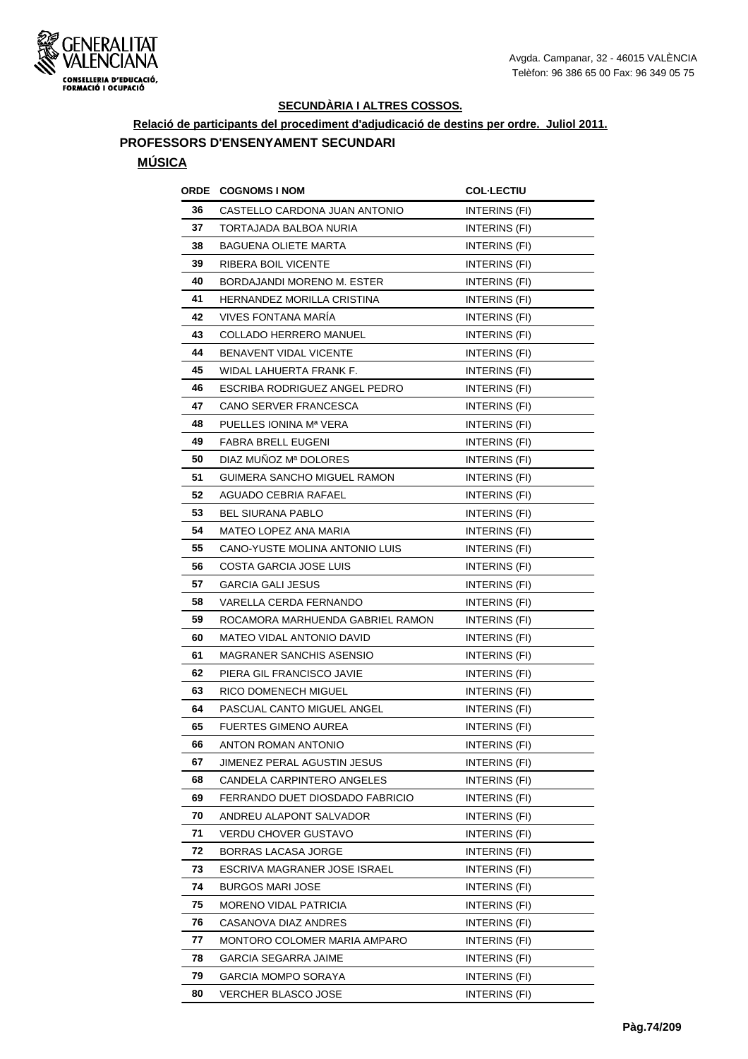

**Relació de participants del procediment d'adjudicació de destins per ordre. Juliol 2011.**

## **PROFESSORS D'ENSENYAMENT SECUNDARI**

## **MÚSICA**

| ORDE | <b>COGNOMS I NOM</b>             | <b>COL·LECTIU</b> |
|------|----------------------------------|-------------------|
| 36   | CASTELLO CARDONA JUAN ANTONIO    | INTERINS (FI)     |
| 37   | TORTAJADA BALBOA NURIA           | INTERINS (FI)     |
| 38   | <b>BAGUENA OLIETE MARTA</b>      | INTERINS (FI)     |
| 39   | RIBERA BOIL VICENTE              | INTERINS (FI)     |
| 40   | BORDAJANDI MORENO M. ESTER       | INTERINS (FI)     |
| 41   | HERNANDEZ MORILLA CRISTINA       | INTERINS (FI)     |
| 42   | VIVES FONTANA MARÍA              | INTERINS (FI)     |
| 43   | COLLADO HERRERO MANUEL           | INTERINS (FI)     |
| 44   | BENAVENT VIDAL VICENTE           | INTERINS (FI)     |
| 45   | WIDAL LAHUERTA FRANK F.          | INTERINS (FI)     |
| 46   | ESCRIBA RODRIGUEZ ANGEL PEDRO    | INTERINS (FI)     |
| 47   | CANO SERVER FRANCESCA            | INTERINS (FI)     |
| 48   | PUELLES IONINA Mª VERA           | INTERINS (FI)     |
| 49   | <b>FABRA BRELL EUGENI</b>        | INTERINS (FI)     |
| 50   | DIAZ MUNOZ Mª DOLORES            | INTERINS (FI)     |
| 51   | GUIMERA SANCHO MIGUEL RAMON      | INTERINS (FI)     |
| 52   | AGUADO CEBRIA RAFAEL             | INTERINS (FI)     |
| 53   | <b>BEL SIURANA PABLO</b>         | INTERINS (FI)     |
| 54   | MATEO LOPEZ ANA MARIA            | INTERINS (FI)     |
| 55   | CANO-YUSTE MOLINA ANTONIO LUIS   | INTERINS (FI)     |
| 56   | COSTA GARCIA JOSE LUIS           | INTERINS (FI)     |
| 57   | <b>GARCIA GALI JESUS</b>         | INTERINS (FI)     |
| 58   | VARELLA CERDA FERNANDO           | INTERINS (FI)     |
| 59   | ROCAMORA MARHUENDA GABRIEL RAMON | INTERINS (FI)     |
| 60   | <b>MATEO VIDAL ANTONIO DAVID</b> | INTERINS (FI)     |
| 61   | <b>MAGRANER SANCHIS ASENSIO</b>  | INTERINS (FI)     |
| 62   | PIERA GIL FRANCISCO JAVIE        | INTERINS (FI)     |
| 63   | RICO DOMENECH MIGUEL             | INTERINS (FI)     |
| 64   | PASCUAL CANTO MIGUEL ANGEL       | INTERINS (FI)     |
| 65   | <b>FUERTES GIMENO AUREA</b>      | INTERINS (FI)     |
| 66   | <b>ANTON ROMAN ANTONIO</b>       | INTERINS (FI)     |
| 67   | JIMENEZ PERAL AGUSTIN JESUS      | INTERINS (FI)     |
| 68   | CANDELA CARPINTERO ANGELES       | INTERINS (FI)     |
| 69   | FERRANDO DUET DIOSDADO FABRICIO  | INTERINS (FI)     |
| 70   | ANDREU ALAPONT SALVADOR          | INTERINS (FI)     |
| 71   | VERDU CHOVER GUSTAVO             | INTERINS (FI)     |
| 72   | <b>BORRAS LACASA JORGE</b>       | INTERINS (FI)     |
| 73   | ESCRIVA MAGRANER JOSE ISRAEL     | INTERINS (FI)     |
| 74   | <b>BURGOS MARI JOSE</b>          | INTERINS (FI)     |
| 75   | <b>MORENO VIDAL PATRICIA</b>     | INTERINS (FI)     |
| 76   | CASANOVA DIAZ ANDRES             | INTERINS (FI)     |
| 77   | MONTORO COLOMER MARIA AMPARO     | INTERINS (FI)     |
| 78   | GARCIA SEGARRA JAIME             | INTERINS (FI)     |
| 79   | GARCIA MOMPO SORAYA              | INTERINS (FI)     |
| 80   | <b>VERCHER BLASCO JOSE</b>       | INTERINS (FI)     |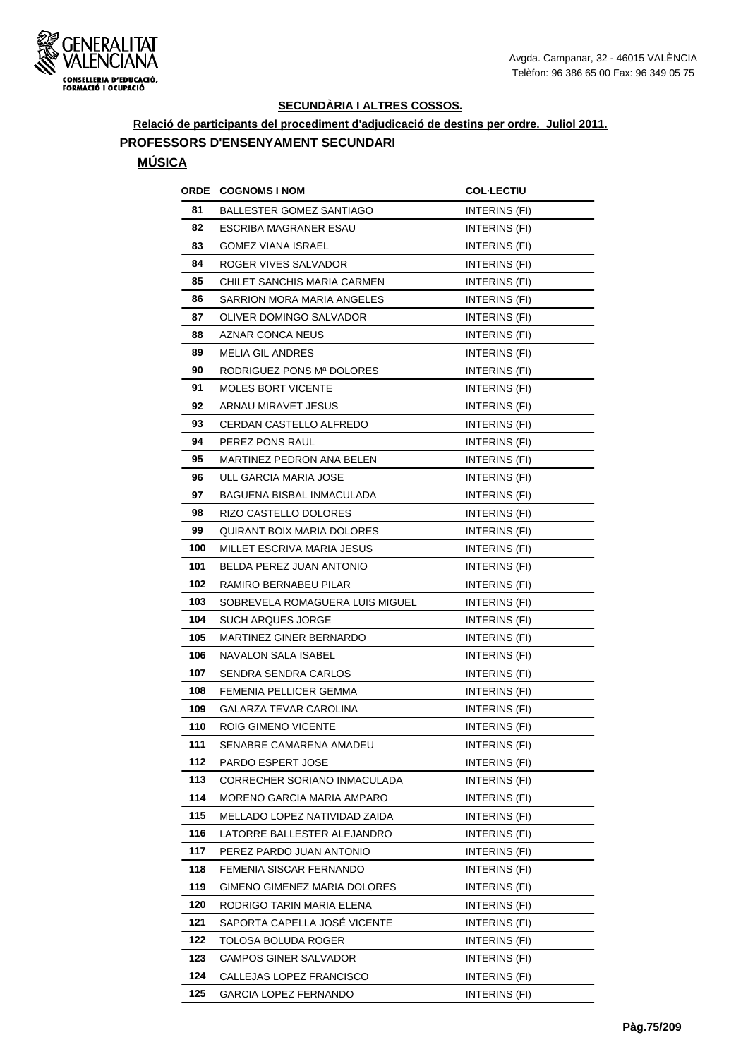

**Relació de participants del procediment d'adjudicació de destins per ordre. Juliol 2011.**

## **PROFESSORS D'ENSENYAMENT SECUNDARI**

### **MÚSICA**

| ORDE | <b>COGNOMS I NOM</b>            | <b>COL·LECTIU</b>    |
|------|---------------------------------|----------------------|
| 81   | BALLESTER GOMEZ SANTIAGO        | INTERINS (FI)        |
| 82   | ESCRIBA MAGRANER ESAU           | INTERINS (FI)        |
| 83   | GOMEZ VIANA ISRAEL              | INTERINS (FI)        |
| 84   | ROGER VIVES SALVADOR            | INTERINS (FI)        |
| 85   | CHILET SANCHIS MARIA CARMEN     | <b>INTERINS (FI)</b> |
| 86   | SARRION MORA MARIA ANGELES      | INTERINS (FI)        |
| 87   | OLIVER DOMINGO SALVADOR         | INTERINS (FI)        |
| 88   | AZNAR CONCA NEUS                | INTERINS (FI)        |
| 89   | <b>MELIA GIL ANDRES</b>         | INTERINS (FI)        |
| 90   | RODRIGUEZ PONS Mª DOLORES       | INTERINS (FI)        |
| 91   | <b>MOLES BORT VICENTE</b>       | INTERINS (FI)        |
| 92   | ARNAU MIRAVET JESUS             | INTERINS (FI)        |
| 93   | CERDAN CASTELLO ALFREDO         | INTERINS (FI)        |
| 94   | PEREZ PONS RAUL                 | INTERINS (FI)        |
| 95   | MARTINEZ PEDRON ANA BELEN       | INTERINS (FI)        |
| 96   | ULL GARCIA MARIA JOSE           | INTERINS (FI)        |
| 97   | BAGUENA BISBAL INMACULADA       | INTERINS (FI)        |
| 98   | RIZO CASTELLO DOLORES           | <b>INTERINS (FI)</b> |
| 99   | QUIRANT BOIX MARIA DOLORES      | INTERINS (FI)        |
| 100  | MILLET ESCRIVA MARIA JESUS      | INTERINS (FI)        |
| 101  | BELDA PEREZ JUAN ANTONIO        | INTERINS (FI)        |
| 102  | RAMIRO BERNABEU PILAR           | <b>INTERINS (FI)</b> |
| 103  | SOBREVELA ROMAGUERA LUIS MIGUEL | INTERINS (FI)        |
| 104  | <b>SUCH ARQUES JORGE</b>        | INTERINS (FI)        |
| 105  | MARTINEZ GINER BERNARDO         | INTERINS (FI)        |
| 106  | NAVALON SALA ISABEL             | INTERINS (FI)        |
| 107  | SENDRA SENDRA CARLOS            | <b>INTERINS (FI)</b> |
| 108  | FEMENIA PELLICER GEMMA          | INTERINS (FI)        |
| 109  | GALARZA TEVAR CAROLINA          | INTERINS (FI)        |
| 110  | ROIG GIMENO VICENTE             | INTERINS (FI)        |
| 111  | SENABRE CAMARENA AMADEU         | INTERINS (FI)        |
| 112  | PARDO ESPERT JOSE               | INTERINS (FI)        |
| 113  | CORRECHER SORIANO INMACULADA    | INTERINS (FI)        |
| 114  | MORENO GARCIA MARIA AMPARO      | INTERINS (FI)        |
| 115  | MELLADO LOPEZ NATIVIDAD ZAIDA   | INTERINS (FI)        |
| 116  | LATORRE BALLESTER ALEJANDRO     | INTERINS (FI)        |
| 117  | PEREZ PARDO JUAN ANTONIO        | INTERINS (FI)        |
| 118  | FEMENIA SISCAR FERNANDO         | INTERINS (FI)        |
| 119  | GIMENO GIMENEZ MARIA DOLORES    | INTERINS (FI)        |
| 120  | RODRIGO TARIN MARIA ELENA       | INTERINS (FI)        |
| 121  | SAPORTA CAPELLA JOSÉ VICENTE    | INTERINS (FI)        |
| 122  | TOLOSA BOLUDA ROGER             | INTERINS (FI)        |
| 123  | CAMPOS GINER SALVADOR           | INTERINS (FI)        |
| 124  | CALLEJAS LOPEZ FRANCISCO        | INTERINS (FI)        |
| 125  | <b>GARCIA LOPEZ FERNANDO</b>    | <b>INTERINS (FI)</b> |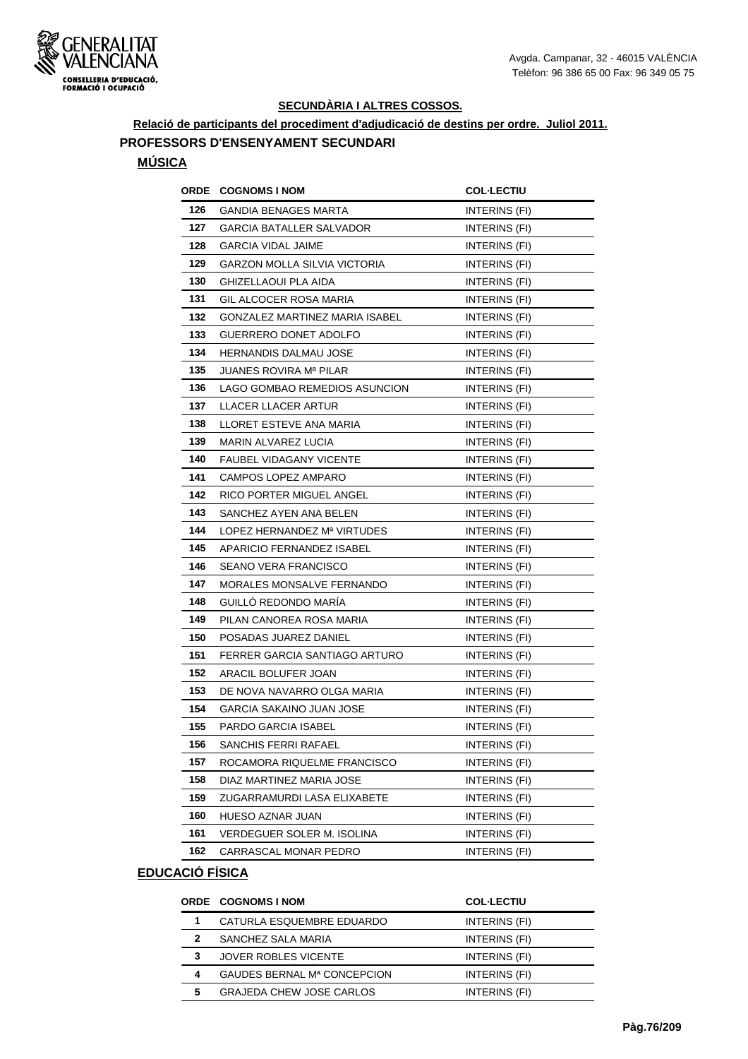

**Relació de participants del procediment d'adjudicació de destins per ordre. Juliol 2011.**

### **PROFESSORS D'ENSENYAMENT SECUNDARI**

#### **MÚSICA**

| <b>ORDE</b> | <b>COGNOMS I NOM</b>           | <b>COL-LECTIU</b>    |
|-------------|--------------------------------|----------------------|
| 126         | GANDIA BENAGES MARTA           | INTERINS (FI)        |
| 127         | GARCIA BATALLER SALVADOR       | INTERINS (FI)        |
| 128         | <b>GARCIA VIDAL JAIME</b>      | INTERINS (FI)        |
| 129         | GARZON MOLLA SILVIA VICTORIA   | INTERINS (FI)        |
| 130         | GHIZELLAOUI PLA AIDA           | INTERINS (FI)        |
| 131         | GIL ALCOCER ROSA MARIA         | INTERINS (FI)        |
| 132         | GONZALEZ MARTINEZ MARIA ISABEL | INTERINS (FI)        |
| 133         | GUERRERO DONET ADOLFO          | INTERINS (FI)        |
| 134         | HERNANDIS DALMAU JOSE          | INTERINS (FI)        |
| 135         | JUANES ROVIRA Mª PILAR         | INTERINS (FI)        |
| 136         | LAGO GOMBAO REMEDIOS ASUNCION  | INTERINS (FI)        |
| 137         | LLACER LLACER ARTUR            | INTERINS (FI)        |
| 138         | LLORET ESTEVE ANA MARIA        | INTERINS (FI)        |
| 139         | MARIN ALVAREZ LUCIA            | INTERINS (FI)        |
| 140         | <b>FAUBEL VIDAGANY VICENTE</b> | INTERINS (FI)        |
| 141         | CAMPOS LOPEZ AMPARO            | INTERINS (FI)        |
| 142         | RICO PORTER MIGUEL ANGEL       | <b>INTERINS (FI)</b> |
| 143         | SANCHEZ AYEN ANA BELEN         | INTERINS (FI)        |
| 144         | LOPEZ HERNANDEZ Mª VIRTUDES    | INTERINS (FI)        |
| 145         | APARICIO FERNANDEZ ISABEL      | INTERINS (FI)        |
| 146         | SEANO VERA FRANCISCO           | INTERINS (FI)        |
| 147         | MORALES MONSALVE FERNANDO      | <b>INTERINS (FI)</b> |
| 148         | GUILLO REDONDO MARIA           | INTERINS (FI)        |
| 149         | PILAN CANOREA ROSA MARIA       | INTERINS (FI)        |
| 150         | POSADAS JUAREZ DANIEL          | INTERINS (FI)        |
| 151         | FERRER GARCIA SANTIAGO ARTURO  | <b>INTERINS (FI)</b> |
| 152         | ARACIL BOLUFER JOAN            | INTERINS (FI)        |
| 153         | DE NOVA NAVARRO OLGA MARIA     | INTERINS (FI)        |
| 154         | GARCIA SAKAINO JUAN JOSE       | INTERINS (FI)        |
| 155         | <b>PARDO GARCIA ISABEL</b>     | INTERINS (FI)        |
| 156         | SANCHIS FERRI RAFAEL           | INTERINS (FI)        |
| 157         | ROCAMORA RIQUELME FRANCISCO    | INTERINS (FI)        |
| 158         | DIAZ MARTINEZ MARIA JOSE       | INTERINS (FI)        |
| 159         | ZUGARRAMURDI LASA ELIXABETE    | INTERINS (FI)        |
| 160         | HUESO AZNAR JUAN               | INTERINS (FI)        |
| 161         | VERDEGUER SOLER M. ISOLINA     | INTERINS (FI)        |
| 162         | CARRASCAL MONAR PEDRO          | INTERINS (FI)        |

|   | <b>ORDE COGNOMS I NOM</b>       | <b>COL-LECTIU</b> |
|---|---------------------------------|-------------------|
| 1 | CATURLA ESQUEMBRE EDUARDO       | INTERINS (FI)     |
| 2 | SANCHEZ SALA MARIA              | INTERINS (FI)     |
| 3 | <b>JOVER ROBLES VICENTE</b>     | INTERINS (FI)     |
| 4 | GAUDES BERNAL Mª CONCEPCION     | INTERINS (FI)     |
| 5 | <b>GRAJEDA CHEW JOSE CARLOS</b> | INTERINS (FI)     |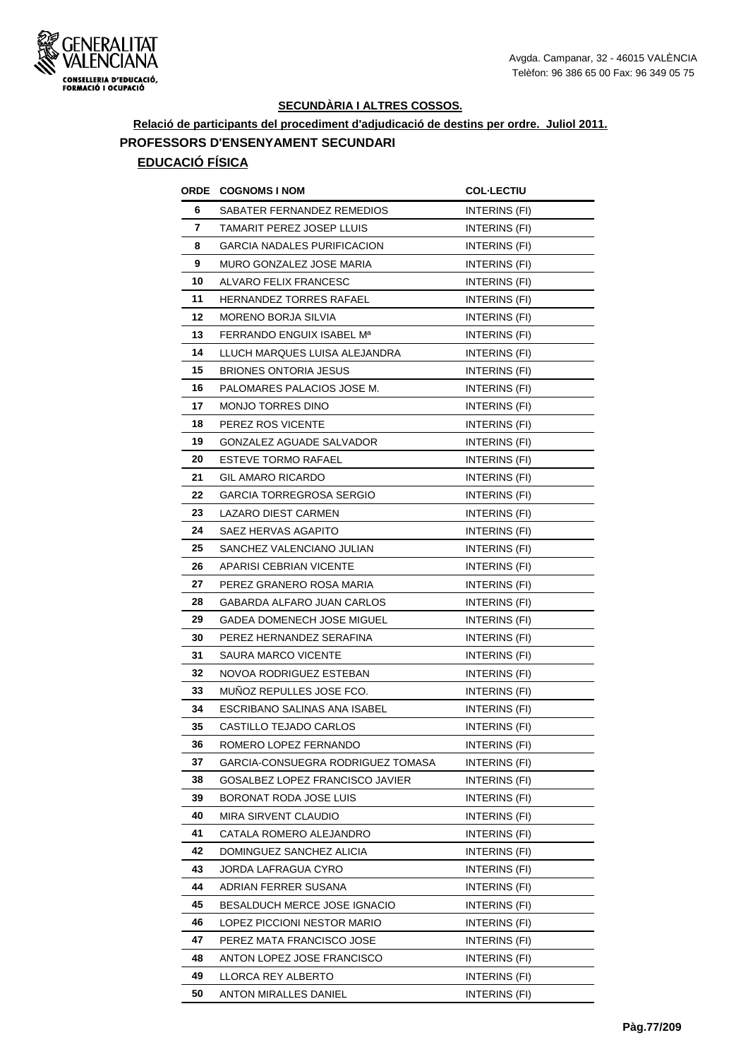

#### **SECUNDÀRIA I ALTRES COSSOS.**

## **Relació de participants del procediment d'adjudicació de destins per ordre. Juliol 2011. PROFESSORS D'ENSENYAMENT SECUNDARI EDUCACIÓ FÍSICA**

|    | <b>ORDE COGNOMS INOM</b>           | <b>COL-LECTIU</b>    |
|----|------------------------------------|----------------------|
| 6  | SABATER FERNANDEZ REMEDIOS         | INTERINS (FI)        |
| 7  | TAMARIT PEREZ JOSEP LLUIS          | INTERINS (FI)        |
| 8  | <b>GARCIA NADALES PURIFICACION</b> | INTERINS (FI)        |
| 9  | MURO GONZALEZ JOSE MARIA           | INTERINS (FI)        |
| 10 | ALVARO FELIX FRANCESC              | INTERINS (FI)        |
| 11 | <b>HERNANDEZ TORRES RAFAEL</b>     | INTERINS (FI)        |
| 12 | <b>MORENO BORJA SILVIA</b>         | <b>INTERINS (FI)</b> |
| 13 | FERRANDO ENGUIX ISABEL Mª          | INTERINS (FI)        |
| 14 | LLUCH MARQUES LUISA ALEJANDRA      | INTERINS (FI)        |
| 15 | <b>BRIONES ONTORIA JESUS</b>       | INTERINS (FI)        |
| 16 | PALOMARES PALACIOS JOSE M.         | INTERINS (FI)        |
| 17 | MONJO TORRES DINO                  | INTERINS (FI)        |
| 18 | PEREZ ROS VICENTE                  | INTERINS (FI)        |
| 19 | GONZALEZ AGUADE SALVADOR           | INTERINS (FI)        |
| 20 | <b>ESTEVE TORMO RAFAEL</b>         | INTERINS (FI)        |
| 21 | GIL AMARO RICARDO                  | INTERINS (FI)        |
| 22 | GARCIA TORREGROSA SERGIO           | INTERINS (FI)        |
| 23 | LAZARO DIEST CARMEN                | INTERINS (FI)        |
| 24 | SAEZ HERVAS AGAPITO                | INTERINS (FI)        |
| 25 | SANCHEZ VALENCIANO JULIAN          | INTERINS (FI)        |
| 26 | APARISI CEBRIAN VICENTE            | INTERINS (FI)        |
| 27 | PEREZ GRANERO ROSA MARIA           | INTERINS (FI)        |
| 28 | GABARDA ALFARO JUAN CARLOS         | INTERINS (FI)        |
| 29 | GADEA DOMENECH JOSE MIGUEL         | INTERINS (FI)        |
| 30 | PEREZ HERNANDEZ SERAFINA           | <b>INTERINS (FI)</b> |
| 31 | SAURA MARCO VICENTE                | <b>INTERINS (FI)</b> |
| 32 | NOVOA RODRIGUEZ ESTEBAN            | <b>INTERINS (FI)</b> |
| 33 | MUÑOZ REPULLES JOSE FCO.           | INTERINS (FI)        |
| 34 | ESCRIBANO SALINAS ANA ISABEL       | INTERINS (FI)        |
| 35 | CASTILLO TEJADO CARLOS             | INTERINS (FI)        |
| 36 | ROMERO LOPEZ FERNANDO              | INTERINS (FI)        |
| 37 | GARCIA-CONSUEGRA RODRIGUEZ TOMASA  | INTERINS (FI)        |
| 38 | GOSALBEZ LOPEZ FRANCISCO JAVIER    | INTERINS (FI)        |
| 39 | BORONAT RODA JOSE LUIS             | INTERINS (FI)        |
| 40 | MIRA SIRVENT CLAUDIO               | INTERINS (FI)        |
| 41 | CATALA ROMERO ALEJANDRO            | INTERINS (FI)        |
| 42 | DOMINGUEZ SANCHEZ ALICIA           | INTERINS (FI)        |
| 43 | JORDA LAFRAGUA CYRO                | INTERINS (FI)        |
| 44 | ADRIAN FERRER SUSANA               | INTERINS (FI)        |
| 45 | BESALDUCH MERCE JOSE IGNACIO       | INTERINS (FI)        |
| 46 | LOPEZ PICCIONI NESTOR MARIO        | INTERINS (FI)        |
| 47 | PEREZ MATA FRANCISCO JOSE          | INTERINS (FI)        |
| 48 | ANTON LOPEZ JOSE FRANCISCO         | INTERINS (FI)        |
| 49 | LLORCA REY ALBERTO                 | INTERINS (FI)        |
| 50 | ANTON MIRALLES DANIEL              | INTERINS (FI)        |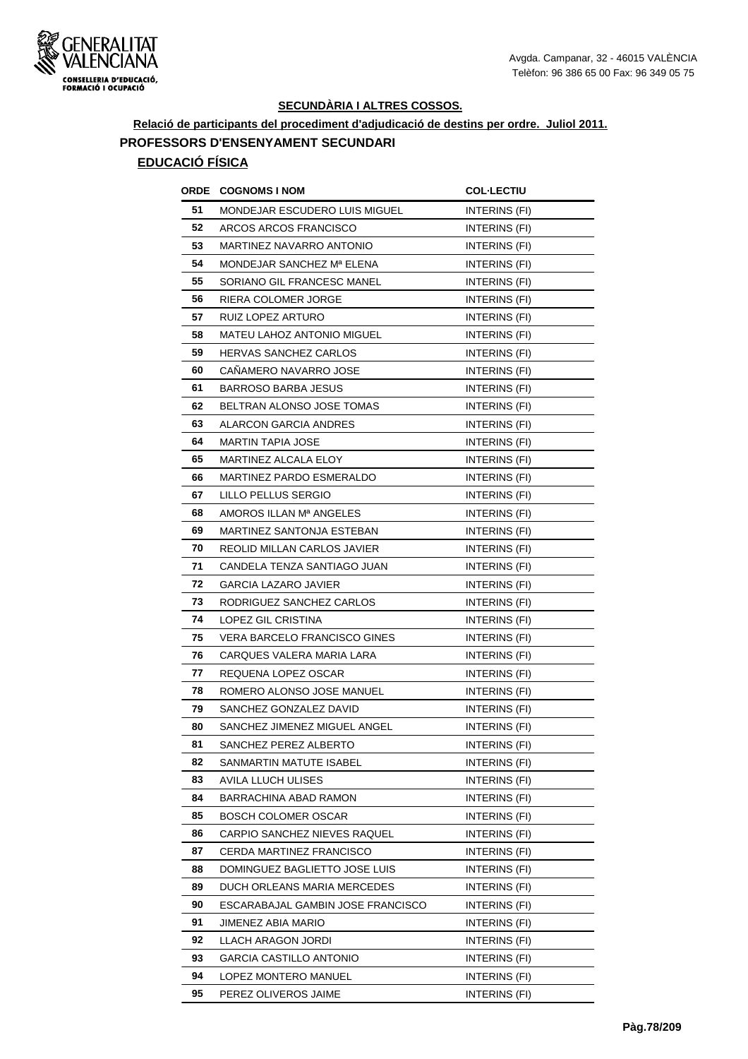

 $\overline{a}$ 

#### **SECUNDÀRIA I ALTRES COSSOS.**

## **Relació de participants del procediment d'adjudicació de destins per ordre. Juliol 2011. PROFESSORS D'ENSENYAMENT SECUNDARI EDUCACIÓ FÍSICA**

|    | <b>ORDE COGNOMS INOM</b>            | <b>COL-LECTIU</b>    |
|----|-------------------------------------|----------------------|
| 51 | MONDEJAR ESCUDERO LUIS MIGUEL       | <b>INTERINS (FI)</b> |
| 52 | ARCOS ARCOS FRANCISCO               | INTERINS (FI)        |
| 53 | MARTINEZ NAVARRO ANTONIO            | <b>INTERINS (FI)</b> |
| 54 | MONDEJAR SANCHEZ Mª ELENA           | INTERINS (FI)        |
| 55 | SORIANO GIL FRANCESC MANEL          | INTERINS (FI)        |
| 56 | RIERA COLOMER JORGE                 | INTERINS (FI)        |
| 57 | RUIZ LOPEZ ARTURO                   | INTERINS (FI)        |
| 58 | MATEU LAHOZ ANTONIO MIGUEL          | INTERINS (FI)        |
| 59 | <b>HERVAS SANCHEZ CARLOS</b>        | INTERINS (FI)        |
| 60 | CANAMERO NAVARRO JOSE               | INTERINS (FI)        |
| 61 | <b>BARROSO BARBA JESUS</b>          | INTERINS (FI)        |
| 62 | BELTRAN ALONSO JOSE TOMAS           | <b>INTERINS (FI)</b> |
| 63 | ALARCON GARCIA ANDRES               | INTERINS (FI)        |
| 64 | <b>MARTIN TAPIA JOSE</b>            | INTERINS (FI)        |
| 65 | MARTINEZ ALCALA ELOY                | INTERINS (FI)        |
| 66 | <b>MARTINEZ PARDO ESMERALDO</b>     | INTERINS (FI)        |
| 67 | LILLO PELLUS SERGIO                 | <b>INTERINS (FI)</b> |
| 68 | AMOROS ILLAN Mª ANGELES             | INTERINS (FI)        |
| 69 | MARTINEZ SANTONJA ESTEBAN           | INTERINS (FI)        |
| 70 | REOLID MILLAN CARLOS JAVIER         | <b>INTERINS (FI)</b> |
| 71 | CANDELA TENZA SANTIAGO JUAN         | <b>INTERINS (FI)</b> |
| 72 | GARCIA LAZARO JAVIER                | INTERINS (FI)        |
| 73 | RODRIGUEZ SANCHEZ CARLOS            | INTERINS (FI)        |
| 74 | LOPEZ GIL CRISTINA                  | <b>INTERINS (FI)</b> |
| 75 | <b>VERA BARCELO FRANCISCO GINES</b> | INTERINS (FI)        |
| 76 | CARQUES VALERA MARIA LARA           | INTERINS (FI)        |
| 77 | REQUENA LOPEZ OSCAR                 | INTERINS (FI)        |
| 78 | ROMERO ALONSO JOSE MANUEL           | INTERINS (FI)        |
| 79 | SANCHEZ GONZALEZ DAVID              | INTERINS (FI)        |
| 80 | SANCHEZ JIMENEZ MIGUEL ANGEL        | INTERINS (FI)        |
| 81 | SANCHEZ PEREZ ALBERTO               | INTERINS (FI)        |
| 82 | SANMARTIN MATUTE ISABEL             | INTERINS (FI)        |
| 83 | AVILA LLUCH ULISES                  | INTERINS (FI)        |
| 84 | BARRACHINA ABAD RAMON               | INTERINS (FI)        |
| 85 | <b>BOSCH COLOMER OSCAR</b>          | INTERINS (FI)        |
| 86 | CARPIO SANCHEZ NIEVES RAQUEL        | INTERINS (FI)        |
| 87 | CERDA MARTINEZ FRANCISCO            | INTERINS (FI)        |
| 88 | DOMINGUEZ BAGLIETTO JOSE LUIS       | INTERINS (FI)        |
| 89 | DUCH ORLEANS MARIA MERCEDES         | INTERINS (FI)        |
| 90 | ESCARABAJAL GAMBIN JOSE FRANCISCO   | INTERINS (FI)        |
| 91 | JIMENEZ ABIA MARIO                  | INTERINS (FI)        |
| 92 | LLACH ARAGON JORDI                  | INTERINS (FI)        |
| 93 | <b>GARCIA CASTILLO ANTONIO</b>      | INTERINS (FI)        |
| 94 | LOPEZ MONTERO MANUEL                | INTERINS (FI)        |
| 95 | PEREZ OLIVEROS JAIME                | INTERINS (FI)        |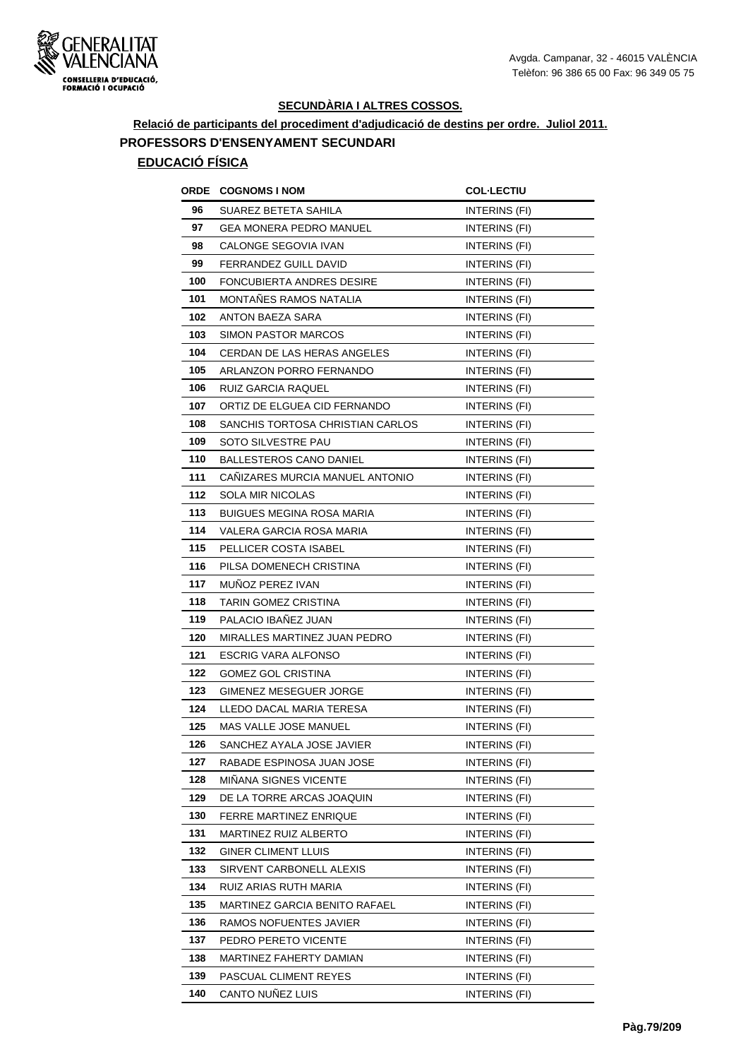

### **Relació de participants del procediment d'adjudicació de destins per ordre. Juliol 2011. PROFESSORS D'ENSENYAMENT SECUNDARI EDUCACIÓ FÍSICA**

## **ORDE COGNOMS I NOM COL·LECTIU 96** SUAREZ BETETA SAHILA **INTERINS** (FI) **97** GEA MONERA PEDRO MANUEL **INTERINS** (FI) **98** CALONGE SEGOVIA IVAN **INTERINS** (FI) **99 FERRANDEZ GUILL DAVID INTERINS** (FI) **100 FONCUBIERTA ANDRES DESIRE INTERINS (FI) 101 MONTAÑES RAMOS NATALIA** INTERINS (FI) **102** ANTON BAEZA SARA INTERINS (FI) **103** SIMON PASTOR MARCOS INTERINS (FI) **104 CERDAN DE LAS HERAS ANGELES INTERINS (FI) 105** ARLANZON PORRO FERNANDO INTERINS (FI) **106** RUIZ GARCIA RAQUEL **INTERINS** (FI) **107** ORTIZ DE ELGUEA CID FERNANDO INTERINS (FI) **108** SANCHIS TORTOSA CHRISTIAN CARLOS INTERINS (FI) **109** SOTO SILVESTRE PAU **INTERINS** (FI) **110 BALLESTEROS CANO DANIEL INTERINS (FI)** 111 CAÑIZARES MURCIA MANUEL ANTONIO **INTERINS** (FI) **112** SOLA MIR NICOLAS INTERINS (FI) **113** BUIGUES MEGINA ROSA MARIA **INTERINS** (FI) **114** VALERA GARCIA ROSA MARIA **INTERINS** (FI) **115** PELLICER COSTA ISABEL INTERINS (FI) **116** PILSA DOMENECH CRISTINA **INTERINS** (FI) **117** MUÑOZ PEREZ IVAN **INTERINS** (FI) **118** TARIN GOMEZ CRISTINA **INTERINS** (FI) **119** PALACIO IBAÑEZ JUAN INTERINS (FI) **120 MIRALLES MARTINEZ JUAN PEDRO INTERINS (FI) 121 ESCRIG VARA ALFONSO** INTERINS (FI) **122 GOMEZ GOL CRISTINA INTERINS** (FI) **123** GIMENEZ MESEGUER JORGE INTERINS (FI) **124 LLEDO DACAL MARIA TERESA INTERINS (FI) 125 MAS VALLE JOSE MANUEL INTERINS (FI) 126** SANCHEZ AYALA JOSE JAVIER **INTERINS** (FI) **127** RABADE ESPINOSA JUAN JOSE INTERINS (FI) **128** MIÑANA SIGNES VICENTE **INTERINS** (FI) **129** DE LA TORRE ARCAS JOAQUIN INTERINS (FI) **130 FERRE MARTINEZ ENRIQUE INTERINS (FI) 131 MARTINEZ RUIZ ALBERTO INTERINS (FI) 132 GINER CLIMENT LLUIS INTERINS** (FI) **133** SIRVENT CARBONELL ALEXIS INTERINS (FI) **134** RUIZ ARIAS RUTH MARIA **INTERINS** (FI) **135 MARTINEZ GARCIA BENITO RAFAEL INTERINS (FI) 136** RAMOS NOFUENTES JAVIER **INTERINS** (FI) **137** PEDRO PERETO VICENTE **INTERINS** (FI) **138** MARTINEZ FAHERTY DAMIAN **INTERINS** (FI) **139 PASCUAL CLIMENT REYES** INTERINS (FI) **140** CANTO NUÑEZ LUIS INTERINS (FI)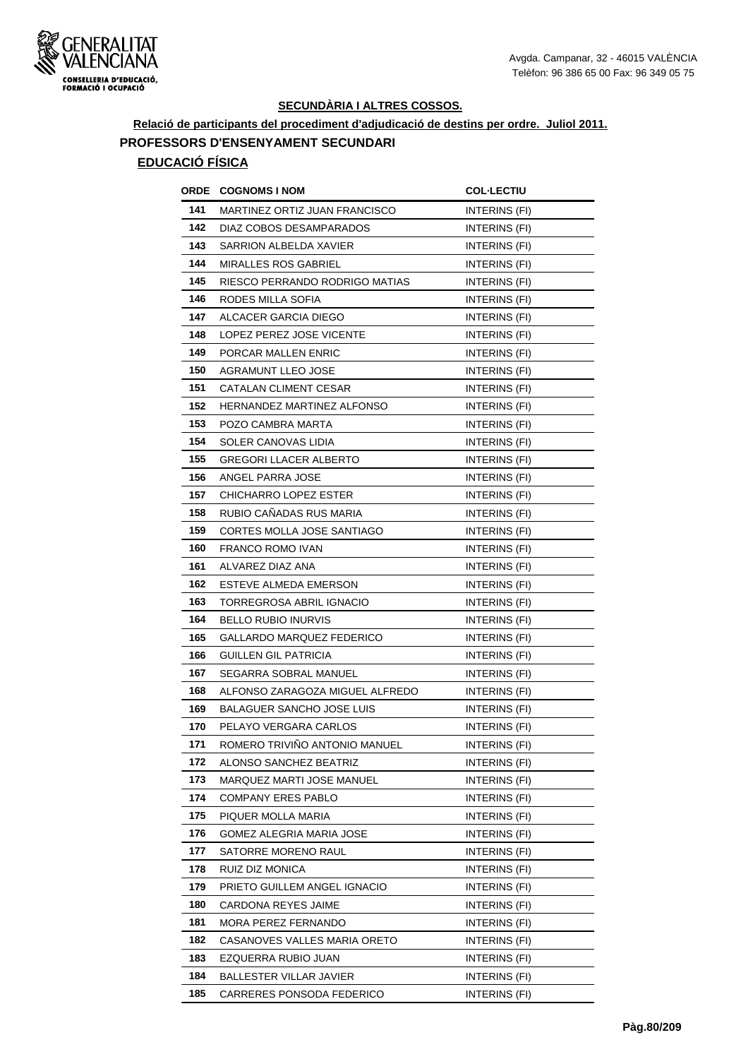

# **Relació de participants del procediment d'adjudicació de destins per ordre. Juliol 2011. PROFESSORS D'ENSENYAMENT SECUNDARI**

| ORDE | <b>COGNOMS I NOM</b>             | <b>COL-LECTIU</b>    |
|------|----------------------------------|----------------------|
| 141  | MARTINEZ ORTIZ JUAN FRANCISCO    | INTERINS (FI)        |
| 142  | DIAZ COBOS DESAMPARADOS          | <b>INTERINS (FI)</b> |
| 143  | SARRION ALBELDA XAVIER           | INTERINS (FI)        |
| 144  | <b>MIRALLES ROS GABRIEL</b>      | <b>INTERINS (FI)</b> |
| 145  | RIESCO PERRANDO RODRIGO MATIAS   | INTERINS (FI)        |
| 146  | RODES MILLA SOFIA                | INTERINS (FI)        |
| 147  | ALCACER GARCIA DIEGO             | INTERINS (FI)        |
| 148  | LOPEZ PEREZ JOSE VICENTE         | INTERINS (FI)        |
| 149  | PORCAR MALLEN ENRIC              | INTERINS (FI)        |
| 150  | <b>AGRAMUNT LLEO JOSE</b>        | INTERINS (FI)        |
| 151  | CATALAN CLIMENT CESAR            | <b>INTERINS (FI)</b> |
| 152  | HERNANDEZ MARTINEZ ALFONSO       | INTERINS (FI)        |
| 153  | POZO CAMBRA MARTA                | INTERINS (FI)        |
| 154  | SOLER CANOVAS LIDIA              | INTERINS (FI)        |
| 155  | <b>GREGORI LLACER ALBERTO</b>    | INTERINS (FI)        |
| 156  | ANGEL PARRA JOSE                 | <b>INTERINS (FI)</b> |
| 157  | <b>CHICHARRO LOPEZ ESTER</b>     | INTERINS (FI)        |
| 158  | RUBIO CAÑADAS RUS MARIA          | INTERINS (FI)        |
| 159  | CORTES MOLLA JOSE SANTIAGO       | INTERINS (FI)        |
| 160  | <b>FRANCO ROMO IVAN</b>          | INTERINS (FI)        |
| 161  | ALVAREZ DIAZ ANA                 | <b>INTERINS (FI)</b> |
| 162  | ESTEVE ALMEDA EMERSON            | INTERINS (FI)        |
| 163  | TORREGROSA ABRIL IGNACIO         | INTERINS (FI)        |
| 164  | <b>BELLO RUBIO INURVIS</b>       | INTERINS (FI)        |
| 165  | GALLARDO MARQUEZ FEDERICO        | INTERINS (FI)        |
| 166  | GUILLEN GIL PATRICIA             | INTERINS (FI)        |
| 167  | SEGARRA SOBRAL MANUEL            | <b>INTERINS (FI)</b> |
| 168  | ALFONSO ZARAGOZA MIGUEL ALFREDO  | INTERINS (FI)        |
| 169  | <b>BALAGUER SANCHO JOSE LUIS</b> | <b>INTERINS (FI)</b> |
| 170  | PELAYO VERGARA CARLOS            | <b>INTERINS (FI)</b> |
| 171  | ROMERO TRIVIÑO ANTONIO MANUEL    | INTERINS (FI)        |
| 172  | ALONSO SANCHEZ BEATRIZ           | INTERINS (FI)        |
| 173  | MARQUEZ MARTI JOSE MANUEL        | INTERINS (FI)        |
| 174  | <b>COMPANY ERES PABLO</b>        | INTERINS (FI)        |
| 175  | PIQUER MOLLA MARIA               | INTERINS (FI)        |
| 176  | GOMEZ ALEGRIA MARIA JOSE         | INTERINS (FI)        |
| 177  | SATORRE MORENO RAUL              | INTERINS (FI)        |
| 178  | RUIZ DIZ MONICA                  | INTERINS (FI)        |
| 179  | PRIETO GUILLEM ANGEL IGNACIO     | INTERINS (FI)        |
| 180  | CARDONA REYES JAIME              | <b>INTERINS (FI)</b> |
| 181  | MORA PEREZ FERNANDO              | INTERINS (FI)        |
| 182  | CASANOVES VALLES MARIA ORETO     | INTERINS (FI)        |
| 183  | EZQUERRA RUBIO JUAN              | INTERINS (FI)        |
| 184  | <b>BALLESTER VILLAR JAVIER</b>   | INTERINS (FI)        |
| 185  | CARRERES PONSODA FEDERICO        | INTERINS (FI)        |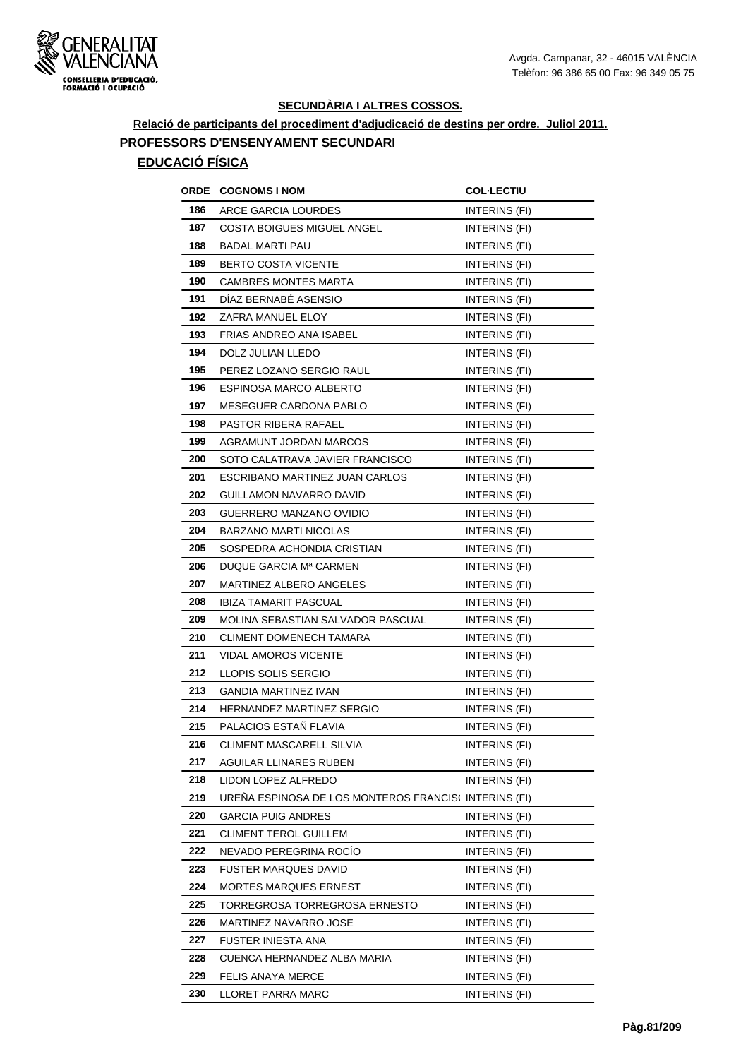

# **Relació de participants del procediment d'adjudicació de destins per ordre. Juliol 2011. PROFESSORS D'ENSENYAMENT SECUNDARI**

| ORDE | <b>COGNOMS I NOM</b>                                 | <b>COL·LECTIU</b>    |
|------|------------------------------------------------------|----------------------|
| 186  | ARCE GARCIA LOURDES                                  | INTERINS (FI)        |
| 187  | <b>COSTA BOIGUES MIGUEL ANGEL</b>                    | INTERINS (FI)        |
| 188  | BADAL MARTI PAU                                      | INTERINS (FI)        |
| 189  | <b>BERTO COSTA VICENTE</b>                           | INTERINS (FI)        |
| 190  | <b>CAMBRES MONTES MARTA</b>                          | INTERINS (FI)        |
| 191  | DÍAZ BERNABÉ ASENSIO                                 | INTERINS (FI)        |
| 192  | ZAFRA MANUEL ELOY                                    | INTERINS (FI)        |
| 193  | FRIAS ANDREO ANA ISABEL                              | INTERINS (FI)        |
| 194  | DOLZ JULIAN LLEDO                                    | INTERINS (FI)        |
| 195  | PEREZ LOZANO SERGIO RAUL                             | INTERINS (FI)        |
| 196  | ESPINOSA MARCO ALBERTO                               | INTERINS (FI)        |
| 197  | MESEGUER CARDONA PABLO                               | INTERINS (FI)        |
| 198  | PASTOR RIBERA RAFAEL                                 | <b>INTERINS (FI)</b> |
| 199  | AGRAMUNT JORDAN MARCOS                               | INTERINS (FI)        |
| 200  | SOTO CALATRAVA JAVIER FRANCISCO                      | <b>INTERINS (FI)</b> |
| 201  | ESCRIBANO MARTINEZ JUAN CARLOS                       | <b>INTERINS (FI)</b> |
| 202  | GUILLAMON NAVARRO DAVID                              | INTERINS (FI)        |
| 203  | GUERRERO MANZANO OVIDIO                              | INTERINS (FI)        |
| 204  | <b>BARZANO MARTI NICOLAS</b>                         | <b>INTERINS (FI)</b> |
| 205  | SOSPEDRA ACHONDIA CRISTIAN                           | INTERINS (FI)        |
| 206  | DUQUE GARCIA Mª CARMEN                               | INTERINS (FI)        |
| 207  | MARTINEZ ALBERO ANGELES                              | INTERINS (FI)        |
| 208  | <b>IBIZA TAMARIT PASCUAL</b>                         | INTERINS (FI)        |
| 209  | MOLINA SEBASTIAN SALVADOR PASCUAL                    | INTERINS (FI)        |
| 210  | <b>CLIMENT DOMENECH TAMARA</b>                       | INTERINS (FI)        |
| 211  | VIDAL AMOROS VICENTE                                 | <b>INTERINS (FI)</b> |
| 212  | LLOPIS SOLIS SERGIO                                  | INTERINS (FI)        |
| 213  | <b>GANDIA MARTINEZ IVAN</b>                          | INTERINS (FI)        |
| 214  | HERNANDEZ MARTINEZ SERGIO                            | INTERINS (FI)        |
| 215  | PALACIOS ESTAÑ FLAVIA                                | <b>INTERINS (FI)</b> |
| 216  | CLIMENT MASCARELL SILVIA                             | INTERINS (FI)        |
| 217  | AGUILAR LLINARES RUBEN                               | <b>INTERINS (FI)</b> |
| 218  | LIDON LOPEZ ALFREDO                                  | INTERINS (FI)        |
| 219  | UREÑA ESPINOSA DE LOS MONTEROS FRANCIS(INTERINS (FI) |                      |
| 220  | <b>GARCIA PUIG ANDRES</b>                            | INTERINS (FI)        |
| 221  | CLIMENT TEROL GUILLEM                                | INTERINS (FI)        |
| 222  | NEVADO PEREGRINA ROCÍO                               | INTERINS (FI)        |
| 223  | <b>FUSTER MARQUES DAVID</b>                          | INTERINS (FI)        |
| 224  | MORTES MARQUES ERNEST                                | INTERINS (FI)        |
| 225  | TORREGROSA TORREGROSA ERNESTO                        | INTERINS (FI)        |
| 226  | MARTINEZ NAVARRO JOSE                                | INTERINS (FI)        |
| 227  | FUSTER INIESTA ANA                                   | INTERINS (FI)        |
| 228  | CUENCA HERNANDEZ ALBA MARIA                          | INTERINS (FI)        |
| 229  | FELIS ANAYA MERCE                                    | INTERINS (FI)        |
| 230  | LLORET PARRA MARC                                    | INTERINS (FI)        |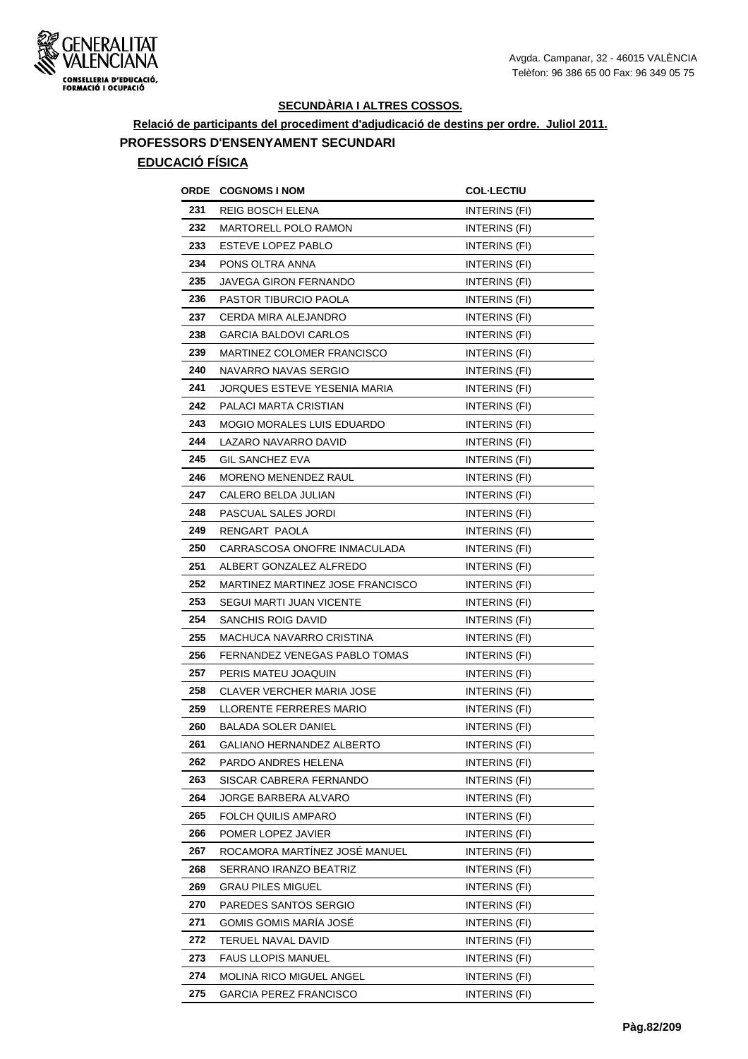

**Relació de participants del procediment d'adjudicació de destins per ordre. Juliol 2011. PROFESSORS D'ENSENYAMENT SECUNDARI**

| ORDE | <b>COGNOMS I NOM</b>              | <b>COL·LECTIU</b>    |
|------|-----------------------------------|----------------------|
| 231  | REIG BOSCH ELENA                  | INTERINS (FI)        |
| 232  | <b>MARTORELL POLO RAMON</b>       | <b>INTERINS (FI)</b> |
| 233  | ESTEVE LOPEZ PABLO                | INTERINS (FI)        |
| 234  | PONS OLTRA ANNA                   | INTERINS (FI)        |
| 235  | JAVEGA GIRON FERNANDO             | INTERINS (FI)        |
| 236  | PASTOR TIBURCIO PAOLA             | INTERINS (FI)        |
| 237  | CERDA MIRA ALEJANDRO              | INTERINS (FI)        |
| 238  | <b>GARCIA BALDOVI CARLOS</b>      | INTERINS (FI)        |
| 239  | <b>MARTINEZ COLOMER FRANCISCO</b> | <b>INTERINS (FI)</b> |
| 240  | NAVARRO NAVAS SERGIO              | INTERINS (FI)        |
| 241  | JORQUES ESTEVE YESENIA MARIA      | INTERINS (FI)        |
| 242  | PALACI MARTA CRISTIAN             | INTERINS (FI)        |
| 243  | <b>MOGIO MORALES LUIS EDUARDO</b> | INTERINS (FI)        |
| 244  | LAZARO NAVARRO DAVID              | INTERINS (FI)        |
| 245  | <b>GIL SANCHEZ EVA</b>            | INTERINS (FI)        |
| 246  | MORENO MENENDEZ RAUL              | INTERINS (FI)        |
| 247  | CALERO BELDA JULIAN               | INTERINS (FI)        |
| 248  | PASCUAL SALES JORDI               | INTERINS (FI)        |
| 249  | RENGART PAOLA                     | INTERINS (FI)        |
| 250  | CARRASCOSA ONOFRE INMACULADA      | INTERINS (FI)        |
| 251  | ALBERT GONZALEZ ALFREDO           | INTERINS (FI)        |
| 252  | MARTINEZ MARTINEZ JOSE FRANCISCO  | INTERINS (FI)        |
| 253  | SEGUI MARTI JUAN VICENTE          | INTERINS (FI)        |
| 254  | SANCHIS ROIG DAVID                | INTERINS (FI)        |
| 255  | MACHUCA NAVARRO CRISTINA          | INTERINS (FI)        |
| 256  | FERNANDEZ VENEGAS PABLO TOMAS     | <b>INTERINS (FI)</b> |
| 257  | PERIS MATEU JOAQUIN               | INTERINS (FI)        |
| 258  | <b>CLAVER VERCHER MARIA JOSE</b>  | INTERINS (FI)        |
| 259  | LLORENTE FERRERES MARIO           | INTERINS (FI)        |
| 260  | <b>BALADA SOLER DANIEL</b>        | INTERINS (FI)        |
| 261  | GALIANO HERNANDEZ ALBERTO         | INTERINS (FI)        |
| 262  | PARDO ANDRES HELENA               | INTERINS (FI)        |
| 263  | SISCAR CABRERA FERNANDO           | INTERINS (FI)        |
| 264  | JORGE BARBERA ALVARO              | INTERINS (FI)        |
| 265  | FOLCH QUILIS AMPARO               | INTERINS (FI)        |
| 266  | POMER LOPEZ JAVIER                | INTERINS (FI)        |
| 267  | ROCAMORA MARTÍNEZ JOSÉ MANUEL     | INTERINS (FI)        |
| 268  | SERRANO IRANZO BEATRIZ            | INTERINS (FI)        |
| 269  | <b>GRAU PILES MIGUEL</b>          | INTERINS (FI)        |
| 270  | PAREDES SANTOS SERGIO             | INTERINS (FI)        |
| 271  | GOMIS GOMIS MARÍA JOSÉ            | INTERINS (FI)        |
| 272  | TERUEL NAVAL DAVID                | INTERINS (FI)        |
| 273  | FAUS LLOPIS MANUEL                | INTERINS (FI)        |
| 274  | MOLINA RICO MIGUEL ANGEL          | INTERINS (FI)        |
| 275  | <b>GARCIA PEREZ FRANCISCO</b>     | INTERINS (FI)        |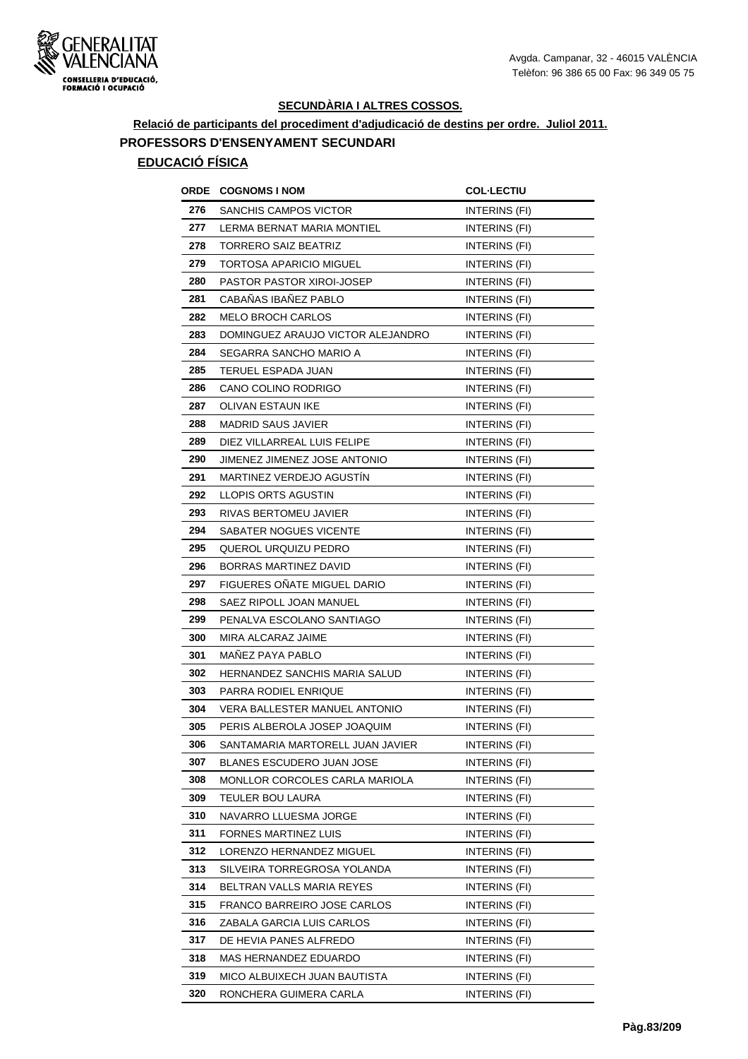

# **Relació de participants del procediment d'adjudicació de destins per ordre. Juliol 2011. PROFESSORS D'ENSENYAMENT SECUNDARI**

| ORDE | <b>COGNOMS I NOM</b>               | <b>COL-LECTIU</b>    |
|------|------------------------------------|----------------------|
| 276  | SANCHIS CAMPOS VICTOR              | <b>INTERINS (FI)</b> |
| 277  | LERMA BERNAT MARIA MONTIEL         | INTERINS (FI)        |
| 278  | <b>TORRERO SAIZ BEATRIZ</b>        | INTERINS (FI)        |
| 279  | TORTOSA APARICIO MIGUEL            | INTERINS (FI)        |
| 280  | PASTOR PASTOR XIROI-JOSEP          | INTERINS (FI)        |
| 281  | CABAÑAS IBAÑEZ PABLO               | INTERINS (FI)        |
| 282  | <b>MELO BROCH CARLOS</b>           | INTERINS (FI)        |
| 283  | DOMINGUEZ ARAUJO VICTOR ALEJANDRO  | INTERINS (FI)        |
| 284  | SEGARRA SANCHO MARIO A             | INTERINS (FI)        |
| 285  | TERUEL ESPADA JUAN                 | INTERINS (FI)        |
| 286  | CANO COLINO RODRIGO                | INTERINS (FI)        |
| 287  | <b>OLIVAN ESTAUN IKE</b>           | INTERINS (FI)        |
| 288  | <b>MADRID SAUS JAVIER</b>          | INTERINS (FI)        |
| 289  | DIEZ VILLARREAL LUIS FELIPE        | INTERINS (FI)        |
| 290  | JIMENEZ JIMENEZ JOSE ANTONIO       | INTERINS (FI)        |
| 291  | MARTINEZ VERDEJO AGUSTIN           | INTERINS (FI)        |
| 292  | LLOPIS ORTS AGUSTIN                | INTERINS (FI)        |
| 293  | RIVAS BERTOMEU JAVIER              | INTERINS (FI)        |
| 294  | SABATER NOGUES VICENTE             | INTERINS (FI)        |
| 295  | QUEROL URQUIZU PEDRO               | INTERINS (FI)        |
| 296  | BORRAS MARTINEZ DAVID              | INTERINS (FI)        |
| 297  | <b>FIGUERES ONATE MIGUEL DARIO</b> | INTERINS (FI)        |
| 298  | SAEZ RIPOLL JOAN MANUEL            | INTERINS (FI)        |
| 299  | PENALVA ESCOLANO SANTIAGO          | INTERINS (FI)        |
| 300  | MIRA ALCARAZ JAIME                 | INTERINS (FI)        |
| 301  | MAÑEZ PAYA PABLO                   | INTERINS (FI)        |
| 302  | HERNANDEZ SANCHIS MARIA SALUD      | INTERINS (FI)        |
| 303  | PARRA RODIEL ENRIQUE               | INTERINS (FI)        |
| 304  | VERA BALLESTER MANUEL ANTONIO      | INTERINS (FI)        |
| 305  | PERIS ALBEROLA JOSEP JOAQUIM       | INTERINS (FI)        |
| 306  | SANTAMARIA MARTORELL JUAN JAVIER   | INTERINS (FI)        |
| 307  | BLANES ESCUDERO JUAN JOSE          | INTERINS (FI)        |
| 308  | MONLLOR CORCOLES CARLA MARIOLA     | INTERINS (FI)        |
| 309  | TEULER BOU LAURA                   | INTERINS (FI)        |
| 310  | NAVARRO LLUESMA JORGE              | INTERINS (FI)        |
| 311  | <b>FORNES MARTINEZ LUIS</b>        | INTERINS (FI)        |
| 312  | LORENZO HERNANDEZ MIGUEL           | INTERINS (FI)        |
| 313  | SILVEIRA TORREGROSA YOLANDA        | INTERINS (FI)        |
| 314  | BELTRAN VALLS MARIA REYES          | INTERINS (FI)        |
| 315  | FRANCO BARREIRO JOSE CARLOS        | INTERINS (FI)        |
| 316  | ZABALA GARCIA LUIS CARLOS          | INTERINS (FI)        |
| 317  | DE HEVIA PANES ALFREDO             | INTERINS (FI)        |
| 318  | MAS HERNANDEZ EDUARDO              | INTERINS (FI)        |
| 319  | MICO ALBUIXECH JUAN BAUTISTA       | INTERINS (FI)        |
| 320  | RONCHERA GUIMERA CARLA             | INTERINS (FI)        |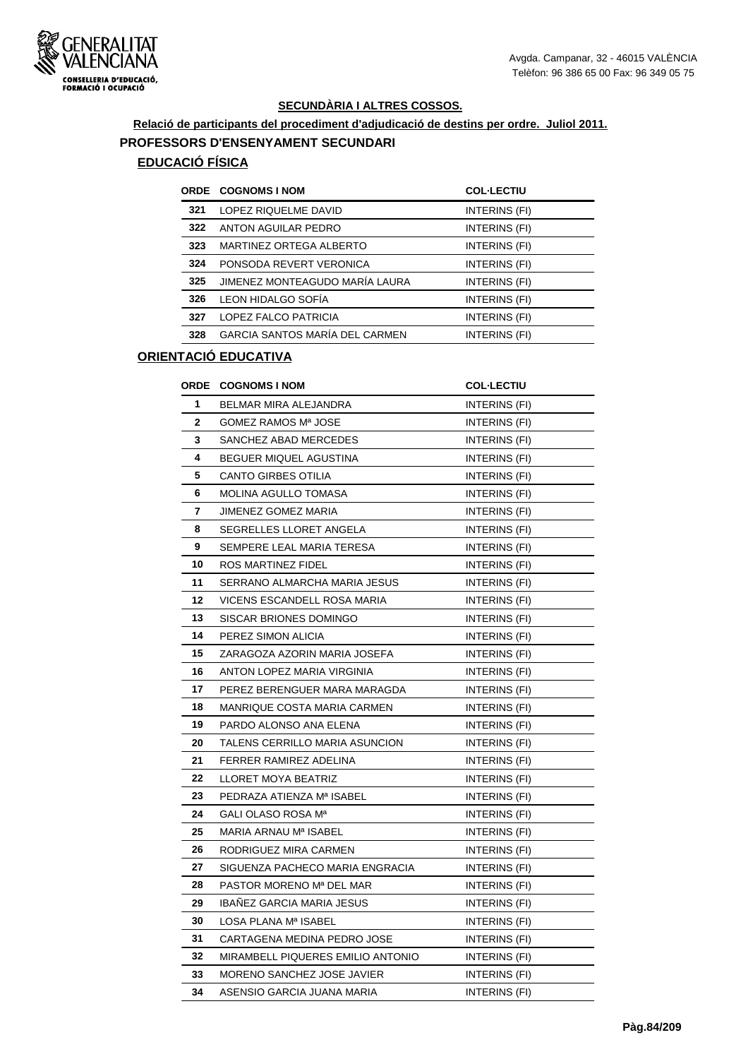

# **Relació de participants del procediment d'adjudicació de destins per ordre. Juliol 2011. PROFESSORS D'ENSENYAMENT SECUNDARI**

## **EDUCACIÓ FÍSICA**

|     | ORDE COGNOMS I NOM                    | <b>COL-LECTIU</b> |
|-----|---------------------------------------|-------------------|
| 321 | LOPEZ RIQUELME DAVID                  | INTERINS (FI)     |
| 322 | ANTON AGUILAR PEDRO                   | INTERINS (FI)     |
| 323 | MARTINEZ ORTEGA ALBERTO               | INTERINS (FI)     |
| 324 | PONSODA REVERT VERONICA               | INTERINS (FI)     |
| 325 | JIMENEZ MONTEAGUDO MARÍA LAURA        | INTERINS (FI)     |
| 326 | LEON HIDALGO SOFÍA                    | INTERINS (FI)     |
| 327 | LOPEZ FALCO PATRICIA                  | INTERINS (FI)     |
| 328 | <b>GARCIA SANTOS MARÍA DEL CARMEN</b> | INTERINS (FI)     |
|     |                                       |                   |

| <b>ORDE</b>  | <b>COGNOMS I NOM</b>              | <b>COL-LECTIU</b>    |
|--------------|-----------------------------------|----------------------|
| 1            | <b>BELMAR MIRA ALEJANDRA</b>      | INTERINS (FI)        |
| $\mathbf{2}$ | GOMEZ RAMOS Mª JOSE               | INTERINS (FI)        |
| 3            | SANCHEZ ABAD MERCEDES             | INTERINS (FI)        |
| 4            | BEGUER MIQUEL AGUSTINA            | INTERINS (FI)        |
| 5            | CANTO GIRBES OTILIA               | INTERINS (FI)        |
| 6            | <b>MOLINA AGULLO TOMASA</b>       | INTERINS (FI)        |
| 7            | <b>JIMENEZ GOMEZ MARIA</b>        | INTERINS (FI)        |
| 8            | <b>SEGRELLES LLORET ANGELA</b>    | INTERINS (FI)        |
| 9            | SEMPERE LEAL MARIA TERESA         | INTERINS (FI)        |
| 10           | ROS MARTINEZ FIDEL                | INTERINS (FI)        |
| 11           | SERRANO ALMARCHA MARIA JESUS      | <b>INTERINS (FI)</b> |
| 12           | VICENS ESCANDELL ROSA MARIA       | INTERINS (FI)        |
| 13           | SISCAR BRIONES DOMINGO            | INTERINS (FI)        |
| 14           | PEREZ SIMON ALICIA                | INTERINS (FI)        |
| 15           | ZARAGOZA AZORIN MARIA JOSEFA      | INTERINS (FI)        |
| 16           | ANTON LOPEZ MARIA VIRGINIA        | INTERINS (FI)        |
| 17           | PEREZ BERENGUER MARA MARAGDA      | INTERINS (FI)        |
| 18           | MANRIQUE COSTA MARIA CARMEN       | INTERINS (FI)        |
| 19           | PARDO ALONSO ANA ELENA            | INTERINS (FI)        |
| 20           | TALENS CERRILLO MARIA ASUNCION    | INTERINS (FI)        |
| 21           | FERRER RAMIREZ ADELINA            | INTERINS (FI)        |
| 22           | LLORET MOYA BEATRIZ               | INTERINS (FI)        |
| 23           | PEDRAZA ATIENZA Mª ISABEL         | INTERINS (FI)        |
| 24           | <b>GALI OLASO ROSA Mª</b>         | INTERINS (FI)        |
| 25           | MARIA ARNAU Mª ISABEL             | <b>INTERINS (FI)</b> |
| 26           | RODRIGUEZ MIRA CARMEN             | INTERINS (FI)        |
| 27           | SIGUENZA PACHECO MARIA ENGRACIA   | INTERINS (FI)        |
| 28           | PASTOR MORENO Mª DEL MAR          | INTERINS (FI)        |
| 29           | IBAÑEZ GARCIA MARIA JESUS         | INTERINS (FI)        |
| 30           | LOSA PLANA Mª ISABEL              | INTERINS (FI)        |
| 31           | CARTAGENA MEDINA PEDRO JOSE       | INTERINS (FI)        |
| 32           | MIRAMBELL PIQUERES EMILIO ANTONIO | INTERINS (FI)        |
| 33           | MORENO SANCHEZ JOSE JAVIER        | INTERINS (FI)        |
| 34           | ASENSIO GARCIA JUANA MARIA        | INTERINS (FI)        |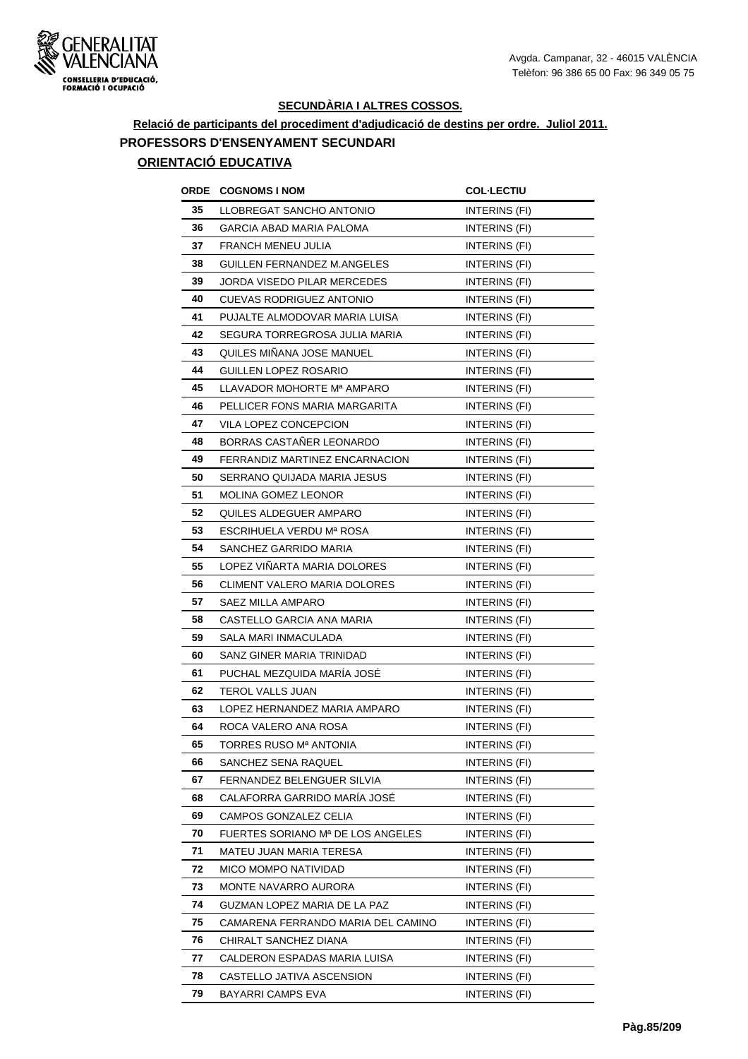

### **Relació de participants del procediment d'adjudicació de destins per ordre. Juliol 2011. PROFESSORS D'ENSENYAMENT SECUNDARI ORIENTACIÓ EDUCATIVA**

## **ORDE COGNOMS I NOM COL·LECTIU 35 LLOBREGAT SANCHO ANTONIO INTERINS (FI) 36 GARCIA ABAD MARIA PALOMA INTERINS** (FI) **37** FRANCH MENEU JULIA **INTERINS** (FI) **38 GUILLEN FERNANDEZ M.ANGELES INTERINS (FI) 39 JORDA VISEDO PILAR MERCEDES** INTERINS (FI) **40** CUEVAS RODRIGUEZ ANTONIO INTERINS (FI) **41 PUJALTE ALMODOVAR MARIA LUISA INTERINS (FI) 42 SEGURA TORREGROSA JULIA MARIA INTERINS (FI) 43** QUILES MIÑANA JOSE MANUEL INTERINS (FI) **44** GUILLEN LOPEZ ROSARIO INTERINS (FI) **45 LLAVADOR MOHORTE M<sup>a</sup> AMPARO INTERINS (FI) 46 PELLICER FONS MARIA MARGARITA INTERINS (FI) 47** VILA LOPEZ CONCEPCION INTERINS (FI) **48 BORRAS CASTAÑER LEONARDO INTERINS (FI) 49** FERRANDIZ MARTINEZ ENCARNACION INTERINS (FI) **50 SERRANO QUIJADA MARIA JESUS INTERINS (FI) 51 MOLINA GOMEZ LEONOR INTERINS (FI) 52** QUILES ALDEGUER AMPARO **INTERINS** (FI) **53 ESCRIHUELA VERDU Mª ROSA** INTERINS (FI) **54** SANCHEZ GARRIDO MARIA **INTERINS** (FI) **55** LOPEZ VIÑARTA MARIA DOLORES INTERINS (FI) **56** CLIMENT VALERO MARIA DOLORES INTERINS (FI) **57** SAEZ MILLA AMPARO **INTERINS** (FI) **58** CASTELLO GARCIA ANA MARIA **INTERINS** (FI) **59** SALA MARI INMACULADA **INTERINS** (FI) **60** SANZ GINER MARIA TRINIDAD INTERINS (FI) **61** PUCHAL MEZQUIDA MARÍA JOSÉ INTERINS (FI) **62 TEROL VALLS JUAN INTERINS (FI) 63 LOPEZ HERNANDEZ MARIA AMPARO INTERINS (FI) 64 ROCA VALERO ANA ROSA INTERINS** (FI) **65 TORRES RUSO M<sup>a</sup> ANTONIA INTERINS** (FI) **66** SANCHEZ SENA RAQUEL **INTERINS** (FI) **67** FERNANDEZ BELENGUER SILVIA **INTERINS** (FI) **68** CALAFORRA GARRIDO MARÍA JOSÉ INTERINS (FI) **69 CAMPOS GONZALEZ CELIA INTERINS (FI) 70 FUERTES SORIANO Mª DE LOS ANGELES INTERINS (FI) 71 MATEU JUAN MARIA TERESA INTERINS (FI) 72 MICO MOMPO NATIVIDAD INTERINS** (FI) **73** MONTE NAVARRO AURORA INTERINS (FI) **74 GUZMAN LOPEZ MARIA DE LA PAZ INTERINS (FI) 75** CAMARENA FERRANDO MARIA DEL CAMINO INTERINS (FI) **76** CHIRALT SANCHEZ DIANA **INTERINS** (FI) **77** CALDERON ESPADAS MARIA LUISA **INTERINS** (FI) **78** CASTELLO JATIVA ASCENSION INTERINS (FI) **79** BAYARRI CAMPS EVA **INTERINS** (FI)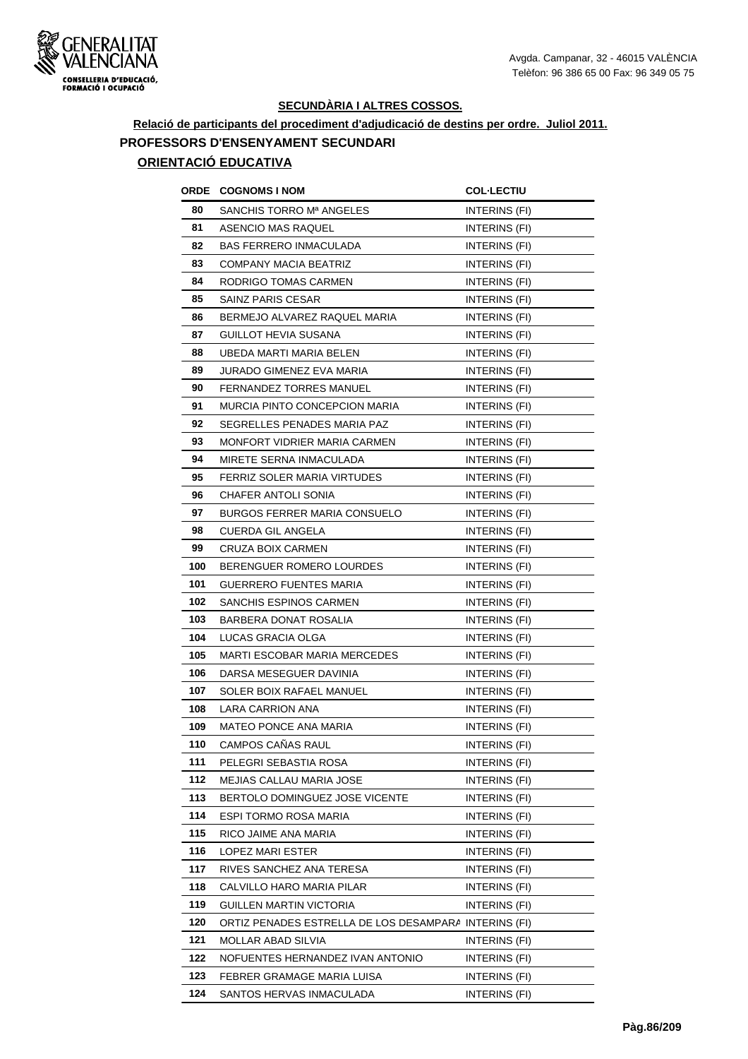

### **Relació de participants del procediment d'adjudicació de destins per ordre. Juliol 2011. PROFESSORS D'ENSENYAMENT SECUNDARI ORIENTACIÓ EDUCATIVA**

## **ORDE COGNOMS I NOM COL·LECTIU 80** SANCHIS TORRO M<sup>a</sup> ANGELES **INTERINS** (FI) 81 ASENCIO MAS RAQUEL **INTERINS** (FI) 82 BAS FERRERO INMACULADA **INTERINS** (FI) **83** COMPANY MACIA BEATRIZ **INTERINS** (FI) 84 RODRIGO TOMAS CARMEN **INTERINS** (FI) 85 SAINZ PARIS CESAR INTERINS (FI) **86 BERMEJO ALVAREZ RAQUEL MARIA INTERINS (FI) 87** GUILLOT HEVIA SUSANA **INTERINS** (FI) **88 UBEDA MARTI MARIA BELEN INTERINS (FI)** 89 JURADO GIMENEZ EVA MARIA **INTERINS** (FI) **90 FERNANDEZ TORRES MANUEL INTERINS (FI) 91 MURCIA PINTO CONCEPCION MARIA INTERINS (FI) 92 SEGRELLES PENADES MARIA PAZ INTERINS (FI) 93 MONFORT VIDRIER MARIA CARMEN INTERINS (FI) 94 MIRETE SERNA INMACULADA** INTERINS (FI) **95** FERRIZ SOLER MARIA VIRTUDES INTERINS (FI) **96** CHAFER ANTOLI SONIA **INTERINS** (FI) **97 BURGOS FERRER MARIA CONSUELO INTERINS (FI) 98** CUERDA GIL ANGELA **INTERINS** (FI) **99** CRUZA BOIX CARMEN **INTERINS** (FI) 100 BERENGUER ROMERO LOURDES INTERINS (FI) **101** GUERRERO FUENTES MARIA **INTERINS** (FI) **102** SANCHIS ESPINOS CARMEN **INTERINS** (FI) **103** BARBERA DONAT ROSALIA INTERINS (FI) **104 LUCAS GRACIA OLGA INTERINS** (FI) **105 MARTI ESCOBAR MARIA MERCEDES** INTERINS (FI) **106** DARSA MESEGUER DAVINIA **INTERINS** (FI) **107** SOLER BOIX RAFAEL MANUEL **INTERINS** (FI) **108** LARA CARRION ANA **INTERINS** (FI) **109 MATEO PONCE ANA MARIA INTERINS (FI) 110** CAMPOS CAÑAS RAUL **INTERINS** (FI) 111 PELEGRI SEBASTIA ROSA **INTERINS** (FI) **112 MEJIAS CALLAU MARIA JOSE INTERINS (FI)** 113 BERTOLO DOMINGUEZ JOSE VICENTE **INTERINS** (FI) **114 ESPI TORMO ROSA MARIA INTERINS** (FI) **115** RICO JAIME ANA MARIA **INTERINS** (FI) **116** LOPEZ MARI ESTER INTERINS (FI) **117** RIVES SANCHEZ ANA TERESA **INTERINS** (FI) **118** CALVILLO HARO MARIA PILAR INTERINS (FI) **119 GUILLEN MARTIN VICTORIA INTERINS** (FI) **120** ORTIZ PENADES ESTRELLA DE LOS DESAMPARA INTERINS (FI) **121** MOLLAR ABAD SILVIA **INTERINS** (FI) **122 NOFUENTES HERNANDEZ IVAN ANTONIO INTERINS (FI) 123 FEBRER GRAMAGE MARIA LUISA INTERINS** (FI)

**124 SANTOS HERVAS INMACULADA INTERINS** (FI)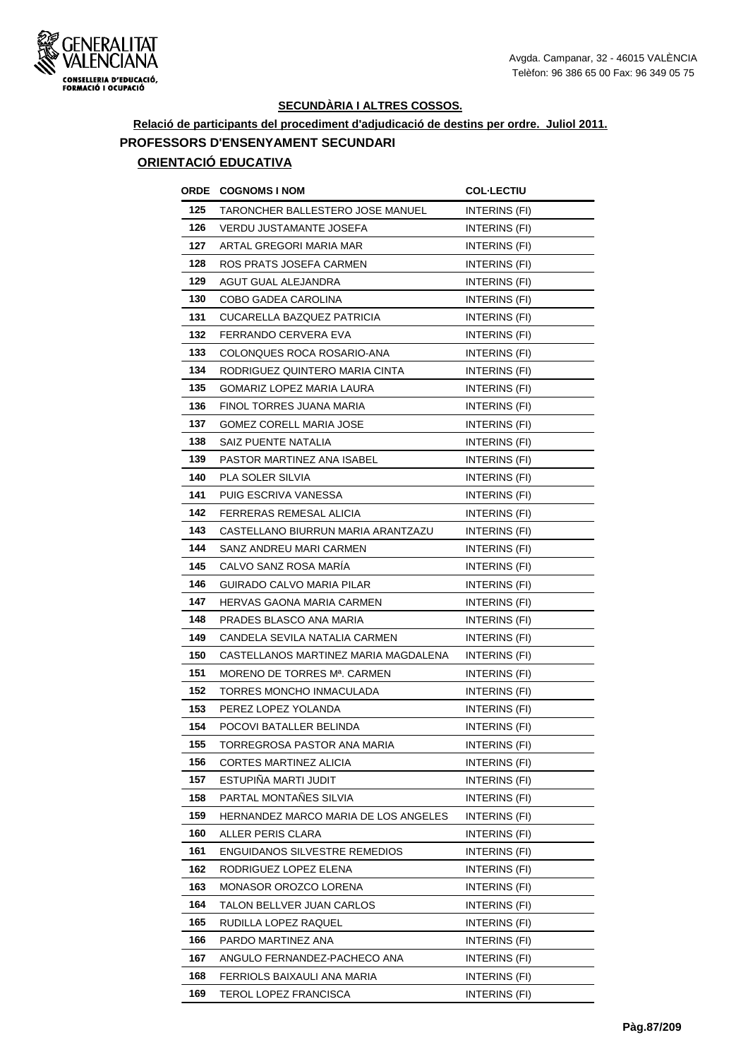

### **Relació de participants del procediment d'adjudicació de destins per ordre. Juliol 2011. PROFESSORS D'ENSENYAMENT SECUNDARI ORIENTACIÓ EDUCATIVA**

## **ORDE COGNOMS I NOM COL·LECTIU 125 TARONCHER BALLESTERO JOSE MANUEL INTERINS (FI) 126** VERDU JUSTAMANTE JOSEFA INTERINS (FI) **127** ARTAL GREGORI MARIA MAR
INTERINS (FI) **128** ROS PRATS JOSEFA CARMEN **INTERINS** (FI) **129** AGUT GUAL ALEJANDRA INTERINS (FI) **130** COBO GADEA CAROLINA **INTERINS** (FI) **131 CUCARELLA BAZQUEZ PATRICIA INTERINS (FI) 132 FERRANDO CERVERA EVA INTERINS** (FI) **133** COLONQUES ROCA ROSARIO-ANA INTERINS (FI) **134 RODRIGUEZ QUINTERO MARIA CINTA INTERINS (FI) 135** GOMARIZ LOPEZ MARIA LAURA **INTERINS** (FI) **136** FINOL TORRES JUANA MARIA **INTERINS** (FI) **137** GOMEZ CORELL MARIA JOSE **INTERINS** (FI) **138** SAIZ PUENTE NATALIA **INTERINS** (FI) **139 PASTOR MARTINEZ ANA ISABEL INTERINS (FI) 140** PLA SOLER SILVIA **INTERINS** (FI) **141 PUIG ESCRIVA VANESSA INTERINS (FI) 142 FERRERAS REMESAL ALICIA INTERINS** (FI) **143** CASTELLANO BIURRUN MARIA ARANTZAZU INTERINS (FI) **144** SANZ ANDREU MARI CARMEN **INTERINS** (FI) **145** CALVO SANZ ROSA MARÍA **INTERINS** (FI) **146** GUIRADO CALVO MARIA PILAR **INTERINS** (FI) **147 HERVAS GAONA MARIA CARMEN INTERINS (FI) 148 PRADES BLASCO ANA MARIA INTERINS (FI) 149** CANDELA SEVILA NATALIA CARMEN INTERINS (FI) **150** CASTELLANOS MARTINEZ MARIA MAGDALENA INTERINS (FI) **151 MORENO DE TORRES Mª. CARMEN INTERINS (FI) 152 TORRES MONCHO INMACULADA INTERINS (FI) 153** PEREZ LOPEZ YOLANDA INTERINS (FI) **154** POCOVI BATALLER BELINDA **INTERINS** (FI) **155 TORREGROSA PASTOR ANA MARIA INTERINS (FI) 156** CORTES MARTINEZ ALICIA **INTERINS** (FI) **157** ESTUPIÑA MARTI JUDIT INTERINS (FI) **158** PARTAL MONTAÑES SILVIA **INTERINS** (FI) **159** HERNANDEZ MARCO MARIA DE LOS ANGELES INTERINS (FI) **160** ALLER PERIS CLARA **INTERINS** (FI) 161 ENGUIDANOS SILVESTRE REMEDIOS **INTERINS** (FI) **162** RODRIGUEZ LOPEZ ELENA INTERINS (FI) **163 MONASOR OROZCO LORENA** INTERINS (FI) **164 TALON BELLVER JUAN CARLOS INTERINS (FI) 165** RUDILLA LOPEZ RAQUEL **INTERINS** (FI) **166** PARDO MARTINEZ ANA **INTERINS** (FI) 167 ANGULO FERNANDEZ-PACHECO ANA INTERINS (FI) **168 FERRIOLS BAIXAULI ANA MARIA INTERINS (FI) 169 TEROL LOPEZ FRANCISCA** INTERINS (FI)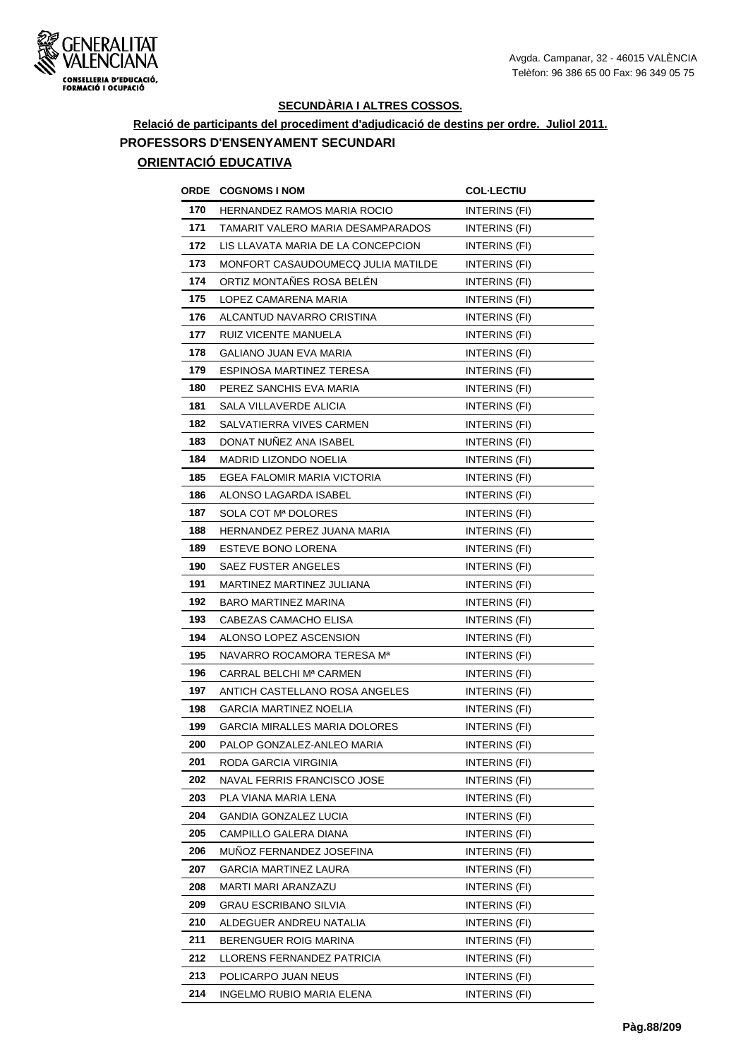

# **Relació de participants del procediment d'adjudicació de destins per ordre. Juliol 2011. PROFESSORS D'ENSENYAMENT SECUNDARI**

| ORDE | <b>COGNOMS I NOM</b>                 | <b>COL·LECTIU</b>    |
|------|--------------------------------------|----------------------|
| 170  | HERNANDEZ RAMOS MARIA ROCIO          | INTERINS (FI)        |
| 171  | TAMARIT VALERO MARIA DESAMPARADOS    | <b>INTERINS (FI)</b> |
| 172  | LIS LLAVATA MARIA DE LA CONCEPCION   | INTERINS (FI)        |
| 173  | MONFORT CASAUDOUMECQ JULIA MATILDE   | INTERINS (FI)        |
| 174  | ORTIZ MONTAÑES ROSA BELÉN            | INTERINS (FI)        |
| 175  | LOPEZ CAMARENA MARIA                 | INTERINS (FI)        |
| 176  | ALCANTUD NAVARRO CRISTINA            | INTERINS (FI)        |
| 177  | RUIZ VICENTE MANUELA                 | INTERINS (FI)        |
| 178  | <b>GALIANO JUAN EVA MARIA</b>        | INTERINS (FI)        |
| 179  | ESPINOSA MARTINEZ TERESA             | INTERINS (FI)        |
| 180  | PEREZ SANCHIS EVA MARIA              | INTERINS (FI)        |
| 181  | SALA VILLAVERDE ALICIA               | INTERINS (FI)        |
| 182  | SALVATIERRA VIVES CARMEN             | INTERINS (FI)        |
| 183  | DONAT NUÑEZ ANA ISABEL               | INTERINS (FI)        |
| 184  | MADRID LIZONDO NOELIA                | INTERINS (FI)        |
| 185  | EGEA FALOMIR MARIA VICTORIA          | INTERINS (FI)        |
| 186  | ALONSO LAGARDA ISABEL                | INTERINS (FI)        |
| 187  | SOLA COT Mª DOLORES                  | INTERINS (FI)        |
| 188  | HERNANDEZ PEREZ JUANA MARIA          | INTERINS (FI)        |
| 189  | ESTEVE BONO LORENA                   | INTERINS (FI)        |
| 190  | SAEZ FUSTER ANGELES                  | INTERINS (FI)        |
| 191  | MARTINEZ MARTINEZ JULIANA            | INTERINS (FI)        |
| 192  | <b>BARO MARTINEZ MARINA</b>          | INTERINS (FI)        |
| 193  | CABEZAS CAMACHO ELISA                | INTERINS (FI)        |
| 194  | ALONSO LOPEZ ASCENSION               | INTERINS (FI)        |
| 195  | NAVARRO ROCAMORA TERESA Mª           | INTERINS (FI)        |
| 196  | CARRAL BELCHI Mª CARMEN              | INTERINS (FI)        |
| 197  | ANTICH CASTELLANO ROSA ANGELES       | INTERINS (FI)        |
| 198  | <b>GARCIA MARTINEZ NOELIA</b>        | INTERINS (FI)        |
| 199  | <b>GARCIA MIRALLES MARIA DOLORES</b> | INTERINS (FI)        |
| 200  | PALOP GONZALEZ-ANLEO MARIA           | INTERINS (FI)        |
| 201  | RODA GARCIA VIRGINIA                 | INTERINS (FI)        |
| 202  | NAVAL FERRIS FRANCISCO JOSE          | INTERINS (FI)        |
| 203  | PLA VIANA MARIA LENA                 | INTERINS (FI)        |
| 204  | <b>GANDIA GONZALEZ LUCIA</b>         | INTERINS (FI)        |
| 205  | CAMPILLO GALERA DIANA                | INTERINS (FI)        |
| 206  | MUNOZ FERNANDEZ JOSEFINA             | INTERINS (FI)        |
| 207  | <b>GARCIA MARTINEZ LAURA</b>         | INTERINS (FI)        |
| 208  | MARTI MARI ARANZAZU                  | INTERINS (FI)        |
| 209  | <b>GRAU ESCRIBANO SILVIA</b>         | INTERINS (FI)        |
| 210  | ALDEGUER ANDREU NATALIA              | INTERINS (FI)        |
| 211  | BERENGUER ROIG MARINA                | INTERINS (FI)        |
| 212  | LLORENS FERNANDEZ PATRICIA           | INTERINS (FI)        |
| 213  | POLICARPO JUAN NEUS                  | INTERINS (FI)        |
| 214  | INGELMO RUBIO MARIA ELENA            | INTERINS (FI)        |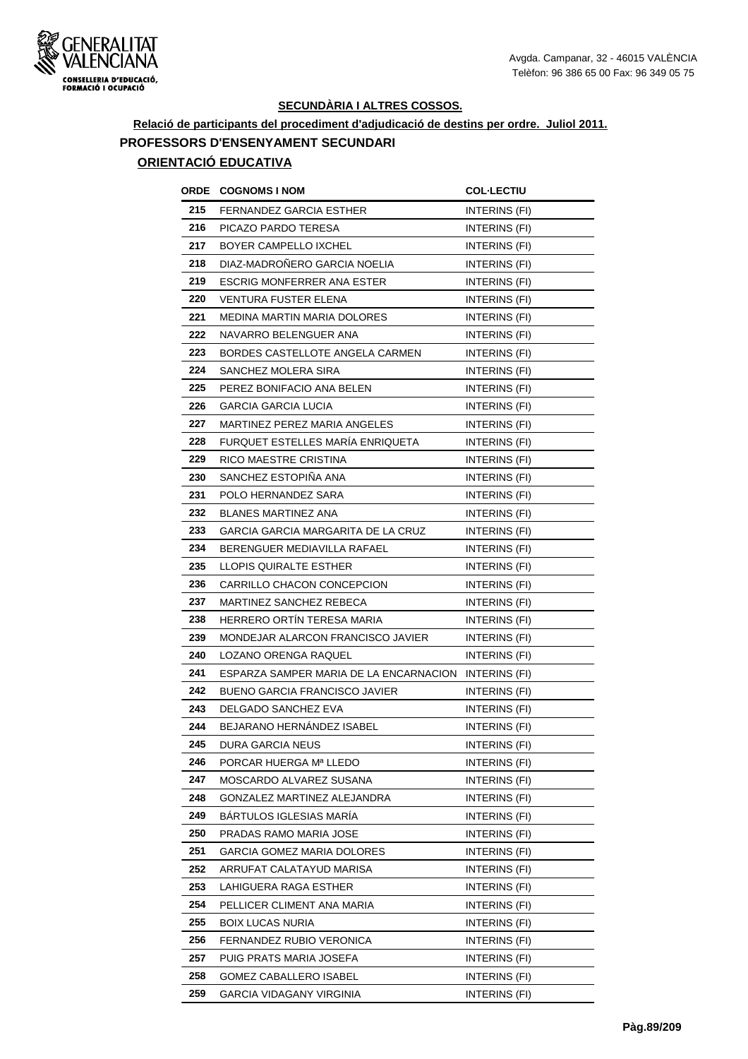

# **Relació de participants del procediment d'adjudicació de destins per ordre. Juliol 2011. PROFESSORS D'ENSENYAMENT SECUNDARI**

| ORDE | <b>COGNOMS I NOM</b>                   | <b>COL-LECTIU</b>    |
|------|----------------------------------------|----------------------|
| 215  | <b>FERNANDEZ GARCIA ESTHER</b>         | INTERINS (FI)        |
| 216  | PICAZO PARDO TERESA                    | INTERINS (FI)        |
| 217  | BOYER CAMPELLO IXCHEL                  | INTERINS (FI)        |
| 218  | DIAZ-MADROÑERO GARCIA NOELIA           | INTERINS (FI)        |
| 219  | <b>ESCRIG MONFERRER ANA ESTER</b>      | INTERINS (FI)        |
| 220  | VENTURA FUSTER ELENA                   | INTERINS (FI)        |
| 221  | <b>MEDINA MARTIN MARIA DOLORES</b>     | INTERINS (FI)        |
| 222  | NAVARRO BELENGUER ANA                  | INTERINS (FI)        |
| 223  | BORDES CASTELLOTE ANGELA CARMEN        | INTERINS (FI)        |
| 224  | SANCHEZ MOLERA SIRA                    | INTERINS (FI)        |
| 225  | PEREZ BONIFACIO ANA BELEN              | INTERINS (FI)        |
| 226  | GARCIA GARCIA LUCIA                    | <b>INTERINS (FI)</b> |
| 227  | MARTINEZ PEREZ MARIA ANGELES           | INTERINS (FI)        |
| 228  | FURQUET ESTELLES MARÍA ENRIQUETA       | <b>INTERINS (FI)</b> |
| 229  | RICO MAESTRE CRISTINA                  | <b>INTERINS (FI)</b> |
| 230  | SANCHEZ ESTOPIÑA ANA                   | <b>INTERINS (FI)</b> |
| 231  | POLO HERNANDEZ SARA                    | INTERINS (FI)        |
| 232  | <b>BLANES MARTINEZ ANA</b>             | INTERINS (FI)        |
| 233  | GARCIA GARCIA MARGARITA DE LA CRUZ     | INTERINS (FI)        |
| 234  | BERENGUER MEDIAVILLA RAFAEL            | INTERINS (FI)        |
| 235  | LLOPIS QUIRALTE ESTHER                 | INTERINS (FI)        |
| 236  | CARRILLO CHACON CONCEPCION             | INTERINS (FI)        |
| 237  | MARTINEZ SANCHEZ REBECA                | INTERINS (FI)        |
| 238  | HERRERO ORTÍN TERESA MARIA             | INTERINS (FI)        |
| 239  | MONDEJAR ALARCON FRANCISCO JAVIER      | INTERINS (FI)        |
| 240  | LOZANO ORENGA RAQUEL                   | <b>INTERINS (FI)</b> |
| 241  | ESPARZA SAMPER MARIA DE LA ENCARNACION | INTERINS (FI)        |
| 242  | BUENO GARCIA FRANCISCO JAVIER          | INTERINS (FI)        |
| 243  | DELGADO SANCHEZ EVA                    | INTERINS (FI)        |
| 244  | <b>BEJARANO HERNANDEZ ISABEL</b>       | <b>INTERINS (FI)</b> |
| 245  | <b>DURA GARCIA NEUS</b>                | INTERINS (FI)        |
| 246  | PORCAR HUERGA Mª LLEDO                 | INTERINS (FI)        |
| 247  | MOSCARDO ALVAREZ SUSANA                | INTERINS (FI)        |
| 248  | <b>GONZALEZ MARTINEZ ALEJANDRA</b>     | INTERINS (FI)        |
| 249  | BARTULOS IGLESIAS MARÍA                | INTERINS (FI)        |
| 250  | PRADAS RAMO MARIA JOSE                 | INTERINS (FI)        |
| 251  | GARCIA GOMEZ MARIA DOLORES             | INTERINS (FI)        |
| 252  | ARRUFAT CALATAYUD MARISA               | INTERINS (FI)        |
| 253  | LAHIGUERA RAGA ESTHER                  | INTERINS (FI)        |
| 254  | PELLICER CLIMENT ANA MARIA             | INTERINS (FI)        |
| 255  | <b>BOIX LUCAS NURIA</b>                | INTERINS (FI)        |
| 256  | FERNANDEZ RUBIO VERONICA               | INTERINS (FI)        |
| 257  | PUIG PRATS MARIA JOSEFA                | INTERINS (FI)        |
| 258  | <b>GOMEZ CABALLERO ISABEL</b>          | INTERINS (FI)        |
| 259  | GARCIA VIDAGANY VIRGINIA               | INTERINS (FI)        |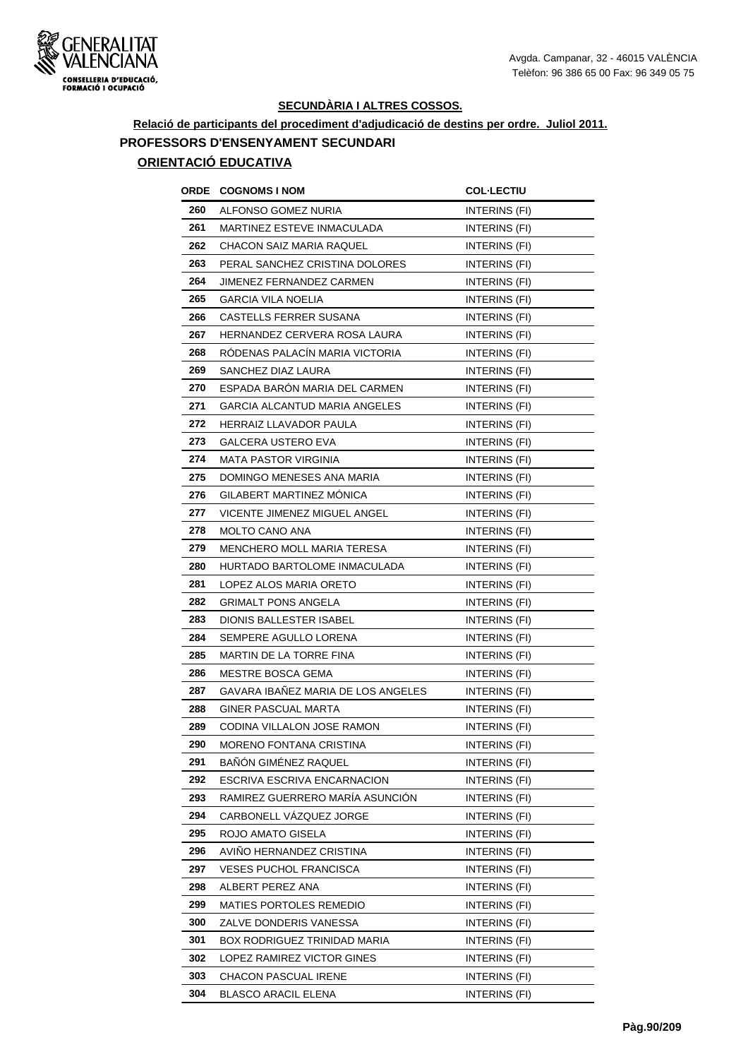

# **Relació de participants del procediment d'adjudicació de destins per ordre. Juliol 2011. PROFESSORS D'ENSENYAMENT SECUNDARI**

| ORDE | <b>COGNOMS I NOM</b>               | <b>COL-LECTIU</b>    |
|------|------------------------------------|----------------------|
| 260  | ALFONSO GOMEZ NURIA                | INTERINS (FI)        |
| 261  | MARTINEZ ESTEVE INMACULADA         | INTERINS (FI)        |
| 262  | <b>CHACON SAIZ MARIA RAQUEL</b>    | INTERINS (FI)        |
| 263  | PERAL SANCHEZ CRISTINA DOLORES     | INTERINS (FI)        |
| 264  | JIMENEZ FERNANDEZ CARMEN           | INTERINS (FI)        |
| 265  | <b>GARCIA VILA NOELIA</b>          | INTERINS (FI)        |
| 266  | CASTELLS FERRER SUSANA             | INTERINS (FI)        |
| 267  | HERNANDEZ CERVERA ROSA LAURA       | <b>INTERINS (FI)</b> |
| 268  | RÓDENAS PALACÍN MARIA VICTORIA     | <b>INTERINS (FI)</b> |
| 269  | SANCHEZ DIAZ LAURA                 | <b>INTERINS (FI)</b> |
| 270  | ESPADA BARÓN MARIA DEL CARMEN      | INTERINS (FI)        |
| 271  | GARCIA ALCANTUD MARIA ANGELES      | INTERINS (FI)        |
| 272  | HERRAIZ LLAVADOR PAULA             | INTERINS (FI)        |
| 273  | GALCERA USTERO EVA                 | INTERINS (FI)        |
| 274  | <b>MATA PASTOR VIRGINIA</b>        | <b>INTERINS (FI)</b> |
| 275  | DOMINGO MENESES ANA MARIA          | INTERINS (FI)        |
| 276  | GILABERT MARTINEZ MÓNICA           | INTERINS (FI)        |
| 277  | VICENTE JIMENEZ MIGUEL ANGEL       | INTERINS (FI)        |
| 278  | <b>MOLTO CANO ANA</b>              | INTERINS (FI)        |
| 279  | <b>MENCHERO MOLL MARIA TERESA</b>  | INTERINS (FI)        |
| 280  | HURTADO BARTOLOME INMACULADA       | <b>INTERINS (FI)</b> |
| 281  | LOPEZ ALOS MARIA ORETO             | <b>INTERINS (FI)</b> |
| 282  | <b>GRIMALT PONS ANGELA</b>         | INTERINS (FI)        |
| 283  | DIONIS BALLESTER ISABEL            | INTERINS (FI)        |
| 284  | SEMPERE AGULLO LORENA              | INTERINS (FI)        |
| 285  | MARTIN DE LA TORRE FINA            | INTERINS (FI)        |
| 286  | MESTRE BOSCA GEMA                  | INTERINS (FI)        |
| 287  | GAVARA IBAÑEZ MARIA DE LOS ANGELES | INTERINS (FI)        |
| 288  | GINER PASCUAL MARTA                | INTERINS (FI)        |
| 289  | CODINA VILLALON JOSE RAMON         | <b>INTERINS (FI)</b> |
| 290  | MORENO FONTANA CRISTINA            | INTERINS (FI)        |
| 291  | BAÑÓN GIMÉNEZ RAQUEL               | INTERINS (FI)        |
| 292  | ESCRIVA ESCRIVA ENCARNACION        | <b>INTERINS (FI)</b> |
| 293  | RAMIREZ GUERRERO MARÍA ASUNCIÓN    | INTERINS (FI)        |
| 294  | CARBONELL VAZQUEZ JORGE            | INTERINS (FI)        |
| 295  | ROJO AMATO GISELA                  | INTERINS (FI)        |
| 296  | AVIÑO HERNANDEZ CRISTINA           | INTERINS (FI)        |
| 297  | VESES PUCHOL FRANCISCA             | INTERINS (FI)        |
| 298  | ALBERT PEREZ ANA                   | <b>INTERINS (FI)</b> |
| 299  | MATIES PORTOLES REMEDIO            | INTERINS (FI)        |
| 300  | ZALVE DONDERIS VANESSA             | INTERINS (FI)        |
| 301  | BOX RODRIGUEZ TRINIDAD MARIA       | INTERINS (FI)        |
| 302  | LOPEZ RAMIREZ VICTOR GINES         | INTERINS (FI)        |
| 303  | CHACON PASCUAL IRENE               | INTERINS (FI)        |
| 304  | <b>BLASCO ARACIL ELENA</b>         | <b>INTERINS (FI)</b> |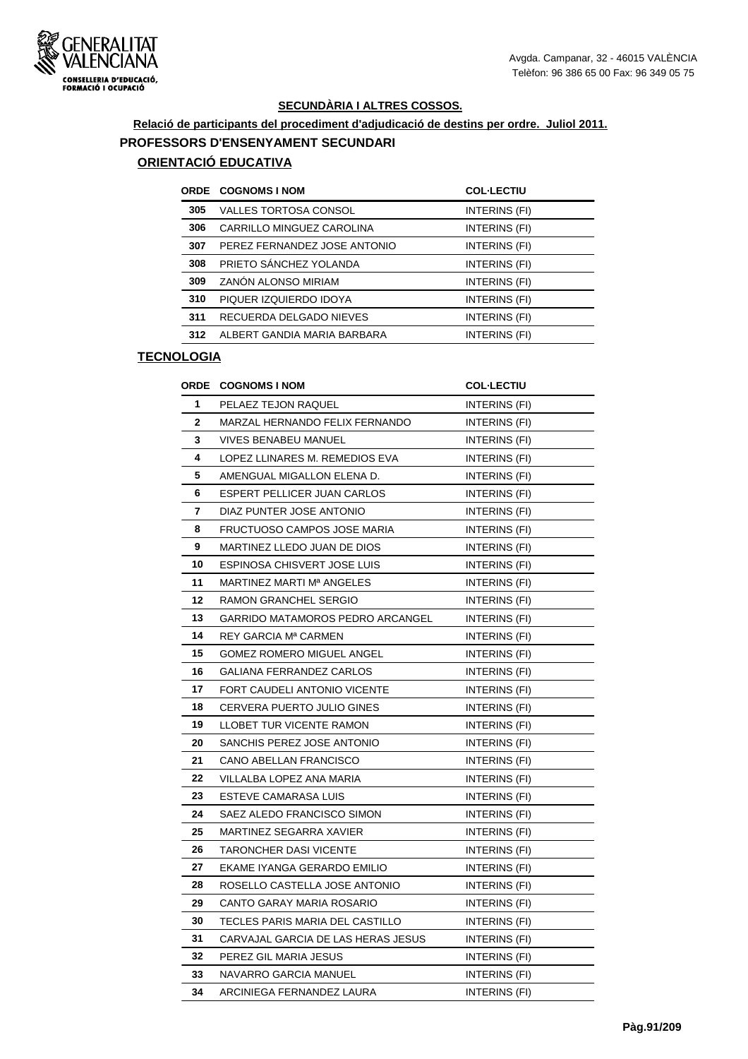

# **Relació de participants del procediment d'adjudicació de destins per ordre. Juliol 2011. PROFESSORS D'ENSENYAMENT SECUNDARI**

## **ORIENTACIÓ EDUCATIVA**

|     | <b>ORDE COGNOMS I NOM</b>    | <b>COL-LECTIU</b> |
|-----|------------------------------|-------------------|
| 305 | VALLES TORTOSA CONSOL        | INTERINS (FI)     |
| 306 | CARRILLO MINGUEZ CAROLINA    | INTERINS (FI)     |
| 307 | PEREZ FERNANDEZ JOSE ANTONIO | INTERINS (FI)     |
| 308 | PRIETO SÁNCHEZ YOLANDA       | INTERINS (FI)     |
| 309 | ZANÓN ALONSO MIRIAM          | INTERINS (FI)     |
| 310 | PIQUER IZQUIERDO IDOYA       | INTERINS (FI)     |
| 311 | RECUERDA DELGADO NIEVES      | INTERINS (FI)     |
| 312 | ALBERT GANDIA MARIA BARBARA  | INTERINS (FI)     |
|     |                              |                   |

|    | <b>ORDE COGNOMS I NOM</b>          | <b>COL·LECTIU</b>    |
|----|------------------------------------|----------------------|
| 1  | PELAEZ TEJON RAQUEL                | INTERINS (FI)        |
| 2  | MARZAL HERNANDO FELIX FERNANDO     | INTERINS (FI)        |
| 3  | <b>VIVES BENABEU MANUEL</b>        | INTERINS (FI)        |
| 4  | LOPEZ LLINARES M. REMEDIOS EVA     | INTERINS (FI)        |
| 5  | AMENGUAL MIGALLON ELENA D.         | INTERINS (FI)        |
| 6  | ESPERT PELLICER JUAN CARLOS        | INTERINS (FI)        |
| 7  | DIAZ PUNTER JOSE ANTONIO           | INTERINS (FI)        |
| 8  | FRUCTUOSO CAMPOS JOSE MARIA        | INTERINS (FI)        |
| 9  | MARTINEZ LLEDO JUAN DE DIOS        | INTERINS (FI)        |
| 10 | ESPINOSA CHISVERT JOSE LUIS        | INTERINS (FI)        |
| 11 | MARTINEZ MARTI Mª ANGELES          | INTERINS (FI)        |
| 12 | RAMON GRANCHEL SERGIO              | INTERINS (FI)        |
| 13 | GARRIDO MATAMOROS PEDRO ARCANGEL   | INTERINS (FI)        |
| 14 | REY GARCIA Mª CARMEN               | INTERINS (FI)        |
| 15 | GOMEZ ROMERO MIGUEL ANGEL          | INTERINS (FI)        |
| 16 | GALIANA FERRANDEZ CARLOS           | INTERINS (FI)        |
| 17 | FORT CAUDELI ANTONIO VICENTE       | <b>INTERINS (FI)</b> |
| 18 | CERVERA PUERTO JULIO GINES         | INTERINS (FI)        |
| 19 | LLOBET TUR VICENTE RAMON           | INTERINS (FI)        |
| 20 | SANCHIS PEREZ JOSE ANTONIO         | INTERINS (FI)        |
| 21 | CANO ABELLAN FRANCISCO             | INTERINS (FI)        |
| 22 | VILLALBA LOPEZ ANA MARIA           | INTERINS (FI)        |
| 23 | ESTEVE CAMARASA LUIS               | INTERINS (FI)        |
| 24 | SAEZ ALEDO FRANCISCO SIMON         | INTERINS (FI)        |
| 25 | MARTINEZ SEGARRA XAVIER            | INTERINS (FI)        |
| 26 | <b>TARONCHER DASI VICENTE</b>      | INTERINS (FI)        |
| 27 | EKAME IYANGA GERARDO EMILIO        | INTERINS (FI)        |
| 28 | ROSELLO CASTELLA JOSE ANTONIO      | INTERINS (FI)        |
| 29 | CANTO GARAY MARIA ROSARIO          | INTERINS (FI)        |
| 30 | TECLES PARIS MARIA DEL CASTILLO    | INTERINS (FI)        |
| 31 | CARVAJAL GARCIA DE LAS HERAS JESUS | <b>INTERINS (FI)</b> |
| 32 | PEREZ GIL MARIA JESUS              | INTERINS (FI)        |
| 33 | NAVARRO GARCIA MANUEL              | INTERINS (FI)        |
| 34 | ARCINIEGA FERNANDEZ LAURA          | INTERINS (FI)        |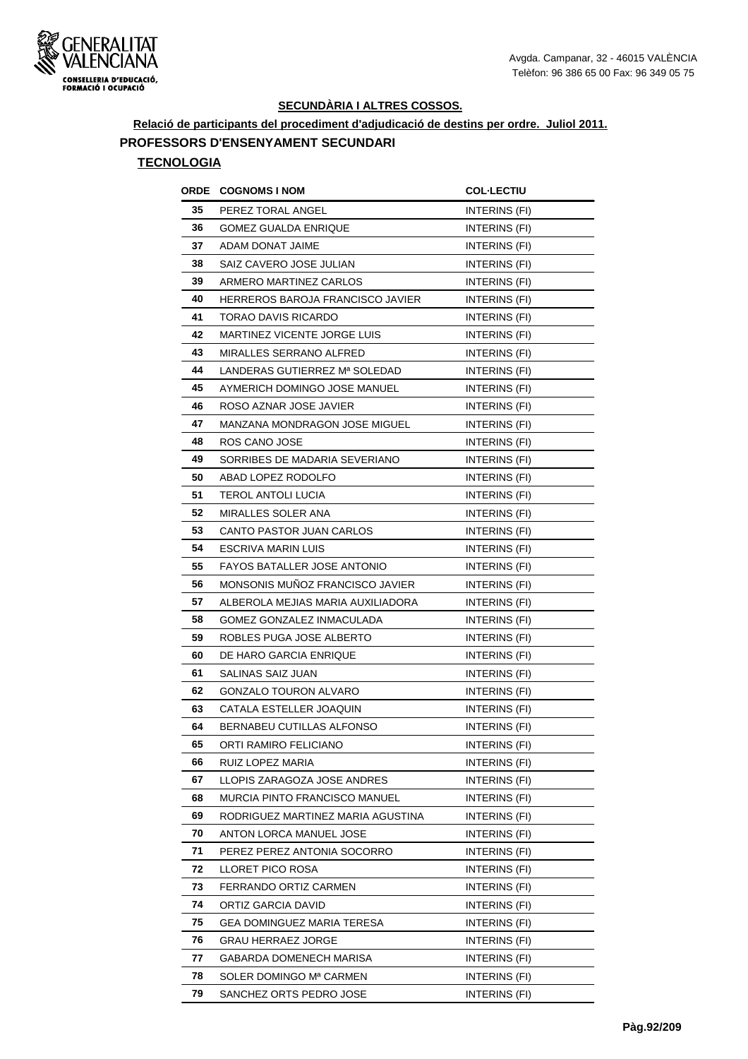

**Relació de participants del procediment d'adjudicació de destins per ordre. Juliol 2011.**

**PROFESSORS D'ENSENYAMENT SECUNDARI**

| ORDE | <b>COGNOMS I NOM</b>               | <b>COL·LECTIU</b>    |
|------|------------------------------------|----------------------|
| 35   | PEREZ TORAL ANGEL                  | INTERINS (FI)        |
| 36   | GOMEZ GUALDA ENRIQUE               | INTERINS (FI)        |
| 37   | ADAM DONAT JAIME                   | INTERINS (FI)        |
| 38   | SAIZ CAVERO JOSE JULIAN            | INTERINS (FI)        |
| 39   | ARMERO MARTINEZ CARLOS             | INTERINS (FI)        |
| 40   | HERREROS BAROJA FRANCISCO JAVIER   | INTERINS (FI)        |
| 41   | TORAO DAVIS RICARDO                | INTERINS (FI)        |
| 42   | <b>MARTINEZ VICENTE JORGE LUIS</b> | INTERINS (FI)        |
| 43   | MIRALLES SERRANO ALFRED            | INTERINS (FI)        |
| 44   | LANDERAS GUTIERREZ Mª SOLEDAD      | <b>INTERINS (FI)</b> |
| 45   | AYMERICH DOMINGO JOSE MANUEL       | INTERINS (FI)        |
| 46   | ROSO AZNAR JOSE JAVIER             | INTERINS (FI)        |
| 47   | MANZANA MONDRAGON JOSE MIGUEL      | INTERINS (FI)        |
| 48   | ROS CANO JOSE                      | INTERINS (FI)        |
| 49   | SORRIBES DE MADARIA SEVERIANO      | <b>INTERINS (FI)</b> |
| 50   | ABAD LOPEZ RODOLFO                 | INTERINS (FI)        |
| 51   | TEROL ANTOLI LUCIA                 | INTERINS (FI)        |
| 52   | MIRALLES SOLER ANA                 | INTERINS (FI)        |
| 53   | CANTO PASTOR JUAN CARLOS           | INTERINS (FI)        |
| 54   | ESCRIVA MARIN LUIS                 | INTERINS (FI)        |
| 55   | FAYOS BATALLER JOSE ANTONIO        | INTERINS (FI)        |
| 56   | MONSONIS MUNOZ FRANCISCO JAVIER    | <b>INTERINS (FI)</b> |
| 57   | ALBEROLA MEJIAS MARIA AUXILIADORA  | INTERINS (FI)        |
| 58   | GOMEZ GONZALEZ INMACULADA          | INTERINS (FI)        |
| 59   | ROBLES PUGA JOSE ALBERTO           | INTERINS (FI)        |
| 60   | DE HARO GARCIA ENRIQUE             | INTERINS (FI)        |
| 61   | SALINAS SAIZ JUAN                  | INTERINS (FI)        |
| 62   | GONZALO TOURON ALVARO              | INTERINS (FI)        |
| 63   | CATALA ESTELLER JOAQUIN            | INTERINS (FI)        |
| 64   | <b>BERNABEU CUTILLAS ALFONSO</b>   | INTERINS (FI)        |
| 65   | ORTI RAMIRO FELICIANO              | INTERINS (FI)        |
| 66   | RUIZ LOPEZ MARIA                   | INTERINS (FI)        |
| 67   | LLOPIS ZARAGOZA JOSE ANDRES        | INTERINS (FI)        |
| 68   | MURCIA PINTO FRANCISCO MANUEL      | INTERINS (FI)        |
| 69   | RODRIGUEZ MARTINEZ MARIA AGUSTINA  | INTERINS (FI)        |
| 70   | ANTON LORCA MANUEL JOSE            | INTERINS (FI)        |
| 71   | PEREZ PEREZ ANTONIA SOCORRO        | INTERINS (FI)        |
| 72   | LLORET PICO ROSA                   | INTERINS (FI)        |
| 73   | FERRANDO ORTIZ CARMEN              | INTERINS (FI)        |
| 74   | ORTIZ GARCIA DAVID                 | INTERINS (FI)        |
| 75   | GEA DOMINGUEZ MARIA TERESA         | INTERINS (FI)        |
| 76   | GRAU HERRAEZ JORGE                 | INTERINS (FI)        |
| 77   | GABARDA DOMENECH MARISA            | INTERINS (FI)        |
| 78   | SOLER DOMINGO Mª CARMEN            | INTERINS (FI)        |
| 79   | SANCHEZ ORTS PEDRO JOSE            | INTERINS (FI)        |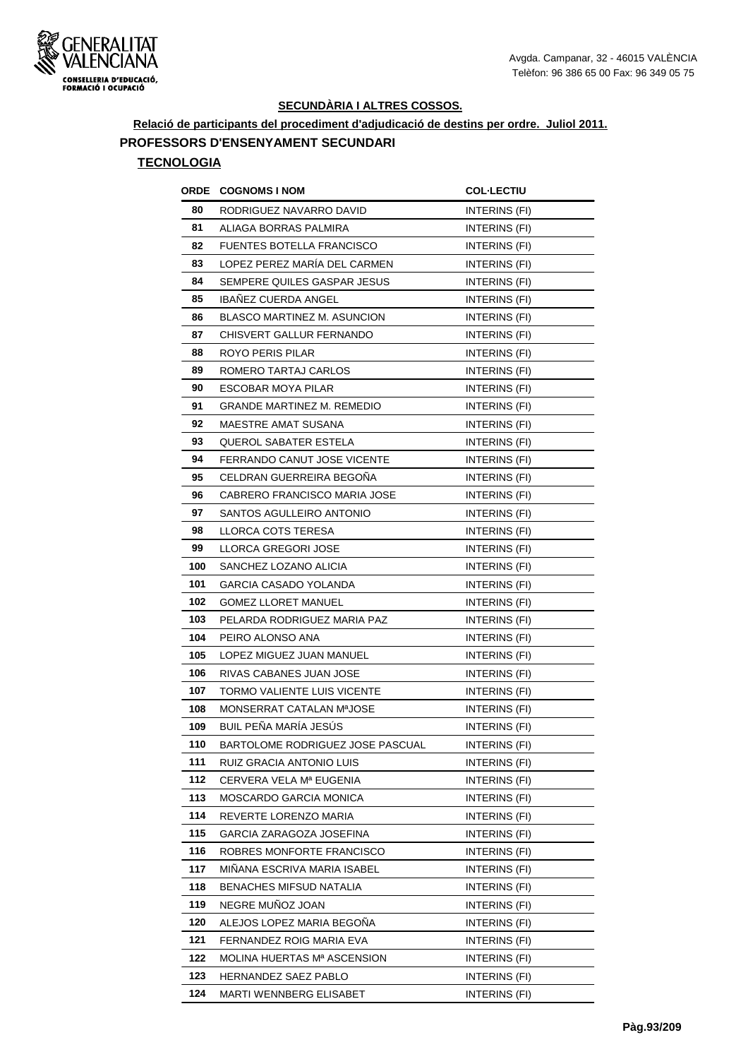

**Relació de participants del procediment d'adjudicació de destins per ordre. Juliol 2011.**

### **PROFESSORS D'ENSENYAMENT SECUNDARI**

| ORDE | <b>COGNOMS I NOM</b>             | <b>COL·LECTIU</b>    |
|------|----------------------------------|----------------------|
| 80   | RODRIGUEZ NAVARRO DAVID          | INTERINS (FI)        |
| 81   | ALIAGA BORRAS PALMIRA            | <b>INTERINS (FI)</b> |
| 82   | <b>FUENTES BOTELLA FRANCISCO</b> | INTERINS (FI)        |
| 83   | LOPEZ PEREZ MARIA DEL CARMEN     | <b>INTERINS (FI)</b> |
| 84   | SEMPERE QUILES GASPAR JESUS      | INTERINS (FI)        |
| 85   | <b>IBANEZ CUERDA ANGEL</b>       | INTERINS (FI)        |
| 86   | BLASCO MARTINEZ M. ASUNCION      | INTERINS (FI)        |
| 87   | CHISVERT GALLUR FERNANDO         | INTERINS (FI)        |
| 88   | ROYO PERIS PILAR                 | INTERINS (FI)        |
| 89   | ROMERO TARTAJ CARLOS             | INTERINS (FI)        |
| 90   | <b>ESCOBAR MOYA PILAR</b>        | INTERINS (FI)        |
| 91   | GRANDE MARTINEZ M. REMEDIO       | INTERINS (FI)        |
| 92   | MAESTRE AMAT SUSANA              | INTERINS (FI)        |
| 93   | QUEROL SABATER ESTELA            | INTERINS (FI)        |
| 94   | FERRANDO CANUT JOSE VICENTE      | INTERINS (FI)        |
| 95   | CELDRAN GUERREIRA BEGOÑA         | <b>INTERINS (FI)</b> |
| 96   | CABRERO FRANCISCO MARIA JOSE     | INTERINS (FI)        |
| 97   | SANTOS AGULLEIRO ANTONIO         | INTERINS (FI)        |
| 98   | LLORCA COTS TERESA               | INTERINS (FI)        |
| 99   | LLORCA GREGORI JOSE              | INTERINS (FI)        |
| 100  | SANCHEZ LOZANO ALICIA            | INTERINS (FI)        |
| 101  | GARCIA CASADO YOLANDA            | INTERINS (FI)        |
| 102  | <b>GOMEZ LLORET MANUEL</b>       | INTERINS (FI)        |
| 103  | PELARDA RODRIGUEZ MARIA PAZ      | INTERINS (FI)        |
| 104  | PEIRO ALONSO ANA                 | INTERINS (FI)        |
| 105  | LOPEZ MIGUEZ JUAN MANUEL         | <b>INTERINS (FI)</b> |
| 106  | RIVAS CABANES JUAN JOSE          | <b>INTERINS (FI)</b> |
| 107  | TORMO VALIENTE LUIS VICENTE      | INTERINS (FI)        |
| 108  | MONSERRAT CATALAN MªJOSE         | INTERINS (FI)        |
| 109  | BUIL PEÑA MARÍA JESÚS            | INTERINS (FI)        |
| 110  | BARTOLOME RODRIGUEZ JOSE PASCUAL | INTERINS (FI)        |
| 111  | RUIZ GRACIA ANTONIO LUIS         | INTERINS (FI)        |
| 112  | CERVERA VELA Mª EUGENIA          | INTERINS (FI)        |
| 113  | MOSCARDO GARCIA MONICA           | INTERINS (FI)        |
| 114  | REVERTE LORENZO MARIA            | INTERINS (FI)        |
| 115  | GARCIA ZARAGOZA JOSEFINA         | INTERINS (FI)        |
| 116  | ROBRES MONFORTE FRANCISCO        | INTERINS (FI)        |
| 117  | MINANA ESCRIVA MARIA ISABEL      | INTERINS (FI)        |
| 118  | <b>BENACHES MIFSUD NATALIA</b>   | INTERINS (FI)        |
| 119  | NEGRE MUNOZ JOAN                 | INTERINS (FI)        |
| 120  | ALEJOS LOPEZ MARIA BEGONA        | INTERINS (FI)        |
| 121  | FERNANDEZ ROIG MARIA EVA         | INTERINS (FI)        |
| 122  | MOLINA HUERTAS Mª ASCENSION      | INTERINS (FI)        |
| 123  | HERNANDEZ SAEZ PABLO             | INTERINS (FI)        |
| 124  | MARTI WENNBERG ELISABET          | INTERINS (FI)        |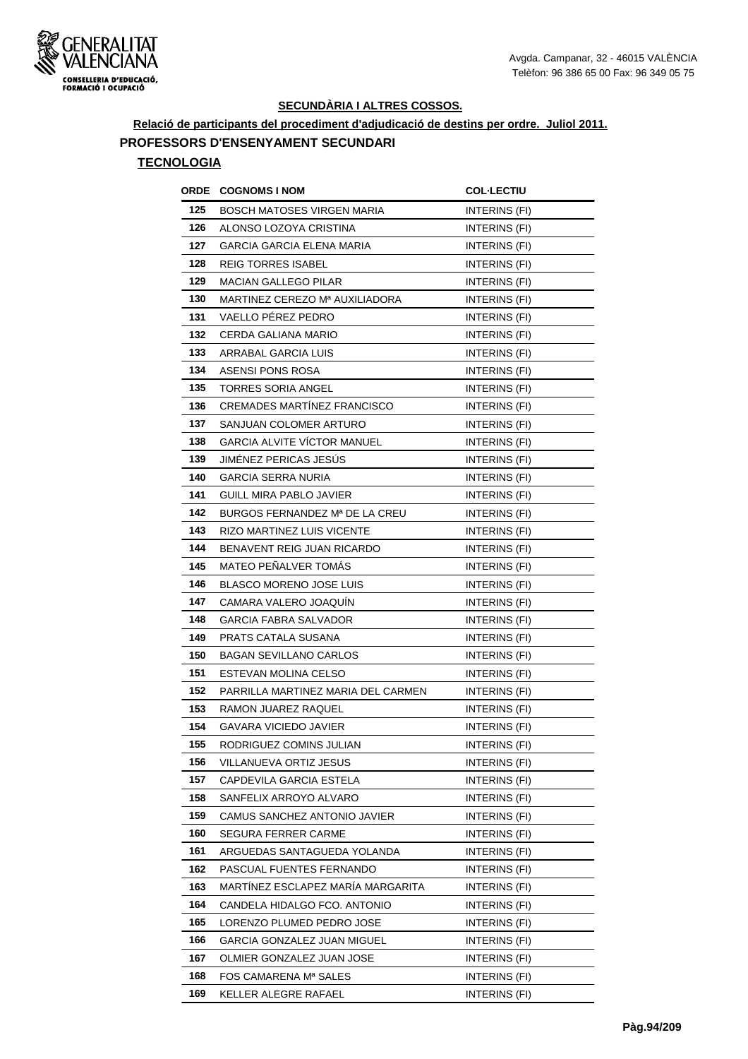

**Relació de participants del procediment d'adjudicació de destins per ordre. Juliol 2011.**

#### **PROFESSORS D'ENSENYAMENT SECUNDARI**

| ORDE | <b>COGNOMS I NOM</b>               | <b>COL-LECTIU</b>    |
|------|------------------------------------|----------------------|
| 125  | BOSCH MATOSES VIRGEN MARIA         | INTERINS (FI)        |
| 126  | ALONSO LOZOYA CRISTINA             | INTERINS (FI)        |
| 127  | GARCIA GARCIA ELENA MARIA          | INTERINS (FI)        |
| 128  | <b>REIG TORRES ISABEL</b>          | INTERINS (FI)        |
| 129  | <b>MACIAN GALLEGO PILAR</b>        | INTERINS (FI)        |
| 130  | MARTINEZ CEREZO Mª AUXILIADORA     | INTERINS (FI)        |
| 131  | <b>VAELLO PEREZ PEDRO</b>          | <b>INTERINS (FI)</b> |
| 132  | CERDA GALIANA MARIO                | INTERINS (FI)        |
| 133  | ARRABAL GARCIA LUIS                | INTERINS (FI)        |
| 134  | ASENSI PONS ROSA                   | INTERINS (FI)        |
| 135  | <b>TORRES SORIA ANGEL</b>          | INTERINS (FI)        |
| 136  | CREMADES MARTINEZ FRANCISCO        | <b>INTERINS (FI)</b> |
| 137  | SANJUAN COLOMER ARTURO             | INTERINS (FI)        |
| 138  | <b>GARCIA ALVITE VÍCTOR MANUEL</b> | INTERINS (FI)        |
| 139  | JIMÉNEZ PERICAS JESÚS              | INTERINS (FI)        |
| 140  | <b>GARCIA SERRA NURIA</b>          | INTERINS (FI)        |
| 141  | GUILL MIRA PABLO JAVIER            | INTERINS (FI)        |
| 142  | BURGOS FERNANDEZ Mª DE LA CREU     | INTERINS (FI)        |
| 143  | RIZO MARTINEZ LUIS VICENTE         | INTERINS (FI)        |
| 144  | BENAVENT REIG JUAN RICARDO         | INTERINS (FI)        |
| 145  | <b>MATEO PEÑALVER TOMAS</b>        | <b>INTERINS (FI)</b> |
| 146  | BLASCO MORENO JOSE LUIS            | INTERINS (FI)        |
| 147  | CAMARA VALERO JOAQUIN              | INTERINS (FI)        |
| 148  | GARCIA FABRA SALVADOR              | INTERINS (FI)        |
| 149  | PRATS CATALA SUSANA                | <b>INTERINS (FI)</b> |
| 150  | <b>BAGAN SEVILLANO CARLOS</b>      | INTERINS (FI)        |
| 151  | ESTEVAN MOLINA CELSO               | INTERINS (FI)        |
| 152  | PARRILLA MARTINEZ MARIA DEL CARMEN | INTERINS (FI)        |
| 153  | RAMON JUAREZ RAQUEL                | INTERINS (FI)        |
| 154  | GAVARA VICIEDO JAVIER              | INTERINS (FI)        |
| 155  | RODRIGUEZ COMINS JULIAN            | INTERINS (FI)        |
| 156  | VILLANUEVA ORTIZ JESUS             | INTERINS (FI)        |
| 157  | CAPDEVILA GARCIA ESTELA            | INTERINS (FI)        |
| 158  | SANFELIX ARROYO ALVARO             | INTERINS (FI)        |
| 159  | CAMUS SANCHEZ ANTONIO JAVIER       | INTERINS (FI)        |
| 160  | SEGURA FERRER CARME                | INTERINS (FI)        |
| 161  | ARGUEDAS SANTAGUEDA YOLANDA        | INTERINS (FI)        |
| 162  | PASCUAL FUENTES FERNANDO           | INTERINS (FI)        |
| 163  | MARTÍNEZ ESCLAPEZ MARÍA MARGARITA  | INTERINS (FI)        |
| 164  | CANDELA HIDALGO FCO. ANTONIO       | INTERINS (FI)        |
| 165  | LORENZO PLUMED PEDRO JOSE          | INTERINS (FI)        |
| 166  | GARCIA GONZALEZ JUAN MIGUEL        | INTERINS (FI)        |
| 167  | OLMIER GONZALEZ JUAN JOSE          | INTERINS (FI)        |
| 168  | FOS CAMARENA Mª SALES              | INTERINS (FI)        |
| 169  | KELLER ALEGRE RAFAEL               | INTERINS (FI)        |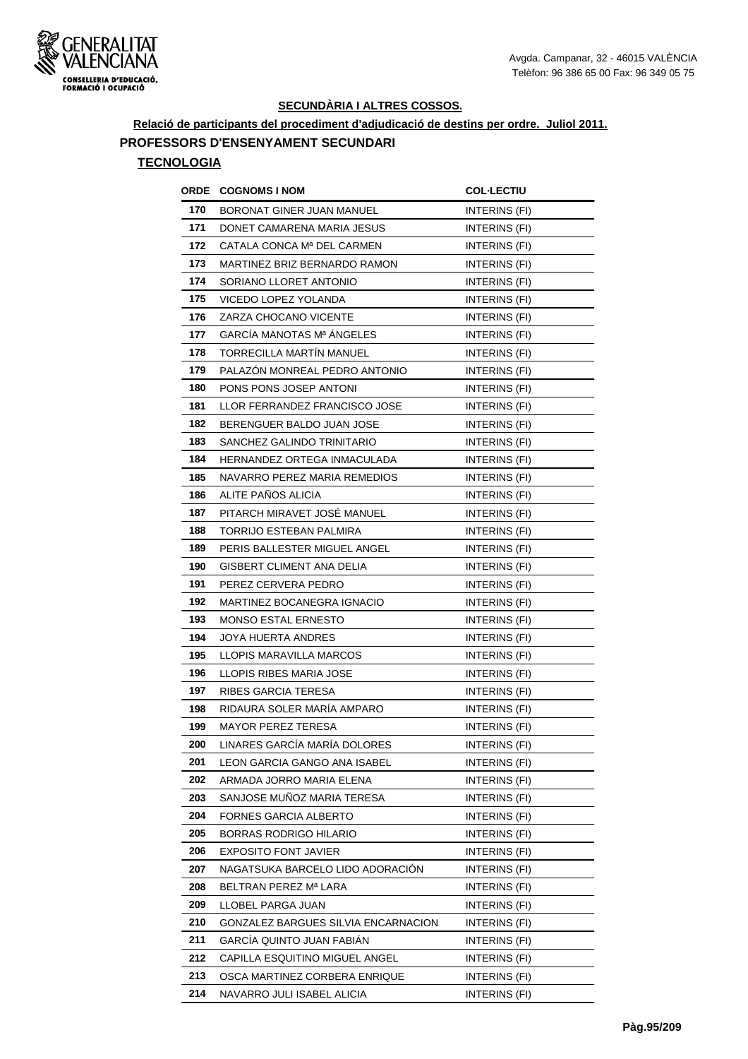

**Relació de participants del procediment d'adjudicació de destins per ordre. Juliol 2011.**

### **PROFESSORS D'ENSENYAMENT SECUNDARI**

| ORDE | <b>COGNOMS I NOM</b>                | <b>COL·LECTIU</b> |
|------|-------------------------------------|-------------------|
| 170  | <b>BORONAT GINER JUAN MANUEL</b>    | INTERINS (FI)     |
| 171  | DONET CAMARENA MARIA JESUS          | INTERINS (FI)     |
| 172  | CATALA CONCA Mª DEL CARMEN          | INTERINS (FI)     |
| 173  | MARTINEZ BRIZ BERNARDO RAMON        | INTERINS (FI)     |
| 174  | SORIANO LLORET ANTONIO              | INTERINS (FI)     |
| 175  | VICEDO LOPEZ YOLANDA                | INTERINS (FI)     |
| 176  | ZARZA CHOCANO VICENTE               | INTERINS (FI)     |
| 177  | GARCÍA MANOTAS Mª ÁNGELES           | INTERINS (FI)     |
| 178  | TORRECILLA MARTÍN MANUEL            | INTERINS (FI)     |
| 179  | PALAZON MONREAL PEDRO ANTONIO       | INTERINS (FI)     |
| 180  | PONS PONS JOSEP ANTONI              | INTERINS (FI)     |
| 181  | LLOR FERRANDEZ FRANCISCO JOSE       | INTERINS (FI)     |
| 182  | BERENGUER BALDO JUAN JOSE           | INTERINS (FI)     |
| 183  | SANCHEZ GALINDO TRINITARIO          | INTERINS (FI)     |
| 184  | HERNANDEZ ORTEGA INMACULADA         | INTERINS (FI)     |
| 185  | NAVARRO PEREZ MARIA REMEDIOS        | INTERINS (FI)     |
| 186  | ALITE PAÑOS ALICIA                  | INTERINS (FI)     |
| 187  | PITARCH MIRAVET JOSÉ MANUEL         | INTERINS (FI)     |
| 188  | TORRIJO ESTEBAN PALMIRA             | INTERINS (FI)     |
| 189  | PERIS BALLESTER MIGUEL ANGEL        | INTERINS (FI)     |
| 190  | <b>GISBERT CLIMENT ANA DELIA</b>    | INTERINS (FI)     |
| 191  | PEREZ CERVERA PEDRO                 | INTERINS (FI)     |
| 192  | MARTINEZ BOCANEGRA IGNACIO          | INTERINS (FI)     |
| 193  | <b>MONSO ESTAL ERNESTO</b>          | INTERINS (FI)     |
| 194  | JOYA HUERTA ANDRES                  | INTERINS (FI)     |
| 195  | LLOPIS MARAVILLA MARCOS             | INTERINS (FI)     |
| 196  | LLOPIS RIBES MARIA JOSE             | INTERINS (FI)     |
| 197  | RIBES GARCIA TERESA                 | INTERINS (FI)     |
| 198  | RIDAURA SOLER MARÍA AMPARO          | INTERINS (FI)     |
| 199  | <b>MAYOR PEREZ TERESA</b>           | INTERINS (FI)     |
| 200  | LINARES GARCÍA MARÍA DOLORES        | INTERINS (FI)     |
| 201  | LEON GARCIA GANGO ANA ISABEL        | INTERINS (FI)     |
| 202  | ARMADA JORRO MARIA ELENA            | INTERINS (FI)     |
| 203  | SANJOSE MUÑOZ MARIA TERESA          | INTERINS (FI)     |
| 204  | FORNES GARCIA ALBERTO               | INTERINS (FI)     |
| 205  | BORRAS RODRIGO HILARIO              | INTERINS (FI)     |
| 206  | EXPOSITO FONT JAVIER                | INTERINS (FI)     |
| 207  | NAGATSUKA BARCELO LIDO ADORACIÓN    | INTERINS (FI)     |
| 208  | BELTRAN PEREZ Mª LARA               | INTERINS (FI)     |
| 209  | LLOBEL PARGA JUAN                   | INTERINS (FI)     |
| 210  | GONZALEZ BARGUES SILVIA ENCARNACION | INTERINS (FI)     |
| 211  | GARCÍA QUINTO JUAN FABIAN           | INTERINS (FI)     |
| 212  | CAPILLA ESQUITINO MIGUEL ANGEL      | INTERINS (FI)     |
| 213  | OSCA MARTINEZ CORBERA ENRIQUE       | INTERINS (FI)     |
| 214  | NAVARRO JULI ISABEL ALICIA          | INTERINS (FI)     |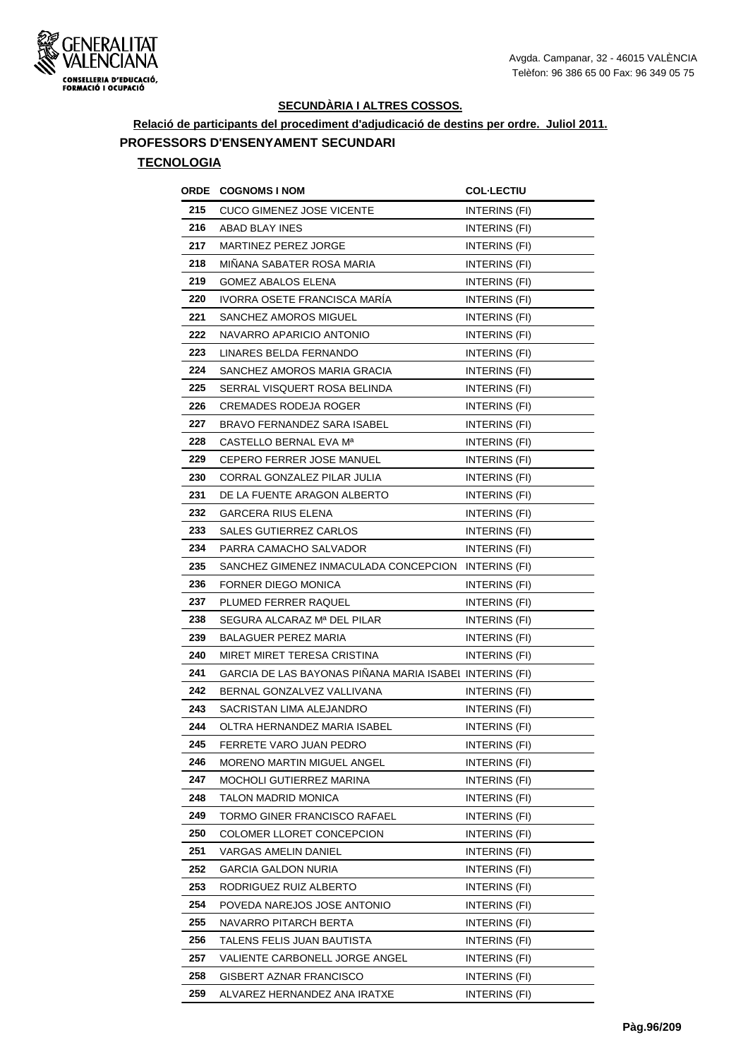

**Relació de participants del procediment d'adjudicació de destins per ordre. Juliol 2011.**

#### **PROFESSORS D'ENSENYAMENT SECUNDARI**

| ORDE | <b>COGNOMS I NOM</b>                                    | <b>COL·LECTIU</b>    |
|------|---------------------------------------------------------|----------------------|
| 215  | <b>CUCO GIMENEZ JOSE VICENTE</b>                        | INTERINS (FI)        |
| 216  | ABAD BLAY INES                                          | <b>INTERINS (FI)</b> |
| 217  | MARTINEZ PEREZ JORGE                                    | INTERINS (FI)        |
| 218  | MINANA SABATER ROSA MARIA                               | INTERINS (FI)        |
| 219  | GOMEZ ABALOS ELENA                                      | INTERINS (FI)        |
| 220  | IVORRA OSETE FRANCISCA MARIA                            | INTERINS (FI)        |
| 221  | SANCHEZ AMOROS MIGUEL                                   | INTERINS (FI)        |
| 222  | NAVARRO APARICIO ANTONIO                                | INTERINS (FI)        |
| 223  | LINARES BELDA FERNANDO                                  | INTERINS (FI)        |
| 224  | SANCHEZ AMOROS MARIA GRACIA                             | INTERINS (FI)        |
| 225  | SERRAL VISQUERT ROSA BELINDA                            | INTERINS (FI)        |
| 226  | CREMADES RODEJA ROGER                                   | INTERINS (FI)        |
| 227  | BRAVO FERNANDEZ SARA ISABEL                             | INTERINS (FI)        |
| 228  | CASTELLO BERNAL EVA Mª                                  | INTERINS (FI)        |
| 229  | CEPERO FERRER JOSE MANUEL                               | INTERINS (FI)        |
| 230  | CORRAL GONZALEZ PILAR JULIA                             | INTERINS (FI)        |
| 231  | DE LA FUENTE ARAGON ALBERTO                             | INTERINS (FI)        |
| 232  | GARCERA RIUS ELENA                                      | INTERINS (FI)        |
| 233  | SALES GUTIERREZ CARLOS                                  | INTERINS (FI)        |
| 234  | PARRA CAMACHO SALVADOR                                  | INTERINS (FI)        |
| 235  | SANCHEZ GIMENEZ INMACULADA CONCEPCION                   | <b>INTERINS (FI)</b> |
| 236  | FORNER DIEGO MONICA                                     | INTERINS (FI)        |
| 237  | PLUMED FERRER RAQUEL                                    | INTERINS (FI)        |
| 238  | SEGURA ALCARAZ Mª DEL PILAR                             | <b>INTERINS (FI)</b> |
| 239  | BALAGUER PEREZ MARIA                                    | INTERINS (FI)        |
| 240  | MIRET MIRET TERESA CRISTINA                             | INTERINS (FI)        |
| 241  | GARCIA DE LAS BAYONAS PIÑANA MARIA ISABEI INTERINS (FI) |                      |
| 242  | BERNAL GONZALVEZ VALLIVANA                              | INTERINS (FI)        |
| 243  | SACRISTAN LIMA ALEJANDRO                                | INTERINS (FI)        |
| 244  | OLTRA HERNANDEZ MARIA ISABEL                            | INTERINS (FI)        |
| 245  | FERRETE VARO JUAN PEDRO                                 | INTERINS (FI)        |
| 246  | MORENO MARTIN MIGUEL ANGEL                              | <b>INTERINS (FI)</b> |
| 247  | MOCHOLI GUTIERREZ MARINA                                | INTERINS (FI)        |
| 248  | TALON MADRID MONICA                                     | INTERINS (FI)        |
| 249  | TORMO GINER FRANCISCO RAFAEL                            | INTERINS (FI)        |
| 250  | COLOMER LLORET CONCEPCION                               | INTERINS (FI)        |
| 251  | VARGAS AMELIN DANIEL                                    | INTERINS (FI)        |
| 252  | <b>GARCIA GALDON NURIA</b>                              | INTERINS (FI)        |
| 253  | RODRIGUEZ RUIZ ALBERTO                                  | INTERINS (FI)        |
| 254  | POVEDA NAREJOS JOSE ANTONIO                             | INTERINS (FI)        |
| 255  | NAVARRO PITARCH BERTA                                   | INTERINS (FI)        |
| 256  | TALENS FELIS JUAN BAUTISTA                              | INTERINS (FI)        |
| 257  | VALIENTE CARBONELL JORGE ANGEL                          | INTERINS (FI)        |
| 258  | GISBERT AZNAR FRANCISCO                                 | INTERINS (FI)        |
| 259  | ALVAREZ HERNANDEZ ANA IRATXE                            | INTERINS (FI)        |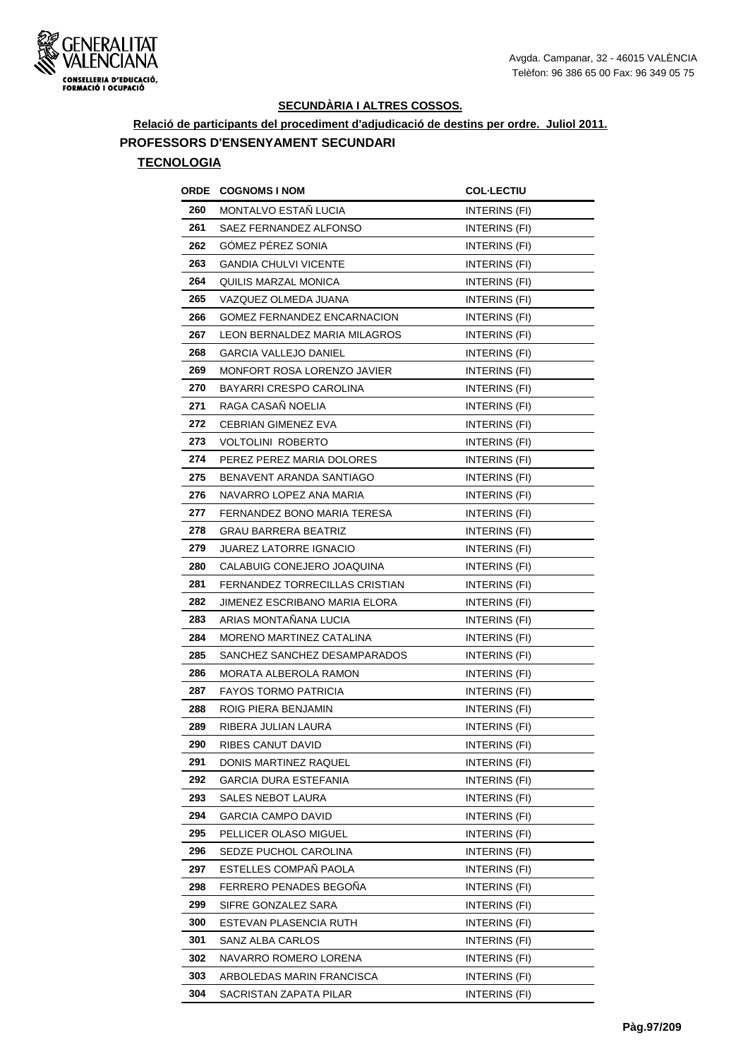

**Relació de participants del procediment d'adjudicació de destins per ordre. Juliol 2011.**

#### **PROFESSORS D'ENSENYAMENT SECUNDARI**

| ORDE | <b>COGNOMS I NOM</b>           | <b>COL·LECTIU</b>    |
|------|--------------------------------|----------------------|
| 260  | MONTALVO ESTAÑ LUCIA           | INTERINS (FI)        |
| 261  | SAEZ FERNANDEZ ALFONSO         | <b>INTERINS (FI)</b> |
| 262  | <b>GOMEZ PEREZ SONIA</b>       | INTERINS (FI)        |
| 263  | <b>GANDIA CHULVI VICENTE</b>   | <b>INTERINS (FI)</b> |
| 264  | QUILIS MARZAL MONICA           | <b>INTERINS (FI)</b> |
| 265  | VAZQUEZ OLMEDA JUANA           | INTERINS (FI)        |
| 266  | GOMEZ FERNANDEZ ENCARNACION    | INTERINS (FI)        |
| 267  | LEON BERNALDEZ MARIA MILAGROS  | INTERINS (FI)        |
| 268  | GARCIA VALLEJO DANIEL          | INTERINS (FI)        |
| 269  | MONFORT ROSA LORENZO JAVIER    | INTERINS (FI)        |
| 270  | BAYARRI CRESPO CAROLINA        | INTERINS (FI)        |
| 271  | RAGA CASAÑ NOELIA              | INTERINS (FI)        |
| 272  | <b>CEBRIAN GIMENEZ EVA</b>     | INTERINS (FI)        |
| 273  | <b>VOLTOLINI ROBERTO</b>       | INTERINS (FI)        |
| 274  | PEREZ PEREZ MARIA DOLORES      | INTERINS (FI)        |
| 275  | BENAVENT ARANDA SANTIAGO       | INTERINS (FI)        |
| 276  | NAVARRO LOPEZ ANA MARIA        | INTERINS (FI)        |
| 277  | FERNANDEZ BONO MARIA TERESA    | INTERINS (FI)        |
| 278  | <b>GRAU BARRERA BEATRIZ</b>    | INTERINS (FI)        |
| 279  | <b>JUAREZ LATORRE IGNACIO</b>  | INTERINS (FI)        |
| 280  | CALABUIG CONEJERO JOAQUINA     | INTERINS (FI)        |
| 281  | FERNANDEZ TORRECILLAS CRISTIAN | INTERINS (FI)        |
| 282  | JIMENEZ ESCRIBANO MARIA ELORA  | INTERINS (FI)        |
| 283  | ARIAS MONTAÑANA LUCIA          | INTERINS (FI)        |
| 284  | MORENO MARTINEZ CATALINA       | INTERINS (FI)        |
| 285  | SANCHEZ SANCHEZ DESAMPARADOS   | INTERINS (FI)        |
| 286  | <b>MORATA ALBEROLA RAMON</b>   | INTERINS (FI)        |
| 287  | <b>FAYOS TORMO PATRICIA</b>    | INTERINS (FI)        |
| 288  | ROIG PIERA BENJAMIN            | INTERINS (FI)        |
| 289  | RIBERA JULIAN LAURA            | INTERINS (FI)        |
| 290  | RIBES CANUT DAVID              | INTERINS (FI)        |
| 291  | DONIS MARTINEZ RAQUEL          | INTERINS (FI)        |
| 292  | <b>GARCIA DURA ESTEFANIA</b>   | INTERINS (FI)        |
| 293  | SALES NEBOT LAURA              | INTERINS (FI)        |
| 294  | GARCIA CAMPO DAVID             | <b>INTERINS (FI)</b> |
| 295  | PELLICER OLASO MIGUEL          | INTERINS (FI)        |
| 296  | SEDZE PUCHOL CAROLINA          | INTERINS (FI)        |
| 297  | ESTELLES COMPAÑ PAOLA          | INTERINS (FI)        |
| 298  | FERRERO PENADES BEGOÑA         | INTERINS (FI)        |
| 299  | SIFRE GONZALEZ SARA            | INTERINS (FI)        |
| 300  | ESTEVAN PLASENCIA RUTH         | INTERINS (FI)        |
| 301  | SANZ ALBA CARLOS               | INTERINS (FI)        |
| 302  | NAVARRO ROMERO LORENA          | INTERINS (FI)        |
| 303  | ARBOLEDAS MARIN FRANCISCA      | INTERINS (FI)        |
| 304  | SACRISTAN ZAPATA PILAR         | INTERINS (FI)        |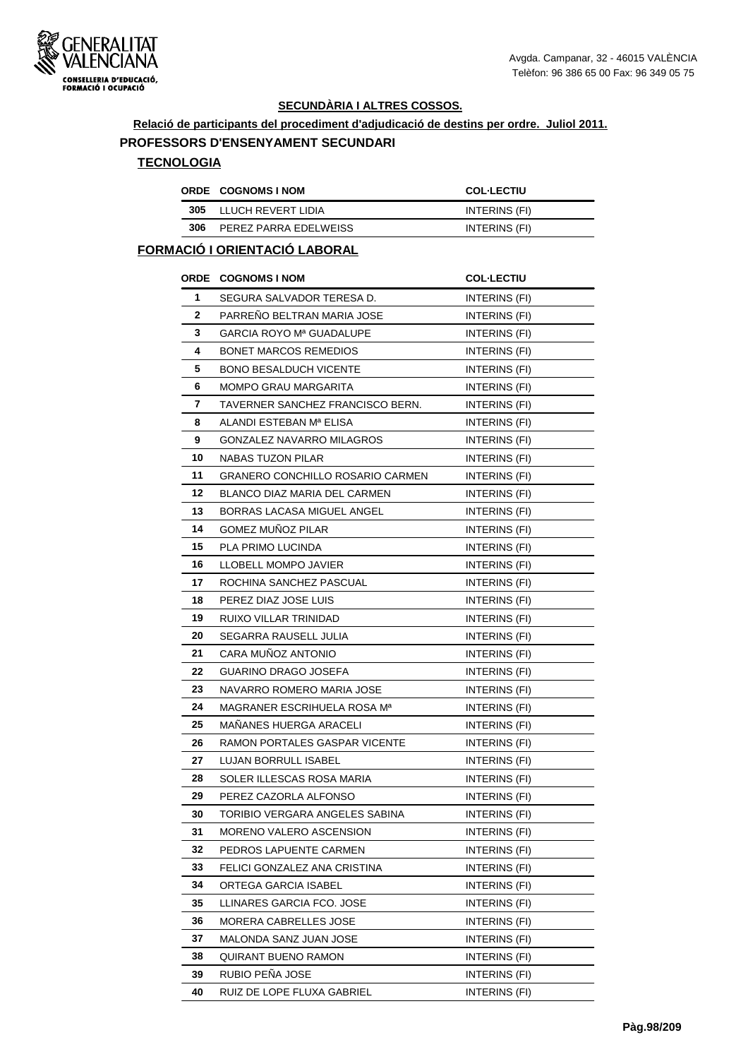

**Relació de participants del procediment d'adjudicació de destins per ordre. Juliol 2011.**

#### **PROFESSORS D'ENSENYAMENT SECUNDARI**

#### **TECNOLOGIA**

|     | <b>ORDE COGNOMS INOM</b> | <b>COL-LECTIU</b> |
|-----|--------------------------|-------------------|
|     | 305 LLUCH REVERT LIDIA   | INTERINS (FI)     |
| 306 | PEREZ PARRA EDELWEISS    | INTERINS (FI)     |

#### **FORMACIÓ I ORIENTACIÓ LABORAL**

|              | ORDE COGNOMS I NOM               | <b>COL-LECTIU</b>    |
|--------------|----------------------------------|----------------------|
| 1            | SEGURA SALVADOR TERESA D.        | <b>INTERINS (FI)</b> |
| $\mathbf{2}$ | PARRENO BELTRAN MARIA JOSE       | INTERINS (FI)        |
| 3            | GARCIA ROYO Mª GUADALUPE         | INTERINS (FI)        |
| 4            | <b>BONET MARCOS REMEDIOS</b>     | <b>INTERINS (FI)</b> |
| 5            | <b>BONO BESALDUCH VICENTE</b>    | INTERINS (FI)        |
| 6            | MOMPO GRAU MARGARITA             | INTERINS (FI)        |
| 7            | TAVERNER SANCHEZ FRANCISCO BERN. | INTERINS (FI)        |
| 8            | ALANDI ESTEBAN Mª ELISA          | INTERINS (FI)        |
| 9            | GONZALEZ NAVARRO MILAGROS        | <b>INTERINS (FI)</b> |
| 10           | NABAS TUZON PILAR                | INTERINS (FI)        |
| 11           | GRANERO CONCHILLO ROSARIO CARMEN | INTERINS (FI)        |
| 12           | BLANCO DIAZ MARIA DEL CARMEN     | INTERINS (FI)        |
| 13           | BORRAS LACASA MIGUEL ANGEL       | INTERINS (FI)        |
| 14           | <b>GOMEZ MUNOZ PILAR</b>         | INTERINS (FI)        |
| 15           | PLA PRIMO LUCINDA                | INTERINS (FI)        |
| 16           | LLOBELL MOMPO JAVIER             | INTERINS (FI)        |
| 17           | ROCHINA SANCHEZ PASCUAL          | INTERINS (FI)        |
| 18           | PEREZ DIAZ JOSE LUIS             | INTERINS (FI)        |
| 19           | RUIXO VILLAR TRINIDAD            | <b>INTERINS (FI)</b> |
| 20           | SEGARRA RAUSELL JULIA            | INTERINS (FI)        |
| 21           | CARA MUNOZ ANTONIO               | INTERINS (FI)        |
| 22           | GUARINO DRAGO JOSEFA             | INTERINS (FI)        |
| 23           | NAVARRO ROMERO MARIA JOSE        | <b>INTERINS (FI)</b> |
| 24           | MAGRANER ESCRIHUELA ROSA Mª      | INTERINS (FI)        |
| 25           | MANANES HUERGA ARACELI           | <b>INTERINS (FI)</b> |
| 26           | RAMON PORTALES GASPAR VICENTE    | INTERINS (FI)        |
| 27           | <b>LUJAN BORRULL ISABEL</b>      | INTERINS (FI)        |
| 28           | SOLER ILLESCAS ROSA MARIA        | INTERINS (FI)        |
| 29           | PEREZ CAZORLA ALFONSO            | INTERINS (FI)        |
| 30           | TORIBIO VERGARA ANGELES SABINA   | INTERINS (FI)        |
| 31           | MORENO VALERO ASCENSION          | INTERINS (FI)        |
| 32           | PEDROS LAPUENTE CARMEN           | INTERINS (FI)        |
| 33           | FELICI GONZALEZ ANA CRISTINA     | <b>INTERINS (FI)</b> |
| 34           | <b>ORTEGA GARCIA ISABEL</b>      | INTERINS (FI)        |
| 35           | LLINARES GARCIA FCO. JOSE        | INTERINS (FI)        |
| 36           | MORERA CABRELLES JOSE            | INTERINS (FI)        |
| 37           | MALONDA SANZ JUAN JOSE           | INTERINS (FI)        |
| 38           | QUIRANT BUENO RAMON              | INTERINS (FI)        |
| 39           | RUBIO PENA JOSE                  | INTERINS (FI)        |
| 40           | RUIZ DE LOPE FLUXA GABRIEL       | <b>INTERINS (FI)</b> |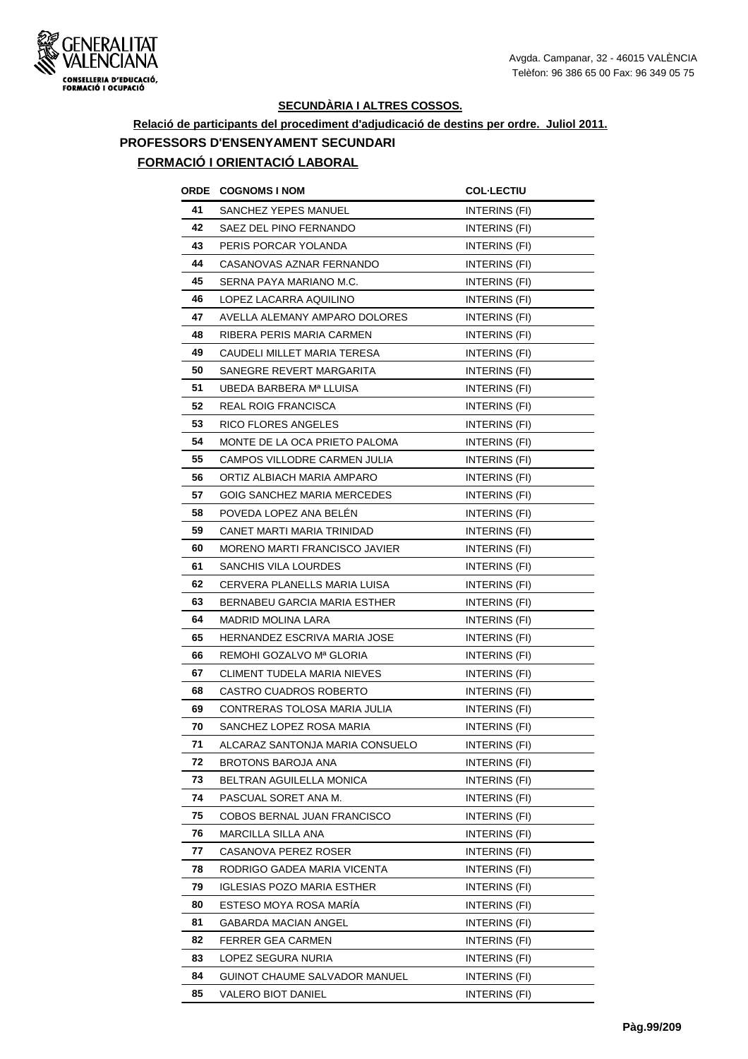

# **Relació de participants del procediment d'adjudicació de destins per ordre. Juliol 2011. PROFESSORS D'ENSENYAMENT SECUNDARI**

# **FORMACIÓ I ORIENTACIÓ LABORAL**

| ORDE | <b>COGNOMS I NOM</b>              | <b>COL·LECTIU</b>    |
|------|-----------------------------------|----------------------|
| 41   | <b>SANCHEZ YEPES MANUEL</b>       | INTERINS (FI)        |
| 42   | SAEZ DEL PINO FERNANDO            | INTERINS (FI)        |
| 43   | PERIS PORCAR YOLANDA              | INTERINS (FI)        |
| 44   | CASANOVAS AZNAR FERNANDO          | <b>INTERINS (FI)</b> |
| 45   | SERNA PAYA MARIANO M.C.           | INTERINS (FI)        |
| 46   | LOPEZ LACARRA AQUILINO            | INTERINS (FI)        |
| 47   | AVELLA ALEMANY AMPARO DOLORES     | INTERINS (FI)        |
| 48   | RIBERA PERIS MARIA CARMEN         | INTERINS (FI)        |
| 49   | CAUDELI MILLET MARIA TERESA       | <b>INTERINS (FI)</b> |
| 50   | SANEGRE REVERT MARGARITA          | INTERINS (FI)        |
| 51   | UBEDA BARBERA Mª LLUISA           | INTERINS (FI)        |
| 52   | REAL ROIG FRANCISCA               | <b>INTERINS (FI)</b> |
| 53   | RICO FLORES ANGELES               | INTERINS (FI)        |
| 54   | MONTE DE LA OCA PRIETO PALOMA     | INTERINS (FI)        |
| 55   | CAMPOS VILLODRE CARMEN JULIA      | INTERINS (FI)        |
| 56   | ORTIZ ALBIACH MARIA AMPARO        | INTERINS (FI)        |
| 57   | GOIG SANCHEZ MARIA MERCEDES       | INTERINS (FI)        |
| 58   | POVEDA LOPEZ ANA BELEN            | INTERINS (FI)        |
| 59   | CANET MARTI MARIA TRINIDAD        | INTERINS (FI)        |
| 60   | MORENO MARTI FRANCISCO JAVIER     | INTERINS (FI)        |
| 61   | SANCHIS VILA LOURDES              | <b>INTERINS (FI)</b> |
| 62   | CERVERA PLANELLS MARIA LUISA      | INTERINS (FI)        |
| 63   | BERNABEU GARCIA MARIA ESTHER      | INTERINS (FI)        |
| 64   | MADRID MOLINA LARA                | <b>INTERINS (FI)</b> |
| 65   | HERNANDEZ ESCRIVA MARIA JOSE      | INTERINS (FI)        |
| 66   | REMOHI GOZALVO Mª GLORIA          | INTERINS (FI)        |
| 67   | CLIMENT TUDELA MARIA NIEVES       | INTERINS (FI)        |
| 68   | CASTRO CUADROS ROBERTO            | INTERINS (FI)        |
| 69   | CONTRERAS TOLOSA MARIA JULIA      | INTERINS (FI)        |
| 70   | SANCHEZ LOPEZ ROSA MARIA          | <b>INTERINS (FI)</b> |
| 71   | ALCARAZ SANTONJA MARIA CONSUELO   | INTERINS (FI)        |
| 72   | BROTONS BAROJA ANA                | INTERINS (FI)        |
| 73   | BELTRAN AGUILELLA MONICA          | INTERINS (FI)        |
| 74   | PASCUAL SORET ANA M.              | INTERINS (FI)        |
| 75   | COBOS BERNAL JUAN FRANCISCO       | INTERINS (FI)        |
| 76   | MARCILLA SILLA ANA                | INTERINS (FI)        |
| 77   | CASANOVA PEREZ ROSER              | INTERINS (FI)        |
| 78   | RODRIGO GADEA MARIA VICENTA       | INTERINS (FI)        |
| 79   | <b>IGLESIAS POZO MARIA ESTHER</b> | <b>INTERINS (FI)</b> |
| 80   | ESTESO MOYA ROSA MARÍA            | INTERINS (FI)        |
| 81   | GABARDA MACIAN ANGEL              | INTERINS (FI)        |
| 82   | FERRER GEA CARMEN                 | INTERINS (FI)        |
| 83   | LOPEZ SEGURA NURIA                | INTERINS (FI)        |
| 84   | GUINOT CHAUME SALVADOR MANUEL     | INTERINS (FI)        |
| 85   | VALERO BIOT DANIEL                | INTERINS (FI)        |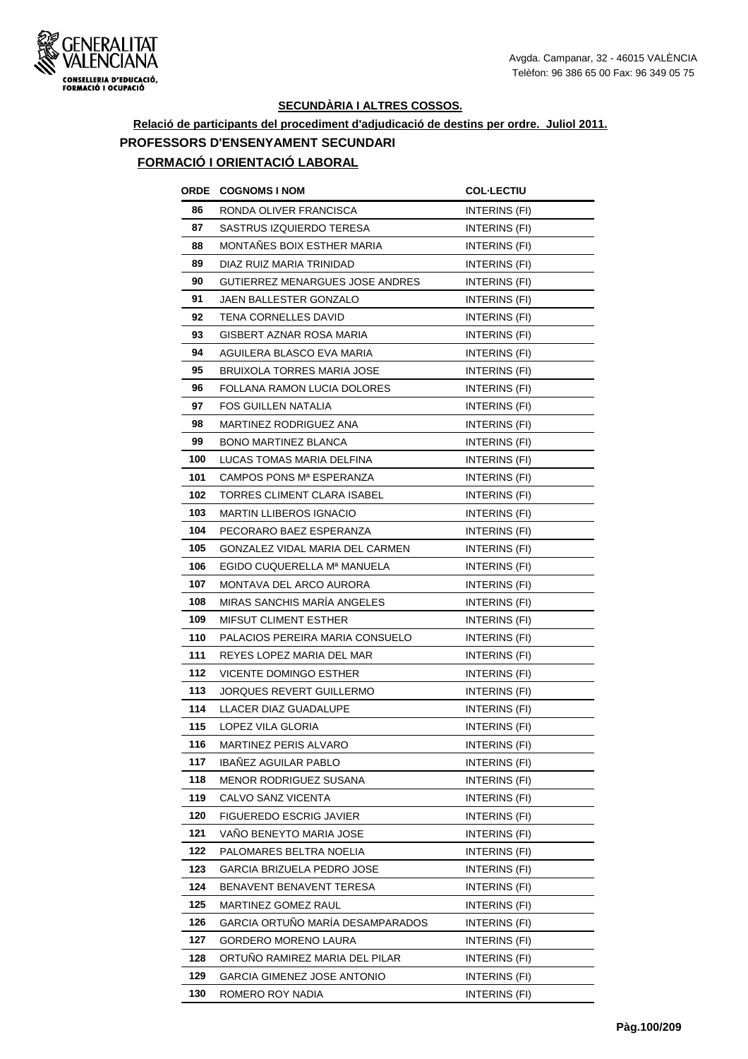

# **Relació de participants del procediment d'adjudicació de destins per ordre. Juliol 2011. PROFESSORS D'ENSENYAMENT SECUNDARI**

## **FORMACIÓ I ORIENTACIÓ LABORAL**

| ORDE | <b>COGNOMS I NOM</b>               | <b>COL-LECTIU</b>    |
|------|------------------------------------|----------------------|
| 86   | RONDA OLIVER FRANCISCA             | INTERINS (FI)        |
| 87   | SASTRUS IZQUIERDO TERESA           | <b>INTERINS (FI)</b> |
| 88   | MONTANES BOIX ESTHER MARIA         | INTERINS (FI)        |
| 89   | DIAZ RUIZ MARIA TRINIDAD           | INTERINS (FI)        |
| 90   | GUTIERREZ MENARGUES JOSE ANDRES    | INTERINS (FI)        |
| 91   | JAEN BALLESTER GONZALO             | INTERINS (FI)        |
| 92   | TENA CORNELLES DAVID               | INTERINS (FI)        |
| 93   | GISBERT AZNAR ROSA MARIA           | <b>INTERINS (FI)</b> |
| 94   | AGUILERA BLASCO EVA MARIA          | INTERINS (FI)        |
| 95   | <b>BRUIXOLA TORRES MARIA JOSE</b>  | INTERINS (FI)        |
| 96   | FOLLANA RAMON LUCIA DOLORES        | INTERINS (FI)        |
| 97   | <b>FOS GUILLEN NATALIA</b>         | INTERINS (FI)        |
| 98   | MARTINEZ RODRIGUEZ ANA             | <b>INTERINS (FI)</b> |
| 99   | <b>BONO MARTINEZ BLANCA</b>        | INTERINS (FI)        |
| 100  | LUCAS TOMAS MARIA DELFINA          | <b>INTERINS (FI)</b> |
| 101  | CAMPOS PONS Mª ESPERANZA           | INTERINS (FI)        |
| 102  | TORRES CLIMENT CLARA ISABEL        | <b>INTERINS (FI)</b> |
| 103  | MARTIN LLIBEROS IGNACIO            | INTERINS (FI)        |
| 104  | PECORARO BAEZ ESPERANZA            | INTERINS (FI)        |
| 105  | GONZALEZ VIDAL MARIA DEL CARMEN    | INTERINS (FI)        |
| 106  | EGIDO CUQUERELLA Mª MANUELA        | <b>INTERINS (FI)</b> |
| 107  | MONTAVA DEL ARCO AURORA            | <b>INTERINS (FI)</b> |
| 108  | <b>MIRAS SANCHIS MARÍA ANGELES</b> | <b>INTERINS (FI)</b> |
| 109  | <b>MIFSUT CLIMENT ESTHER</b>       | <b>INTERINS (FI)</b> |
| 110  | PALACIOS PEREIRA MARIA CONSUELO    | INTERINS (FI)        |
| 111  | REYES LOPEZ MARIA DEL MAR          | INTERINS (FI)        |
| 112  | <b>VICENTE DOMINGO ESTHER</b>      | INTERINS (FI)        |
| 113  | JORQUES REVERT GUILLERMO           | INTERINS (FI)        |
| 114  | LLACER DIAZ GUADALUPE              | INTERINS (FI)        |
| 115  | LOPEZ VILA GLORIA                  | INTERINS (FI)        |
| 116  | MARTINEZ PERIS ALVARO              | INTERINS (FI)        |
| 117  | <b>IBAÑEZ AGUILAR PABLO</b>        | INTERINS (FI)        |
| 118  | MENOR RODRIGUEZ SUSANA             | <b>INTERINS (FI)</b> |
| 119  | CALVO SANZ VICENTA                 | INTERINS (FI)        |
| 120  | FIGUEREDO ESCRIG JAVIER            | INTERINS (FI)        |
| 121  | VANO BENEYTO MARIA JOSE            | INTERINS (FI)        |
| 122  | PALOMARES BELTRA NOELIA            | INTERINS (FI)        |
| 123  | GARCIA BRIZUELA PEDRO JOSE         | INTERINS (FI)        |
| 124  | BENAVENT BENAVENT TERESA           | INTERINS (FI)        |
| 125  | MARTINEZ GOMEZ RAUL                | INTERINS (FI)        |
| 126  | GARCIA ORTUÑO MARÍA DESAMPARADOS   | INTERINS (FI)        |
| 127  | <b>GORDERO MORENO LAURA</b>        | INTERINS (FI)        |
| 128  | ORTUNO RAMIREZ MARIA DEL PILAR     | INTERINS (FI)        |
| 129  | GARCIA GIMENEZ JOSE ANTONIO        | INTERINS (FI)        |
| 130  | ROMERO ROY NADIA                   | INTERINS (FI)        |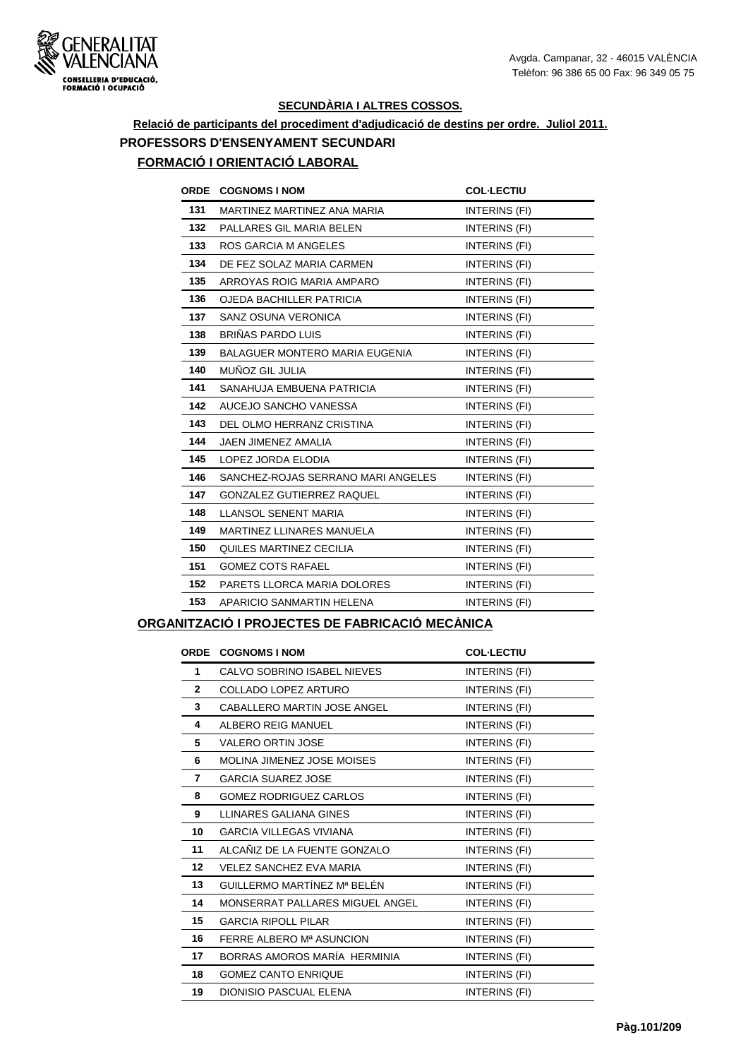

# **Relació de participants del procediment d'adjudicació de destins per ordre. Juliol 2011. PROFESSORS D'ENSENYAMENT SECUNDARI**

## **FORMACIÓ I ORIENTACIÓ LABORAL**

| <b>ORDE</b> | <b>COGNOMS I NOM</b>                  | <b>COL-LECTIU</b> |
|-------------|---------------------------------------|-------------------|
| 131         | MARTINEZ MARTINEZ ANA MARIA           | INTERINS (FI)     |
| 132         | PALLARES GIL MARIA BELEN              | INTERINS (FI)     |
| 133         | <b>ROS GARCIA M ANGELES</b>           | INTERINS (FI)     |
| 134         | DE FEZ SOLAZ MARIA CARMEN             | INTERINS (FI)     |
| 135         | ARROYAS ROIG MARIA AMPARO             | INTERINS (FI)     |
| 136         | <b>OJEDA BACHILLER PATRICIA</b>       | INTERINS (FI)     |
| 137         | SANZ OSUNA VERONICA                   | INTERINS (FI)     |
| 138         | BRIÑAS PARDO LUIS                     | INTERINS (FI)     |
| 139         | <b>BALAGUER MONTERO MARIA EUGENIA</b> | INTERINS (FI)     |
| 140         | MUÑOZ GIL JULIA                       | INTERINS (FI)     |
| 141         | SANAHUJA EMBUENA PATRICIA             | INTERINS (FI)     |
| 142         | AUCEJO SANCHO VANESSA                 | INTERINS (FI)     |
| 143         | DEL OLMO HERRANZ CRISTINA             | INTERINS (FI)     |
| 144         | JAEN JIMENEZ AMALIA                   | INTERINS (FI)     |
| 145         | LOPEZ JORDA ELODIA                    | INTERINS (FI)     |
| 146         | SANCHEZ-ROJAS SERRANO MARI ANGELES    | INTERINS (FI)     |
| 147         | <b>GONZALEZ GUTIERREZ RAQUEL</b>      | INTERINS (FI)     |
| 148         | LLANSOL SENENT MARIA                  | INTERINS (FI)     |
| 149         | MARTINEZ LLINARES MANUELA             | INTERINS (FI)     |
| 150         | QUILES MARTINEZ CECILIA               | INTERINS (FI)     |
| 151         | <b>GOMEZ COTS RAFAEL</b>              | INTERINS (FI)     |
| 152         | PARETS LLORCA MARIA DOLORES           | INTERINS (FI)     |
| 153         | APARICIO SANMARTIN HELENA             | INTERINS (FI)     |
|             |                                       |                   |

#### **ORGANITZACIÓ I PROJECTES DE FABRICACIÓ MECÀNICA**

| <b>ORDE</b>  | <b>COGNOMS I NOM</b>               | <b>COL-LECTIU</b> |
|--------------|------------------------------------|-------------------|
| $\mathbf{1}$ | CALVO SOBRINO ISABEL NIEVES        | INTERINS (FI)     |
| $\mathbf{2}$ | COLLADO LOPEZ ARTURO               | INTERINS (FI)     |
| 3            | <b>CABALLERO MARTIN JOSE ANGEL</b> | INTERINS (FI)     |
| 4            | ALBERO REIG MANUEL                 | INTERINS (FI)     |
| 5            | <b>VALERO ORTIN JOSE</b>           | INTERINS (FI)     |
| 6            | <b>MOLINA JIMENEZ JOSE MOISES</b>  | INTERINS (FI)     |
| 7            | <b>GARCIA SUAREZ JOSE</b>          | INTERINS (FI)     |
| 8            | <b>GOMEZ RODRIGUEZ CARLOS</b>      | INTERINS (FI)     |
| 9            | LLINARES GALIANA GINES             | INTERINS (FI)     |
| 10           | <b>GARCIA VILLEGAS VIVIANA</b>     | INTERINS (FI)     |
| 11           | ALCAÑIZ DE LA FUENTE GONZALO       | INTERINS (FI)     |
| $12 \,$      | <b>VELEZ SANCHEZ EVA MARIA</b>     | INTERINS (FI)     |
| 13           | GUILLERMO MARTÍNEZ Mª BELÉN        | INTERINS (FI)     |
| 14           | MONSERRAT PALLARES MIGUEL ANGEL    | INTERINS (FI)     |
| 15           | <b>GARCIA RIPOLL PILAR</b>         | INTERINS (FI)     |
| 16           | FERRE ALBERO Mª ASUNCION           | INTERINS (FI)     |
| 17           | BORRAS AMOROS MARÍA HERMINIA       | INTERINS (FI)     |
| 18           | <b>GOMEZ CANTO ENRIQUE</b>         | INTERINS (FI)     |
| 19           | DIONISIO PASCUAL ELENA             | INTERINS (FI)     |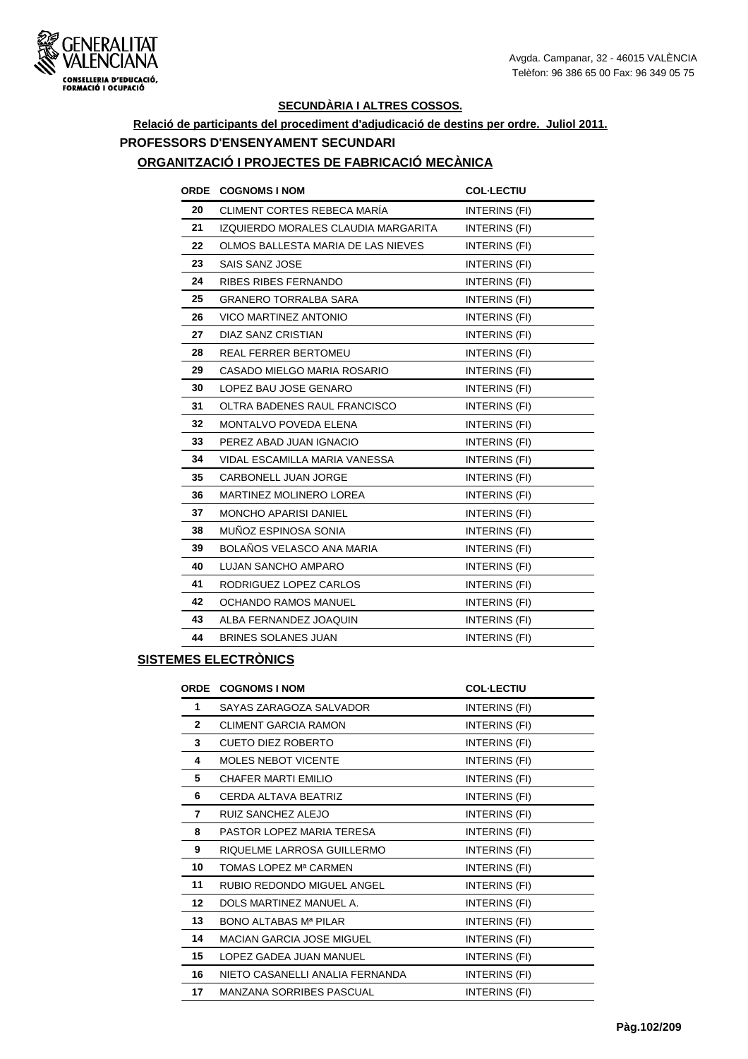

# **Relació de participants del procediment d'adjudicació de destins per ordre. Juliol 2011. PROFESSORS D'ENSENYAMENT SECUNDARI**

#### **ORGANITZACIÓ I PROJECTES DE FABRICACIÓ MECÀNICA**

|    | <b>ORDE COGNOMS I NOM</b>           | <b>COL-LECTIU</b> |
|----|-------------------------------------|-------------------|
| 20 | CLIMENT CORTES REBECA MARÍA         | INTERINS (FI)     |
| 21 | IZQUIERDO MORALES CLAUDIA MARGARITA | INTERINS (FI)     |
| 22 | OLMOS BALLESTA MARIA DE LAS NIEVES  | INTERINS (FI)     |
| 23 | <b>SAIS SANZ JOSE</b>               | INTERINS (FI)     |
| 24 | <b>RIBES RIBES FERNANDO</b>         | INTERINS (FI)     |
| 25 | <b>GRANERO TORRALBA SARA</b>        | INTERINS (FI)     |
| 26 | <b>VICO MARTINEZ ANTONIO</b>        | INTERINS (FI)     |
| 27 | DIAZ SANZ CRISTIAN                  | INTERINS (FI)     |
| 28 | <b>REAL FERRER BERTOMEU</b>         | INTERINS (FI)     |
| 29 | CASADO MIELGO MARIA ROSARIO         | INTERINS (FI)     |
| 30 | LOPEZ BAU JOSE GENARO               | INTERINS (FI)     |
| 31 | OLTRA BADENES RAUL FRANCISCO        | INTERINS (FI)     |
| 32 | MONTALVO POVEDA ELENA               | INTERINS (FI)     |
| 33 | PEREZ ABAD JUAN IGNACIO             | INTERINS (FI)     |
| 34 | VIDAL ESCAMILLA MARIA VANESSA       | INTERINS (FI)     |
| 35 | CARBONELL JUAN JORGE                | INTERINS (FI)     |
| 36 | <b>MARTINEZ MOLINERO LOREA</b>      | INTERINS (FI)     |
| 37 | <b>MONCHO APARISI DANIEL</b>        | INTERINS (FI)     |
| 38 | MUÑOZ ESPINOSA SONIA                | INTERINS (FI)     |
| 39 | BOLAÑOS VELASCO ANA MARIA           | INTERINS (FI)     |
| 40 | <b>LUJAN SANCHO AMPARO</b>          | INTERINS (FI)     |
| 41 | RODRIGUEZ LOPEZ CARLOS              | INTERINS (FI)     |
| 42 | <b>OCHANDO RAMOS MANUEL</b>         | INTERINS (FI)     |
| 43 | ALBA FERNANDEZ JOAQUIN              | INTERINS (FI)     |
| 44 | <b>BRINES SOLANES JUAN</b>          | INTERINS (FI)     |

#### **SISTEMES ELECTRÒNICS**

| <b>ORDE</b>  | <b>COGNOMS I NOM</b>             | <b>COL-LECTIU</b> |
|--------------|----------------------------------|-------------------|
| 1            | SAYAS ZARAGOZA SALVADOR          | INTERINS (FI)     |
| $\mathbf{2}$ | <b>CLIMENT GARCIA RAMON</b>      | INTERINS (FI)     |
| 3            | <b>CUETO DIEZ ROBERTO</b>        | INTERINS (FI)     |
| 4            | <b>MOLES NEBOT VICENTE</b>       | INTERINS (FI)     |
| 5            | CHAFER MARTI EMILIO              | INTERINS (FI)     |
| 6            | CERDA ALTAVA BEATRIZ             | INTERINS (FI)     |
| 7            | RUIZ SANCHEZ ALEJO               | INTERINS (FI)     |
| 8            | PASTOR LOPEZ MARIA TERESA        | INTERINS (FI)     |
| 9            | RIQUELME LARROSA GUILLERMO       | INTERINS (FI)     |
| 10           | TOMAS LOPEZ Mª CARMEN            | INTERINS (FI)     |
| 11           | RUBIO REDONDO MIGUEL ANGEL       | INTERINS (FI)     |
| 12           | DOI S MARTINEZ MANUEL A.         | INTERINS (FI)     |
| 13           | BONO AI TABAS Mª PII AR          | INTERINS (FI)     |
| 14           | <b>MACIAN GARCIA JOSE MIGUEL</b> | INTERINS (FI)     |
| 15           | LOPEZ GADEA JUAN MANUEL          | INTERINS (FI)     |
| 16           | NIETO CASANELLI ANALIA FERNANDA  | INTERINS (FI)     |
| 17           | <b>MANZANA SORRIBES PASCUAL</b>  | INTERINS (FI)     |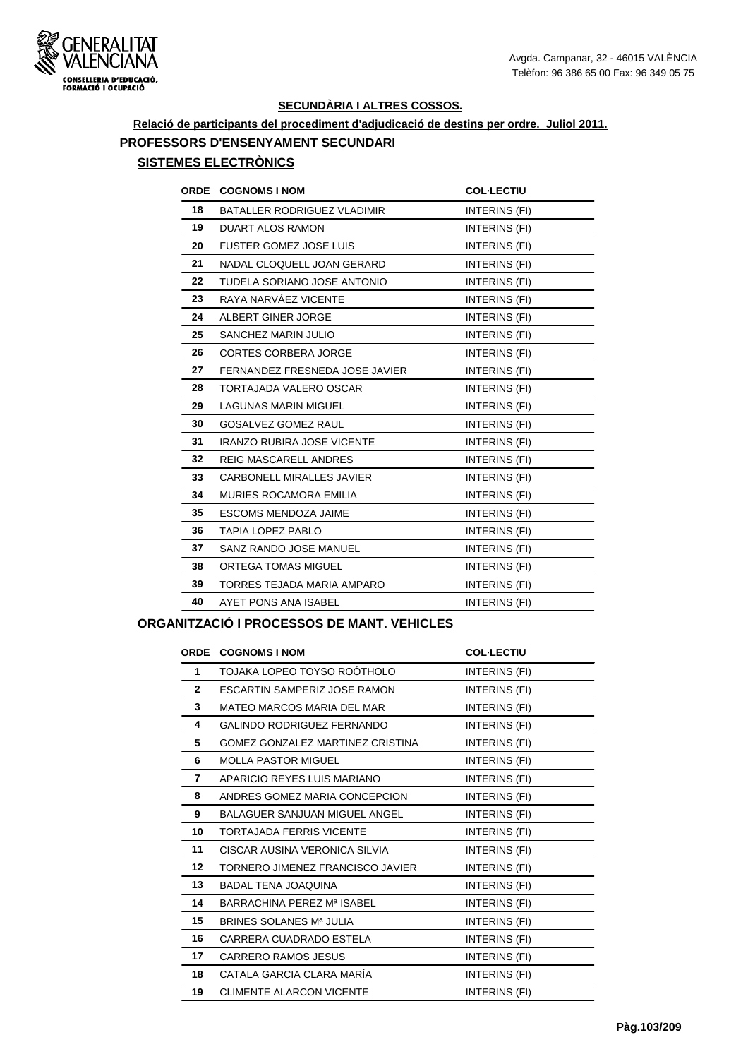

# **Relació de participants del procediment d'adjudicació de destins per ordre. Juliol 2011. PROFESSORS D'ENSENYAMENT SECUNDARI**

## **SISTEMES ELECTRÒNICS**

| ORDE | <b>COGNOMS I NOM</b>              | <b>COL-LECTIU</b>    |
|------|-----------------------------------|----------------------|
| 18   | BATALLER RODRIGUEZ VLADIMIR       | INTERINS (FI)        |
| 19   | <b>DUART ALOS RAMON</b>           | INTERINS (FI)        |
| 20   | <b>FUSTER GOMEZ JOSE LUIS</b>     | INTERINS (FI)        |
| 21   | NADAL CLOQUELL JOAN GERARD        | INTERINS (FI)        |
| 22   | TUDELA SORIANO JOSE ANTONIO       | INTERINS (FI)        |
| 23   | RAYA NARVÁEZ VICENTE              | INTERINS (FI)        |
| 24   | ALBERT GINER JORGE                | INTERINS (FI)        |
| 25   | SANCHEZ MARIN JULIO               | INTERINS (FI)        |
| 26   | <b>CORTES CORBERA JORGE</b>       | INTERINS (FI)        |
| 27   | FERNANDEZ FRESNEDA JOSE JAVIER    | INTERINS (FI)        |
| 28   | <b>TORTAJADA VALERO OSCAR</b>     | INTERINS (FI)        |
| 29   | <b>LAGUNAS MARIN MIGUEL</b>       | INTERINS (FI)        |
| 30   | <b>GOSALVEZ GOMEZ RAUL</b>        | INTERINS (FI)        |
| 31   | <b>IRANZO RUBIRA JOSE VICENTE</b> | INTERINS (FI)        |
| 32   | <b>REIG MASCARELL ANDRES</b>      | INTERINS (FI)        |
| 33   | <b>CARBONELL MIRALLES JAVIER</b>  | <b>INTERINS (FI)</b> |
| 34   | MURIES ROCAMORA EMILIA            | INTERINS (FI)        |
| 35   | ESCOMS MENDOZA JAIME              | INTERINS (FI)        |
| 36   | <b>TAPIA LOPEZ PABLO</b>          | INTERINS (FI)        |
| 37   | SANZ RANDO JOSE MANUEL            | INTERINS (FI)        |
| 38   | ORTEGA TOMAS MIGUEL               | INTERINS (FI)        |
| 39   | TORRES TEJADA MARIA AMPARO        | INTERINS (FI)        |
| 40   | AYET PONS ANA ISABEL              | INTERINS (FI)        |
|      |                                   |                      |

#### **ORGANITZACIÓ I PROCESSOS DE MANT. VEHICLES**

| <b>ORDE</b>  | <b>COGNOMS I NOM</b>                 | <b>COL-LECTIU</b> |
|--------------|--------------------------------------|-------------------|
| 1            | TOJAKA LOPEO TOYSO ROÓTHOLO          | INTERINS (FI)     |
| $\mathbf{2}$ | ESCARTIN SAMPERIZ JOSE RAMON         | INTERINS (FI)     |
| 3            | MATEO MARCOS MARIA DEL MAR           | INTERINS (FI)     |
| 4            | <b>GALINDO RODRIGUEZ FERNANDO</b>    | INTERINS (FI)     |
| 5            | GOMEZ GONZALEZ MARTINEZ CRISTINA     | INTERINS (FI)     |
| 6            | <b>MOLLA PASTOR MIGUEL</b>           | INTERINS (FI)     |
| 7            | APARICIO REYES LUIS MARIANO          | INTERINS (FI)     |
| 8            | ANDRES GOMEZ MARIA CONCEPCION        | INTERINS (FI)     |
| 9            | <b>BALAGUER SANJUAN MIGUEL ANGEL</b> | INTERINS (FI)     |
| 10           | <b>TORTAJADA FERRIS VICENTE</b>      | INTERINS (FI)     |
| 11           | CISCAR AUSINA VERONICA SILVIA        | INTERINS (FI)     |
| 12           | TORNERO JIMENEZ FRANCISCO JAVIER     | INTERINS (FI)     |
| 13           | <b>BADAL TENA JOAQUINA</b>           | INTERINS (FI)     |
| 14           | BARRACHINA PEREZ Mª ISABEL           | INTERINS (FI)     |
| 15           | BRINES SOLANES Mª JULIA              | INTERINS (FI)     |
| 16           | CARRERA CUADRADO ESTELA              | INTERINS (FI)     |
| 17           | <b>CARRERO RAMOS JESUS</b>           | INTERINS (FI)     |
| 18           | CATALA GARCIA CLARA MARÍA            | INTERINS (FI)     |
| 19           | <b>CLIMENTE ALARCON VICENTE</b>      | INTERINS (FI)     |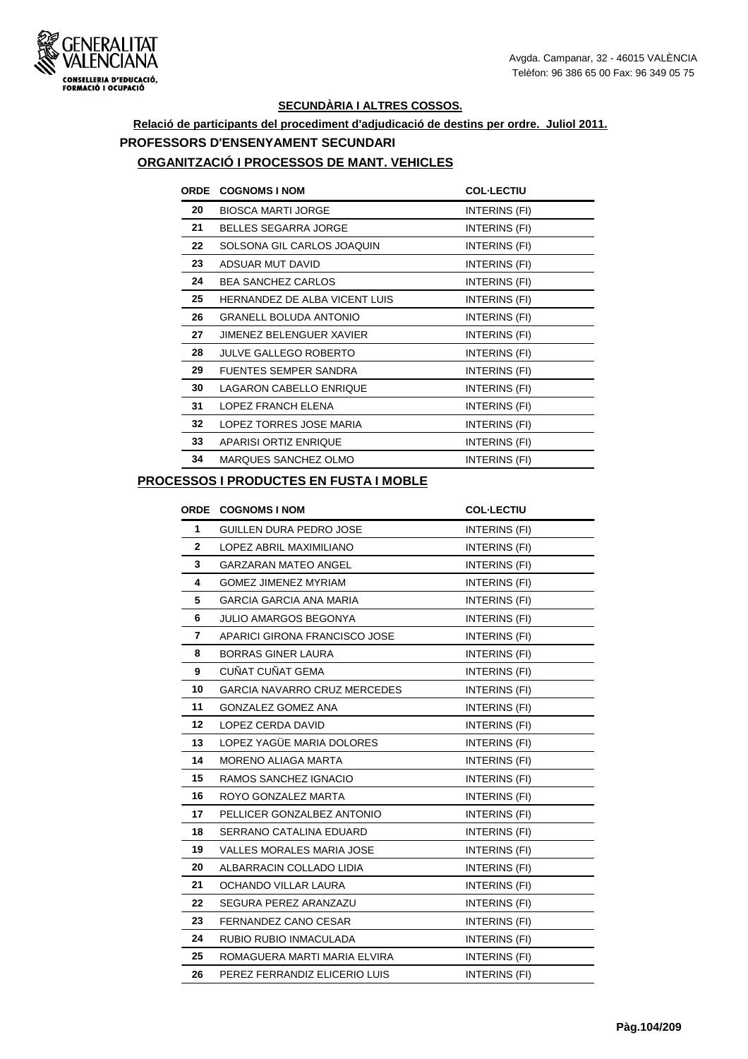

# **Relació de participants del procediment d'adjudicació de destins per ordre. Juliol 2011. PROFESSORS D'ENSENYAMENT SECUNDARI**

#### **ORGANITZACIÓ I PROCESSOS DE MANT. VEHICLES**

| <b>ORDE</b> | <b>COGNOMS I NOM</b>          | <b>COL-LECTIU</b> |
|-------------|-------------------------------|-------------------|
| 20          | <b>BIOSCA MARTI JORGE</b>     | INTERINS (FI)     |
| 21          | <b>BELLES SEGARRA JORGE</b>   | INTERINS (FI)     |
| 22          | SOLSONA GIL CARLOS JOAQUIN    | INTERINS (FI)     |
| 23          | ADSUAR MUT DAVID              | INTERINS (FI)     |
| 24          | <b>BEA SANCHEZ CARLOS</b>     | INTERINS (FI)     |
| 25          | HERNANDEZ DE ALBA VICENT LUIS | INTERINS (FI)     |
| 26          | <b>GRANELL BOLUDA ANTONIO</b> | INTERINS (FI)     |
| 27          | JIMENEZ BELENGUER XAVIER      | INTERINS (FI)     |
| 28          | <b>JULVE GALLEGO ROBERTO</b>  | INTERINS (FI)     |
| 29          | <b>FUENTES SEMPER SANDRA</b>  | INTERINS (FI)     |
| 30          | LAGARON CABELLO ENRIQUE       | INTERINS (FI)     |
| 31          | LOPEZ FRANCH ELENA            | INTERINS (FI)     |
| 32          | LOPEZ TORRES JOSE MARIA       | INTERINS (FI)     |
| 33          | <b>APARISI ORTIZ ENRIQUE</b>  | INTERINS (FI)     |
| 34          | MARQUES SANCHEZ OLMO          | INTERINS (FI)     |

#### **PROCESSOS I PRODUCTES EN FUSTA I MOBLE**

|                | ORDE COGNOMS I NOM                  | <b>COL-LECTIU</b>    |
|----------------|-------------------------------------|----------------------|
| 1              | GUILLEN DURA PEDRO JOSE             | INTERINS (FI)        |
| $\mathbf{2}$   | LOPEZ ABRIL MAXIMILIANO             | <b>INTERINS (FI)</b> |
| 3              | <b>GARZARAN MATEO ANGEL</b>         | INTERINS (FI)        |
| 4              | <b>GOMEZ JIMENEZ MYRIAM</b>         | INTERINS (FI)        |
| 5              | <b>GARCIA GARCIA ANA MARIA</b>      | INTERINS (FI)        |
| 6              | <b>JULIO AMARGOS BEGONYA</b>        | INTERINS (FI)        |
| $\overline{7}$ | APARICI GIRONA FRANCISCO JOSE       | INTERINS (FI)        |
| 8              | <b>BORRAS GINER LAURA</b>           | INTERINS (FI)        |
| 9              | CUÑAT CUÑAT GEMA                    | INTERINS (FI)        |
| 10             | <b>GARCIA NAVARRO CRUZ MERCEDES</b> | <b>INTERINS (FI)</b> |
| 11             | <b>GONZALEZ GOMEZ ANA</b>           | INTERINS (FI)        |
| 12             | LOPEZ CERDA DAVID                   | INTERINS (FI)        |
| 13             | LOPEZ YAGÜE MARIA DOLORES           | INTERINS (FI)        |
| 14             | <b>MORENO ALIAGA MARTA</b>          | <b>INTERINS (FI)</b> |
| 15             | RAMOS SANCHEZ IGNACIO               | INTERINS (FI)        |
| 16             | ROYO GONZALEZ MARTA                 | INTERINS (FI)        |
| 17             | PELLICER GONZALBEZ ANTONIO          | INTERINS (FI)        |
| 18             | SERRANO CATALINA EDUARD             | INTERINS (FI)        |
| 19             | <b>VALLES MORALES MARIA JOSE</b>    | INTERINS (FI)        |
| 20             | ALBARRACIN COLLADO LIDIA            | INTERINS (FI)        |
| 21             | OCHANDO VILLAR LAURA                | INTERINS (FI)        |
| 22             | SEGURA PEREZ ARANZAZU               | INTERINS (FI)        |
| 23             | <b>FERNANDEZ CANO CESAR</b>         | INTERINS (FI)        |
| 24             | RUBIO RUBIO INMACULADA              | <b>INTERINS (FI)</b> |
| 25             | ROMAGUERA MARTI MARIA ELVIRA        | INTERINS (FI)        |
| 26             | PEREZ FERRANDIZ ELICERIO LUIS       | INTERINS (FI)        |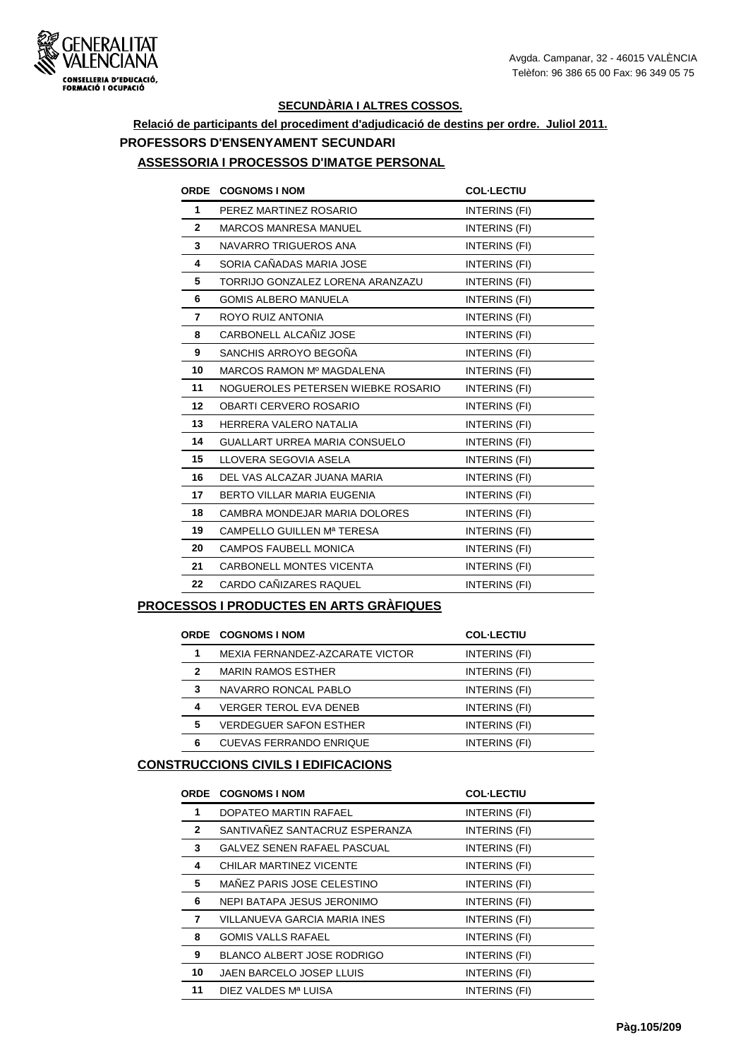

## **Relació de participants del procediment d'adjudicació de destins per ordre. Juliol 2011. PROFESSORS D'ENSENYAMENT SECUNDARI**

#### **ASSESSORIA I PROCESSOS D'IMATGE PERSONAL**

|                 | ORDE COGNOMS I NOM                 | <b>COL-LECTIU</b> |
|-----------------|------------------------------------|-------------------|
| $\mathbf{1}$    | PEREZ MARTINEZ ROSARIO             | INTERINS (FI)     |
| $\mathbf{2}$    | <b>MARCOS MANRESA MANUEL</b>       | INTERINS (FI)     |
| 3               | NAVARRO TRIGUEROS ANA              | INTERINS (FI)     |
| 4               | SORIA CAÑADAS MARIA JOSE           | INTERINS (FI)     |
| 5               | TORRIJO GONZALEZ LORENA ARANZAZU   | INTERINS (FI)     |
| 6               | <b>GOMIS ALBERO MANUELA</b>        | INTERINS (FI)     |
| 7               | ROYO RUIZ ANTONIA                  | INTERINS (FI)     |
| 8               | CARBONELL ALCAÑIZ JOSE             | INTERINS (FI)     |
| 9               | SANCHIS ARROYO BEGOÑA              | INTERINS (FI)     |
| 10              | MARCOS RAMON Mº MAGDALENA          | INTERINS (FI)     |
| 11              | NOGUEROLES PETERSEN WIEBKE ROSARIO | INTERINS (FI)     |
| 12 <sup>2</sup> | <b>OBARTI CERVERO ROSARIO</b>      | INTERINS (FI)     |
| 13              | HERRERA VALERO NATALIA             | INTERINS (FI)     |
| 14              | GUALLART URREA MARIA CONSUELO      | INTERINS (FI)     |
| 15              | LLOVERA SEGOVIA ASELA              | INTERINS (FI)     |
| 16              | DEL VAS ALCAZAR JUANA MARIA        | INTERINS (FI)     |
| 17              | BERTO VILLAR MARIA EUGENIA         | INTERINS (FI)     |
| 18              | CAMBRA MONDEJAR MARIA DOLORES      | INTERINS (FI)     |
| 19              | CAMPELLO GUILLEN Mª TERESA         | INTERINS (FI)     |
| 20              | <b>CAMPOS FAUBELL MONICA</b>       | INTERINS (FI)     |
| 21              | <b>CARBONELL MONTES VICENTA</b>    | INTERINS (FI)     |
| 22              | CARDO CAÑIZARES RAQUEL             | INTERINS (FI)     |
|                 |                                    |                   |

#### **PROCESSOS I PRODUCTES EN ARTS GRÀFIQUES**

|   | <b>ORDE COGNOMS I NOM</b>       | <b>COL-LECTIU</b> |
|---|---------------------------------|-------------------|
|   | MEXIA FERNANDEZ-AZCARATE VICTOR | INTERINS (FI)     |
| 2 | <b>MARIN RAMOS ESTHER</b>       | INTERINS (FI)     |
| 3 | NAVARRO RONCAL PABLO            | INTERINS (FI)     |
| 4 | <b>VERGER TEROL EVA DENEB</b>   | INTERINS (FI)     |
| 5 | <b>VERDEGUER SAFON ESTHER</b>   | INTERINS (FI)     |
| 6 | <b>CUEVAS FERRANDO ENRIQUE</b>  | INTERINS (FI)     |

## **CONSTRUCCIONS CIVILS I EDIFICACIONS**

| ORDE         | <b>COGNOMS I NOM</b>               | <b>COL-LECTIU</b> |
|--------------|------------------------------------|-------------------|
| 1            | DOPATEO MARTIN RAFAEL              | INTERINS (FI)     |
| $\mathbf{2}$ | SANTIVAÑEZ SANTACRUZ ESPERANZA     | INTERINS (FI)     |
| 3            | <b>GALVEZ SENEN RAFAEL PASCUAL</b> | INTERINS (FI)     |
| 4            | CHILAR MARTINEZ VICENTE            | INTERINS (FI)     |
| 5            | MAÑEZ PARIS JOSE CELESTINO         | INTERINS (FI)     |
| 6            | NEPI BATAPA JESUS JERONIMO         | INTERINS (FI)     |
| 7            | VILLANUEVA GARCIA MARIA INES       | INTERINS (FI)     |
| 8            | <b>GOMIS VALLS RAFAEL</b>          | INTERINS (FI)     |
| 9            | <b>BLANCO ALBERT JOSE RODRIGO</b>  | INTERINS (FI)     |
| 10           | JAEN BARCELO JOSEP LLUIS           | INTERINS (FI)     |
| 11           | DIEZ VALDES Mª LUISA               | INTERINS (FI)     |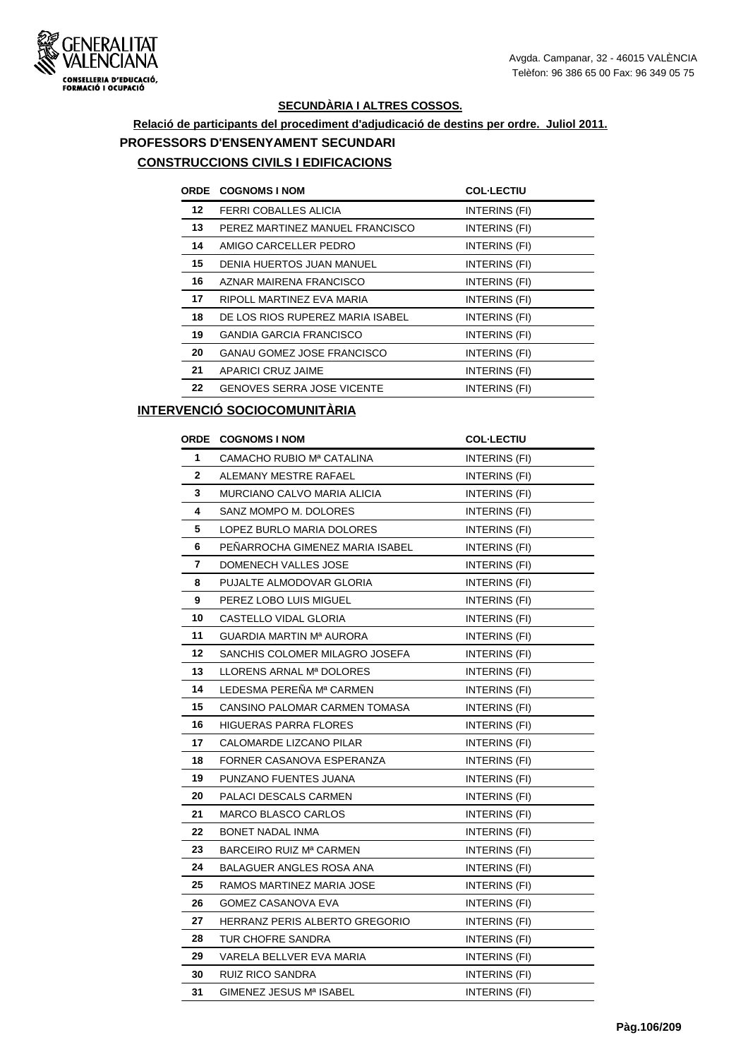

## **Relació de participants del procediment d'adjudicació de destins per ordre. Juliol 2011. PROFESSORS D'ENSENYAMENT SECUNDARI CONSTRUCCIONS CIVILS I EDIFICACIONS**

| <b>ORDE</b> | <b>COGNOMS I NOM</b>              | <b>COL-LECTIU</b> |
|-------------|-----------------------------------|-------------------|
| 12          | FERRI COBALLES ALICIA             | INTERINS (FI)     |
| 13          | PEREZ MARTINEZ MANUEL FRANCISCO   | INTERINS (FI)     |
| 14          | AMIGO CARCELLER PEDRO             | INTERINS (FI)     |
| 15          | DENIA HUERTOS JUAN MANUEL         | INTERINS (FI)     |
| 16          | AZNAR MAIRENA FRANCISCO           | INTERINS (FI)     |
| 17          | RIPOLL MARTINEZ EVA MARIA         | INTERINS (FI)     |
| 18          | DE LOS RIOS RUPEREZ MARIA ISABEL  | INTERINS (FI)     |
| 19          | <b>GANDIA GARCIA FRANCISCO</b>    | INTERINS (FI)     |
| 20          | <b>GANAU GOMEZ JOSE FRANCISCO</b> | INTERINS (FI)     |
| 21          | APARICI CRUZ JAIME                | INTERINS (FI)     |
| 22          | <b>GENOVES SERRA JOSE VICENTE</b> | INTERINS (FI)     |

### **INTERVENCIÓ SOCIOCOMUNITÀRIA**

|              | <b>ORDE COGNOMS INOM</b>        | <b>COL-LECTIU</b>    |
|--------------|---------------------------------|----------------------|
| 1            | CAMACHO RUBIO Mª CATALINA       | INTERINS (FI)        |
| $\mathbf{2}$ | ALEMANY MESTRE RAFAEL           | <b>INTERINS (FI)</b> |
| 3            | MURCIANO CALVO MARIA ALICIA     | INTERINS (FI)        |
| 4            | SANZ MOMPO M. DOLORES           | INTERINS (FI)        |
| 5            | LOPEZ BURLO MARIA DOLORES       | INTERINS (FI)        |
| 6            | PENARROCHA GIMENEZ MARIA ISABEL | INTERINS (FI)        |
| 7            | DOMENECH VALLES JOSE            | INTERINS (FI)        |
| 8            | PUJALTE ALMODOVAR GLORIA        | <b>INTERINS (FI)</b> |
| 9            | PEREZ LOBO LUIS MIGUEL          | INTERINS (FI)        |
| 10           | CASTELLO VIDAL GLORIA           | INTERINS (FI)        |
| 11           | GUARDIA MARTIN Mª AURORA        | INTERINS (FI)        |
| 12           | SANCHIS COLOMER MILAGRO JOSEFA  | INTERINS (FI)        |
| 13           | LLORENS ARNAL Mª DOLORES        | INTERINS (FI)        |
| 14           | LEDESMA PEREÑA Mª CARMEN        | <b>INTERINS (FI)</b> |
| 15           | CANSINO PALOMAR CARMEN TOMASA   | INTERINS (FI)        |
| 16           | <b>HIGUERAS PARRA FLORES</b>    | INTERINS (FI)        |
| 17           | CALOMARDE LIZCANO PILAR         | INTERINS (FI)        |
| 18           | FORNER CASANOVA ESPERANZA       | <b>INTERINS (FI)</b> |
| 19           | PUNZANO FUENTES JUANA           | <b>INTERINS (FI)</b> |
| 20           | PALACI DESCALS CARMEN           | INTERINS (FI)        |
| 21           | <b>MARCO BLASCO CARLOS</b>      | <b>INTERINS (FI)</b> |
| 22           | <b>BONET NADAL INMA</b>         | INTERINS (FI)        |
| 23           | BARCEIRO RUIZ Mª CARMEN         | INTERINS (FI)        |
| 24           | <b>BALAGUER ANGLES ROSA ANA</b> | INTERINS (FI)        |
| 25           | RAMOS MARTINEZ MARIA JOSE       | INTERINS (FI)        |
| 26           | GOMEZ CASANOVA EVA              | INTERINS (FI)        |
| 27           | HERRANZ PERIS ALBERTO GREGORIO  | INTERINS (FI)        |
| 28           | TUR CHOFRE SANDRA               | INTERINS (FI)        |
| 29           | VARELA BELLVER EVA MARIA        | INTERINS (FI)        |
| 30           | RUIZ RICO SANDRA                | INTERINS (FI)        |
| 31           | GIMENEZ JESUS Mª ISABEL         | INTERINS (FI)        |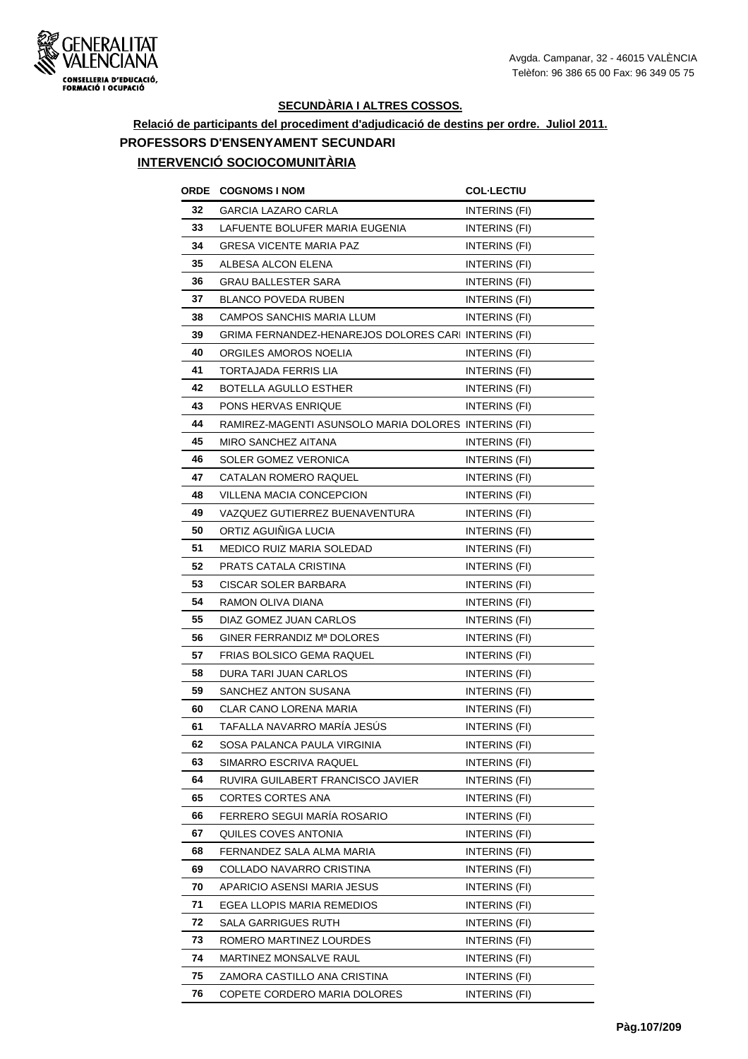

### **Relació de participants del procediment d'adjudicació de destins per ordre. Juliol 2011. PROFESSORS D'ENSENYAMENT SECUNDARI INTERVENCIÓ SOCIOCOMUNITÀRIA**

## **ORDE COGNOMS I NOM COL·LECTIU 32 GARCIA LAZARO CARLA INTERINS** (FI) **33 LAFUENTE BOLUFER MARIA EUGENIA INTERINS (FI) 34 GRESA VICENTE MARIA PAZ INTERINS (FI) 35** ALBESA ALCON ELENA **INTERINS** (FI) **36** GRAU BALLESTER SARA INTERINS (FI) **37 BLANCO POVEDA RUBEN INTERINS (FI) 38 CAMPOS SANCHIS MARIA LLUM INTERINS (FI) 39 GRIMA FERNANDEZ-HENAREJOS DOLORES CARI INTERINS (FI) 40 ORGILES AMOROS NOELIA INTERINS** (FI) **41 TORTAJADA FERRIS LIA INTERINS** (FI) **42 BOTELLA AGULLO ESTHER** INTERINS (FI) **43** PONS HERVAS ENRIQUE **INTERINS** (FI) **44** RAMIREZ-MAGENTI ASUNSOLO MARIA DOLORES INTERINS (FI) **45** MIRO SANCHEZ AITANA **INTERINS** (FI) **46** SOLER GOMEZ VERONICA **INTERINS** (FI) **47** CATALAN ROMERO RAQUEL **INTERINS** (FI) **48** VILLENA MACIA CONCEPCION INTERINS (FI) **49** VAZQUEZ GUTIERREZ BUENAVENTURA INTERINS (FI) **50** ORTIZ AGUIÑIGA LUCIA **INTERINS** (FI) **51 MEDICO RUIZ MARIA SOLEDAD INTERINS (FI) 52 PRATS CATALA CRISTINA** INTERINS (FI) **53** CISCAR SOLER BARBARA INTERINS (FI) **54** RAMON OLIVA DIANA **INTERINS** (FI) **55** DIAZ GOMEZ JUAN CARLOS INTERINS (FI) **56** GINER FERRANDIZ Mª DOLORES INTERINS (FI) **57 FRIAS BOLSICO GEMA RAQUEL INTERINS (FI) 58** DURA TARI JUAN CARLOS INTERINS (FI) **59 SANCHEZ ANTON SUSANA INTERINS** (FI) **60** CLAR CANO LORENA MARIA **INTERINS** (FI) **61** TAFALLA NAVARRO MARÍA JESÚS INTERINS (FI) **62 SOSA PALANCA PAULA VIRGINIA INTERINS (FI) 63** SIMARRO ESCRIVA RAQUEL **INTERINS** (FI) **64 RUVIRA GUILABERT FRANCISCO JAVIER INTERINS (FI) 65** CORTES CORTES ANA INTERINS (FI) **66** FERRERO SEGUI MARÍA ROSARIO INTERINS (FI) **67** QUILES COVES ANTONIA **INTERINS** (FI) **68 FERNANDEZ SALA ALMA MARIA <b>INTERINS** (FI) **69 COLLADO NAVARRO CRISTINA** INTERINS (FI) **70** APARICIO ASENSI MARIA JESUS INTERINS (FI) **71 EGEA LLOPIS MARIA REMEDIOS INTERINS (FI) 72** SALA GARRIGUES RUTH **INTERINS** (FI) **73** ROMERO MARTINEZ LOURDES INTERINS (FI) **74 MARTINEZ MONSALVE RAUL INTERINS (FI) 75 ZAMORA CASTILLO ANA CRISTINA INTERINS (FI)**

**76 COPETE CORDERO MARIA DOLORES INTERINS (FI)**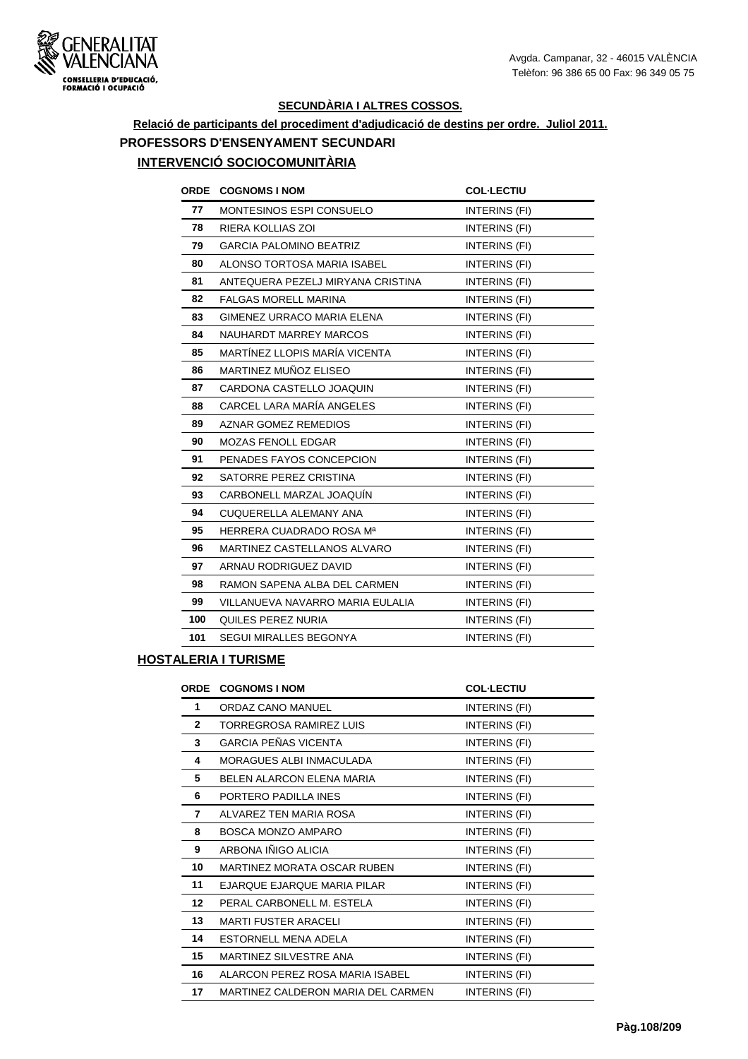

### **Relació de participants del procediment d'adjudicació de destins per ordre. Juliol 2011. PROFESSORS D'ENSENYAMENT SECUNDARI INTERVENCIÓ SOCIOCOMUNITÀRIA**

## **ORDE COGNOMS I NOM COL·LECTIU 77 MONTESINOS ESPI CONSUELO** INTERINS (FI) RIERA KOLLIAS ZOI **INTERINS** (FI) GARCIA PALOMINO BEATRIZ **INTERINS** (FI) 80 ALONSO TORTOSA MARIA ISABEL **INTERINS** (FI) 81 ANTEQUERA PEZELJ MIRYANA CRISTINA INTERINS (FI) FALGAS MORELL MARINA **INTERINS** (FI) 83 GIMENEZ URRACO MARIA ELENA **INTERINS** (FI) 84 NAUHARDT MARREY MARCOS INTERINS (FI) **85 MARTÍNEZ LLOPIS MARÍA VICENTA INTERINS (FI)**  MARTINEZ MUÑOZ ELISEO **INTERINS** (FI) 87 CARDONA CASTELLO JOAQUIN INTERINS (FI) 88 CARCEL LARA MARÍA ANGELES INTERINS (FI) 89 AZNAR GOMEZ REMEDIOS **INTERINS** (FI) MOZAS FENOLL EDGAR INTERINS (FI) PENADES FAYOS CONCEPCION INTERINS (FI) SATORRE PEREZ CRISTINA **INTERINS** (FI) CARBONELL MARZAL JOAQUÍN INTERINS (FI) CUQUERELLA ALEMANY ANA **INTERINS** (FI) **95** HERRERA CUADRADO ROSA M<sup>a</sup> INTERINS (FI)

| 96  | MARTINEZ CASTELLANOS ALVARO      | INTERINS (FI) |
|-----|----------------------------------|---------------|
| 97  | ARNAU RODRIGUEZ DAVID            | INTERINS (FI) |
| 98  | RAMON SAPENA ALBA DEL CARMEN     | INTERINS (FI) |
| 99  | VILLANUEVA NAVARRO MARIA EULALIA | INTERINS (FI) |
| 100 | QUILES PEREZ NURIA               | INTERINS (FI) |
| 101 | <b>SEGUI MIRALLES BEGONYA</b>    | INTERINS (FI) |

#### **HOSTALERIA I TURISME**

| ORDE         | <b>COGNOMS I NOM</b>               | <b>COL-LECTIU</b> |
|--------------|------------------------------------|-------------------|
| 1            | ORDAZ CANO MANUEL                  | INTERINS (FI)     |
| $\mathbf{2}$ | TORREGROSA RAMIREZ LUIS            | INTERINS (FI)     |
| 3            | <b>GARCIA PEÑAS VICENTA</b>        | INTERINS (FI)     |
| 4            | <b>MORAGUES ALBI INMACULADA</b>    | INTERINS (FI)     |
| 5            | BELEN ALARCON ELENA MARIA          | INTERINS (FI)     |
| 6            | PORTERO PADILLA INES               | INTERINS (FI)     |
| 7            | ALVAREZ TEN MARIA ROSA             | INTERINS (FI)     |
| 8            | <b>BOSCA MONZO AMPARO</b>          | INTERINS (FI)     |
| 9            | ARBONA IÑIGO ALICIA                | INTERINS (FI)     |
| 10           | <b>MARTINEZ MORATA OSCAR RUBEN</b> | INTERINS (FI)     |
| 11           | EJARQUE EJARQUE MARIA PILAR        | INTERINS (FI)     |
| 12           | PERAL CARBONELL M. ESTELA          | INTERINS (FI)     |
| 13           | <b>MARTI FUSTER ARACELI</b>        | INTERINS (FI)     |
| 14           | <b>ESTORNELL MENA ADELA</b>        | INTERINS (FI)     |
| 15           | MARTINEZ SILVESTRE ANA             | INTERINS (FI)     |
| 16           | ALARCON PEREZ ROSA MARIA ISABEL    | INTERINS (FI)     |
| 17           | MARTINEZ CALDERON MARIA DEL CARMEN | INTERINS (FI)     |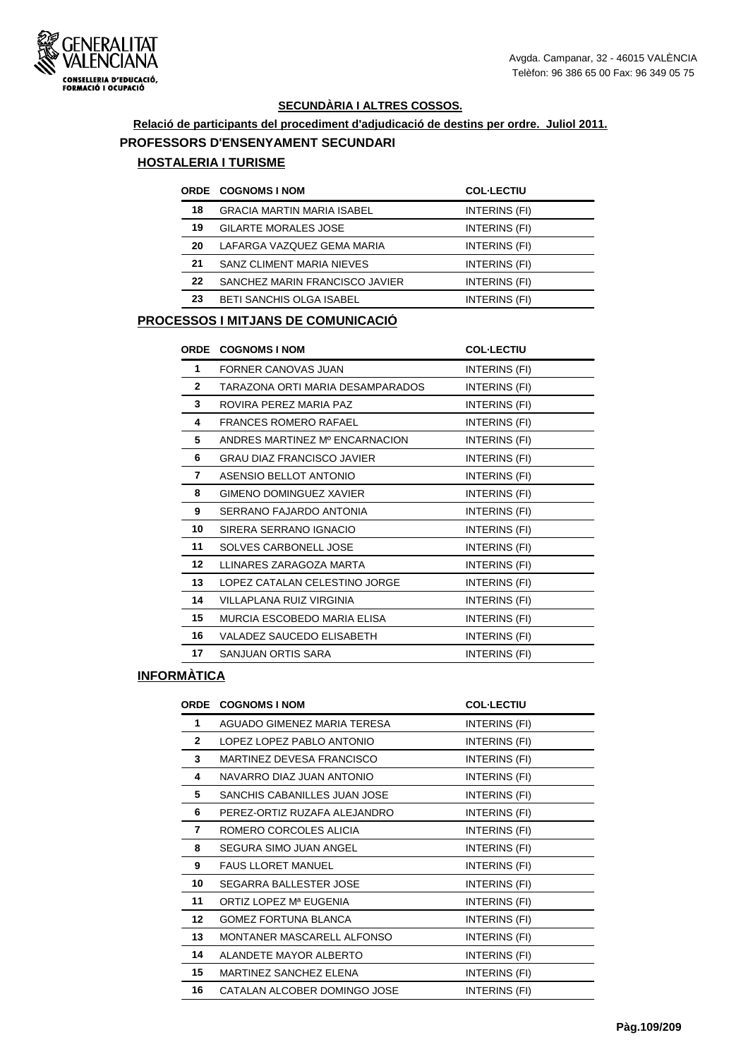#### **Relació de participants del procediment d'adjudicació de destins per ordre. Juliol 2011.**

#### **PROFESSORS D'ENSENYAMENT SECUNDARI**

#### **HOSTALERIA I TURISME**

|    | <b>ORDE COGNOMS I NOM</b>         | <b>COL-LECTIU</b> |
|----|-----------------------------------|-------------------|
| 18 | <b>GRACIA MARTIN MARIA ISABEL</b> | INTERINS (FI)     |
| 19 | <b>GILARTE MORALES JOSE</b>       | INTERINS (FI)     |
| 20 | LAFARGA VAZQUEZ GEMA MARIA        | INTERINS (FI)     |
| 21 | SANZ CLIMENT MARIA NIEVES         | INTERINS (FI)     |
| 22 | SANCHEZ MARIN FRANCISCO JAVIER    | INTERINS (FI)     |
| 23 | BETI SANCHIS OLGA ISABEL          | INTERINS (FI)     |
|    |                                   |                   |

#### **PROCESSOS I MITJANS DE COMUNICACIÓ**

| <b>ORDE</b>  | <b>COGNOMS I NOM</b>              | <b>COL-LECTIU</b> |
|--------------|-----------------------------------|-------------------|
| 1            | <b>FORNER CANOVAS JUAN</b>        | INTERINS (FI)     |
| $\mathbf{2}$ | TARAZONA ORTI MARIA DESAMPARADOS  | INTERINS (FI)     |
| 3            | ROVIRA PEREZ MARIA PAZ            | INTERINS (FI)     |
| 4            | <b>FRANCES ROMERO RAFAEL</b>      | INTERINS (FI)     |
| 5            | ANDRES MARTINEZ Mº ENCARNACION    | INTERINS (FI)     |
| 6            | <b>GRAU DIAZ FRANCISCO JAVIER</b> | INTERINS (FI)     |
| 7            | ASENSIO BELLOT ANTONIO            | INTERINS (FI)     |
| 8            | GIMENO DOMINGUEZ XAVIER           | INTERINS (FI)     |
| 9            | SERRANO FAJARDO ANTONIA           | INTERINS (FI)     |
| 10           | SIRERA SERRANO IGNACIO            | INTERINS (FI)     |
| 11           | SOLVES CARBONELL JOSE             | INTERINS (FI)     |
| 12           | LLINARES ZARAGOZA MARTA           | INTERINS (FI)     |
| 13           | LOPEZ CATALAN CELESTINO JORGE     | INTERINS (FI)     |
| 14           | VILLAPLANA RUIZ VIRGINIA          | INTERINS (FI)     |
| 15           | MURCIA ESCOBEDO MARIA ELISA       | INTERINS (FI)     |
| 16           | VALADEZ SAUCEDO ELISABETH         | INTERINS (FI)     |
| 17           | SANJUAN ORTIS SARA                | INTERINS (FI)     |

| <b>ORDE</b>  | <b>COGNOMS I NOM</b>          | <b>COL-LECTIU</b> |
|--------------|-------------------------------|-------------------|
| 1            | AGUADO GIMENEZ MARIA TERESA   | INTERINS (FI)     |
| $\mathbf{2}$ | LOPEZ LOPEZ PABLO ANTONIO     | INTERINS (FI)     |
| 3            | MARTINEZ DEVESA FRANCISCO     | INTERINS (FI)     |
| 4            | NAVARRO DIAZ JUAN ANTONIO     | INTERINS (FI)     |
| 5            | SANCHIS CABANILLES JUAN JOSE  | INTERINS (FI)     |
| 6            | PEREZ-ORTIZ RUZAFA ALEJANDRO  | INTERINS (FI)     |
| 7            | ROMERO CORCOLES ALICIA        | INTERINS (FI)     |
| 8            | SEGURA SIMO JUAN ANGEL        | INTERINS (FI)     |
| 9            | <b>FAUS LLORET MANUEL</b>     | INTERINS (FI)     |
| 10           | SEGARRA BALLESTER JOSE        | INTERINS (FI)     |
| 11           | ORTIZ LOPEZ Mª EUGENIA        | INTERINS (FI)     |
| 12           | <b>GOMEZ FORTUNA BLANCA</b>   | INTERINS (FI)     |
| 13           | MONTANER MASCARELL ALFONSO    | INTERINS (FI)     |
| 14           | ALANDETE MAYOR ALBERTO        | INTERINS (FI)     |
| 15           | <b>MARTINEZ SANCHEZ ELENA</b> | INTERINS (FI)     |
| 16           | CATALAN ALCOBER DOMINGO JOSE  | INTERINS (FI)     |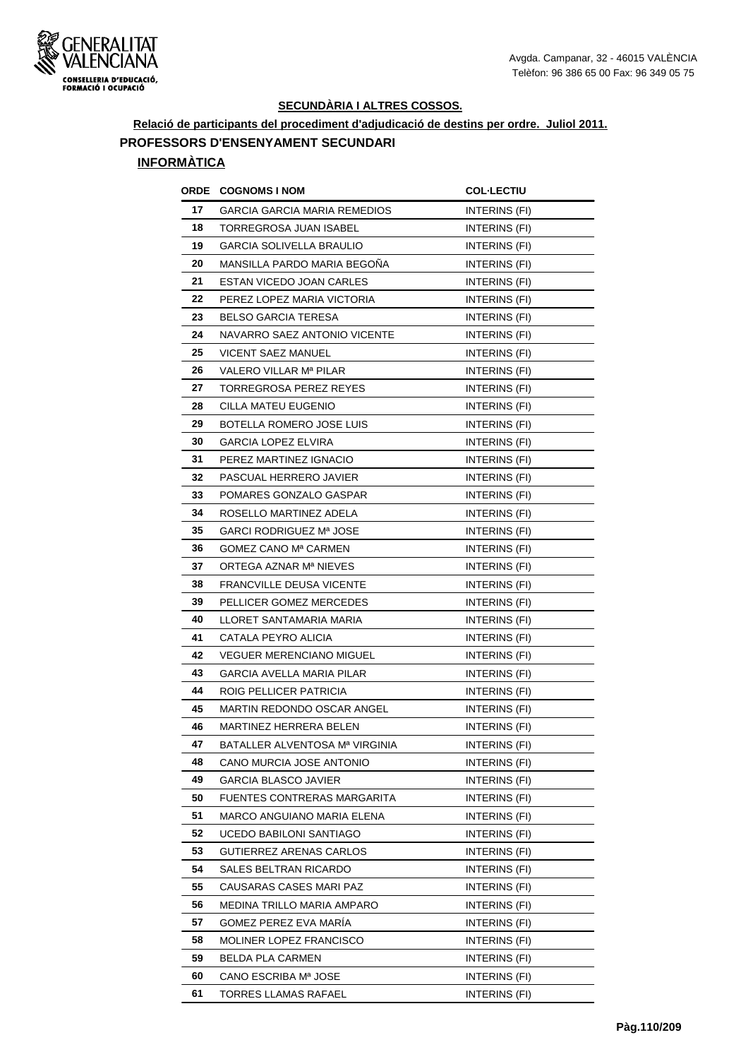

**Relació de participants del procediment d'adjudicació de destins per ordre. Juliol 2011. PROFESSORS D'ENSENYAMENT SECUNDARI**

| ORDE | <b>COGNOMS I NOM</b>                | <b>COL-LECTIU</b>    |
|------|-------------------------------------|----------------------|
| 17   | <b>GARCIA GARCIA MARIA REMEDIOS</b> | INTERINS (FI)        |
| 18   | TORREGROSA JUAN ISABEL              | INTERINS (FI)        |
| 19   | <b>GARCIA SOLIVELLA BRAULIO</b>     | INTERINS (FI)        |
| 20   | MANSILLA PARDO MARIA BEGOÑA         | INTERINS (FI)        |
| 21   | ESTAN VICEDO JOAN CARLES            | INTERINS (FI)        |
| 22   | PEREZ LOPEZ MARIA VICTORIA          | INTERINS (FI)        |
| 23   | <b>BELSO GARCIA TERESA</b>          | INTERINS (FI)        |
| 24   | NAVARRO SAEZ ANTONIO VICENTE        | INTERINS (FI)        |
| 25   | VICENT SAEZ MANUEL                  | INTERINS (FI)        |
| 26   | VALERO VILLAR Mª PILAR              | INTERINS (FI)        |
| 27   | TORREGROSA PEREZ REYES              | INTERINS (FI)        |
| 28   | CILLA MATEU EUGENIO                 | INTERINS (FI)        |
| 29   | BOTELLA ROMERO JOSE LUIS            | INTERINS (FI)        |
| 30   | <b>GARCIA LOPEZ ELVIRA</b>          | INTERINS (FI)        |
| 31   | PEREZ MARTINEZ IGNACIO              | INTERINS (FI)        |
| 32   | PASCUAL HERRERO JAVIER              | INTERINS (FI)        |
| 33   | POMARES GONZALO GASPAR              | INTERINS (FI)        |
| 34   | ROSELLO MARTINEZ ADELA              | INTERINS (FI)        |
| 35   | GARCI RODRIGUEZ Mª JOSE             | INTERINS (FI)        |
| 36   | GOMEZ CANO Mª CARMEN                | INTERINS (FI)        |
| 37   | ORTEGA AZNAR Mª NIEVES              | INTERINS (FI)        |
| 38   | <b>FRANCVILLE DEUSA VICENTE</b>     | INTERINS (FI)        |
| 39   | PELLICER GOMEZ MERCEDES             | INTERINS (FI)        |
| 40   | LLORET SANTAMARIA MARIA             | INTERINS (FI)        |
| 41   | CATALA PEYRO ALICIA                 | INTERINS (FI)        |
| 42   | <b>VEGUER MERENCIANO MIGUEL</b>     | <b>INTERINS (FI)</b> |
| 43   | <b>GARCIA AVELLA MARIA PILAR</b>    | INTERINS (FI)        |
| 44   | ROIG PELLICER PATRICIA              | INTERINS (FI)        |
| 45   | MARTIN REDONDO OSCAR ANGEL          | INTERINS (FI)        |
| 46   | MARTINEZ HERRERA BELEN              | <b>INTERINS (FI)</b> |
| 47   | BATALLER ALVENTOSA Mª VIRGINIA      | INTERINS (FI)        |
| 48   | CANO MURCIA JOSE ANTONIO            | INTERINS (FI)        |
| 49   | GARCIA BLASCO JAVIER                | INTERINS (FI)        |
| 50   | <b>FUENTES CONTRERAS MARGARITA</b>  | INTERINS (FI)        |
| 51   | <b>MARCO ANGUIANO MARIA ELENA</b>   | INTERINS (FI)        |
| 52   | UCEDO BABILONI SANTIAGO             | INTERINS (FI)        |
| 53   | GUTIERREZ ARENAS CARLOS             | INTERINS (FI)        |
| 54   | SALES BELTRAN RICARDO               | INTERINS (FI)        |
| 55   | CAUSARAS CASES MARI PAZ             | INTERINS (FI)        |
| 56   | MEDINA TRILLO MARIA AMPARO          | INTERINS (FI)        |
| 57   | GOMEZ PEREZ EVA MARÍA               | INTERINS (FI)        |
| 58   | <b>MOLINER LOPEZ FRANCISCO</b>      | INTERINS (FI)        |
| 59   | BELDA PLA CARMEN                    | INTERINS (FI)        |
| 60   | CANO ESCRIBA Mª JOSE                | INTERINS (FI)        |
| 61   | TORRES LLAMAS RAFAEL                | INTERINS (FI)        |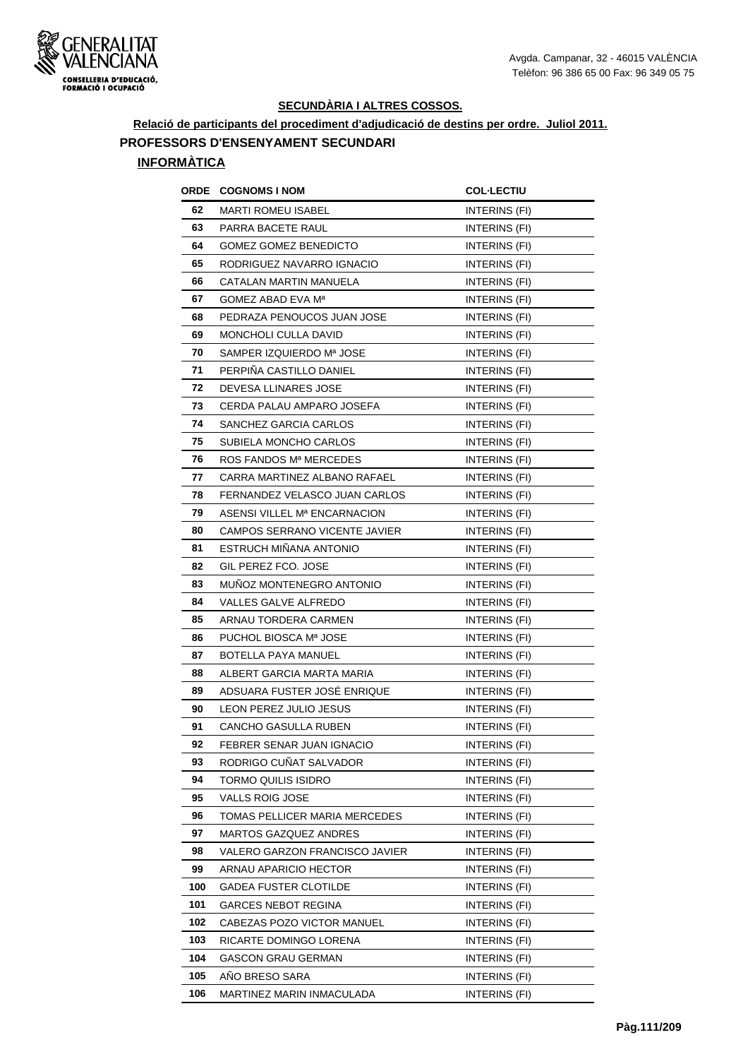

**Relació de participants del procediment d'adjudicació de destins per ordre. Juliol 2011. PROFESSORS D'ENSENYAMENT SECUNDARI**

| ORDE | <b>COGNOMS I NOM</b>                     | <b>COL·LECTIU</b>    |
|------|------------------------------------------|----------------------|
| 62   | MARTI ROMEU ISABEL                       | INTERINS (FI)        |
| 63   | PARRA BACETE RAUL                        | <b>INTERINS (FI)</b> |
| 64   | <b>GOMEZ GOMEZ BENEDICTO</b>             | INTERINS (FI)        |
| 65   | RODRIGUEZ NAVARRO IGNACIO                | INTERINS (FI)        |
| 66   | CATALAN MARTIN MANUELA                   | INTERINS (FI)        |
| 67   | GOMEZ ABAD EVA Mª                        | INTERINS (FI)        |
| 68   | PEDRAZA PENOUCOS JUAN JOSE               | INTERINS (FI)        |
| 69   | MONCHOLI CULLA DAVID                     | <b>INTERINS (FI)</b> |
| 70   | SAMPER IZQUIERDO Mª JOSE                 | INTERINS (FI)        |
| 71   | PERPIÑA CASTILLO DANIEL                  | INTERINS (FI)        |
| 72   | DEVESA LLINARES JOSE                     | INTERINS (FI)        |
| 73   | CERDA PALAU AMPARO JOSEFA                | INTERINS (FI)        |
| 74   | SANCHEZ GARCIA CARLOS                    | INTERINS (FI)        |
| 75   | SUBIELA MONCHO CARLOS                    | INTERINS (FI)        |
| 76   | ROS FANDOS Mª MERCEDES                   | INTERINS (FI)        |
| 77   | CARRA MARTINEZ ALBANO RAFAEL             | INTERINS (FI)        |
| 78   | FERNANDEZ VELASCO JUAN CARLOS            | INTERINS (FI)        |
| 79   | ASENSI VILLEL M <sup>a</sup> ENCARNACION | <b>INTERINS (FI)</b> |
| 80   | CAMPOS SERRANO VICENTE JAVIER            | INTERINS (FI)        |
| 81   | ESTRUCH MIÑANA ANTONIO                   | INTERINS (FI)        |
| 82   | GIL PEREZ FCO. JOSE                      | <b>INTERINS (FI)</b> |
| 83   | MUNOZ MONTENEGRO ANTONIO                 | INTERINS (FI)        |
| 84   | VALLES GALVE ALFREDO                     | INTERINS (FI)        |
| 85   | ARNAU TORDERA CARMEN                     | <b>INTERINS (FI)</b> |
| 86   | PUCHOL BIOSCA Mª JOSE                    | INTERINS (FI)        |
| 87   | BOTELLA PAYA MANUEL                      | <b>INTERINS (FI)</b> |
| 88   | ALBERT GARCIA MARTA MARIA                | <b>INTERINS (FI)</b> |
| 89   | ADSUARA FUSTER JOSÉ ENRIQUE              | INTERINS (FI)        |
| 90   | LEON PEREZ JULIO JESUS                   | INTERINS (FI)        |
| 91   | <b>CANCHO GASULLA RUBEN</b>              | INTERINS (FI)        |
| 92   | FEBRER SENAR JUAN IGNACIO                | INTERINS (FI)        |
| 93   | RODRIGO CUÑAT SALVADOR                   | <b>INTERINS (FI)</b> |
| 94   | TORMO QUILIS ISIDRO                      | <b>INTERINS (FI)</b> |
| 95   | VALLS ROIG JOSE                          | INTERINS (FI)        |
| 96   | TOMAS PELLICER MARIA MERCEDES            | INTERINS (FI)        |
| 97   | MARTOS GAZQUEZ ANDRES                    | INTERINS (FI)        |
| 98   | VALERO GARZON FRANCISCO JAVIER           | INTERINS (FI)        |
| 99   | ARNAU APARICIO HECTOR                    | INTERINS (FI)        |
| 100  | GADEA FUSTER CLOTILDE                    | INTERINS (FI)        |
| 101  | <b>GARCES NEBOT REGINA</b>               | INTERINS (FI)        |
| 102  | CABEZAS POZO VICTOR MANUEL               | INTERINS (FI)        |
| 103  | RICARTE DOMINGO LORENA                   | INTERINS (FI)        |
| 104  | GASCON GRAU GERMAN                       | INTERINS (FI)        |
| 105  | ANO BRESO SARA                           | <b>INTERINS (FI)</b> |
| 106  | MARTINEZ MARIN INMACULADA                | INTERINS (FI)        |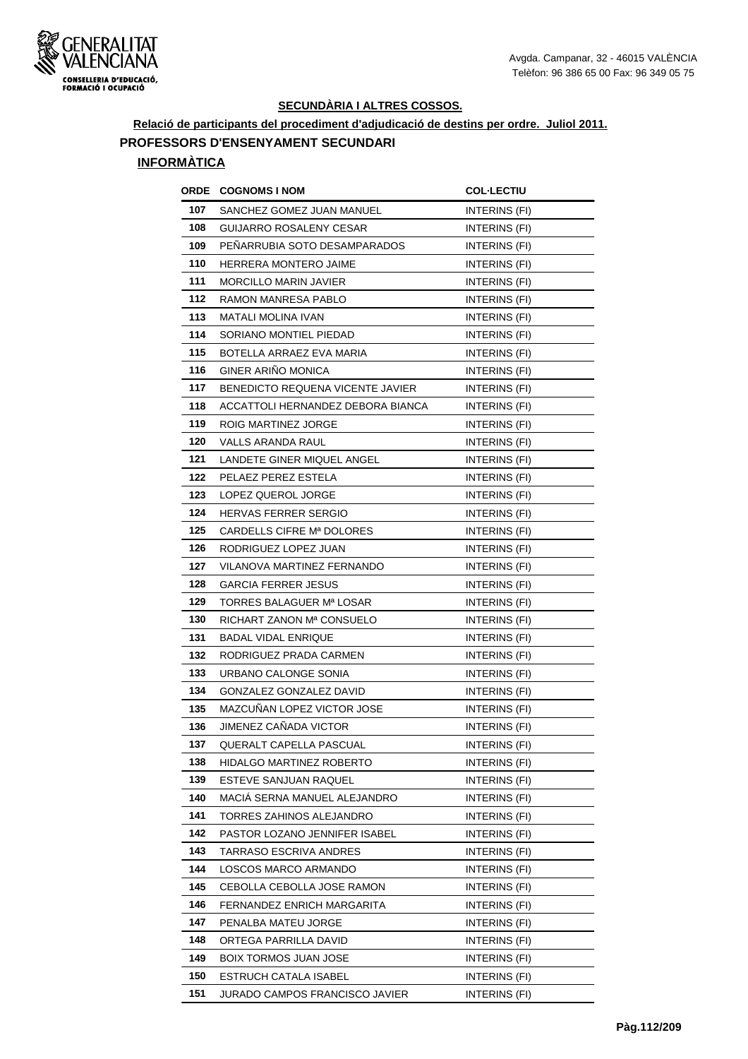

**Relació de participants del procediment d'adjudicació de destins per ordre. Juliol 2011.**

# **PROFESSORS D'ENSENYAMENT SECUNDARI**

| ORDE | <b>COGNOMS I NOM</b>              | <b>COL-LECTIU</b>    |
|------|-----------------------------------|----------------------|
| 107  | SANCHEZ GOMEZ JUAN MANUEL         | INTERINS (FI)        |
| 108  | <b>GUIJARRO ROSALENY CESAR</b>    | <b>INTERINS (FI)</b> |
| 109  | PENARRUBIA SOTO DESAMPARADOS      | INTERINS (FI)        |
| 110  | HERRERA MONTERO JAIME             | <b>INTERINS (FI)</b> |
| 111  | <b>MORCILLO MARIN JAVIER</b>      | INTERINS (FI)        |
| 112  | RAMON MANRESA PABLO               | INTERINS (FI)        |
| 113  | MATALI MOLINA IVAN                | INTERINS (FI)        |
| 114  | SORIANO MONTIEL PIEDAD            | INTERINS (FI)        |
| 115  | BOTELLA ARRAEZ EVA MARIA          | INTERINS (FI)        |
| 116  | GINER ARIÑO MONICA                | INTERINS (FI)        |
| 117  | BENEDICTO REQUENA VICENTE JAVIER  | <b>INTERINS (FI)</b> |
| 118  | ACCATTOLI HERNANDEZ DEBORA BIANCA | INTERINS (FI)        |
| 119  | ROIG MARTINEZ JORGE               | INTERINS (FI)        |
| 120  | VALLS ARANDA RAUL                 | INTERINS (FI)        |
| 121  | LANDETE GINER MIQUEL ANGEL        | INTERINS (FI)        |
| 122  | PELAEZ PEREZ ESTELA               | <b>INTERINS (FI)</b> |
| 123  | LOPEZ QUEROL JORGE                | INTERINS (FI)        |
| 124  | <b>HERVAS FERRER SERGIO</b>       | INTERINS (FI)        |
| 125  | CARDELLS CIFRE Mª DOLORES         | INTERINS (FI)        |
| 126  | RODRIGUEZ LOPEZ JUAN              | INTERINS (FI)        |
| 127  | VILANOVA MARTINEZ FERNANDO        | <b>INTERINS (FI)</b> |
| 128  | <b>GARCIA FERRER JESUS</b>        | INTERINS (FI)        |
| 129  | TORRES BALAGUER Mª LOSAR          | INTERINS (FI)        |
| 130  | RICHART ZANON Mª CONSUELO         | INTERINS (FI)        |
| 131  | <b>BADAL VIDAL ENRIQUE</b>        | INTERINS (FI)        |
| 132  | RODRIGUEZ PRADA CARMEN            | INTERINS (FI)        |
| 133  | URBANO CALONGE SONIA              | <b>INTERINS (FI)</b> |
| 134  | GONZALEZ GONZALEZ DAVID           | INTERINS (FI)        |
| 135  | <b>MAZCUNAN LOPEZ VICTOR JOSE</b> | <b>INTERINS (FI)</b> |
| 136  | JIMENEZ CAÑADA VICTOR             | <b>INTERINS (FI)</b> |
| 137  | QUERALT CAPELLA PASCUAL           | INTERINS (FI)        |
| 138  | HIDALGO MARTINEZ ROBERTO          | INTERINS (FI)        |
| 139  | ESTEVE SANJUAN RAQUEL             | INTERINS (FI)        |
| 140  | MACIA SERNA MANUEL ALEJANDRO      | INTERINS (FI)        |
| 141  | TORRES ZAHINOS ALEJANDRO          | INTERINS (FI)        |
| 142  | PASTOR LOZANO JENNIFER ISABEL     | INTERINS (FI)        |
| 143  | TARRASO ESCRIVA ANDRES            | INTERINS (FI)        |
| 144  | LOSCOS MARCO ARMANDO              | INTERINS (FI)        |
| 145  | CEBOLLA CEBOLLA JOSE RAMON        | INTERINS (FI)        |
| 146  | FERNANDEZ ENRICH MARGARITA        | INTERINS (FI)        |
| 147  | PENALBA MATEU JORGE               | INTERINS (FI)        |
| 148  | ORTEGA PARRILLA DAVID             | INTERINS (FI)        |
| 149  | BOIX TORMOS JUAN JOSE             | INTERINS (FI)        |
| 150  | <b>ESTRUCH CATALA ISABEL</b>      | INTERINS (FI)        |
| 151  | JURADO CAMPOS FRANCISCO JAVIER    | INTERINS (FI)        |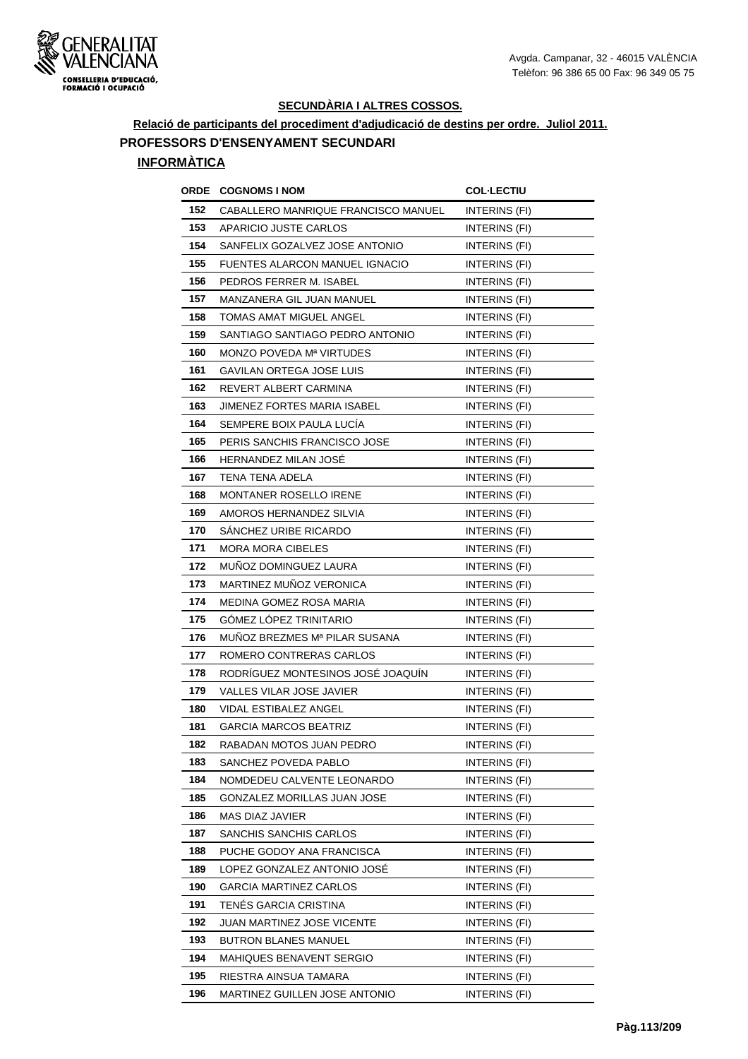

**Relació de participants del procediment d'adjudicació de destins per ordre. Juliol 2011. PROFESSORS D'ENSENYAMENT SECUNDARI**

| <b>ORDE</b> | <b>COGNOMS I NOM</b>                | <b>COL-LECTIU</b>    |
|-------------|-------------------------------------|----------------------|
| 152         | CABALLERO MANRIQUE FRANCISCO MANUEL | INTERINS (FI)        |
| 153         | APARICIO JUSTE CARLOS               | INTERINS (FI)        |
| 154         | SANFELIX GOZALVEZ JOSE ANTONIO      | INTERINS (FI)        |
| 155         | FUENTES ALARCON MANUEL IGNACIO      | INTERINS (FI)        |
| 156         | PEDROS FERRER M. ISABEL             | INTERINS (FI)        |
| 157         | MANZANERA GIL JUAN MANUEL           | INTERINS (FI)        |
| 158         | TOMAS AMAT MIGUEL ANGEL             | <b>INTERINS (FI)</b> |
| 159         | SANTIAGO SANTIAGO PEDRO ANTONIO     | <b>INTERINS (FI)</b> |
| 160         | MONZO POVEDA Mª VIRTUDES            | INTERINS (FI)        |
| 161         | GAVILAN ORTEGA JOSE LUIS            | INTERINS (FI)        |
| 162         | REVERT ALBERT CARMINA               | INTERINS (FI)        |
| 163         | JIMENEZ FORTES MARIA ISABEL         | <b>INTERINS (FI)</b> |
| 164         | SEMPERE BOIX PAULA LUCÍA            | INTERINS (FI)        |
| 165         | PERIS SANCHIS FRANCISCO JOSE        | INTERINS (FI)        |
| 166         | HERNANDEZ MILAN JOSE                | INTERINS (FI)        |
| 167         | TENA TENA ADELA                     | INTERINS (FI)        |
| 168         | MONTANER ROSELLO IRENE              | INTERINS (FI)        |
| 169         | AMOROS HERNANDEZ SILVIA             | INTERINS (FI)        |
| 170         | SÁNCHEZ URIBE RICARDO               | INTERINS (FI)        |
| 171         | MORA MORA CIBELES                   | INTERINS (FI)        |
| 172         | MUÑOZ DOMINGUEZ LAURA               | INTERINS (FI)        |
| 173         | MARTINEZ MUÑOZ VERONICA             | INTERINS (FI)        |
| 174         | MEDINA GOMEZ ROSA MARIA             | INTERINS (FI)        |
| 175         | GÓMEZ LÓPEZ TRINITARIO              | INTERINS (FI)        |
| 176         | MUNOZ BREZMES Mª PILAR SUSANA       | INTERINS (FI)        |
| 177         | ROMERO CONTRERAS CARLOS             | INTERINS (FI)        |
| 178         | RODRÍGUEZ MONTESINOS JOSÉ JOAQUÍN   | <b>INTERINS (FI)</b> |
| 179         | VALLES VILAR JOSE JAVIER            | INTERINS (FI)        |
| 180         | VIDAL ESTIBALEZ ANGEL               | INTERINS (FI)        |
| 181         | <b>GARCIA MARCOS BEATRIZ</b>        | <b>INTERINS (FI)</b> |
| 182         | RABADAN MOTOS JUAN PEDRO            | INTERINS (FI)        |
| 183         | SANCHEZ POVEDA PABLO                | INTERINS (FI)        |
| 184         | NOMDEDEU CALVENTE LEONARDO          | INTERINS (FI)        |
| 185         | GONZALEZ MORILLAS JUAN JOSE         | INTERINS (FI)        |
| 186         | MAS DIAZ JAVIER                     | INTERINS (FI)        |
| 187         | SANCHIS SANCHIS CARLOS              | INTERINS (FI)        |
| 188         | PUCHE GODOY ANA FRANCISCA           | INTERINS (FI)        |
| 189         | LOPEZ GONZALEZ ANTONIO JOSÉ         | INTERINS (FI)        |
| 190         | <b>GARCIA MARTINEZ CARLOS</b>       | INTERINS (FI)        |
| 191         | TENÉS GARCIA CRISTINA               | INTERINS (FI)        |
| 192         | JUAN MARTINEZ JOSE VICENTE          | INTERINS (FI)        |
| 193         | <b>BUTRON BLANES MANUEL</b>         | INTERINS (FI)        |
| 194         | MAHIQUES BENAVENT SERGIO            | INTERINS (FI)        |
| 195         | RIESTRA AINSUA TAMARA               | INTERINS (FI)        |
| 196         | MARTINEZ GUILLEN JOSE ANTONIO       | INTERINS (FI)        |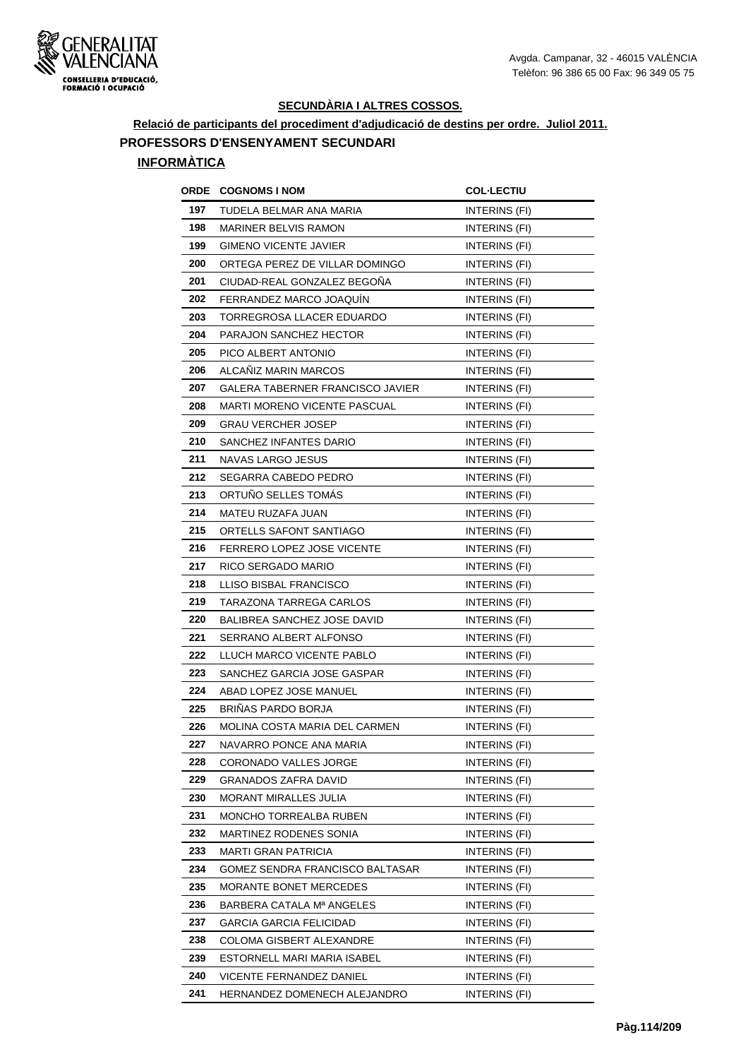

**Relació de participants del procediment d'adjudicació de destins per ordre. Juliol 2011. PROFESSORS D'ENSENYAMENT SECUNDARI**

| ORDE | <b>COGNOMS I NOM</b>               | <b>COL·LECTIU</b>    |
|------|------------------------------------|----------------------|
| 197  | TUDELA BELMAR ANA MARIA            | INTERINS (FI)        |
| 198  | <b>MARINER BELVIS RAMON</b>        | <b>INTERINS (FI)</b> |
| 199  | <b>GIMENO VICENTE JAVIER</b>       | INTERINS (FI)        |
| 200  | ORTEGA PEREZ DE VILLAR DOMINGO     | INTERINS (FI)        |
| 201  | CIUDAD-REAL GONZALEZ BEGOÑA        | INTERINS (FI)        |
| 202  | FERRANDEZ MARCO JOAQUÍN            | INTERINS (FI)        |
| 203  | TORREGROSA LLACER EDUARDO          | INTERINS (FI)        |
| 204  | PARAJON SANCHEZ HECTOR             | <b>INTERINS (FI)</b> |
| 205  | PICO ALBERT ANTONIO                | <b>INTERINS (FI)</b> |
| 206  | ALCANIZ MARIN MARCOS               | INTERINS (FI)        |
| 207  | GALERA TABERNER FRANCISCO JAVIER   | INTERINS (FI)        |
| 208  | MARTI MORENO VICENTE PASCUAL       | INTERINS (FI)        |
| 209  | <b>GRAU VERCHER JOSEP</b>          | INTERINS (FI)        |
| 210  | SANCHEZ INFANTES DARIO             | INTERINS (FI)        |
| 211  | NAVAS LARGO JESUS                  | INTERINS (FI)        |
| 212  | SEGARRA CABEDO PEDRO               | INTERINS (FI)        |
| 213  | ORTUNO SELLES TOMAS                | INTERINS (FI)        |
| 214  | MATEU RUZAFA JUAN                  | INTERINS (FI)        |
| 215  | ORTELLS SAFONT SANTIAGO            | INTERINS (FI)        |
| 216  | <b>FERRERO LOPEZ JOSE VICENTE</b>  | INTERINS (FI)        |
| 217  | RICO SERGADO MARIO                 | INTERINS (FI)        |
| 218  | LLISO BISBAL FRANCISCO             | INTERINS (FI)        |
| 219  | TARAZONA TARREGA CARLOS            | INTERINS (FI)        |
| 220  | <b>BALIBREA SANCHEZ JOSE DAVID</b> | <b>INTERINS (FI)</b> |
| 221  | SERRANO ALBERT ALFONSO             | INTERINS (FI)        |
| 222  | LLUCH MARCO VICENTE PABLO          | INTERINS (FI)        |
| 223  | SANCHEZ GARCIA JOSE GASPAR         | INTERINS (FI)        |
| 224  | ABAD LOPEZ JOSE MANUEL             | INTERINS (FI)        |
| 225  | BRIÑAS PARDO BORJA                 | INTERINS (FI)        |
| 226  | MOLINA COSTA MARIA DEL CARMEN      | INTERINS (FI)        |
| 227  | NAVARRO PONCE ANA MARIA            | INTERINS (FI)        |
| 228  | CORONADO VALLES JORGE              | INTERINS (FI)        |
| 229  | <b>GRANADOS ZAFRA DAVID</b>        | INTERINS (FI)        |
| 230  | MORANT MIRALLES JULIA              | INTERINS (FI)        |
| 231  | MONCHO TORREALBA RUBEN             | INTERINS (FI)        |
| 232  | MARTINEZ RODENES SONIA             | INTERINS (FI)        |
| 233  | MARTI GRAN PATRICIA                | INTERINS (FI)        |
| 234  | GOMEZ SENDRA FRANCISCO BALTASAR    | INTERINS (FI)        |
| 235  | MORANTE BONET MERCEDES             | INTERINS (FI)        |
| 236  | BARBERA CATALA Mª ANGELES          | INTERINS (FI)        |
| 237  | GARCIA GARCIA FELICIDAD            | INTERINS (FI)        |
| 238  | COLOMA GISBERT ALEXANDRE           | INTERINS (FI)        |
| 239  | ESTORNELL MARI MARIA ISABEL        | INTERINS (FI)        |
| 240  | VICENTE FERNANDEZ DANIEL           | INTERINS (FI)        |
| 241  | HERNANDEZ DOMENECH ALEJANDRO       | INTERINS (FI)        |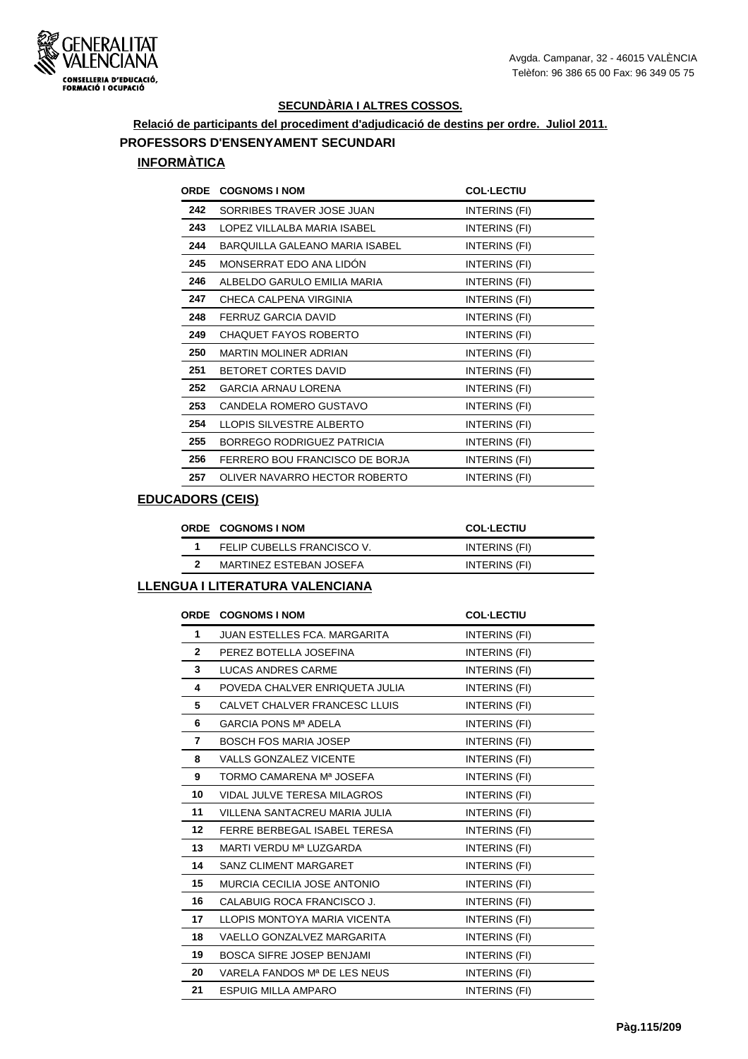

#### **Relació de participants del procediment d'adjudicació de destins per ordre. Juliol 2011. PROFESSORS D'ENSENYAMENT SECUNDARI**

# **INFORMÀTICA**

| <b>ORDE</b> | <b>COGNOMS I NOM</b>           | <b>COL-LECTIU</b> |
|-------------|--------------------------------|-------------------|
| 242         | SORRIBES TRAVER JOSE JUAN      | INTERINS (FI)     |
| 243         | LOPEZ VILLALBA MARIA ISABEL    | INTERINS (FI)     |
| 244         | BARQUILLA GALEANO MARIA ISABEL | INTERINS (FI)     |
| 245         | MONSERRAT EDO ANA LIDON        | INTERINS (FI)     |
| 246         | ALBELDO GARULO EMILIA MARIA    | INTERINS (FI)     |
| 247         | CHECA CALPENA VIRGINIA         | INTERINS (FI)     |
| 248         | FERRUZ GARCIA DAVID            | INTERINS (FI)     |
| 249         | <b>CHAQUET FAYOS ROBERTO</b>   | INTERINS (FI)     |
| 250         | MARTIN MOLINER ADRIAN          | INTERINS (FI)     |
| 251         | BETORET CORTES DAVID           | INTERINS (FI)     |
| 252         | <b>GARCIA ARNAU LORENA</b>     | INTERINS (FI)     |
| 253         | CANDELA ROMERO GUSTAVO         | INTERINS (FI)     |
| 254         | LLOPIS SILVESTRE ALBERTO       | INTERINS (FI)     |
| 255         | BORREGO RODRIGUEZ PATRICIA     | INTERINS (FI)     |
| 256         | FERRERO BOU FRANCISCO DE BORJA | INTERINS (FI)     |
| 257         | OLIVER NAVARRO HECTOR ROBERTO  | INTERINS (FI)     |

#### **EDUCADORS (CEIS)**

| <b>ORDE COGNOMS INOM</b>   | <b>COL-LECTIU</b> |
|----------------------------|-------------------|
| FELIP CUBELLS FRANCISCO V. | INTERINS (FI)     |
| MARTINEZ ESTEBAN JOSEFA    | INTERINS (FI)     |
|                            |                   |

|                 | <b>ORDE COGNOMS INOM</b>            | <b>COL-LECTIU</b>    |
|-----------------|-------------------------------------|----------------------|
| 1               | <b>JUAN ESTELLES FCA, MARGARITA</b> | INTERINS (FI)        |
| $\mathbf{2}$    | PEREZ BOTELLA JOSEFINA              | INTERINS (FI)        |
| 3               | <b>LUCAS ANDRES CARME</b>           | INTERINS (FI)        |
| 4               | POVEDA CHALVER ENRIQUETA JULIA      | INTERINS (FI)        |
| 5               | CALVET CHALVER FRANCESC LLUIS       | INTERINS (FI)        |
| 6               | <b>GARCIA PONS Mª ADELA</b>         | INTERINS (FI)        |
| 7               | <b>BOSCH FOS MARIA JOSEP</b>        | INTERINS (FI)        |
| 8               | <b>VALLS GONZALEZ VICENTE</b>       | INTERINS (FI)        |
| 9               | TORMO CAMARENA Mª JOSEFA            | INTERINS (FI)        |
| 10              | VIDAL JULVE TERESA MILAGROS         | INTERINS (FI)        |
| 11              | VILLENA SANTACREU MARIA JULIA       | INTERINS (FI)        |
| 12 <sup>2</sup> | FERRE BERBEGAL ISABEL TERESA        | INTERINS (FI)        |
| 13              | MARTI VERDU Mª LUZGARDA             | INTERINS (FI)        |
| 14              | <b>SANZ CLIMENT MARGARET</b>        | INTERINS (FI)        |
| 15              | MURCIA CECILIA JOSE ANTONIO         | INTERINS (FI)        |
| 16              | CALABUIG ROCA FRANCISCO J.          | INTERINS (FI)        |
| 17              | LLOPIS MONTOYA MARIA VICENTA        | INTERINS (FI)        |
| 18              | VAELLO GONZALVEZ MARGARITA          | INTERINS (FI)        |
| 19              | <b>BOSCA SIFRE JOSEP BENJAMI</b>    | INTERINS (FI)        |
| 20              | VARELA FANDOS Mª DE LES NEUS        | INTERINS (FI)        |
| 21              | <b>ESPUIG MILLA AMPARO</b>          | <b>INTERINS (FI)</b> |
|                 |                                     |                      |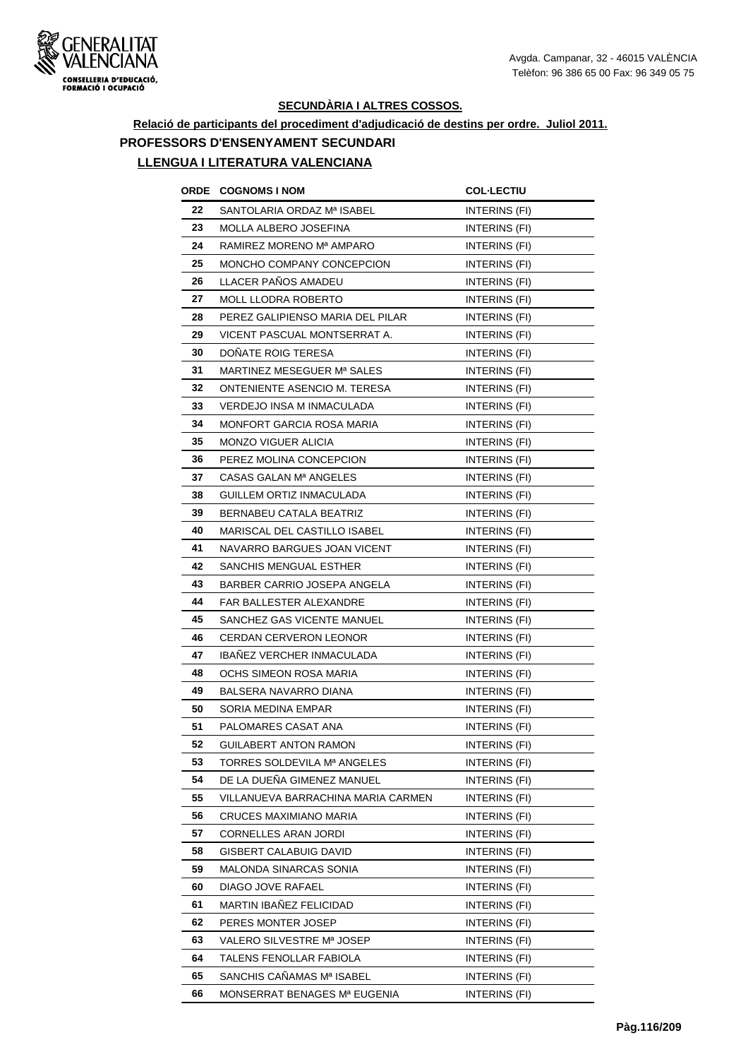

# **Relació de participants del procediment d'adjudicació de destins per ordre. Juliol 2011. PROFESSORS D'ENSENYAMENT SECUNDARI**

| ORDE | <b>COGNOMS I NOM</b>               | <b>COL-LECTIU</b>    |
|------|------------------------------------|----------------------|
| 22   | SANTOLARIA ORDAZ Mª ISABEL         | INTERINS (FI)        |
| 23   | MOLLA ALBERO JOSEFINA              | <b>INTERINS (FI)</b> |
| 24   | RAMIREZ MORENO Mª AMPARO           | INTERINS (FI)        |
| 25   | MONCHO COMPANY CONCEPCION          | INTERINS (FI)        |
| 26   | LLACER PAÑOS AMADEU                | INTERINS (FI)        |
| 27   | <b>MOLL LLODRA ROBERTO</b>         | INTERINS (FI)        |
| 28   | PEREZ GALIPIENSO MARIA DEL PILAR   | INTERINS (FI)        |
| 29   | VICENT PASCUAL MONTSERRAT A.       | <b>INTERINS (FI)</b> |
| 30   | DONATE ROIG TERESA                 | INTERINS (FI)        |
| 31   | MARTINEZ MESEGUER Mª SALES         | INTERINS (FI)        |
| 32   | ONTENIENTE ASENCIO M. TERESA       | INTERINS (FI)        |
| 33   | VERDEJO INSA M INMACULADA          | INTERINS (FI)        |
| 34   | <b>MONFORT GARCIA ROSA MARIA</b>   | <b>INTERINS (FI)</b> |
| 35   | <b>MONZO VIGUER ALICIA</b>         | INTERINS (FI)        |
| 36   | PEREZ MOLINA CONCEPCION            | <b>INTERINS (FI)</b> |
| 37   | CASAS GALAN Mª ANGELES             | INTERINS (FI)        |
| 38   | GUILLEM ORTIZ INMACULADA           | <b>INTERINS (FI)</b> |
| 39   | BERNABEU CATALA BEATRIZ            | INTERINS (FI)        |
| 40   | MARISCAL DEL CASTILLO ISABEL       | INTERINS (FI)        |
| 41   | NAVARRO BARGUES JOAN VICENT        | INTERINS (FI)        |
| 42   | SANCHIS MENGUAL ESTHER             | INTERINS (FI)        |
| 43   | BARBER CARRIO JOSEPA ANGELA        | INTERINS (FI)        |
| 44   | FAR BALLESTER ALEXANDRE            | <b>INTERINS (FI)</b> |
| 45   | SANCHEZ GAS VICENTE MANUEL         | INTERINS (FI)        |
| 46   | CERDAN CERVERON LEONOR             | INTERINS (FI)        |
| 47   | <b>IBANEZ VERCHER INMACULADA</b>   | INTERINS (FI)        |
| 48   | OCHS SIMEON ROSA MARIA             | INTERINS (FI)        |
| 49   | BALSERA NAVARRO DIANA              | INTERINS (FI)        |
| 50   | SORIA MEDINA EMPAR                 | INTERINS (FI)        |
| 51   | PALOMARES CASAT ANA                | INTERINS (FI)        |
| 52   | GUILABERT ANTON RAMON              | INTERINS (FI)        |
| 53   | TORRES SOLDEVILA Mª ANGELES        | INTERINS (FI)        |
| 54   | DE LA DUENA GIMENEZ MANUEL         | INTERINS (FI)        |
| 55   | VILLANUEVA BARRACHINA MARIA CARMEN | INTERINS (FI)        |
| 56   | CRUCES MAXIMIANO MARIA             | INTERINS (FI)        |
| 57   | CORNELLES ARAN JORDI               | INTERINS (FI)        |
| 58   | GISBERT CALABUIG DAVID             | INTERINS (FI)        |
| 59   | MALONDA SINARCAS SONIA             | INTERINS (FI)        |
| 60   | DIAGO JOVE RAFAEL                  | INTERINS (FI)        |
| 61   | MARTIN IBAÑEZ FELICIDAD            | <b>INTERINS (FI)</b> |
| 62   | PERES MONTER JOSEP                 | INTERINS (FI)        |
| 63   | VALERO SILVESTRE Mª JOSEP          | INTERINS (FI)        |
| 64   | TALENS FENOLLAR FABIOLA            | INTERINS (FI)        |
| 65   | SANCHIS CAÑAMAS Mª ISABEL          | INTERINS (FI)        |
| 66   | MONSERRAT BENAGES Mª EUGENIA       | INTERINS (FI)        |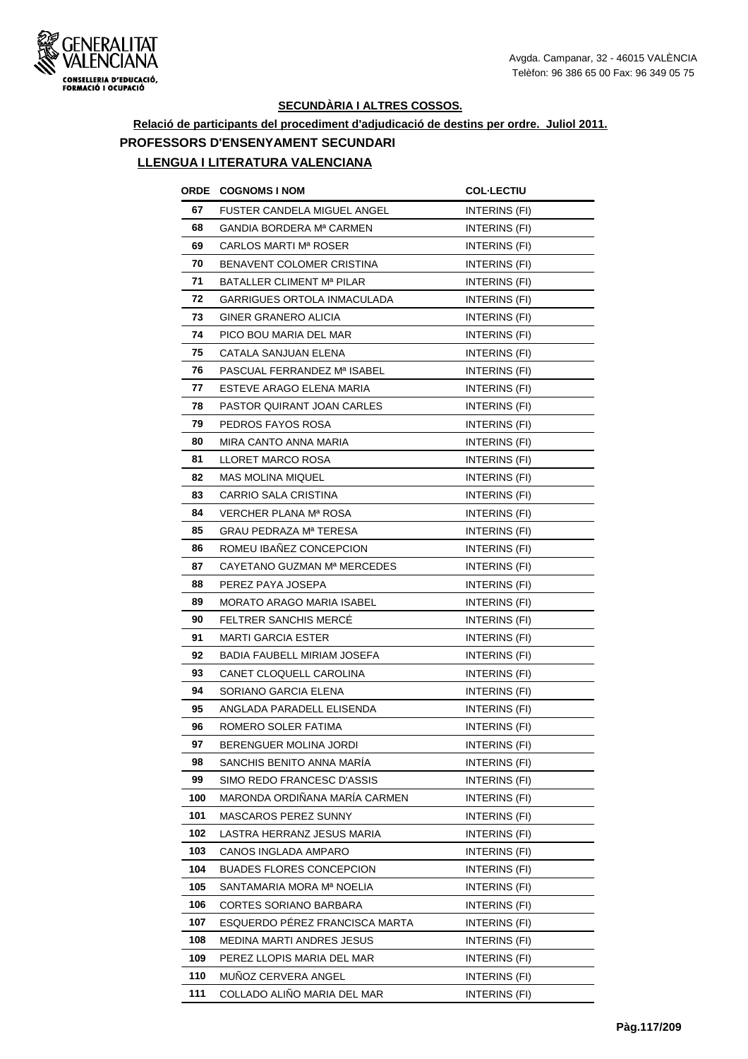

# **Relació de participants del procediment d'adjudicació de destins per ordre. Juliol 2011. PROFESSORS D'ENSENYAMENT SECUNDARI**

| ORDE | <b>COGNOMS I NOM</b>            | <b>COL·LECTIU</b>    |
|------|---------------------------------|----------------------|
| 67   | FUSTER CANDELA MIGUEL ANGEL     | INTERINS (FI)        |
| 68   | GANDIA BORDERA Mª CARMEN        | INTERINS (FI)        |
| 69   | CARLOS MARTI Mª ROSER           | INTERINS (FI)        |
| 70   | BENAVENT COLOMER CRISTINA       | INTERINS (FI)        |
| 71   | BATALLER CLIMENT Mª PILAR       | INTERINS (FI)        |
| 72   | GARRIGUES ORTOLA INMACULADA     | INTERINS (FI)        |
| 73   | GINER GRANERO ALICIA            | INTERINS (FI)        |
| 74   | PICO BOU MARIA DEL MAR          | <b>INTERINS (FI)</b> |
| 75   | CATALA SANJUAN ELENA            | INTERINS (FI)        |
| 76   | PASCUAL FERRANDEZ Mª ISABEL     | INTERINS (FI)        |
| 77   | ESTEVE ARAGO ELENA MARIA        | INTERINS (FI)        |
| 78   | PASTOR QUIRANT JOAN CARLES      | INTERINS (FI)        |
| 79   | PEDROS FAYOS ROSA               | INTERINS (FI)        |
| 80   | MIRA CANTO ANNA MARIA           | INTERINS (FI)        |
| 81   | <b>LLORET MARCO ROSA</b>        | INTERINS (FI)        |
| 82   | <b>MAS MOLINA MIQUEL</b>        | INTERINS (FI)        |
| 83   | CARRIO SALA CRISTINA            | INTERINS (FI)        |
| 84   | VERCHER PLANA Mª ROSA           | INTERINS (FI)        |
| 85   | GRAU PEDRAZA Mª TERESA          | INTERINS (FI)        |
| 86   | ROMEU IBANEZ CONCEPCION         | INTERINS (FI)        |
| 87   | CAYETANO GUZMAN Mª MERCEDES     | <b>INTERINS (FI)</b> |
| 88   | PEREZ PAYA JOSEPA               | INTERINS (FI)        |
| 89   | MORATO ARAGO MARIA ISABEL       | <b>INTERINS (FI)</b> |
| 90   | <b>FELTRER SANCHIS MERCE</b>    | <b>INTERINS (FI)</b> |
| 91   | MARTI GARCIA ESTER              | INTERINS (FI)        |
| 92   | BADIA FAUBELL MIRIAM JOSEFA     | <b>INTERINS (FI)</b> |
| 93   | CANET CLOQUELL CAROLINA         | INTERINS (FI)        |
| 94   | SORIANO GARCIA ELENA            | INTERINS (FI)        |
| 95   | ANGLADA PARADELL ELISENDA       | INTERINS (FI)        |
| 96   | ROMERO SOLER FATIMA             | INTERINS (FI)        |
| 97   | BERENGUER MOLINA JORDI          | INTERINS (FI)        |
| 98   | SANCHIS BENITO ANNA MARÍA       | INTERINS (FI)        |
| 99   | SIMO REDO FRANCESC D'ASSIS      | INTERINS (FI)        |
| 100  | MARONDA ORDIÑANA MARÍA CARMEN   | INTERINS (FI)        |
| 101  | <b>MASCAROS PEREZ SUNNY</b>     | INTERINS (FI)        |
| 102  | LASTRA HERRANZ JESUS MARIA      | INTERINS (FI)        |
| 103  | CANOS INGLADA AMPARO            | INTERINS (FI)        |
| 104  | <b>BUADES FLORES CONCEPCION</b> | INTERINS (FI)        |
| 105  | SANTAMARIA MORA Mª NOELIA       | INTERINS (FI)        |
| 106  | CORTES SORIANO BARBARA          | INTERINS (FI)        |
| 107  | ESQUERDO PÉREZ FRANCISCA MARTA  | INTERINS (FI)        |
| 108  | MEDINA MARTI ANDRES JESUS       | INTERINS (FI)        |
| 109  | PEREZ LLOPIS MARIA DEL MAR      | INTERINS (FI)        |
| 110  | MUÑOZ CERVERA ANGEL             | INTERINS (FI)        |
| 111  | COLLADO ALIÑO MARIA DEL MAR     | INTERINS (FI)        |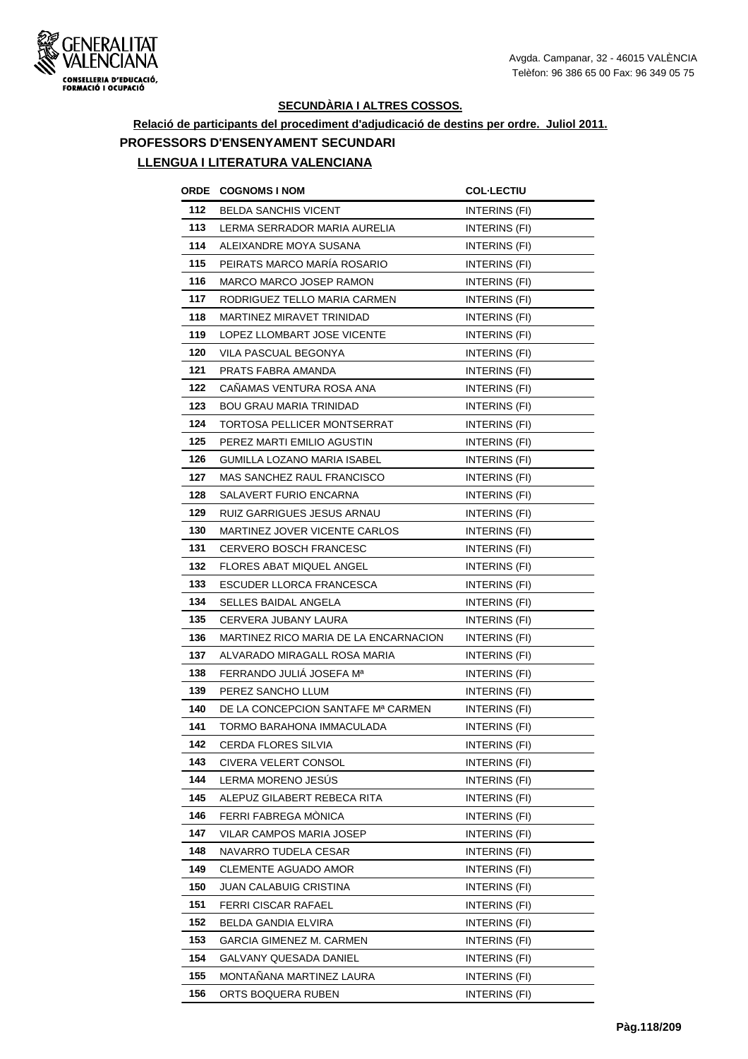

# **Relació de participants del procediment d'adjudicació de destins per ordre. Juliol 2011. PROFESSORS D'ENSENYAMENT SECUNDARI**

| ORDE | <b>COGNOMS I NOM</b>                  | <b>COL·LECTIU</b>    |
|------|---------------------------------------|----------------------|
| 112  | <b>BELDA SANCHIS VICENT</b>           | INTERINS (FI)        |
| 113  | LERMA SERRADOR MARIA AURELIA          | INTERINS (FI)        |
| 114  | ALEIXANDRE MOYA SUSANA                | INTERINS (FI)        |
| 115  | PEIRATS MARCO MARÍA ROSARIO           | INTERINS (FI)        |
| 116  | MARCO MARCO JOSEP RAMON               | INTERINS (FI)        |
| 117  | RODRIGUEZ TELLO MARIA CARMEN          | INTERINS (FI)        |
| 118  | MARTINEZ MIRAVET TRINIDAD             | <b>INTERINS (FI)</b> |
| 119  | LOPEZ LLOMBART JOSE VICENTE           | INTERINS (FI)        |
| 120  | VILA PASCUAL BEGONYA                  | INTERINS (FI)        |
| 121  | PRATS FABRA AMANDA                    | INTERINS (FI)        |
| 122  | CANAMAS VENTURA ROSA ANA              | INTERINS (FI)        |
| 123  | <b>BOU GRAU MARIA TRINIDAD</b>        | INTERINS (FI)        |
| 124  | TORTOSA PELLICER MONTSERRAT           | INTERINS (FI)        |
| 125  | PEREZ MARTI EMILIO AGUSTIN            | INTERINS (FI)        |
| 126  | GUMILLA LOZANO MARIA ISABEL           | <b>INTERINS (FI)</b> |
| 127  | <b>MAS SANCHEZ RAUL FRANCISCO</b>     | <b>INTERINS (FI)</b> |
| 128  | SALAVERT FURIO ENCARNA                | INTERINS (FI)        |
| 129  | RUIZ GARRIGUES JESUS ARNAU            | INTERINS (FI)        |
| 130  | MARTINEZ JOVER VICENTE CARLOS         | INTERINS (FI)        |
| 131  | <b>CERVERO BOSCH FRANCESC</b>         | INTERINS (FI)        |
| 132  | FLORES ABAT MIQUEL ANGEL              | INTERINS (FI)        |
| 133  | ESCUDER LLORCA FRANCESCA              | INTERINS (FI)        |
| 134  | SELLES BAIDAL ANGELA                  | INTERINS (FI)        |
| 135  | CERVERA JUBANY LAURA                  | INTERINS (FI)        |
| 136  | MARTINEZ RICO MARIA DE LA ENCARNACION | INTERINS (FI)        |
| 137  | ALVARADO MIRAGALL ROSA MARIA          | INTERINS (FI)        |
| 138  | FERRANDO JULIÁ JOSEFA Mª              | INTERINS (FI)        |
| 139  | PEREZ SANCHO LLUM                     | INTERINS (FI)        |
| 140  | DE LA CONCEPCION SANTAFE Mª CARMEN    | INTERINS (FI)        |
| 141  | TORMO BARAHONA IMMACULADA             | INTERINS (FI)        |
| 142  | CERDA FLORES SILVIA                   | INTERINS (FI)        |
| 143  | CIVERA VELERT CONSOL                  | INTERINS (FI)        |
| 144  | LERMA MORENO JESÚS                    | INTERINS (FI)        |
| 145  | ALEPUZ GILABERT REBECA RITA           | INTERINS (FI)        |
| 146  | FERRI FABREGA MONICA                  | INTERINS (FI)        |
| 147  | VILAR CAMPOS MARIA JOSEP              | INTERINS (FI)        |
| 148  | NAVARRO TUDELA CESAR                  | INTERINS (FI)        |
| 149  | CLEMENTE AGUADO AMOR                  | INTERINS (FI)        |
| 150  | JUAN CALABUIG CRISTINA                | INTERINS (FI)        |
| 151  | <b>FERRI CISCAR RAFAEL</b>            | INTERINS (FI)        |
| 152  | BELDA GANDIA ELVIRA                   | INTERINS (FI)        |
| 153  | GARCIA GIMENEZ M. CARMEN              | INTERINS (FI)        |
| 154  | GALVANY QUESADA DANIEL                | INTERINS (FI)        |
| 155  | MONTAÑANA MARTINEZ LAURA              | INTERINS (FI)        |
| 156  | ORTS BOQUERA RUBEN                    | INTERINS (FI)        |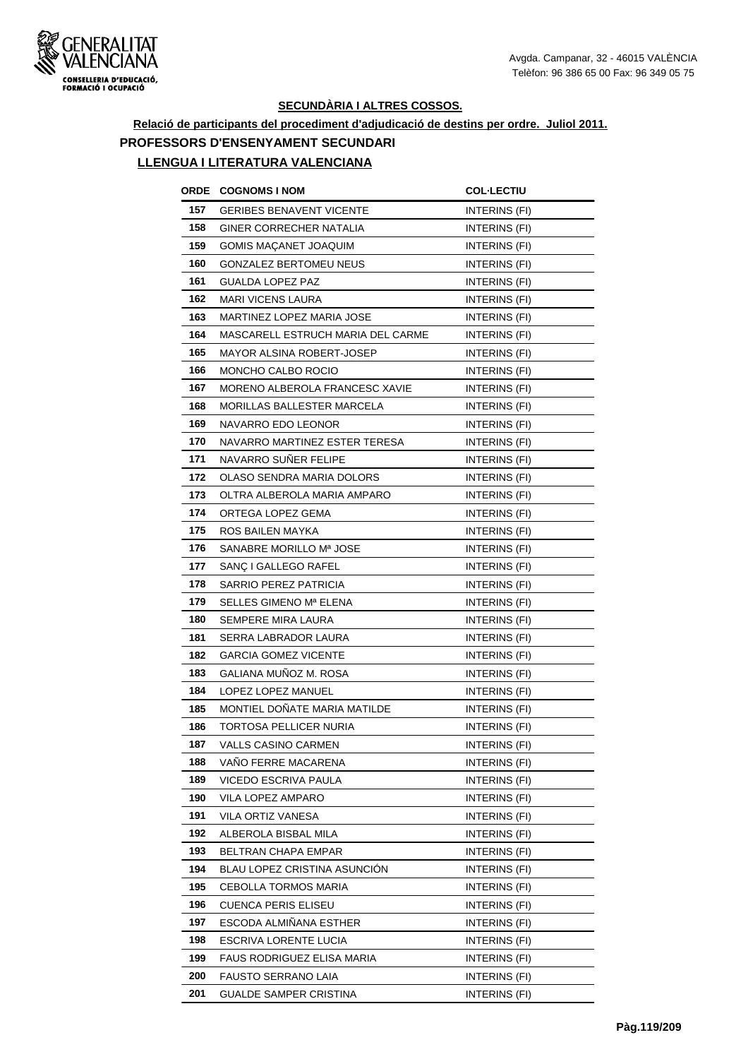

# **Relació de participants del procediment d'adjudicació de destins per ordre. Juliol 2011. PROFESSORS D'ENSENYAMENT SECUNDARI**

| ORDE | <b>COGNOMS I NOM</b>              | <b>COL·LECTIU</b>    |
|------|-----------------------------------|----------------------|
| 157  | <b>GERIBES BENAVENT VICENTE</b>   | INTERINS (FI)        |
| 158  | GINER CORRECHER NATALIA           | INTERINS (FI)        |
| 159  | GOMIS MAÇANET JOAQUIM             | INTERINS (FI)        |
| 160  | <b>GONZALEZ BERTOMEU NEUS</b>     | INTERINS (FI)        |
| 161  | GUALDA LOPEZ PAZ                  | INTERINS (FI)        |
| 162  | <b>MARI VICENS LAURA</b>          | INTERINS (FI)        |
| 163  | MARTINEZ LOPEZ MARIA JOSE         | INTERINS (FI)        |
| 164  | MASCARELL ESTRUCH MARIA DEL CARME | INTERINS (FI)        |
| 165  | MAYOR ALSINA ROBERT-JOSEP         | INTERINS (FI)        |
| 166  | MONCHO CALBO ROCIO                | INTERINS (FI)        |
| 167  | MORENO ALBEROLA FRANCESC XAVIE    | INTERINS (FI)        |
| 168  | MORILLAS BALLESTER MARCELA        | INTERINS (FI)        |
| 169  | NAVARRO EDO LEONOR                | INTERINS (FI)        |
| 170  | NAVARRO MARTINEZ ESTER TERESA     | INTERINS (FI)        |
| 171  | NAVARRO SUÑER FELIPE              | INTERINS (FI)        |
| 172  | OLASO SENDRA MARIA DOLORS         | INTERINS (FI)        |
| 173  | OLTRA ALBEROLA MARIA AMPARO       | INTERINS (FI)        |
| 174  | ORTEGA LOPEZ GEMA                 | INTERINS (FI)        |
| 175  | ROS BAILEN MAYKA                  | INTERINS (FI)        |
| 176  | SANABRE MORILLO Mª JOSE           | INTERINS (FI)        |
| 177  | SANÇ I GALLEGO RAFEL              | INTERINS (FI)        |
| 178  | SARRIO PEREZ PATRICIA             | INTERINS (FI)        |
| 179  | SELLES GIMENO Mª ELENA            | INTERINS (FI)        |
| 180  | SEMPERE MIRA LAURA                | INTERINS (FI)        |
| 181  | SERRA LABRADOR LAURA              | INTERINS (FI)        |
| 182  | <b>GARCIA GOMEZ VICENTE</b>       | INTERINS (FI)        |
| 183  | GALIANA MUÑOZ M. ROSA             | INTERINS (FI)        |
| 184  | LOPEZ LOPEZ MANUEL                | INTERINS (FI)        |
| 185  | MONTIEL DONATE MARIA MATILDE      | INTERINS (FI)        |
| 186  | TORTOSA PELLICER NURIA            | <b>INTERINS (FI)</b> |
| 187  | VALLS CASINO CARMEN               | INTERINS (FI)        |
| 188  | VAÑO FERRE MACARENA               | INTERINS (FI)        |
| 189  | VICEDO ESCRIVA PAULA              | INTERINS (FI)        |
| 190  | VILA LOPEZ AMPARO                 | INTERINS (FI)        |
| 191  | VILA ORTIZ VANESA                 | INTERINS (FI)        |
| 192  | ALBEROLA BISBAL MILA              | INTERINS (FI)        |
| 193  | BELTRAN CHAPA EMPAR               | INTERINS (FI)        |
| 194  | BLAU LOPEZ CRISTINA ASUNCION      | INTERINS (FI)        |
| 195  | CEBOLLA TORMOS MARIA              | INTERINS (FI)        |
| 196  | <b>CUENCA PERIS ELISEU</b>        | INTERINS (FI)        |
| 197  | ESCODA ALMIÑANA ESTHER            | INTERINS (FI)        |
| 198  | ESCRIVA LORENTE LUCIA             | INTERINS (FI)        |
| 199  | FAUS RODRIGUEZ ELISA MARIA        | INTERINS (FI)        |
| 200  | FAUSTO SERRANO LAIA               | INTERINS (FI)        |
| 201  | GUALDE SAMPER CRISTINA            | INTERINS (FI)        |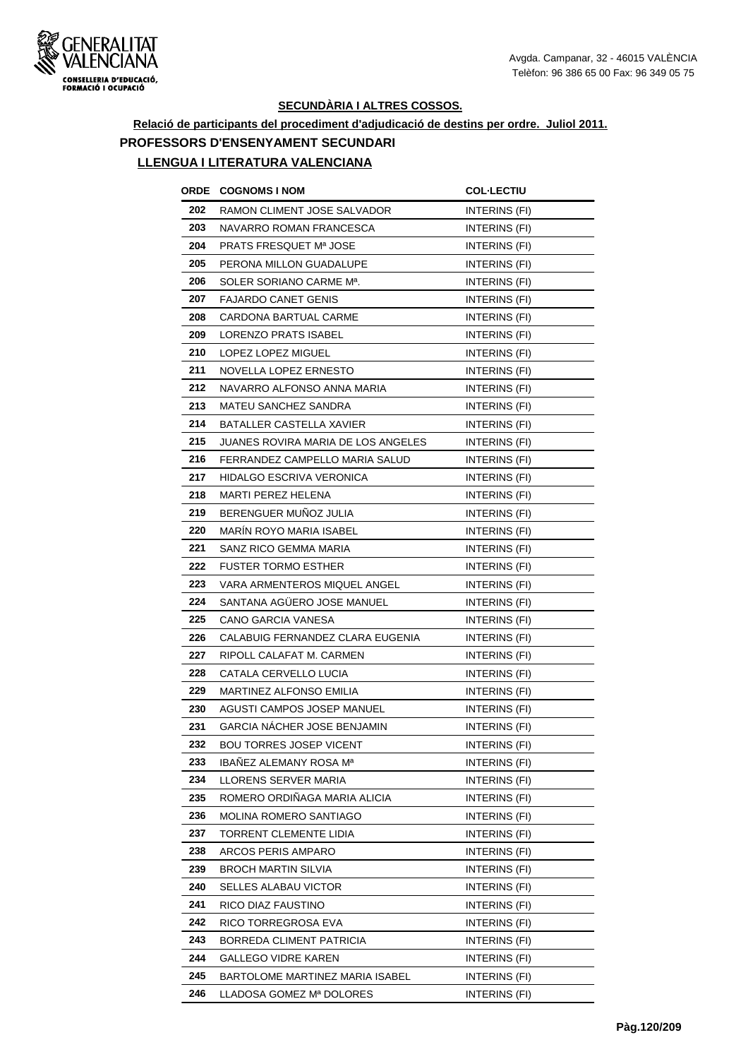

# **Relació de participants del procediment d'adjudicació de destins per ordre. Juliol 2011. PROFESSORS D'ENSENYAMENT SECUNDARI**

| ORDE | <b>COGNOMS I NOM</b>                 | <b>COL·LECTIU</b>    |
|------|--------------------------------------|----------------------|
| 202  | RAMON CLIMENT JOSE SALVADOR          | INTERINS (FI)        |
| 203  | NAVARRO ROMAN FRANCESCA              | INTERINS (FI)        |
| 204  | PRATS FRESQUET Mª JOSE               | INTERINS (FI)        |
| 205  | PERONA MILLON GUADALUPE              | INTERINS (FI)        |
| 206  | SOLER SORIANO CARME M <sup>a</sup> . | INTERINS (FI)        |
| 207  | <b>FAJARDO CANET GENIS</b>           | INTERINS (FI)        |
| 208  | CARDONA BARTUAL CARME                | INTERINS (FI)        |
| 209  | LORENZO PRATS ISABEL                 | INTERINS (FI)        |
| 210  | LOPEZ LOPEZ MIGUEL                   | INTERINS (FI)        |
| 211  | NOVELLA LOPEZ ERNESTO                | INTERINS (FI)        |
| 212  | NAVARRO ALFONSO ANNA MARIA           | INTERINS (FI)        |
| 213  | MATEU SANCHEZ SANDRA                 | <b>INTERINS (FI)</b> |
| 214  | BATALLER CASTELLA XAVIER             | INTERINS (FI)        |
| 215  | JUANES ROVIRA MARIA DE LOS ANGELES   | INTERINS (FI)        |
| 216  | FERRANDEZ CAMPELLO MARIA SALUD       | INTERINS (FI)        |
| 217  | <b>HIDALGO ESCRIVA VERONICA</b>      | INTERINS (FI)        |
| 218  | MARTI PEREZ HELENA                   | INTERINS (FI)        |
| 219  | BERENGUER MUÑOZ JULIA                | INTERINS (FI)        |
| 220  | <b>MARIN ROYO MARIA ISABEL</b>       | INTERINS (FI)        |
| 221  | SANZ RICO GEMMA MARIA                | INTERINS (FI)        |
| 222  | <b>FUSTER TORMO ESTHER</b>           | INTERINS (FI)        |
| 223  | VARA ARMENTEROS MIQUEL ANGEL         | INTERINS (FI)        |
| 224  | SANTANA AGUERO JOSE MANUEL           | INTERINS (FI)        |
| 225  | CANO GARCIA VANESA                   | INTERINS (FI)        |
| 226  | CALABUIG FERNANDEZ CLARA EUGENIA     | INTERINS (FI)        |
| 227  | RIPOLL CALAFAT M. CARMEN             | INTERINS (FI)        |
| 228  | CATALA CERVELLO LUCIA                | INTERINS (FI)        |
| 229  | <b>MARTINEZ ALFONSO EMILIA</b>       | INTERINS (FI)        |
| 230  | AGUSTI CAMPOS JOSEP MANUEL           | INTERINS (FI)        |
| 231  | GARCIA NACHER JOSE BENJAMIN          | INTERINS (FI)        |
| 232  | BOU TORRES JOSEP VICENT              | INTERINS (FI)        |
| 233  | <b>IBANEZ ALEMANY ROSA Ma</b>        | INTERINS (FI)        |
| 234  | LLORENS SERVER MARIA                 | INTERINS (FI)        |
| 235  | ROMERO ORDINAGA MARIA ALICIA         | INTERINS (FI)        |
| 236  | MOLINA ROMERO SANTIAGO               | INTERINS (FI)        |
| 237  | TORRENT CLEMENTE LIDIA               | INTERINS (FI)        |
| 238  | ARCOS PERIS AMPARO                   | INTERINS (FI)        |
| 239  | BROCH MARTIN SILVIA                  | INTERINS (FI)        |
| 240  | SELLES ALABAU VICTOR                 | INTERINS (FI)        |
| 241  | RICO DIAZ FAUSTINO                   | INTERINS (FI)        |
| 242  | RICO TORREGROSA EVA                  | INTERINS (FI)        |
| 243  | BORREDA CLIMENT PATRICIA             | INTERINS (FI)        |
| 244  | <b>GALLEGO VIDRE KAREN</b>           | INTERINS (FI)        |
| 245  | BARTOLOME MARTINEZ MARIA ISABEL      | INTERINS (FI)        |
| 246  | LLADOSA GOMEZ Mª DOLORES             | INTERINS (FI)        |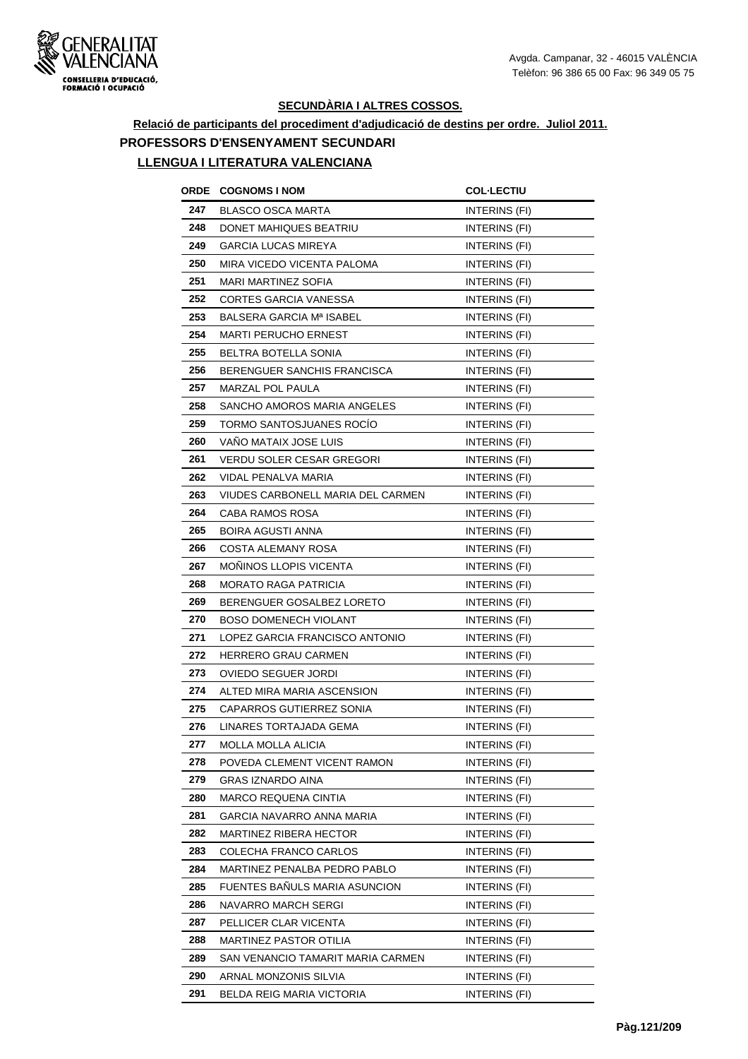

# **Relació de participants del procediment d'adjudicació de destins per ordre. Juliol 2011. PROFESSORS D'ENSENYAMENT SECUNDARI**

| ORDE | <b>COGNOMS I NOM</b>              | <b>COL-LECTIU</b>    |
|------|-----------------------------------|----------------------|
| 247  | <b>BLASCO OSCA MARTA</b>          | INTERINS (FI)        |
| 248  | DONET MAHIQUES BEATRIU            | INTERINS (FI)        |
| 249  | <b>GARCIA LUCAS MIREYA</b>        | INTERINS (FI)        |
| 250  | MIRA VICEDO VICENTA PALOMA        | INTERINS (FI)        |
| 251  | MARI MARTINEZ SOFIA               | INTERINS (FI)        |
| 252  | <b>CORTES GARCIA VANESSA</b>      | INTERINS (FI)        |
| 253  | BALSERA GARCIA Mª ISABEL          | INTERINS (FI)        |
| 254  | <b>MARTI PERUCHO ERNEST</b>       | <b>INTERINS (FI)</b> |
| 255  | BELTRA BOTELLA SONIA              | <b>INTERINS (FI)</b> |
| 256  | BERENGUER SANCHIS FRANCISCA       | <b>INTERINS (FI)</b> |
| 257  | MARZAL POL PAULA                  | INTERINS (FI)        |
| 258  | SANCHO AMOROS MARIA ANGELES       | INTERINS (FI)        |
| 259  | TORMO SANTOSJUANES ROCIO          | INTERINS (FI)        |
| 260  | VANO MATAIX JOSE LUIS             | INTERINS (FI)        |
| 261  | <b>VERDU SOLER CESAR GREGORI</b>  | <b>INTERINS (FI)</b> |
| 262  | VIDAL PENALVA MARIA               | INTERINS (FI)        |
| 263  | VIUDES CARBONELL MARIA DEL CARMEN | INTERINS (FI)        |
| 264  | CABA RAMOS ROSA                   | <b>INTERINS (FI)</b> |
| 265  | <b>BOIRA AGUSTI ANNA</b>          | INTERINS (FI)        |
| 266  | COSTA ALEMANY ROSA                | INTERINS (FI)        |
| 267  | <b>MONINOS LLOPIS VICENTA</b>     | INTERINS (FI)        |
| 268  | <b>MORATO RAGA PATRICIA</b>       | INTERINS (FI)        |
| 269  | BERENGUER GOSALBEZ LORETO         | INTERINS (FI)        |
| 270  | <b>BOSO DOMENECH VIOLANT</b>      | INTERINS (FI)        |
| 271  | LOPEZ GARCIA FRANCISCO ANTONIO    | INTERINS (FI)        |
| 272  | HERRERO GRAU CARMEN               | <b>INTERINS (FI)</b> |
| 273  | OVIEDO SEGUER JORDI               | INTERINS (FI)        |
| 274  | ALTED MIRA MARIA ASCENSION        | INTERINS (FI)        |
| 275  | CAPARROS GUTIERREZ SONIA          | INTERINS (FI)        |
| 276  | LINARES TORTAJADA GEMA            | INTERINS (FI)        |
| 277  | MOLLA MOLLA ALICIA                | INTERINS (FI)        |
| 278  | POVEDA CLEMENT VICENT RAMON       | INTERINS (FI)        |
| 279  | GRAS IZNARDO AINA                 | INTERINS (FI)        |
| 280  | MARCO REQUENA CINTIA              | INTERINS (FI)        |
| 281  | GARCIA NAVARRO ANNA MARIA         | INTERINS (FI)        |
| 282  | MARTINEZ RIBERA HECTOR            | INTERINS (FI)        |
| 283  | COLECHA FRANCO CARLOS             | INTERINS (FI)        |
| 284  | MARTINEZ PENALBA PEDRO PABLO      | INTERINS (FI)        |
| 285  | FUENTES BAÑULS MARIA ASUNCION     | INTERINS (FI)        |
| 286  | NAVARRO MARCH SERGI               | INTERINS (FI)        |
| 287  | PELLICER CLAR VICENTA             | INTERINS (FI)        |
| 288  | MARTINEZ PASTOR OTILIA            | INTERINS (FI)        |
| 289  | SAN VENANCIO TAMARIT MARIA CARMEN | INTERINS (FI)        |
| 290  | ARNAL MONZONIS SILVIA             | INTERINS (FI)        |
| 291  | BELDA REIG MARIA VICTORIA         | <b>INTERINS (FI)</b> |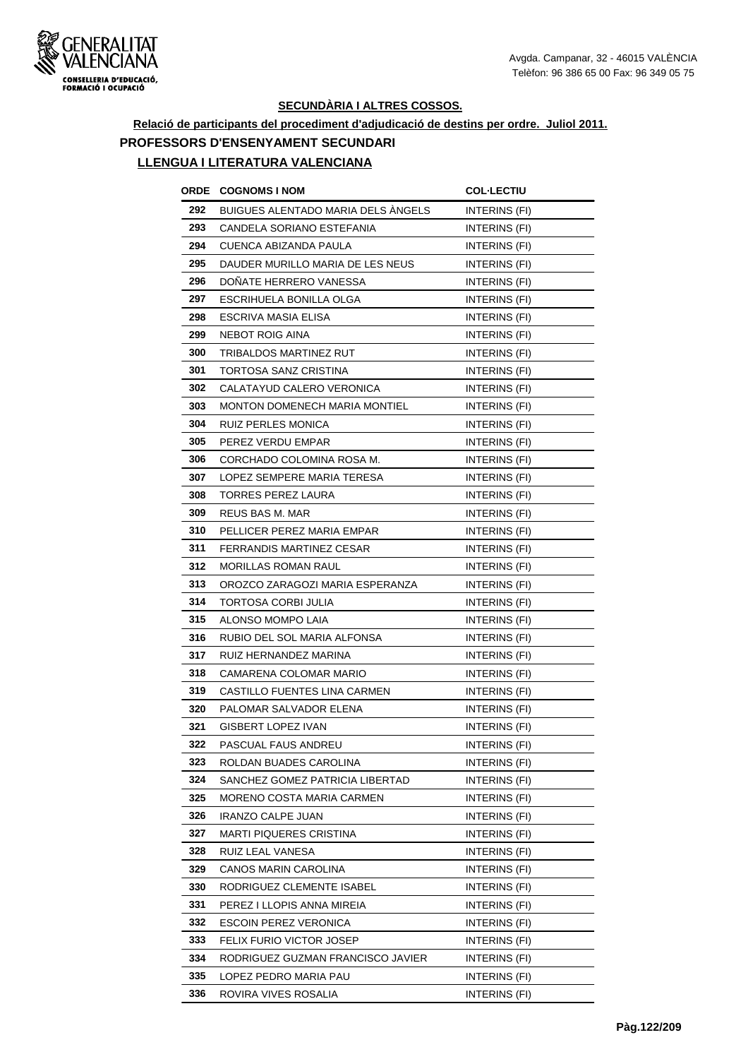

# **Relació de participants del procediment d'adjudicació de destins per ordre. Juliol 2011. PROFESSORS D'ENSENYAMENT SECUNDARI**

| ORDE | <b>COGNOMS I NOM</b>                      | <b>COL-LECTIU</b>    |
|------|-------------------------------------------|----------------------|
| 292  | <b>BUIGUES ALENTADO MARIA DELS ANGELS</b> | INTERINS (FI)        |
| 293  | CANDELA SORIANO ESTEFANIA                 | <b>INTERINS (FI)</b> |
| 294  | CUENCA ABIZANDA PAULA                     | INTERINS (FI)        |
| 295  | DAUDER MURILLO MARIA DE LES NEUS          | INTERINS (FI)        |
| 296  | DONATE HERRERO VANESSA                    | <b>INTERINS (FI)</b> |
| 297  | ESCRIHUELA BONILLA OLGA                   | INTERINS (FI)        |
| 298  | ESCRIVA MASIA ELISA                       | INTERINS (FI)        |
| 299  | <b>NEBOT ROIG AINA</b>                    | INTERINS (FI)        |
| 300  | TRIBALDOS MARTINEZ RUT                    | <b>INTERINS (FI)</b> |
| 301  | TORTOSA SANZ CRISTINA                     | INTERINS (FI)        |
| 302  | CALATAYUD CALERO VERONICA                 | INTERINS (FI)        |
| 303  | <b>MONTON DOMENECH MARIA MONTIEL</b>      | INTERINS (FI)        |
| 304  | RUIZ PERLES MONICA                        | INTERINS (FI)        |
| 305  | PEREZ VERDU EMPAR                         | INTERINS (FI)        |
| 306  | CORCHADO COLOMINA ROSA M.                 | <b>INTERINS (FI)</b> |
| 307  | LOPEZ SEMPERE MARIA TERESA                | INTERINS (FI)        |
| 308  | TORRES PEREZ LAURA                        | INTERINS (FI)        |
| 309  | REUS BAS M. MAR                           | INTERINS (FI)        |
| 310  | PELLICER PEREZ MARIA EMPAR                | INTERINS (FI)        |
| 311  | <b>FERRANDIS MARTINEZ CESAR</b>           | INTERINS (FI)        |
| 312  | <b>MORILLAS ROMAN RAUL</b>                | INTERINS (FI)        |
| 313  | OROZCO ZARAGOZI MARIA ESPERANZA           | INTERINS (FI)        |
| 314  | TORTOSA CORBI JULIA                       | INTERINS (FI)        |
| 315  | ALONSO MOMPO LAIA                         | INTERINS (FI)        |
| 316  | RUBIO DEL SOL MARIA ALFONSA               | INTERINS (FI)        |
| 317  | RUIZ HERNANDEZ MARINA                     | INTERINS (FI)        |
| 318  | CAMARENA COLOMAR MARIO                    | <b>INTERINS (FI)</b> |
| 319  | CASTILLO FUENTES LINA CARMEN              | INTERINS (FI)        |
| 320  | PALOMAR SALVADOR ELENA                    | INTERINS (FI)        |
| 321  | GISBERT LOPEZ IVAN                        | INTERINS (FI)        |
| 322  | PASCUAL FAUS ANDREU                       | INTERINS (FI)        |
| 323  | ROLDAN BUADES CAROLINA                    | INTERINS (FI)        |
| 324  | SANCHEZ GOMEZ PATRICIA LIBERTAD           | INTERINS (FI)        |
| 325  | MORENO COSTA MARIA CARMEN                 | INTERINS (FI)        |
| 326  | IRANZO CALPE JUAN                         | INTERINS (FI)        |
| 327  | MARTI PIQUERES CRISTINA                   | INTERINS (FI)        |
| 328  | RUIZ LEAL VANESA                          | INTERINS (FI)        |
| 329  | CANOS MARIN CAROLINA                      | INTERINS (FI)        |
| 330  | RODRIGUEZ CLEMENTE ISABEL                 | INTERINS (FI)        |
| 331  | PEREZ I LLOPIS ANNA MIREIA                | INTERINS (FI)        |
| 332  | <b>ESCOIN PEREZ VERONICA</b>              | INTERINS (FI)        |
| 333  | FELIX FURIO VICTOR JOSEP                  | INTERINS (FI)        |
| 334  | RODRIGUEZ GUZMAN FRANCISCO JAVIER         | INTERINS (FI)        |
| 335  | LOPEZ PEDRO MARIA PAU                     | INTERINS (FI)        |
| 336  | ROVIRA VIVES ROSALIA                      | INTERINS (FI)        |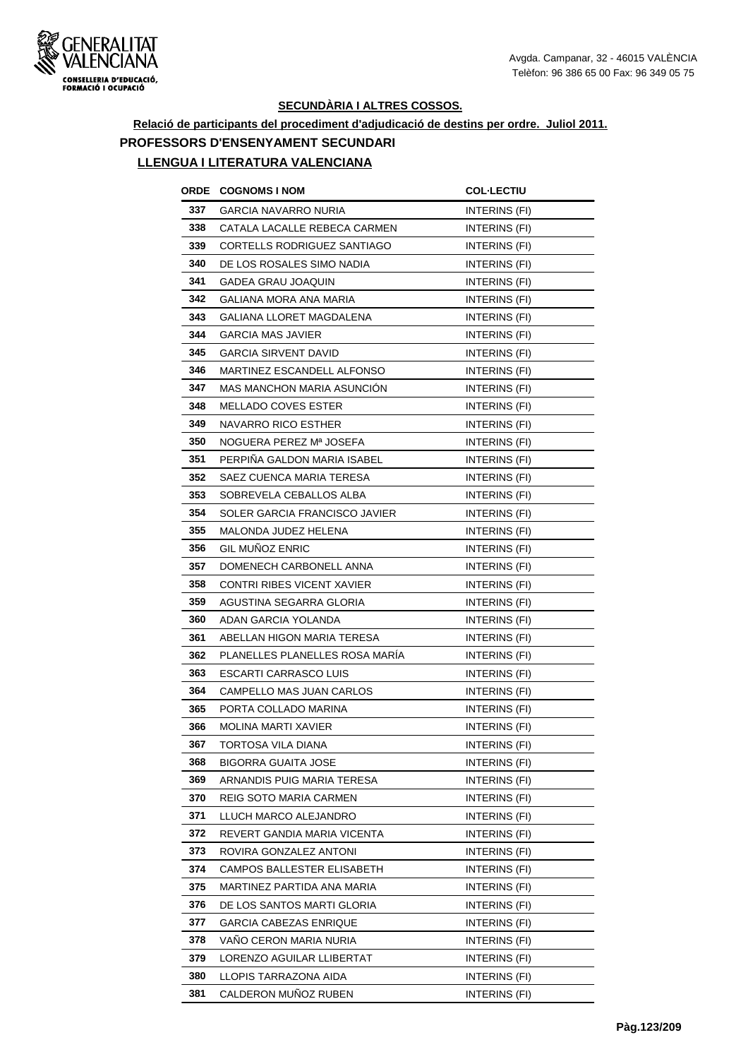

# **Relació de participants del procediment d'adjudicació de destins per ordre. Juliol 2011. PROFESSORS D'ENSENYAMENT SECUNDARI**

| ORDE | <b>COGNOMS I NOM</b>              | <b>COL·LECTIU</b>    |
|------|-----------------------------------|----------------------|
| 337  | GARCIA NAVARRO NURIA              | INTERINS (FI)        |
| 338  | CATALA LACALLE REBECA CARMEN      | INTERINS (FI)        |
| 339  | CORTELLS RODRIGUEZ SANTIAGO       | INTERINS (FI)        |
| 340  | DE LOS ROSALES SIMO NADIA         | INTERINS (FI)        |
| 341  | GADEA GRAU JOAQUIN                | INTERINS (FI)        |
| 342  | GALIANA MORA ANA MARIA            | INTERINS (FI)        |
| 343  | GALIANA LLORET MAGDALENA          | INTERINS (FI)        |
| 344  | <b>GARCIA MAS JAVIER</b>          | INTERINS (FI)        |
| 345  | GARCIA SIRVENT DAVID              | INTERINS (FI)        |
| 346  | MARTINEZ ESCANDELL ALFONSO        | INTERINS (FI)        |
| 347  | <b>MAS MANCHON MARIA ASUNCION</b> | INTERINS (FI)        |
| 348  | <b>MELLADO COVES ESTER</b>        | INTERINS (FI)        |
| 349  | NAVARRO RICO ESTHER               | INTERINS (FI)        |
| 350  | NOGUERA PEREZ Mª JOSEFA           | INTERINS (FI)        |
| 351  | PERPIÑA GALDON MARIA ISABEL       | <b>INTERINS (FI)</b> |
| 352  | SAEZ CUENCA MARIA TERESA          | <b>INTERINS (FI)</b> |
| 353  | SOBREVELA CEBALLOS ALBA           | INTERINS (FI)        |
| 354  | SOLER GARCIA FRANCISCO JAVIER     | INTERINS (FI)        |
| 355  | MALONDA JUDEZ HELENA              | INTERINS (FI)        |
| 356  | <b>GIL MUNOZ ENRIC</b>            | INTERINS (FI)        |
| 357  | DOMENECH CARBONELL ANNA           | INTERINS (FI)        |
| 358  | CONTRI RIBES VICENT XAVIER        | INTERINS (FI)        |
| 359  | AGUSTINA SEGARRA GLORIA           | INTERINS (FI)        |
| 360  | ADAN GARCIA YOLANDA               | INTERINS (FI)        |
| 361  | ABELLAN HIGON MARIA TERESA        | INTERINS (FI)        |
| 362  | PLANELLES PLANELLES ROSA MARIA    | <b>INTERINS (FI)</b> |
| 363  | ESCARTI CARRASCO LUIS             | INTERINS (FI)        |
| 364  | CAMPELLO MAS JUAN CARLOS          | INTERINS (FI)        |
| 365  | PORTA COLLADO MARINA              | INTERINS (FI)        |
| 366  | <b>MOLINA MARTI XAVIER</b>        | <b>INTERINS (FI)</b> |
| 367  | TORTOSA VILA DIANA                | INTERINS (FI)        |
| 368  | BIGORRA GUAITA JOSE               | INTERINS (FI)        |
| 369  | ARNANDIS PUIG MARIA TERESA        | INTERINS (FI)        |
| 370  | REIG SOTO MARIA CARMEN            | INTERINS (FI)        |
| 371  | LLUCH MARCO ALEJANDRO             | INTERINS (FI)        |
| 372  | REVERT GANDIA MARIA VICENTA       | INTERINS (FI)        |
| 373  | ROVIRA GONZALEZ ANTONI            | INTERINS (FI)        |
| 374  | CAMPOS BALLESTER ELISABETH        | INTERINS (FI)        |
| 375  | MARTINEZ PARTIDA ANA MARIA        | INTERINS (FI)        |
| 376  | DE LOS SANTOS MARTI GLORIA        | INTERINS (FI)        |
| 377  | GARCIA CABEZAS ENRIQUE            | INTERINS (FI)        |
| 378  | VANO CERON MARIA NURIA            | INTERINS (FI)        |
| 379  | LORENZO AGUILAR LLIBERTAT         | INTERINS (FI)        |
| 380  | LLOPIS TARRAZONA AIDA             | INTERINS (FI)        |
| 381  | CALDERON MUÑOZ RUBEN              | INTERINS (FI)        |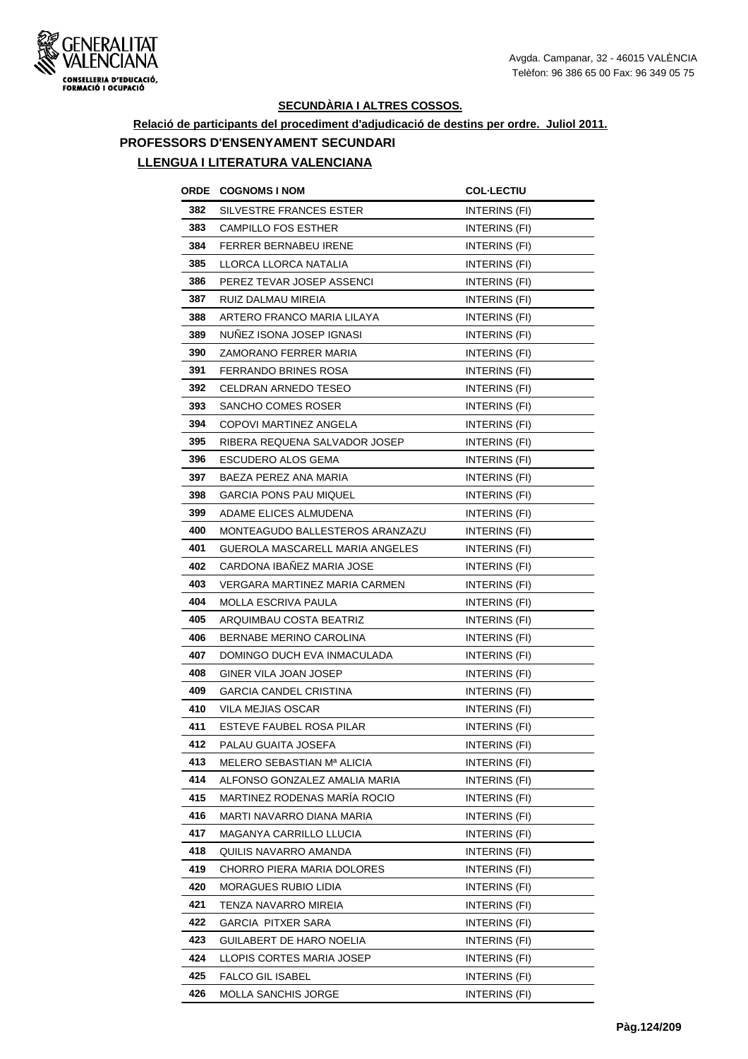

# **Relació de participants del procediment d'adjudicació de destins per ordre. Juliol 2011. PROFESSORS D'ENSENYAMENT SECUNDARI**

| ORDE | <b>COGNOMS I NOM</b>            | <b>COL·LECTIU</b>    |
|------|---------------------------------|----------------------|
| 382  | SILVESTRE FRANCES ESTER         | INTERINS (FI)        |
| 383  | <b>CAMPILLO FOS ESTHER</b>      | INTERINS (FI)        |
| 384  | FERRER BERNABEU IRENE           | INTERINS (FI)        |
| 385  | LLORCA LLORCA NATALIA           | INTERINS (FI)        |
| 386  | PEREZ TEVAR JOSEP ASSENCI       | INTERINS (FI)        |
| 387  | RUIZ DALMAU MIREIA              | INTERINS (FI)        |
| 388  | ARTERO FRANCO MARIA LILAYA      | INTERINS (FI)        |
| 389  | NUNEZ ISONA JOSEP IGNASI        | INTERINS (FI)        |
| 390  | ZAMORANO FERRER MARIA           | INTERINS (FI)        |
| 391  | FERRANDO BRINES ROSA            | INTERINS (FI)        |
| 392  | CELDRAN ARNEDO TESEO            | INTERINS (FI)        |
| 393  | SANCHO COMES ROSER              | INTERINS (FI)        |
| 394  | COPOVI MARTINEZ ANGELA          | INTERINS (FI)        |
| 395  | RIBERA REQUENA SALVADOR JOSEP   | <b>INTERINS (FI)</b> |
| 396  | ESCUDERO ALOS GEMA              | <b>INTERINS (FI)</b> |
| 397  | BAEZA PEREZ ANA MARIA           | INTERINS (FI)        |
| 398  | GARCIA PONS PAU MIQUEL          | INTERINS (FI)        |
| 399  | ADAME ELICES ALMUDENA           | <b>INTERINS (FI)</b> |
| 400  | MONTEAGUDO BALLESTEROS ARANZAZU | INTERINS (FI)        |
| 401  | GUEROLA MASCARELL MARIA ANGELES | INTERINS (FI)        |
| 402  | CARDONA IBANEZ MARIA JOSE       | INTERINS (FI)        |
| 403  | VERGARA MARTINEZ MARIA CARMEN   | INTERINS (FI)        |
| 404  | MOLLA ESCRIVA PAULA             | INTERINS (FI)        |
| 405  | ARQUIMBAU COSTA BEATRIZ         | INTERINS (FI)        |
| 406  | BERNABE MERINO CAROLINA         | INTERINS (FI)        |
| 407  | DOMINGO DUCH EVA INMACULADA     | INTERINS (FI)        |
| 408  | GINER VILA JOAN JOSEP           | INTERINS (FI)        |
| 409  | GARCIA CANDEL CRISTINA          | INTERINS (FI)        |
| 410  | VILA MEJIAS OSCAR               | INTERINS (FI)        |
| 411  | ESTEVE FAUBEL ROSA PILAR        | INTERINS (FI)        |
| 412  | PALAU GUAITA JOSEFA             | INTERINS (FI)        |
| 413  | MELERO SEBASTIAN Mª ALICIA      | INTERINS (FI)        |
| 414  | ALFONSO GONZALEZ AMALIA MARIA   | INTERINS (FI)        |
| 415  | MARTINEZ RODENAS MARÍA ROCIO    | INTERINS (FI)        |
| 416  | MARTI NAVARRO DIANA MARIA       | INTERINS (FI)        |
| 417  | MAGANYA CARRILLO LLUCIA         | INTERINS (FI)        |
| 418  | QUILIS NAVARRO AMANDA           | INTERINS (FI)        |
| 419  | CHORRO PIERA MARIA DOLORES      | INTERINS (FI)        |
| 420  | MORAGUES RUBIO LIDIA            | INTERINS (FI)        |
| 421  | TENZA NAVARRO MIREIA            | INTERINS (FI)        |
| 422  | GARCIA PITXER SARA              | INTERINS (FI)        |
| 423  | GUILABERT DE HARO NOELIA        | INTERINS (FI)        |
| 424  | LLOPIS CORTES MARIA JOSEP       | INTERINS (FI)        |
| 425  | <b>FALCO GIL ISABEL</b>         | INTERINS (FI)        |
| 426  | MOLLA SANCHIS JORGE             | INTERINS (FI)        |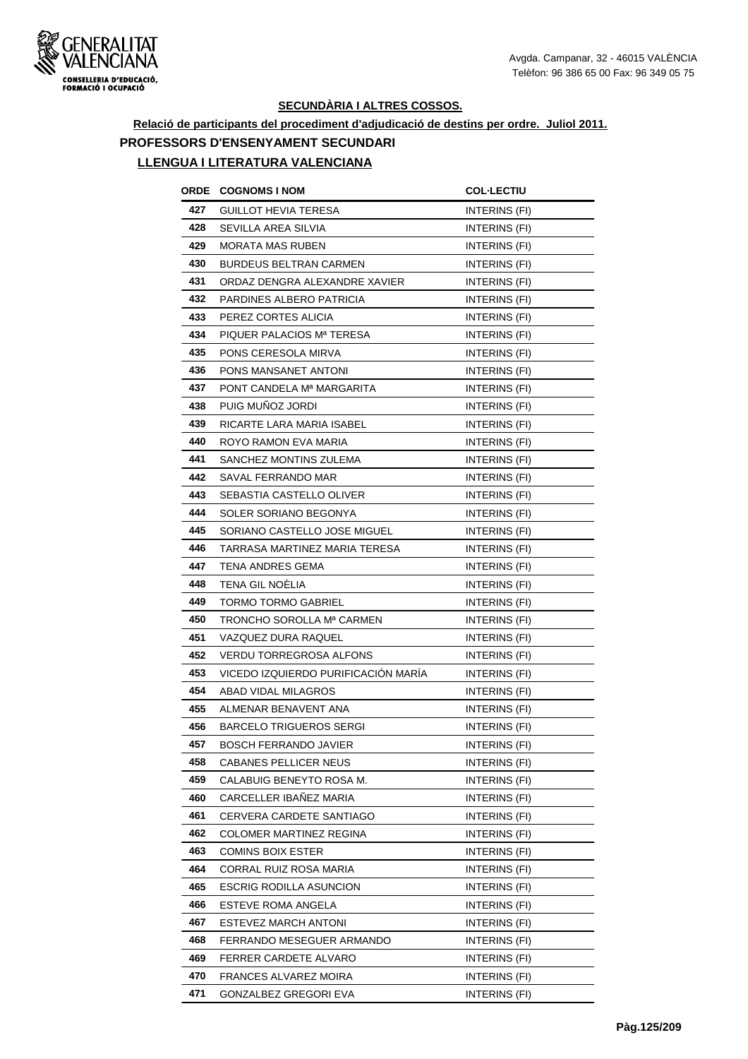

**Relació de participants del procediment d'adjudicació de destins per ordre. Juliol 2011. PROFESSORS D'ENSENYAMENT SECUNDARI**

| ORDE | <b>COGNOMS I NOM</b>                | <b>COL-LECTIU</b>    |
|------|-------------------------------------|----------------------|
| 427  | <b>GUILLOT HEVIA TERESA</b>         | INTERINS (FI)        |
| 428  | SEVILLA AREA SILVIA                 | INTERINS (FI)        |
| 429  | <b>MORATA MAS RUBEN</b>             | INTERINS (FI)        |
| 430  | <b>BURDEUS BELTRAN CARMEN</b>       | INTERINS (FI)        |
| 431  | ORDAZ DENGRA ALEXANDRE XAVIER       | INTERINS (FI)        |
| 432  | PARDINES ALBERO PATRICIA            | INTERINS (FI)        |
| 433  | PEREZ CORTES ALICIA                 | INTERINS (FI)        |
| 434  | PIQUER PALACIOS Mª TERESA           | <b>INTERINS (FI)</b> |
| 435  | PONS CERESOLA MIRVA                 | INTERINS (FI)        |
| 436  | PONS MANSANET ANTONI                | <b>INTERINS (FI)</b> |
| 437  | PONT CANDELA Mª MARGARITA           | INTERINS (FI)        |
| 438  | PUIG MUÑOZ JORDI                    | INTERINS (FI)        |
| 439  | RICARTE LARA MARIA ISABEL           | INTERINS (FI)        |
| 440  | ROYO RAMON EVA MARIA                | INTERINS (FI)        |
| 441  | SANCHEZ MONTINS ZULEMA              | <b>INTERINS (FI)</b> |
| 442  | SAVAL FERRANDO MAR                  | INTERINS (FI)        |
| 443  | SEBASTIA CASTELLO OLIVER            | INTERINS (FI)        |
| 444  | SOLER SORIANO BEGONYA               | INTERINS (FI)        |
| 445  | SORIANO CASTELLO JOSE MIGUEL        | INTERINS (FI)        |
| 446  | TARRASA MARTINEZ MARIA TERESA       | INTERINS (FI)        |
| 447  | TENA ANDRES GEMA                    | INTERINS (FI)        |
| 448  | TENA GIL NOËLIA                     | <b>INTERINS (FI)</b> |
| 449  | <b>TORMO TORMO GABRIEL</b>          | INTERINS (FI)        |
| 450  | TRONCHO SOROLLA Mª CARMEN           | INTERINS (FI)        |
| 451  | VAZQUEZ DURA RAQUEL                 | INTERINS (FI)        |
| 452  | VERDU TORREGROSA ALFONS             | INTERINS (FI)        |
| 453  | VICEDO IZQUIERDO PURIFICACIÓN MARÍA | INTERINS (FI)        |
| 454  | ABAD VIDAL MILAGROS                 | INTERINS (FI)        |
| 455  | ALMENAR BENAVENT ANA                | INTERINS (FI)        |
| 456  | <b>BARCELO TRIGUEROS SERGI</b>      | INTERINS (FI)        |
| 457  | <b>BOSCH FERRANDO JAVIER</b>        | INTERINS (FI)        |
| 458  | CABANES PELLICER NEUS               | INTERINS (FI)        |
| 459  | CALABUIG BENEYTO ROSA M.            | INTERINS (FI)        |
| 460  | CARCELLER IBAÑEZ MARIA              | INTERINS (FI)        |
| 461  | CERVERA CARDETE SANTIAGO            | <b>INTERINS (FI)</b> |
| 462  | COLOMER MARTINEZ REGINA             | INTERINS (FI)        |
| 463  | COMINS BOIX ESTER                   | INTERINS (FI)        |
| 464  | CORRAL RUIZ ROSA MARIA              | INTERINS (FI)        |
| 465  | ESCRIG RODILLA ASUNCION             | INTERINS (FI)        |
| 466  | ESTEVE ROMA ANGELA                  | INTERINS (FI)        |
| 467  | ESTEVEZ MARCH ANTONI                | INTERINS (FI)        |
| 468  | FERRANDO MESEGUER ARMANDO           | INTERINS (FI)        |
| 469  | FERRER CARDETE ALVARO               | INTERINS (FI)        |
| 470  | FRANCES ALVAREZ MOIRA               | INTERINS (FI)        |
| 471  | GONZALBEZ GREGORI EVA               | INTERINS (FI)        |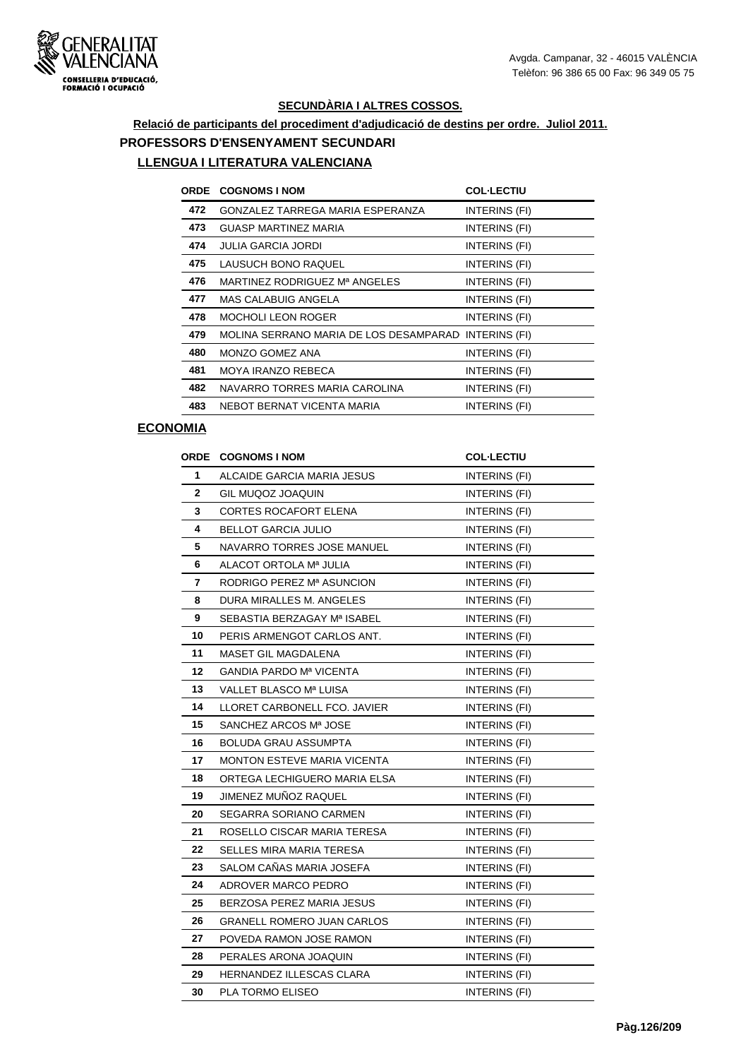

# **Relació de participants del procediment d'adjudicació de destins per ordre. Juliol 2011. PROFESSORS D'ENSENYAMENT SECUNDARI**

### **LLENGUA I LITERATURA VALENCIANA**

| <b>ORDE</b> | <b>COGNOMS I NOM</b>                                 | <b>COL-LECTIU</b> |
|-------------|------------------------------------------------------|-------------------|
| 472         | GONZALEZ TARREGA MARIA ESPERANZA                     | INTERINS (FI)     |
| 473         | <b>GUASP MARTINEZ MARIA</b>                          | INTERINS (FI)     |
| 474         | <b>JULIA GARCIA JORDI</b>                            | INTERINS (FI)     |
| 475         | LAUSUCH BONO RAQUEL                                  | INTERINS (FI)     |
| 476         | MARTINEZ RODRIGUEZ Mª ANGELES                        | INTERINS (FI)     |
| 477         | MAS CALABUIG ANGELA                                  | INTERINS (FI)     |
| 478         | <b>MOCHOLI LEON ROGER</b>                            | INTERINS (FI)     |
| 479         | MOLINA SERRANO MARIA DE LOS DESAMPARAD INTERINS (FI) |                   |
| 480         | MONZO GOMEZ ANA                                      | INTERINS (FI)     |
| 481         | <b>MOYA IRANZO REBECA</b>                            | INTERINS (FI)     |
| 482         | NAVARRO TORRES MARIA CAROLINA                        | INTERINS (FI)     |
| 483         | NEBOT BERNAT VICENTA MARIA                           | INTERINS (FI)     |

#### **ECONOMIA**

|    | <b>ORDE COGNOMS I NOM</b>          | <b>COL·LECTIU</b>    |
|----|------------------------------------|----------------------|
| 1  | ALCAIDE GARCIA MARIA JESUS         | <b>INTERINS (FI)</b> |
| 2  | GIL MUQOZ JOAQUIN                  | INTERINS (FI)        |
| 3  | CORTES ROCAFORT ELENA              | INTERINS (FI)        |
| 4  | <b>BELLOT GARCIA JULIO</b>         | INTERINS (FI)        |
| 5  | NAVARRO TORRES JOSE MANUEL         | INTERINS (FI)        |
| 6  | ALACOT ORTOLA Mª JULIA             | INTERINS (FI)        |
| 7  | RODRIGO PEREZ Mª ASUNCION          | INTERINS (FI)        |
| 8  | DURA MIRALLES M. ANGELES           | INTERINS (FI)        |
| 9  | SEBASTIA BERZAGAY Mª ISABEL        | INTERINS (FI)        |
| 10 | PERIS ARMENGOT CARLOS ANT.         | INTERINS (FI)        |
| 11 | MASET GIL MAGDALENA                | INTERINS (FI)        |
| 12 | <b>GANDIA PARDO Mª VICENTA</b>     | INTERINS (FI)        |
| 13 | VALLET BLASCO Mª LUISA             | <b>INTERINS (FI)</b> |
| 14 | LLORET CARBONELL FCO. JAVIER       | INTERINS (FI)        |
| 15 | SANCHEZ ARCOS Mª JOSE              | INTERINS (FI)        |
| 16 | <b>BOLUDA GRAU ASSUMPTA</b>        | INTERINS (FI)        |
| 17 | <b>MONTON ESTEVE MARIA VICENTA</b> | INTERINS (FI)        |
| 18 | ORTEGA LECHIGUERO MARIA ELSA       | <b>INTERINS (FI)</b> |
| 19 | JIMENEZ MUÑOZ RAQUEL               | INTERINS (FI)        |
| 20 | SEGARRA SORIANO CARMEN             | INTERINS (FI)        |
| 21 | ROSELLO CISCAR MARIA TERESA        | INTERINS (FI)        |
| 22 | SELLES MIRA MARIA TERESA           | INTERINS (FI)        |
| 23 | SALOM CAÑAS MARIA JOSEFA           | INTERINS (FI)        |
| 24 | ADROVER MARCO PEDRO                | <b>INTERINS (FI)</b> |
| 25 | BERZOSA PEREZ MARIA JESUS          | INTERINS (FI)        |
| 26 | <b>GRANELL ROMERO JUAN CARLOS</b>  | INTERINS (FI)        |
| 27 | POVEDA RAMON JOSE RAMON            | INTERINS (FI)        |
| 28 | PERALES ARONA JOAQUIN              | INTERINS (FI)        |
| 29 | HERNANDEZ ILLESCAS CLARA           | INTERINS (FI)        |
| 30 | PLA TORMO ELISEO                   | <b>INTERINS (FI)</b> |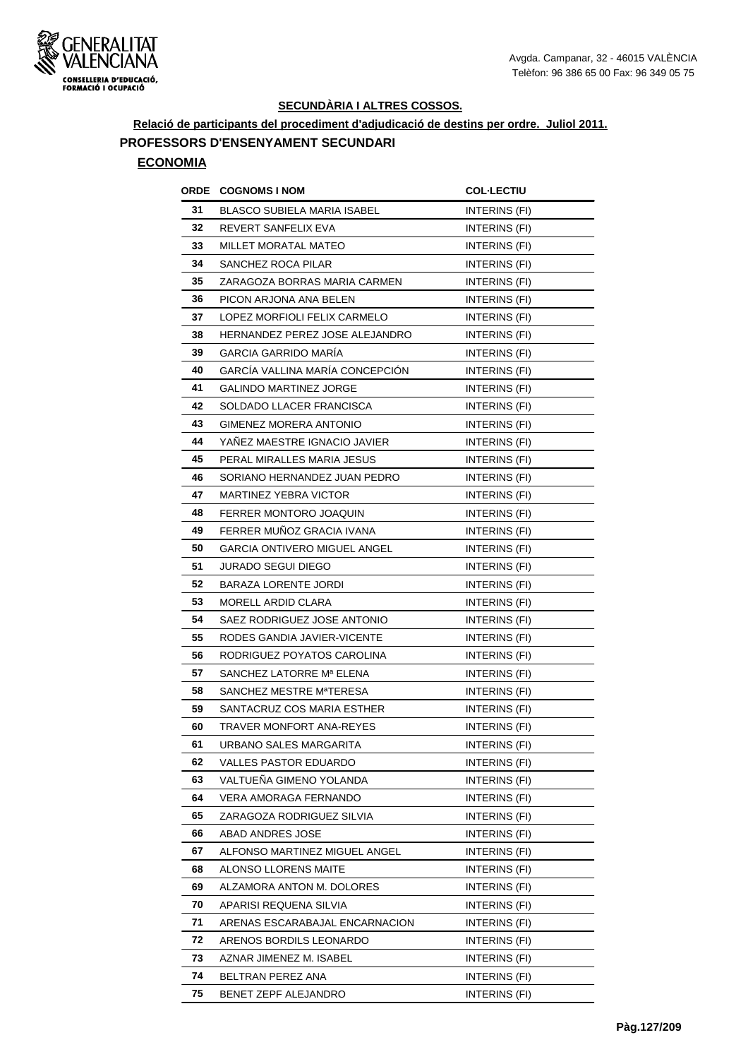

**Relació de participants del procediment d'adjudicació de destins per ordre. Juliol 2011.**

# **PROFESSORS D'ENSENYAMENT SECUNDARI**

#### **ECONOMIA**

| ORDE | <b>COGNOMS I NOM</b>                | <b>COL·LECTIU</b>    |
|------|-------------------------------------|----------------------|
| 31   | BLASCO SUBIELA MARIA ISABEL         | INTERINS (FI)        |
| 32   | REVERT SANFELIX EVA                 | INTERINS (FI)        |
| 33   | MILLET MORATAL MATEO                | INTERINS (FI)        |
| 34   | SANCHEZ ROCA PILAR                  | INTERINS (FI)        |
| 35   | ZARAGOZA BORRAS MARIA CARMEN        | INTERINS (FI)        |
| 36   | PICON ARJONA ANA BELEN              | INTERINS (FI)        |
| 37   | LOPEZ MORFIOLI FELIX CARMELO        | INTERINS (FI)        |
| 38   | HERNANDEZ PEREZ JOSE ALEJANDRO      | <b>INTERINS (FI)</b> |
| 39   | GARCIA GARRIDO MARIA                | INTERINS (FI)        |
| 40   | GARCÍA VALLINA MARÍA CONCEPCIÓN     | INTERINS (FI)        |
| 41   | <b>GALINDO MARTINEZ JORGE</b>       | INTERINS (FI)        |
| 42   | SOLDADO LLACER FRANCISCA            | INTERINS (FI)        |
| 43   | GIMENEZ MORERA ANTONIO              | INTERINS (FI)        |
| 44   | YAÑEZ MAESTRE IGNACIO JAVIER        | INTERINS (FI)        |
| 45   | PERAL MIRALLES MARIA JESUS          | INTERINS (FI)        |
| 46   | SORIANO HERNANDEZ JUAN PEDRO        | INTERINS (FI)        |
| 47   | <b>MARTINEZ YEBRA VICTOR</b>        | INTERINS (FI)        |
| 48   | FERRER MONTORO JOAQUIN              | INTERINS (FI)        |
| 49   | FERRER MUÑOZ GRACIA IVANA           | INTERINS (FI)        |
| 50   | <b>GARCIA ONTIVERO MIGUEL ANGEL</b> | INTERINS (FI)        |
| 51   | <b>JURADO SEGUI DIEGO</b>           | INTERINS (FI)        |
| 52   | <b>BARAZA LORENTE JORDI</b>         | INTERINS (FI)        |
| 53   | MORELL ARDID CLARA                  | <b>INTERINS (FI)</b> |
| 54   | SAEZ RODRIGUEZ JOSE ANTONIO         | INTERINS (FI)        |
| 55   | RODES GANDIA JAVIER-VICENTE         | INTERINS (FI)        |
| 56   | RODRIGUEZ POYATOS CAROLINA          | INTERINS (FI)        |
| 57   | SANCHEZ LATORRE Mª ELENA            | INTERINS (FI)        |
| 58   | SANCHEZ MESTRE MªTERESA             | INTERINS (FI)        |
| 59   | SANTACRUZ COS MARIA ESTHER          | INTERINS (FI)        |
| 60   | <b>TRAVER MONFORT ANA-REYES</b>     | INTERINS (FI)        |
| 61   | URBANO SALES MARGARITA              | INTERINS (FI)        |
| 62   | VALLES PASTOR EDUARDO               | INTERINS (FI)        |
| 63   | VALTUEÑA GIMENO YOLANDA             | INTERINS (FI)        |
| 64   | VERA AMORAGA FERNANDO               | INTERINS (FI)        |
| 65   | ZARAGOZA RODRIGUEZ SILVIA           | INTERINS (FI)        |
| 66   | ABAD ANDRES JOSE                    | INTERINS (FI)        |
| 67   | ALFONSO MARTINEZ MIGUEL ANGEL       | INTERINS (FI)        |
| 68   | ALONSO LLORENS MAITE                | INTERINS (FI)        |
| 69   | ALZAMORA ANTON M. DOLORES           | INTERINS (FI)        |
| 70   | APARISI REQUENA SILVIA              | INTERINS (FI)        |
| 71   | ARENAS ESCARABAJAL ENCARNACION      | INTERINS (FI)        |
| 72   | ARENOS BORDILS LEONARDO             | INTERINS (FI)        |
| 73   | AZNAR JIMENEZ M. ISABEL             | INTERINS (FI)        |
| 74   | BELTRAN PEREZ ANA                   | INTERINS (FI)        |
| 75   | BENET ZEPF ALEJANDRO                | INTERINS (FI)        |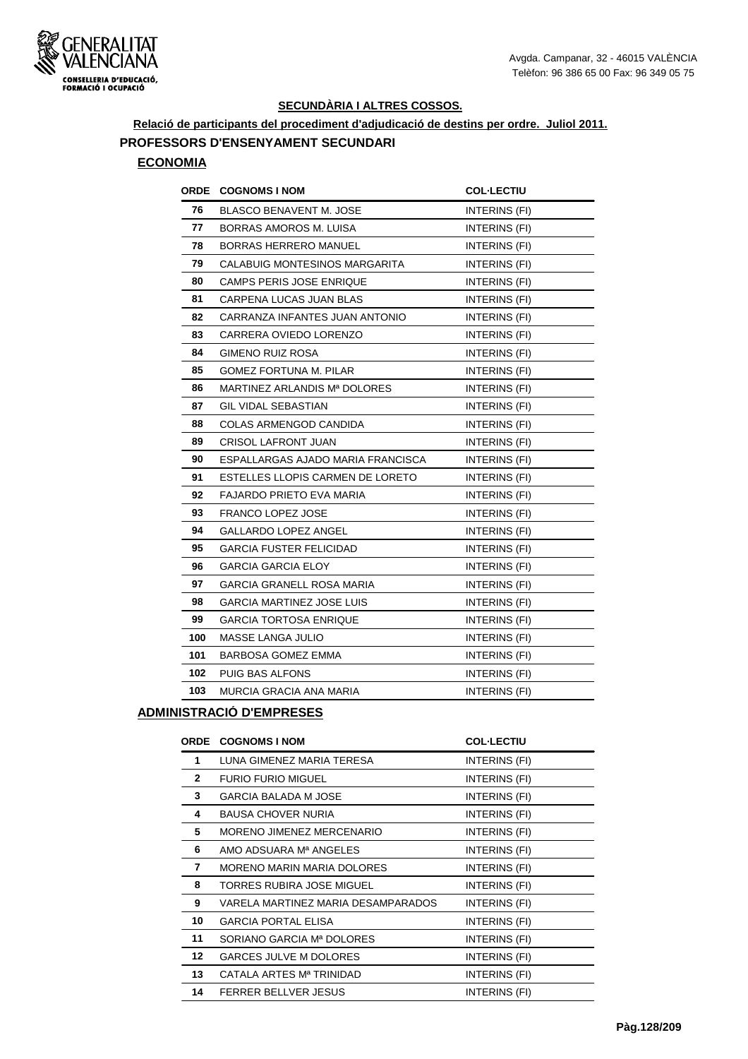

**Relació de participants del procediment d'adjudicació de destins per ordre. Juliol 2011.**

# **PROFESSORS D'ENSENYAMENT SECUNDARI**

#### **ECONOMIA**

| <b>ORDE COGNOMS I NOM</b>            | <b>COL-LECTIU</b>    |
|--------------------------------------|----------------------|
| BLASCO BENAVENT M. JOSE              | INTERINS (FI)        |
| <b>BORRAS AMOROS M. LUISA</b>        | INTERINS (FI)        |
| <b>BORRAS HERRERO MANUEL</b>         | INTERINS (FI)        |
| <b>CALABUIG MONTESINOS MARGARITA</b> | INTERINS (FI)        |
| CAMPS PERIS JOSE ENRIQUE             | INTERINS (FI)        |
| CARPENA LUCAS JUAN BLAS              | <b>INTERINS (FI)</b> |
| CARRANZA INFANTES JUAN ANTONIO       | INTERINS (FI)        |
| CARRERA OVIEDO LORENZO               | INTERINS (FI)        |
| <b>GIMENO RUIZ ROSA</b>              | INTERINS (FI)        |
| GOMEZ FORTUNA M. PILAR               | INTERINS (FI)        |
| MARTINEZ ARLANDIS Mª DOLORES         | INTERINS (FI)        |
| <b>GIL VIDAL SEBASTIAN</b>           | INTERINS (FI)        |
| <b>COLAS ARMENGOD CANDIDA</b>        | INTERINS (FI)        |
| <b>CRISOL LAFRONT JUAN</b>           | INTERINS (FI)        |
| ESPALLARGAS AJADO MARIA FRANCISCA    | INTERINS (FI)        |
| ESTELLES LLOPIS CARMEN DE LORETO     | <b>INTERINS (FI)</b> |
| FAJARDO PRIETO EVA MARIA             | INTERINS (FI)        |
| <b>FRANCO LOPEZ JOSE</b>             | INTERINS (FI)        |
| <b>GALLARDO LOPEZ ANGEL</b>          | INTERINS (FI)        |
| <b>GARCIA FUSTER FELICIDAD</b>       | INTERINS (FI)        |
| <b>GARCIA GARCIA ELOY</b>            | INTERINS (FI)        |
| <b>GARCIA GRANELL ROSA MARIA</b>     | INTERINS (FI)        |
| <b>GARCIA MARTINEZ JOSE LUIS</b>     | INTERINS (FI)        |
| GARCIA TORTOSA ENRIQUE               | INTERINS (FI)        |
| <b>MASSE LANGA JULIO</b>             | INTERINS (FI)        |
| <b>BARBOSA GOMEZ EMMA</b>            | INTERINS (FI)        |
| <b>PUIG BAS ALFONS</b>               | INTERINS (FI)        |
| MURCIA GRACIA ANA MARIA              | INTERINS (FI)        |
|                                      |                      |

#### **ADMINISTRACIÓ D'EMPRESES**

| <b>ORDE</b>     | <b>COGNOMS I NOM</b>               | <b>COL-LECTIU</b> |
|-----------------|------------------------------------|-------------------|
| 1               | LUNA GIMENEZ MARIA TERESA          | INTERINS (FI)     |
| $\mathbf{2}$    | <b>FURIO FURIO MIGUEL</b>          | INTERINS (FI)     |
| 3               | <b>GARCIA BALADA M JOSE</b>        | INTERINS (FI)     |
| 4               | <b>BAUSA CHOVER NURIA</b>          | INTERINS (FI)     |
| 5               | MORENO JIMENEZ MERCENARIO          | INTERINS (FI)     |
| 6               | AMO ADSUARA Mª ANGELES             | INTERINS (FI)     |
| 7               | MORENO MARIN MARIA DOLORES         | INTERINS (FI)     |
| 8               | TORRES RUBIRA JOSE MIGUEL          | INTERINS (FI)     |
| 9               | VARELA MARTINEZ MARIA DESAMPARADOS | INTERINS (FI)     |
| 10              | <b>GARCIA PORTAL ELISA</b>         | INTERINS (FI)     |
| 11              | SORIANO GARCIA Mª DOLORES          | INTERINS (FI)     |
| 12 <sup>2</sup> | <b>GARCES JULVE M DOLORES</b>      | INTERINS (FI)     |
| 13              | CATALA ARTES Mª TRINIDAD           | INTERINS (FI)     |
| 14              | <b>FERRER BELLVER JESUS</b>        | INTERINS (FI)     |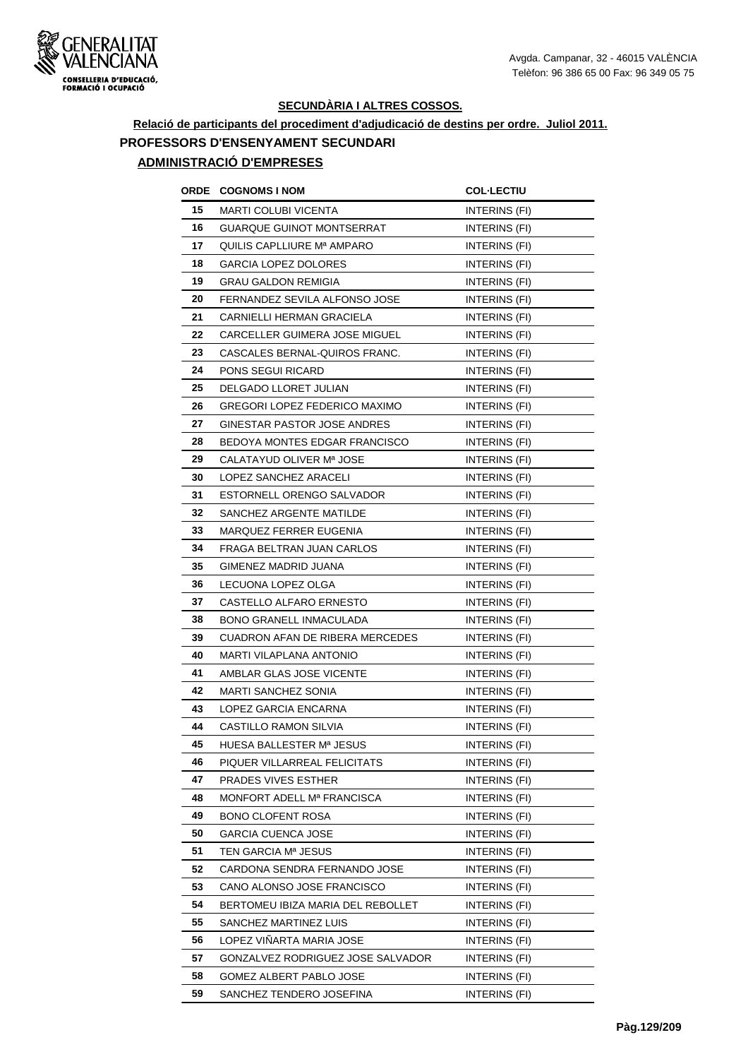

#### **Relació de participants del procediment d'adjudicació de destins per ordre. Juliol 2011. PROFESSORS D'ENSENYAMENT SECUNDARI ADMINISTRACIÓ D'EMPRESES**

# **ORDE COGNOMS I NOM COL·LECTIU 15 MARTI COLUBI VICENTA INTERINS** (FI) **16 GUARQUE GUINOT MONTSERRAT INTERINS (FI) 17** QUILIS CAPLLIURE M<sup>a</sup> AMPARO **INTERINS** (FI) **18** GARCIA LOPEZ DOLORES INTERINS (FI) **19 GRAU GALDON REMIGIA INTERINS** (FI) **20 FERNANDEZ SEVILA ALFONSO JOSE INTERINS (FI)** 21 CARNIELLI HERMAN GRACIELA **INTERINS** (FI) 22 CARCELLER GUIMERA JOSE MIGUEL **INTERINS** (FI) 23 CASCALES BERNAL-QUIROS FRANC. INTERINS (FI) **24 PONS SEGUI RICARD INTERINS** (FI) **25** DELGADO LLORET JULIAN **INTERINS** (FI) **26 GREGORI LOPEZ FEDERICO MAXIMO INTERINS (FI)** 27 GINESTAR PASTOR JOSE ANDRES **INTERINS** (FI) **28 BEDOYA MONTES EDGAR FRANCISCO INTERINS (FI) 29** CALATAYUD OLIVER M<sup>a</sup> JOSE INTERINS (FI) **30** LOPEZ SANCHEZ ARACELI **INTERINS** (FI) **31 ESTORNELL ORENGO SALVADOR** INTERINS (FI) **32** SANCHEZ ARGENTE MATILDE **INTERINS** (FI) **33 MARQUEZ FERRER EUGENIA INTERINS** (FI) **34** FRAGA BELTRAN JUAN CARLOS INTERINS (FI) **35** GIMENEZ MADRID JUANA **INTERINS** (FI) **36** LECUONA LOPEZ OLGA INTERINS (FI) **37 CASTELLO ALFARO ERNESTO INTERINS (FI) 38 BONO GRANELL INMACULADA** INTERINS (FI) **39 CUADRON AFAN DE RIBERA MERCEDES INTERINS (FI) 40 MARTI VILAPLANA ANTONIO INTERINS (FI) 41 AMBLAR GLAS JOSE VICENTE INTERINS (FI) 42 MARTI SANCHEZ SONIA INTERINS** (FI) **43** LOPEZ GARCIA ENCARNA **INTERINS** (FI) **44 CASTILLO RAMON SILVIA INTERINS** (FI) 45 HUESA BALLESTER M<sup>a</sup> JESUS **INTERINS** (FI) **46 PIQUER VILLARREAL FELICITATS INTERINS (FI) 47** PRADES VIVES ESTHER **INTERINS** (FI) **48 MONFORT ADELL M<sup>a</sup> FRANCISCA INTERINS (FI) 49 BONO CLOFENT ROSA** INTERINS (FI) **50** GARCIA CUENCA JOSE **INTERINS** (FI) **51 TEN GARCIA M<sup>a</sup> JESUS INTERINS** (FI) **52 CARDONA SENDRA FERNANDO JOSE INTERINS (FI) 53** CANO ALONSO JOSE FRANCISCO INTERINS (FI) **54 BERTOMEU IBIZA MARIA DEL REBOLLET INTERINS (FI) 55** SANCHEZ MARTINEZ LUIS INTERINS (FI) **56** LOPEZ VIÑARTA MARIA JOSE INTERINS (FI) **57** GONZALVEZ RODRIGUEZ JOSE SALVADOR INTERINS (FI) **58** GOMEZ ALBERT PABLO JOSE INTERINS (FI)

**59 SANCHEZ TENDERO JOSEFINA INTERINS (FI)**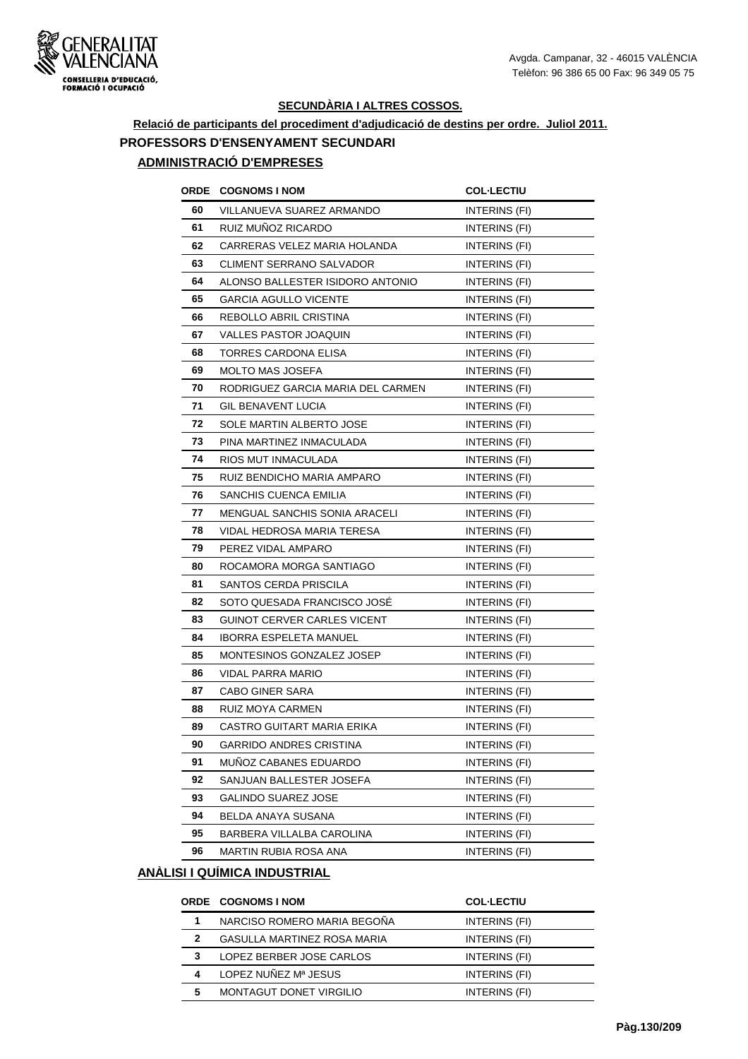

#### **Relació de participants del procediment d'adjudicació de destins per ordre. Juliol 2011. PROFESSORS D'ENSENYAMENT SECUNDARI ADMINISTRACIÓ D'EMPRESES**

# **ORDE COGNOMS I NOM COL·LECTIU 60** VILLANUEVA SUAREZ ARMANDO INTERINS (FI) **61** RUIZ MUÑOZ RICARDO INTERINS (FI) **62** CARRERAS VELEZ MARIA HOLANDA INTERINS (FI) **63** CLIMENT SERRANO SALVADOR INTERINS (FI) **64 ALONSO BALLESTER ISIDORO ANTONIO INTERINS (FI) 65** GARCIA AGULLO VICENTE INTERINS (FI) **66** REBOLLO ABRIL CRISTINA **INTERINS** (FI) **67** VALLES PASTOR JOAQUIN INTERINS (FI) **68 TORRES CARDONA ELISA INTERINS** (FI) **69 MOLTO MAS JOSEFA INTERINS** (FI) **70** RODRIGUEZ GARCIA MARIA DEL CARMEN INTERINS (FI) **71** GIL BENAVENT LUCIA INTERINS (FI) **72 SOLE MARTIN ALBERTO JOSE INTERINS (FI) 73** PINA MARTINEZ INMACULADA **INTERINS** (FI) **74** RIOS MUT INMACULADA INTERINS (FI) **75** RUIZ BENDICHO MARIA AMPARO INTERINS (FI) **76** SANCHIS CUENCA EMILIA **INTERINS** (FI) **77** MENGUAL SANCHIS SONIA ARACELI INTERINS (FI) **78** VIDAL HEDROSA MARIA TERESA **INTERINS** (FI) **79** PEREZ VIDAL AMPARO INTERINS (FI) **80** ROCAMORA MORGA SANTIAGO INTERINS (FI) 81 SANTOS CERDA PRISCILA **INTERINS** (FI) **82** SOTO QUESADA FRANCISCO JOSÉ INTERINS (FI) **83** GUINOT CERVER CARLES VICENT INTERINS (FI) 84 IBORRA ESPELETA MANUEL INTERINS (FI) 85 MONTESINOS GONZALEZ JOSEP INTERINS (FI) **86** VIDAL PARRA MARIO **INTERINS** (FI) **87** CABO GINER SARA **INTERINS** (FI) **88** RUIZ MOYA CARMEN **INTERINS** (FI) **89 CASTRO GUITART MARIA ERIKA INTERINS (FI) 90** GARRIDO ANDRES CRISTINA **INTERINS** (FI) **91 MUÑOZ CABANES EDUARDO** INTERINS (FI) **92 SANJUAN BALLESTER JOSEFA** INTERINS (FI) **93** GALINDO SUAREZ JOSE **INTERINS** (FI) **94 BELDA ANAYA SUSANA INTERINS** (FI) **95 BARBERA VILLALBA CAROLINA** INTERINS (FI) **96 MARTIN RUBIA ROSA ANA** INTERINS (FI)

#### **ANÀLISI I QUÍMICA INDUSTRIAL**

|   | <b>ORDE COGNOMS I NOM</b>          | <b>COL-LECTIU</b> |
|---|------------------------------------|-------------------|
|   | NARCISO ROMERO MARIA BEGOÑA        | INTERINS (FI)     |
| 2 | <b>GASULLA MARTINEZ ROSA MARIA</b> | INTERINS (FI)     |
| 3 | LOPEZ BERBER JOSE CARLOS           | INTERINS (FI)     |
| 4 | LOPEZ NUÑEZ Mª JESUS               | INTERINS (FI)     |
| 5 | MONTAGUT DONET VIRGILIO            | INTERINS (FI)     |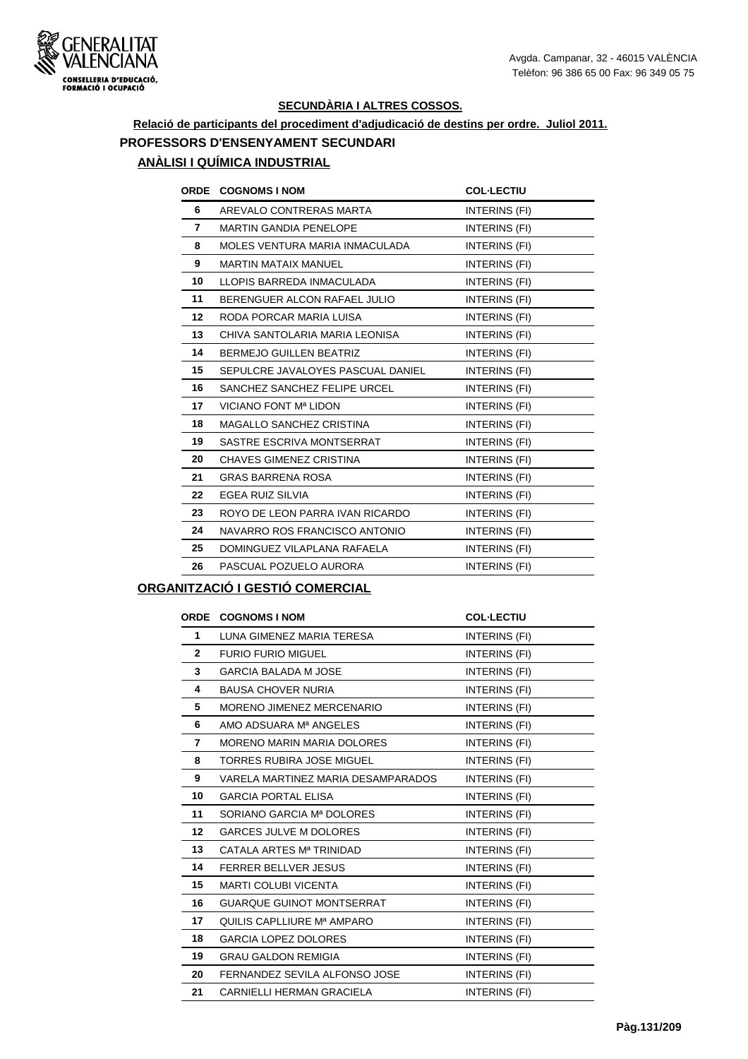

## **Relació de participants del procediment d'adjudicació de destins per ordre. Juliol 2011. PROFESSORS D'ENSENYAMENT SECUNDARI ANÀLISI I QUÍMICA INDUSTRIAL**

|    | ORDE COGNOMS I NOM                | <b>COL-LECTIU</b>    |
|----|-----------------------------------|----------------------|
| 6  | AREVALO CONTRERAS MARTA           | INTERINS (FI)        |
| 7  | <b>MARTIN GANDIA PENELOPE</b>     | INTERINS (FI)        |
| 8  | MOLES VENTURA MARIA INMACULADA    | INTERINS (FI)        |
| 9  | <b>MARTIN MATAIX MANUEL</b>       | INTERINS (FI)        |
| 10 | LLOPIS BARREDA INMACULADA         | INTERINS (FI)        |
| 11 | BERENGUER ALCON RAFAEL JULIO      | <b>INTERINS (FI)</b> |
| 12 | RODA PORCAR MARIA LUISA           | INTERINS (FI)        |
| 13 | CHIVA SANTOLARIA MARIA LEONISA    | INTERINS (FI)        |
| 14 | <b>BERMEJO GUILLEN BEATRIZ</b>    | INTERINS (FI)        |
| 15 | SEPULCRE JAVALOYES PASCUAL DANIEL | INTERINS (FI)        |
| 16 | SANCHEZ SANCHEZ FELIPE URCEL      | INTERINS (FI)        |
| 17 | VICIANO FONT Mª LIDON             | INTERINS (FI)        |
| 18 | MAGALLO SANCHEZ CRISTINA          | INTERINS (FI)        |
| 19 | SASTRE ESCRIVA MONTSERRAT         | INTERINS (FI)        |
| 20 | CHAVES GIMENEZ CRISTINA           | INTERINS (FI)        |
| 21 | <b>GRAS BARRENA ROSA</b>          | INTERINS (FI)        |
| 22 | EGEA RUIZ SILVIA                  | INTERINS (FI)        |
| 23 | ROYO DE LEON PARRA IVAN RICARDO   | INTERINS (FI)        |
| 24 | NAVARRO ROS FRANCISCO ANTONIO     | INTERINS (FI)        |
| 25 | DOMINGUEZ VILAPLANA RAFAELA       | INTERINS (FI)        |
| 26 | PASCUAL POZUELO AURORA            | INTERINS (FI)        |

#### **ORGANITZACIÓ I GESTIÓ COMERCIAL**

#### **ORDE COGNOMS I NOM COL·LECTIU**

|                 | ויוטוי ו טויוטוישטט בארוט          | JUL'LLU I IU         |
|-----------------|------------------------------------|----------------------|
| $\mathbf{1}$    | LUNA GIMENEZ MARIA TERESA          | INTERINS (FI)        |
| $\mathbf{2}$    | <b>FURIO FURIO MIGUEL</b>          | INTERINS (FI)        |
| 3               | <b>GARCIA BALADA M JOSE</b>        | INTERINS (FI)        |
| 4               | <b>BAUSA CHOVER NURIA</b>          | <b>INTERINS (FI)</b> |
| 5               | MORENO JIMENEZ MERCENARIO          | INTERINS (FI)        |
| 6               | AMO ADSUARA Mª ANGELES             | INTERINS (FI)        |
| 7               | <b>MORENO MARIN MARIA DOLORES</b>  | INTERINS (FI)        |
| 8               | <b>TORRES RUBIRA JOSE MIGUEL</b>   | <b>INTERINS (FI)</b> |
| 9               | VARELA MARTINEZ MARIA DESAMPARADOS | INTERINS (FI)        |
| 10              | <b>GARCIA PORTAL ELISA</b>         | INTERINS (FI)        |
| 11              | SORIANO GARCIA Mª DOLORES          | INTERINS (FI)        |
| 12 <sup>2</sup> | <b>GARCES JULVE M DOLORES</b>      | <b>INTERINS (FI)</b> |
| 13              | CATALA ARTES Mª TRINIDAD           | INTERINS (FI)        |
| 14              | <b>FERRER BELLVER JESUS</b>        | INTERINS (FI)        |
| 15              | <b>MARTI COLUBI VICENTA</b>        | INTERINS (FI)        |
| 16              | <b>GUARQUE GUINOT MONTSERRAT</b>   | INTERINS (FI)        |
| 17              | QUILIS CAPLLIURE Mª AMPARO         | INTERINS (FI)        |
| 18              | <b>GARCIA LOPEZ DOLORES</b>        | INTERINS (FI)        |
| 19              | <b>GRAU GALDON REMIGIA</b>         | INTERINS (FI)        |
| 20              | FERNANDEZ SEVILA ALFONSO JOSE      | <b>INTERINS (FI)</b> |
| 21              | CARNIELLI HERMAN GRACIELA          | INTERINS (FI)        |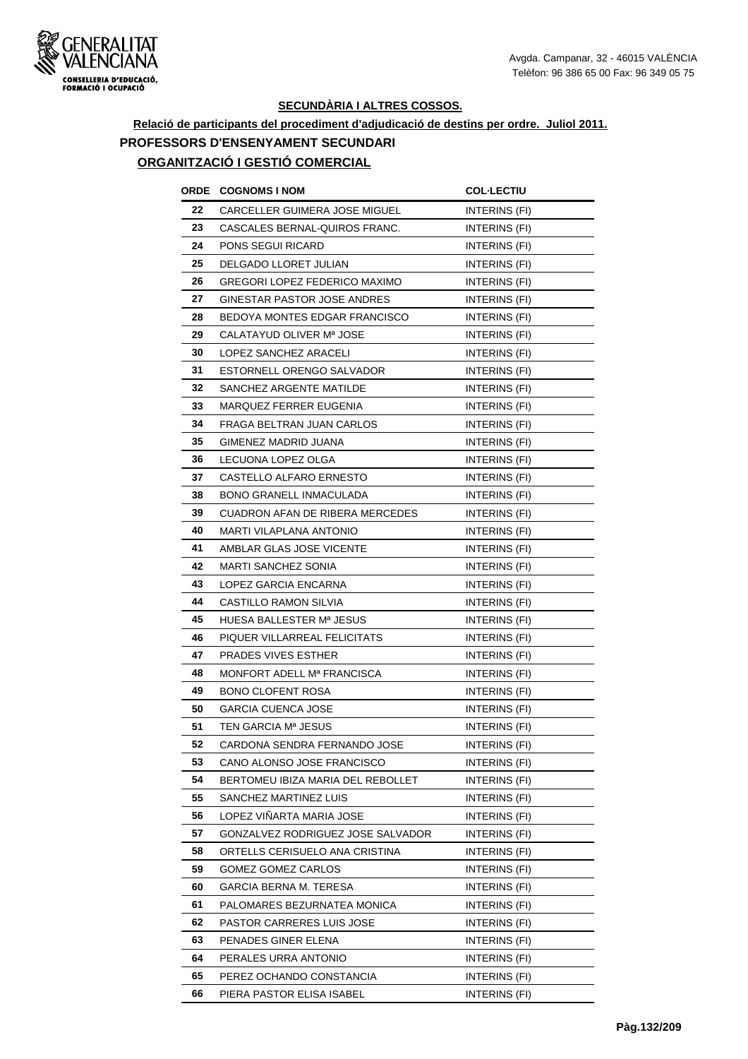

# **Relació de participants del procediment d'adjudicació de destins per ordre. Juliol 2011. PROFESSORS D'ENSENYAMENT SECUNDARI**

# **ORGANITZACIÓ I GESTIÓ COMERCIAL**

| ORDE | <b>COGNOMS I NOM</b>                   | <b>COL-LECTIU</b>    |
|------|----------------------------------------|----------------------|
| 22   | CARCELLER GUIMERA JOSE MIGUEL          | INTERINS (FI)        |
| 23   | CASCALES BERNAL-QUIROS FRANC.          | INTERINS (FI)        |
| 24   | PONS SEGUI RICARD                      | INTERINS (FI)        |
| 25   | DELGADO LLORET JULIAN                  | INTERINS (FI)        |
| 26   | <b>GREGORI LOPEZ FEDERICO MAXIMO</b>   | INTERINS (FI)        |
| 27   | GINESTAR PASTOR JOSE ANDRES            | INTERINS (FI)        |
| 28   | BEDOYA MONTES EDGAR FRANCISCO          | INTERINS (FI)        |
| 29   | CALATAYUD OLIVER Mª JOSE               | INTERINS (FI)        |
| 30   | LOPEZ SANCHEZ ARACELI                  | INTERINS (FI)        |
| 31   | ESTORNELL ORENGO SALVADOR              | INTERINS (FI)        |
| 32   | SANCHEZ ARGENTE MATILDE                | INTERINS (FI)        |
| 33   | MARQUEZ FERRER EUGENIA                 | INTERINS (FI)        |
| 34   | FRAGA BELTRAN JUAN CARLOS              | INTERINS (FI)        |
| 35   | GIMENEZ MADRID JUANA                   | INTERINS (FI)        |
| 36   | LECUONA LOPEZ OLGA                     | INTERINS (FI)        |
| 37   | CASTELLO ALFARO ERNESTO                | INTERINS (FI)        |
| 38   | <b>BONO GRANELL INMACULADA</b>         | <b>INTERINS (FI)</b> |
| 39   | <b>CUADRON AFAN DE RIBERA MERCEDES</b> | INTERINS (FI)        |
| 40   | MARTI VILAPLANA ANTONIO                | INTERINS (FI)        |
| 41   | AMBLAR GLAS JOSE VICENTE               | INTERINS (FI)        |
| 42   | <b>MARTI SANCHEZ SONIA</b>             | INTERINS (FI)        |
| 43   | LOPEZ GARCIA ENCARNA                   | INTERINS (FI)        |
| 44   | CASTILLO RAMON SILVIA                  | INTERINS (FI)        |
| 45   | HUESA BALLESTER Mª JESUS               | <b>INTERINS (FI)</b> |
| 46   | PIQUER VILLARREAL FELICITATS           | INTERINS (FI)        |
| 47   | <b>PRADES VIVES ESTHER</b>             | <b>INTERINS (FI)</b> |
| 48   | MONFORT ADELL M <sup>a</sup> FRANCISCA | INTERINS (FI)        |
| 49   | <b>BONO CLOFENT ROSA</b>               | INTERINS (FI)        |
| 50   | GARCIA CUENCA JOSE                     | INTERINS (FI)        |
| 51   | TEN GARCIA Mª JESUS                    | INTERINS (FI)        |
| 52   | CARDONA SENDRA FERNANDO JOSE           | INTERINS (FI)        |
| 53   | CANO ALONSO JOSE FRANCISCO             | INTERINS (FI)        |
| 54   | BERTOMEU IBIZA MARIA DEL REBOLLET      | INTERINS (FI)        |
| 55   | SANCHEZ MARTINEZ LUIS                  | INTERINS (FI)        |
| 56   | LOPEZ VINARTA MARIA JOSE               | INTERINS (FI)        |
| 57   | GONZALVEZ RODRIGUEZ JOSE SALVADOR      | INTERINS (FI)        |
| 58   | ORTELLS CERISUELO ANA CRISTINA         | INTERINS (FI)        |
| 59   | GOMEZ GOMEZ CARLOS                     | INTERINS (FI)        |
| 60   | <b>GARCIA BERNA M. TERESA</b>          | INTERINS (FI)        |
| 61   | PALOMARES BEZURNATEA MONICA            | INTERINS (FI)        |
| 62   | PASTOR CARRERES LUIS JOSE              | INTERINS (FI)        |
| 63   | PENADES GINER ELENA                    | INTERINS (FI)        |
| 64   | PERALES URRA ANTONIO                   | INTERINS (FI)        |
| 65   | PEREZ OCHANDO CONSTANCIA               | INTERINS (FI)        |
| 66   | PIERA PASTOR ELISA ISABEL              | INTERINS (FI)        |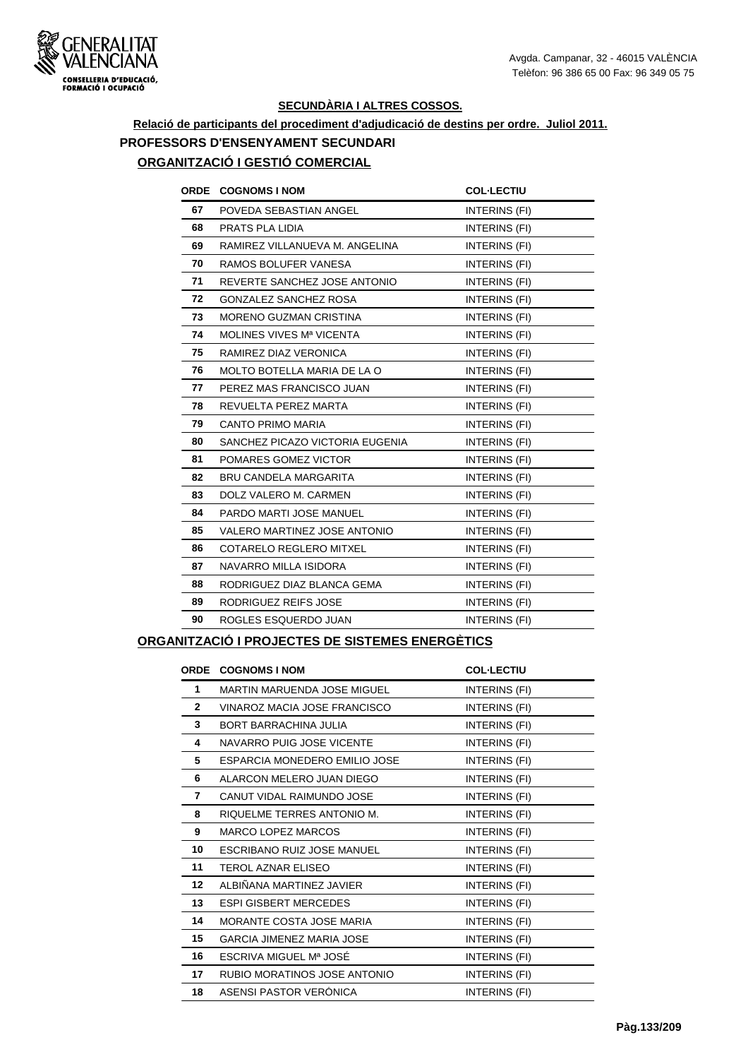

# **Relació de participants del procediment d'adjudicació de destins per ordre. Juliol 2011. PROFESSORS D'ENSENYAMENT SECUNDARI**

# **ORGANITZACIÓ I GESTIÓ COMERCIAL**

| <b>ORDE</b><br><b>COGNOMS I NOM</b>  | <b>COL-LECTIU</b>    |
|--------------------------------------|----------------------|
| POVEDA SEBASTIAN ANGEL               | INTERINS (FI)        |
| PRATS PLA LIDIA                      | INTERINS (FI)        |
| RAMIREZ VILLANUEVA M. ANGELINA       | INTERINS (FI)        |
| RAMOS BOLUFER VANESA                 | INTERINS (FI)        |
| REVERTE SANCHEZ JOSE ANTONIO         | INTERINS (FI)        |
| <b>GONZALEZ SANCHEZ ROSA</b>         | INTERINS (FI)        |
| <b>MORENO GUZMAN CRISTINA</b>        | INTERINS (FI)        |
| MOLINES VIVES M <sup>a</sup> VICENTA | INTERINS (FI)        |
| RAMIREZ DIAZ VERONICA                | INTERINS (FI)        |
| MOLTO BOTELLA MARIA DE LA O          | INTERINS (FI)        |
| PEREZ MAS FRANCISCO JUAN             | INTERINS (FI)        |
| REVUELTA PEREZ MARTA                 | INTERINS (FI)        |
| CANTO PRIMO MARIA                    | INTERINS (FI)        |
| SANCHEZ PICAZO VICTORIA EUGENIA      | INTERINS (FI)        |
| POMARES GOMEZ VICTOR                 | <b>INTERINS (FI)</b> |
| <b>BRU CANDELA MARGARITA</b>         | INTERINS (FI)        |
| DOLZ VALERO M. CARMEN                | INTERINS (FI)        |
| PARDO MARTI JOSE MANUEL              | INTERINS (FI)        |
| VALERO MARTINEZ JOSE ANTONIO         | INTERINS (FI)        |
| COTARELO REGLERO MITXEL              | INTERINS (FI)        |
| NAVARRO MILLA ISIDORA                | INTERINS (FI)        |
| RODRIGUEZ DIAZ BLANCA GEMA           | INTERINS (FI)        |
| RODRIGUEZ REIFS JOSE                 | INTERINS (FI)        |
| ROGLES ESQUERDO JUAN                 | INTERINS (FI)        |
|                                      |                      |

#### **ORGANITZACIÓ I PROJECTES DE SISTEMES ENERGÈTICS**

| <b>ORDE</b>     | <b>COGNOMS I NOM</b>               | <b>COL-LECTIU</b> |
|-----------------|------------------------------------|-------------------|
| 1               | <b>MARTIN MARUENDA JOSE MIGUEL</b> | INTERINS (FI)     |
| $\mathbf{2}$    | VINAROZ MACIA JOSE FRANCISCO       | INTERINS (FI)     |
| 3               | <b>BORT BARRACHINA JULIA</b>       | INTERINS (FI)     |
| 4               | NAVARRO PUIG JOSE VICENTE          | INTERINS (FI)     |
| 5               | ESPARCIA MONEDERO EMILIO JOSE      | INTERINS (FI)     |
| 6               | ALARCON MELERO JUAN DIEGO          | INTERINS (FI)     |
| 7               | CANUT VIDAL RAIMUNDO JOSE          | INTERINS (FI)     |
| 8               | RIQUELME TERRES ANTONIO M.         | INTERINS (FI)     |
| 9               | <b>MARCO LOPEZ MARCOS</b>          | INTERINS (FI)     |
| 10              | ESCRIBANO RUIZ JOSE MANUEL         | INTERINS (FI)     |
| 11              | <b>TEROL AZNAR ELISEO</b>          | INTERINS (FI)     |
| 12 <sup>2</sup> | ALBIÑANA MARTINEZ JAVIER           | INTERINS (FI)     |
| 13              | <b>ESPI GISBERT MERCEDES</b>       | INTERINS (FI)     |
| 14              | MORANTE COSTA JOSE MARIA           | INTERINS (FI)     |
| 15              | <b>GARCIA JIMENEZ MARIA JOSE</b>   | INTERINS (FI)     |
| 16              | ESCRIVA MIGUEL Mª JOSÉ             | INTERINS (FI)     |
| 17              | RUBIO MORATINOS JOSE ANTONIO       | INTERINS (FI)     |
| 18              | ASENSI PASTOR VERONICA             | INTERINS (FI)     |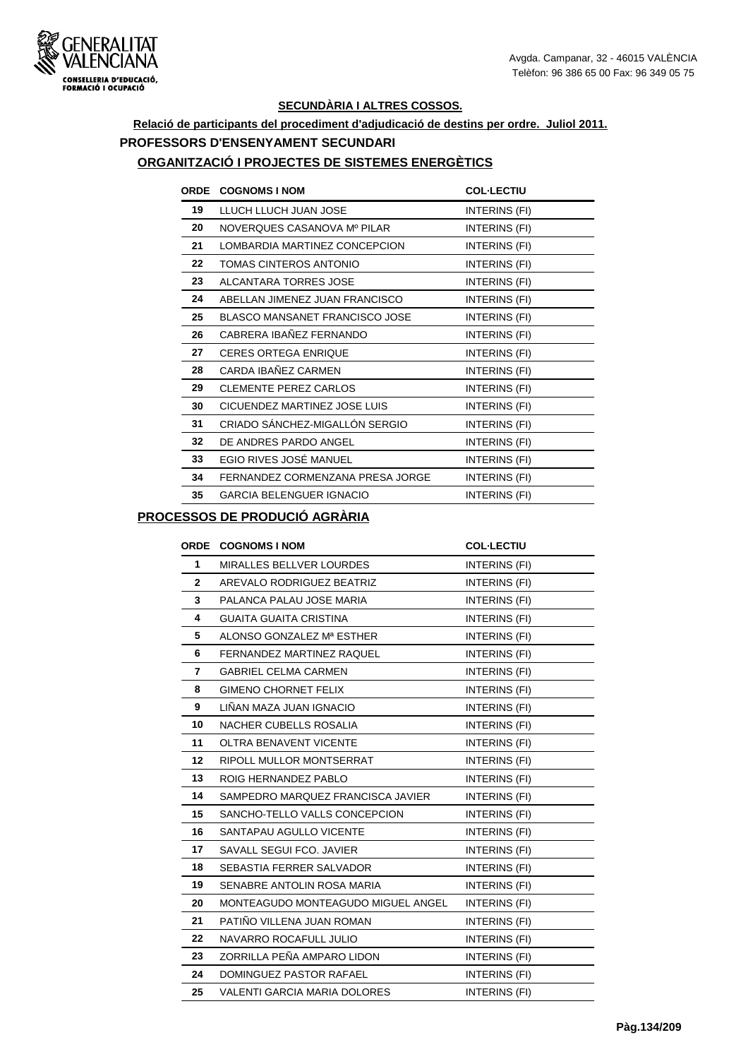

# **Relació de participants del procediment d'adjudicació de destins per ordre. Juliol 2011. PROFESSORS D'ENSENYAMENT SECUNDARI**

#### **ORGANITZACIÓ I PROJECTES DE SISTEMES ENERGÈTICS**

| <b>ORDE</b> | <b>COGNOMS I NOM</b>                  | <b>COL-LECTIU</b>    |
|-------------|---------------------------------------|----------------------|
| 19          | LLUCH LLUCH JUAN JOSE                 | INTERINS (FI)        |
| 20          | NOVERQUES CASANOVA Mº PILAR           | INTERINS (FI)        |
| 21          | LOMBARDIA MARTINEZ CONCEPCION         | INTERINS (FI)        |
| 22          | TOMAS CINTEROS ANTONIO                | INTERINS (FI)        |
| 23          | ALCANTARA TORRES JOSE                 | INTERINS (FI)        |
| 24          | ABELLAN JIMENEZ JUAN FRANCISCO        | INTERINS (FI)        |
| 25          | <b>BLASCO MANSANET FRANCISCO JOSE</b> | INTERINS (FI)        |
| 26          | CABRERA IBAÑEZ FERNANDO               | INTERINS (FI)        |
| 27          | <b>CERES ORTEGA ENRIQUE</b>           | INTERINS (FI)        |
| 28          | CARDA IBAÑEZ CARMEN                   | INTERINS (FI)        |
| 29          | CLEMENTE PEREZ CARLOS                 | INTERINS (FI)        |
| 30          | CICUENDEZ MARTINEZ JOSE LUIS          | INTERINS (FI)        |
| 31          | CRIADO SÁNCHEZ-MIGALLÓN SERGIO        | INTERINS (FI)        |
| 32          | DE ANDRES PARDO ANGEL                 | INTERINS (FI)        |
| 33          | EGIO RIVES JOSÉ MANUEL                | INTERINS (FI)        |
| 34          | FERNANDEZ CORMENZANA PRESA JORGE      | INTERINS (FI)        |
| 35          | <b>GARCIA BELENGUER IGNACIO</b>       | <b>INTERINS (FI)</b> |

### **PROCESSOS DE PRODUCIÓ AGRÀRIA**

| <b>ORDE</b>  | <b>COGNOMS I NOM</b>               | <b>COL-LECTIU</b>    |
|--------------|------------------------------------|----------------------|
| 1            | <b>MIRALLES BELLVER LOURDES</b>    | INTERINS (FI)        |
| $\mathbf{2}$ | AREVALO RODRIGUEZ BEATRIZ          | INTERINS (FI)        |
| 3            | PALANCA PALAU JOSE MARIA           | INTERINS (FI)        |
| 4            | <b>GUAITA GUAITA CRISTINA</b>      | INTERINS (FI)        |
| 5            | ALONSO GONZALEZ Mª ESTHER          | INTERINS (FI)        |
| 6            | FERNANDEZ MARTINEZ RAQUEL          | INTERINS (FI)        |
| 7            | <b>GABRIEL CELMA CARMEN</b>        | INTERINS (FI)        |
| 8            | <b>GIMENO CHORNET FELIX</b>        | <b>INTERINS (FI)</b> |
| 9            | LIÑAN MAZA JUAN IGNACIO            | INTERINS (FI)        |
| 10           | NACHER CUBELLS ROSALIA             | INTERINS (FI)        |
| 11           | <b>OLTRA BENAVENT VICENTE</b>      | <b>INTERINS (FI)</b> |
| 12           | RIPOLL MULLOR MONTSERRAT           | INTERINS (FI)        |
| 13           | ROIG HERNANDEZ PABLO               | INTERINS (FI)        |
| 14           | SAMPEDRO MARQUEZ FRANCISCA JAVIER  | INTERINS (FI)        |
| 15           | SANCHO-TELLO VALLS CONCEPCION      | INTERINS (FI)        |
| 16           | SANTAPAU AGULLO VICENTE            | INTERINS (FI)        |
| 17           | SAVALL SEGUI FCO. JAVIER           | INTERINS (FI)        |
| 18           | SEBASTIA FERRER SALVADOR           | INTERINS (FI)        |
| 19           | SENABRE ANTOLIN ROSA MARIA         | INTERINS (FI)        |
| 20           | MONTEAGUDO MONTEAGUDO MIGUEL ANGEL | INTERINS (FI)        |
| 21           | PATIÑO VILLENA JUAN ROMAN          | INTERINS (FI)        |
| 22           | NAVARRO ROCAFULL JULIO             | INTERINS (FI)        |
| 23           | ZORRILLA PEÑA AMPARO LIDON         | INTERINS (FI)        |
| 24           | DOMINGUEZ PASTOR RAFAEL            | INTERINS (FI)        |
| 25           | VALENTI GARCIA MARIA DOLORES       | INTERINS (FI)        |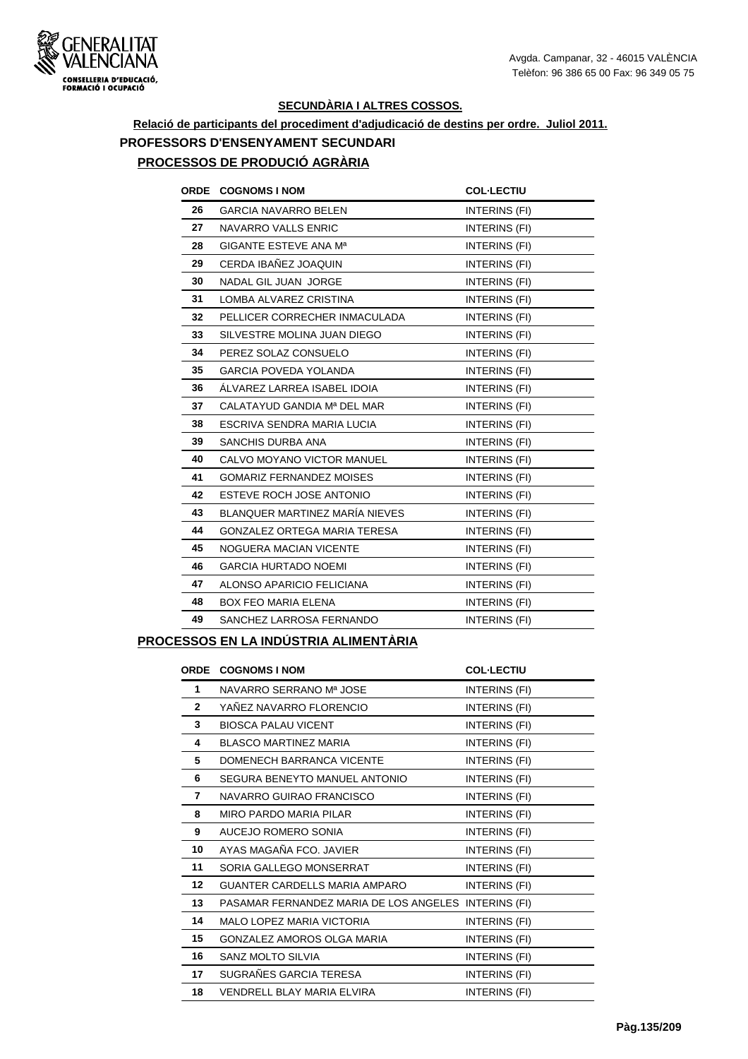

# **Relació de participants del procediment d'adjudicació de destins per ordre. Juliol 2011. PROFESSORS D'ENSENYAMENT SECUNDARI**

# **PROCESSOS DE PRODUCIÓ AGRÀRIA**

| <b>ORDE</b> | <b>COGNOMS I NOM</b>                | <b>COL-LECTIU</b>    |
|-------------|-------------------------------------|----------------------|
| 26          | <b>GARCIA NAVARRO BELEN</b>         | INTERINS (FI)        |
| 27          | NAVARRO VALLS ENRIC                 | INTERINS (FI)        |
| 28          | <b>GIGANTE ESTEVE ANA Ma</b>        | INTERINS (FI)        |
| 29          | CERDA IBAÑEZ JOAQUIN                | INTERINS (FI)        |
| 30          | NADAL GIL JUAN JORGE                | INTERINS (FI)        |
| 31          | LOMBA ALVAREZ CRISTINA              | INTERINS (FI)        |
| 32          | PELLICER CORRECHER INMACULADA       | <b>INTERINS (FI)</b> |
| 33          | SILVESTRE MOLINA JUAN DIEGO         | INTERINS (FI)        |
| 34          | PEREZ SOLAZ CONSUELO                | INTERINS (FI)        |
| 35          | <b>GARCIA POVEDA YOLANDA</b>        | INTERINS (FI)        |
| 36          | ALVAREZ LARREA ISABEL IDOIA         | INTERINS (FI)        |
| 37          | CALATAYUD GANDIA Mª DEL MAR         | INTERINS (FI)        |
| 38          | ESCRIVA SENDRA MARIA LUCIA          | INTERINS (FI)        |
| 39          | SANCHIS DURBA ANA                   | INTERINS (FI)        |
| 40          | CALVO MOYANO VICTOR MANUEL          | INTERINS (FI)        |
| 41          | <b>GOMARIZ FERNANDEZ MOISES</b>     | INTERINS (FI)        |
| 42          | ESTEVE ROCH JOSE ANTONIO            | INTERINS (FI)        |
| 43          | BLANQUER MARTINEZ MARÍA NIEVES      | INTERINS (FI)        |
| 44          | <b>GONZALEZ ORTEGA MARIA TERESA</b> | INTERINS (FI)        |
| 45          | NOGUERA MACIAN VICENTE              | INTERINS (FI)        |
| 46          | <b>GARCIA HURTADO NOEMI</b>         | INTERINS (FI)        |
| 47          | ALONSO APARICIO FELICIANA           | INTERINS (FI)        |
| 48          | <b>BOX FEO MARIA ELENA</b>          | INTERINS (FI)        |
| 49          | SANCHEZ LARROSA FERNANDO            | INTERINS (FI)        |
|             |                                     |                      |

## **PROCESSOS EN LA INDÚSTRIA ALIMENTÀRIA**

|              | <b>ORDE COGNOMS INOM</b>                             | <b>COL-LECTIU</b> |
|--------------|------------------------------------------------------|-------------------|
| 1            | NAVARRO SERRANO Mª JOSE                              | INTERINS (FI)     |
| $\mathbf{2}$ | YAÑEZ NAVARRO FLORENCIO                              | INTERINS (FI)     |
| 3            | <b>BIOSCA PALAU VICENT</b>                           | INTERINS (FI)     |
| 4            | <b>BLASCO MARTINEZ MARIA</b>                         | INTERINS (FI)     |
| 5            | DOMENECH BARRANCA VICENTE                            | INTERINS (FI)     |
| 6            | SEGURA BENEYTO MANUEL ANTONIO                        | INTERINS (FI)     |
| 7            | NAVARRO GUIRAO FRANCISCO                             | INTERINS (FI)     |
| 8            | <b>MIRO PARDO MARIA PILAR</b>                        | INTERINS (FI)     |
| 9            | AUCEJO ROMERO SONIA                                  | INTERINS (FI)     |
| 10           | AYAS MAGAÑA FCO. JAVIER                              | INTERINS (FI)     |
| 11           | SORIA GALLEGO MONSERRAT                              | INTERINS (FI)     |
| 12           | GUANTER CARDELLS MARIA AMPARO                        | INTERINS (FI)     |
| 13           | PASAMAR FERNANDEZ MARIA DE LOS ANGELES INTERINS (FI) |                   |
| 14           | <b>MALO LOPEZ MARIA VICTORIA</b>                     | INTERINS (FI)     |
| 15           | GONZALEZ AMOROS OLGA MARIA                           | INTERINS (FI)     |
| 16           | SANZ MOLTO SILVIA                                    | INTERINS (FI)     |
| 17           | SUGRAÑES GARCIA TERESA                               | INTERINS (FI)     |
| 18           | VENDRELL BLAY MARIA ELVIRA                           | INTERINS (FI)     |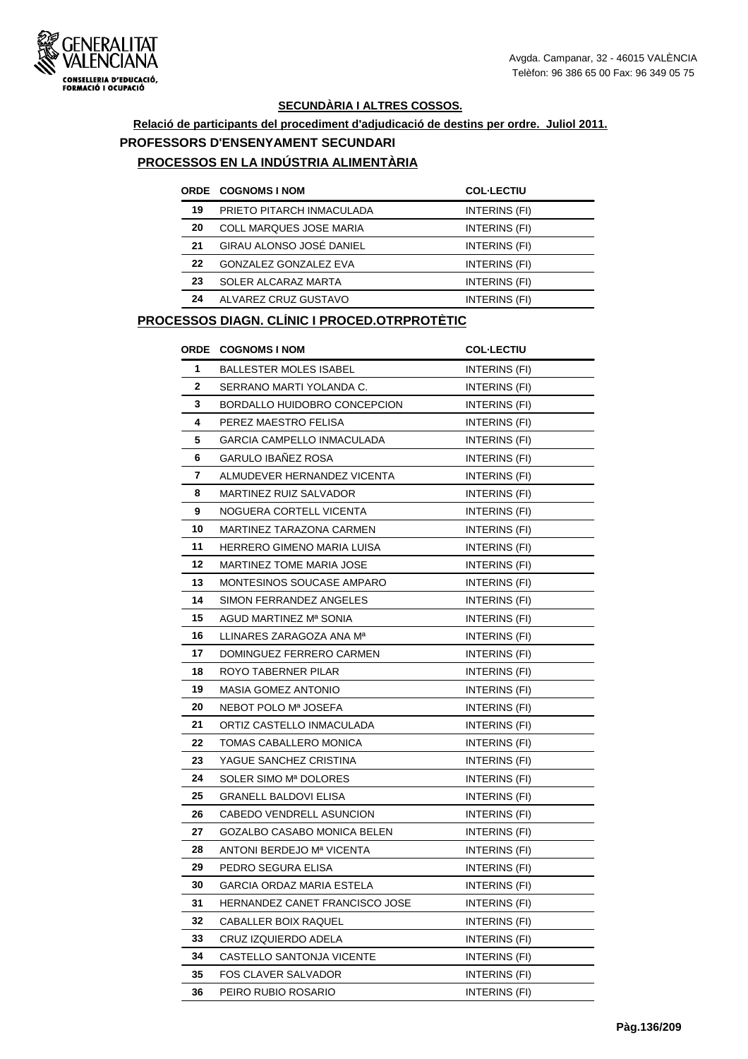

# **Relació de participants del procediment d'adjudicació de destins per ordre. Juliol 2011. PROFESSORS D'ENSENYAMENT SECUNDARI**

#### **PROCESSOS EN LA INDÚSTRIA ALIMENTÀRIA**

|    | <b>ORDE COGNOMS I NOM</b>    | <b>COL-LECTIU</b> |
|----|------------------------------|-------------------|
| 19 | PRIETO PITARCH INMACULADA    | INTERINS (FI)     |
| 20 | COLL MARQUES JOSE MARIA      | INTERINS (FI)     |
| 21 | GIRAU ALONSO JOSÉ DANIEL     | INTERINS (FI)     |
| 22 | <b>GONZALEZ GONZALEZ EVA</b> | INTERINS (FI)     |
| 23 | SOLER ALCARAZ MARTA          | INTERINS (FI)     |
| 24 | ALVAREZ CRUZ GUSTAVO         | INTERINS (FI)     |

#### **PROCESSOS DIAGN. CLÍNIC I PROCED.OTRPROTÈTIC**

|                | ORDE COGNOMS I NOM                | <b>COL-LECTIU</b>    |
|----------------|-----------------------------------|----------------------|
| 1              | <b>BALLESTER MOLES ISABEL</b>     | INTERINS (FI)        |
| $\overline{2}$ | SERRANO MARTI YOLANDA C.          | INTERINS (FI)        |
| 3              | BORDALLO HUIDOBRO CONCEPCION      | INTERINS (FI)        |
| 4              | PEREZ MAESTRO FELISA              | <b>INTERINS (FI)</b> |
| 5              | <b>GARCIA CAMPELLO INMACULADA</b> | INTERINS (FI)        |
| 6              | <b>GARULO IBAÑEZ ROSA</b>         | INTERINS (FI)        |
| 7              | ALMUDEVER HERNANDEZ VICENTA       | INTERINS (FI)        |
| 8              | <b>MARTINEZ RUIZ SALVADOR</b>     | INTERINS (FI)        |
| 9              | NOGUERA CORTELL VICENTA           | INTERINS (FI)        |
| 10             | MARTINEZ TARAZONA CARMEN          | INTERINS (FI)        |
| 11             | HERRERO GIMENO MARIA LUISA        | INTERINS (FI)        |
| 12             | MARTINEZ TOME MARIA JOSE          | INTERINS (FI)        |
| 13             | MONTESINOS SOUCASE AMPARO         | INTERINS (FI)        |
| 14             | SIMON FERRANDEZ ANGELES           | INTERINS (FI)        |
| 15             | AGUD MARTINEZ Mª SONIA            | INTERINS (FI)        |
| 16             | LLINARES ZARAGOZA ANA Mª          | INTERINS (FI)        |
| 17             | DOMINGUEZ FERRERO CARMEN          | INTERINS (FI)        |
| 18             | ROYO TABERNER PILAR               | INTERINS (FI)        |
| 19             | <b>MASIA GOMEZ ANTONIO</b>        | <b>INTERINS (FI)</b> |
| 20             | NEBOT POLO Mª JOSEFA              | INTERINS (FI)        |
| 21             | ORTIZ CASTELLO INMACULADA         | INTERINS (FI)        |
| 22             | TOMAS CABALLERO MONICA            | <b>INTERINS (FI)</b> |
| 23             | YAGUE SANCHEZ CRISTINA            | INTERINS (FI)        |
| 24             | SOLER SIMO Mª DOLORES             | INTERINS (FI)        |
| 25             | <b>GRANELL BALDOVI ELISA</b>      | <b>INTERINS (FI)</b> |
| 26             | CABEDO VENDRELL ASUNCION          | INTERINS (FI)        |
| 27             | GOZALBO CASABO MONICA BELEN       | INTERINS (FI)        |
| 28             | ANTONI BERDEJO Mª VICENTA         | INTERINS (FI)        |
| 29             | PEDRO SEGURA ELISA                | INTERINS (FI)        |
| 30             | <b>GARCIA ORDAZ MARIA ESTELA</b>  | INTERINS (FI)        |
| 31             | HERNANDEZ CANET FRANCISCO JOSE    | <b>INTERINS (FI)</b> |
| 32             | CABALLER BOIX RAQUEL              | INTERINS (FI)        |
| 33             | CRUZ IZQUIERDO ADELA              | INTERINS (FI)        |
| 34             | CASTELLO SANTONJA VICENTE         | INTERINS (FI)        |
| 35             | <b>FOS CLAVER SALVADOR</b>        | INTERINS (FI)        |
| 36             | PEIRO RUBIO ROSARIO               | <b>INTERINS (FI)</b> |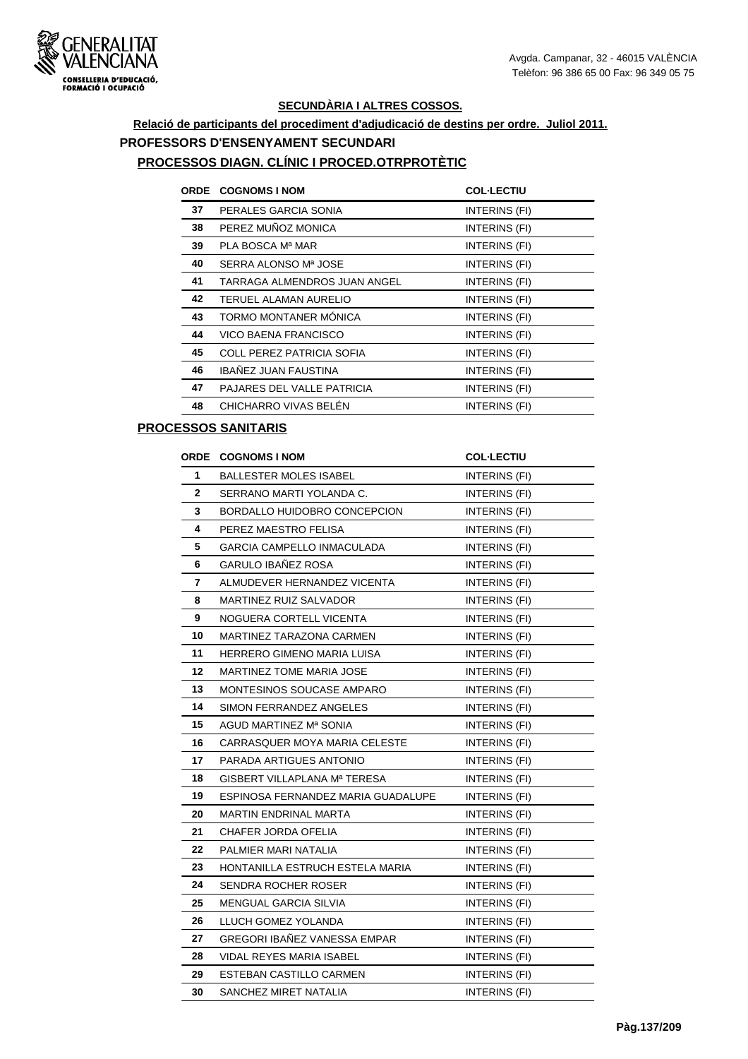

# **Relació de participants del procediment d'adjudicació de destins per ordre. Juliol 2011. PROFESSORS D'ENSENYAMENT SECUNDARI**

#### **PROCESSOS DIAGN. CLÍNIC I PROCED.OTRPROTÈTIC**

| <b>ORDE</b> | <b>COGNOMS I NOM</b>         | <b>COL-LECTIU</b> |
|-------------|------------------------------|-------------------|
| 37          | PERALES GARCIA SONIA         | INTERINS (FI)     |
| 38          | PEREZ MUÑOZ MONICA           | INTERINS (FI)     |
| 39          | PLA BOSCA Mª MAR             | INTERINS (FI)     |
| 40          | SERRA ALONSO Mª JOSE         | INTERINS (FI)     |
| 41          | TARRAGA ALMENDROS JUAN ANGEL | INTERINS (FI)     |
| 42          | TERUEL ALAMAN AURELIO        | INTERINS (FI)     |
| 43          | TORMO MONTANER MÓNICA        | INTERINS (FI)     |
| 44          | VICO BAENA FRANCISCO         | INTERINS (FI)     |
| 45          | COLL PEREZ PATRICIA SOFIA    | INTERINS (FI)     |
| 46          | IBAÑEZ JUAN FAUSTINA         | INTERINS (FI)     |
| 47          | PAJARES DEL VALLE PATRICIA   | INTERINS (FI)     |
| 48          | CHICHARRO VIVAS BELÉN        | INTERINS (FI)     |

#### **PROCESSOS SANITARIS**

| <b>ORDE</b>  | <b>COGNOMS I NOM</b>               | <b>COL-LECTIU</b>    |
|--------------|------------------------------------|----------------------|
| 1            | <b>BALLESTER MOLES ISABEL</b>      | INTERINS (FI)        |
| $\mathbf{2}$ | SERRANO MARTI YOLANDA C.           | INTERINS (FI)        |
| 3            | BORDALLO HUIDOBRO CONCEPCION       | INTERINS (FI)        |
| 4            | PEREZ MAESTRO FELISA               | INTERINS (FI)        |
| 5            | GARCIA CAMPELLO INMACULADA         | INTERINS (FI)        |
| 6            | <b>GARULO IBAÑEZ ROSA</b>          | INTERINS (FI)        |
| 7            | ALMUDEVER HERNANDEZ VICENTA        | INTERINS (FI)        |
| 8            | MARTINEZ RUIZ SALVADOR             | INTERINS (FI)        |
| 9            | NOGUERA CORTELL VICENTA            | INTERINS (FI)        |
| 10           | MARTINEZ TARAZONA CARMEN           | INTERINS (FI)        |
| 11           | HERRERO GIMENO MARIA LUISA         | <b>INTERINS (FI)</b> |
| 12           | <b>MARTINEZ TOME MARIA JOSE</b>    | <b>INTERINS (FI)</b> |
| 13           | MONTESINOS SOUCASE AMPARO          | INTERINS (FI)        |
| 14           | SIMON FERRANDEZ ANGELES            | INTERINS (FI)        |
| 15           | AGUD MARTINEZ Mª SONIA             | INTERINS (FI)        |
| 16           | CARRASQUER MOYA MARIA CELESTE      | INTERINS (FI)        |
| 17           | PARADA ARTIGUES ANTONIO            | INTERINS (FI)        |
| 18           | GISBERT VILLAPLANA Mª TERESA       | INTERINS (FI)        |
| 19           | ESPINOSA FERNANDEZ MARIA GUADALUPE | INTERINS (FI)        |
| 20           | <b>MARTIN ENDRINAL MARTA</b>       | INTERINS (FI)        |
| 21           | CHAFER JORDA OFELIA                | INTERINS (FI)        |
| 22           | PALMIER MARI NATALIA               | INTERINS (FI)        |
| 23           | HONTANILLA ESTRUCH ESTELA MARIA    | INTERINS (FI)        |
| 24           | SENDRA ROCHER ROSER                | INTERINS (FI)        |
| 25           | <b>MENGUAL GARCIA SILVIA</b>       | INTERINS (FI)        |
| 26           | LLUCH GOMEZ YOLANDA                | INTERINS (FI)        |
| 27           | GREGORI IBAÑEZ VANESSA EMPAR       | INTERINS (FI)        |
| 28           | VIDAL REYES MARIA ISABEL           | INTERINS (FI)        |
| 29           | ESTEBAN CASTILLO CARMEN            | <b>INTERINS (FI)</b> |
| 30           | SANCHEZ MIRET NATALIA              | INTERINS (FI)        |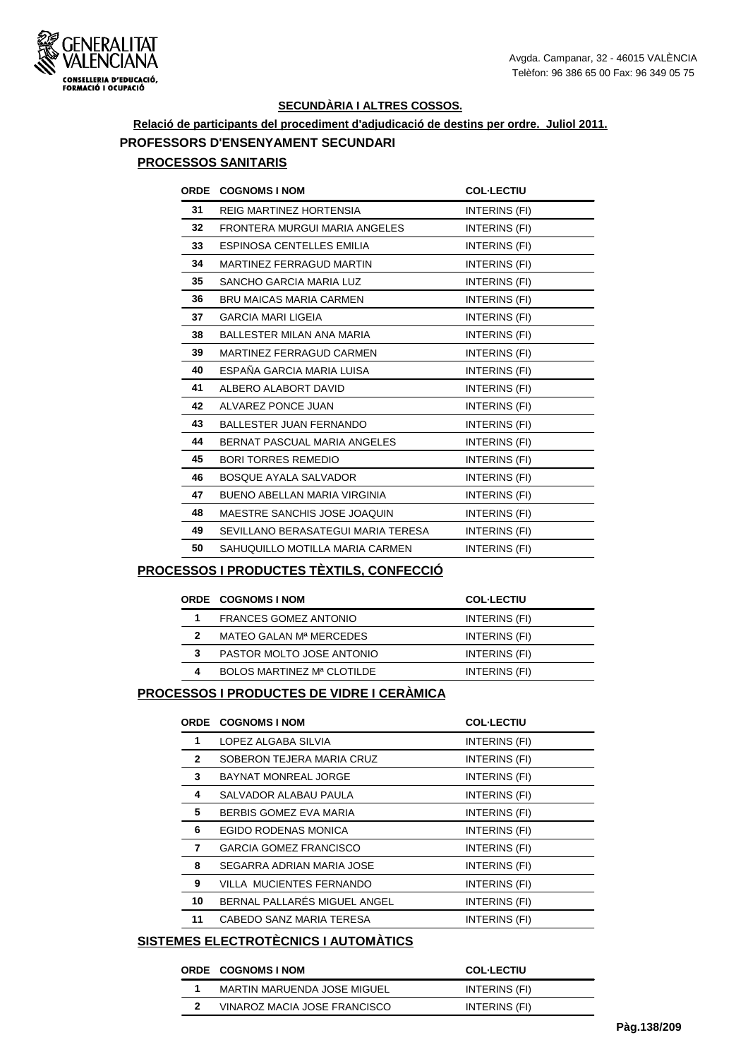

# **Relació de participants del procediment d'adjudicació de destins per ordre. Juliol 2011. PROFESSORS D'ENSENYAMENT SECUNDARI**

## **PROCESSOS SANITARIS**

| <b>ORDE</b> | <b>COGNOMS I NOM</b>                | <b>COL-LECTIU</b>    |
|-------------|-------------------------------------|----------------------|
| 31          | <b>REIG MARTINEZ HORTENSIA</b>      | INTERINS (FI)        |
| 32          | FRONTERA MURGUI MARIA ANGELES       | INTERINS (FI)        |
| 33          | ESPINOSA CENTELLES EMILIA           | INTERINS (FI)        |
| 34          | <b>MARTINEZ FERRAGUD MARTIN</b>     | <b>INTERINS (FI)</b> |
| 35          | <b>SANCHO GARCIA MARIA LUZ</b>      | INTERINS (FI)        |
| 36          | <b>BRU MAICAS MARIA CARMEN</b>      | INTERINS (FI)        |
| 37          | <b>GARCIA MARI LIGEIA</b>           | INTERINS (FI)        |
| 38          | <b>BALLESTER MILAN ANA MARIA</b>    | INTERINS (FI)        |
| 39          | MARTINEZ FERRAGUD CARMEN            | INTERINS (FI)        |
| 40          | ESPAÑA GARCIA MARIA LUISA           | INTERINS (FI)        |
| 41          | ALBERO ALABORT DAVID                | INTERINS (FI)        |
| 42          | ALVAREZ PONCE JUAN                  | INTERINS (FI)        |
| 43          | <b>BALLESTER JUAN FERNANDO</b>      | INTERINS (FI)        |
| 44          | BERNAT PASCUAL MARIA ANGELES        | INTERINS (FI)        |
| 45          | <b>BORI TORRES REMEDIO</b>          | INTERINS (FI)        |
| 46          | <b>BOSQUE AYALA SALVADOR</b>        | INTERINS (FI)        |
| 47          | <b>BUENO ABELLAN MARIA VIRGINIA</b> | INTERINS (FI)        |
| 48          | MAESTRE SANCHIS JOSE JOAQUIN        | INTERINS (FI)        |
| 49          | SEVILLANO BERASATEGUI MARIA TERESA  | INTERINS (FI)        |
| 50          | SAHUQUILLO MOTILLA MARIA CARMEN     | INTERINS (FI)        |

#### **PROCESSOS I PRODUCTES TÈXTILS, CONFECCIÓ**

|   | <b>ORDE COGNOMS INOM</b>     | <b>COL-LECTIU</b> |
|---|------------------------------|-------------------|
|   | <b>FRANCES GOMEZ ANTONIO</b> | INTERINS (FI)     |
| 2 | MATEO GALAN Mª MERCEDES      | INTERINS (FI)     |
| 3 | PASTOR MOLTO JOSE ANTONIO    | INTERINS (FI)     |
| Δ | BOLOS MARTINEZ Mª CLOTILDE   | INTERINS (FI)     |
|   |                              |                   |

#### **PROCESSOS I PRODUCTES DE VIDRE I CERÀMICA**

|              | <b>ORDE COGNOMS I NOM</b>     | <b>COL-LECTIU</b> |
|--------------|-------------------------------|-------------------|
| 1            | LOPEZ ALGABA SILVIA           | INTERINS (FI)     |
| $\mathbf{2}$ | SOBERON TEJERA MARIA CRUZ     | INTERINS (FI)     |
| 3            | <b>BAYNAT MONREAL JORGE</b>   | INTERINS (FI)     |
| 4            | SALVADOR ALABAU PAULA         | INTERINS (FI)     |
| 5            | BERBIS GOMEZ EVA MARIA        | INTERINS (FI)     |
| 6            | EGIDO RODENAS MONICA          | INTERINS (FI)     |
| 7            | <b>GARCIA GOMEZ FRANCISCO</b> | INTERINS (FI)     |
| 8            | SEGARRA ADRIAN MARIA JOSE     | INTERINS (FI)     |
| 9            | VILLA MUCIENTES FERNANDO      | INTERINS (FI)     |
| 10           | BERNAL PALLARÉS MIGUEL ANGEL  | INTERINS (FI)     |
| 11           | CABEDO SANZ MARIA TERESA      | INTERINS (FI)     |

### **SISTEMES ELECTROTÈCNICS I AUTOMÀTICS**

#### **ORDE COGNOMS I NOM COL·LECTIU**

| <b>UNDE COGNOMS INOM</b>     | <b>UUL'LEUTIU</b> |
|------------------------------|-------------------|
| MARTIN MARUENDA JOSE MIGUEL  | INTERINS (FI)     |
| VINAROZ MACIA JOSE FRANCISCO | INTERINS (FI)     |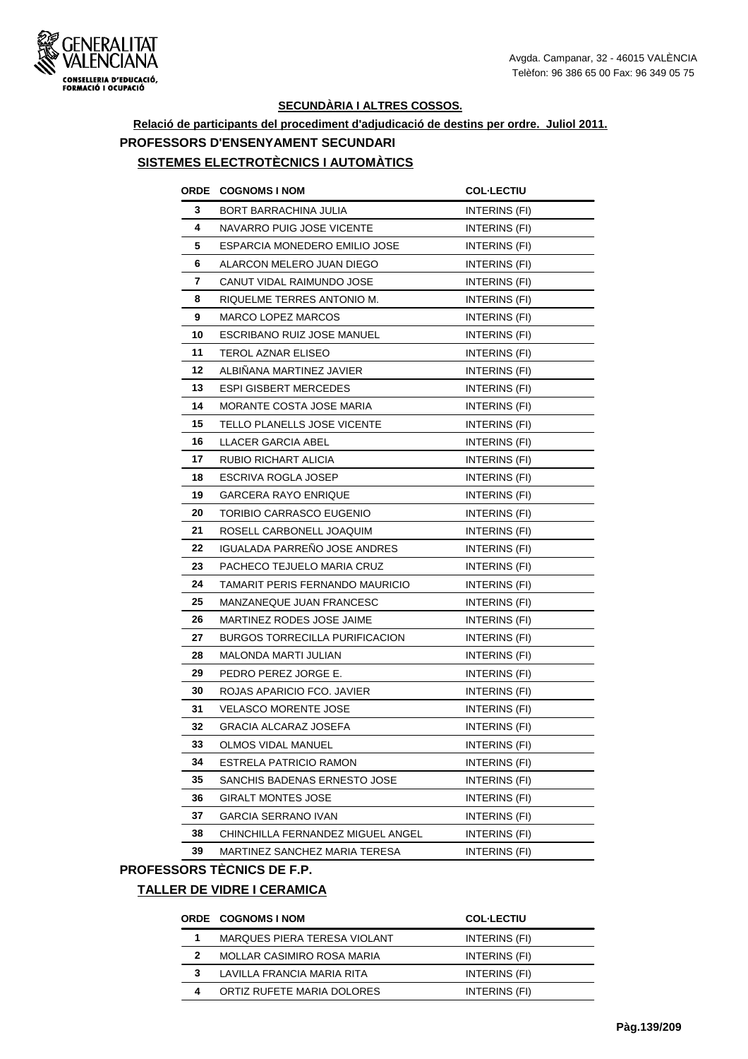

# **Relació de participants del procediment d'adjudicació de destins per ordre. Juliol 2011. PROFESSORS D'ENSENYAMENT SECUNDARI**

# **SISTEMES ELECTROTÈCNICS I AUTOMÀTICS**

|    | ORDE COGNOMS I NOM                    | <b>COL-LECTIU</b>    |
|----|---------------------------------------|----------------------|
| 3  | BORT BARRACHINA JULIA                 | INTERINS (FI)        |
| 4  | NAVARRO PUIG JOSE VICENTE             | INTERINS (FI)        |
| 5  | ESPARCIA MONEDERO EMILIO JOSE         | INTERINS (FI)        |
| 6  | ALARCON MELERO JUAN DIEGO             | <b>INTERINS (FI)</b> |
| 7  | CANUT VIDAL RAIMUNDO JOSE             | INTERINS (FI)        |
| 8  | RIQUELME TERRES ANTONIO M.            | INTERINS (FI)        |
| 9  | <b>MARCO LOPEZ MARCOS</b>             | INTERINS (FI)        |
| 10 | ESCRIBANO RUIZ JOSE MANUEL            | INTERINS (FI)        |
| 11 | TEROL AZNAR ELISEO                    | INTERINS (FI)        |
| 12 | ALBINANA MARTINEZ JAVIER              | INTERINS (FI)        |
| 13 | <b>ESPI GISBERT MERCEDES</b>          | INTERINS (FI)        |
| 14 | MORANTE COSTA JOSE MARIA              | INTERINS (FI)        |
| 15 | TELLO PLANELLS JOSE VICENTE           | INTERINS (FI)        |
| 16 | LLACER GARCIA ABEL                    | INTERINS (FI)        |
| 17 | RUBIO RICHART ALICIA                  | INTERINS (FI)        |
| 18 | ESCRIVA ROGLA JOSEP                   | INTERINS (FI)        |
| 19 | <b>GARCERA RAYO ENRIQUE</b>           | INTERINS (FI)        |
| 20 | TORIBIO CARRASCO EUGENIO              | INTERINS (FI)        |
| 21 | ROSELL CARBONELL JOAQUIM              | INTERINS (FI)        |
| 22 | <b>IGUALADA PARRENO JOSE ANDRES</b>   | <b>INTERINS (FI)</b> |
| 23 | PACHECO TEJUELO MARIA CRUZ            | INTERINS (FI)        |
| 24 | TAMARIT PERIS FERNANDO MAURICIO       | INTERINS (FI)        |
| 25 | MANZANEQUE JUAN FRANCESC              | INTERINS (FI)        |
| 26 | MARTINEZ RODES JOSE JAIME             | <b>INTERINS (FI)</b> |
| 27 | <b>BURGOS TORRECILLA PURIFICACION</b> | INTERINS (FI)        |
| 28 | MALONDA MARTI JULIAN                  | INTERINS (FI)        |
| 29 | PEDRO PEREZ JORGE E.                  | INTERINS (FI)        |
| 30 | ROJAS APARICIO FCO. JAVIER            | <b>INTERINS (FI)</b> |
| 31 | <b>VELASCO MORENTE JOSE</b>           | <b>INTERINS (FI)</b> |
| 32 | <b>GRACIA ALCARAZ JOSEFA</b>          | <b>INTERINS (FI)</b> |
| 33 | <b>OLMOS VIDAL MANUEL</b>             | INTERINS (FI)        |
| 34 | <b>ESTRELA PATRICIO RAMON</b>         | INTERINS (FI)        |
| 35 | SANCHIS BADENAS ERNESTO JOSE          | INTERINS (FI)        |
| 36 | <b>GIRALT MONTES JOSE</b>             | INTERINS (FI)        |
| 37 | <b>GARCIA SERRANO IVAN</b>            | INTERINS (FI)        |
| 38 | CHINCHILLA FERNANDEZ MIGUEL ANGEL     | INTERINS (FI)        |
| 39 | MARTINEZ SANCHEZ MARIA TERESA         | INTERINS (FI)        |

#### **PROFESSORS TÈCNICS DE F.P.**

## **TALLER DE VIDRE I CERAMICA**

# **ORDE COGNOMS I NOM COL·LECTIU**

|   |                              | --------      |
|---|------------------------------|---------------|
|   | MARQUES PIERA TERESA VIOLANT | INTERINS (FI) |
|   | MOLLAR CASIMIRO ROSA MARIA   | INTERINS (FI) |
|   | LAVILLA FRANCIA MARIA RITA   | INTERINS (FI) |
| 4 | ORTIZ RUFETE MARIA DOLORES   | INTERINS (FI) |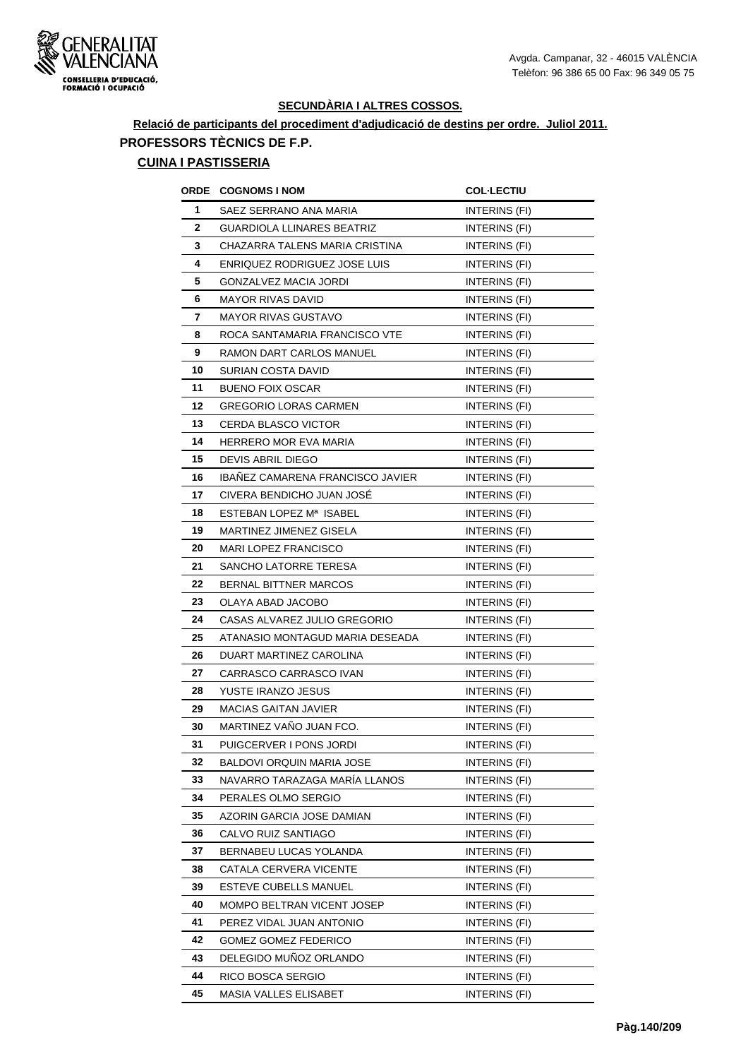

## **Relació de participants del procediment d'adjudicació de destins per ordre. Juliol 2011. PROFESSORS TÈCNICS DE F.P.**

#### **CUINA I PASTISSERIA**

| ORDE         | <b>COGNOMS I NOM</b>             | <b>COL-LECTIU</b>    |
|--------------|----------------------------------|----------------------|
| 1            | SAEZ SERRANO ANA MARIA           | INTERINS (FI)        |
| $\mathbf{2}$ | GUARDIOLA LLINARES BEATRIZ       | <b>INTERINS (FI)</b> |
| 3            | CHAZARRA TALENS MARIA CRISTINA   | INTERINS (FI)        |
| 4            | ENRIQUEZ RODRIGUEZ JOSE LUIS     | INTERINS (FI)        |
| 5            | GONZALVEZ MACIA JORDI            | INTERINS (FI)        |
| 6            | MAYOR RIVAS DAVID                | INTERINS (FI)        |
| 7            | MAYOR RIVAS GUSTAVO              | INTERINS (FI)        |
| 8            | ROCA SANTAMARIA FRANCISCO VTE    | INTERINS (FI)        |
| 9            | RAMON DART CARLOS MANUEL         | <b>INTERINS (FI)</b> |
| 10           | SURIAN COSTA DAVID               | INTERINS (FI)        |
| 11           | <b>BUENO FOIX OSCAR</b>          | INTERINS (FI)        |
| 12           | <b>GREGORIO LORAS CARMEN</b>     | INTERINS (FI)        |
| 13           | <b>CERDA BLASCO VICTOR</b>       | INTERINS (FI)        |
| 14           | HERRERO MOR EVA MARIA            | INTERINS (FI)        |
| 15           | DEVIS ABRIL DIEGO                | INTERINS (FI)        |
| 16           | IBAÑEZ CAMARENA FRANCISCO JAVIER | INTERINS (FI)        |
| 17           | CIVERA BENDICHO JUAN JOSE        | INTERINS (FI)        |
| 18           | ESTEBAN LOPEZ Mª ISABEL          | INTERINS (FI)        |
| 19           | MARTINEZ JIMENEZ GISELA          | INTERINS (FI)        |
| 20           | <b>MARI LOPEZ FRANCISCO</b>      | INTERINS (FI)        |
| 21           | SANCHO LATORRE TERESA            | INTERINS (FI)        |
| 22           | <b>BERNAL BITTNER MARCOS</b>     | <b>INTERINS (FI)</b> |
| 23           | OLAYA ABAD JACOBO                | <b>INTERINS (FI)</b> |
| 24           | CASAS ALVAREZ JULIO GREGORIO     | INTERINS (FI)        |
| 25           | ATANASIO MONTAGUD MARIA DESEADA  | INTERINS (FI)        |
| 26           | DUART MARTINEZ CAROLINA          | INTERINS (FI)        |
| 27           | CARRASCO CARRASCO IVAN           | INTERINS (FI)        |
| 28           | YUSTE IRANZO JESUS               | INTERINS (FI)        |
| 29           | MACIAS GAITAN JAVIER             | INTERINS (FI)        |
| 30           | MARTINEZ VAÑO JUAN FCO.          | INTERINS (FI)        |
| 31           | PUIGCERVER I PONS JORDI          | INTERINS (FI)        |
| 32           | BALDOVI ORQUIN MARIA JOSE        | INTERINS (FI)        |
| 33           | NAVARRO TARAZAGA MARIA LLANOS    | INTERINS (FI)        |
| 34           | PERALES OLMO SERGIO              | INTERINS (FI)        |
| 35           | AZORIN GARCIA JOSE DAMIAN        | INTERINS (FI)        |
| 36           | CALVO RUIZ SANTIAGO              | INTERINS (FI)        |
| 37           | BERNABEU LUCAS YOLANDA           | INTERINS (FI)        |
| 38           | CATALA CERVERA VICENTE           | INTERINS (FI)        |
| 39           | ESTEVE CUBELLS MANUEL            | INTERINS (FI)        |
| 40           | MOMPO BELTRAN VICENT JOSEP       | <b>INTERINS (FI)</b> |
| 41           | PEREZ VIDAL JUAN ANTONIO         | INTERINS (FI)        |
| 42           | <b>GOMEZ GOMEZ FEDERICO</b>      | INTERINS (FI)        |
| 43           | DELEGIDO MUNOZ ORLANDO           | INTERINS (FI)        |
| 44           | RICO BOSCA SERGIO                | INTERINS (FI)        |
| 45           | MASIA VALLES ELISABET            | INTERINS (FI)        |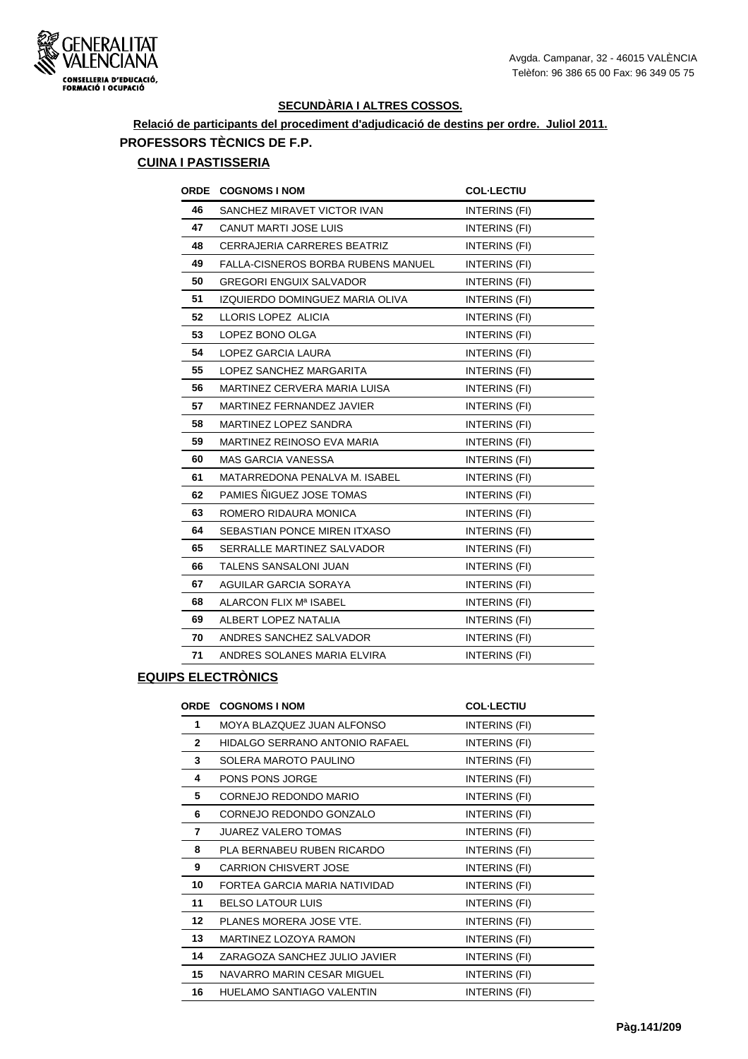

# **Relació de participants del procediment d'adjudicació de destins per ordre. Juliol 2011. PROFESSORS TÈCNICS DE F.P.**

#### **CUINA I PASTISSERIA**

|    | ORDE COGNOMS I NOM                        | <b>COL-LECTIU</b> |
|----|-------------------------------------------|-------------------|
| 46 | SANCHEZ MIRAVET VICTOR IVAN               | INTERINS (FI)     |
| 47 | <b>CANUT MARTI JOSE LUIS</b>              | INTERINS (FI)     |
| 48 | CERRAJERIA CARRERES BEATRIZ               | INTERINS (FI)     |
| 49 | <b>FALLA-CISNEROS BORBA RUBENS MANUEL</b> | INTERINS (FI)     |
| 50 | <b>GREGORI ENGUIX SALVADOR</b>            | INTERINS (FI)     |
| 51 | IZQUIERDO DOMINGUEZ MARIA OLIVA           | INTERINS (FI)     |
| 52 | LLORIS LOPEZ ALICIA                       | INTERINS (FI)     |
| 53 | LOPEZ BONO OLGA                           | INTERINS (FI)     |
| 54 | LOPEZ GARCIA LAURA                        | INTERINS (FI)     |
| 55 | LOPEZ SANCHEZ MARGARITA                   | INTERINS (FI)     |
| 56 | MARTINEZ CERVERA MARIA LUISA              | INTERINS (FI)     |
| 57 | MARTINEZ FERNANDEZ JAVIER                 | INTERINS (FI)     |
| 58 | MARTINEZ LOPEZ SANDRA                     | INTERINS (FI)     |
| 59 | MARTINEZ REINOSO EVA MARIA                | INTERINS (FI)     |
| 60 | <b>MAS GARCIA VANESSA</b>                 | INTERINS (FI)     |
| 61 | MATARREDONA PENALVA M. ISABEL             | INTERINS (FI)     |
| 62 | PAMIES ÑIGUEZ JOSE TOMAS                  | INTERINS (FI)     |
| 63 | ROMERO RIDAURA MONICA                     | INTERINS (FI)     |
| 64 | SEBASTIAN PONCE MIREN ITXASO              | INTERINS (FI)     |
| 65 | SERRALLE MARTINEZ SALVADOR                | INTERINS (FI)     |
| 66 | <b>TALENS SANSALONI JUAN</b>              | INTERINS (FI)     |
| 67 | AGUILAR GARCIA SORAYA                     | INTERINS (FI)     |
| 68 | ALARCON FLIX Mª ISABEL                    | INTERINS (FI)     |
| 69 | ALBERT LOPEZ NATALIA                      | INTERINS (FI)     |
| 70 | ANDRES SANCHEZ SALVADOR                   | INTERINS (FI)     |
| 71 | ANDRES SOLANES MARIA ELVIRA               | INTERINS (FI)     |

## **EQUIPS ELECTRÒNICS**

| <b>ORDE</b>  | <b>COGNOMS I NOM</b>           | <b>COL-LECTIU</b> |
|--------------|--------------------------------|-------------------|
| 1            | MOYA BLAZQUEZ JUAN ALFONSO     | INTERINS (FI)     |
| $\mathbf{2}$ | HIDALGO SERRANO ANTONIO RAFAEL | INTERINS (FI)     |
| 3            | SOLERA MAROTO PAULINO          | INTERINS (FI)     |
| 4            | PONS PONS JORGE                | INTERINS (FI)     |
| 5            | CORNEJO REDONDO MARIO          | INTERINS (FI)     |
| 6            | CORNEJO REDONDO GONZALO        | INTERINS (FI)     |
| 7            | <b>JUAREZ VALERO TOMAS</b>     | INTERINS (FI)     |
| 8            | PLA BERNABEU RUBEN RICARDO     | INTERINS (FI)     |
| 9            | <b>CARRION CHISVERT JOSE</b>   | INTERINS (FI)     |
| 10           | FORTEA GARCIA MARIA NATIVIDAD  | INTERINS (FI)     |
| 11           | <b>BELSO LATOUR LUIS</b>       | INTERINS (FI)     |
| $12 \,$      | PLANES MORERA JOSE VTE.        | INTERINS (FI)     |
| 13           | MARTINEZ LOZOYA RAMON          | INTERINS (FI)     |
| 14           | ZARAGOZA SANCHEZ JULIO JAVIER  | INTERINS (FI)     |
| 15           | NAVARRO MARIN CESAR MIGUEL     | INTERINS (FI)     |
| 16           | HUELAMO SANTIAGO VALENTIN      | INTERINS (FI)     |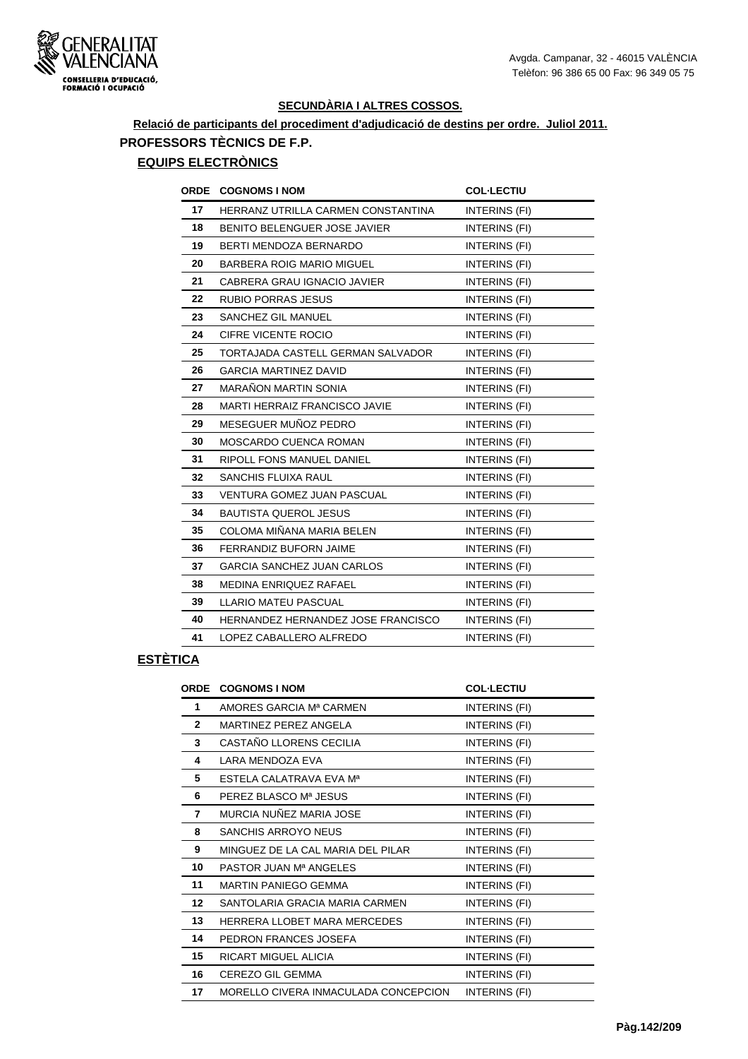

# **Relació de participants del procediment d'adjudicació de destins per ordre. Juliol 2011. PROFESSORS TÈCNICS DE F.P.**

# **EQUIPS ELECTRÒNICS**

| <b>ORDE</b> | <b>COGNOMS I NOM</b>                 | <b>COL-LECTIU</b>    |
|-------------|--------------------------------------|----------------------|
| 17          | HERRANZ UTRILLA CARMEN CONSTANTINA   | INTERINS (FI)        |
| 18          | BENITO BELENGUER JOSE JAVIER         | INTERINS (FI)        |
| 19          | BERTI MENDOZA BERNARDO               | INTERINS (FI)        |
| 20          | <b>BARBERA ROIG MARIO MIGUEL</b>     | INTERINS (FI)        |
| 21          | CABRERA GRAU IGNACIO JAVIER          | INTERINS (FI)        |
| 22          | <b>RUBIO PORRAS JESUS</b>            | INTERINS (FI)        |
| 23          | SANCHEZ GIL MANUEL                   | INTERINS (FI)        |
| 24          | CIFRE VICENTE ROCIO                  | INTERINS (FI)        |
| 25          | TORTAJADA CASTELL GERMAN SALVADOR    | INTERINS (FI)        |
| 26          | <b>GARCIA MARTINEZ DAVID</b>         | INTERINS (FI)        |
| 27          | <b>MARAÑON MARTIN SONIA</b>          | INTERINS (FI)        |
| 28          | <b>MARTI HERRAIZ FRANCISCO JAVIE</b> | INTERINS (FI)        |
| 29          | MESEGUER MUÑOZ PEDRO                 | INTERINS (FI)        |
| 30          | MOSCARDO CUENCA ROMAN                | INTERINS (FI)        |
| 31          | <b>RIPOLL FONS MANUEL DANIEL</b>     | INTERINS (FI)        |
| 32          | <b>SANCHIS FLUIXA RAUL</b>           | INTERINS (FI)        |
| 33          | <b>VENTURA GOMEZ JUAN PASCUAL</b>    | INTERINS (FI)        |
| 34          | <b>BAUTISTA QUEROL JESUS</b>         | INTERINS (FI)        |
| 35          | COLOMA MIÑANA MARIA BELEN            | <b>INTERINS (FI)</b> |
| 36          | <b>FERRANDIZ BUFORN JAIME</b>        | INTERINS (FI)        |
| 37          | <b>GARCIA SANCHEZ JUAN CARLOS</b>    | INTERINS (FI)        |
| 38          | MEDINA ENRIQUEZ RAFAEL               | INTERINS (FI)        |
| 39          | LLARIO MATEU PASCUAL                 | INTERINS (FI)        |
| 40          | HERNANDEZ HERNANDEZ JOSE FRANCISCO   | INTERINS (FI)        |
| 41          | LOPEZ CABALLERO ALFREDO              | INTERINS (FI)        |

# **ESTÈTICA**

| ORDE            | <b>COGNOMS I NOM</b>                 | <b>COL-LECTIU</b> |
|-----------------|--------------------------------------|-------------------|
| 1               | AMORES GARCIA Mª CARMEN              | INTERINS (FI)     |
| $\mathbf{2}$    | MARTINEZ PEREZ ANGELA                | INTERINS (FI)     |
| 3               | CASTAÑO LLORENS CECILIA              | INTERINS (FI)     |
| 4               | LARA MENDOZA EVA                     | INTERINS (FI)     |
| 5               | ESTELA CALATRAVA EVA Mª              | INTERINS (FI)     |
| 6               | PEREZ BLASCO Mª JESUS                | INTERINS (FI)     |
| 7               | MURCIA NUÑEZ MARIA JOSE              | INTERINS (FI)     |
| 8               | SANCHIS ARROYO NEUS                  | INTERINS (FI)     |
| 9               | MINGUEZ DE LA CAL MARIA DEL PILAR    | INTERINS (FI)     |
| 10              | PASTOR JUAN Mª ANGELES               | INTERINS (FI)     |
| 11              | MARTIN PANIEGO GEMMA                 | INTERINS (FI)     |
| 12 <sub>2</sub> | SANTOLARIA GRACIA MARIA CARMEN       | INTERINS (FI)     |
| 13              | HERRERA LLOBET MARA MERCEDES         | INTERINS (FI)     |
| 14              | PEDRON FRANCES JOSEFA                | INTERINS (FI)     |
| 15              | RICART MIGUEL ALICIA                 | INTERINS (FI)     |
| 16              | CEREZO GIL GEMMA                     | INTERINS (FI)     |
| 17              | MORELLO CIVERA INMACULADA CONCEPCION | INTERINS (FI)     |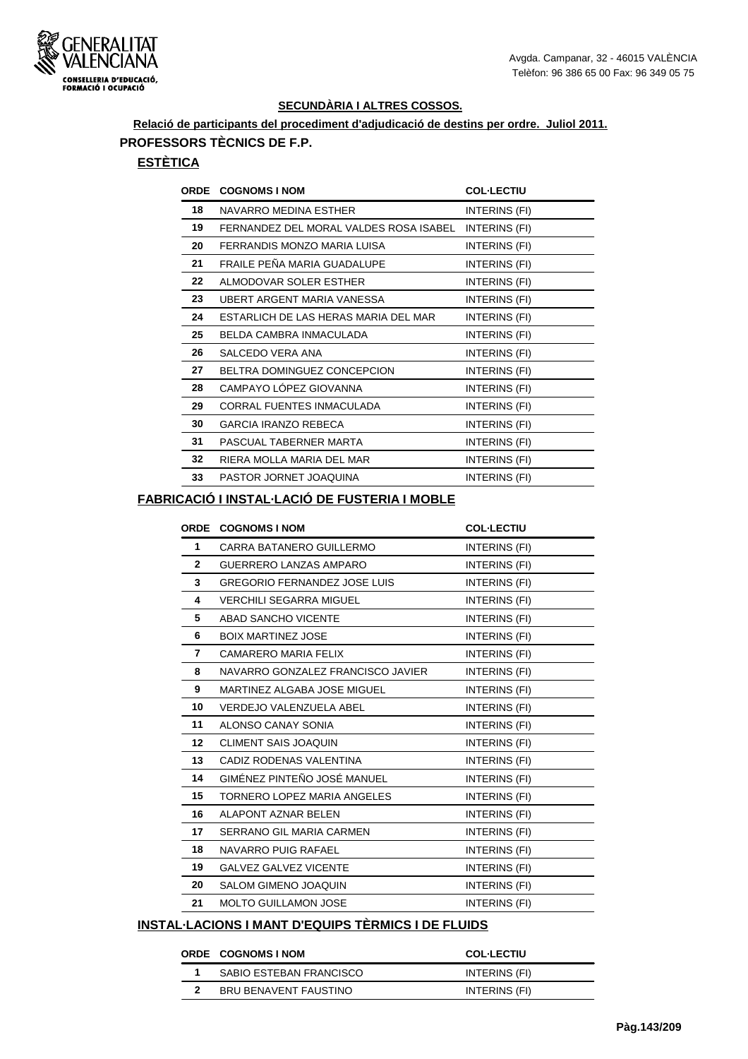

## **Relació de participants del procediment d'adjudicació de destins per ordre. Juliol 2011. PROFESSORS TÈCNICS DE F.P.**

#### **ESTÈTICA**

| <b>ORDE</b> | <b>COGNOMS I NOM</b>                   | <b>COL-LECTIU</b> |
|-------------|----------------------------------------|-------------------|
| 18          | NAVARRO MEDINA ESTHER                  | INTERINS (FI)     |
| 19          | FERNANDEZ DEL MORAL VALDES ROSA ISABEL | INTERINS (FI)     |
| 20          | FERRANDIS MONZO MARIA LUISA            | INTERINS (FI)     |
| 21          | FRAILE PEÑA MARIA GUADALUPE            | INTERINS (FI)     |
| 22          | ALMODOVAR SOLER ESTHER                 | INTERINS (FI)     |
| 23          | UBERT ARGENT MARIA VANESSA             | INTERINS (FI)     |
| 24          | ESTARLICH DE LAS HERAS MARIA DEL MAR   | INTERINS (FI)     |
| 25          | BELDA CAMBRA INMACULADA                | INTERINS (FI)     |
| 26          | SALCEDO VERA ANA                       | INTERINS (FI)     |
| 27          | BELTRA DOMINGUEZ CONCEPCION            | INTERINS (FI)     |
| 28          | CAMPAYO LÓPEZ GIOVANNA                 | INTERINS (FI)     |
| 29          | CORRAL FUENTES INMACULADA              | INTERINS (FI)     |
| 30          | <b>GARCIA IRANZO REBECA</b>            | INTERINS (FI)     |
| 31          | PASCUAL TABERNER MARTA                 | INTERINS (FI)     |
| 32          | RIERA MOLLA MARIA DEL MAR              | INTERINS (FI)     |
| 33          | PASTOR JORNET JOAQUINA                 | INTERINS (FI)     |

#### **FABRICACIÓ I INSTAL·LACIÓ DE FUSTERIA I MOBLE**

|                | <b>ORDE COGNOMS I NOM</b>           | <b>COL-LECTIU</b>    |
|----------------|-------------------------------------|----------------------|
| 1              | CARRA BATANERO GUILLERMO            | INTERINS (FI)        |
| $\overline{2}$ | GUERRERO LANZAS AMPARO              | <b>INTERINS (FI)</b> |
| 3              | <b>GREGORIO FERNANDEZ JOSE LUIS</b> | INTERINS (FI)        |
| 4              | <b>VERCHILI SEGARRA MIGUEL</b>      | INTERINS (FI)        |
| 5              | ABAD SANCHO VICENTE                 | INTERINS (FI)        |
| 6              | <b>BOIX MARTINEZ JOSE</b>           | INTERINS (FI)        |
| 7              | <b>CAMARERO MARIA FELIX</b>         | INTERINS (FI)        |
| 8              | NAVARRO GONZALEZ FRANCISCO JAVIER   | <b>INTERINS (FI)</b> |
| 9              | MARTINEZ ALGABA JOSE MIGUEL         | INTERINS (FI)        |
| 10             | <b>VERDEJO VALENZUELA ABEL</b>      | INTERINS (FI)        |
| 11             | ALONSO CANAY SONIA                  | INTERINS (FI)        |
| $12 \,$        | <b>CLIMENT SAIS JOAQUIN</b>         | INTERINS (FI)        |
| 13             | CADIZ RODENAS VALENTINA             | <b>INTERINS (FI)</b> |
| 14             | GIMÉNEZ PINTEÑO JOSÉ MANUEL         | INTERINS (FI)        |
| 15             | TORNERO LOPEZ MARIA ANGELES         | <b>INTERINS (FI)</b> |
| 16             | ALAPONT AZNAR BELEN                 | INTERINS (FI)        |
| 17             | SERRANO GIL MARIA CARMEN            | INTERINS (FI)        |
| 18             | NAVARRO PUIG RAFAEL                 | INTERINS (FI)        |
| 19             | <b>GALVEZ GALVEZ VICENTE</b>        | INTERINS (FI)        |
| 20             | <b>SALOM GIMENO JOAQUIN</b>         | INTERINS (FI)        |
| 21             | <b>MOLTO GUILLAMON JOSE</b>         | INTERINS (FI)        |

## **INSTAL·LACIONS I MANT D'EQUIPS TÈRMICS I DE FLUIDS**

#### **ORDE COGNOMS I NOM COL·LECTIU**

| SABIO ESTEBAN FRANCISCO | INTERINS (FI) |
|-------------------------|---------------|
| BRU BENAVENT FAUSTINO   | INTERINS (FI) |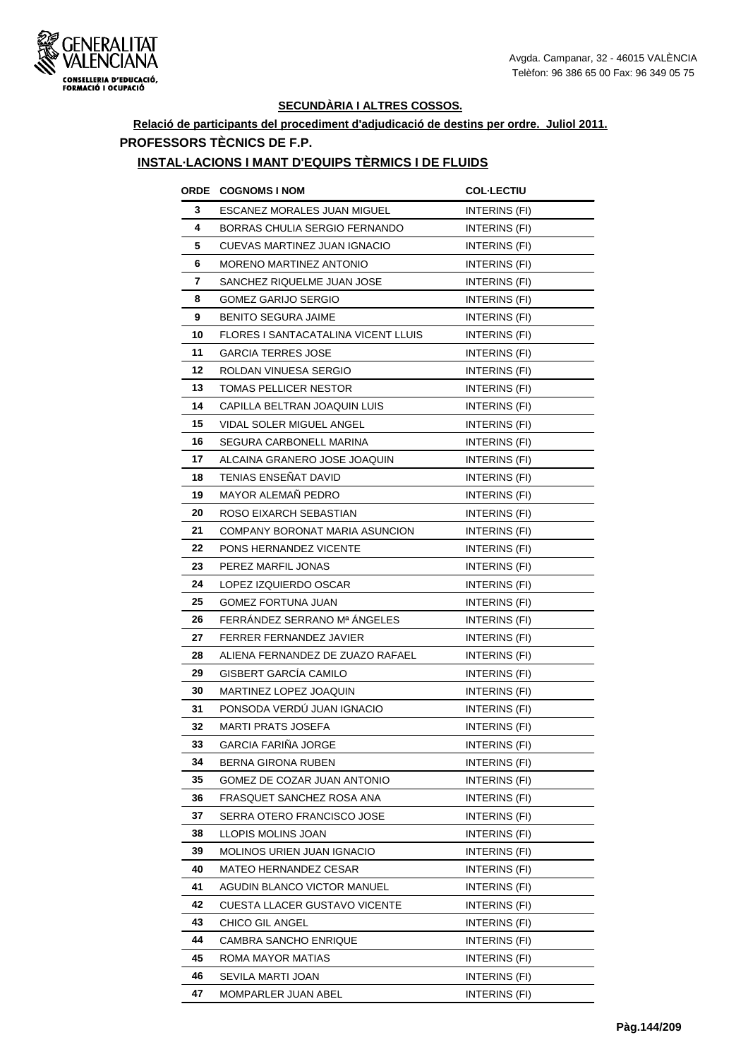

#### **Relació de participants del procediment d'adjudicació de destins per ordre. Juliol 2011. PROFESSORS TÈCNICS DE F.P.**

# **INSTAL·LACIONS I MANT D'EQUIPS TÈRMICS I DE FLUIDS**

|         | <b>ORDE COGNOMS INOM</b>            | <b>COL-LECTIU</b>    |
|---------|-------------------------------------|----------------------|
| 3       | ESCANEZ MORALES JUAN MIGUEL         | INTERINS (FI)        |
| 4       | BORRAS CHULIA SERGIO FERNANDO       | INTERINS (FI)        |
| 5       | CUEVAS MARTINEZ JUAN IGNACIO        | INTERINS (FI)        |
| 6       | <b>MORENO MARTINEZ ANTONIO</b>      | INTERINS (FI)        |
| 7       | SANCHEZ RIQUELME JUAN JOSE          | INTERINS (FI)        |
| 8       | GOMEZ GARIJO SERGIO                 | <b>INTERINS (FI)</b> |
| 9       | <b>BENITO SEGURA JAIME</b>          | <b>INTERINS (FI)</b> |
| 10      | FLORES I SANTACATALINA VICENT LLUIS | INTERINS (FI)        |
| 11      | <b>GARCIA TERRES JOSE</b>           | INTERINS (FI)        |
| $12 \,$ | ROLDAN VINUESA SERGIO               | INTERINS (FI)        |
| 13      | TOMAS PELLICER NESTOR               | INTERINS (FI)        |
| 14      | CAPILLA BELTRAN JOAQUIN LUIS        | INTERINS (FI)        |
| 15      | VIDAL SOLER MIGUEL ANGEL            | INTERINS (FI)        |
| 16      | SEGURA CARBONELL MARINA             | INTERINS (FI)        |
| 17      | ALCAINA GRANERO JOSE JOAQUIN        | INTERINS (FI)        |
| 18      | TENIAS ENSEÑAT DAVID                | <b>INTERINS (FI)</b> |
| 19      | MAYOR ALEMAÑ PEDRO                  | INTERINS (FI)        |
| 20      | ROSO EIXARCH SEBASTIAN              | INTERINS (FI)        |
| 21      | COMPANY BORONAT MARIA ASUNCION      | <b>INTERINS (FI)</b> |
| 22      | PONS HERNANDEZ VICENTE              | INTERINS (FI)        |
| 23      | PEREZ MARFIL JONAS                  | INTERINS (FI)        |
| 24      | LOPEZ IZQUIERDO OSCAR               | INTERINS (FI)        |
| 25      | <b>GOMEZ FORTUNA JUAN</b>           | INTERINS (FI)        |
| 26      | FERRÁNDEZ SERRANO Mª ÁNGELES        | INTERINS (FI)        |
| 27      | <b>FERRER FERNANDEZ JAVIER</b>      | <b>INTERINS (FI)</b> |
| 28      | ALIENA FERNANDEZ DE ZUAZO RAFAEL    | INTERINS (FI)        |
| 29      | GISBERT GARCÍA CAMILO               | INTERINS (FI)        |
| 30      | MARTINEZ LOPEZ JOAQUIN              | INTERINS (FI)        |
| 31      | PONSODA VERDÚ JUAN IGNACIO          | <b>INTERINS (FI)</b> |
| 32      | <b>MARTI PRATS JOSEFA</b>           | INTERINS (FI)        |
| 33      | <b>GARCIA FARIÑA JORGE</b>          | INTERINS (FI)        |
| 34      | BERNA GIRONA RUBEN                  | INTERINS (FI)        |
| 35      | GOMEZ DE COZAR JUAN ANTONIO         | INTERINS (FI)        |
| 36      | FRASQUET SANCHEZ ROSA ANA           | INTERINS (FI)        |
| 37      | SERRA OTERO FRANCISCO JOSE          | INTERINS (FI)        |
| 38      | LLOPIS MOLINS JOAN                  | INTERINS (FI)        |
| 39      | MOLINOS URIEN JUAN IGNACIO          | INTERINS (FI)        |
| 40      | MATEO HERNANDEZ CESAR               | INTERINS (FI)        |
| 41      | AGUDIN BLANCO VICTOR MANUEL         | INTERINS (FI)        |
| 42      | CUESTA LLACER GUSTAVO VICENTE       | INTERINS (FI)        |
| 43      | <b>CHICO GIL ANGEL</b>              | INTERINS (FI)        |
| 44      | <b>CAMBRA SANCHO ENRIQUE</b>        | INTERINS (FI)        |
| 45      | ROMA MAYOR MATIAS                   | INTERINS (FI)        |
| 46      | SEVILA MARTI JOAN                   | INTERINS (FI)        |
| 47      | MOMPARLER JUAN ABEL                 | INTERINS (FI)        |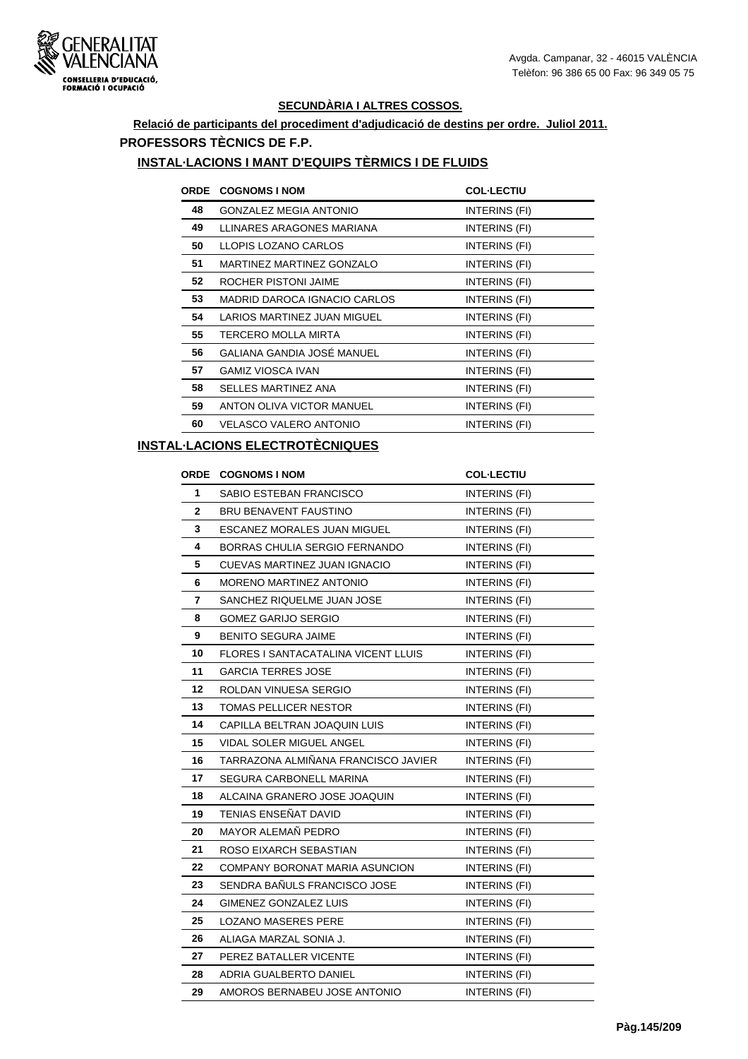#### **Relació de participants del procediment d'adjudicació de destins per ordre. Juliol 2011. PROFESSORS TÈCNICS DE F.P.**

#### **INSTAL·LACIONS I MANT D'EQUIPS TÈRMICS I DE FLUIDS**

| <b>ORDE</b> | <b>COGNOMS I NOM</b>             | <b>COL-LECTIU</b> |
|-------------|----------------------------------|-------------------|
| 48          | <b>GONZALEZ MEGIA ANTONIO</b>    | INTERINS (FI)     |
| 49          | LLINARES ARAGONES MARIANA        | INTERINS (FI)     |
| 50          | LLOPIS LOZANO CARLOS             | INTERINS (FI)     |
| 51          | <b>MARTINEZ MARTINEZ GONZALO</b> | INTERINS (FI)     |
| 52          | ROCHER PISTONI JAIME             | INTERINS (FI)     |
| 53          | MADRID DAROCA IGNACIO CARLOS     | INTERINS (FI)     |
| 54          | LARIOS MARTINEZ JUAN MIGUEL      | INTERINS (FI)     |
| 55          | TERCERO MOLLA MIRTA              | INTERINS (FI)     |
| 56          | GALIANA GANDIA JOSÉ MANUEL       | INTERINS (FI)     |
| 57          | <b>GAMIZ VIOSCA IVAN</b>         | INTERINS (FI)     |
| 58          | SELLES MARTINEZ ANA              | INTERINS (FI)     |
| 59          | ANTON OLIVA VICTOR MANUEL        | INTERINS (FI)     |
| 60          | VELASCO VALERO ANTONIO           | INTERINS (FI)     |
|             |                                  |                   |

#### **INSTAL·LACIONS ELECTROTÈCNIQUES**

| ORDE         | <b>COGNOMS I NOM</b>                       | <b>COL-LECTIU</b>    |
|--------------|--------------------------------------------|----------------------|
| 1            | SABIO ESTEBAN FRANCISCO                    | <b>INTERINS (FI)</b> |
| $\mathbf{2}$ | BRU BENAVENT FAUSTINO                      | INTERINS (FI)        |
| 3            | <b>ESCANEZ MORALES JUAN MIGUEL</b>         | INTERINS (FI)        |
| 4            | BORRAS CHULIA SERGIO FERNANDO              | INTERINS (FI)        |
| 5            | CUEVAS MARTINEZ JUAN IGNACIO               | INTERINS (FI)        |
| 6            | MORENO MARTINEZ ANTONIO                    | INTERINS (FI)        |
| 7            | SANCHEZ RIQUELME JUAN JOSE                 | INTERINS (FI)        |
| 8            | <b>GOMEZ GARIJO SERGIO</b>                 | INTERINS (FI)        |
| 9            | <b>BENITO SEGURA JAIME</b>                 | INTERINS (FI)        |
| 10           | <b>FLORES I SANTACATALINA VICENT LLUIS</b> | <b>INTERINS (FI)</b> |
| 11           | <b>GARCIA TERRES JOSE</b>                  | INTERINS (FI)        |
| 12           | ROLDAN VINUESA SERGIO                      | INTERINS (FI)        |
| 13           | <b>TOMAS PELLICER NESTOR</b>               | <b>INTERINS (FI)</b> |
| 14           | CAPILLA BELTRAN JOAQUIN LUIS               | INTERINS (FI)        |
| 15           | VIDAL SOLER MIGUEL ANGEL                   | INTERINS (FI)        |
| 16           | TARRAZONA ALMIÑANA FRANCISCO JAVIER        | INTERINS (FI)        |
| 17           | SEGURA CARBONELL MARINA                    | <b>INTERINS (FI)</b> |
| 18           | ALCAINA GRANERO JOSE JOAQUIN               | <b>INTERINS (FI)</b> |
| 19           | TENIAS ENSEÑAT DAVID                       | INTERINS (FI)        |
| 20           | MAYOR ALEMAÑ PEDRO                         | INTERINS (FI)        |
| 21           | ROSO EIXARCH SEBASTIAN                     | INTERINS (FI)        |
| 22           | COMPANY BORONAT MARIA ASUNCION             | INTERINS (FI)        |
| 23           | SENDRA BAÑULS FRANCISCO JOSE               | INTERINS (FI)        |
| 24           | GIMENEZ GONZALEZ LUIS                      | INTERINS (FI)        |
| 25           | <b>LOZANO MASERES PERE</b>                 | <b>INTERINS (FI)</b> |
| 26           | ALIAGA MARZAL SONIA J.                     | INTERINS (FI)        |
| 27           | PEREZ BATALLER VICENTE                     | INTERINS (FI)        |
| 28           | ADRIA GUALBERTO DANIEL                     | INTERINS (FI)        |
| 29           | AMOROS BERNABEU JOSE ANTONIO               | <b>INTERINS (FI)</b> |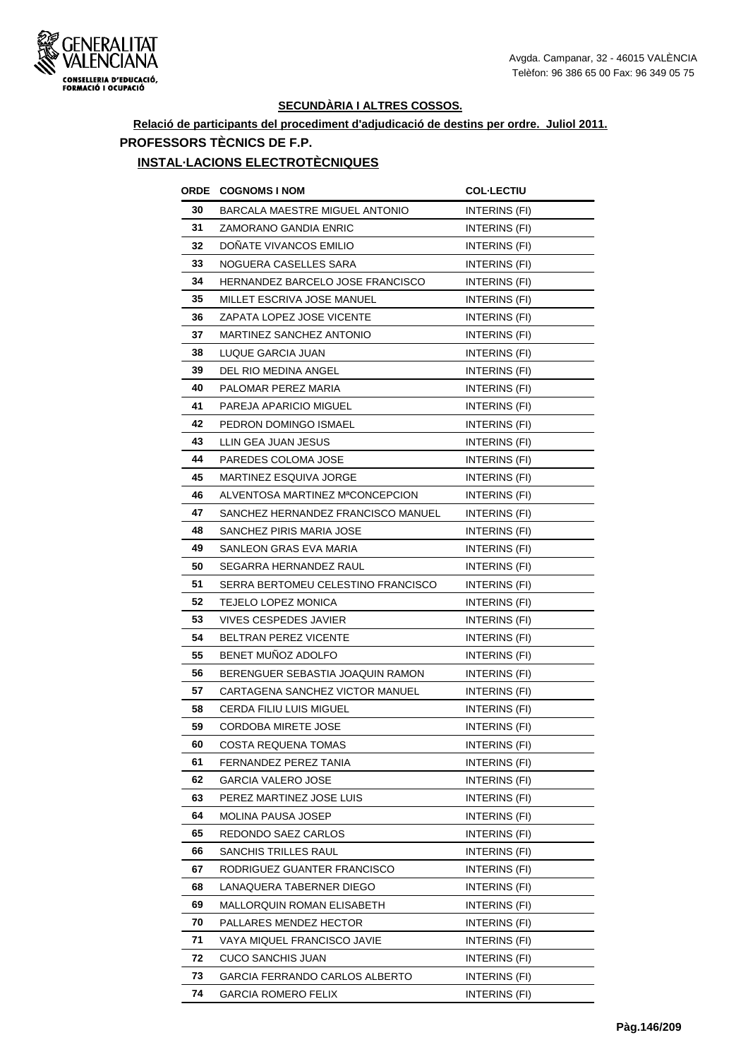

## **Relació de participants del procediment d'adjudicació de destins per ordre. Juliol 2011. PROFESSORS TÈCNICS DE F.P.**

## **INSTAL·LACIONS ELECTROTÈCNIQUES**

| ORDE | <b>COGNOMS I NOM</b>                  | <b>COL-LECTIU</b>    |
|------|---------------------------------------|----------------------|
| 30   | <b>BARCALA MAESTRE MIGUEL ANTONIO</b> | INTERINS (FI)        |
| 31   | ZAMORANO GANDIA ENRIC                 | INTERINS (FI)        |
| 32   | DONATE VIVANCOS EMILIO                | INTERINS (FI)        |
| 33   | NOGUERA CASELLES SARA                 | <b>INTERINS (FI)</b> |
| 34   | HERNANDEZ BARCELO JOSE FRANCISCO      | INTERINS (FI)        |
| 35   | MILLET ESCRIVA JOSE MANUEL            | INTERINS (FI)        |
| 36   | ZAPATA LOPEZ JOSE VICENTE             | INTERINS (FI)        |
| 37   | MARTINEZ SANCHEZ ANTONIO              | INTERINS (FI)        |
| 38   | LUQUE GARCIA JUAN                     | INTERINS (FI)        |
| 39   | DEL RIO MEDINA ANGEL                  | INTERINS (FI)        |
| 40   | PALOMAR PEREZ MARIA                   | INTERINS (FI)        |
| 41   | PAREJA APARICIO MIGUEL                | <b>INTERINS (FI)</b> |
| 42   | PEDRON DOMINGO ISMAEL                 | INTERINS (FI)        |
| 43   | LLIN GEA JUAN JESUS                   | INTERINS (FI)        |
| 44   | PAREDES COLOMA JOSE                   | INTERINS (FI)        |
| 45   | <b>MARTINEZ ESQUIVA JORGE</b>         | INTERINS (FI)        |
| 46   | ALVENTOSA MARTINEZ MªCONCEPCION       | <b>INTERINS (FI)</b> |
| 47   | SANCHEZ HERNANDEZ FRANCISCO MANUEL    | INTERINS (FI)        |
| 48   | SANCHEZ PIRIS MARIA JOSE              | INTERINS (FI)        |
| 49   | SANLEON GRAS EVA MARIA                | INTERINS (FI)        |
| 50   | SEGARRA HERNANDEZ RAUL                | <b>INTERINS (FI)</b> |
| 51   | SERRA BERTOMEU CELESTINO FRANCISCO    | <b>INTERINS (FI)</b> |
| 52   | TEJELO LOPEZ MONICA                   | INTERINS (FI)        |
| 53   | <b>VIVES CESPEDES JAVIER</b>          | <b>INTERINS (FI)</b> |
| 54   | <b>BELTRAN PEREZ VICENTE</b>          | INTERINS (FI)        |
| 55   | BENET MUNOZ ADOLFO                    | <b>INTERINS (FI)</b> |
| 56   | BERENGUER SEBASTIA JOAQUIN RAMON      | INTERINS (FI)        |
| 57   | CARTAGENA SANCHEZ VICTOR MANUEL       | INTERINS (FI)        |
| 58   | CERDA FILIU LUIS MIGUEL               | INTERINS (FI)        |
| 59   | <b>CORDOBA MIRETE JOSE</b>            | <b>INTERINS (FI)</b> |
| 60   | COSTA REQUENA TOMAS                   | INTERINS (FI)        |
| 61   | FERNANDEZ PEREZ TANIA                 | INTERINS (FI)        |
| 62   | GARCIA VALERO JOSE                    | INTERINS (FI)        |
| 63   | PEREZ MARTINEZ JOSE LUIS              | INTERINS (FI)        |
| 64   | MOLINA PAUSA JOSEP                    | INTERINS (FI)        |
| 65   | REDONDO SAEZ CARLOS                   | INTERINS (FI)        |
| 66   | SANCHIS TRILLES RAUL                  | INTERINS (FI)        |
| 67   | RODRIGUEZ GUANTER FRANCISCO           | INTERINS (FI)        |
| 68   | LANAQUERA TABERNER DIEGO              | INTERINS (FI)        |
| 69   | MALLORQUIN ROMAN ELISABETH            | INTERINS (FI)        |
| 70   | PALLARES MENDEZ HECTOR                | INTERINS (FI)        |
| 71   | VAYA MIQUEL FRANCISCO JAVIE           | INTERINS (FI)        |
| 72   | <b>CUCO SANCHIS JUAN</b>              | INTERINS (FI)        |
| 73   | GARCIA FERRANDO CARLOS ALBERTO        | INTERINS (FI)        |
| 74   | GARCIA ROMERO FELIX                   | INTERINS (FI)        |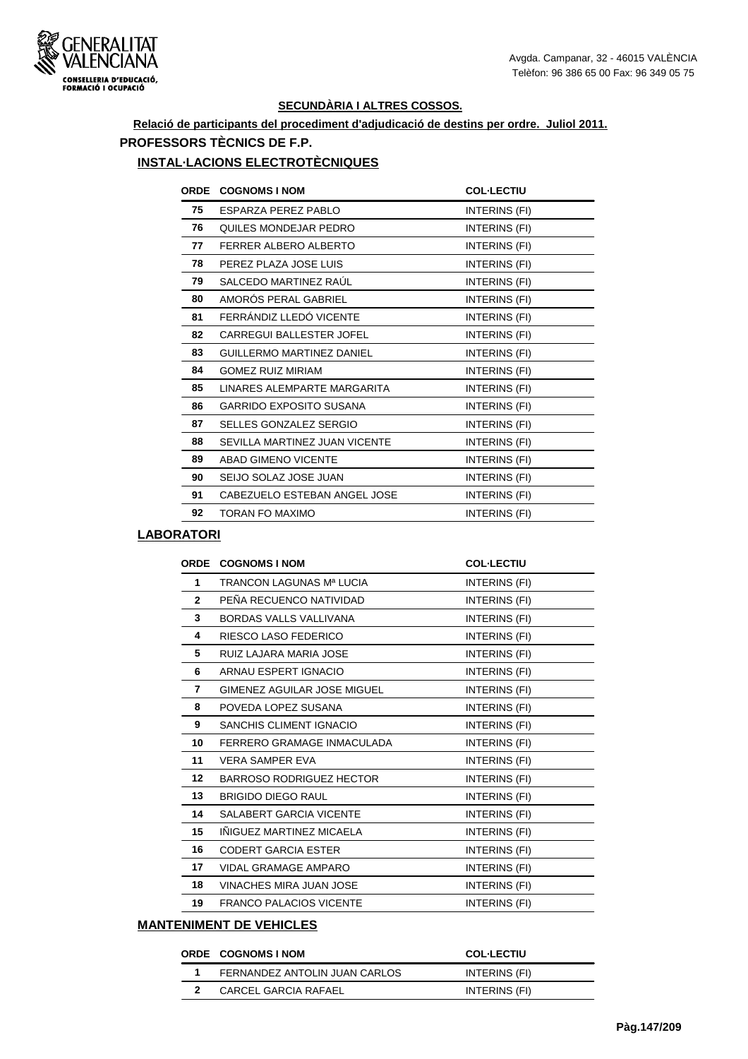

## **Relació de participants del procediment d'adjudicació de destins per ordre. Juliol 2011. PROFESSORS TÈCNICS DE F.P.**

#### **INSTAL·LACIONS ELECTROTÈCNIQUES**

| <b>ORDE</b> | <b>COGNOMS I NOM</b>             | <b>COL-LECTIU</b> |
|-------------|----------------------------------|-------------------|
| 75          | ESPARZA PEREZ PABLO              | INTERINS (FI)     |
| 76          | QUILES MONDEJAR PEDRO            | INTERINS (FI)     |
| 77          | FERRER ALBERO ALBERTO            | INTERINS (FI)     |
| 78          | PEREZ PLAZA JOSE LUIS            | INTERINS (FI)     |
| 79          | SALCEDO MARTINEZ RAUL            | INTERINS (FI)     |
| 80          | AMORÓS PERAL GABRIEL             | INTERINS (FI)     |
| 81          | FERRÁNDIZ LLEDÓ VICENTE          | INTERINS (FI)     |
| 82          | <b>CARREGUI BALLESTER JOFEL</b>  | INTERINS (FI)     |
| 83          | <b>GUILLERMO MARTINEZ DANIEL</b> | INTERINS (FI)     |
| 84          | <b>GOMEZ RUIZ MIRIAM</b>         | INTERINS (FI)     |
| 85          | LINARES ALEMPARTE MARGARITA      | INTERINS (FI)     |
| 86          | <b>GARRIDO EXPOSITO SUSANA</b>   | INTERINS (FI)     |
| 87          | SELLES GONZALEZ SERGIO           | INTERINS (FI)     |
| 88          | SEVILLA MARTINEZ JUAN VICENTE    | INTERINS (FI)     |
| 89          | <b>ABAD GIMENO VICENTE</b>       | INTERINS (FI)     |
| 90          | SEIJO SOLAZ JOSE JUAN            | INTERINS (FI)     |
| 91          | CABEZUELO ESTEBAN ANGEL JOSE     | INTERINS (FI)     |
| 92          | <b>TORAN FO MAXIMO</b>           | INTERINS (FI)     |

## **LABORATORI**

| <b>ORDE</b>     | <b>COGNOMS I NOM</b>            | <b>COL-LECTIU</b> |
|-----------------|---------------------------------|-------------------|
| 1               | TRANCON LAGUNAS Mª LUCIA        | INTERINS (FI)     |
| $\mathbf{2}$    | PEÑA RECUENCO NATIVIDAD         | INTERINS (FI)     |
| 3               | <b>BORDAS VALLS VALLIVANA</b>   | INTERINS (FI)     |
| 4               | RIESCO LASO FEDERICO            | INTERINS (FI)     |
| 5               | RUIZ LAJARA MARIA JOSE          | INTERINS (FI)     |
| 6               | ARNAU ESPERT IGNACIO            | INTERINS (FI)     |
| 7               | GIMENEZ AGUILAR JOSE MIGUEL     | INTERINS (FI)     |
| 8               | POVEDA LOPEZ SUSANA             | INTERINS (FI)     |
| 9               | SANCHIS CLIMENT IGNACIO         | INTERINS (FI)     |
| 10              | FERRERO GRAMAGE INMACULADA      | INTERINS (FI)     |
| 11              | <b>VERA SAMPER EVA</b>          | INTERINS (FI)     |
| 12 <sup>2</sup> | <b>BARROSO RODRIGUEZ HECTOR</b> | INTERINS (FI)     |
| 13              | <b>BRIGIDO DIEGO RAUL</b>       | INTERINS (FI)     |
| 14              | <b>SALABERT GARCIA VICENTE</b>  | INTERINS (FI)     |
| 15              | INIGUEZ MARTINEZ MICAELA        | INTERINS (FI)     |
| 16              | <b>CODERT GARCIA ESTER</b>      | INTERINS (FI)     |
| 17              | VIDAL GRAMAGE AMPARO            | INTERINS (FI)     |
| 18              | VINACHES MIRA JUAN JOSE         | INTERINS (FI)     |
| 19              | <b>FRANCO PALACIOS VICENTE</b>  | INTERINS (FI)     |
|                 |                                 |                   |

#### **MANTENIMENT DE VEHICLES**

| <b>ORDE COGNOMS INOM</b>      | <b>COL-LECTIU</b> |
|-------------------------------|-------------------|
| FERNANDEZ ANTOLIN JUAN CARLOS | INTERINS (FI)     |
| CARCEL GARCIA RAFAEL          | INTERINS (FI)     |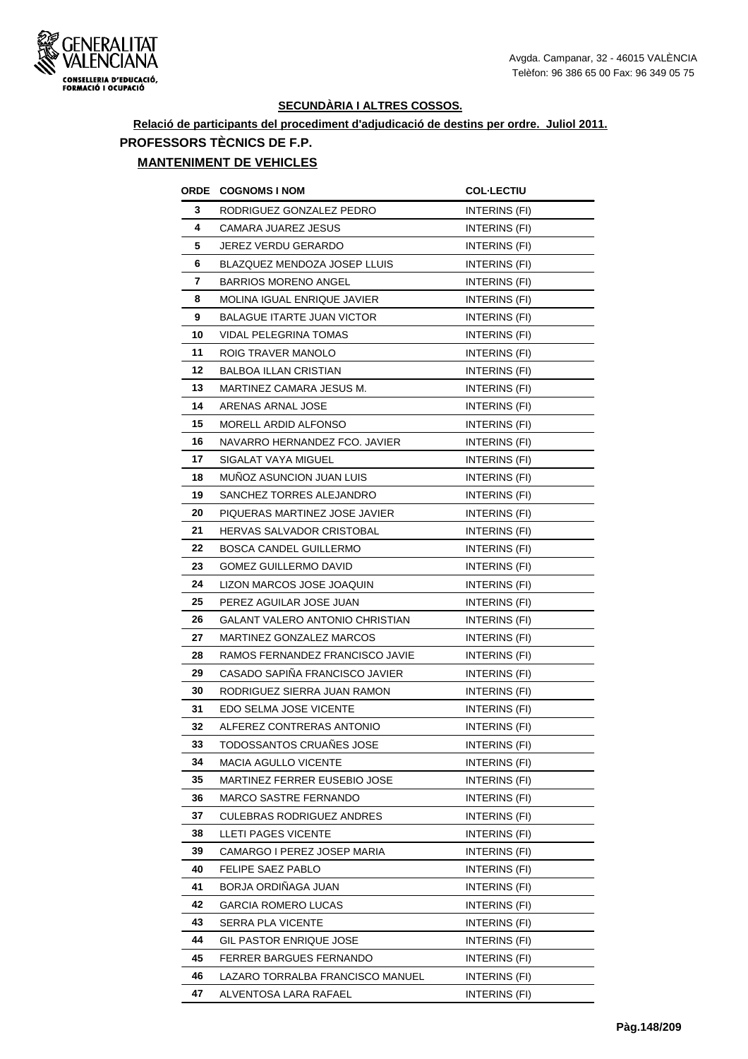

# **Relació de participants del procediment d'adjudicació de destins per ordre. Juliol 2011. PROFESSORS TÈCNICS DE F.P.**

## **MANTENIMENT DE VEHICLES**

| ORDE | <b>COGNOMS I NOM</b>                   | <b>COL-LECTIU</b>    |
|------|----------------------------------------|----------------------|
| 3    | RODRIGUEZ GONZALEZ PEDRO               | <b>INTERINS (FI)</b> |
| 4    | CAMARA JUAREZ JESUS                    | INTERINS (FI)        |
| 5    | <b>JEREZ VERDU GERARDO</b>             | INTERINS (FI)        |
| 6    | BLAZQUEZ MENDOZA JOSEP LLUIS           | INTERINS (FI)        |
| 7    | <b>BARRIOS MORENO ANGEL</b>            | INTERINS (FI)        |
| 8    | <b>MOLINA IGUAL ENRIQUE JAVIER</b>     | INTERINS (FI)        |
| 9    | <b>BALAGUE ITARTE JUAN VICTOR</b>      | INTERINS (FI)        |
| 10   | <b>VIDAL PELEGRINA TOMAS</b>           | <b>INTERINS (FI)</b> |
| 11   | ROIG TRAVER MANOLO                     | <b>INTERINS (FI)</b> |
| 12   | <b>BALBOA ILLAN CRISTIAN</b>           | INTERINS (FI)        |
| 13   | MARTINEZ CAMARA JESUS M.               | INTERINS (FI)        |
| 14   | ARENAS ARNAL JOSE                      | INTERINS (FI)        |
| 15   | MORELL ARDID ALFONSO                   | INTERINS (FI)        |
| 16   | NAVARRO HERNANDEZ FCO. JAVIER          | INTERINS (FI)        |
| 17   | <b>SIGALAT VAYA MIGUEL</b>             | <b>INTERINS (FI)</b> |
| 18   | <b>MUNOZ ASUNCION JUAN LUIS</b>        | INTERINS (FI)        |
| 19   | SANCHEZ TORRES ALEJANDRO               | INTERINS (FI)        |
| 20   | PIQUERAS MARTINEZ JOSE JAVIER          | INTERINS (FI)        |
| 21   | HERVAS SALVADOR CRISTOBAL              | INTERINS (FI)        |
| 22   | BOSCA CANDEL GUILLERMO                 | INTERINS (FI)        |
| 23   | <b>GOMEZ GUILLERMO DAVID</b>           | INTERINS (FI)        |
| 24   | LIZON MARCOS JOSE JOAQUIN              | INTERINS (FI)        |
| 25   | PEREZ AGUILAR JOSE JUAN                | INTERINS (FI)        |
| 26   | <b>GALANT VALERO ANTONIO CHRISTIAN</b> | INTERINS (FI)        |
| 27   | MARTINEZ GONZALEZ MARCOS               | INTERINS (FI)        |
| 28   | RAMOS FERNANDEZ FRANCISCO JAVIE        | INTERINS (FI)        |
| 29   | CASADO SAPIÑA FRANCISCO JAVIER         | INTERINS (FI)        |
| 30   | RODRIGUEZ SIERRA JUAN RAMON            | INTERINS (FI)        |
| 31   | EDO SELMA JOSE VICENTE                 | INTERINS (FI)        |
| 32   | ALFEREZ CONTRERAS ANTONIO              | INTERINS (FI)        |
| 33   | TODOSSANTOS CRUANES JOSE               | INTERINS (FI)        |
| 34   | MACIA AGULLO VICENTE                   | INTERINS (FI)        |
| 35   | <b>MARTINEZ FERRER EUSEBIO JOSE</b>    | INTERINS (FI)        |
| 36   | MARCO SASTRE FERNANDO                  | INTERINS (FI)        |
| 37   | <b>CULEBRAS RODRIGUEZ ANDRES</b>       | INTERINS (FI)        |
| 38   | LLETI PAGES VICENTE                    | INTERINS (FI)        |
| 39   | CAMARGO I PEREZ JOSEP MARIA            | INTERINS (FI)        |
| 40   | FELIPE SAEZ PABLO                      | INTERINS (FI)        |
| 41   | BORJA ORDIÑAGA JUAN                    | INTERINS (FI)        |
| 42   | GARCIA ROMERO LUCAS                    | <b>INTERINS (FI)</b> |
| 43   | SERRA PLA VICENTE                      | INTERINS (FI)        |
| 44   | GIL PASTOR ENRIQUE JOSE                | INTERINS (FI)        |
| 45   | FERRER BARGUES FERNANDO                | INTERINS (FI)        |
| 46   | LAZARO TORRALBA FRANCISCO MANUEL       | INTERINS (FI)        |
| 47   | ALVENTOSA LARA RAFAEL                  | INTERINS (FI)        |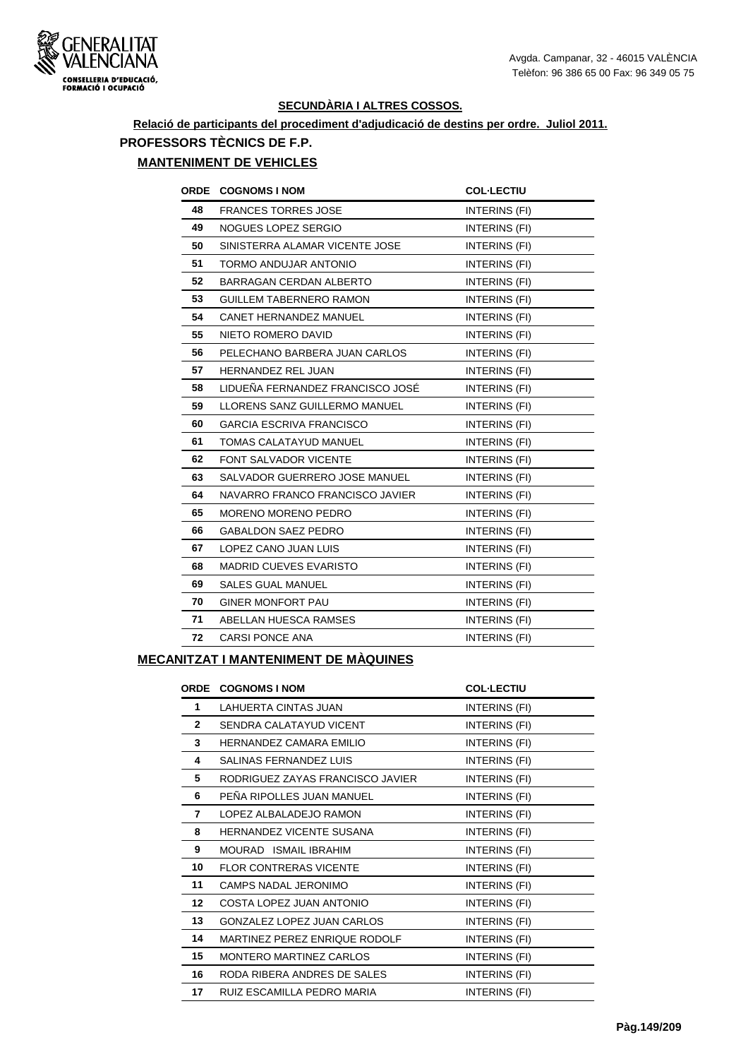

# **Relació de participants del procediment d'adjudicació de destins per ordre. Juliol 2011. PROFESSORS TÈCNICS DE F.P.**

## **MANTENIMENT DE VEHICLES**

| <b>ORDE</b> | <b>COGNOMS I NOM</b>             | <b>COL-LECTIU</b>    |
|-------------|----------------------------------|----------------------|
| 48          | <b>FRANCES TORRES JOSE</b>       | INTERINS (FI)        |
| 49          | NOGUES LOPEZ SERGIO              | INTERINS (FI)        |
| 50          | SINISTERRA ALAMAR VICENTE JOSE   | INTERINS (FI)        |
| 51          | TORMO ANDUJAR ANTONIO            | INTERINS (FI)        |
| 52          | <b>BARRAGAN CERDAN ALBERTO</b>   | INTERINS (FI)        |
| 53          | <b>GUILLEM TABERNERO RAMON</b>   | INTERINS (FI)        |
| 54          | <b>CANET HERNANDEZ MANUEL</b>    | INTERINS (FI)        |
| 55          | NIETO ROMERO DAVID               | <b>INTERINS (FI)</b> |
| 56          | PELECHANO BARBERA JUAN CARLOS    | INTERINS (FI)        |
| 57          | <b>HERNANDEZ REL JUAN</b>        | INTERINS (FI)        |
| 58          | LIDUEÑA FERNANDEZ FRANCISCO JOSÉ | INTERINS (FI)        |
| 59          | LLORENS SANZ GUILLERMO MANUEL    | INTERINS (FI)        |
| 60          | <b>GARCIA ESCRIVA FRANCISCO</b>  | INTERINS (FI)        |
| 61          | TOMAS CALATAYUD MANUEL           | INTERINS (FI)        |
| 62          | FONT SALVADOR VICENTE            | <b>INTERINS (FI)</b> |
| 63          | SALVADOR GUERRERO JOSE MANUEL    | INTERINS (FI)        |
| 64          | NAVARRO FRANCO FRANCISCO JAVIER  | INTERINS (FI)        |
| 65          | <b>MORENO MORENO PEDRO</b>       | INTERINS (FI)        |
| 66          | <b>GABALDON SAEZ PEDRO</b>       | INTERINS (FI)        |
| 67          | LOPEZ CANO JUAN LUIS             | INTERINS (FI)        |
| 68          | <b>MADRID CUEVES EVARISTO</b>    | INTERINS (FI)        |
| 69          | <b>SALES GUAL MANUEL</b>         | INTERINS (FI)        |
| 70          | <b>GINER MONFORT PAU</b>         | INTERINS (FI)        |
| 71          | ABELLAN HUESCA RAMSES            | INTERINS (FI)        |
| 72          | <b>CARSI PONCE ANA</b>           | INTERINS (FI)        |
|             |                                  |                      |

## **MECANITZAT I MANTENIMENT DE MÀQUINES**

| ORDE         | <b>COGNOMS I NOM</b>              | <b>COL-LECTIU</b> |
|--------------|-----------------------------------|-------------------|
| 1            | LAHUERTA CINTAS JUAN              | INTERINS (FI)     |
| $\mathbf{2}$ | SENDRA CALATAYUD VICENT           | INTERINS (FI)     |
| 3            | HERNANDEZ CAMARA EMILIO           | INTERINS (FI)     |
| 4            | SALINAS FERNANDEZ LUIS            | INTERINS (FI)     |
| 5            | RODRIGUEZ ZAYAS FRANCISCO JAVIER  | INTERINS (FI)     |
| 6            | PEÑA RIPOLLES JUAN MANUEL         | INTERINS (FI)     |
| 7            | LOPEZ ALBALADEJO RAMON            | INTERINS (FI)     |
| 8            | <b>HERNANDEZ VICENTE SUSANA</b>   | INTERINS (FI)     |
| 9            | MOURAD ISMAIL IBRAHIM             | INTERINS (FI)     |
| 10           | <b>FLOR CONTRERAS VICENTE</b>     | INTERINS (FI)     |
| 11           | <b>CAMPS NADAL JERONIMO</b>       | INTERINS (FI)     |
| 12           | COSTA LOPEZ JUAN ANTONIO          | INTERINS (FI)     |
| 13           | <b>GONZALEZ LOPEZ JUAN CARLOS</b> | INTERINS (FI)     |
| 14           | MARTINEZ PEREZ ENRIQUE RODOLF     | INTERINS (FI)     |
| 15           | <b>MONTERO MARTINEZ CARLOS</b>    | INTERINS (FI)     |
| 16           | RODA RIBERA ANDRES DE SALES       | INTERINS (FI)     |
| 17           | RUIZ ESCAMILLA PEDRO MARIA        | INTERINS (FI)     |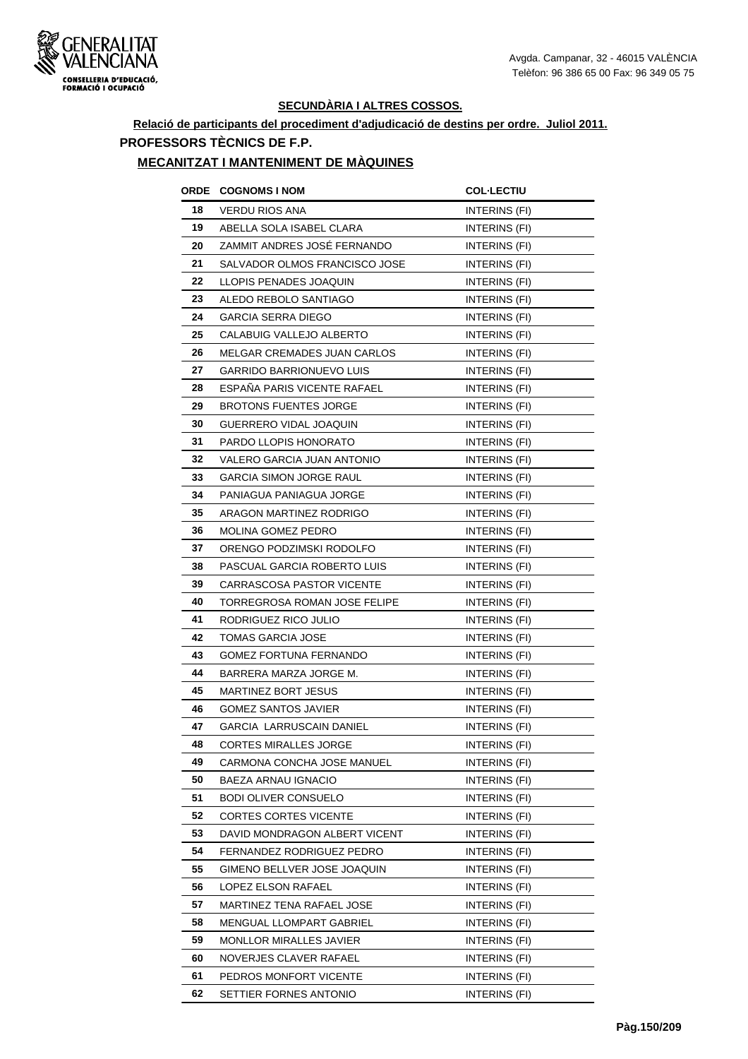

## **Relació de participants del procediment d'adjudicació de destins per ordre. Juliol 2011. PROFESSORS TÈCNICS DE F.P.**

#### **MECANITZAT I MANTENIMENT DE MÀQUINES**

| ORDE | <b>COGNOMS I NOM</b>            | <b>COL-LECTIU</b>    |
|------|---------------------------------|----------------------|
| 18   | VERDU RIOS ANA                  | INTERINS (FI)        |
| 19   | ABELLA SOLA ISABEL CLARA        | INTERINS (FI)        |
| 20   | ZAMMIT ANDRES JOSÉ FERNANDO     | INTERINS (FI)        |
| 21   | SALVADOR OLMOS FRANCISCO JOSE   | <b>INTERINS (FI)</b> |
| 22   | LLOPIS PENADES JOAQUIN          | INTERINS (FI)        |
| 23   | ALEDO REBOLO SANTIAGO           | INTERINS (FI)        |
| 24   | <b>GARCIA SERRA DIEGO</b>       | <b>INTERINS (FI)</b> |
| 25   | CALABUIG VALLEJO ALBERTO        | INTERINS (FI)        |
| 26   | MELGAR CREMADES JUAN CARLOS     | INTERINS (FI)        |
| 27   | <b>GARRIDO BARRIONUEVO LUIS</b> | INTERINS (FI)        |
| 28   | ESPANA PARIS VICENTE RAFAEL     | INTERINS (FI)        |
| 29   | <b>BROTONS FUENTES JORGE</b>    | <b>INTERINS (FI)</b> |
| 30   | GUERRERO VIDAL JOAQUIN          | INTERINS (FI)        |
| 31   | PARDO LLOPIS HONORATO           | INTERINS (FI)        |
| 32   | VALERO GARCIA JUAN ANTONIO      | <b>INTERINS (FI)</b> |
| 33   | <b>GARCIA SIMON JORGE RAUL</b>  | INTERINS (FI)        |
| 34   | PANIAGUA PANIAGUA JORGE         | INTERINS (FI)        |
| 35   | ARAGON MARTINEZ RODRIGO         | INTERINS (FI)        |
| 36   | MOLINA GOMEZ PEDRO              | INTERINS (FI)        |
| 37   | ORENGO PODZIMSKI RODOLFO        | INTERINS (FI)        |
| 38   | PASCUAL GARCIA ROBERTO LUIS     | INTERINS (FI)        |
| 39   | CARRASCOSA PASTOR VICENTE       | INTERINS (FI)        |
| 40   | TORREGROSA ROMAN JOSE FELIPE    | INTERINS (FI)        |
| 41   | RODRIGUEZ RICO JULIO            | INTERINS (FI)        |
| 42   | <b>TOMAS GARCIA JOSE</b>        | INTERINS (FI)        |
| 43   | GOMEZ FORTUNA FERNANDO          | INTERINS (FI)        |
| 44   | BARRERA MARZA JORGE M.          | INTERINS (FI)        |
| 45   | <b>MARTINEZ BORT JESUS</b>      | INTERINS (FI)        |
| 46   | GOMEZ SANTOS JAVIER             | INTERINS (FI)        |
| 47   | <b>GARCIA LARRUSCAIN DANIEL</b> | <b>INTERINS (FI)</b> |
| 48   | CORTES MIRALLES JORGE           | INTERINS (FI)        |
| 49   | CARMONA CONCHA JOSE MANUEL      | INTERINS (FI)        |
| 50   | BAEZA ARNAU IGNACIO             | INTERINS (FI)        |
| 51   | <b>BODI OLIVER CONSUELO</b>     | INTERINS (FI)        |
| 52   | CORTES CORTES VICENTE           | INTERINS (FI)        |
| 53   | DAVID MONDRAGON ALBERT VICENT   | INTERINS (FI)        |
| 54   | FERNANDEZ RODRIGUEZ PEDRO       | INTERINS (FI)        |
| 55   | GIMENO BELLVER JOSE JOAQUIN     | INTERINS (FI)        |
| 56   | LOPEZ ELSON RAFAEL              | INTERINS (FI)        |
| 57   | MARTINEZ TENA RAFAEL JOSE       | INTERINS (FI)        |
| 58   | <b>MENGUAL LLOMPART GABRIEL</b> | INTERINS (FI)        |
| 59   | <b>MONLLOR MIRALLES JAVIER</b>  | INTERINS (FI)        |
| 60   | NOVERJES CLAVER RAFAEL          | INTERINS (FI)        |
| 61   | PEDROS MONFORT VICENTE          | INTERINS (FI)        |
| 62   | SETTIER FORNES ANTONIO          | INTERINS (FI)        |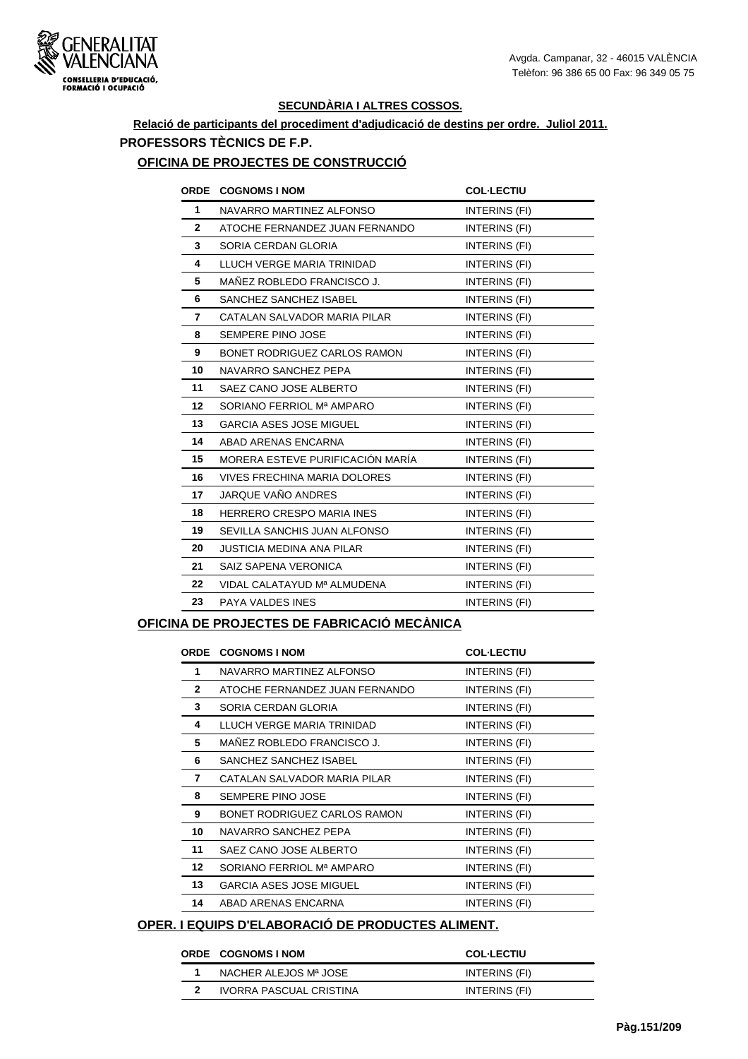

## **Relació de participants del procediment d'adjudicació de destins per ordre. Juliol 2011. PROFESSORS TÈCNICS DE F.P.**

#### **OFICINA DE PROJECTES DE CONSTRUCCIÓ**

|                 | ORDE COGNOMS I NOM                  | <b>COL-LECTIU</b> |
|-----------------|-------------------------------------|-------------------|
| $\mathbf{1}$    | NAVARRO MARTINEZ ALFONSO            | INTERINS (FI)     |
| $\overline{2}$  | ATOCHE FERNANDEZ JUAN FERNANDO      | INTERINS (FI)     |
| 3               | SORIA CERDAN GLORIA                 | INTERINS (FI)     |
| 4               | LLUCH VERGE MARIA TRINIDAD          | INTERINS (FI)     |
| 5               | MAÑEZ ROBLEDO FRANCISCO J.          | INTERINS (FI)     |
| 6               | SANCHEZ SANCHEZ ISABEL              | INTERINS (FI)     |
| 7               | CATALAN SALVADOR MARIA PILAR        | INTERINS (FI)     |
| 8               | SEMPERE PINO JOSE                   | INTERINS (FI)     |
| 9               | BONET RODRIGUEZ CARLOS RAMON        | INTERINS (FI)     |
| 10              | NAVARRO SANCHEZ PEPA                | INTERINS (FI)     |
| 11              | SAEZ CANO JOSE ALBERTO              | INTERINS (FI)     |
| 12 <sup>2</sup> | SORIANO FERRIOL Mª AMPARO           | INTERINS (FI)     |
| 13              | GARCIA ASES JOSE MIGUEL             | INTERINS (FI)     |
| 14              | ABAD ARENAS ENCARNA                 | INTERINS (FI)     |
| 15              | MORERA ESTEVE PURIFICACIÓN MARÍA    | INTERINS (FI)     |
| 16              | <b>VIVES FRECHINA MARIA DOLORES</b> | INTERINS (FI)     |
| 17              | JARQUE VAÑO ANDRES                  | INTERINS (FI)     |
| 18              | <b>HERRERO CRESPO MARIA INES</b>    | INTERINS (FI)     |
| 19              | SEVILLA SANCHIS JUAN ALFONSO        | INTERINS (FI)     |
| 20              | <b>JUSTICIA MEDINA ANA PILAR</b>    | INTERINS (FI)     |
| 21              | SAIZ SAPENA VERONICA                | INTERINS (FI)     |
| 22              | VIDAL CALATAYUD Mª ALMUDENA         | INTERINS (FI)     |
| 23              | PAYA VALDES INES                    | INTERINS (FI)     |
|                 |                                     |                   |

#### **OFICINA DE PROJECTES DE FABRICACIÓ MECÀNICA**

|                  | <b>ORDE COGNOMS I NOM</b>      | <b>COL-LECTIU</b> |
|------------------|--------------------------------|-------------------|
| 1                | NAVARRO MARTINEZ ALFONSO       | INTERINS (FI)     |
| $\mathbf{2}$     | ATOCHE FERNANDEZ JUAN FERNANDO | INTERINS (FI)     |
| 3                | SORIA CERDAN GLORIA            | INTERINS (FI)     |
| 4                | LLUCH VERGE MARIA TRINIDAD     | INTERINS (FI)     |
| 5                | MAÑEZ ROBLEDO FRANCISCO J.     | INTERINS (FI)     |
| 6                | SANCHEZ SANCHEZ ISABEL         | INTERINS (FI)     |
| $\overline{7}$   | CATALAN SALVADOR MARIA PILAR   | INTERINS (FI)     |
| 8                | SEMPERE PINO JOSE              | INTERINS (FI)     |
| 9                | BONET RODRIGUEZ CARLOS RAMON   | INTERINS (FI)     |
| 10               | NAVARRO SANCHEZ PEPA           | INTERINS (FI)     |
| 11               | SAEZ CANO JOSE ALBERTO         | INTERINS (FI)     |
| 12 <sup>12</sup> | SORIANO FERRIOL Mª AMPARO      | INTERINS (FI)     |
| 13               | <b>GARCIA ASES JOSE MIGUEL</b> | INTERINS (FI)     |
| 14               | ABAD ARENAS ENCARNA            | INTERINS (FI)     |

## **OPER. I EQUIPS D'ELABORACIÓ DE PRODUCTES ALIMENT.**

#### **ORDE COGNOMS I NOM COL·LECTIU**

| NACHER ALEJOS Mª JOSE   | INTERINS (FI) |
|-------------------------|---------------|
| IVORRA PASCUAL CRISTINA | INTERINS (FI) |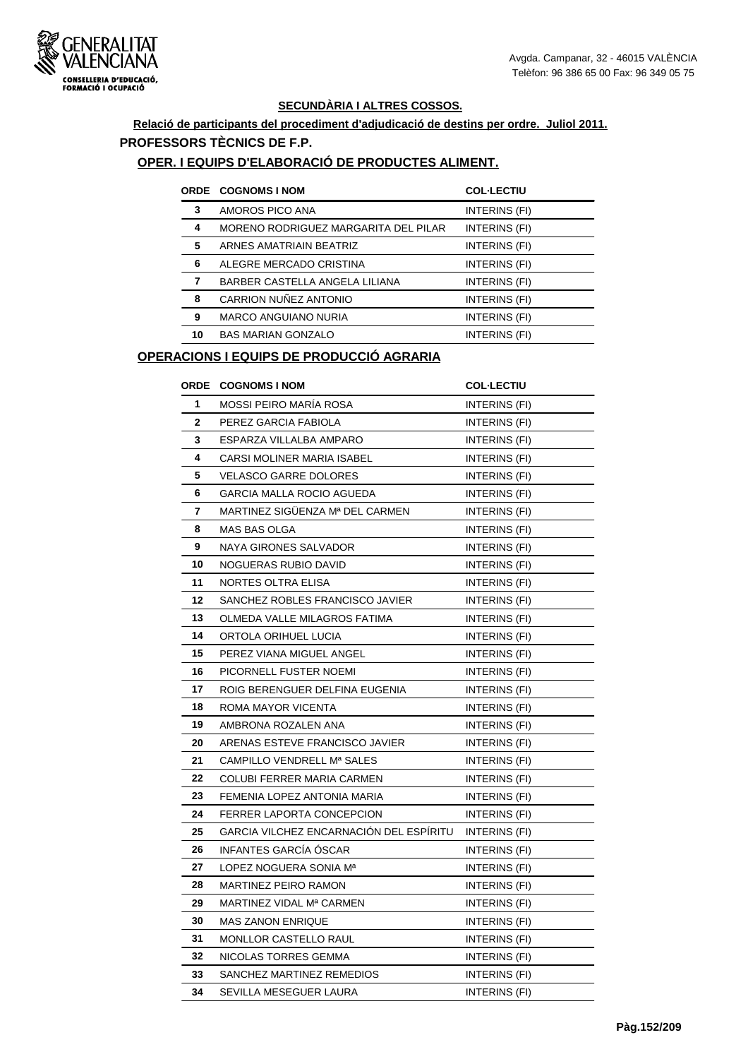

## **Relació de participants del procediment d'adjudicació de destins per ordre. Juliol 2011. PROFESSORS TÈCNICS DE F.P.**

#### **OPER. I EQUIPS D'ELABORACIÓ DE PRODUCTES ALIMENT.**

|    | <b>ORDE COGNOMS I NOM</b>            | <b>COL-LECTIU</b> |
|----|--------------------------------------|-------------------|
| 3  | AMOROS PICO ANA                      | INTERINS (FI)     |
| 4  | MORENO RODRIGUEZ MARGARITA DEL PILAR | INTERINS (FI)     |
| 5  | ARNES AMATRIAIN BEATRIZ              | INTERINS (FI)     |
| 6  | ALEGRE MERCADO CRISTINA              | INTERINS (FI)     |
| 7  | BARBER CASTELLA ANGELA LILIANA       | INTERINS (FI)     |
| 8  | CARRION NUÑEZ ANTONIO                | INTERINS (FI)     |
| 9  | <b>MARCO ANGUIANO NURIA</b>          | INTERINS (FI)     |
| 10 | <b>BAS MARIAN GONZALO</b>            | INTERINS (FI)     |

## **OPERACIONS I EQUIPS DE PRODUCCIÓ AGRARIA**

| <b>ORDE</b> | <b>COGNOMS I NOM</b>                    | <b>COL-LECTIU</b>    |
|-------------|-----------------------------------------|----------------------|
| 1           | MOSSI PEIRO MARÍA ROSA                  | <b>INTERINS (FI)</b> |
| $\mathbf 2$ | PEREZ GARCIA FABIOLA                    | INTERINS (FI)        |
| 3           | ESPARZA VILLALBA AMPARO                 | INTERINS (FI)        |
| 4           | CARSI MOLINER MARIA ISABEL              | INTERINS (FI)        |
| 5           | <b>VELASCO GARRE DOLORES</b>            | INTERINS (FI)        |
| 6           | <b>GARCIA MALLA ROCIO AGUEDA</b>        | INTERINS (FI)        |
| 7           | MARTINEZ SIGÜENZA Mª DEL CARMEN         | INTERINS (FI)        |
| 8           | MAS BAS OLGA                            | INTERINS (FI)        |
| 9           | NAYA GIRONES SALVADOR                   | INTERINS (FI)        |
| 10          | NOGUERAS RUBIO DAVID                    | INTERINS (FI)        |
| 11          | NORTES OLTRA ELISA                      | INTERINS (FI)        |
| 12          | SANCHEZ ROBLES FRANCISCO JAVIER         | INTERINS (FI)        |
| 13          | OLMEDA VALLE MILAGROS FATIMA            | INTERINS (FI)        |
| 14          | ORTOLA ORIHUEL LUCIA                    | INTERINS (FI)        |
| 15          | PEREZ VIANA MIGUEL ANGEL                | INTERINS (FI)        |
| 16          | PICORNELL FUSTER NOEMI                  | INTERINS (FI)        |
| 17          | ROIG BERENGUER DELFINA EUGENIA          | <b>INTERINS (FI)</b> |
| 18          | ROMA MAYOR VICENTA                      | INTERINS (FI)        |
| 19          | AMBRONA ROZALEN ANA                     | INTERINS (FI)        |
| 20          | ARENAS ESTEVE FRANCISCO JAVIER          | INTERINS (FI)        |
| 21          | CAMPILLO VENDRELL Mª SALES              | <b>INTERINS (FI)</b> |
| 22          | COLUBI FERRER MARIA CARMEN              | INTERINS (FI)        |
| 23          | FEMENIA LOPEZ ANTONIA MARIA             | <b>INTERINS (FI)</b> |
| 24          | FERRER LAPORTA CONCEPCION               | <b>INTERINS (FI)</b> |
| 25          | GARCIA VILCHEZ ENCARNACIÓN DEL ESPÍRITU | <b>INTERINS (FI)</b> |
| 26          | INFANTES GARCÍA ÓSCAR                   | INTERINS (FI)        |
| 27          | LOPEZ NOGUERA SONIA Mª                  | INTERINS (FI)        |
| 28          | MARTINEZ PEIRO RAMON                    | INTERINS (FI)        |
| 29          | MARTINEZ VIDAL Mª CARMEN                | INTERINS (FI)        |
| 30          | <b>MAS ZANON ENRIQUE</b>                | INTERINS (FI)        |
| 31          | <b>MONLLOR CASTELLO RAUL</b>            | INTERINS (FI)        |
| 32          | NICOLAS TORRES GEMMA                    | INTERINS (FI)        |
| 33          | SANCHEZ MARTINEZ REMEDIOS               | INTERINS (FI)        |
| 34          | SEVILLA MESEGUER LAURA                  | INTERINS (FI)        |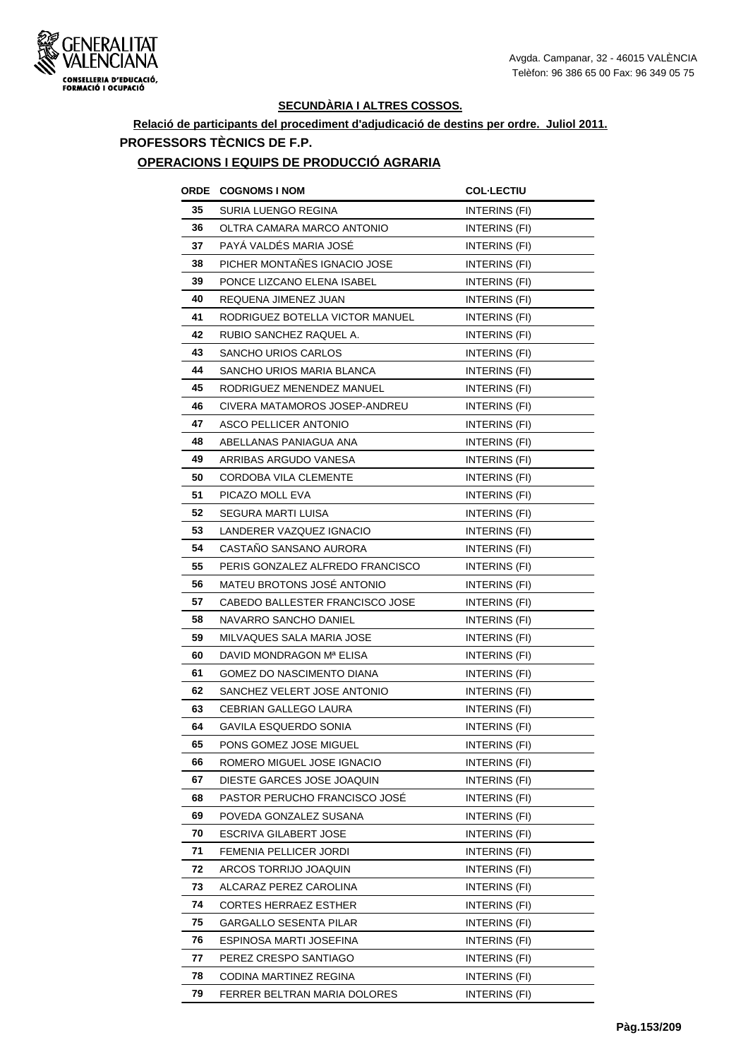

## **Relació de participants del procediment d'adjudicació de destins per ordre. Juliol 2011. PROFESSORS TÈCNICS DE F.P.**

#### **OPERACIONS I EQUIPS DE PRODUCCIÓ AGRARIA**

| ORDE | <b>COGNOMS I NOM</b>             | <b>COL·LECTIU</b>    |
|------|----------------------------------|----------------------|
| 35   | SURIA LUENGO REGINA              | INTERINS (FI)        |
| 36   | OLTRA CAMARA MARCO ANTONIO       | INTERINS (FI)        |
| 37   | PAYÁ VALDÉS MARIA JOSÉ           | INTERINS (FI)        |
| 38   | PICHER MONTAÑES IGNACIO JOSE     | <b>INTERINS (FI)</b> |
| 39   | PONCE LIZCANO ELENA ISABEL       | INTERINS (FI)        |
| 40   | REQUENA JIMENEZ JUAN             | INTERINS (FI)        |
| 41   | RODRIGUEZ BOTELLA VICTOR MANUEL  | INTERINS (FI)        |
| 42   | RUBIO SANCHEZ RAQUEL A.          | INTERINS (FI)        |
| 43   | SANCHO URIOS CARLOS              | INTERINS (FI)        |
| 44   | SANCHO URIOS MARIA BLANCA        | INTERINS (FI)        |
| 45   | RODRIGUEZ MENENDEZ MANUEL        | INTERINS (FI)        |
| 46   | CIVERA MATAMOROS JOSEP-ANDREU    | <b>INTERINS (FI)</b> |
| 47   | ASCO PELLICER ANTONIO            | INTERINS (FI)        |
| 48   | ABELLANAS PANIAGUA ANA           | INTERINS (FI)        |
| 49   | ARRIBAS ARGUDO VANESA            | INTERINS (FI)        |
| 50   | CORDOBA VILA CLEMENTE            | INTERINS (FI)        |
| 51   | PICAZO MOLL EVA                  | INTERINS (FI)        |
| 52   | SEGURA MARTI LUISA               | INTERINS (FI)        |
| 53   | LANDERER VAZQUEZ IGNACIO         | INTERINS (FI)        |
| 54   | CASTAÑO SANSANO AURORA           | INTERINS (FI)        |
| 55   | PERIS GONZALEZ ALFREDO FRANCISCO | INTERINS (FI)        |
| 56   | MATEU BROTONS JOSÉ ANTONIO       | INTERINS (FI)        |
| 57   | CABEDO BALLESTER FRANCISCO JOSE  | INTERINS (FI)        |
| 58   | NAVARRO SANCHO DANIEL            | INTERINS (FI)        |
| 59   | MILVAQUES SALA MARIA JOSE        | <b>INTERINS (FI)</b> |
| 60   | DAVID MONDRAGON Mª ELISA         | INTERINS (FI)        |
| 61   | <b>GOMEZ DO NASCIMENTO DIANA</b> | INTERINS (FI)        |
| 62   | SANCHEZ VELERT JOSE ANTONIO      | INTERINS (FI)        |
| 63   | CEBRIAN GALLEGO LAURA            | INTERINS (FI)        |
| 64   | GAVILA ESQUERDO SONIA            | <b>INTERINS (FI)</b> |
| 65   | PONS GOMEZ JOSE MIGUEL           | INTERINS (FI)        |
| 66   | ROMERO MIGUEL JOSE IGNACIO       | INTERINS (FI)        |
| 67   | DIESTE GARCES JOSE JOAQUIN       | INTERINS (FI)        |
| 68   | PASTOR PERUCHO FRANCISCO JOSE    | INTERINS (FI)        |
| 69   | POVEDA GONZALEZ SUSANA           | INTERINS (FI)        |
| 70   | ESCRIVA GILABERT JOSE            | INTERINS (FI)        |
| 71   | FEMENIA PELLICER JORDI           | INTERINS (FI)        |
| 72   | ARCOS TORRIJO JOAQUIN            | INTERINS (FI)        |
| 73   | ALCARAZ PEREZ CAROLINA           | INTERINS (FI)        |
| 74   | <b>CORTES HERRAEZ ESTHER</b>     | INTERINS (FI)        |
| 75   | GARGALLO SESENTA PILAR           | INTERINS (FI)        |
| 76   | ESPINOSA MARTI JOSEFINA          | INTERINS (FI)        |
| 77   | PEREZ CRESPO SANTIAGO            | INTERINS (FI)        |
| 78   | CODINA MARTINEZ REGINA           | INTERINS (FI)        |
| 79   | FERRER BELTRAN MARIA DOLORES     | INTERINS (FI)        |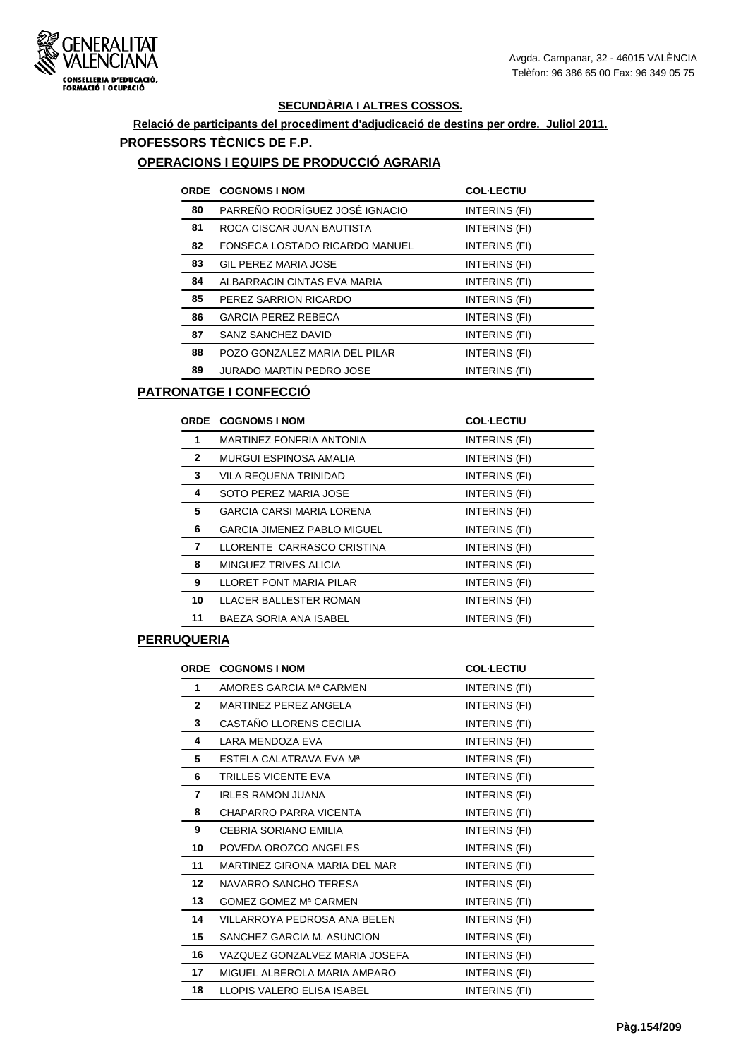

## **Relació de participants del procediment d'adjudicació de destins per ordre. Juliol 2011. PROFESSORS TÈCNICS DE F.P.**

#### **OPERACIONS I EQUIPS DE PRODUCCIÓ AGRARIA**

| ORDE | <b>COGNOMS I NOM</b>            | <b>COL-LECTIU</b> |
|------|---------------------------------|-------------------|
| 80   | PARREÑO RODRÍGUEZ JOSÉ IGNACIO  | INTERINS (FI)     |
| 81   | ROCA CISCAR JUAN BAUTISTA       | INTERINS (FI)     |
| 82   | FONSECA LOSTADO RICARDO MANUEL  | INTERINS (FI)     |
| 83   | GIL PEREZ MARIA JOSE            | INTERINS (FI)     |
| 84   | ALBARRACIN CINTAS EVA MARIA     | INTERINS (FI)     |
| 85   | PEREZ SARRION RICARDO           | INTERINS (FI)     |
| 86   | <b>GARCIA PEREZ REBECA</b>      | INTERINS (FI)     |
| 87   | SANZ SANCHEZ DAVID              | INTERINS (FI)     |
| 88   | POZO GONZALEZ MARIA DEL PILAR   | INTERINS (FI)     |
| 89   | <b>JURADO MARTIN PEDRO JOSE</b> | INTERINS (FI)     |

## **PATRONATGE I CONFECCIÓ**

|              | <b>ORDE COGNOMS I NOM</b>          | <b>COL-LECTIU</b> |
|--------------|------------------------------------|-------------------|
| 1            | MARTINEZ FONFRIA ANTONIA           | INTERINS (FI)     |
| $\mathbf{2}$ | MURGUI ESPINOSA AMALIA             | INTERINS (FI)     |
| 3            | VILA REQUENA TRINIDAD              | INTERINS (FI)     |
| 4            | SOTO PEREZ MARIA JOSE              | INTERINS (FI)     |
| 5            | <b>GARCIA CARSI MARIA LORENA</b>   | INTERINS (FI)     |
| 6            | <b>GARCIA JIMENEZ PABLO MIGUEL</b> | INTERINS (FI)     |
| 7            | LLORENTE CARRASCO CRISTINA         | INTERINS (FI)     |
| 8            | MINGUEZ TRIVES ALICIA              | INTERINS (FI)     |
| 9            | LLORET PONT MARIA PILAR            | INTERINS (FI)     |
| 10           | LLACER BALLESTER ROMAN             | INTERINS (FI)     |
| 11           | BAEZA SORIA ANA ISABEL             | INTERINS (FI)     |

#### **PERRUQUERIA**

| <b>ORDE</b>  | <b>COGNOMS I NOM</b>           | <b>COL-LECTIU</b> |
|--------------|--------------------------------|-------------------|
| 1            | AMORES GARCIA Mª CARMEN        | INTERINS (FI)     |
| $\mathbf{2}$ | MARTINEZ PEREZ ANGELA          | INTERINS (FI)     |
| 3            | CASTAÑO LLORENS CECILIA        | INTERINS (FI)     |
| 4            | LARA MENDOZA EVA               | INTERINS (FI)     |
| 5            | ESTELA CALATRAVA EVA Mª        | INTERINS (FI)     |
| 6            | <b>TRILLES VICENTE EVA</b>     | INTERINS (FI)     |
| 7            | <b>IRLES RAMON JUANA</b>       | INTERINS (FI)     |
| 8            | CHAPARRO PARRA VICENTA         | INTERINS (FI)     |
| 9            | <b>CEBRIA SORIANO EMILIA</b>   | INTERINS (FI)     |
| 10           | POVEDA OROZCO ANGELES          | INTERINS (FI)     |
| 11           | MARTINEZ GIRONA MARIA DEL MAR  | INTERINS (FI)     |
| 12           | NAVARRO SANCHO TERESA          | INTERINS (FI)     |
| 13           | GOMEZ GOMEZ Mª CARMEN          | INTERINS (FI)     |
| 14           | VILLARROYA PEDROSA ANA BELEN   | INTERINS (FI)     |
| 15           | SANCHEZ GARCIA M. ASUNCION     | INTERINS (FI)     |
| 16           | VAZQUEZ GONZALVEZ MARIA JOSEFA | INTERINS (FI)     |
| 17           | MIGUEL ALBEROLA MARIA AMPARO   | INTERINS (FI)     |
| 18           | LLOPIS VALERO ELISA ISABEL     | INTERINS (FI)     |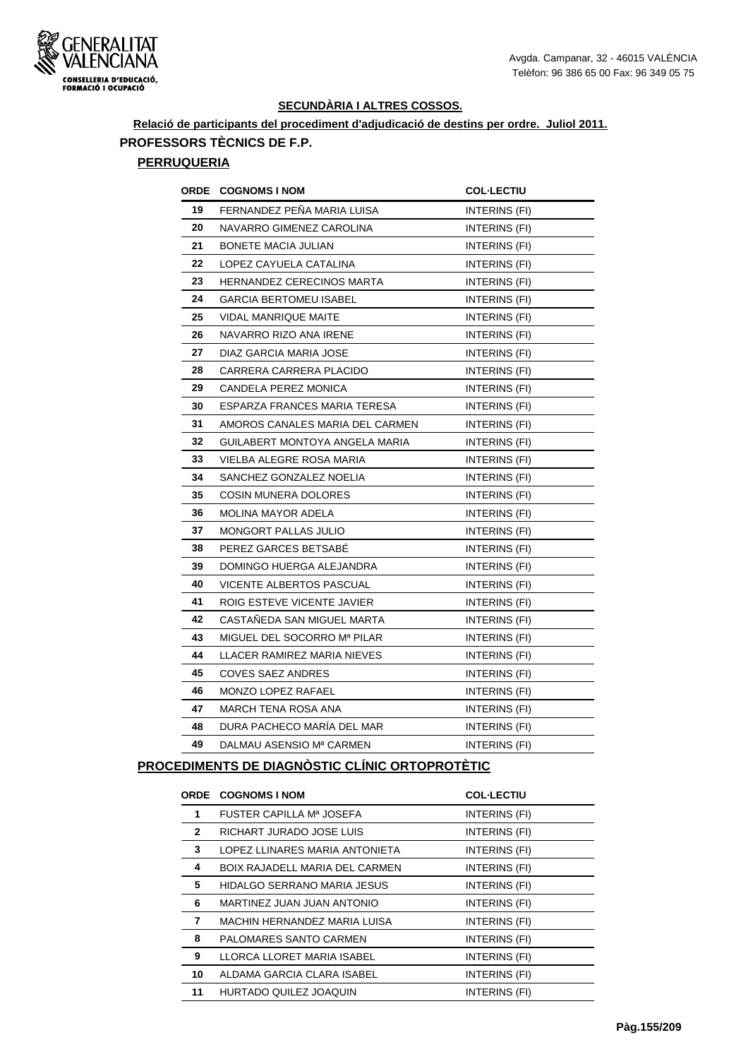

# **Relació de participants del procediment d'adjudicació de destins per ordre. Juliol 2011. PROFESSORS TÈCNICS DE F.P.**

## **PERRUQUERIA**

|    | <b>ORDE COGNOMS INOM</b>        | <b>COL-LECTIU</b>    |
|----|---------------------------------|----------------------|
| 19 | FERNANDEZ PEÑA MARIA LUISA      | <b>INTERINS (FI)</b> |
| 20 | NAVARRO GIMENEZ CAROLINA        | INTERINS (FI)        |
| 21 | BONETE MACIA JULIAN             | <b>INTERINS (FI)</b> |
| 22 | LOPEZ CAYUELA CATALINA          | INTERINS (FI)        |
| 23 | HERNANDEZ CERECINOS MARTA       | INTERINS (FI)        |
| 24 | <b>GARCIA BERTOMEU ISABEL</b>   | INTERINS (FI)        |
| 25 | <b>VIDAL MANRIQUE MAITE</b>     | INTERINS (FI)        |
| 26 | NAVARRO RIZO ANA IRENE          | <b>INTERINS (FI)</b> |
| 27 | DIAZ GARCIA MARIA JOSE          | INTERINS (FI)        |
| 28 | CARRERA CARRERA PLACIDO         | INTERINS (FI)        |
| 29 | CANDELA PEREZ MONICA            | <b>INTERINS (FI)</b> |
| 30 | ESPARZA FRANCES MARIA TERESA    | INTERINS (FI)        |
| 31 | AMOROS CANALES MARIA DEL CARMEN | INTERINS (FI)        |
| 32 | GUILABERT MONTOYA ANGELA MARIA  | INTERINS (FI)        |
| 33 | VIELBA ALEGRE ROSA MARIA        | INTERINS (FI)        |
| 34 | SANCHEZ GONZALEZ NOELIA         | <b>INTERINS (FI)</b> |
| 35 | <b>COSIN MUNERA DOLORES</b>     | INTERINS (FI)        |
| 36 | MOLINA MAYOR ADELA              | INTERINS (FI)        |
| 37 | MONGORT PALLAS JULIO            | <b>INTERINS (FI)</b> |
| 38 | PEREZ GARCES BETSABE            | <b>INTERINS (FI)</b> |
| 39 | DOMINGO HUERGA ALEJANDRA        | <b>INTERINS (FI)</b> |
| 40 | VICENTE ALBERTOS PASCUAL        | INTERINS (FI)        |
| 41 | ROIG ESTEVE VICENTE JAVIER      | INTERINS (FI)        |
| 42 | CASTAÑEDA SAN MIGUEL MARTA      | <b>INTERINS (FI)</b> |
| 43 | MIGUEL DEL SOCORRO Mª PILAR     | INTERINS (FI)        |
| 44 | LLACER RAMIREZ MARIA NIEVES     | <b>INTERINS (FI)</b> |
| 45 | <b>COVES SAEZ ANDRES</b>        | INTERINS (FI)        |
| 46 | <b>MONZO LOPEZ RAFAEL</b>       | INTERINS (FI)        |
| 47 | MARCH TENA ROSA ANA             | INTERINS (FI)        |
| 48 | DURA PACHECO MARÍA DEL MAR      | INTERINS (FI)        |
| 49 | DALMAU ASENSIO Mª CARMEN        | INTERINS (FI)        |

## **PROCEDIMENTS DE DIAGNÒSTIC CLÍNIC ORTOPROTÈTIC**

|              | <b>ORDE COGNOMS I NOM</b>             | <b>COL-LECTIU</b> |
|--------------|---------------------------------------|-------------------|
| 1            | FUSTER CAPILLA Mª JOSEFA              | INTERINS (FI)     |
| $\mathbf{2}$ | RICHART JURADO JOSE LUIS              | INTERINS (FI)     |
| 3            | LOPEZ LLINARES MARIA ANTONIETA        | INTERINS (FI)     |
| 4            | <b>BOIX RAJADELL MARIA DEL CARMEN</b> | INTERINS (FI)     |
| 5            | HIDALGO SERRANO MARIA JESUS           | INTERINS (FI)     |
| 6            | MARTINEZ JUAN JUAN ANTONIO            | INTERINS (FI)     |
| 7            | MACHIN HERNANDEZ MARIA LUISA          | INTERINS (FI)     |
| 8            | PALOMARES SANTO CARMEN                | INTERINS (FI)     |
| 9            | LLORCA LLORET MARIA ISABEL            | INTERINS (FI)     |
| 10           | ALDAMA GARCIA CLARA ISABEL            | INTERINS (FI)     |
| 11           | HURTADO QUILEZ JOAQUIN                | INTERINS (FI)     |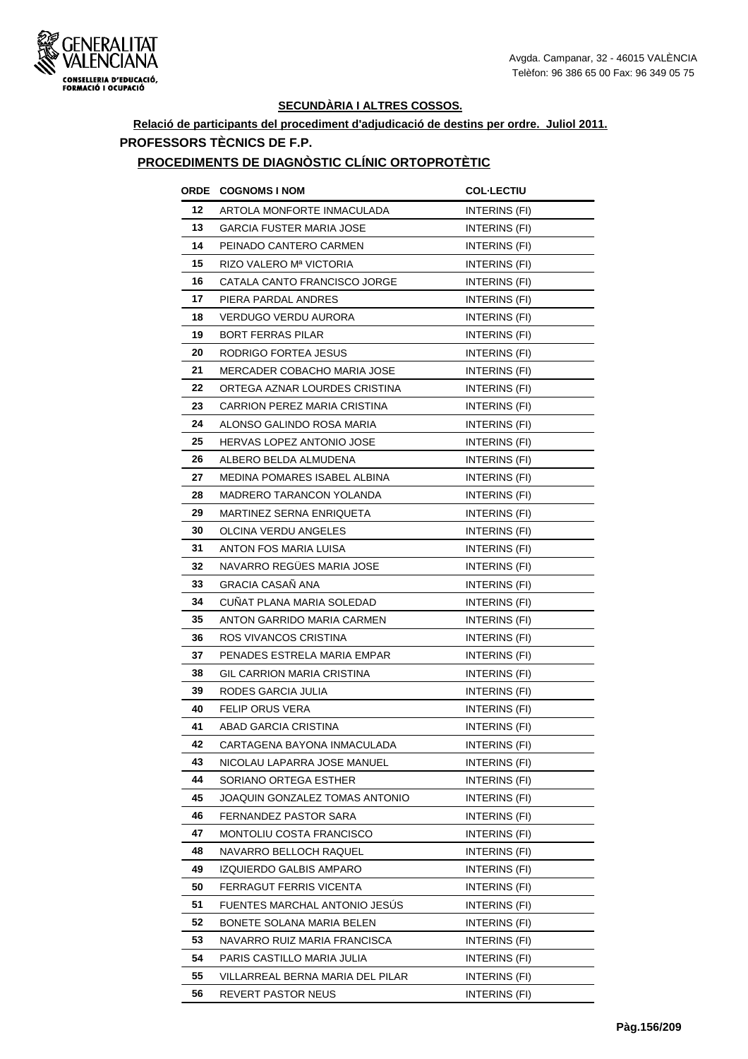

## **Relació de participants del procediment d'adjudicació de destins per ordre. Juliol 2011. PROFESSORS TÈCNICS DE F.P.**

#### **PROCEDIMENTS DE DIAGNÒSTIC CLÍNIC ORTOPROTÈTIC**

| ORDE | <b>COGNOMS I NOM</b>                | <b>COL·LECTIU</b>    |
|------|-------------------------------------|----------------------|
| 12   | ARTOLA MONFORTE INMACULADA          | INTERINS (FI)        |
| 13   | GARCIA FUSTER MARIA JOSE            | INTERINS (FI)        |
| 14   | PEINADO CANTERO CARMEN              | INTERINS (FI)        |
| 15   | RIZO VALERO Mª VICTORIA             | INTERINS (FI)        |
| 16   | CATALA CANTO FRANCISCO JORGE        | INTERINS (FI)        |
| 17   | PIERA PARDAL ANDRES                 | INTERINS (FI)        |
| 18   | VERDUGO VERDU AURORA                | INTERINS (FI)        |
| 19   | <b>BORT FERRAS PILAR</b>            | INTERINS (FI)        |
| 20   | RODRIGO FORTEA JESUS                | INTERINS (FI)        |
| 21   | <b>MERCADER COBACHO MARIA JOSE</b>  | INTERINS (FI)        |
| 22   | ORTEGA AZNAR LOURDES CRISTINA       | INTERINS (FI)        |
| 23   | <b>CARRION PEREZ MARIA CRISTINA</b> | <b>INTERINS (FI)</b> |
| 24   | ALONSO GALINDO ROSA MARIA           | INTERINS (FI)        |
| 25   | <b>HERVAS LOPEZ ANTONIO JOSE</b>    | INTERINS (FI)        |
| 26   | ALBERO BELDA ALMUDENA               | INTERINS (FI)        |
| 27   | <b>MEDINA POMARES ISABEL ALBINA</b> | INTERINS (FI)        |
| 28   | <b>MADRERO TARANCON YOLANDA</b>     | INTERINS (FI)        |
| 29   | MARTINEZ SERNA ENRIQUETA            | INTERINS (FI)        |
| 30   | OLCINA VERDU ANGELES                | INTERINS (FI)        |
| 31   | ANTON FOS MARIA LUISA               | INTERINS (FI)        |
| 32   | NAVARRO REGÜES MARIA JOSE           | INTERINS (FI)        |
| 33   | <b>GRACIA CASAÑ ANA</b>             | INTERINS (FI)        |
| 34   | CUNAT PLANA MARIA SOLEDAD           | INTERINS (FI)        |
| 35   | ANTON GARRIDO MARIA CARMEN          | INTERINS (FI)        |
| 36   | ROS VIVANCOS CRISTINA               | INTERINS (FI)        |
| 37   | PENADES ESTRELA MARIA EMPAR         | INTERINS (FI)        |
| 38   | GIL CARRION MARIA CRISTINA          | INTERINS (FI)        |
| 39   | RODES GARCIA JULIA                  | INTERINS (FI)        |
| 40   | <b>FELIP ORUS VERA</b>              | INTERINS (FI)        |
| 41   | ABAD GARCIA CRISTINA                | INTERINS (FI)        |
| 42   | CARTAGENA BAYONA INMACULADA         | INTERINS (FI)        |
| 43   | NICOLAU LAPARRA JOSE MANUEL         | INTERINS (FI)        |
| 44   | SORIANO ORTEGA ESTHER               | INTERINS (FI)        |
| 45   | JOAQUIN GONZALEZ TOMAS ANTONIO      | INTERINS (FI)        |
| 46   | FERNANDEZ PASTOR SARA               | INTERINS (FI)        |
| 47   | MONTOLIU COSTA FRANCISCO            | INTERINS (FI)        |
| 48   | NAVARRO BELLOCH RAQUEL              | INTERINS (FI)        |
| 49   | IZQUIERDO GALBIS AMPARO             | INTERINS (FI)        |
| 50   | FERRAGUT FERRIS VICENTA             | INTERINS (FI)        |
| 51   | FUENTES MARCHAL ANTONIO JESUS       | INTERINS (FI)        |
| 52   | BONETE SOLANA MARIA BELEN           | INTERINS (FI)        |
| 53   | NAVARRO RUIZ MARIA FRANCISCA        | INTERINS (FI)        |
| 54   | PARIS CASTILLO MARIA JULIA          | INTERINS (FI)        |
| 55   | VILLARREAL BERNA MARIA DEL PILAR    | INTERINS (FI)        |
| 56   | REVERT PASTOR NEUS                  | INTERINS (FI)        |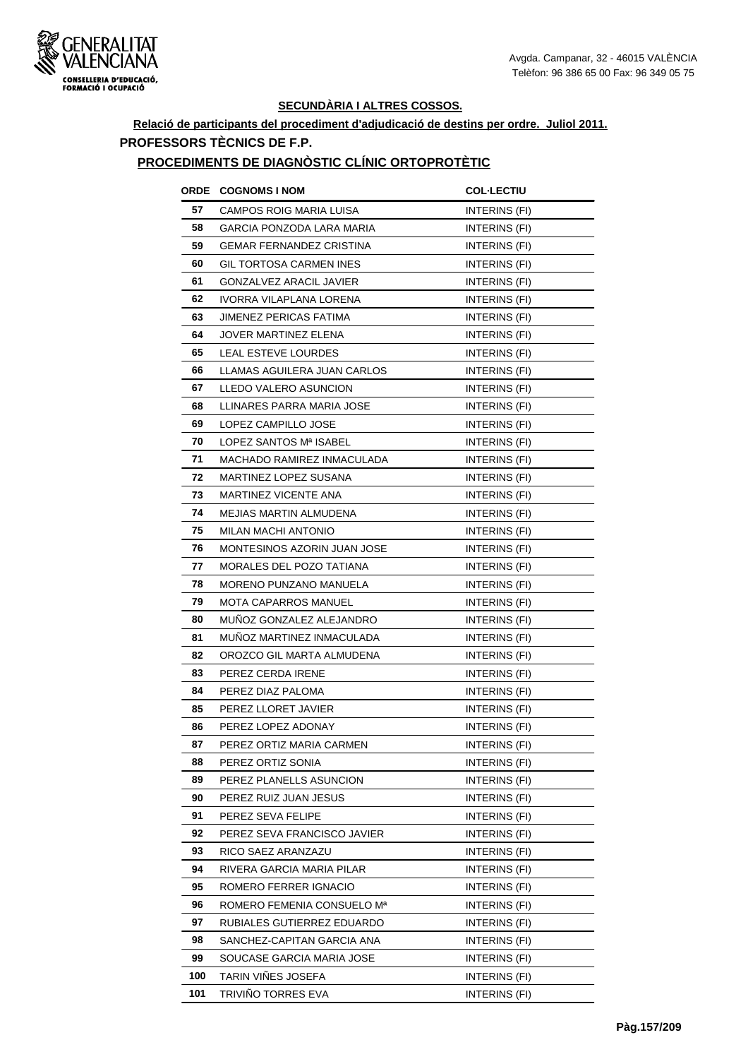

## **Relació de participants del procediment d'adjudicació de destins per ordre. Juliol 2011. PROFESSORS TÈCNICS DE F.P.**

#### **PROCEDIMENTS DE DIAGNÒSTIC CLÍNIC ORTOPROTÈTIC**

|     | <b>ORDE COGNOMS INOM</b>         | <b>COL-LECTIU</b>    |
|-----|----------------------------------|----------------------|
| 57  | CAMPOS ROIG MARIA LUISA          | INTERINS (FI)        |
| 58  | <b>GARCIA PONZODA LARA MARIA</b> | INTERINS (FI)        |
| 59  | <b>GEMAR FERNANDEZ CRISTINA</b>  | INTERINS (FI)        |
| 60  | <b>GIL TORTOSA CARMEN INES</b>   | INTERINS (FI)        |
| 61  | GONZALVEZ ARACIL JAVIER          | INTERINS (FI)        |
| 62  | IVORRA VILAPLANA LORENA          | INTERINS (FI)        |
| 63  | <b>JIMENEZ PERICAS FATIMA</b>    | INTERINS (FI)        |
| 64  | JOVER MARTINEZ ELENA             | INTERINS (FI)        |
| 65  | LEAL ESTEVE LOURDES              | INTERINS (FI)        |
| 66  | LLAMAS AGUILERA JUAN CARLOS      | INTERINS (FI)        |
| 67  | LLEDO VALERO ASUNCION            | INTERINS (FI)        |
| 68  | LLINARES PARRA MARIA JOSE        | <b>INTERINS (FI)</b> |
| 69  | LOPEZ CAMPILLO JOSE              | INTERINS (FI)        |
| 70  | LOPEZ SANTOS Mª ISABEL           | INTERINS (FI)        |
| 71  | MACHADO RAMIREZ INMACULADA       | <b>INTERINS (FI)</b> |
| 72  | <b>MARTINEZ LOPEZ SUSANA</b>     | INTERINS (FI)        |
| 73  | <b>MARTINEZ VICENTE ANA</b>      | <b>INTERINS (FI)</b> |
| 74  | <b>MEJIAS MARTIN ALMUDENA</b>    | INTERINS (FI)        |
| 75  | <b>MILAN MACHI ANTONIO</b>       | INTERINS (FI)        |
| 76  | MONTESINOS AZORIN JUAN JOSE      | INTERINS (FI)        |
| 77  | MORALES DEL POZO TATIANA         | INTERINS (FI)        |
| 78  | MORENO PUNZANO MANUELA           | INTERINS (FI)        |
| 79  | MOTA CAPARROS MANUEL             | INTERINS (FI)        |
| 80  | MUÑOZ GONZALEZ ALEJANDRO         | INTERINS (FI)        |
| 81  | MUNOZ MARTINEZ INMACULADA        | INTERINS (FI)        |
| 82  | OROZCO GIL MARTA ALMUDENA        | INTERINS (FI)        |
| 83  | PEREZ CERDA IRENE                | INTERINS (FI)        |
| 84  | PEREZ DIAZ PALOMA                | INTERINS (FI)        |
| 85  | PEREZ LLORET JAVIER              | <b>INTERINS (FI)</b> |
| 86  | PEREZ LOPEZ ADONAY               | INTERINS (FI)        |
| 87  | PEREZ ORTIZ MARIA CARMEN         | INTERINS (FI)        |
| 88  | PEREZ ORTIZ SONIA                | INTERINS (FI)        |
| 89  | PEREZ PLANELLS ASUNCION          | INTERINS (FI)        |
| 90  | PEREZ RUIZ JUAN JESUS            | INTERINS (FI)        |
| 91  | PEREZ SEVA FELIPE                | INTERINS (FI)        |
| 92  | PEREZ SEVA FRANCISCO JAVIER      | INTERINS (FI)        |
| 93  | RICO SAEZ ARANZAZU               | INTERINS (FI)        |
| 94  | RIVERA GARCIA MARIA PILAR        | INTERINS (FI)        |
| 95  | ROMERO FERRER IGNACIO            | INTERINS (FI)        |
| 96  | ROMERO FEMENIA CONSUELO Mª       | INTERINS (FI)        |
| 97  | RUBIALES GUTIERREZ EDUARDO       | INTERINS (FI)        |
| 98  | SANCHEZ-CAPITAN GARCIA ANA       | INTERINS (FI)        |
| 99  | SOUCASE GARCIA MARIA JOSE        | INTERINS (FI)        |
| 100 | TARIN VIÑES JOSEFA               | INTERINS (FI)        |
| 101 | TRIVINO TORRES EVA               | INTERINS (FI)        |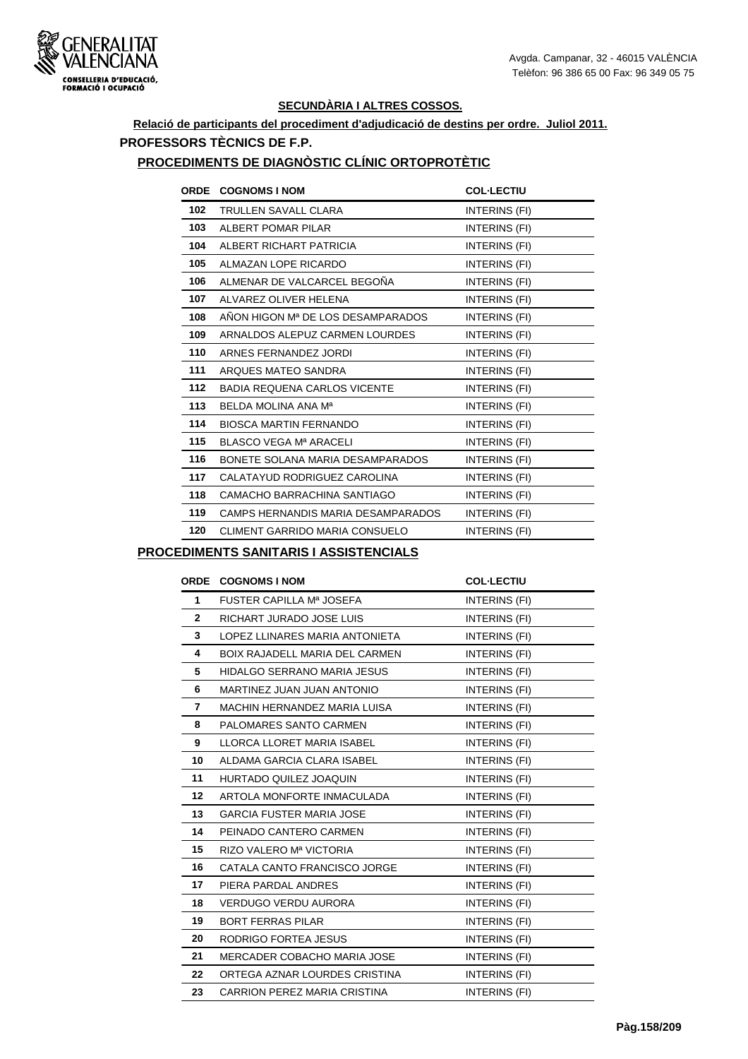

## **Relació de participants del procediment d'adjudicació de destins per ordre. Juliol 2011. PROFESSORS TÈCNICS DE F.P.**

## **PROCEDIMENTS DE DIAGNÒSTIC CLÍNIC ORTOPROTÈTIC**

| <b>ORDE</b> | <b>COGNOMS I NOM</b>                  | <b>COL-LECTIU</b> |
|-------------|---------------------------------------|-------------------|
| 102         | TRULLEN SAVALL CLARA                  | INTERINS (FI)     |
| 103         | ALBERT POMAR PILAR                    | INTERINS (FI)     |
| 104         | ALBERT RICHART PATRICIA               | INTERINS (FI)     |
| 105         | ALMAZAN LOPE RICARDO                  | INTERINS (FI)     |
| 106         | ALMENAR DE VALCARCEL BEGOÑA           | INTERINS (FI)     |
| 107         | ALVAREZ OLIVER HELENA                 | INTERINS (FI)     |
| 108         | ANON HIGON Mª DE LOS DESAMPARADOS     | INTERINS (FI)     |
| 109         | ARNALDOS ALEPUZ CARMEN LOURDES        | INTERINS (FI)     |
| 110         | ARNES FERNANDEZ JORDI                 | INTERINS (FI)     |
| 111         | ARQUES MATEO SANDRA                   | INTERINS (FI)     |
| 112         | <b>BADIA REQUENA CARLOS VICENTE</b>   | INTERINS (FI)     |
| 113         | BELDA MOLINA ANA Ma                   | INTERINS (FI)     |
| 114         | <b>BIOSCA MARTIN FERNANDO</b>         | INTERINS (FI)     |
| 115         | BLASCO VEGA Mª ARACELI                | INTERINS (FI)     |
| 116         | BONETE SOLANA MARIA DESAMPARADOS      | INTERINS (FI)     |
| 117         | CALATAYUD RODRIGUEZ CAROLINA          | INTERINS (FI)     |
| 118         | CAMACHO BARRACHINA SANTIAGO           | INTERINS (FI)     |
| 119         | CAMPS HERNANDIS MARIA DESAMPARADOS    | INTERINS (FI)     |
| 120         | <b>CLIMENT GARRIDO MARIA CONSUELO</b> | INTERINS (FI)     |

#### **PROCEDIMENTS SANITARIS I ASSISTENCIALS**

| ORDE         | <b>COGNOMS I NOM</b>                  | <b>COL-LECTIU</b> |
|--------------|---------------------------------------|-------------------|
| $\mathbf 1$  | FUSTER CAPILLA Mª JOSEFA              | INTERINS (FI)     |
| $\mathbf{2}$ | RICHART JURADO JOSE LUIS              | INTERINS (FI)     |
| 3            | LOPEZ LLINARES MARIA ANTONIETA        | INTERINS (FI)     |
| 4            | <b>BOIX RAJADELL MARIA DEL CARMEN</b> | INTERINS (FI)     |
| 5            | HIDALGO SERRANO MARIA JESUS           | INTERINS (FI)     |
| 6            | MARTINEZ JUAN JUAN ANTONIO            | INTERINS (FI)     |
| 7            | MACHIN HERNANDEZ MARIA LUISA          | INTERINS (FI)     |
| 8            | PALOMARES SANTO CARMEN                | INTERINS (FI)     |
| 9            | LLORCA LLORET MARIA ISABEL            | INTERINS (FI)     |
| 10           | ALDAMA GARCIA CLARA ISABEL            | INTERINS (FI)     |
| 11           | HURTADO QUILEZ JOAQUIN                | INTERINS (FI)     |
| $12 \,$      | ARTOLA MONFORTE INMACULADA            | INTERINS (FI)     |
| 13           | <b>GARCIA FUSTER MARIA JOSE</b>       | INTERINS (FI)     |
| 14           | PEINADO CANTERO CARMEN                | INTERINS (FI)     |
| 15           | RIZO VALERO Mª VICTORIA               | INTERINS (FI)     |
| 16           | CATALA CANTO FRANCISCO JORGE          | INTERINS (FI)     |
| 17           | PIERA PARDAL ANDRES                   | INTERINS (FI)     |
| 18           | <b>VERDUGO VERDU AURORA</b>           | INTERINS (FI)     |
| 19           | <b>BORT FERRAS PILAR</b>              | INTERINS (FI)     |
| 20           | RODRIGO FORTEA JESUS                  | INTERINS (FI)     |
| 21           | <b>MERCADER COBACHO MARIA JOSE</b>    | INTERINS (FI)     |
| 22           | ORTEGA AZNAR LOURDES CRISTINA         | INTERINS (FI)     |
| 23           | CARRION PEREZ MARIA CRISTINA          | INTERINS (FI)     |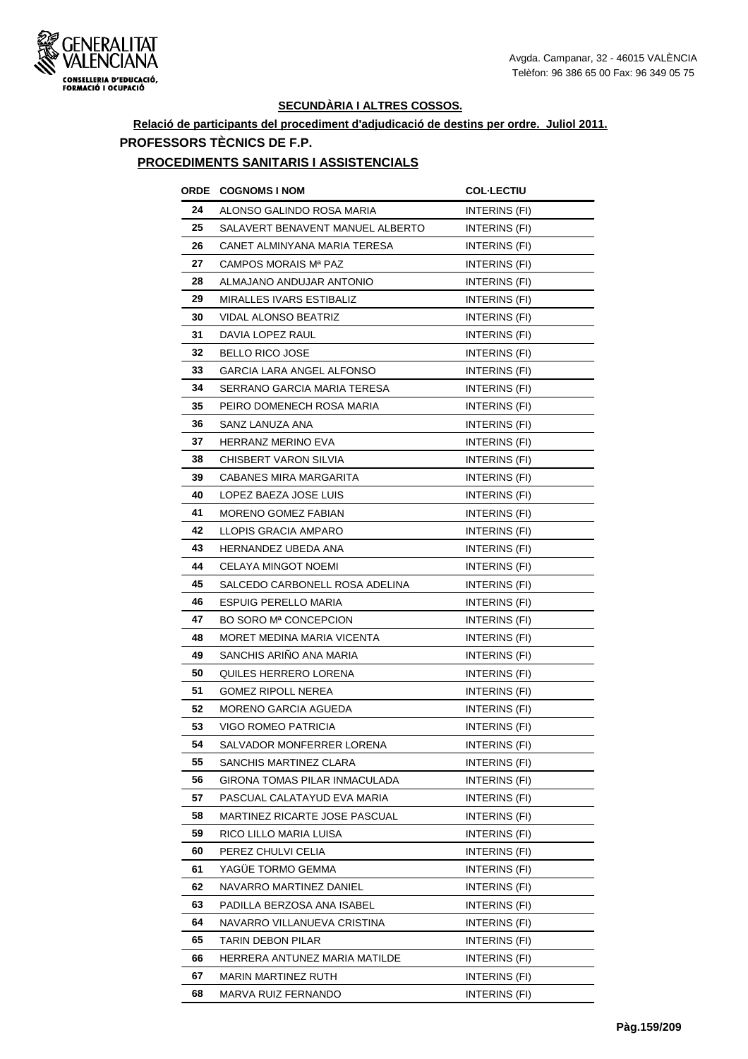

## **Relació de participants del procediment d'adjudicació de destins per ordre. Juliol 2011. PROFESSORS TÈCNICS DE F.P.**

#### **PROCEDIMENTS SANITARIS I ASSISTENCIALS**

| ORDE | <b>COGNOMS I NOM</b>             | <b>COL-LECTIU</b>    |
|------|----------------------------------|----------------------|
| 24   | ALONSO GALINDO ROSA MARIA        | INTERINS (FI)        |
| 25   | SALAVERT BENAVENT MANUEL ALBERTO | INTERINS (FI)        |
| 26   | CANET ALMINYANA MARIA TERESA     | INTERINS (FI)        |
| 27   | CAMPOS MORAIS Mª PAZ             | INTERINS (FI)        |
| 28   | ALMAJANO ANDUJAR ANTONIO         | INTERINS (FI)        |
| 29   | MIRALLES IVARS ESTIBALIZ         | INTERINS (FI)        |
| 30   | VIDAL ALONSO BEATRIZ             | INTERINS (FI)        |
| 31   | DAVIA LOPEZ RAUL                 | INTERINS (FI)        |
| 32   | <b>BELLO RICO JOSE</b>           | INTERINS (FI)        |
| 33   | GARCIA LARA ANGEL ALFONSO        | INTERINS (FI)        |
| 34   | SERRANO GARCIA MARIA TERESA      | INTERINS (FI)        |
| 35   | PEIRO DOMENECH ROSA MARIA        | INTERINS (FI)        |
| 36   | SANZ LANUZA ANA                  | INTERINS (FI)        |
| 37   | <b>HERRANZ MERINO EVA</b>        | INTERINS (FI)        |
| 38   | CHISBERT VARON SILVIA            | INTERINS (FI)        |
| 39   | CABANES MIRA MARGARITA           | INTERINS (FI)        |
| 40   | LOPEZ BAEZA JOSE LUIS            | INTERINS (FI)        |
| 41   | <b>MORENO GOMEZ FABIAN</b>       | INTERINS (FI)        |
| 42   | LLOPIS GRACIA AMPARO             | INTERINS (FI)        |
| 43   | HERNANDEZ UBEDA ANA              | INTERINS (FI)        |
| 44   | CELAYA MINGOT NOEMI              | INTERINS (FI)        |
| 45   | SALCEDO CARBONELL ROSA ADELINA   | INTERINS (FI)        |
| 46   | ESPUIG PERELLO MARIA             | INTERINS (FI)        |
| 47   | BO SORO Mª CONCEPCION            | <b>INTERINS (FI)</b> |
| 48   | MORET MEDINA MARIA VICENTA       | INTERINS (FI)        |
| 49   | SANCHIS ARINO ANA MARIA          | <b>INTERINS (FI)</b> |
| 50   | QUILES HERRERO LORENA            | INTERINS (FI)        |
| 51   | <b>GOMEZ RIPOLL NEREA</b>        | INTERINS (FI)        |
| 52   | MORENO GARCIA AGUEDA             | INTERINS (FI)        |
| 53   | VIGO ROMEO PATRICIA              | INTERINS (FI)        |
| 54   | SALVADOR MONFERRER LORENA        | INTERINS (FI)        |
| 55   | SANCHIS MARTINEZ CLARA           | INTERINS (FI)        |
| 56   | GIRONA TOMAS PILAR INMACULADA    | INTERINS (FI)        |
| 57   | PASCUAL CALATAYUD EVA MARIA      | INTERINS (FI)        |
| 58   | MARTINEZ RICARTE JOSE PASCUAL    | INTERINS (FI)        |
| 59   | RICO LILLO MARIA LUISA           | INTERINS (FI)        |
| 60   | PEREZ CHULVI CELIA               | INTERINS (FI)        |
| 61   | YAGÜE TORMO GEMMA                | INTERINS (FI)        |
| 62   | NAVARRO MARTINEZ DANIEL          | INTERINS (FI)        |
| 63   | PADILLA BERZOSA ANA ISABEL       | INTERINS (FI)        |
| 64   | NAVARRO VILLANUEVA CRISTINA      | INTERINS (FI)        |
| 65   | TARIN DEBON PILAR                | INTERINS (FI)        |
| 66   | HERRERA ANTUNEZ MARIA MATILDE    | INTERINS (FI)        |
| 67   | MARIN MARTINEZ RUTH              | INTERINS (FI)        |
| 68   | MARVA RUIZ FERNANDO              | INTERINS (FI)        |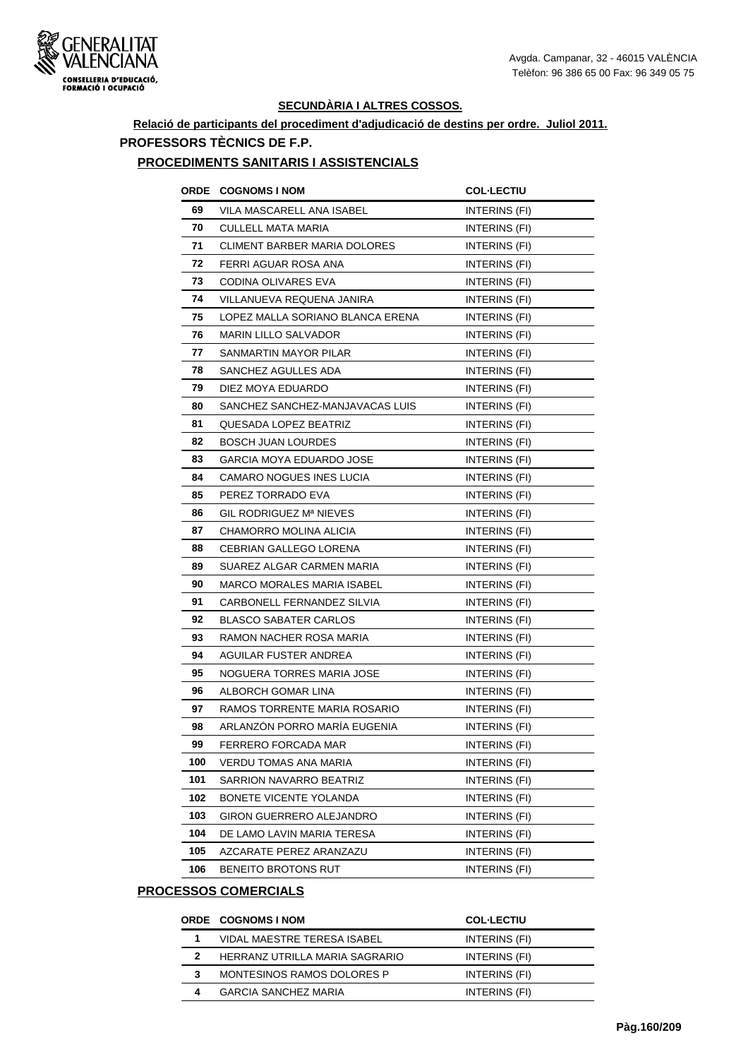

## **Relació de participants del procediment d'adjudicació de destins per ordre. Juliol 2011. PROFESSORS TÈCNICS DE F.P.**

#### **PROCEDIMENTS SANITARIS I ASSISTENCIALS**

|     | <b>ORDE COGNOMS INOM</b>         | <b>COL-LECTIU</b>    |
|-----|----------------------------------|----------------------|
| 69  | VILA MASCARELL ANA ISABEL        | INTERINS (FI)        |
| 70  | <b>CULLELL MATA MARIA</b>        | INTERINS (FI)        |
| 71  | CLIMENT BARBER MARIA DOLORES     | INTERINS (FI)        |
| 72  | FERRI AGUAR ROSA ANA             | INTERINS (FI)        |
| 73  | CODINA OLIVARES EVA              | INTERINS (FI)        |
| 74  | VILLANUEVA REQUENA JANIRA        | INTERINS (FI)        |
| 75  | LOPEZ MALLA SORIANO BLANCA ERENA | INTERINS (FI)        |
| 76  | MARIN LILLO SALVADOR             | INTERINS (FI)        |
| 77  | SANMARTIN MAYOR PILAR            | INTERINS (FI)        |
| 78  | SANCHEZ AGULLES ADA              | INTERINS (FI)        |
| 79  | DIEZ MOYA EDUARDO                | INTERINS (FI)        |
| 80  | SANCHEZ SANCHEZ-MANJAVACAS LUIS  | INTERINS (FI)        |
| 81  | QUESADA LOPEZ BEATRIZ            | INTERINS (FI)        |
| 82  | <b>BOSCH JUAN LOURDES</b>        | INTERINS (FI)        |
| 83  | GARCIA MOYA EDUARDO JOSE         | INTERINS (FI)        |
| 84  | <b>CAMARO NOGUES INES LUCIA</b>  | INTERINS (FI)        |
| 85  | PEREZ TORRADO EVA                | INTERINS (FI)        |
| 86  | GIL RODRIGUEZ Mª NIEVES          | INTERINS (FI)        |
| 87  | CHAMORRO MOLINA ALICIA           | INTERINS (FI)        |
| 88  | CEBRIAN GALLEGO LORENA           | INTERINS (FI)        |
| 89  | SUAREZ ALGAR CARMEN MARIA        | INTERINS (FI)        |
| 90  | MARCO MORALES MARIA ISABEL       | <b>INTERINS (FI)</b> |
| 91  | CARBONELL FERNANDEZ SILVIA       | INTERINS (FI)        |
| 92  | <b>BLASCO SABATER CARLOS</b>     | INTERINS (FI)        |
| 93  | RAMON NACHER ROSA MARIA          | INTERINS (FI)        |
| 94  | AGUILAR FUSTER ANDREA            | INTERINS (FI)        |
| 95  | NOGUERA TORRES MARIA JOSE        | INTERINS (FI)        |
| 96  | ALBORCH GOMAR LINA               | INTERINS (FI)        |
| 97  | RAMOS TORRENTE MARIA ROSARIO     | INTERINS (FI)        |
| 98  | ARLANZÓN PORRO MARÍA EUGENIA     | INTERINS (FI)        |
| 99  | FERRERO FORCADA MAR              | INTERINS (FI)        |
| 100 | VERDU TOMAS ANA MARIA            | INTERINS (FI)        |
| 101 | SARRION NAVARRO BEATRIZ          | INTERINS (FI)        |
| 102 | BONETE VICENTE YOLANDA           | INTERINS (FI)        |
| 103 | GIRON GUERRERO ALEJANDRO         | INTERINS (FI)        |
| 104 | DE LAMO LAVIN MARIA TERESA       | INTERINS (FI)        |
| 105 | AZCARATE PEREZ ARANZAZU          | INTERINS (FI)        |
| 106 | BENEITO BROTONS RUT              | INTERINS (FI)        |
|     |                                  |                      |

## **PROCESSOS COMERCIALS**

|   | ORDE COGNOMS I NOM                 | <b>COL-LECTIU</b> |
|---|------------------------------------|-------------------|
|   | <b>VIDAL MAESTRE TERESA ISABEL</b> | INTERINS (FI)     |
|   | HERRANZ UTRILLA MARIA SAGRARIO     | INTERINS (FI)     |
| 3 | MONTESINOS RAMOS DOLORES P         | INTERINS (FI)     |
|   | <b>GARCIA SANCHEZ MARIA</b>        | INTERINS (FI)     |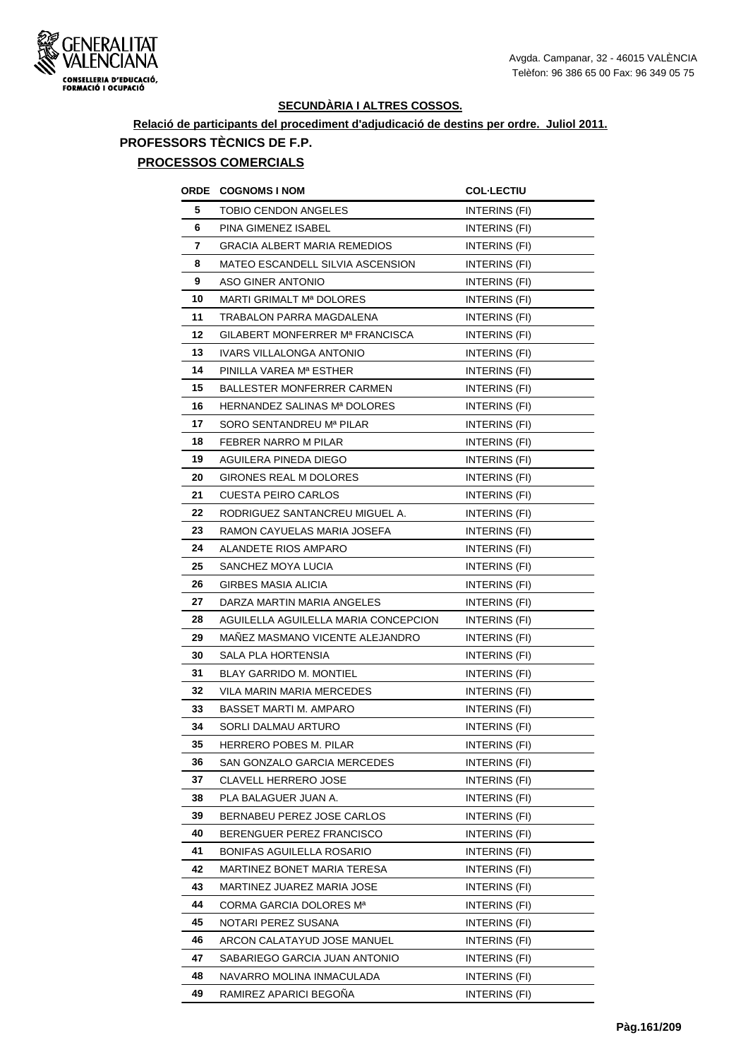

# **Relació de participants del procediment d'adjudicació de destins per ordre. Juliol 2011. PROFESSORS TÈCNICS DE F.P.**

## **PROCESSOS COMERCIALS**

| ORDE | <b>COGNOMS I NOM</b>                 | <b>COL-LECTIU</b>    |
|------|--------------------------------------|----------------------|
| 5    | TOBIO CENDON ANGELES                 | INTERINS (FI)        |
| 6    | PINA GIMENEZ ISABEL                  | INTERINS (FI)        |
| 7    | <b>GRACIA ALBERT MARIA REMEDIOS</b>  | INTERINS (FI)        |
| 8    | MATEO ESCANDELL SILVIA ASCENSION     | INTERINS (FI)        |
| 9    | <b>ASO GINER ANTONIO</b>             | INTERINS (FI)        |
| 10   | MARTI GRIMALT Mª DOLORES             | INTERINS (FI)        |
| 11   | TRABALON PARRA MAGDALENA             | INTERINS (FI)        |
| 12   | GILABERT MONFERRER Mª FRANCISCA      | <b>INTERINS (FI)</b> |
| 13   | IVARS VILLALONGA ANTONIO             | <b>INTERINS (FI)</b> |
| 14   | PINILLA VAREA Mª ESTHER              | <b>INTERINS (FI)</b> |
| 15   | BALLESTER MONFERRER CARMEN           | INTERINS (FI)        |
| 16   | HERNANDEZ SALINAS Mª DOLORES         | INTERINS (FI)        |
| 17   | SORO SENTANDREU Mª PILAR             | INTERINS (FI)        |
| 18   | FEBRER NARRO M PILAR                 | INTERINS (FI)        |
| 19   | AGUILERA PINEDA DIEGO                | <b>INTERINS (FI)</b> |
| 20   | GIRONES REAL M DOLORES               | INTERINS (FI)        |
| 21   | <b>CUESTA PEIRO CARLOS</b>           | INTERINS (FI)        |
| 22   | RODRIGUEZ SANTANCREU MIGUEL A.       | INTERINS (FI)        |
| 23   | RAMON CAYUELAS MARIA JOSEFA          | INTERINS (FI)        |
| 24   | ALANDETE RIOS AMPARO                 | INTERINS (FI)        |
| 25   | SANCHEZ MOYA LUCIA                   | INTERINS (FI)        |
| 26   | <b>GIRBES MASIA ALICIA</b>           | <b>INTERINS (FI)</b> |
| 27   | DARZA MARTIN MARIA ANGELES           | INTERINS (FI)        |
| 28   | AGUILELLA AGUILELLA MARIA CONCEPCION | INTERINS (FI)        |
| 29   | MANEZ MASMANO VICENTE ALEJANDRO      | INTERINS (FI)        |
| 30   | SALA PLA HORTENSIA                   | <b>INTERINS (FI)</b> |
| 31   | <b>BLAY GARRIDO M. MONTIEL</b>       | INTERINS (FI)        |
| 32   | <b>VILA MARIN MARIA MERCEDES</b>     | INTERINS (FI)        |
| 33   | <b>BASSET MARTI M. AMPARO</b>        | INTERINS (FI)        |
| 34   | SORLI DALMAU ARTURO                  | INTERINS (FI)        |
| 35   | <b>HERRERO POBES M. PILAR</b>        | INTERINS (FI)        |
| 36   | SAN GONZALO GARCIA MERCEDES          | INTERINS (FI)        |
| 37   | <b>CLAVELL HERRERO JOSE</b>          | INTERINS (FI)        |
| 38   | PLA BALAGUER JUAN A.                 | INTERINS (FI)        |
| 39   | BERNABEU PEREZ JOSE CARLOS           | <b>INTERINS (FI)</b> |
| 40   | BERENGUER PEREZ FRANCISCO            | INTERINS (FI)        |
| 41   | BONIFAS AGUILELLA ROSARIO            | INTERINS (FI)        |
| 42   | MARTINEZ BONET MARIA TERESA          | INTERINS (FI)        |
| 43   | MARTINEZ JUAREZ MARIA JOSE           | INTERINS (FI)        |
| 44   | CORMA GARCIA DOLORES Mª              | INTERINS (FI)        |
| 45   | NOTARI PEREZ SUSANA                  | INTERINS (FI)        |
| 46   | ARCON CALATAYUD JOSE MANUEL          | INTERINS (FI)        |
| 47   | SABARIEGO GARCIA JUAN ANTONIO        | INTERINS (FI)        |
| 48   | NAVARRO MOLINA INMACULADA            | INTERINS (FI)        |
| 49   | RAMIREZ APARICI BEGONA               | INTERINS (FI)        |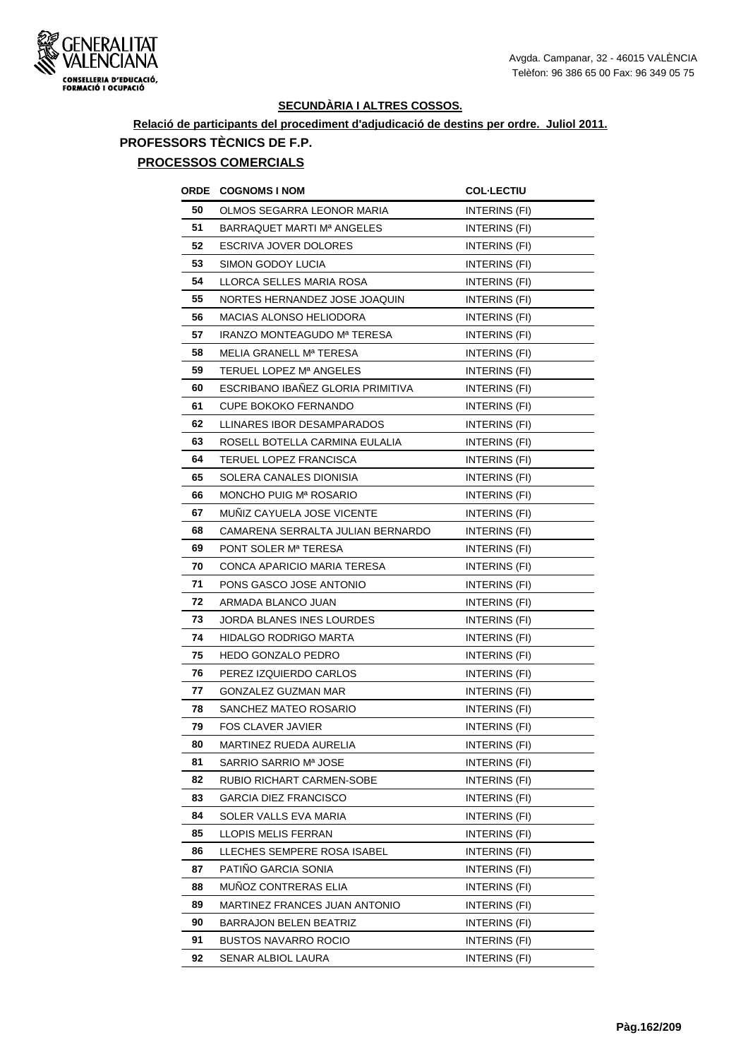

# **Relació de participants del procediment d'adjudicació de destins per ordre. Juliol 2011. PROFESSORS TÈCNICS DE F.P.**

## **PROCESSOS COMERCIALS**

| ORDE | <b>COGNOMS I NOM</b>              | <b>COL·LECTIU</b>    |
|------|-----------------------------------|----------------------|
| 50   | OLMOS SEGARRA LEONOR MARIA        | INTERINS (FI)        |
| 51   | BARRAQUET MARTI Mª ANGELES        | INTERINS (FI)        |
| 52   | <b>ESCRIVA JOVER DOLORES</b>      | INTERINS (FI)        |
| 53   | SIMON GODOY LUCIA                 | <b>INTERINS (FI)</b> |
| 54   | LLORCA SELLES MARIA ROSA          | INTERINS (FI)        |
| 55   | NORTES HERNANDEZ JOSE JOAQUIN     | INTERINS (FI)        |
| 56   | <b>MACIAS ALONSO HELIODORA</b>    | INTERINS (FI)        |
| 57   | IRANZO MONTEAGUDO Mª TERESA       | INTERINS (FI)        |
| 58   | MELIA GRANELL Mª TERESA           | INTERINS (FI)        |
| 59   | TERUEL LOPEZ Mª ANGELES           | INTERINS (FI)        |
| 60   | ESCRIBANO IBANEZ GLORIA PRIMITIVA | INTERINS (FI)        |
| 61   | <b>CUPE BOKOKO FERNANDO</b>       | INTERINS (FI)        |
| 62   | LLINARES IBOR DESAMPARADOS        | INTERINS (FI)        |
| 63   | ROSELL BOTELLA CARMINA EULALIA    | INTERINS (FI)        |
| 64   | TERUEL LOPEZ FRANCISCA            | INTERINS (FI)        |
| 65   | SOLERA CANALES DIONISIA           | INTERINS (FI)        |
| 66   | MONCHO PUIG Mª ROSARIO            | INTERINS (FI)        |
| 67   | MUÑIZ CAYUELA JOSE VICENTE        | INTERINS (FI)        |
| 68   | CAMARENA SERRALTA JULIAN BERNARDO | INTERINS (FI)        |
| 69   | PONT SOLER M <sup>a</sup> TERESA  | INTERINS (FI)        |
| 70   | CONCA APARICIO MARIA TERESA       | INTERINS (FI)        |
| 71   | PONS GASCO JOSE ANTONIO           | INTERINS (FI)        |
| 72   | ARMADA BLANCO JUAN                | INTERINS (FI)        |
| 73   | JORDA BLANES INES LOURDES         | INTERINS (FI)        |
| 74   | <b>HIDALGO RODRIGO MARTA</b>      | <b>INTERINS (FI)</b> |
| 75   | <b>HEDO GONZALO PEDRO</b>         | INTERINS (FI)        |
| 76   | PEREZ IZQUIERDO CARLOS            | INTERINS (FI)        |
| 77   | <b>GONZALEZ GUZMAN MAR</b>        | INTERINS (FI)        |
| 78   | SANCHEZ MATEO ROSARIO             | INTERINS (FI)        |
| 79   | <b>FOS CLAVER JAVIER</b>          | INTERINS (FI)        |
| 80   | MARTINEZ RUEDA AURELIA            | INTERINS (FI)        |
| 81   | SARRIO SARRIO Mª JOSE             | INTERINS (FI)        |
| 82   | RUBIO RICHART CARMEN-SOBE         | INTERINS (FI)        |
| 83   | <b>GARCIA DIEZ FRANCISCO</b>      | INTERINS (FI)        |
| 84   | SOLER VALLS EVA MARIA             | INTERINS (FI)        |
| 85   | LLOPIS MELIS FERRAN               | INTERINS (FI)        |
| 86   | LLECHES SEMPERE ROSA ISABEL       | INTERINS (FI)        |
| 87   | PATIÑO GARCIA SONIA               | INTERINS (FI)        |
| 88   | MUNOZ CONTRERAS ELIA              | INTERINS (FI)        |
| 89   | MARTINEZ FRANCES JUAN ANTONIO     | INTERINS (FI)        |
| 90   | <b>BARRAJON BELEN BEATRIZ</b>     | INTERINS (FI)        |
| 91   | BUSTOS NAVARRO ROCIO              | INTERINS (FI)        |
| 92   | SENAR ALBIOL LAURA                | INTERINS (FI)        |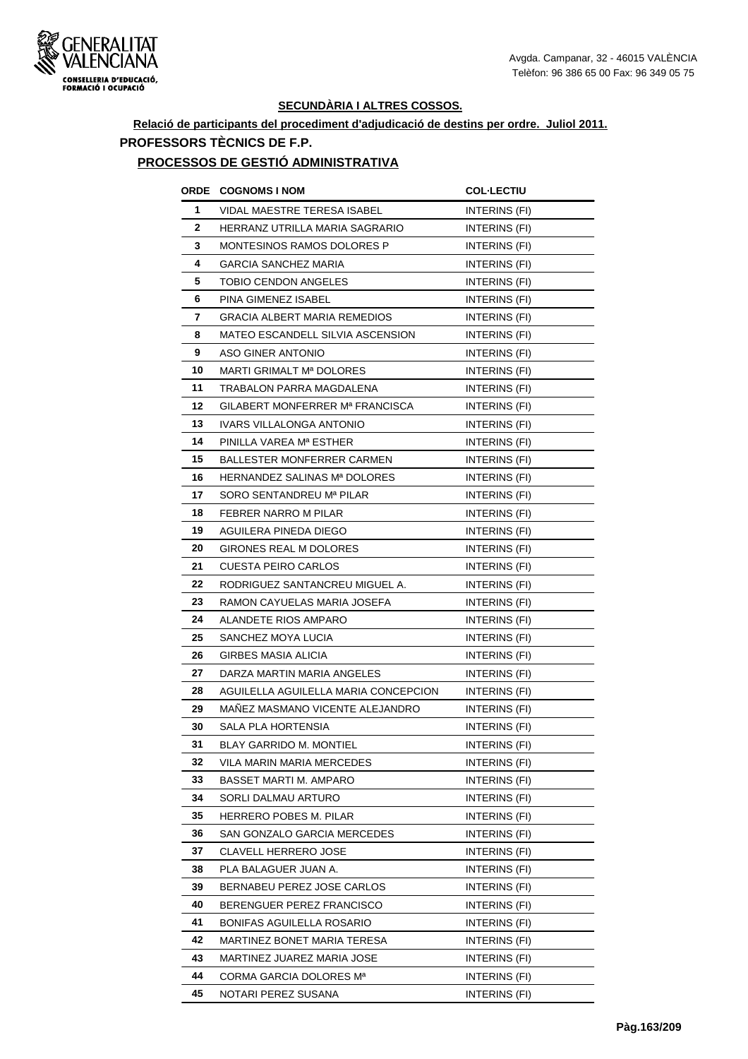

# **Relació de participants del procediment d'adjudicació de destins per ordre. Juliol 2011. PROFESSORS TÈCNICS DE F.P.**

#### **PROCESSOS DE GESTIÓ ADMINISTRATIVA**

| <b>ORDE</b> | <b>COGNOMS I NOM</b>                 | <b>COL-LECTIU</b>    |
|-------------|--------------------------------------|----------------------|
| 1           | VIDAL MAESTRE TERESA ISABEL          | INTERINS (FI)        |
| 2           | HERRANZ UTRILLA MARIA SAGRARIO       | INTERINS (FI)        |
| 3           | MONTESINOS RAMOS DOLORES P           | INTERINS (FI)        |
| 4           | <b>GARCIA SANCHEZ MARIA</b>          | <b>INTERINS (FI)</b> |
| 5           | <b>TOBIO CENDON ANGELES</b>          | INTERINS (FI)        |
| 6           | PINA GIMENEZ ISABEL                  | INTERINS (FI)        |
| 7           | <b>GRACIA ALBERT MARIA REMEDIOS</b>  | INTERINS (FI)        |
| 8           | MATEO ESCANDELL SILVIA ASCENSION     | INTERINS (FI)        |
| 9           | ASO GINER ANTONIO                    | <b>INTERINS (FI)</b> |
| 10          | MARTI GRIMALT Mª DOLORES             | <b>INTERINS (FI)</b> |
| 11          | TRABALON PARRA MAGDALENA             | INTERINS (FI)        |
| 12          | GILABERT MONFERRER Mª FRANCISCA      | INTERINS (FI)        |
| 13          | IVARS VILLALONGA ANTONIO             | <b>INTERINS (FI)</b> |
| 14          | PINILLA VAREA Mª ESTHER              | INTERINS (FI)        |
| 15          | BALLESTER MONFERRER CARMEN           | INTERINS (FI)        |
| 16          | HERNANDEZ SALINAS Mª DOLORES         | INTERINS (FI)        |
| 17          | SORO SENTANDREU Mª PILAR             | <b>INTERINS (FI)</b> |
| 18          | FEBRER NARRO M PILAR                 | INTERINS (FI)        |
| 19          | AGUILERA PINEDA DIEGO                | INTERINS (FI)        |
| 20          | GIRONES REAL M DOLORES               | INTERINS (FI)        |
| 21          | <b>CUESTA PEIRO CARLOS</b>           | INTERINS (FI)        |
| 22          | RODRIGUEZ SANTANCREU MIGUEL A.       | INTERINS (FI)        |
| 23          | RAMON CAYUELAS MARIA JOSEFA          | INTERINS (FI)        |
| 24          | ALANDETE RIOS AMPARO                 | <b>INTERINS (FI)</b> |
| 25          | SANCHEZ MOYA LUCIA                   | INTERINS (FI)        |
| 26          | GIRBES MASIA ALICIA                  | <b>INTERINS (FI)</b> |
| 27          | DARZA MARTIN MARIA ANGELES           | INTERINS (FI)        |
| 28          | AGUILELLA AGUILELLA MARIA CONCEPCION | INTERINS (FI)        |
| 29          | MAÑEZ MASMANO VICENTE ALEJANDRO      | INTERINS (FI)        |
| 30          | SALA PLA HORTENSIA                   | <b>INTERINS (FI)</b> |
| 31          | <b>BLAY GARRIDO M. MONTIEL</b>       | INTERINS (FI)        |
| 32          | VILA MARIN MARIA MERCEDES            | INTERINS (FI)        |
| 33          | BASSET MARTI M. AMPARO               | INTERINS (FI)        |
| 34          | SORLI DALMAU ARTURO                  | INTERINS (FI)        |
| 35          | HERRERO POBES M. PILAR               | INTERINS (FI)        |
| 36          | SAN GONZALO GARCIA MERCEDES          | INTERINS (FI)        |
| 37          | CLAVELL HERRERO JOSE                 | INTERINS (FI)        |
| 38          | PLA BALAGUER JUAN A.                 | INTERINS (FI)        |
| 39          | BERNABEU PEREZ JOSE CARLOS           | INTERINS (FI)        |
| 40          | BERENGUER PEREZ FRANCISCO            | INTERINS (FI)        |
| 41          | BONIFAS AGUILELLA ROSARIO            | INTERINS (FI)        |
| 42          | MARTINEZ BONET MARIA TERESA          | INTERINS (FI)        |
| 43          | MARTINEZ JUAREZ MARIA JOSE           | INTERINS (FI)        |
| 44          | CORMA GARCIA DOLORES Mª              | INTERINS (FI)        |
| 45          | NOTARI PEREZ SUSANA                  | INTERINS (FI)        |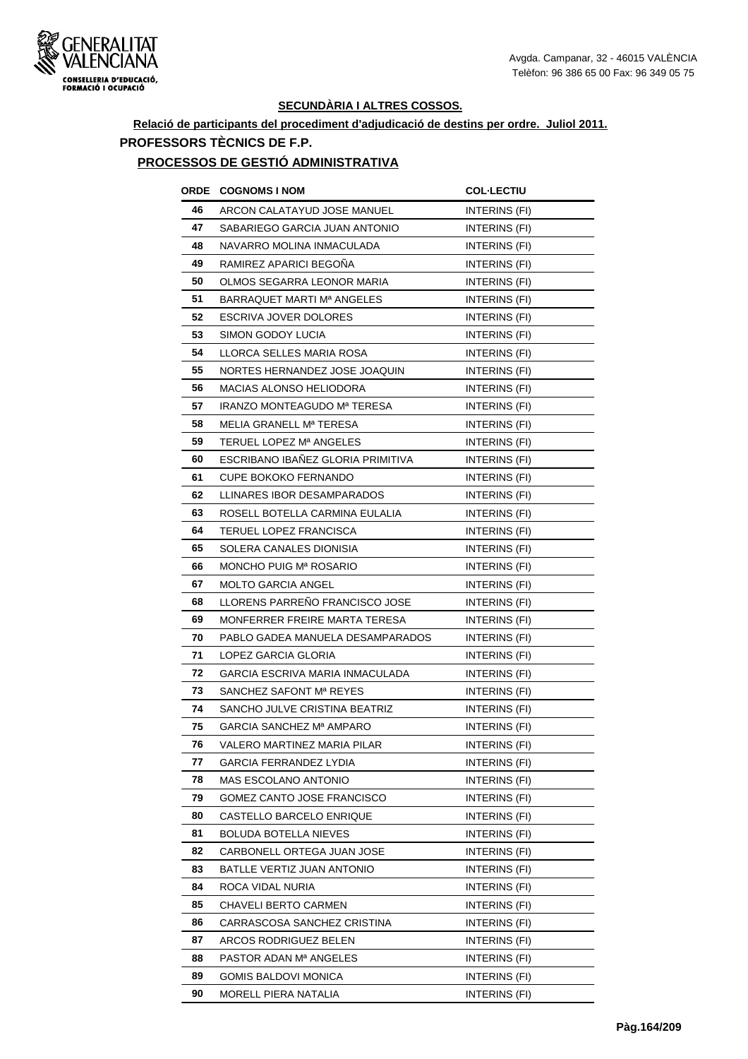

## **Relació de participants del procediment d'adjudicació de destins per ordre. Juliol 2011. PROFESSORS TÈCNICS DE F.P.**

#### **PROCESSOS DE GESTIÓ ADMINISTRATIVA**

| ORDE | <b>COGNOMS I NOM</b>              | <b>COL·LECTIU</b>    |
|------|-----------------------------------|----------------------|
| 46   | ARCON CALATAYUD JOSE MANUEL       | INTERINS (FI)        |
| 47   | SABARIEGO GARCIA JUAN ANTONIO     | <b>INTERINS (FI)</b> |
| 48   | NAVARRO MOLINA INMACULADA         | INTERINS (FI)        |
| 49   | RAMIREZ APARICI BEGOÑA            | INTERINS (FI)        |
| 50   | OLMOS SEGARRA LEONOR MARIA        | INTERINS (FI)        |
| 51   | BARRAQUET MARTI Mª ANGELES        | INTERINS (FI)        |
| 52   | ESCRIVA JOVER DOLORES             | INTERINS (FI)        |
| 53   | SIMON GODOY LUCIA                 | INTERINS (FI)        |
| 54   | LLORCA SELLES MARIA ROSA          | INTERINS (FI)        |
| 55   | NORTES HERNANDEZ JOSE JOAQUIN     | INTERINS (FI)        |
| 56   | <b>MACIAS ALONSO HELIODORA</b>    | INTERINS (FI)        |
| 57   | IRANZO MONTEAGUDO Mª TERESA       | INTERINS (FI)        |
| 58   | MELIA GRANELL Mª TERESA           | INTERINS (FI)        |
| 59   | TERUEL LOPEZ Mª ANGELES           | INTERINS (FI)        |
| 60   | ESCRIBANO IBAÑEZ GLORIA PRIMITIVA | INTERINS (FI)        |
| 61   | <b>CUPE BOKOKO FERNANDO</b>       | <b>INTERINS (FI)</b> |
| 62   | LLINARES IBOR DESAMPARADOS        | INTERINS (FI)        |
| 63   | ROSELL BOTELLA CARMINA EULALIA    | <b>INTERINS (FI)</b> |
| 64   | TERUEL LOPEZ FRANCISCA            | INTERINS (FI)        |
| 65   | SOLERA CANALES DIONISIA           | <b>INTERINS (FI)</b> |
| 66   | MONCHO PUIG Mª ROSARIO            | INTERINS (FI)        |
| 67   | <b>MOLTO GARCIA ANGEL</b>         | INTERINS (FI)        |
| 68   | LLORENS PARRENO FRANCISCO JOSE    | INTERINS (FI)        |
| 69   | MONFERRER FREIRE MARTA TERESA     | INTERINS (FI)        |
| 70   | PABLO GADEA MANUELA DESAMPARADOS  | INTERINS (FI)        |
| 71   | LOPEZ GARCIA GLORIA               | INTERINS (FI)        |
| 72   | GARCIA ESCRIVA MARIA INMACULADA   | INTERINS (FI)        |
| 73   | SANCHEZ SAFONT Mª REYES           | INTERINS (FI)        |
| 74   | SANCHO JULVE CRISTINA BEATRIZ     | INTERINS (FI)        |
| 75   | GARCIA SANCHEZ Mª AMPARO          | <b>INTERINS (FI)</b> |
| 76   | VALERO MARTINEZ MARIA PILAR       | INTERINS (FI)        |
| 77   | GARCIA FERRANDEZ LYDIA            | INTERINS (FI)        |
| 78   | <b>MAS ESCOLANO ANTONIO</b>       | INTERINS (FI)        |
| 79   | GOMEZ CANTO JOSE FRANCISCO        | INTERINS (FI)        |
| 80   | CASTELLO BARCELO ENRIQUE          | INTERINS (FI)        |
| 81   | BOLUDA BOTELLA NIEVES             | INTERINS (FI)        |
| 82   | CARBONELL ORTEGA JUAN JOSE        | INTERINS (FI)        |
| 83   | BATLLE VERTIZ JUAN ANTONIO        | INTERINS (FI)        |
| 84   | ROCA VIDAL NURIA                  | INTERINS (FI)        |
| 85   | <b>CHAVELI BERTO CARMEN</b>       | INTERINS (FI)        |
| 86   | CARRASCOSA SANCHEZ CRISTINA       | INTERINS (FI)        |
| 87   | ARCOS RODRIGUEZ BELEN             | INTERINS (FI)        |
| 88   | PASTOR ADAN Mª ANGELES            | INTERINS (FI)        |
| 89   | <b>GOMIS BALDOVI MONICA</b>       | INTERINS (FI)        |
| 90   | MORELL PIERA NATALIA              | INTERINS (FI)        |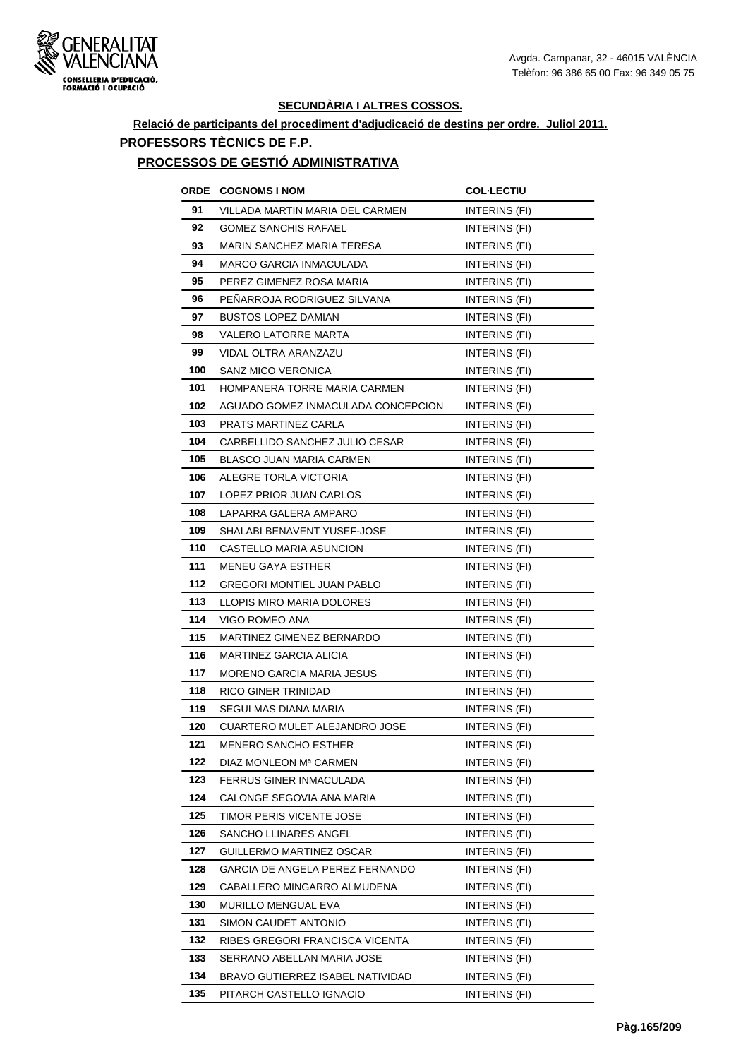

# **Relació de participants del procediment d'adjudicació de destins per ordre. Juliol 2011. PROFESSORS TÈCNICS DE F.P.**

#### **PROCESSOS DE GESTIÓ ADMINISTRATIVA**

| ORDE | <b>COGNOMS I NOM</b>                 | <b>COL-LECTIU</b>    |
|------|--------------------------------------|----------------------|
| 91   | VILLADA MARTIN MARIA DEL CARMEN      | INTERINS (FI)        |
| 92   | <b>GOMEZ SANCHIS RAFAEL</b>          | INTERINS (FI)        |
| 93   | <b>MARIN SANCHEZ MARIA TERESA</b>    | INTERINS (FI)        |
| 94   | MARCO GARCIA INMACULADA              | INTERINS (FI)        |
| 95   | PEREZ GIMENEZ ROSA MARIA             | INTERINS (FI)        |
| 96   | PENARROJA RODRIGUEZ SILVANA          | INTERINS (FI)        |
| 97   | <b>BUSTOS LOPEZ DAMIAN</b>           | INTERINS (FI)        |
| 98   | VALERO LATORRE MARTA                 | INTERINS (FI)        |
| 99   | VIDAL OLTRA ARANZAZU                 | <b>INTERINS (FI)</b> |
| 100  | <b>SANZ MICO VERONICA</b>            | INTERINS (FI)        |
| 101  | HOMPANERA TORRE MARIA CARMEN         | INTERINS (FI)        |
| 102  | AGUADO GOMEZ INMACULADA CONCEPCION   | INTERINS (FI)        |
| 103  | PRATS MARTINEZ CARLA                 | INTERINS (FI)        |
| 104  | CARBELLIDO SANCHEZ JULIO CESAR       | INTERINS (FI)        |
| 105  | <b>BLASCO JUAN MARIA CARMEN</b>      | INTERINS (FI)        |
| 106  | ALEGRE TORLA VICTORIA                | INTERINS (FI)        |
| 107  | LOPEZ PRIOR JUAN CARLOS              | INTERINS (FI)        |
| 108  | LAPARRA GALERA AMPARO                | INTERINS (FI)        |
| 109  | SHALABI BENAVENT YUSEF-JOSE          | INTERINS (FI)        |
| 110  | CASTELLO MARIA ASUNCION              | INTERINS (FI)        |
| 111  | <b>MENEU GAYA ESTHER</b>             | INTERINS (FI)        |
| 112  | <b>GREGORI MONTIEL JUAN PABLO</b>    | INTERINS (FI)        |
| 113  | LLOPIS MIRO MARIA DOLORES            | <b>INTERINS (FI)</b> |
| 114  | VIGO ROMEO ANA                       | INTERINS (FI)        |
| 115  | MARTINEZ GIMENEZ BERNARDO            | INTERINS (FI)        |
| 116  | MARTINEZ GARCIA ALICIA               | <b>INTERINS (FI)</b> |
| 117  | <b>MORENO GARCIA MARIA JESUS</b>     | INTERINS (FI)        |
| 118  | RICO GINER TRINIDAD                  | INTERINS (FI)        |
| 119  | SEGUI MAS DIANA MARIA                | INTERINS (FI)        |
| 120  | <b>CUARTERO MULET ALEJANDRO JOSE</b> | INTERINS (FI)        |
| 121  | MENERO SANCHO ESTHER                 | INTERINS (FI)        |
| 122  | DIAZ MONLEON Mª CARMEN               | INTERINS (FI)        |
| 123  | FERRUS GINER INMACULADA              | INTERINS (FI)        |
| 124  | CALONGE SEGOVIA ANA MARIA            | INTERINS (FI)        |
| 125  | TIMOR PERIS VICENTE JOSE             | INTERINS (FI)        |
| 126  | SANCHO LLINARES ANGEL                | INTERINS (FI)        |
| 127  | GUILLERMO MARTINEZ OSCAR             | INTERINS (FI)        |
| 128  | GARCIA DE ANGELA PEREZ FERNANDO      | INTERINS (FI)        |
| 129  | CABALLERO MINGARRO ALMUDENA          | INTERINS (FI)        |
| 130  | MURILLO MENGUAL EVA                  | <b>INTERINS (FI)</b> |
| 131  | SIMON CAUDET ANTONIO                 | INTERINS (FI)        |
| 132  | RIBES GREGORI FRANCISCA VICENTA      | INTERINS (FI)        |
| 133  | SERRANO ABELLAN MARIA JOSE           | INTERINS (FI)        |
| 134  | BRAVO GUTIERREZ ISABEL NATIVIDAD     | INTERINS (FI)        |
| 135  | PITARCH CASTELLO IGNACIO             | INTERINS (FI)        |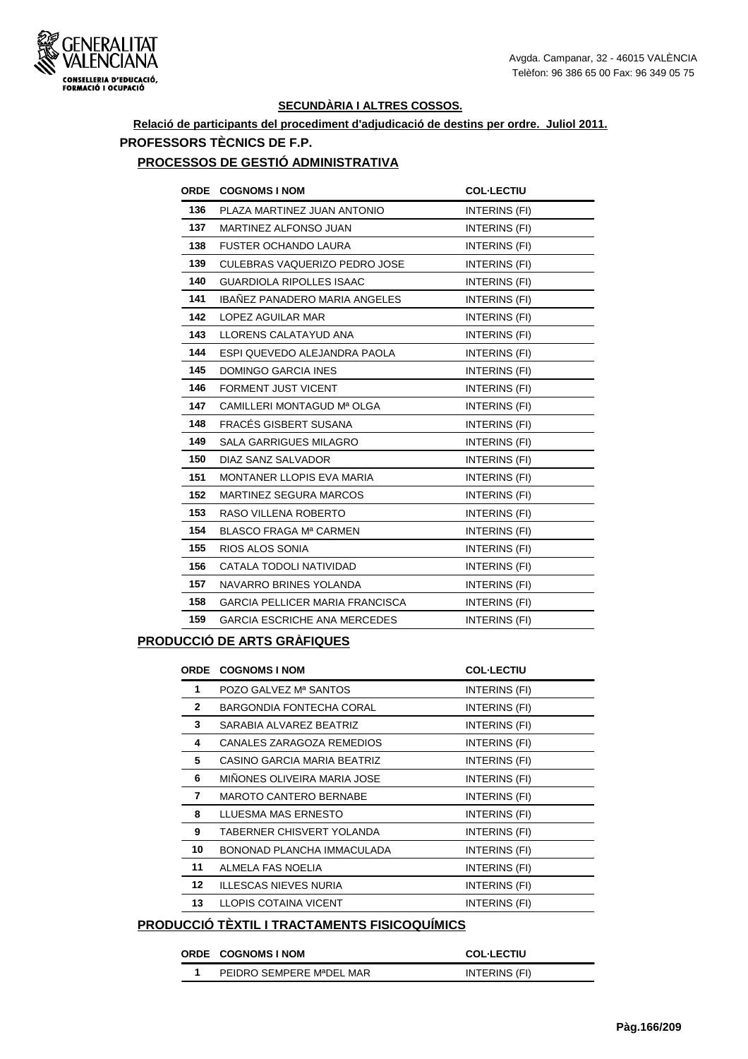

## **Relació de participants del procediment d'adjudicació de destins per ordre. Juliol 2011. PROFESSORS TÈCNICS DE F.P.**

#### **PROCESSOS DE GESTIÓ ADMINISTRATIVA**

| <b>ORDE</b> | <b>COGNOMS I NOM</b>                   | <b>COL-LECTIU</b>    |
|-------------|----------------------------------------|----------------------|
| 136         | PLAZA MARTINEZ JUAN ANTONIO            | INTERINS (FI)        |
| 137         | MARTINEZ ALFONSO JUAN                  | INTERINS (FI)        |
| 138         | <b>FUSTER OCHANDO LAURA</b>            | INTERINS (FI)        |
| 139         | CULEBRAS VAQUERIZO PEDRO JOSE          | INTERINS (FI)        |
| 140         | <b>GUARDIOLA RIPOLLES ISAAC</b>        | INTERINS (FI)        |
| 141         | <b>IBANEZ PANADERO MARIA ANGELES</b>   | INTERINS (FI)        |
| 142         | LOPEZ AGUILAR MAR                      | INTERINS (FI)        |
| 143         | LLORENS CALATAYUD ANA                  | INTERINS (FI)        |
| 144         | ESPI QUEVEDO ALEJANDRA PAOLA           | INTERINS (FI)        |
| 145         | <b>DOMINGO GARCIA INES</b>             | INTERINS (FI)        |
| 146         | FORMENT JUST VICENT                    | <b>INTERINS (FI)</b> |
| 147         | CAMILLERI MONTAGUD Mª OLGA             | INTERINS (FI)        |
| 148         | FRACES GISBERT SUSANA                  | INTERINS (FI)        |
| 149         | <b>SALA GARRIGUES MILAGRO</b>          | INTERINS (FI)        |
| 150         | DIAZ SANZ SALVADOR                     | <b>INTERINS (FI)</b> |
| 151         | <b>MONTANER LLOPIS EVA MARIA</b>       | INTERINS (FI)        |
| 152         | <b>MARTINEZ SEGURA MARCOS</b>          | INTERINS (FI)        |
| 153         | RASO VILLENA ROBERTO                   | INTERINS (FI)        |
| 154         | BLASCO FRAGA Mª CARMEN                 | INTERINS (FI)        |
| 155         | RIOS ALOS SONIA                        | INTERINS (FI)        |
| 156         | CATALA TODOLI NATIVIDAD                | INTERINS (FI)        |
| 157         | NAVARRO BRINES YOLANDA                 | INTERINS (FI)        |
| 158         | <b>GARCIA PELLICER MARIA FRANCISCA</b> | INTERINS (FI)        |
| 159         | <b>GARCIA ESCRICHE ANA MERCEDES</b>    | INTERINS (FI)        |

### **PRODUCCIÓ DE ARTS GRÀFIQUES**

| <b>ORDE</b>     | <b>COGNOMS I NOM</b>          | <b>COL-LECTIU</b> |
|-----------------|-------------------------------|-------------------|
| 1               | POZO GALVEZ Mª SANTOS         | INTERINS (FI)     |
| $\mathbf{2}$    | BARGONDIA FONTECHA CORAL      | INTERINS (FI)     |
| 3               | SARABIA ALVAREZ BEATRIZ       | INTERINS (FI)     |
| 4               | CANALES ZARAGOZA REMEDIOS     | INTERINS (FI)     |
| 5               | CASINO GARCIA MARIA BEATRIZ   | INTERINS (FI)     |
| 6               | MIÑONES OLIVEIRA MARIA JOSE   | INTERINS (FI)     |
| 7               | <b>MAROTO CANTERO BERNABE</b> | INTERINS (FI)     |
| 8               | LLUESMA MAS ERNESTO           | INTERINS (FI)     |
| 9               | TABERNER CHISVERT YOLANDA     | INTERINS (FI)     |
| 10              | BONONAD PLANCHA IMMACULADA    | INTERINS (FI)     |
| 11              | ALMELA FAS NOELIA             | INTERINS (FI)     |
| 12 <sup>°</sup> | <b>ILLESCAS NIEVES NURIA</b>  | INTERINS (FI)     |
| 13              | LLOPIS COTAINA VICENT         | INTERINS (FI)     |

## **PRODUCCIÓ TÈXTIL I TRACTAMENTS FISICOQUÍMICS**

| ORDE COGNOMS INOM        | <b>COL-LECTIU</b> |
|--------------------------|-------------------|
| PEIDRO SEMPERE MªDEL MAR | INTERINS (FI)     |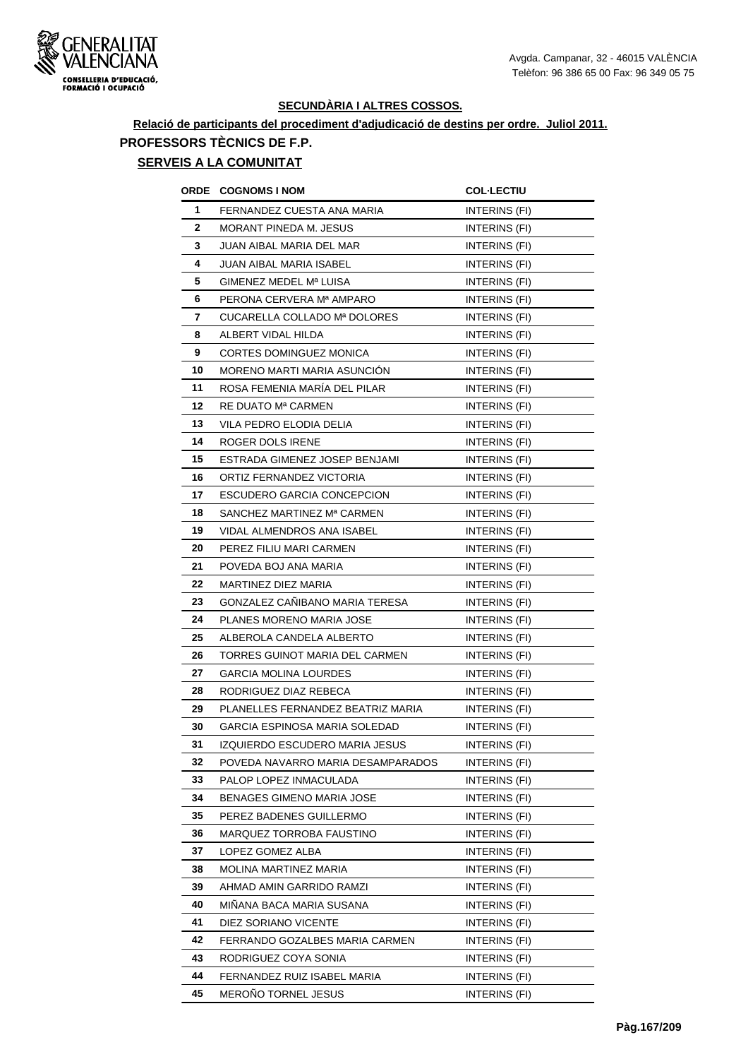

# **Relació de participants del procediment d'adjudicació de destins per ordre. Juliol 2011. PROFESSORS TÈCNICS DE F.P.**

# **SERVEIS A LA COMUNITAT**

| ORDE         | <b>COGNOMS I NOM</b>              | <b>COL-LECTIU</b>    |
|--------------|-----------------------------------|----------------------|
| 1            | FERNANDEZ CUESTA ANA MARIA        | INTERINS (FI)        |
| $\mathbf{2}$ | MORANT PINEDA M. JESUS            | INTERINS (FI)        |
| 3            | JUAN AIBAL MARIA DEL MAR          | INTERINS (FI)        |
| 4            | JUAN AIBAL MARIA ISABEL           | INTERINS (FI)        |
| 5            | GIMENEZ MEDEL Mª LUISA            | INTERINS (FI)        |
| 6            | PERONA CERVERA Mª AMPARO          | INTERINS (FI)        |
| 7            | CUCARELLA COLLADO Mª DOLORES      | INTERINS (FI)        |
| 8            | ALBERT VIDAL HILDA                | INTERINS (FI)        |
| 9            | CORTES DOMINGUEZ MONICA           | INTERINS (FI)        |
| 10           | MORENO MARTI MARIA ASUNCION       | INTERINS (FI)        |
| 11           | ROSA FEMENIA MARÍA DEL PILAR      | INTERINS (FI)        |
| 12           | RE DUATO M <sup>a</sup> CARMEN    | INTERINS (FI)        |
| 13           | VILA PEDRO ELODIA DELIA           | INTERINS (FI)        |
| 14           | ROGER DOLS IRENE                  | INTERINS (FI)        |
| 15           | ESTRADA GIMENEZ JOSEP BENJAMI     | INTERINS (FI)        |
| 16           | ORTIZ FERNANDEZ VICTORIA          | INTERINS (FI)        |
| 17           | ESCUDERO GARCIA CONCEPCION        | INTERINS (FI)        |
| 18           | SANCHEZ MARTINEZ Mª CARMEN        | INTERINS (FI)        |
| 19           | <b>VIDAL ALMENDROS ANA ISABEL</b> | INTERINS (FI)        |
| 20           | PEREZ FILIU MARI CARMEN           | INTERINS (FI)        |
| 21           | POVEDA BOJ ANA MARIA              | INTERINS (FI)        |
| 22           | MARTINEZ DIEZ MARIA               | INTERINS (FI)        |
| 23           | GONZALEZ CAÑIBANO MARIA TERESA    | INTERINS (FI)        |
| 24           | PLANES MORENO MARIA JOSE          | INTERINS (FI)        |
| 25           | ALBEROLA CANDELA ALBERTO          | INTERINS (FI)        |
| 26           | TORRES GUINOT MARIA DEL CARMEN    | <b>INTERINS (FI)</b> |
| 27           | <b>GARCIA MOLINA LOURDES</b>      | INTERINS (FI)        |
| 28           | RODRIGUEZ DIAZ REBECA             | INTERINS (FI)        |
| 29           | PLANELLES FERNANDEZ BEATRIZ MARIA | INTERINS (FI)        |
| 30           | GARCIA ESPINOSA MARIA SOLEDAD     | INTERINS (FI)        |
| 31           | IZQUIERDO ESCUDERO MARIA JESUS    | INTERINS (FI)        |
| 32           | POVEDA NAVARRO MARIA DESAMPARADOS | INTERINS (FI)        |
| 33           | PALOP LOPEZ INMACULADA            | INTERINS (FI)        |
| 34           | <b>BENAGES GIMENO MARIA JOSE</b>  | INTERINS (FI)        |
| 35           | PEREZ BADENES GUILLERMO           | INTERINS (FI)        |
| 36           | MARQUEZ TORROBA FAUSTINO          | INTERINS (FI)        |
| 37           | LOPEZ GOMEZ ALBA                  | INTERINS (FI)        |
| 38           | MOLINA MARTINEZ MARIA             | INTERINS (FI)        |
| 39           | AHMAD AMIN GARRIDO RAMZI          | INTERINS (FI)        |
| 40           | MINANA BACA MARIA SUSANA          | INTERINS (FI)        |
| 41           | DIEZ SORIANO VICENTE              | INTERINS (FI)        |
| 42           | FERRANDO GOZALBES MARIA CARMEN    | INTERINS (FI)        |
| 43           | RODRIGUEZ COYA SONIA              | INTERINS (FI)        |
| 44           | FERNANDEZ RUIZ ISABEL MARIA       | INTERINS (FI)        |
| 45           | MEROÑO TORNEL JESUS               | INTERINS (FI)        |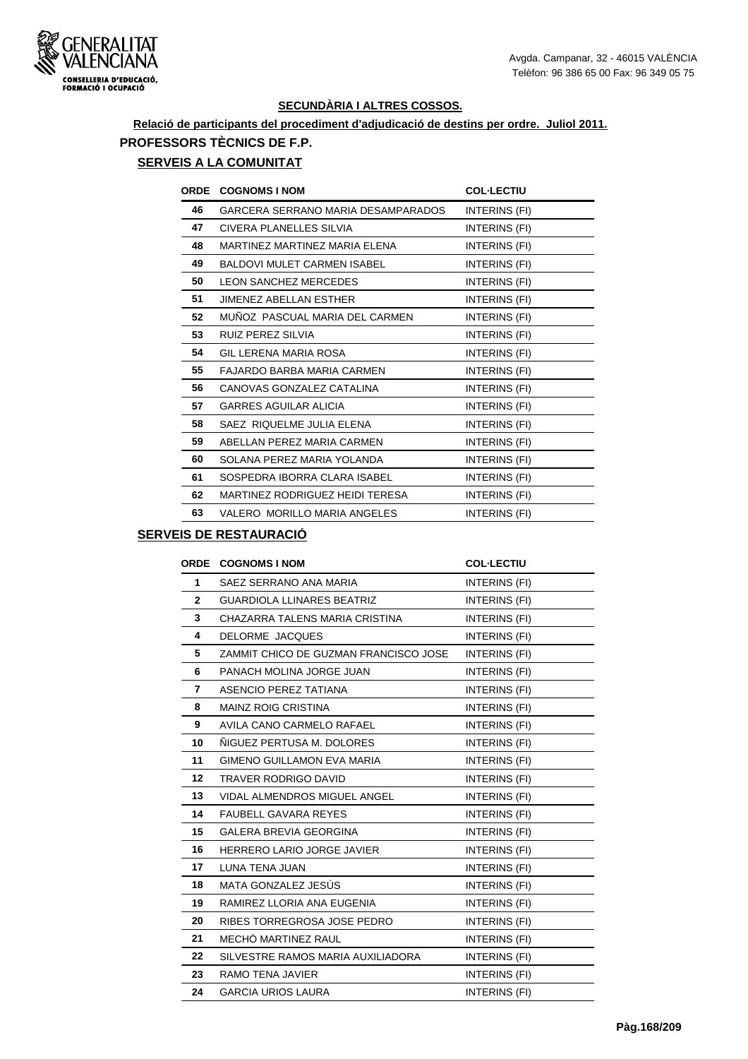

# **Relació de participants del procediment d'adjudicació de destins per ordre. Juliol 2011. PROFESSORS TÈCNICS DE F.P.**

## **SERVEIS A LA COMUNITAT**

| <b>ORDE</b> | <b>COGNOMS I NOM</b>               | <b>COL-LECTIU</b> |
|-------------|------------------------------------|-------------------|
| 46          | GARCERA SERRANO MARIA DESAMPARADOS | INTERINS (FI)     |
| 47          | CIVERA PLANELLES SILVIA            | INTERINS (FI)     |
| 48          | MARTINEZ MARTINEZ MARIA ELENA      | INTERINS (FI)     |
| 49          | <b>BALDOVI MULET CARMEN ISABEL</b> | INTERINS (FI)     |
| 50          | <b>LEON SANCHEZ MERCEDES</b>       | INTERINS (FI)     |
| 51          | <b>JIMENEZ ABELLAN ESTHER</b>      | INTERINS (FI)     |
| 52          | MUÑOZ PASCUAL MARIA DEL CARMEN     | INTERINS (FI)     |
| 53          | RUIZ PEREZ SILVIA                  | INTERINS (FI)     |
| 54          | GIL LERENA MARIA ROSA              | INTERINS (FI)     |
| 55          | FAJARDO BARBA MARIA CARMEN         | INTERINS (FI)     |
| 56          | CANOVAS GONZALEZ CATALINA          | INTERINS (FI)     |
| 57          | <b>GARRES AGUILAR ALICIA</b>       | INTERINS (FI)     |
| 58          | SAEZ RIQUELME JULIA ELENA          | INTERINS (FI)     |
| 59          | ABELLAN PEREZ MARIA CARMEN         | INTERINS (FI)     |
| 60          | SOLANA PEREZ MARIA YOLANDA         | INTERINS (FI)     |
| 61          | SOSPEDRA IBORRA CLARA ISABEL       | INTERINS (FI)     |
| 62          | MARTINEZ RODRIGUEZ HEIDI TERESA    | INTERINS (FI)     |
| 63          | VALERO MORILLO MARIA ANGELES       | INTERINS (FI)     |

## **SERVEIS DE RESTAURACIÓ**

| <b>ORDE</b>  | <b>COGNOMS I NOM</b>                  | <b>COL-LECTIU</b> |
|--------------|---------------------------------------|-------------------|
| 1            | SAEZ SERRANO ANA MARIA                | INTERINS (FI)     |
| $\mathbf{2}$ | <b>GUARDIOLA LLINARES BEATRIZ</b>     | INTERINS (FI)     |
| 3            | CHAZARRA TALENS MARIA CRISTINA        | INTERINS (FI)     |
| 4            | DELORME JACQUES                       | INTERINS (FI)     |
| 5            | ZAMMIT CHICO DE GUZMAN FRANCISCO JOSE | INTERINS (FI)     |
| 6            | PANACH MOLINA JORGE JUAN              | INTERINS (FI)     |
| 7            | ASENCIO PEREZ TATIANA                 | INTERINS (FI)     |
| 8            | <b>MAINZ ROIG CRISTINA</b>            | INTERINS (FI)     |
| 9            | AVILA CANO CARMELO RAFAEL             | INTERINS (FI)     |
| 10           | NIGUEZ PERTUSA M. DOLORES             | INTERINS (FI)     |
| 11           | <b>GIMENO GUILLAMON EVA MARIA</b>     | INTERINS (FI)     |
| $12 \,$      | <b>TRAVER RODRIGO DAVID</b>           | INTERINS (FI)     |
| 13           | <b>VIDAL ALMENDROS MIGUEL ANGEL</b>   | INTERINS (FI)     |
| 14           | <b>FAUBELL GAVARA REYES</b>           | INTERINS (FI)     |
| 15           | GALERA BREVIA GEORGINA                | INTERINS (FI)     |
| 16           | HERRERO LARIO JORGE JAVIER            | INTERINS (FI)     |
| 17           | LUNA TENA JUAN                        | INTERINS (FI)     |
| 18           | MATA GONZALEZ JESÚS                   | INTERINS (FI)     |
| 19           | RAMIREZ LLORIA ANA EUGENIA            | INTERINS (FI)     |
| 20           | RIBES TORREGROSA JOSE PEDRO           | INTERINS (FI)     |
| 21           | MECHÓ MARTINEZ RAUL                   | INTERINS (FI)     |
| 22           | SILVESTRE RAMOS MARIA AUXILIADORA     | INTERINS (FI)     |
| 23           | <b>RAMO TENA JAVIER</b>               | INTERINS (FI)     |
| 24           | <b>GARCIA URIOS LAURA</b>             | INTERINS (FI)     |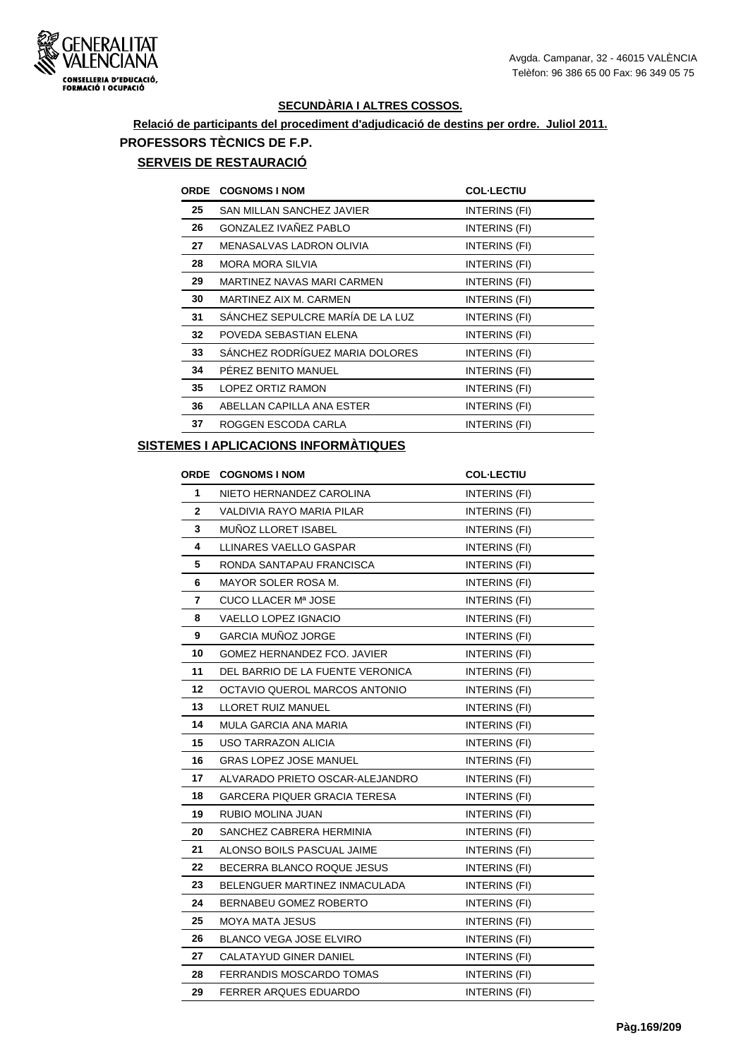

# **Relació de participants del procediment d'adjudicació de destins per ordre. Juliol 2011. PROFESSORS TÈCNICS DE F.P.**

# **SERVEIS DE RESTAURACIÓ**

| <b>ORDE</b> | <b>COGNOMS I NOM</b>              | <b>COL-LECTIU</b> |
|-------------|-----------------------------------|-------------------|
| 25          | <b>SAN MILLAN SANCHEZ JAVIER</b>  | INTERINS (FI)     |
| 26          | <b>GONZALEZ IVAÑEZ PABLO</b>      | INTERINS (FI)     |
| 27          | MENASALVAS LADRON OLIVIA          | INTERINS (FI)     |
| 28          | <b>MORA MORA SILVIA</b>           | INTERINS (FI)     |
| 29          | <b>MARTINEZ NAVAS MARI CARMEN</b> | INTERINS (FI)     |
| 30          | MARTINEZ AIX M. CARMEN            | INTERINS (FI)     |
| 31          | SÁNCHEZ SEPULCRE MARÍA DE LA LUZ  | INTERINS (FI)     |
| 32          | POVEDA SEBASTIAN ELENA            | INTERINS (FI)     |
| 33          | SÁNCHEZ RODRÍGUEZ MARIA DOLORES   | INTERINS (FI)     |
| 34          | PEREZ BENITO MANUEL               | INTERINS (FI)     |
| 35          | LOPEZ ORTIZ RAMON                 | INTERINS (FI)     |
| 36          | ABELLAN CAPILLA ANA ESTER         | INTERINS (FI)     |
| 37          | ROGGEN ESCODA CARLA               | INTERINS (FI)     |

#### **SISTEMES I APLICACIONS INFORMÀTIQUES**

| ORDE         | <b>COGNOMS I NOM</b>             | <b>COL-LECTIU</b>    |
|--------------|----------------------------------|----------------------|
| 1            | NIETO HERNANDEZ CAROLINA         | INTERINS (FI)        |
| $\mathbf{2}$ | VALDIVIA RAYO MARIA PILAR        | INTERINS (FI)        |
| 3            | MUÑOZ LLORET ISABEL              | INTERINS (FI)        |
| 4            | LLINARES VAELLO GASPAR           | INTERINS (FI)        |
| 5            | RONDA SANTAPAU FRANCISCA         | INTERINS (FI)        |
| 6            | MAYOR SOLER ROSA M.              | INTERINS (FI)        |
| 7            | CUCO LLACER Mª JOSE              | INTERINS (FI)        |
| 8            | VAELLO LOPEZ IGNACIO             | INTERINS (FI)        |
| 9            | <b>GARCIA MUÑOZ JORGE</b>        | INTERINS (FI)        |
| 10           | GOMEZ HERNANDEZ FCO. JAVIER      | <b>INTERINS (FI)</b> |
| 11           | DEL BARRIO DE LA FUENTE VERONICA | INTERINS (FI)        |
| 12           | OCTAVIO QUEROL MARCOS ANTONIO    | INTERINS (FI)        |
| 13           | LLORET RUIZ MANUEL               | INTERINS (FI)        |
| 14           | MULA GARCIA ANA MARIA            | INTERINS (FI)        |
| 15           | USO TARRAZON ALICIA              | INTERINS (FI)        |
| 16           | <b>GRAS LOPEZ JOSE MANUEL</b>    | <b>INTERINS (FI)</b> |
| 17           | ALVARADO PRIETO OSCAR-ALEJANDRO  | INTERINS (FI)        |
| 18           | GARCERA PIQUER GRACIA TERESA     | INTERINS (FI)        |
| 19           | RUBIO MOLINA JUAN                | INTERINS (FI)        |
| 20           | SANCHEZ CABRERA HERMINIA         | <b>INTERINS (FI)</b> |
| 21           | ALONSO BOILS PASCUAL JAIME       | INTERINS (FI)        |
| 22           | BECERRA BLANCO ROQUE JESUS       | INTERINS (FI)        |
| 23           | BELENGUER MARTINEZ INMACULADA    | INTERINS (FI)        |
| 24           | <b>BERNABEU GOMEZ ROBERTO</b>    | INTERINS (FI)        |
| 25           | <b>MOYA MATA JESUS</b>           | INTERINS (FI)        |
| 26           | <b>BLANCO VEGA JOSE ELVIRO</b>   | INTERINS (FI)        |
| 27           | <b>CALATAYUD GINER DANIEL</b>    | <b>INTERINS (FI)</b> |
| 28           | FERRANDIS MOSCARDO TOMAS         | <b>INTERINS (FI)</b> |
| 29           | <b>FERRER ARQUES EDUARDO</b>     | INTERINS (FI)        |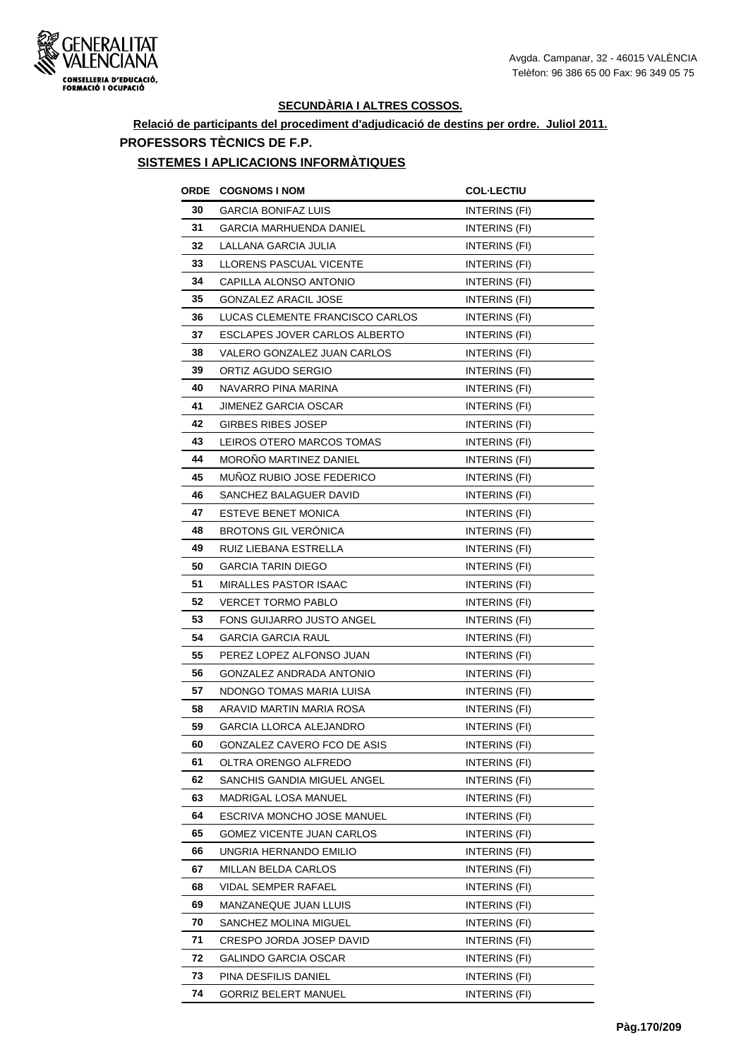

## **Relació de participants del procediment d'adjudicació de destins per ordre. Juliol 2011. PROFESSORS TÈCNICS DE F.P.**

#### **SISTEMES I APLICACIONS INFORMÀTIQUES**

| ORDE | <b>COGNOMS I NOM</b>            | <b>COL·LECTIU</b>    |
|------|---------------------------------|----------------------|
| 30   | <b>GARCIA BONIFAZ LUIS</b>      | INTERINS (FI)        |
| 31   | GARCIA MARHUENDA DANIEL         | INTERINS (FI)        |
| 32   | LALLANA GARCIA JULIA            | INTERINS (FI)        |
| 33   | LLORENS PASCUAL VICENTE         | INTERINS (FI)        |
| 34   | CAPILLA ALONSO ANTONIO          | INTERINS (FI)        |
| 35   | <b>GONZALEZ ARACIL JOSE</b>     | INTERINS (FI)        |
| 36   | LUCAS CLEMENTE FRANCISCO CARLOS | INTERINS (FI)        |
| 37   | ESCLAPES JOVER CARLOS ALBERTO   | INTERINS (FI)        |
| 38   | VALERO GONZALEZ JUAN CARLOS     | INTERINS (FI)        |
| 39   | ORTIZ AGUDO SERGIO              | INTERINS (FI)        |
| 40   | NAVARRO PINA MARINA             | INTERINS (FI)        |
| 41   | JIMENEZ GARCIA OSCAR            | INTERINS (FI)        |
| 42   | <b>GIRBES RIBES JOSEP</b>       | INTERINS (FI)        |
| 43   | LEIROS OTERO MARCOS TOMAS       | INTERINS (FI)        |
| 44   | MOROÑO MARTINEZ DANIEL          | <b>INTERINS (FI)</b> |
| 45   | MUNOZ RUBIO JOSE FEDERICO       | <b>INTERINS (FI)</b> |
| 46   | SANCHEZ BALAGUER DAVID          | INTERINS (FI)        |
| 47   | ESTEVE BENET MONICA             | INTERINS (FI)        |
| 48   | <b>BROTONS GIL VERÓNICA</b>     | INTERINS (FI)        |
| 49   | RUIZ LIEBANA ESTRELLA           | INTERINS (FI)        |
| 50   | GARCIA TARIN DIEGO              | INTERINS (FI)        |
| 51   | MIRALLES PASTOR ISAAC           | INTERINS (FI)        |
| 52   | <b>VERCET TORMO PABLO</b>       | INTERINS (FI)        |
| 53   | FONS GUIJARRO JUSTO ANGEL       | INTERINS (FI)        |
| 54   | <b>GARCIA GARCIA RAUL</b>       | INTERINS (FI)        |
| 55   | PEREZ LOPEZ ALFONSO JUAN        | <b>INTERINS (FI)</b> |
| 56   | GONZALEZ ANDRADA ANTONIO        | INTERINS (FI)        |
| 57   | NDONGO TOMAS MARIA LUISA        | INTERINS (FI)        |
| 58   | ARAVID MARTIN MARIA ROSA        | INTERINS (FI)        |
| 59   | <b>GARCIA LLORCA ALEJANDRO</b>  | INTERINS (FI)        |
| 60   | GONZALEZ CAVERO FCO DE ASIS     | INTERINS (FI)        |
| 61   | OLTRA ORENGO ALFREDO            | INTERINS (FI)        |
| 62   | SANCHIS GANDIA MIGUEL ANGEL     | INTERINS (FI)        |
| 63   | <b>MADRIGAL LOSA MANUEL</b>     | INTERINS (FI)        |
| 64   | ESCRIVA MONCHO JOSE MANUEL      | INTERINS (FI)        |
| 65   | GOMEZ VICENTE JUAN CARLOS       | INTERINS (FI)        |
| 66   | UNGRIA HERNANDO EMILIO          | INTERINS (FI)        |
| 67   | MILLAN BELDA CARLOS             | INTERINS (FI)        |
| 68   | VIDAL SEMPER RAFAEL             | INTERINS (FI)        |
| 69   | MANZANEQUE JUAN LLUIS           | INTERINS (FI)        |
| 70   | SANCHEZ MOLINA MIGUEL           | INTERINS (FI)        |
| 71   | CRESPO JORDA JOSEP DAVID        | INTERINS (FI)        |
| 72   | GALINDO GARCIA OSCAR            | INTERINS (FI)        |
| 73   | PINA DESFILIS DANIEL            | INTERINS (FI)        |
| 74   | GORRIZ BELERT MANUEL            | INTERINS (FI)        |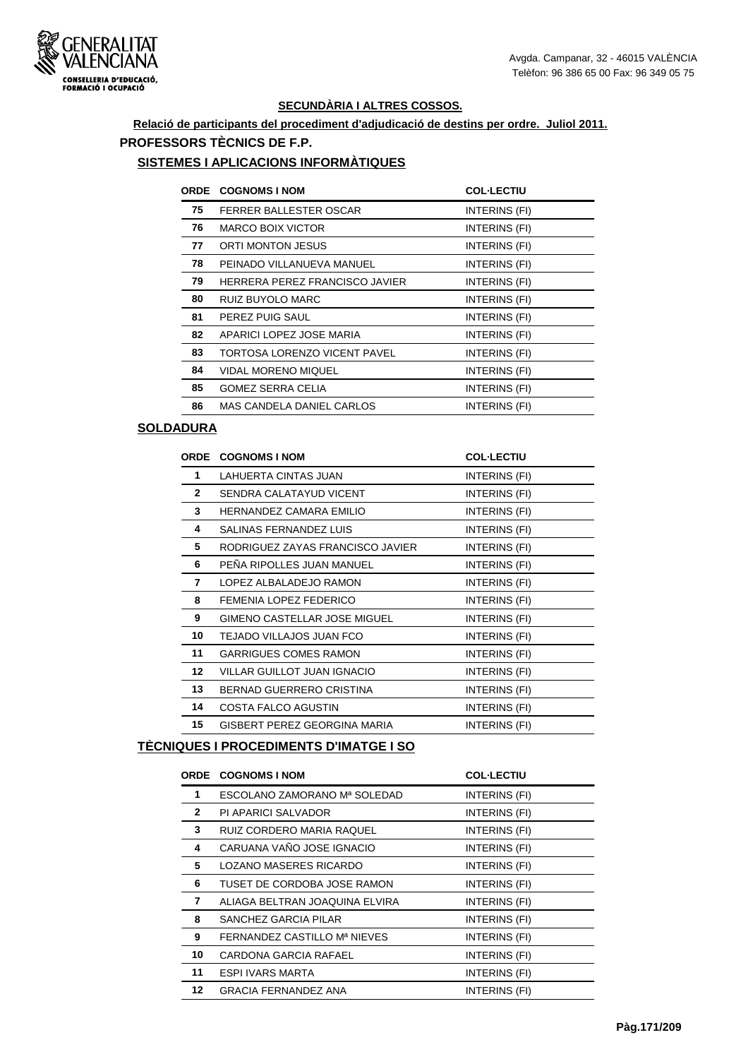

## **Relació de participants del procediment d'adjudicació de destins per ordre. Juliol 2011. PROFESSORS TÈCNICS DE F.P.**

#### **SISTEMES I APLICACIONS INFORMÀTIQUES**

| <b>ORDE</b> | <b>COGNOMS I NOM</b>             | <b>COL-LECTIU</b> |
|-------------|----------------------------------|-------------------|
| 75          | FERRER BALLESTER OSCAR           | INTERINS (FI)     |
| 76          | <b>MARCO BOIX VICTOR</b>         | INTERINS (FI)     |
| 77          | <b>ORTI MONTON JESUS</b>         | INTERINS (FI)     |
| 78          | PEINADO VILLANUEVA MANUEL        | INTERINS (FI)     |
| 79          | HERRERA PEREZ FRANCISCO JAVIER   | INTERINS (FI)     |
| 80          | RUIZ BUYOLO MARC                 | INTERINS (FI)     |
| 81          | PEREZ PUIG SAUL                  | INTERINS (FI)     |
| 82          | APARICI LOPEZ JOSE MARIA         | INTERINS (FI)     |
| 83          | TORTOSA LORENZO VICENT PAVEL     | INTERINS (FI)     |
| 84          | <b>VIDAL MORENO MIQUEL</b>       | INTERINS (FI)     |
| 85          | <b>GOMEZ SERRA CELIA</b>         | INTERINS (FI)     |
| 86          | <b>MAS CANDELA DANIEL CARLOS</b> | INTERINS (FI)     |

#### **SOLDADURA**

| <b>ORDE</b>     | <b>COGNOMS I NOM</b>             | <b>COL-LECTIU</b> |
|-----------------|----------------------------------|-------------------|
| 1               | LAHUERTA CINTAS JUAN             | INTERINS (FI)     |
| $\mathbf{2}$    | SENDRA CALATAYUD VICENT          | INTERINS (FI)     |
| 3               | HERNANDEZ CAMARA EMILIO          | INTERINS (FI)     |
| 4               | SALINAS FERNANDEZ LUIS           | INTERINS (FI)     |
| 5               | RODRIGUEZ ZAYAS FRANCISCO JAVIER | INTERINS (FI)     |
| 6               | PEÑA RIPOLLES JUAN MANUEL        | INTERINS (FI)     |
| 7               | LOPEZ ALBALADEJO RAMON           | INTERINS (FI)     |
| 8               | FEMENIA LOPEZ FEDERICO           | INTERINS (FI)     |
| 9               | GIMENO CASTELLAR JOSE MIGUEL     | INTERINS (FI)     |
| 10              | TEJADO VILLAJOS JUAN FCO         | INTERINS (FI)     |
| 11              | <b>GARRIGUES COMES RAMON</b>     | INTERINS (FI)     |
| 12 <sup>°</sup> | VILLAR GUILLOT JUAN IGNACIO      | INTERINS (FI)     |
| 13              | <b>BERNAD GUERRERO CRISTINA</b>  | INTERINS (FI)     |
| 14              | <b>COSTA FALCO AGUSTIN</b>       | INTERINS (FI)     |
| 15              | GISBERT PEREZ GEORGINA MARIA     | INTERINS (FI)     |

## **TÈCNIQUES I PROCEDIMENTS D'IMATGE I SO**

|              | <b>ORDE COGNOMS INOM</b>       | <b>COL-LECTIU</b> |
|--------------|--------------------------------|-------------------|
| 1            | ESCOLANO ZAMORANO Mª SOLEDAD   | INTERINS (FI)     |
| $\mathbf{2}$ | PI APARICI SALVADOR            | INTERINS (FI)     |
| 3            | RUIZ CORDERO MARIA RAQUEL      | INTERINS (FI)     |
| 4            | CARUANA VAÑO JOSE IGNACIO      | INTERINS (FI)     |
| 5            | LOZANO MASERES RICARDO         | INTERINS (FI)     |
| 6            | TUSET DE CORDOBA JOSE RAMON    | INTERINS (FI)     |
| 7            | ALIAGA BELTRAN JOAQUINA ELVIRA | INTERINS (FI)     |
| 8            | SANCHEZ GARCIA PILAR           | INTERINS (FI)     |
| 9            | FERNANDEZ CASTILLO Mª NIEVES   | INTERINS (FI)     |
| 10           | CARDONA GARCIA RAFAEL          | INTERINS (FI)     |
| 11           | <b>ESPI IVARS MARTA</b>        | INTERINS (FI)     |
| 12           | <b>GRACIA FERNANDEZ ANA</b>    | INTERINS (FI)     |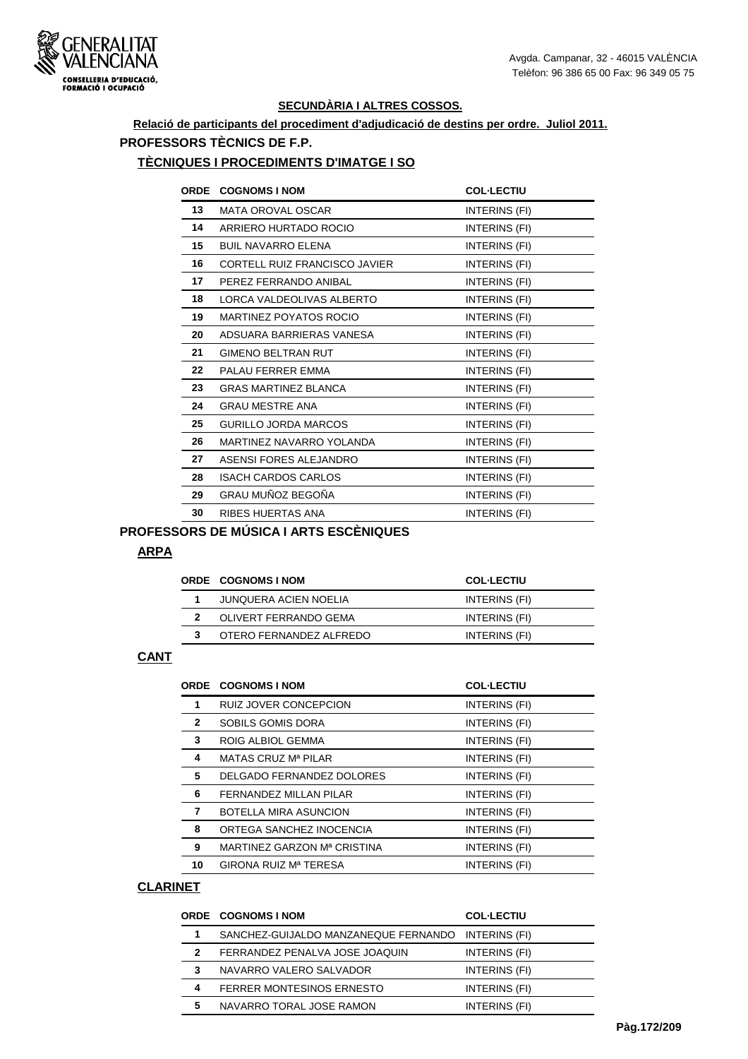

## **Relació de participants del procediment d'adjudicació de destins per ordre. Juliol 2011. PROFESSORS TÈCNICS DE F.P.**

#### **TÈCNIQUES I PROCEDIMENTS D'IMATGE I SO**

| <b>ORDE</b> | <b>COGNOMS I NOM</b>                 | <b>COL-LECTIU</b> |
|-------------|--------------------------------------|-------------------|
| 13          | <b>MATA OROVAL OSCAR</b>             | INTERINS (FI)     |
| 14          | ARRIERO HURTADO ROCIO                | INTERINS (FI)     |
| 15          | <b>BUIL NAVARRO ELENA</b>            | INTERINS (FI)     |
| 16          | <b>CORTELL RUIZ FRANCISCO JAVIER</b> | INTERINS (FI)     |
| 17          | PEREZ FERRANDO ANIBAL                | INTERINS (FI)     |
| 18          | LORCA VALDEOLIVAS ALBERTO            | INTERINS (FI)     |
| 19          | <b>MARTINEZ POYATOS ROCIO</b>        | INTERINS (FI)     |
| 20          | ADSUARA BARRIERAS VANESA             | INTERINS (FI)     |
| 21          | <b>GIMENO BELTRAN RUT</b>            | INTERINS (FI)     |
| 22          | PALAU FERRER EMMA                    | INTERINS (FI)     |
| 23          | <b>GRAS MARTINEZ BLANCA</b>          | INTERINS (FI)     |
| 24          | <b>GRAU MESTRE ANA</b>               | INTERINS (FI)     |
| 25          | <b>GURILLO JORDA MARCOS</b>          | INTERINS (FI)     |
| 26          | MARTINEZ NAVARRO YOLANDA             | INTERINS (FI)     |
| 27          | ASENSI FORES ALEJANDRO               | INTERINS (FI)     |
| 28          | <b>ISACH CARDOS CARLOS</b>           | INTERINS (FI)     |
| 29          | GRAU MUÑOZ BEGOÑA                    | INTERINS (FI)     |
| 30          | RIBES HUERTAS ANA                    | INTERINS (FI)     |
|             | $\sim$                               |                   |

## **PROFESSORS DE MÚSICA I ARTS ESCÈNIQUES**

#### **ARPA**

|   | <b>ORDE COGNOMS INOM</b> | <b>COL-LECTIU</b> |
|---|--------------------------|-------------------|
|   | JUNQUERA ACIEN NOELIA    | INTERINS (FI)     |
|   | OLIVERT FERRANDO GEMA    | INTERINS (FI)     |
| 3 | OTERO FERNANDEZ ALFREDO  | INTERINS (FI)     |

#### **CANT**

|                | ORDE COGNOMS I NOM           | <b>COL-LECTIU</b> |
|----------------|------------------------------|-------------------|
| 1              | <b>RUIZ JOVER CONCEPCION</b> | INTERINS (FI)     |
| $\overline{2}$ | SOBILS GOMIS DORA            | INTERINS (FI)     |
| 3              | ROIG ALBIOL GEMMA            | INTERINS (FI)     |
| 4              | MATAS CRUZ Mª PILAR          | INTERINS (FI)     |
| 5              | DELGADO FERNANDEZ DOLORES    | INTERINS (FI)     |
| 6              | FERNANDEZ MILLAN PILAR       | INTERINS (FI)     |
| 7              | BOTELLA MIRA ASUNCION        | INTERINS (FI)     |
| 8              | ORTEGA SANCHEZ INOCENCIA     | INTERINS (FI)     |
| 9              | MARTINEZ GARZON Mª CRISTINA  | INTERINS (FI)     |
| 10             | GIRONA RUIZ Mª TERESA        | INTERINS (FI)     |

#### **CLARINET**

|              | <b>ORDE COGNOMS I NOM</b>            | <b>COL-LECTIU</b> |
|--------------|--------------------------------------|-------------------|
| 1            | SANCHEZ-GUIJALDO MANZANEQUE FERNANDO | INTERINS (FI)     |
| $\mathbf{2}$ | FERRANDEZ PENALVA JOSE JOAQUIN       | INTERINS (FI)     |
| 3            | NAVARRO VALERO SALVADOR              | INTERINS (FI)     |
| 4            | <b>FERRER MONTESINOS ERNESTO</b>     | INTERINS (FI)     |
| 5            | NAVARRO TORAL JOSE RAMON             | INTERINS (FI)     |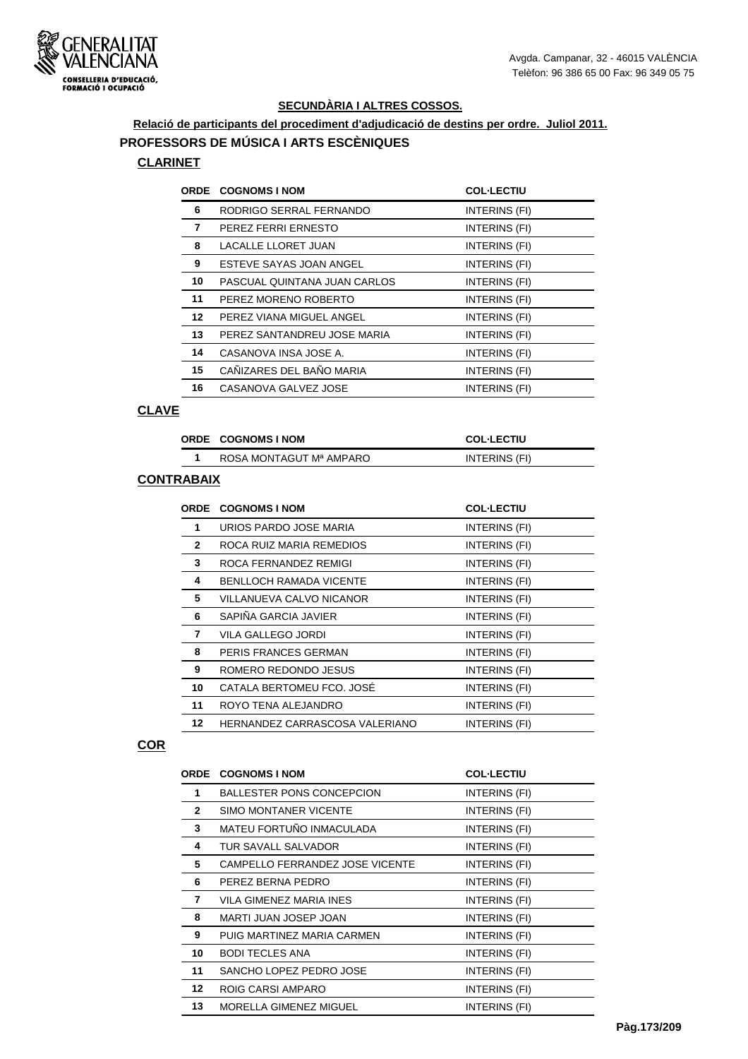

## **Relació de participants del procediment d'adjudicació de destins per ordre. Juliol 2011. PROFESSORS DE MÚSICA I ARTS ESCÈNIQUES**

#### **CLARINET**

|                  | <b>ORDE COGNOMS I NOM</b>    | <b>COL-LECTIU</b> |
|------------------|------------------------------|-------------------|
| 6                | RODRIGO SERRAL FERNANDO      | INTERINS (FI)     |
| 7                | PEREZ FERRI ERNESTO          | INTERINS (FI)     |
| 8                | <b>LACALLE LLORET JUAN</b>   | INTERINS (FI)     |
| 9                | ESTEVE SAYAS JOAN ANGEL      | INTERINS (FI)     |
| 10               | PASCUAL QUINTANA JUAN CARLOS | INTERINS (FI)     |
| 11               | PEREZ MORENO ROBERTO         | INTERINS (FI)     |
| 12 <sup>12</sup> | PEREZ VIANA MIGUEL ANGEL     | INTERINS (FI)     |
| 13               | PEREZ SANTANDREU JOSE MARIA  | INTERINS (FI)     |
| 14               | CASANOVA INSA JOSE A.        | INTERINS (FI)     |
| 15               | CAÑIZARES DEL BAÑO MARIA     | INTERINS (FI)     |
| 16               | CASANOVA GALVEZ JOSE         | INTERINS (FI)     |

#### **CLAVE**

| ORDE COGNOMS INOM       | <b>COL-LECTIU</b> |
|-------------------------|-------------------|
| ROSA MONTAGUT Mª AMPARO | INTERINS (FI)     |

#### **CONTRABAIX**

| <b>ORDE</b>  | <b>COGNOMS I NOM</b>           | <b>COL-LECTIU</b> |
|--------------|--------------------------------|-------------------|
| 1            | URIOS PARDO JOSE MARIA         | INTERINS (FI)     |
| $\mathbf{2}$ | ROCA RUIZ MARIA REMEDIOS       | INTERINS (FI)     |
| 3            | ROCA FERNANDEZ REMIGI          | INTERINS (FI)     |
| 4            | <b>BENLLOCH RAMADA VICENTE</b> | INTERINS (FI)     |
| 5            | VILLANUEVA CALVO NICANOR       | INTERINS (FI)     |
| 6            | SAPIÑA GARCIA JAVIER           | INTERINS (FI)     |
| 7            | VILA GALLEGO JORDI             | INTERINS (FI)     |
| 8            | PERIS FRANCES GERMAN           | INTERINS (FI)     |
| 9            | ROMERO REDONDO JESUS           | INTERINS (FI)     |
| 10           | CATALA BERTOMEU FCO. JOSÉ      | INTERINS (FI)     |
| 11           | ROYO TENA ALEJANDRO            | INTERINS (FI)     |
| 12           | HERNANDEZ CARRASCOSA VALERIANO | INTERINS (FI)     |

#### **COR**

| <b>ORDE</b>      | <b>COGNOMS I NOM</b>             | <b>COL-LECTIU</b> |
|------------------|----------------------------------|-------------------|
| 1                | <b>BALLESTER PONS CONCEPCION</b> | INTERINS (FI)     |
| $\mathbf{2}$     | <b>SIMO MONTANER VICENTE</b>     | INTERINS (FI)     |
| 3                | MATEU FORTUÑO INMACULADA         | INTERINS (FI)     |
| 4                | TUR SAVALL SALVADOR              | INTERINS (FI)     |
| 5                | CAMPELLO FERRANDEZ JOSE VICENTE  | INTERINS (FI)     |
| 6                | PEREZ BERNA PEDRO                | INTERINS (FI)     |
| 7                | VILA GIMENEZ MARIA INES          | INTERINS (FI)     |
| 8                | MARTI JUAN JOSEP JOAN            | INTERINS (FI)     |
| 9                | PUIG MARTINEZ MARIA CARMEN       | INTERINS (FI)     |
| 10               | <b>BODI TECLES ANA</b>           | INTERINS (FI)     |
| 11               | SANCHO LOPEZ PEDRO JOSE          | INTERINS (FI)     |
| 12 <sup>12</sup> | ROIG CARSI AMPARO                | INTERINS (FI)     |
| 13               | MORELLA GIMENEZ MIGUEL           | INTERINS (FI)     |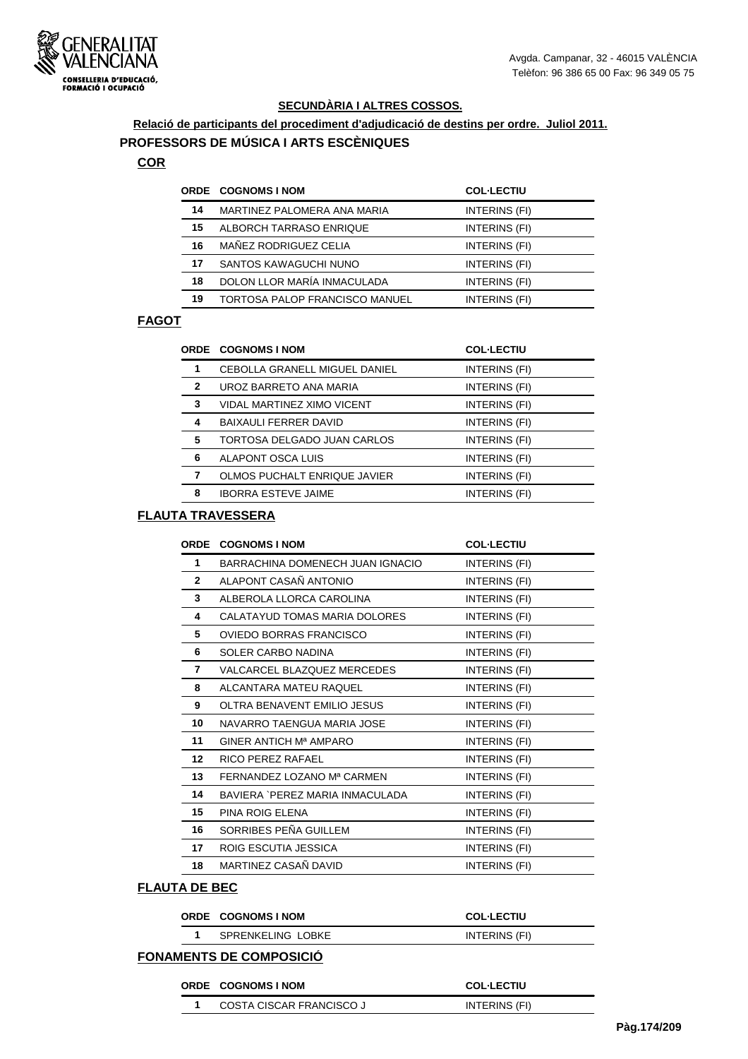

# **Relació de participants del procediment d'adjudicació de destins per ordre. Juliol 2011.**

## **PROFESSORS DE MÚSICA I ARTS ESCÈNIQUES**

## **COR**

|    | <b>ORDE COGNOMS I NOM</b>      | <b>COL-LECTIU</b> |
|----|--------------------------------|-------------------|
| 14 | MARTINEZ PALOMERA ANA MARIA    | INTERINS (FI)     |
| 15 | ALBORCH TARRASO ENRIQUE        | INTERINS (FI)     |
| 16 | MAÑEZ RODRIGUEZ CELIA          | INTERINS (FI)     |
| 17 | SANTOS KAWAGUCHI NUNO          | INTERINS (FI)     |
| 18 | DOLON LLOR MARÍA INMACULADA    | INTERINS (FI)     |
| 19 | TORTOSA PALOP FRANCISCO MANUEL | INTERINS (FI)     |

#### **FAGOT**

|              | <b>ORDE COGNOMS I NOM</b>     | <b>COL-LECTIU</b> |
|--------------|-------------------------------|-------------------|
| 1            | CEBOLLA GRANELL MIGUEL DANIEL | INTERINS (FI)     |
| $\mathbf{2}$ | UROZ BARRETO ANA MARIA        | INTERINS (FI)     |
| 3            | VIDAL MARTINEZ XIMO VICENT    | INTERINS (FI)     |
| 4            | <b>BAIXAULI FERRER DAVID</b>  | INTERINS (FI)     |
| 5            | TORTOSA DELGADO JUAN CARLOS   | INTERINS (FI)     |
| 6            | ALAPONT OSCA LUIS             | INTERINS (FI)     |
| 7            | OLMOS PUCHALT ENRIQUE JAVIER  | INTERINS (FI)     |
| 8            | <b>IBORRA ESTEVE JAIME</b>    | INTERINS (FI)     |
|              |                               |                   |

#### **FLAUTA TRAVESSERA**

| <b>ORDE</b>  | <b>COGNOMS I NOM</b>             | <b>COL-LECTIU</b> |
|--------------|----------------------------------|-------------------|
| 1            | BARRACHINA DOMENECH JUAN IGNACIO | INTERINS (FI)     |
| $\mathbf{2}$ | ALAPONT CASAÑ ANTONIO            | INTERINS (FI)     |
| 3            | ALBEROLA LLORCA CAROLINA         | INTERINS (FI)     |
| 4            | CALATAYUD TOMAS MARIA DOLORES    | INTERINS (FI)     |
| 5            | OVIEDO BORRAS FRANCISCO          | INTERINS (FI)     |
| 6            | SOLER CARBO NADINA               | INTERINS (FI)     |
| 7            | VALCARCEL BLAZQUEZ MERCEDES      | INTERINS (FI)     |
| 8            | ALCANTARA MATEU RAQUEL           | INTERINS (FI)     |
| 9            | OLTRA BENAVENT EMILIO JESUS      | INTERINS (FI)     |
| 10           | NAVARRO TAENGUA MARIA JOSE       | INTERINS (FI)     |
| 11           | GINER ANTICH Mª AMPARO           | INTERINS (FI)     |
| 12           | RICO PEREZ RAFAEL                | INTERINS (FI)     |
| 13           | FERNANDEZ LOZANO Mª CARMEN       | INTERINS (FI)     |
| 14           | BAVIERA `PEREZ MARIA INMACULADA  | INTERINS (FI)     |
| 15           | PINA ROIG ELENA                  | INTERINS (FI)     |
| 16           | SORRIBES PEÑA GUILLEM            | INTERINS (FI)     |
| 17           | ROIG ESCUTIA JESSICA             | INTERINS (FI)     |
| 18           | MARTINEZ CASAÑ DAVID             | INTERINS (FI)     |

## **FLAUTA DE BEC**

| ORDE COGNOMS I NOM | <b>COL-LECTIU</b> |
|--------------------|-------------------|
| SPRENKELING LOBKE  | INTERINS (FI)     |
|                    |                   |

# **FONAMENTS DE COMPOSICIÓ**

| <b>ORDE COGNOMS INOM</b> | <b>COL-LECTIU</b> |  |
|--------------------------|-------------------|--|
| COSTA CISCAR FRANCISCO J | INTERINS (FI)     |  |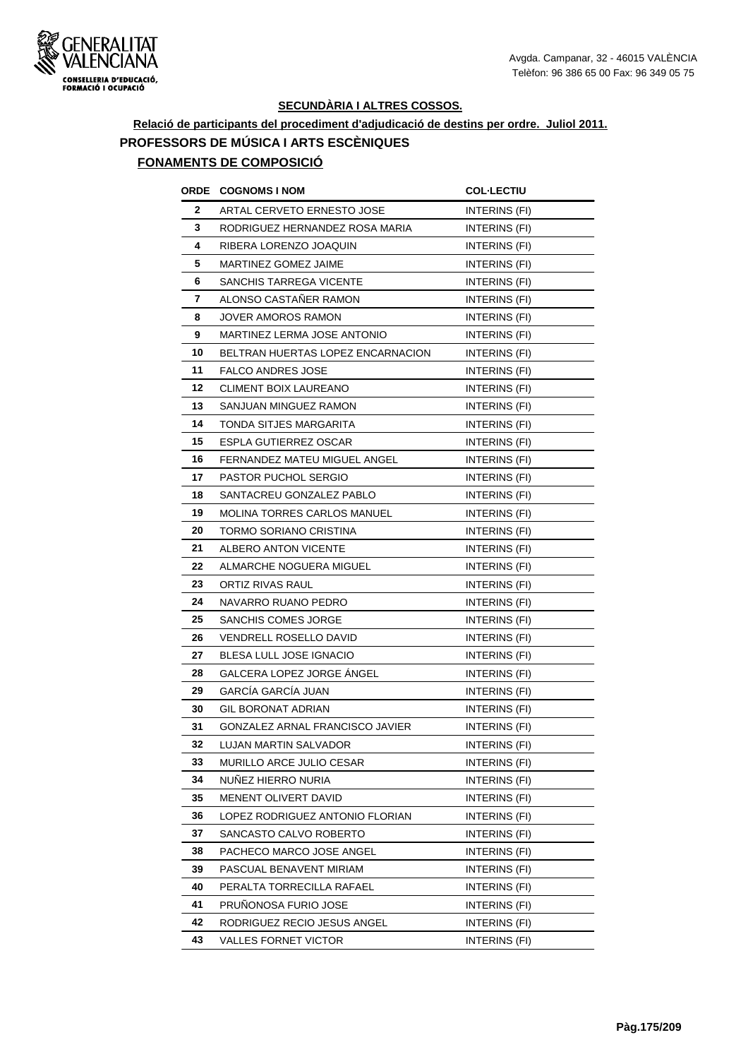

## **Relació de participants del procediment d'adjudicació de destins per ordre. Juliol 2011. PROFESSORS DE MÚSICA I ARTS ESCÈNIQUES FONAMENTS DE COMPOSICIÓ**

|    | ORDE COGNOMS I NOM                     | <b>COL-LECTIU</b>    |
|----|----------------------------------------|----------------------|
| 2  | ARTAL CERVETO ERNESTO JOSE             | INTERINS (FI)        |
| 3  | RODRIGUEZ HERNANDEZ ROSA MARIA         | <b>INTERINS (FI)</b> |
| 4  | RIBERA LORENZO JOAQUIN                 | INTERINS (FI)        |
| 5  | MARTINEZ GOMEZ JAIME                   | INTERINS (FI)        |
| 6  | SANCHIS TARREGA VICENTE                | INTERINS (FI)        |
| 7  | ALONSO CASTAÑER RAMON                  | INTERINS (FI)        |
| 8  | JOVER AMOROS RAMON                     | INTERINS (FI)        |
| 9  | MARTINEZ LERMA JOSE ANTONIO            | <b>INTERINS (FI)</b> |
| 10 | BELTRAN HUERTAS LOPEZ ENCARNACION      | INTERINS (FI)        |
| 11 | FALCO ANDRES JOSE                      | INTERINS (FI)        |
| 12 | <b>CLIMENT BOIX LAUREANO</b>           | <b>INTERINS (FI)</b> |
| 13 | SANJUAN MINGUEZ RAMON                  | INTERINS (FI)        |
| 14 | TONDA SITJES MARGARITA                 | INTERINS (FI)        |
| 15 | ESPLA GUTIERREZ OSCAR                  | <b>INTERINS (FI)</b> |
| 16 | FERNANDEZ MATEU MIGUEL ANGEL           | INTERINS (FI)        |
| 17 | PASTOR PUCHOL SERGIO                   | <b>INTERINS (FI)</b> |
| 18 | SANTACREU GONZALEZ PABLO               | INTERINS (FI)        |
| 19 | <b>MOLINA TORRES CARLOS MANUEL</b>     | INTERINS (FI)        |
| 20 | TORMO SORIANO CRISTINA                 | INTERINS (FI)        |
| 21 | ALBERO ANTON VICENTE                   | <b>INTERINS (FI)</b> |
| 22 | ALMARCHE NOGUERA MIGUEL                | INTERINS (FI)        |
| 23 | ORTIZ RIVAS RAUL                       | INTERINS (FI)        |
| 24 | NAVARRO RUANO PEDRO                    | INTERINS (FI)        |
| 25 | SANCHIS COMES JORGE                    | INTERINS (FI)        |
| 26 | VENDRELL ROSELLO DAVID                 | INTERINS (FI)        |
| 27 | BLESA LULL JOSE IGNACIO                | INTERINS (FI)        |
| 28 | GALCERA LOPEZ JORGE ANGEL              | INTERINS (FI)        |
| 29 | GARCÍA GARCÍA JUAN                     | INTERINS (FI)        |
| 30 | <b>GIL BORONAT ADRIAN</b>              | <b>INTERINS (FI)</b> |
| 31 | <b>GONZALEZ ARNAL FRANCISCO JAVIER</b> | INTERINS (FI)        |
| 32 | LUJAN MARTIN SALVADOR                  | INTERINS (FI)        |
| 33 | MURILLO ARCE JULIO CESAR               | INTERINS (FI)        |
| 34 | NUNEZ HIERRO NURIA                     | INTERINS (FI)        |
| 35 | MENENT OLIVERT DAVID                   | INTERINS (FI)        |
| 36 | LOPEZ RODRIGUEZ ANTONIO FLORIAN        | INTERINS (FI)        |
| 37 | SANCASTO CALVO ROBERTO                 | INTERINS (FI)        |
| 38 | PACHECO MARCO JOSE ANGEL               | INTERINS (FI)        |
| 39 | PASCUAL BENAVENT MIRIAM                | INTERINS (FI)        |
| 40 | PERALTA TORRECILLA RAFAEL              | INTERINS (FI)        |
| 41 | PRUÑONOSA FURIO JOSE                   | INTERINS (FI)        |
| 42 | RODRIGUEZ RECIO JESUS ANGEL            | INTERINS (FI)        |
| 43 | VALLES FORNET VICTOR                   | INTERINS (FI)        |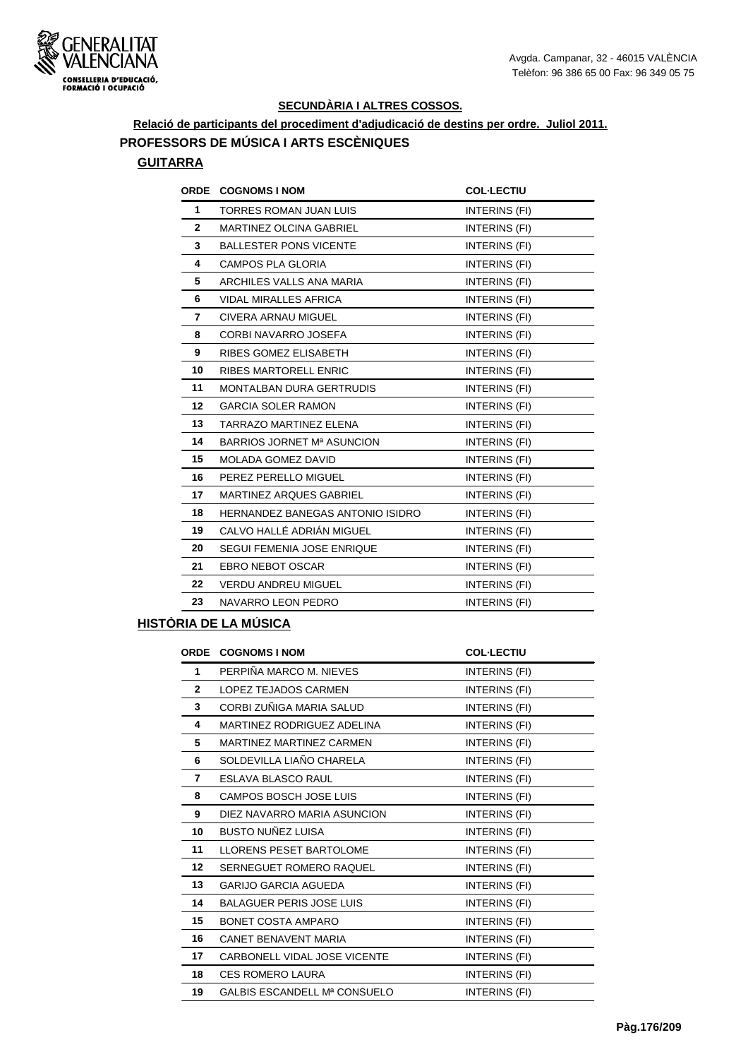

**Relació de participants del procediment d'adjudicació de destins per ordre. Juliol 2011. PROFESSORS DE MÚSICA I ARTS ESCÈNIQUES**

#### **GUITARRA**

| <b>ORDE</b>    | <b>COGNOMS I NOM</b>                    | <b>COL-LECTIU</b>    |
|----------------|-----------------------------------------|----------------------|
| 1              | <b>TORRES ROMAN JUAN LUIS</b>           | INTERINS (FI)        |
| $\overline{2}$ | <b>MARTINEZ OLCINA GABRIEL</b>          | INTERINS (FI)        |
| 3              | <b>BALLESTER PONS VICENTE</b>           | INTERINS (FI)        |
| 4              | CAMPOS PLA GLORIA                       | INTERINS (FI)        |
| 5              | ARCHILES VALLS ANA MARIA                | INTERINS (FI)        |
| 6              | <b>VIDAL MIRALLES AFRICA</b>            | INTERINS (FI)        |
| 7              | CIVERA ARNAU MIGUEL                     | INTERINS (FI)        |
| 8              | CORBI NAVARRO JOSEFA                    | INTERINS (FI)        |
| 9              | RIBES GOMEZ ELISABETH                   | INTERINS (FI)        |
| 10             | <b>RIBES MARTORELL ENRIC</b>            | INTERINS (FI)        |
| 11             | <b>MONTALBAN DURA GERTRUDIS</b>         | INTERINS (FI)        |
| 12             | <b>GARCIA SOLER RAMON</b>               | INTERINS (FI)        |
| 13             | <b>TARRAZO MARTINEZ ELENA</b>           | INTERINS (FI)        |
| 14             | BARRIOS JORNET Mª ASUNCION              | INTERINS (FI)        |
| 15             | <b>MOLADA GOMEZ DAVID</b>               | INTERINS (FI)        |
| 16             | PEREZ PERELLO MIGUEL                    | INTERINS (FI)        |
| 17             | <b>MARTINEZ ARQUES GABRIEL</b>          | <b>INTERINS (FI)</b> |
| 18             | <b>HERNANDEZ BANEGAS ANTONIO ISIDRO</b> | INTERINS (FI)        |
| 19             | CALVO HALLÉ ADRIÁN MIGUEL               | INTERINS (FI)        |
| 20             | SEGUI FEMENIA JOSE ENRIQUE              | INTERINS (FI)        |
| 21             | <b>EBRO NEBOT OSCAR</b>                 | INTERINS (FI)        |
| 22             | <b>VERDU ANDREU MIGUEL</b>              | INTERINS (FI)        |
| 23             | NAVARRO LEON PEDRO                      | INTERINS (FI)        |
|                |                                         |                      |

#### **HISTÒRIA DE LA MÚSICA**

| <b>ORDE</b>  | <b>COGNOMS I NOM</b>            | <b>COL-LECTIU</b>    |
|--------------|---------------------------------|----------------------|
| $\mathbf 1$  | PERPIÑA MARCO M. NIEVES         | INTERINS (FI)        |
| $\mathbf{2}$ | LOPEZ TEJADOS CARMEN            | INTERINS (FI)        |
| 3            | CORBI ZUÑIGA MARIA SALUD        | INTERINS (FI)        |
| 4            | MARTINEZ RODRIGUEZ ADELINA      | INTERINS (FI)        |
| 5            | MARTINEZ MARTINEZ CARMEN        | INTERINS (FI)        |
| 6            | SOLDEVILLA LIAÑO CHARELA        | <b>INTERINS (FI)</b> |
| 7            | ESLAVA BLASCO RAUL              | <b>INTERINS (FI)</b> |
| 8            | CAMPOS BOSCH JOSE LUIS          | INTERINS (FI)        |
| 9            | DIEZ NAVARRO MARIA ASUNCION     | INTERINS (FI)        |
| 10           | <b>BUSTO NUÑEZ LUISA</b>        | INTERINS (FI)        |
| 11           | <b>LLORENS PESET BARTOLOME</b>  | INTERINS (FI)        |
| 12           | SERNEGUET ROMERO RAQUEL         | INTERINS (FI)        |
| 13           | <b>GARIJO GARCIA AGUEDA</b>     | INTERINS (FI)        |
| 14           | <b>BALAGUER PERIS JOSE LUIS</b> | INTERINS (FI)        |
| 15           | <b>BONET COSTA AMPARO</b>       | <b>INTERINS (FI)</b> |
| 16           | <b>CANET BENAVENT MARIA</b>     | INTERINS (FI)        |
| 17           | CARBONELL VIDAL JOSE VICENTE    | INTERINS (FI)        |
| 18           | <b>CES ROMERO LAURA</b>         | INTERINS (FI)        |
| 19           | GALBIS ESCANDELL Mª CONSUELO    | <b>INTERINS (FI)</b> |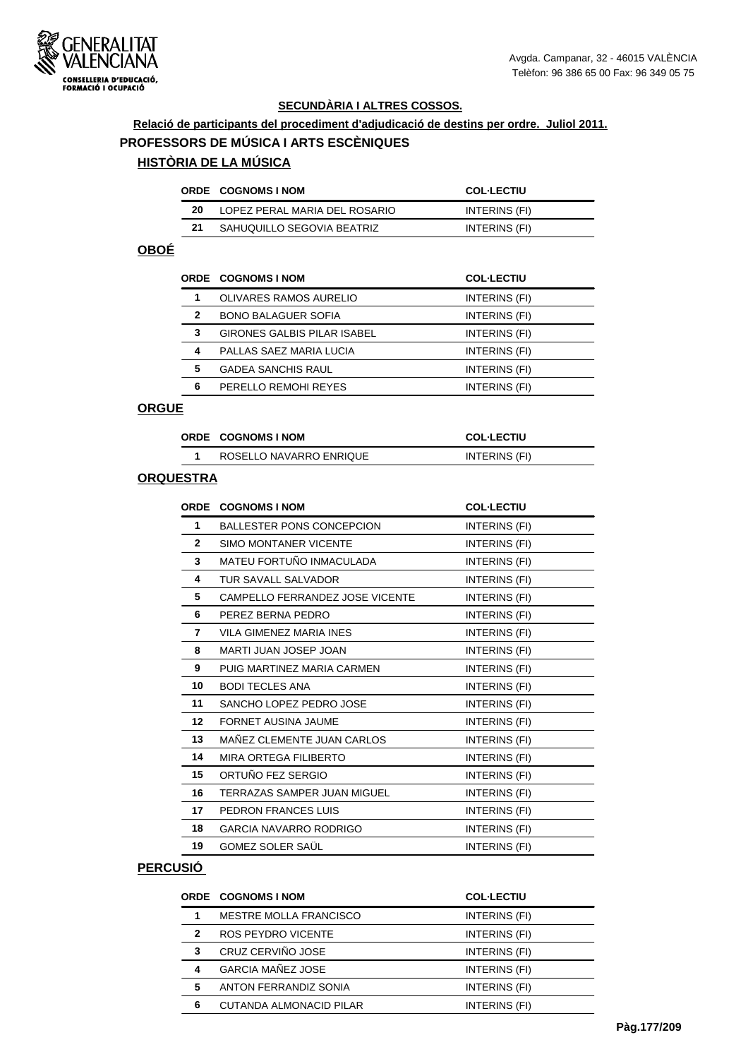

#### **Relació de participants del procediment d'adjudicació de destins per ordre. Juliol 2011. PROFESSORS DE MÚSICA I ARTS ESCÈNIQUES**

## **HISTÒRIA DE LA MÚSICA**

|    | ORDE COGNOMS INOM             | <b>COL-LECTIU</b> |
|----|-------------------------------|-------------------|
| 20 | LOPEZ PERAL MARIA DEL ROSARIO | INTERINS (FI)     |
| 21 | SAHUQUILLO SEGOVIA BEATRIZ    | INTERINS (FI)     |

## **OBOÉ**

|   | <b>ORDE COGNOMS I NOM</b>          | <b>COL-LECTIU</b> |
|---|------------------------------------|-------------------|
|   | OLIVARES RAMOS AURELIO             | INTERINS (FI)     |
| 2 | <b>BONO BALAGUER SOFIA</b>         | INTERINS (FI)     |
| 3 | <b>GIRONES GALBIS PILAR ISABEL</b> | INTERINS (FI)     |
| 4 | PALLAS SAEZ MARIA LUCIA            | INTERINS (FI)     |
| 5 | <b>GADEA SANCHIS RAUL</b>          | INTERINS (FI)     |
| 6 | PERELLO REMOHI REYES               | INTERINS (FI)     |
|   |                                    |                   |

## **ORGUE**

| ORDE COGNOMS I NOM      | <b>COL-LECTIU</b> |
|-------------------------|-------------------|
| ROSELLO NAVARRO ENRIQUE | INTERINS (FI)     |

#### **ORQUESTRA**

| <b>COGNOMS I NOM</b>               | <b>COL-LECTIU</b> |
|------------------------------------|-------------------|
| <b>BALLESTER PONS CONCEPCION</b>   | INTERINS (FI)     |
| SIMO MONTANER VICENTE              | INTERINS (FI)     |
| MATEU FORTUÑO INMACULADA           | INTERINS (FI)     |
| <b>TUR SAVALL SALVADOR</b>         | INTERINS (FI)     |
| CAMPELLO FERRANDEZ JOSE VICENTE    | INTERINS (FI)     |
| PEREZ BERNA PEDRO                  | INTERINS (FI)     |
| VILA GIMENEZ MARIA INES            | INTERINS (FI)     |
| MARTI JUAN JOSEP JOAN              | INTERINS (FI)     |
| PUIG MARTINEZ MARIA CARMEN         | INTERINS (FI)     |
| <b>BODI TECLES ANA</b>             | INTERINS (FI)     |
| SANCHO LOPEZ PEDRO JOSE            | INTERINS (FI)     |
| <b>FORNET AUSINA JAUME</b>         | INTERINS (FI)     |
| MAÑEZ CLEMENTE JUAN CARLOS         | INTERINS (FI)     |
| MIRA ORTEGA FILIBERTO              | INTERINS (FI)     |
| ORTUÑO FEZ SERGIO                  | INTERINS (FI)     |
| <b>TERRAZAS SAMPER JUAN MIGUEL</b> | INTERINS (FI)     |
| PEDRON FRANCES LUIS                | INTERINS (FI)     |
| <b>GARCIA NAVARRO RODRIGO</b>      | INTERINS (FI)     |
| <b>GOMEZ SOLER SAÜL</b>            | INTERINS (FI)     |
|                                    |                   |

## **PERCUSIÓ**

|              | <b>ORDE COGNOMS I NOM</b>      | <b>COL-LECTIU</b> |
|--------------|--------------------------------|-------------------|
| 1            | MESTRE MOLLA FRANCISCO         | INTERINS (FI)     |
| $\mathbf{2}$ | ROS PEYDRO VICENTE             | INTERINS (FI)     |
| 3            | CRUZ CERVIÑO JOSE              | INTERINS (FI)     |
| 4            | <b>GARCIA MAÑEZ JOSE</b>       | INTERINS (FI)     |
| 5            | ANTON FERRANDIZ SONIA          | INTERINS (FI)     |
| 6            | <b>CUTANDA ALMONACID PILAR</b> | INTERINS (FI)     |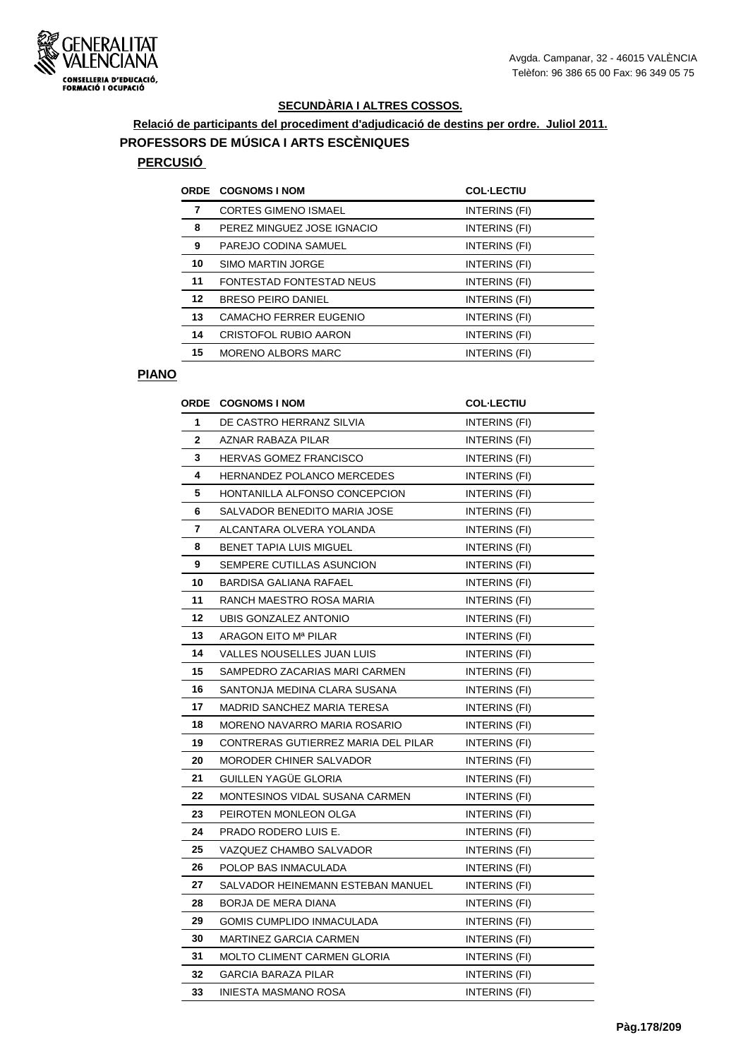

**Relació de participants del procediment d'adjudicació de destins per ordre. Juliol 2011. PROFESSORS DE MÚSICA I ARTS ESCÈNIQUES**

# **PERCUSIÓ**

| <b>ORDE</b> | <b>COGNOMS I NOM</b>            | <b>COL-LECTIU</b> |
|-------------|---------------------------------|-------------------|
| 7           | <b>CORTES GIMENO ISMAEL</b>     | INTERINS (FI)     |
| 8           | PEREZ MINGUEZ JOSE IGNACIO      | INTERINS (FI)     |
| 9           | PAREJO CODINA SAMUEL            | INTERINS (FI)     |
| 10          | <b>SIMO MARTIN JORGE</b>        | INTERINS (FI)     |
| 11          | <b>FONTESTAD FONTESTAD NEUS</b> | INTERINS (FI)     |
| 12          | <b>BRESO PEIRO DANIEL</b>       | INTERINS (FI)     |
| 13          | CAMACHO FERRER EUGENIO          | INTERINS (FI)     |
| 14          | CRISTOFOL RUBIO AARON           | INTERINS (FI)     |
| 15          | <b>MORENO ALBORS MARC</b>       | INTERINS (FI)     |
|             |                                 |                   |

#### **PIANO**

|    | <b>ORDE COGNOMS I NOM</b>           | <b>COL·LECTIU</b>    |
|----|-------------------------------------|----------------------|
| 1  | DE CASTRO HERRANZ SILVIA            | INTERINS (FI)        |
| 2  | <b>AZNAR RABAZA PILAR</b>           | INTERINS (FI)        |
| 3  | <b>HERVAS GOMEZ FRANCISCO</b>       | INTERINS (FI)        |
| 4  | <b>HERNANDEZ POLANCO MERCEDES</b>   | INTERINS (FI)        |
| 5  | HONTANILLA ALFONSO CONCEPCION       | INTERINS (FI)        |
| 6  | SALVADOR BENEDITO MARIA JOSE        | INTERINS (FI)        |
| 7  | ALCANTARA OLVERA YOLANDA            | INTERINS (FI)        |
| 8  | <b>BENET TAPIA LUIS MIGUEL</b>      | INTERINS (FI)        |
| 9  | SEMPERE CUTILLAS ASUNCION           | INTERINS (FI)        |
| 10 | <b>BARDISA GALIANA RAFAEL</b>       | INTERINS (FI)        |
| 11 | RANCH MAESTRO ROSA MARIA            | INTERINS (FI)        |
| 12 | UBIS GONZALEZ ANTONIO               | INTERINS (FI)        |
| 13 | ARAGON EITO Mª PILAR                | INTERINS (FI)        |
| 14 | VALLES NOUSELLES JUAN LUIS          | <b>INTERINS (FI)</b> |
| 15 | SAMPEDRO ZACARIAS MARI CARMEN       | INTERINS (FI)        |
| 16 | SANTONJA MEDINA CLARA SUSANA        | INTERINS (FI)        |
| 17 | <b>MADRID SANCHEZ MARIA TERESA</b>  | INTERINS (FI)        |
| 18 | MORENO NAVARRO MARIA ROSARIO        | INTERINS (FI)        |
| 19 | CONTRERAS GUTIERREZ MARIA DEL PILAR | <b>INTERINS (FI)</b> |
| 20 | MORODER CHINER SALVADOR             | INTERINS (FI)        |
| 21 | <b>GUILLEN YAGUE GLORIA</b>         | INTERINS (FI)        |
| 22 | MONTESINOS VIDAL SUSANA CARMEN      | INTERINS (FI)        |
| 23 | PEIROTEN MONLEON OLGA               | INTERINS (FI)        |
| 24 | PRADO RODERO LUIS E.                | <b>INTERINS (FI)</b> |
| 25 | VAZQUEZ CHAMBO SALVADOR             | INTERINS (FI)        |
| 26 | POLOP BAS INMACULADA                | INTERINS (FI)        |
| 27 | SALVADOR HEINEMANN ESTEBAN MANUEL   | INTERINS (FI)        |
| 28 | BORJA DE MERA DIANA                 | <b>INTERINS (FI)</b> |
| 29 | GOMIS CUMPLIDO INMACULADA           | INTERINS (FI)        |
| 30 | MARTINEZ GARCIA CARMEN              | INTERINS (FI)        |
| 31 | MOLTO CLIMENT CARMEN GLORIA         | INTERINS (FI)        |
| 32 | <b>GARCIA BARAZA PILAR</b>          | <b>INTERINS (FI)</b> |
| 33 | INIESTA MASMANO ROSA                | INTERINS (FI)        |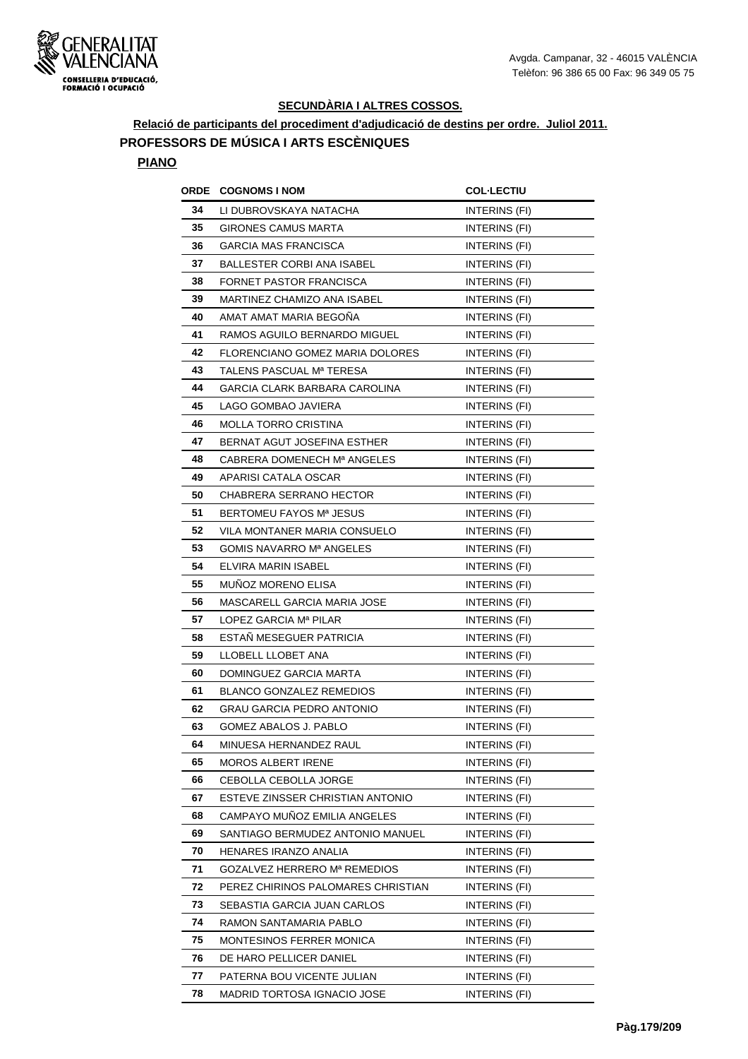

**Relació de participants del procediment d'adjudicació de destins per ordre. Juliol 2011. PROFESSORS DE MÚSICA I ARTS ESCÈNIQUES**

#### **PIANO**

| ORDE | <b>COGNOMS I NOM</b>               | <b>COL·LECTIU</b>    |
|------|------------------------------------|----------------------|
| 34   | LI DUBROVSKAYA NATACHA             | INTERINS (FI)        |
| 35   | <b>GIRONES CAMUS MARTA</b>         | <b>INTERINS (FI)</b> |
| 36   | <b>GARCIA MAS FRANCISCA</b>        | INTERINS (FI)        |
| 37   | <b>BALLESTER CORBI ANA ISABEL</b>  | INTERINS (FI)        |
| 38   | FORNET PASTOR FRANCISCA            | INTERINS (FI)        |
| 39   | MARTINEZ CHAMIZO ANA ISABEL        | INTERINS (FI)        |
| 40   | AMAT AMAT MARIA BEGONA             | INTERINS (FI)        |
| 41   | RAMOS AGUILO BERNARDO MIGUEL       | INTERINS (FI)        |
| 42   | FLORENCIANO GOMEZ MARIA DOLORES    | INTERINS (FI)        |
| 43   | TALENS PASCUAL Mª TERESA           | INTERINS (FI)        |
| 44   | GARCIA CLARK BARBARA CAROLINA      | INTERINS (FI)        |
| 45   | LAGO GOMBAO JAVIERA                | INTERINS (FI)        |
| 46   | <b>MOLLA TORRO CRISTINA</b>        | INTERINS (FI)        |
| 47   | BERNAT AGUT JOSEFINA ESTHER        | <b>INTERINS (FI)</b> |
| 48   | CABRERA DOMENECH Mª ANGELES        | INTERINS (FI)        |
| 49   | APARISI CATALA OSCAR               | INTERINS (FI)        |
| 50   | CHABRERA SERRANO HECTOR            | INTERINS (FI)        |
| 51   | BERTOMEU FAYOS Mª JESUS            | INTERINS (FI)        |
| 52   | VILA MONTANER MARIA CONSUELO       | INTERINS (FI)        |
| 53   | GOMIS NAVARRO Mª ANGELES           | INTERINS (FI)        |
| 54   | ELVIRA MARIN ISABEL                | INTERINS (FI)        |
| 55   | <b>MUNOZ MORENO ELISA</b>          | INTERINS (FI)        |
| 56   | MASCARELL GARCIA MARIA JOSE        | INTERINS (FI)        |
| 57   | LOPEZ GARCIA Mª PILAR              | INTERINS (FI)        |
| 58   | ESTAN MESEGUER PATRICIA            | INTERINS (FI)        |
| 59   | LLOBELL LLOBET ANA                 | INTERINS (FI)        |
| 60   | DOMINGUEZ GARCIA MARTA             | INTERINS (FI)        |
| 61   | <b>BLANCO GONZALEZ REMEDIOS</b>    | INTERINS (FI)        |
| 62   | <b>GRAU GARCIA PEDRO ANTONIO</b>   | INTERINS (FI)        |
| 63   | <b>GOMEZ ABALOS J. PABLO</b>       | INTERINS (FI)        |
| 64   | MINUESA HERNANDEZ RAUL             | INTERINS (FI)        |
| 65   | <b>MOROS ALBERT IRENE</b>          | INTERINS (FI)        |
| 66   | CEBOLLA CEBOLLA JORGE              | INTERINS (FI)        |
| 67   | ESTEVE ZINSSER CHRISTIAN ANTONIO   | INTERINS (FI)        |
| 68   | CAMPAYO MUÑOZ EMILIA ANGELES       | INTERINS (FI)        |
| 69   | SANTIAGO BERMUDEZ ANTONIO MANUEL   | INTERINS (FI)        |
| 70   | HENARES IRANZO ANALIA              | INTERINS (FI)        |
| 71   | GOZALVEZ HERRERO Mª REMEDIOS       | INTERINS (FI)        |
| 72   | PEREZ CHIRINOS PALOMARES CHRISTIAN | INTERINS (FI)        |
| 73   | SEBASTIA GARCIA JUAN CARLOS        | INTERINS (FI)        |
| 74   | RAMON SANTAMARIA PABLO             | INTERINS (FI)        |
| 75   | MONTESINOS FERRER MONICA           | INTERINS (FI)        |
| 76   | DE HARO PELLICER DANIEL            | INTERINS (FI)        |
| 77   | PATERNA BOU VICENTE JULIAN         | INTERINS (FI)        |
| 78   | MADRID TORTOSA IGNACIO JOSE        | INTERINS (FI)        |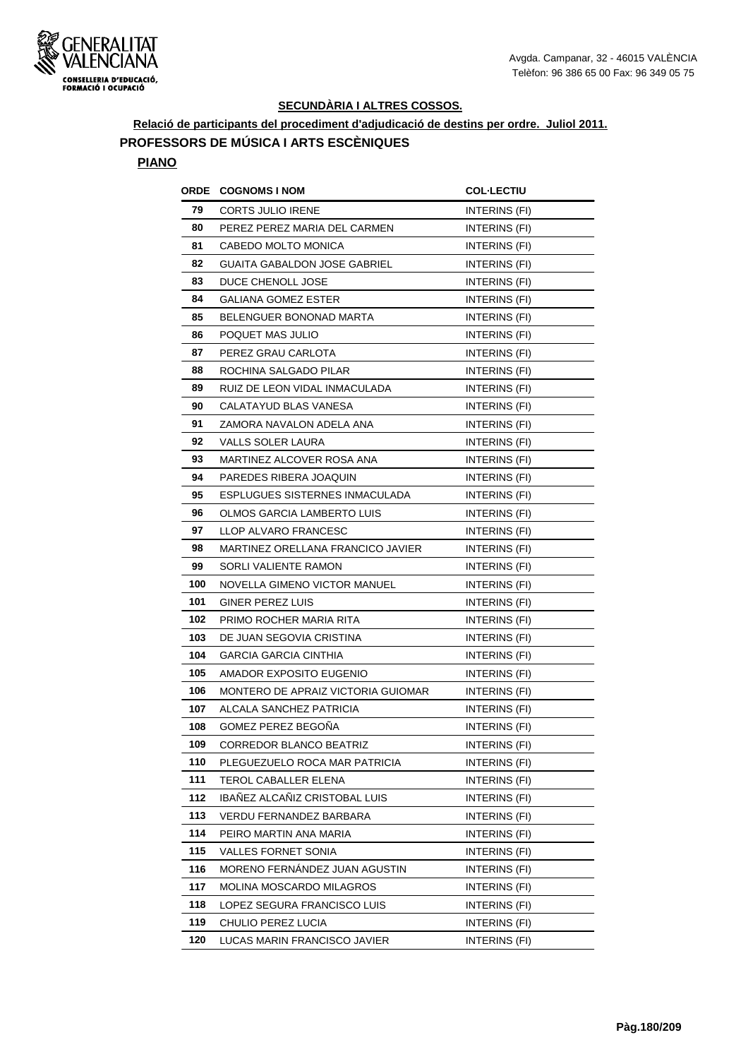

**Relació de participants del procediment d'adjudicació de destins per ordre. Juliol 2011. PROFESSORS DE MÚSICA I ARTS ESCÈNIQUES**

#### **PIANO**

|     | <b>ORDE COGNOMS INOM</b>            | <b>COL-LECTIU</b>    |
|-----|-------------------------------------|----------------------|
| 79  | CORTS JULIO IRENE                   | INTERINS (FI)        |
| 80  | PEREZ PEREZ MARIA DEL CARMEN        | <b>INTERINS (FI)</b> |
| 81  | CABEDO MOLTO MONICA                 | INTERINS (FI)        |
| 82  | <b>GUAITA GABALDON JOSE GABRIEL</b> | INTERINS (FI)        |
| 83  | DUCE CHENOLL JOSE                   | INTERINS (FI)        |
| 84  | <b>GALIANA GOMEZ ESTER</b>          | INTERINS (FI)        |
| 85  | BELENGUER BONONAD MARTA             | INTERINS (FI)        |
| 86  | POQUET MAS JULIO                    | INTERINS (FI)        |
| 87  | PEREZ GRAU CARLOTA                  | INTERINS (FI)        |
| 88  | ROCHINA SALGADO PILAR               | INTERINS (FI)        |
| 89  | RUIZ DE LEON VIDAL INMACULADA       | INTERINS (FI)        |
| 90  | CALATAYUD BLAS VANESA               | INTERINS (FI)        |
| 91  | ZAMORA NAVALON ADELA ANA            | INTERINS (FI)        |
| 92  | VALLS SOLER LAURA                   | INTERINS (FI)        |
| 93  | MARTINEZ ALCOVER ROSA ANA           | INTERINS (FI)        |
| 94  | PAREDES RIBERA JOAQUIN              | INTERINS (FI)        |
| 95  | ESPLUGUES SISTERNES INMACULADA      | INTERINS (FI)        |
| 96  | OLMOS GARCIA LAMBERTO LUIS          | INTERINS (FI)        |
| 97  | LLOP ALVARO FRANCESC                | INTERINS (FI)        |
| 98  | MARTINEZ ORELLANA FRANCICO JAVIER   | <b>INTERINS (FI)</b> |
| 99  | SORLI VALIENTE RAMON                | INTERINS (FI)        |
| 100 | NOVELLA GIMENO VICTOR MANUEL        | INTERINS (FI)        |
| 101 | GINER PEREZ LUIS                    | INTERINS (FI)        |
| 102 | PRIMO ROCHER MARIA RITA             | <b>INTERINS (FI)</b> |
| 103 | DE JUAN SEGOVIA CRISTINA            | INTERINS (FI)        |
| 104 | GARCIA GARCIA CINTHIA               | <b>INTERINS (FI)</b> |
| 105 | AMADOR EXPOSITO EUGENIO             | INTERINS (FI)        |
| 106 | MONTERO DE APRAIZ VICTORIA GUIOMAR  | INTERINS (FI)        |
| 107 | ALCALA SANCHEZ PATRICIA             | INTERINS (FI)        |
| 108 | GOMEZ PEREZ BEGOÑA                  | INTERINS (FI)        |
| 109 | CORREDOR BLANCO BEATRIZ             | INTERINS (FI)        |
| 110 | PLEGUEZUELO ROCA MAR PATRICIA       | INTERINS (FI)        |
| 111 | TEROL CABALLER ELENA                | INTERINS (FI)        |
| 112 | IBAÑEZ ALCAÑIZ CRISTOBAL LUIS       | INTERINS (FI)        |
| 113 | VERDU FERNANDEZ BARBARA             | INTERINS (FI)        |
| 114 | PEIRO MARTIN ANA MARIA              | INTERINS (FI)        |
| 115 | VALLES FORNET SONIA                 | INTERINS (FI)        |
| 116 | MORENO FERNÁNDEZ JUAN AGUSTIN       | INTERINS (FI)        |
| 117 | MOLINA MOSCARDO MILAGROS            | INTERINS (FI)        |
| 118 | LOPEZ SEGURA FRANCISCO LUIS         | INTERINS (FI)        |
| 119 | CHULIO PEREZ LUCIA                  | INTERINS (FI)        |
| 120 | LUCAS MARIN FRANCISCO JAVIER        | <b>INTERINS (FI)</b> |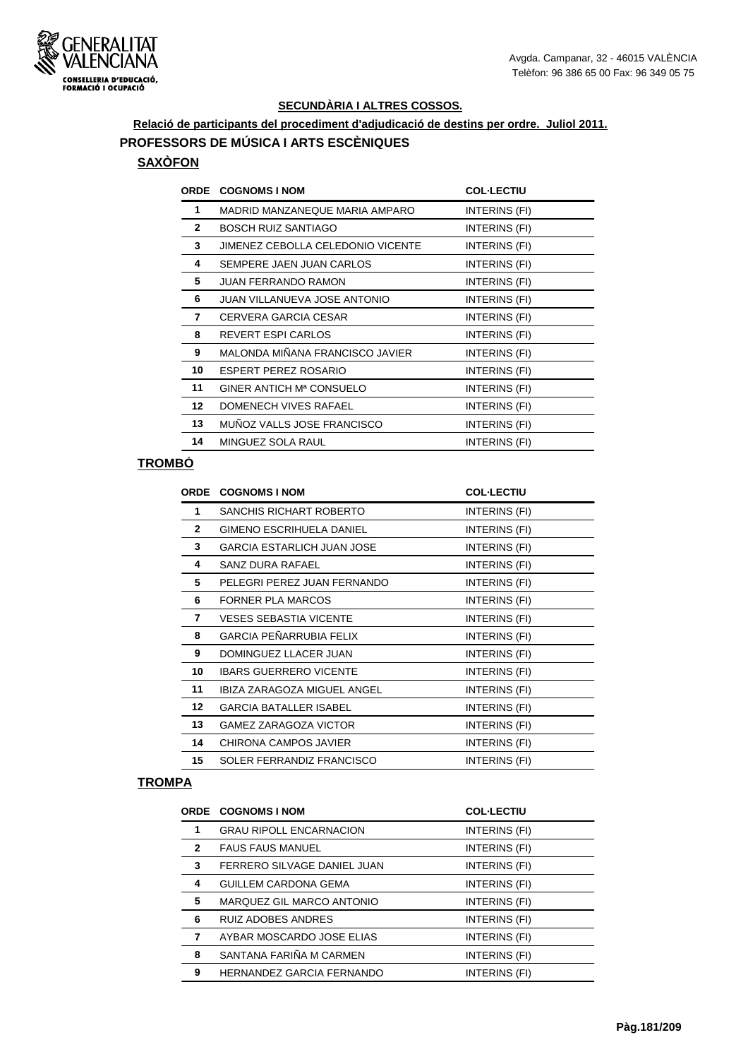

# **Relació de participants del procediment d'adjudicació de destins per ordre. Juliol 2011. PROFESSORS DE MÚSICA I ARTS ESCÈNIQUES**

#### **SAXÒFON**

| <b>ORDE</b>  | <b>COGNOMS I NOM</b>              | <b>COL-LECTIU</b> |
|--------------|-----------------------------------|-------------------|
| 1            | MADRID MANZANEQUE MARIA AMPARO    | INTERINS (FI)     |
| $\mathbf{2}$ | <b>BOSCH RUIZ SANTIAGO</b>        | INTERINS (FI)     |
| 3            | JIMENEZ CEBOLLA CELEDONIO VICENTE | INTERINS (FI)     |
| 4            | SEMPERE JAEN JUAN CARLOS          | INTERINS (FI)     |
| 5            | <b>JUAN FERRANDO RAMON</b>        | INTERINS (FI)     |
| 6            | JUAN VILLANUEVA JOSE ANTONIO      | INTERINS (FI)     |
| 7            | CERVERA GARCIA CESAR              | INTERINS (FI)     |
| 8            | REVERT ESPI CARLOS                | INTERINS (FI)     |
| 9            | MALONDA MIÑANA FRANCISCO JAVIER   | INTERINS (FI)     |
| 10           | ESPERT PEREZ ROSARIO              | INTERINS (FI)     |
| 11           | GINER ANTICH Mª CONSUELO          | INTERINS (FI)     |
| 12           | DOMENECH VIVES RAFAEL             | INTERINS (FI)     |
| 13           | MUÑOZ VALLS JOSE FRANCISCO        | INTERINS (FI)     |
| 14           | MINGUEZ SOLA RAUL                 | INTERINS (FI)     |
|              |                                   |                   |

## **TROMBÓ**

| ORDE         | <b>COGNOMS I NOM</b>              | <b>COL-LECTIU</b> |
|--------------|-----------------------------------|-------------------|
| 1            | <b>SANCHIS RICHART ROBERTO</b>    | INTERINS (FI)     |
| $\mathbf{2}$ | <b>GIMENO ESCRIHUELA DANIEL</b>   | INTERINS (FI)     |
| 3            | <b>GARCIA ESTARLICH JUAN JOSE</b> | INTERINS (FI)     |
| 4            | SANZ DURA RAFAEL                  | INTERINS (FI)     |
| 5            | PELEGRI PEREZ JUAN FERNANDO       | INTERINS (FI)     |
| 6            | <b>FORNER PLA MARCOS</b>          | INTERINS (FI)     |
| 7            | <b>VESES SEBASTIA VICENTE</b>     | INTERINS (FI)     |
| 8            | GARCIA PEÑARRUBIA FELIX           | INTERINS (FI)     |
| 9            | DOMINGUEZ LLACER JUAN             | INTERINS (FI)     |
| 10           | <b>IBARS GUERRERO VICENTE</b>     | INTERINS (FI)     |
| 11           | IBIZA ZARAGOZA MIGUEL ANGEL       | INTERINS (FI)     |
| 12           | <b>GARCIA BATALLER ISABEL</b>     | INTERINS (FI)     |
| 13           | <b>GAMEZ ZARAGOZA VICTOR</b>      | INTERINS (FI)     |
| 14           | CHIRONA CAMPOS JAVIER             | INTERINS (FI)     |
| 15           | SOLER FERRANDIZ FRANCISCO         | INTERINS (FI)     |
|              |                                   |                   |

#### **TROMPA**

|                | <b>ORDE COGNOMS I NOM</b>      | <b>COL-LECTIU</b> |
|----------------|--------------------------------|-------------------|
| 1              | <b>GRAU RIPOLL ENCARNACION</b> | INTERINS (FI)     |
| $\overline{2}$ | <b>FAUS FAUS MANUEL</b>        | INTERINS (FI)     |
| 3              | FERRERO SILVAGE DANIEL JUAN    | INTERINS (FI)     |
| 4              | <b>GUILLEM CARDONA GEMA</b>    | INTERINS (FI)     |
| 5              | MARQUEZ GIL MARCO ANTONIO      | INTERINS (FI)     |
| 6              | <b>RUIZ ADOBES ANDRES</b>      | INTERINS (FI)     |
| 7              | AYBAR MOSCARDO JOSE ELIAS      | INTERINS (FI)     |
| 8              | SANTANA FARIÑA M CARMEN        | INTERINS (FI)     |
| 9              | HERNANDEZ GARCIA FERNANDO      | INTERINS (FI)     |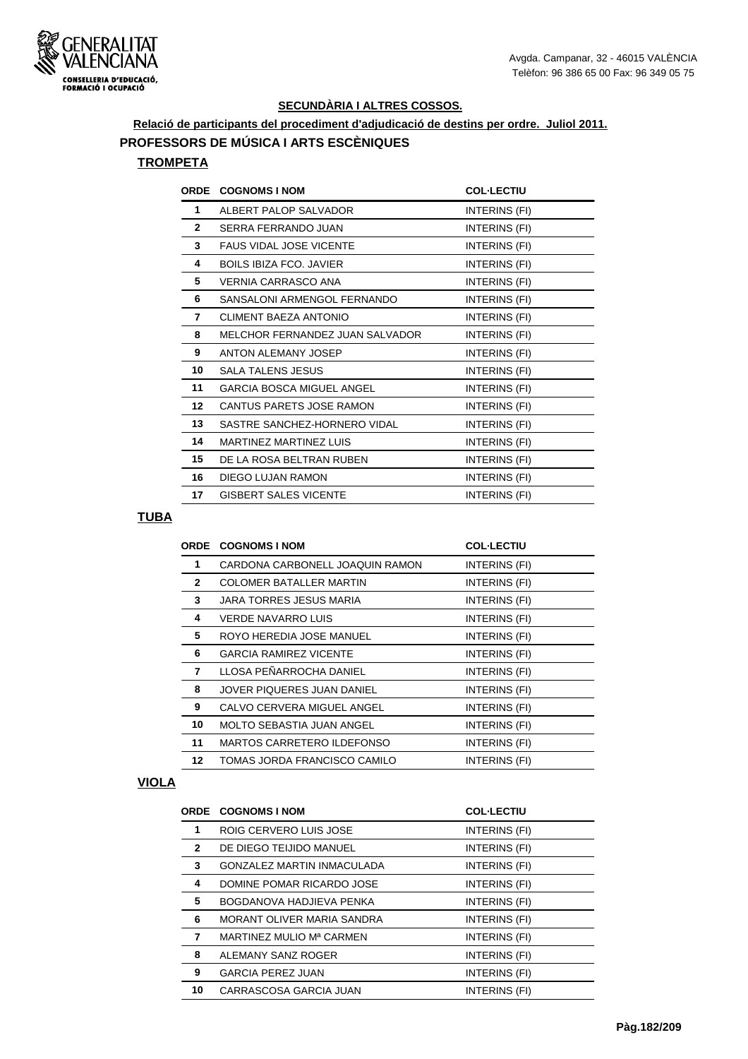

**Relació de participants del procediment d'adjudicació de destins per ordre. Juliol 2011.**

**PROFESSORS DE MÚSICA I ARTS ESCÈNIQUES**

## **TROMPETA**

| ORDE         | <b>COGNOMS I NOM</b>            | <b>COL-LECTIU</b> |
|--------------|---------------------------------|-------------------|
| 1            | ALBERT PALOP SALVADOR           | INTERINS (FI)     |
| $\mathbf{2}$ | SERRA FERRANDO JUAN             | INTERINS (FI)     |
| 3            | <b>FAUS VIDAL JOSE VICENTE</b>  | INTERINS (FI)     |
| 4            | <b>BOILS IBIZA FCO. JAVIER</b>  | INTERINS (FI)     |
| 5            | VERNIA CARRASCO ANA             | INTERINS (FI)     |
| 6            | SANSALONI ARMENGOL FERNANDO     | INTERINS (FI)     |
| 7            | CLIMENT BAEZA ANTONIO           | INTERINS (FI)     |
| 8            | MELCHOR FERNANDEZ JUAN SALVADOR | INTERINS (FI)     |
| 9            | ANTON ALEMANY JOSEP             | INTERINS (FI)     |
| 10           | <b>SALA TALENS JESUS</b>        | INTERINS (FI)     |
| 11           | GARCIA BOSCA MIGUEL ANGEL       | INTERINS (FI)     |
| $12 \,$      | CANTUS PARETS JOSE RAMON        | INTERINS (FI)     |
| 13           | SASTRE SANCHEZ-HORNERO VIDAL    | INTERINS (FI)     |
| 14           | MARTINEZ MARTINEZ LUIS          | INTERINS (FI)     |
| 15           | DE LA ROSA BELTRAN RUBEN        | INTERINS (FI)     |
| 16           | DIEGO LUJAN RAMON               | INTERINS (FI)     |
| 17           | <b>GISBERT SALES VICENTE</b>    | INTERINS (FI)     |

## **TUBA**

|              | <b>ORDE COGNOMS I NOM</b>        | <b>COL-LECTIU</b> |
|--------------|----------------------------------|-------------------|
| 1            | CARDONA CARBONELL JOAQUIN RAMON  | INTERINS (FI)     |
| $\mathbf{2}$ | <b>COLOMER BATALLER MARTIN</b>   | INTERINS (FI)     |
| 3            | JARA TORRES JESUS MARIA          | INTERINS (FI)     |
| 4            | <b>VERDE NAVARRO LUIS</b>        | INTERINS (FI)     |
| 5            | ROYO HEREDIA JOSE MANUEL         | INTERINS (FI)     |
| 6            | <b>GARCIA RAMIREZ VICENTE</b>    | INTERINS (FI)     |
| 7            | LLOSA PEÑARROCHA DANIEL          | INTERINS (FI)     |
| 8            | JOVER PIQUERES JUAN DANIEL       | INTERINS (FI)     |
| 9            | CALVO CERVERA MIGUEL ANGEL       | INTERINS (FI)     |
| 10           | <b>MOLTO SEBASTIA JUAN ANGEL</b> | INTERINS (FI)     |
| 11           | MARTOS CARRETERO ILDEFONSO       | INTERINS (FI)     |
| 12           | TOMAS JORDA FRANCISCO CAMILO     | INTERINS (FI)     |
|              |                                  |                   |

#### **VIOLA**

|              | <b>ORDE COGNOMS I NOM</b>         | <b>COL-LECTIU</b> |
|--------------|-----------------------------------|-------------------|
| 1            | ROIG CERVERO LUIS JOSE            | INTERINS (FI)     |
| $\mathbf{2}$ | DE DIEGO TEIJIDO MANUEL           | INTERINS (FI)     |
| 3            | <b>GONZALEZ MARTIN INMACULADA</b> | INTERINS (FI)     |
| 4            | DOMINE POMAR RICARDO JOSE         | INTERINS (FI)     |
| 5            | BOGDANOVA HADJIEVA PENKA          | INTERINS (FI)     |
| 6            | MORANT OLIVER MARIA SANDRA        | INTERINS (FI)     |
| 7            | MARTINEZ MULIO Mª CARMEN          | INTERINS (FI)     |
| 8            | ALEMANY SANZ ROGER                | INTERINS (FI)     |
| 9            | <b>GARCIA PEREZ JUAN</b>          | INTERINS (FI)     |
| 10           | CARRASCOSA GARCIA JUAN            | INTERINS (FI)     |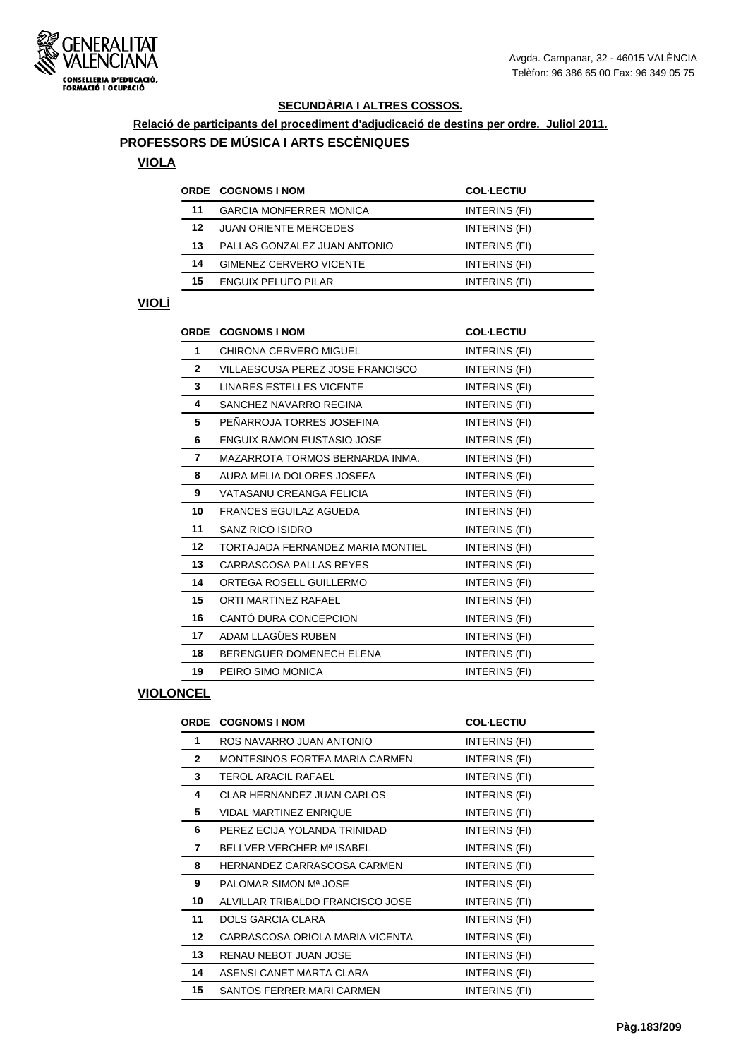

# **Relació de participants del procediment d'adjudicació de destins per ordre. Juliol 2011.**

## **PROFESSORS DE MÚSICA I ARTS ESCÈNIQUES**

## **VIOLA**

|    | <b>ORDE COGNOMS INOM</b>       | <b>COL-LECTIU</b> |
|----|--------------------------------|-------------------|
| 11 | <b>GARCIA MONFERRER MONICA</b> | INTERINS (FI)     |
| 12 | <b>JUAN ORIENTE MERCEDES</b>   | INTERINS (FI)     |
| 13 | PALLAS GONZALEZ JUAN ANTONIO   | INTERINS (FI)     |
| 14 | <b>GIMENEZ CERVERO VICENTE</b> | INTERINS (FI)     |
| 15 | <b>ENGUIX PELUFO PILAR</b>     | INTERINS (FI)     |

## **VIOLÍ**

| <b>ORDE</b>  | <b>COGNOMS I NOM</b>              | <b>COL-LECTIU</b>    |
|--------------|-----------------------------------|----------------------|
| 1            | CHIRONA CERVERO MIGUEL            | INTERINS (FI)        |
| $\mathbf{2}$ | VILLAESCUSA PEREZ JOSE FRANCISCO  | INTERINS (FI)        |
| 3            | <b>LINARES ESTELLES VICENTE</b>   | INTERINS (FI)        |
| 4            | SANCHEZ NAVARRO REGINA            | INTERINS (FI)        |
| 5            | PEÑARROJA TORRES JOSEFINA         | INTERINS (FI)        |
| 6            | <b>ENGUIX RAMON EUSTASIO JOSE</b> | INTERINS (FI)        |
| 7            | MAZARROTA TORMOS BERNARDA INMA.   | INTERINS (FI)        |
| 8            | AURA MELIA DOLORES JOSEFA         | INTERINS (FI)        |
| 9            | VATASANU CREANGA FELICIA          | INTERINS (FI)        |
| 10           | <b>FRANCES EGUILAZ AGUEDA</b>     | INTERINS (FI)        |
| 11           | <b>SANZ RICO ISIDRO</b>           | INTERINS (FI)        |
| 12           | TORTAJADA FERNANDEZ MARIA MONTIEL | INTERINS (FI)        |
| 13           | CARRASCOSA PALLAS REYES           | INTERINS (FI)        |
| 14           | ORTEGA ROSELL GUILLERMO           | <b>INTERINS (FI)</b> |
| 15           | ORTI MARTINEZ RAFAEL              | INTERINS (FI)        |
| 16           | CANTÓ DURA CONCEPCION             | INTERINS (FI)        |
| 17           | ADAM LLAGÜES RUBEN                | INTERINS (FI)        |
| 18           | BERENGUER DOMENECH ELENA          | <b>INTERINS (FI)</b> |
| 19           | PEIRO SIMO MONICA                 | INTERINS (FI)        |

#### **VIOLONCEL**

| <b>ORDE</b>      | <b>COGNOMS I NOM</b>              | <b>COL-LECTIU</b> |
|------------------|-----------------------------------|-------------------|
| 1                | ROS NAVARRO JUAN ANTONIO          | INTERINS (FI)     |
| $\mathbf{2}$     | MONTESINOS FORTEA MARIA CARMEN    | INTERINS (FI)     |
| 3                | <b>TEROL ARACIL RAFAEL</b>        | INTERINS (FI)     |
| 4                | <b>CLAR HERNANDEZ JUAN CARLOS</b> | INTERINS (FI)     |
| 5                | <b>VIDAL MARTINEZ ENRIQUE</b>     | INTERINS (FI)     |
| 6                | PEREZ ECIJA YOLANDA TRINIDAD      | INTERINS (FI)     |
| 7                | BELLVER VERCHER Mª ISABEL         | INTERINS (FI)     |
| 8                | HERNANDEZ CARRASCOSA CARMEN       | INTERINS (FI)     |
| 9                | PALOMAR SIMON Mª JOSE             | INTERINS (FI)     |
| 10               | ALVILLAR TRIBALDO FRANCISCO JOSE  | INTERINS (FI)     |
| 11               | DOLS GARCIA CLARA                 | INTERINS (FI)     |
| 12 <sup>12</sup> | CARRASCOSA ORIOLA MARIA VICENTA   | INTERINS (FI)     |
| 13               | RENAU NEBOT JUAN JOSE             | INTERINS (FI)     |
| 14               | ASENSI CANET MARTA CLARA          | INTERINS (FI)     |
| 15               | SANTOS FERRER MARI CARMEN         | INTERINS (FI)     |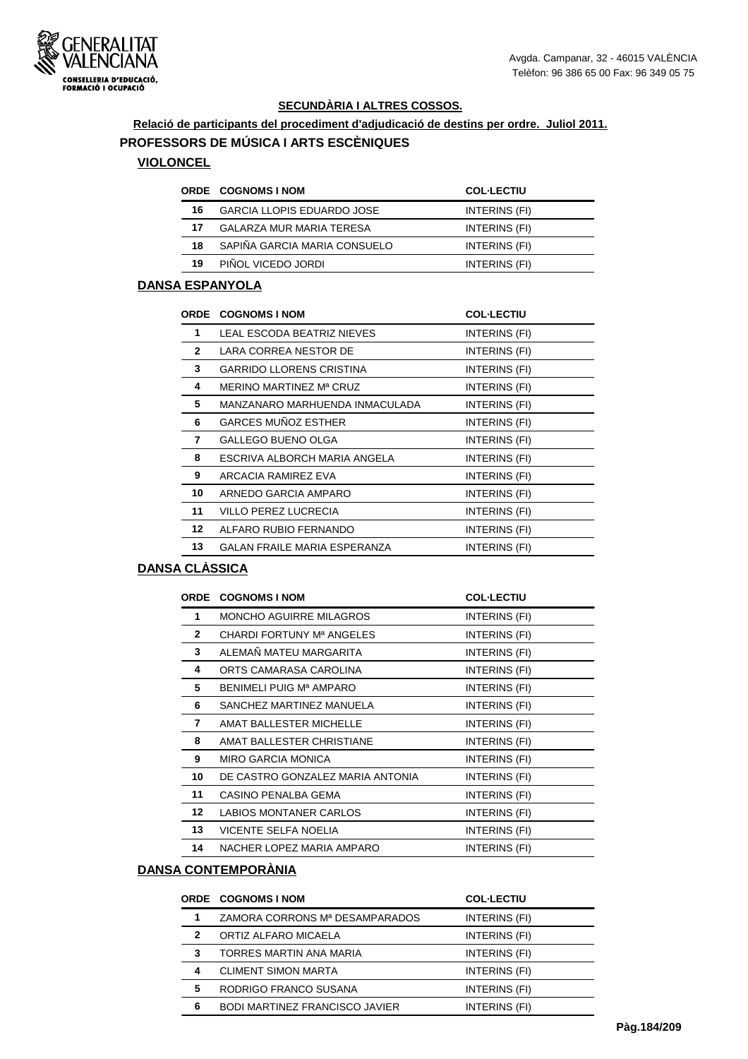

#### **Relació de participants del procediment d'adjudicació de destins per ordre. Juliol 2011. PROFESSORS DE MÚSICA I ARTS ESCÈNIQUES**

#### **VIOLONCEL**

|    | <b>ORDE COGNOMS INOM</b>          | <b>COL-LECTIU</b> |
|----|-----------------------------------|-------------------|
| 16 | <b>GARCIA LLOPIS EDUARDO JOSE</b> | INTERINS (FI)     |
| 17 | GALARZA MUR MARIA TERESA          | INTERINS (FI)     |
| 18 | SAPIÑA GARCIA MARIA CONSUELO      | INTERINS (FI)     |
| 19 | PIÑOL VICEDO JORDI                | INTERINS (FI)     |

## **DANSA ESPANYOLA**

| <b>ORDE</b>  | <b>COGNOMS I NOM</b>                | <b>COL-LECTIU</b> |
|--------------|-------------------------------------|-------------------|
| 1            | LEAL ESCODA BEATRIZ NIEVES          | INTERINS (FI)     |
| $\mathbf{2}$ | LARA CORREA NESTOR DE               | INTERINS (FI)     |
| 3            | <b>GARRIDO LLORENS CRISTINA</b>     | INTERINS (FI)     |
| 4            | MERINO MARTINEZ Mª CRUZ             | INTERINS (FI)     |
| 5            | MANZANARO MARHUENDA INMACULADA      | INTERINS (FI)     |
| 6            | <b>GARCES MUÑOZ ESTHER</b>          | INTERINS (FI)     |
| 7            | <b>GALLEGO BUENO OLGA</b>           | INTERINS (FI)     |
| 8            | ESCRIVA ALBORCH MARIA ANGELA        | INTERINS (FI)     |
| 9            | ARCACIA RAMIREZ EVA                 | INTERINS (FI)     |
| 10           | ARNEDO GARCIA AMPARO                | INTERINS (FI)     |
| 11           | VILLO PEREZ LUCRECIA                | INTERINS (FI)     |
| $12 \,$      | ALFARO RUBIO FERNANDO               | INTERINS (FI)     |
| 13           | <b>GALAN FRAILE MARIA ESPERANZA</b> | INTERINS (FI)     |

#### **DANSA CLÀSSICA**

|                  | <b>ORDE COGNOMS I NOM</b>             | <b>COL-LECTIU</b> |
|------------------|---------------------------------------|-------------------|
| 1                | <b>MONCHO AGUIRRE MILAGROS</b>        | INTERINS (FI)     |
| $\mathbf{2}$     | CHARDI FORTUNY M <sup>a</sup> ANGELES | INTERINS (FI)     |
| 3                | ALEMAÑ MATEU MARGARITA                | INTERINS (FI)     |
| 4                | ORTS CAMARASA CAROLINA                | INTERINS (FI)     |
| 5                | BENIMELI PUIG Mª AMPARO               | INTERINS (FI)     |
| 6                | SANCHEZ MARTINEZ MANUELA              | INTERINS (FI)     |
| 7                | AMAT BALLESTER MICHELLE               | INTERINS (FI)     |
| 8                | AMAT BALLESTER CHRISTIANE             | INTERINS (FI)     |
| 9                | <b>MIRO GARCIA MONICA</b>             | INTERINS (FI)     |
| 10               | DE CASTRO GONZALEZ MARIA ANTONIA      | INTERINS (FI)     |
| 11               | CASINO PENALBA GEMA                   | INTERINS (FI)     |
| 12 <sup>12</sup> | LABIOS MONTANER CARLOS                | INTERINS (FI)     |
| 13               | VICENTE SELFA NOELIA                  | INTERINS (FI)     |
| 14               | NACHER LOPEZ MARIA AMPARO             | INTERINS (FI)     |

#### **DANSA CONTEMPORÀNIA**

|              | <b>ORDE COGNOMS I NOM</b>             | <b>COL-LECTIU</b> |
|--------------|---------------------------------------|-------------------|
| 1            | ZAMORA CORRONS Mª DESAMPARADOS        | INTERINS (FI)     |
| $\mathbf{2}$ | ORTIZ ALFARO MICAELA                  | INTERINS (FI)     |
| 3            | TORRES MARTIN ANA MARIA               | INTERINS (FI)     |
| 4            | <b>CLIMENT SIMON MARTA</b>            | INTERINS (FI)     |
| 5            | RODRIGO FRANCO SUSANA                 | INTERINS (FI)     |
| 6            | <b>BODI MARTINEZ FRANCISCO JAVIER</b> | INTERINS (FI)     |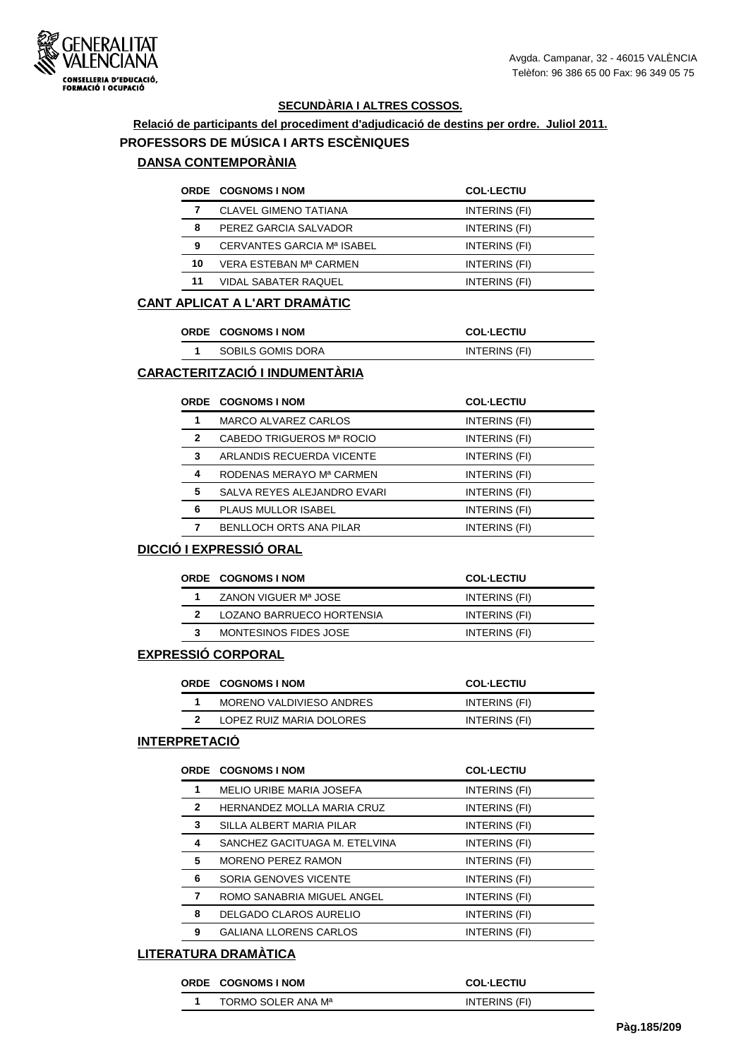

# **Relació de participants del procediment d'adjudicació de destins per ordre. Juliol 2011.**

# **PROFESSORS DE MÚSICA I ARTS ESCÈNIQUES**

## **DANSA CONTEMPORÀNIA**

|    | <b>ORDE COGNOMS I NOM</b>    | <b>COL-LECTIU</b> |
|----|------------------------------|-------------------|
|    | <b>CLAVEL GIMENO TATIANA</b> | INTERINS (FI)     |
| 8  | PEREZ GARCIA SALVADOR        | INTERINS (FI)     |
| 9  | CERVANTES GARCIA Mª ISABEL   | INTERINS (FI)     |
| 10 | VERA ESTEBAN Mª CARMEN       | INTERINS (FI)     |
| 11 | <b>VIDAL SABATER RAQUEL</b>  | INTERINS (FI)     |

#### **CANT APLICAT A L'ART DRAMÀTIC**

|  | <b>ORDE COGNOMS INOM</b> | <b>COL·LECTIU</b> |
|--|--------------------------|-------------------|
|  | SOBILS GOMIS DORA        | INTERINS (FI)     |

## **CARACTERITZACIÓ I INDUMENTÀRIA**

| <b>MARCO ALVAREZ CARLOS</b><br>1<br>INTERINS (FI) |  |
|---------------------------------------------------|--|
| CABEDO TRIGUEROS Mª ROCIO<br>2<br>INTERINS (FI)   |  |
| 3<br>ARLANDIS RECUERDA VICENTE<br>INTERINS (FI)   |  |
| 4<br>RODENAS MERAYO Mª CARMEN<br>INTERINS (FI)    |  |
| 5<br>SALVA REYES ALEJANDRO EVARI<br>INTERINS (FI) |  |
| 6<br><b>PLAUS MULLOR ISABEL</b><br>INTERINS (FI)  |  |
| <b>BENLLOCH ORTS ANA PILAR</b><br>INTERINS (FI)   |  |

#### **DICCIÓ I EXPRESSIÓ ORAL**

| <b>ORDE COGNOMS INOM</b>  | <b>COL-LECTIU</b> |
|---------------------------|-------------------|
| ZANON VIGUER Mª JOSE      | INTERINS (FI)     |
| LOZANO BARRUECO HORTENSIA | INTERINS (FI)     |
| MONTESINOS FIDES JOSE     | INTERINS (FI)     |

#### **EXPRESSIÓ CORPORAL**

| <b>ORDE COGNOMS INOM</b> | <b>COL-LECTIU</b> |
|--------------------------|-------------------|
| MORENO VALDIVIESO ANDRES | INTERINS (FI)     |
| LOPEZ RUIZ MARIA DOLORES | INTERINS (FI)     |

#### **INTERPRETACIÓ**

|              | <b>ORDE COGNOMS I NOM</b>       | <b>COL-LECTIU</b> |
|--------------|---------------------------------|-------------------|
|              | <b>MELIO URIBE MARIA JOSEFA</b> | INTERINS (FI)     |
| $\mathbf{2}$ | HERNANDEZ MOLLA MARIA CRUZ      | INTERINS (FI)     |
| 3            | SILLA ALBERT MARIA PILAR        | INTERINS (FI)     |
| 4            | SANCHEZ GACITUAGA M. ETELVINA   | INTERINS (FI)     |
| 5            | <b>MORENO PEREZ RAMON</b>       | INTERINS (FI)     |
| 6            | <b>SORIA GENOVES VICENTE</b>    | INTERINS (FI)     |
| 7            | ROMO SANABRIA MIGUEL ANGEL      | INTERINS (FI)     |
| 8            | DELGADO CLAROS AURELIO          | INTERINS (FI)     |
| 9            | <b>GALIANA LLORENS CARLOS</b>   | INTERINS (FI)     |
|              |                                 |                   |

#### **LITERATURA DRAMÀTICA**

#### **ORDE COGNOMS I NOM COL·LECTIU**

|    |                                | ---------     |
|----|--------------------------------|---------------|
| -4 | TORMO SOLER ANA M <sup>a</sup> | INTERINS (FI) |
|    |                                |               |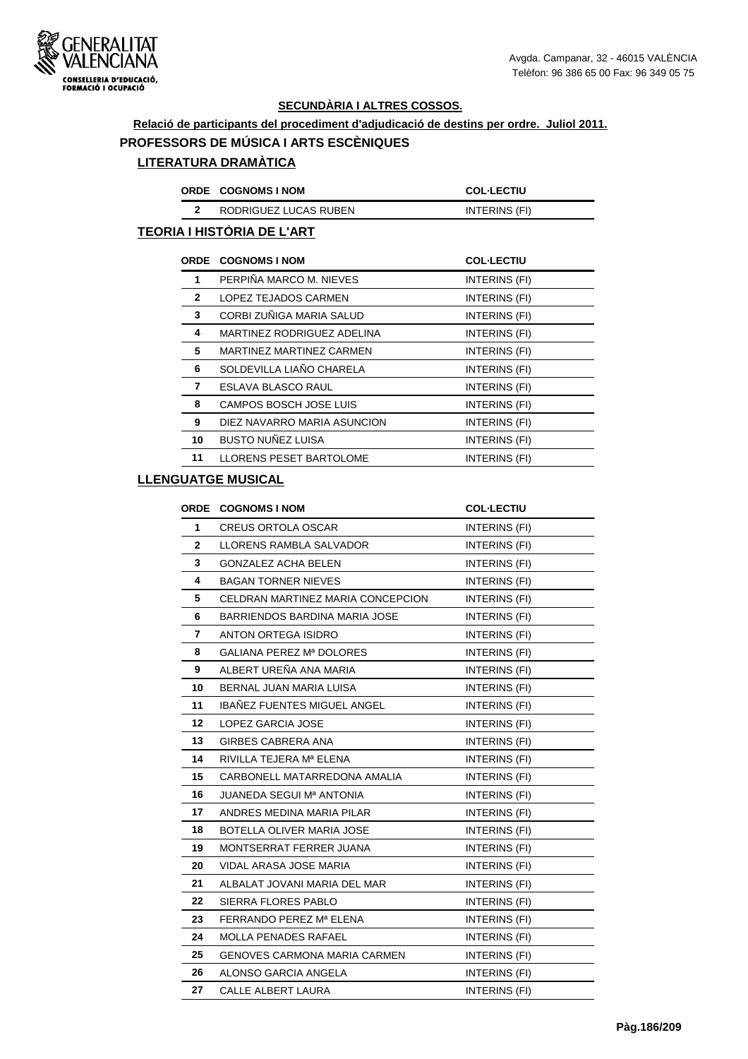#### **Relació de participants del procediment d'adjudicació de destins per ordre. Juliol 2011.**

#### **PROFESSORS DE MÚSICA I ARTS ESCÈNIQUES**

## **LITERATURA DRAMÀTICA**

| <b>ORDE COGNOMS INOM</b> | <b>COL·LECTIU</b> |
|--------------------------|-------------------|
| RODRIGUEZ LUCAS RUBEN    | INTERINS (FI)     |

## **TEORIA I HISTÒRIA DE L'ART**

|              | <b>ORDE COGNOMS I NOM</b>      | <b>COL-LECTIU</b> |
|--------------|--------------------------------|-------------------|
| 1            | PERPIÑA MARCO M. NIEVES        | INTERINS (FI)     |
| $\mathbf{2}$ | LOPEZ TEJADOS CARMEN           | INTERINS (FI)     |
| 3            | CORBI ZUÑIGA MARIA SALUD       | INTERINS (FI)     |
| 4            | MARTINEZ RODRIGUEZ ADELINA     | INTERINS (FI)     |
| 5            | MARTINEZ MARTINEZ CARMEN       | INTERINS (FI)     |
| 6            | SOLDEVILLA LIAÑO CHARELA       | INTERINS (FI)     |
| 7            | ESLAVA BLASCO RAUL             | INTERINS (FI)     |
| 8            | CAMPOS BOSCH JOSE LUIS         | INTERINS (FI)     |
| 9            | DIEZ NAVARRO MARIA ASUNCION    | INTERINS (FI)     |
| 10           | <b>BUSTO NUÑEZ LUISA</b>       | INTERINS (FI)     |
| 11           | <b>LLORENS PESET BARTOLOME</b> | INTERINS (FI)     |

## **LLENGUATGE MUSICAL**

|              | ORDE COGNOMS I NOM                   | <b>COL-LECTIU</b>    |
|--------------|--------------------------------------|----------------------|
| 1            | <b>CREUS ORTOLA OSCAR</b>            | INTERINS (FI)        |
| $\mathbf{2}$ | LLORENS RAMBLA SALVADOR              | INTERINS (FI)        |
| 3            | <b>GONZALEZ ACHA BELEN</b>           | INTERINS (FI)        |
| 4            | <b>BAGAN TORNER NIEVES</b>           | INTERINS (FI)        |
| 5            | CELDRAN MARTINEZ MARIA CONCEPCION    | INTERINS (FI)        |
| 6            | <b>BARRIENDOS BARDINA MARIA JOSE</b> | INTERINS (FI)        |
| 7            | ANTON ORTEGA ISIDRO                  | INTERINS (FI)        |
| 8            | GALIANA PEREZ Mª DOLORES             | INTERINS (FI)        |
| 9            | ALBERT UREÑA ANA MARIA               | INTERINS (FI)        |
| 10           | BERNAL JUAN MARIA LUISA              | INTERINS (FI)        |
| 11           | <b>IBAÑEZ FUENTES MIGUEL ANGEL</b>   | INTERINS (FI)        |
| 12           | LOPEZ GARCIA JOSE                    | INTERINS (FI)        |
| 13           | <b>GIRBES CABRERA ANA</b>            | INTERINS (FI)        |
| 14           | RIVILLA TEJERA Mª ELENA              | INTERINS (FI)        |
| 15           | CARBONELL MATARREDONA AMALIA         | INTERINS (FI)        |
| 16           | <b>JUANEDA SEGUI Mª ANTONIA</b>      | <b>INTERINS (FI)</b> |
| 17           | ANDRES MEDINA MARIA PILAR            | INTERINS (FI)        |
| 18           | BOTELLA OLIVER MARIA JOSE            | INTERINS (FI)        |
| 19           | MONTSERRAT FERRER JUANA              | INTERINS (FI)        |
| 20           | VIDAL ARASA JOSE MARIA               | INTERINS (FI)        |
| 21           | ALBALAT JOVANI MARIA DEL MAR         | INTERINS (FI)        |
| 22           | <b>SIERRA FLORES PABLO</b>           | INTERINS (FI)        |
| 23           | FERRANDO PEREZ Mª ELENA              | INTERINS (FI)        |
| 24           | <b>MOLLA PENADES RAFAEL</b>          | INTERINS (FI)        |
| 25           | <b>GENOVES CARMONA MARIA CARMEN</b>  | INTERINS (FI)        |
| 26           | ALONSO GARCIA ANGELA                 | INTERINS (FI)        |
| 27           | <b>CALLE ALBERT LAURA</b>            | INTERINS (FI)        |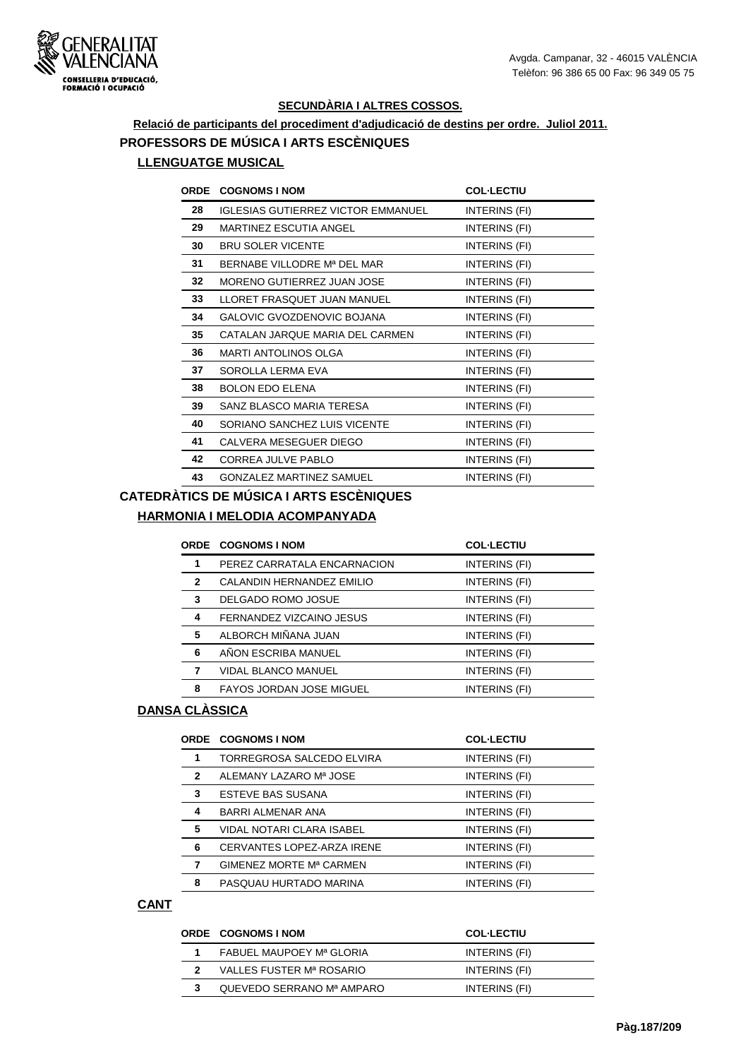

## **Relació de participants del procediment d'adjudicació de destins per ordre. Juliol 2011. PROFESSORS DE MÚSICA I ARTS ESCÈNIQUES LLENGUATGE MUSICAL**

| <b>ORDE</b> | <b>COGNOMS I NOM</b>                      | <b>COL-LECTIU</b> |
|-------------|-------------------------------------------|-------------------|
| 28          | <b>IGLESIAS GUTIERREZ VICTOR EMMANUEL</b> | INTERINS (FI)     |
| 29          | MARTINEZ ESCUTIA ANGEL                    | INTERINS (FI)     |
| 30          | <b>BRU SOLER VICENTE</b>                  | INTERINS (FI)     |
| 31          | BERNABE VILLODRE M <sup>a</sup> DEL MAR   | INTERINS (FI)     |
| 32          | MORENO GUTIERREZ JUAN JOSE                | INTERINS (FI)     |
| 33          | LLORET FRASQUET JUAN MANUEL               | INTERINS (FI)     |
| 34          | GALOVIC GVOZDENOVIC BOJANA                | INTERINS (FI)     |
| 35          | CATALAN JARQUE MARIA DEL CARMEN           | INTERINS (FI)     |
| 36          | <b>MARTI ANTOLINOS OLGA</b>               | INTERINS (FI)     |
| 37          | SOROLLA LERMA EVA                         | INTERINS (FI)     |
| 38          | <b>BOLON EDO ELENA</b>                    | INTERINS (FI)     |
| 39          | SANZ BLASCO MARIA TERESA                  | INTERINS (FI)     |
| 40          | SORIANO SANCHEZ LUIS VICENTE              | INTERINS (FI)     |
| 41          | CALVERA MESEGUER DIEGO                    | INTERINS (FI)     |
| 42          | CORREA JULVE PABLO                        | INTERINS (FI)     |
| 43          | <b>GONZALEZ MARTINEZ SAMUEL</b>           | INTERINS (FI)     |

## **CATEDRÀTICS DE MÚSICA I ARTS ESCÈNIQUES**

#### **HARMONIA I MELODIA ACOMPANYADA**

|              | <b>ORDE COGNOMS I NOM</b>       | <b>COL-LECTIU</b> |
|--------------|---------------------------------|-------------------|
| 1            | PEREZ CARRATALA ENCARNACION     | INTERINS (FI)     |
| $\mathbf{2}$ | CALANDIN HERNANDEZ EMILIO       | INTERINS (FI)     |
| 3            | DELGADO ROMO JOSUE              | INTERINS (FI)     |
| 4            | FERNANDEZ VIZCAINO JESUS        | INTERINS (FI)     |
| 5            | ALBORCH MIÑANA JUAN             | INTERINS (FI)     |
| 6            | AÑON ESCRIBA MANUEL             | INTERINS (FI)     |
| 7            | <b>VIDAL BLANCO MANUEL</b>      | INTERINS (FI)     |
| 8            | <b>FAYOS JORDAN JOSE MIGUEL</b> | INTERINS (FI)     |
|              |                                 |                   |

#### **DANSA CLÀSSICA**

|   | <b>ORDE COGNOMS INOM</b>   | <b>COL-LECTIU</b> |
|---|----------------------------|-------------------|
|   | TORREGROSA SALCEDO ELVIRA  | INTERINS (FI)     |
| 2 | ALEMANY LAZARO Mª JOSE     | INTERINS (FI)     |
| 3 | <b>ESTEVE BAS SUSANA</b>   | INTERINS (FI)     |
| 4 | <b>BARRI ALMENAR ANA</b>   | INTERINS (FI)     |
| 5 | VIDAL NOTARI CLARA ISABEL  | INTERINS (FI)     |
| 6 | CERVANTES LOPEZ-ARZA IRENE | INTERINS (FI)     |
|   | GIMENEZ MORTE Mª CARMEN    | INTERINS (FI)     |
| 8 | PASQUAU HURTADO MARINA     | INTERINS (FI)     |

#### **CANT**

| <b>ORDE COGNOMS INOM</b>  | <b>COL-LECTIU</b> |
|---------------------------|-------------------|
| FABUEL MAUPOEY Mª GLORIA  | INTERINS (FI)     |
| VALLES FUSTER Mª ROSARIO  | INTERINS (FI)     |
| QUEVEDO SERRANO Mª AMPARO | INTERINS (FI)     |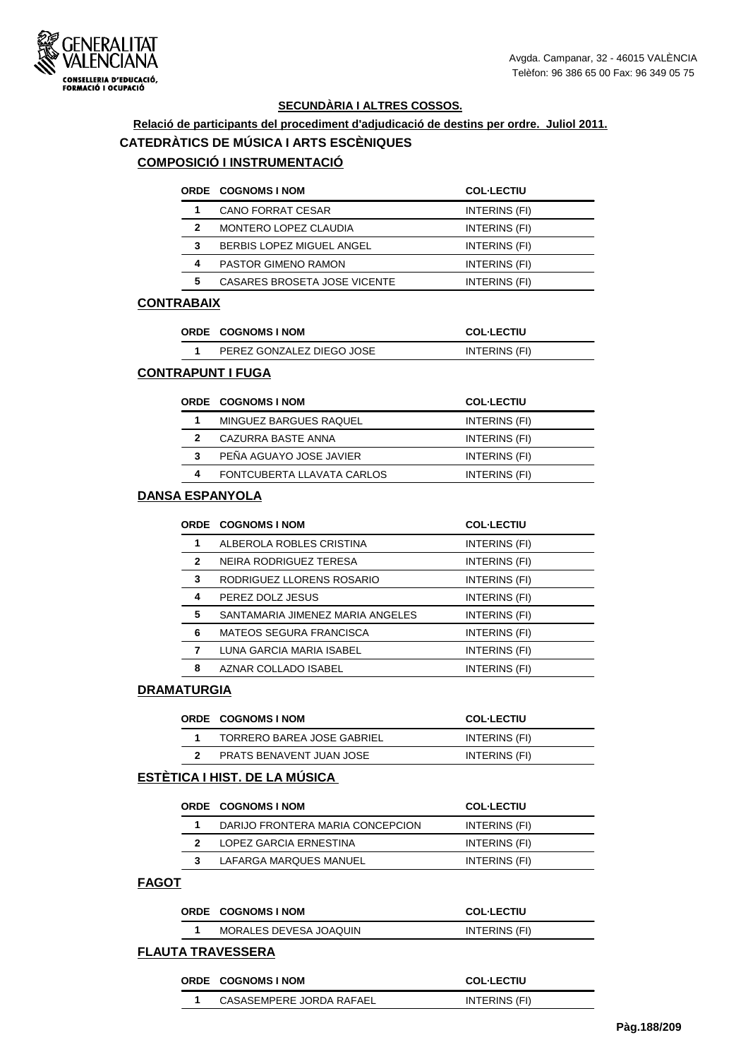

## **Relació de participants del procediment d'adjudicació de destins per ordre. Juliol 2011. CATEDRÀTICS DE MÚSICA I ARTS ESCÈNIQUES COMPOSICIÓ I INSTRUMENTACIÓ**

## **ORDE COGNOMS I NOM COL·LECTIU 1** CANO FORRAT CESAR INTERINS (FI) **2** MONTERO LOPEZ CLAUDIA **INTERINS** (FI) **3** BERBIS LOPEZ MIGUEL ANGEL **INTERINS** (FI) **4** PASTOR GIMENO RAMON INTERINS (FI) **5** CASARES BROSETA JOSE VICENTE INTERINS (FI)

#### **CONTRABAIX**

| <b>ORDE COGNOMS INOM</b>  | <b>COL-LECTIU</b> |
|---------------------------|-------------------|
| PEREZ GONZALEZ DIEGO JOSE | INTERINS (FI)     |

#### **CONTRAPUNT I FUGA**

|   | <b>ORDE COGNOMS INOM</b>   | <b>COL-LECTIU</b> |
|---|----------------------------|-------------------|
|   | MINGUEZ BARGUES RAQUEL     | INTERINS (FI)     |
| 2 | CAZURRA BASTE ANNA         | INTERINS (FI)     |
| 3 | PEÑA AGUAYO JOSE JAVIER    | INTERINS (FI)     |
|   | FONTCUBERTA LLAVATA CARLOS | INTERINS (FI)     |

#### **DANSA ESPANYOLA**

|              | <b>ORDE COGNOMS I NOM</b>        | <b>COL-LECTIU</b>    |
|--------------|----------------------------------|----------------------|
| 1            | ALBEROLA ROBLES CRISTINA         | INTERINS (FI)        |
| $\mathbf{2}$ | NEIRA RODRIGUEZ TERESA           | INTERINS (FI)        |
| 3            | RODRIGUEZ LLORENS ROSARIO        | INTERINS (FI)        |
| 4            | PEREZ DOLZ JESUS                 | <b>INTERINS (FI)</b> |
| 5            | SANTAMARIA JIMENEZ MARIA ANGELES | INTERINS (FI)        |
| 6            | <b>MATEOS SEGURA FRANCISCA</b>   | INTERINS (FI)        |
|              | LUNA GARCIA MARIA ISABEL         | INTERINS (FI)        |
| 8            | AZNAR COLLADO ISABEL             | INTERINS (FI)        |

#### **DRAMATURGIA**

| <b>ORDE COGNOMS INOM</b>   | <b>COL-LECTIU</b> |
|----------------------------|-------------------|
| TORRERO BAREA JOSE GABRIEL | INTERINS (FI)     |
| PRATS BENAVENT JUAN JOSE   | INTERINS (FI)     |

#### **ESTÈTICA I HIST. DE LA MÚSICA**

| <b>ORDE COGNOMS INOM</b>         | <b>COL-LECTIU</b> |
|----------------------------------|-------------------|
| DARIJO FRONTERA MARIA CONCEPCION | INTERINS (FI)     |
| LOPEZ GARCIA ERNESTINA           | INTERINS (FI)     |
| LAFARGA MARQUES MANUEL           | INTERINS (FI)     |

#### **FAGOT**

| <b>ORDE COGNOMS INOM</b> | <b>COL-LECTIU</b> |
|--------------------------|-------------------|
| MORALES DEVESA JOAQUIN   | INTERINS (FI)     |

#### **FLAUTA TRAVESSERA**

| ORDE COGNOMS INOM        | <b>COL-LECTIU</b> |  |
|--------------------------|-------------------|--|
| CASASEMPERE JORDA RAFAEL | INTERINS (FI)     |  |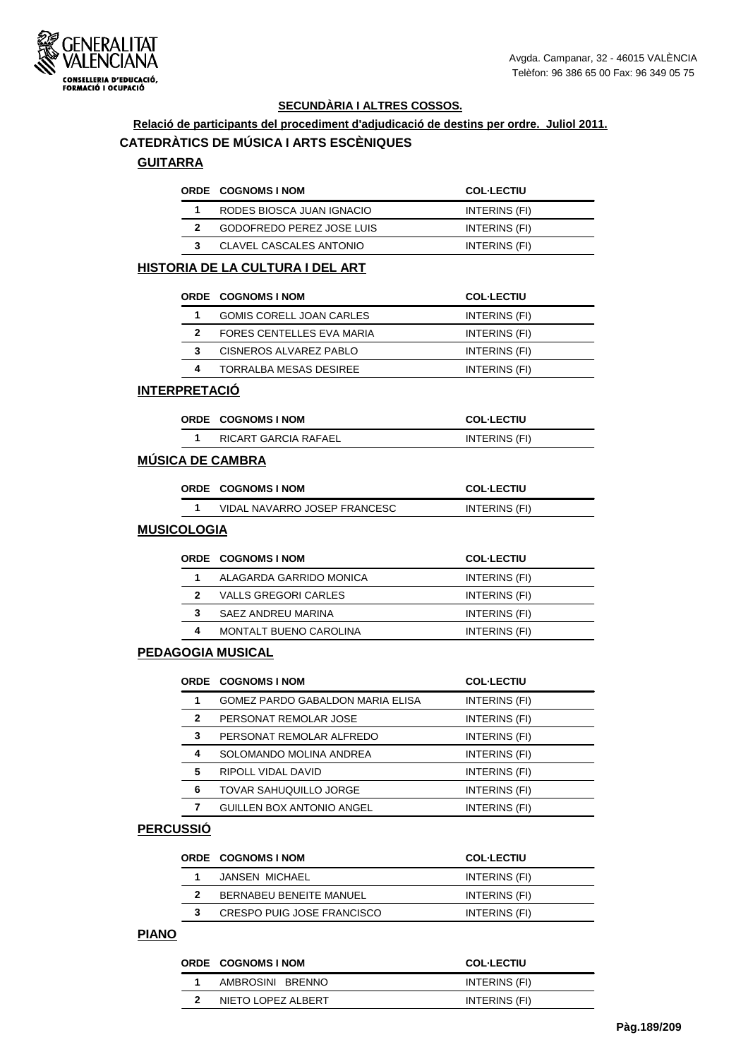

# **Relació de participants del procediment d'adjudicació de destins per ordre. Juliol 2011.**

## **CATEDRÀTICS DE MÚSICA I ARTS ESCÈNIQUES**

## **GUITARRA**

| <b>ORDE COGNOMS INOM</b>         | <b>COL-LECTIU</b> |
|----------------------------------|-------------------|
| RODES BIOSCA JUAN IGNACIO        | INTERINS (FI)     |
| <b>GODOFREDO PEREZ JOSE LUIS</b> | INTERINS (FI)     |
| <b>CLAVEL CASCALES ANTONIO</b>   | INTERINS (FI)     |

#### **HISTORIA DE LA CULTURA I DEL ART**

|   | <b>ORDE COGNOMS INOM</b>  | <b>COL-LECTIU</b> |
|---|---------------------------|-------------------|
|   | GOMIS CORELL JOAN CARLES  | INTERINS (FI)     |
| 2 | FORES CENTELLES EVA MARIA | INTERINS (FI)     |
| з | CISNEROS ALVAREZ PABLO    | INTERINS (FI)     |
| 4 | TORRALBA MESAS DESIREE    | INTERINS (FI)     |

#### **INTERPRETACIÓ**

| <b>ORDE COGNOMS INOM</b> | <b>COL·LECTIU</b> |
|--------------------------|-------------------|
| RICART GARCIA RAFAEL     | INTERINS (FI)     |

## **MÚSICA DE CAMBRA**

| <b>ORDE COGNOMS INOM</b>     | <b>COL-LECTIU</b> |
|------------------------------|-------------------|
| VIDAL NAVARRO JOSEP FRANCESC | INTERINS (FI)     |

#### **MUSICOLOGIA**

|   | <b>ORDE COGNOMS INOM</b> | <b>COL-LECTIU</b> |
|---|--------------------------|-------------------|
|   | ALAGARDA GARRIDO MONICA  | INTERINS (FI)     |
|   | VALLS GREGORI CARLES     | INTERINS (FI)     |
| 3 | SAEZ ANDREU MARINA       | INTERINS (FI)     |
| Δ | MONTALT BUENO CAROLINA   | INTERINS (FI)     |

#### **PEDAGOGIA MUSICAL**

|   | <b>ORDE COGNOMS I NOM</b>        | <b>COL-LECTIU</b> |
|---|----------------------------------|-------------------|
| 1 | GOMEZ PARDO GABALDON MARIA ELISA | INTERINS (FI)     |
| 2 | PERSONAT REMOLAR JOSE            | INTERINS (FI)     |
| 3 | PERSONAT REMOLAR ALFREDO         | INTERINS (FI)     |
| 4 | SOLOMANDO MOLINA ANDREA          | INTERINS (FI)     |
| 5 | RIPOLL VIDAL DAVID               | INTERINS (FI)     |
| 6 | TOVAR SAHUQUILLO JORGE           | INTERINS (FI)     |
| 7 | <b>GUILLEN BOX ANTONIO ANGEL</b> | INTERINS (FI)     |

#### **PERCUSSIÓ**

| <b>ORDE COGNOMS INOM</b>       | <b>COL-LECTIU</b> |
|--------------------------------|-------------------|
| JANSEN MICHAEL                 | INTERINS (FI)     |
| <b>BERNABEU BENEITE MANUEL</b> | INTERINS (FI)     |
| CRESPO PUIG JOSE FRANCISCO     | INTERINS (FI)     |

#### **PIANO**

| <b>ORDE COGNOMS INOM</b> | <b>COL-LECTIU</b> |
|--------------------------|-------------------|
| AMBROSINI BRENNO         | INTERINS (FI)     |
| NIETO LOPEZ ALBERT       | INTERINS (FI)     |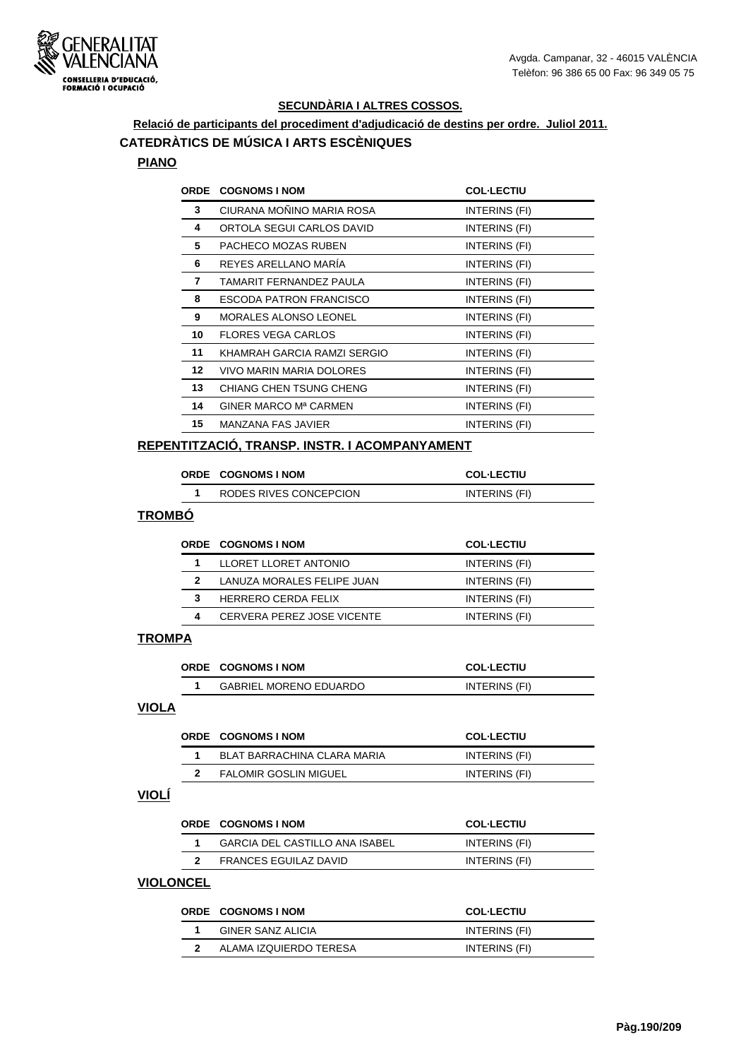

## **Relació de participants del procediment d'adjudicació de destins per ordre. Juliol 2011. CATEDRÀTICS DE MÚSICA I ARTS ESCÈNIQUES**

#### **PIANO**

| <b>ORDE</b>      | <b>COGNOMS I NOM</b>           | <b>COL-LECTIU</b> |
|------------------|--------------------------------|-------------------|
| 3                | CIURANA MOÑINO MARIA ROSA      | INTERINS (FI)     |
| 4                | ORTOLA SEGUI CARLOS DAVID      | INTERINS (FI)     |
| 5                | PACHECO MOZAS RUBEN            | INTERINS (FI)     |
| 6                | REYES ARELLANO MARÍA           | INTERINS (FI)     |
| 7                | TAMARIT FERNANDEZ PAULA        | INTERINS (FI)     |
| 8                | ESCODA PATRON FRANCISCO        | INTERINS (FI)     |
| 9                | <b>MORALES ALONSO LEONEL</b>   | INTERINS (FI)     |
| 10               | <b>FLORES VEGA CARLOS</b>      | INTERINS (FI)     |
| 11               | KHAMRAH GARCIA RAMZI SERGIO    | INTERINS (FI)     |
| 12 <sup>12</sup> | VIVO MARIN MARIA DOLORES       | INTERINS (FI)     |
| 13               | <b>CHIANG CHEN TSUNG CHENG</b> | INTERINS (FI)     |
| 14               | GINER MARCO Mª CARMEN          | INTERINS (FI)     |
| 15               | MANZANA FAS JAVIER             | INTERINS (FI)     |
|                  |                                |                   |

#### **REPENTITZACIÓ, TRANSP. INSTR. I ACOMPANYAMENT**

| <b>ORDE COGNOMS INOM</b> | <b>COL-LECTIU</b> |
|--------------------------|-------------------|
| RODES RIVES CONCEPCION   | INTERINS (FI)     |

#### **TROMBÓ**

|   | <b>ORDE COGNOMS INOM</b>   | <b>COL-LECTIU</b> |
|---|----------------------------|-------------------|
|   | LLORET LLORET ANTONIO      | INTERINS (FI)     |
| 2 | LANUZA MORALES FELIPE JUAN | INTERINS (FI)     |
| 3 | <b>HERRERO CERDA FELIX</b> | INTERINS (FI)     |
| Δ | CERVERA PEREZ JOSE VICENTE | INTERINS (FI)     |

#### **TROMPA**

|  | ORDE COGNOMS INOM             | <b>COL-LECTIU</b> |
|--|-------------------------------|-------------------|
|  | <b>GABRIEL MORENO EDUARDO</b> | INTERINS (FI)     |
|  |                               |                   |

#### **VIOLA**

| <b>ORDE COGNOMS INOM</b>     | <b>COL-LECTIU</b> |
|------------------------------|-------------------|
| BLAT BARRACHINA CLARA MARIA  | INTERINS (FI)     |
| <b>FALOMIR GOSLIN MIGUEL</b> | INTERINS (FI)     |

#### **VIOLÍ**

| <b>ORDE COGNOMS INOM</b>       | <b>COL-LECTIU</b> |
|--------------------------------|-------------------|
| GARCIA DEL CASTILLO ANA ISABEL | INTERINS (FI)     |
| FRANCES EGUILAZ DAVID          | INTERINS (FI)     |

#### **VIOLONCEL**

| <b>ORDE COGNOMS INOM</b> | <b>COL-LECTIU</b> |
|--------------------------|-------------------|
| GINER SANZ ALICIA        | INTERINS (FI)     |
| ALAMA IZQUIERDO TERESA   | INTERINS (FI)     |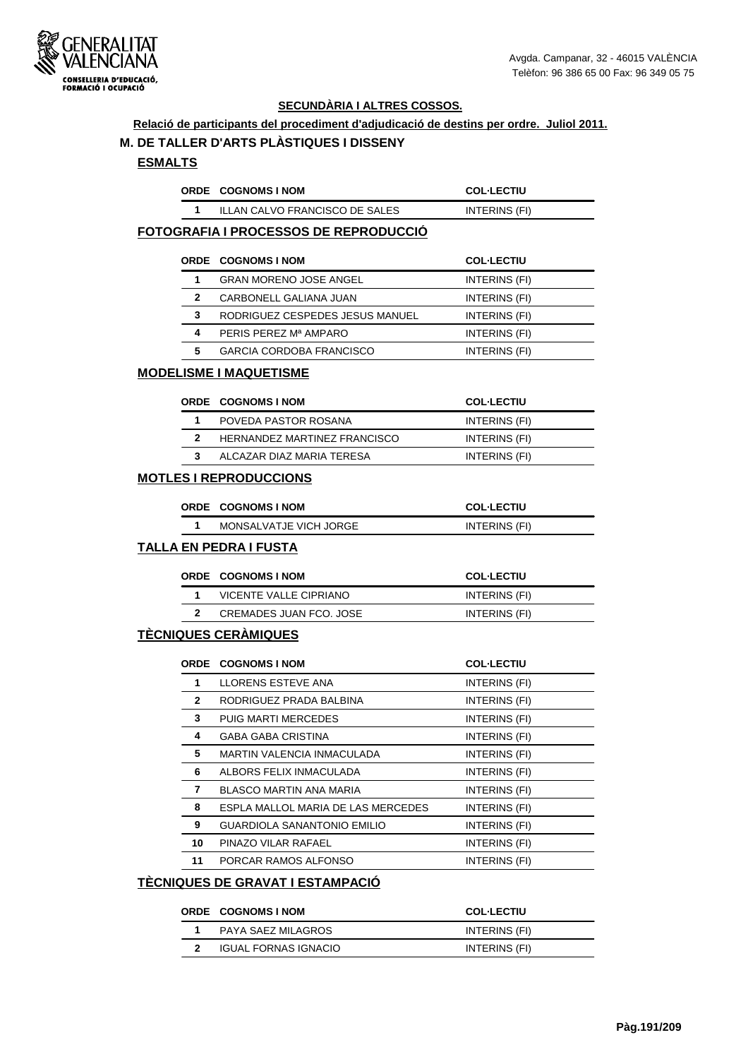

#### **Relació de participants del procediment d'adjudicació de destins per ordre. Juliol 2011.**

#### **M. DE TALLER D'ARTS PLÀSTIQUES I DISSENY**

#### **ESMALTS**

| ORDE COGNOMS INOM              | <b>COL·LECTIU</b> |
|--------------------------------|-------------------|
| ILLAN CALVO FRANCISCO DE SALES | INTERINS (FI)     |

## **FOTOGRAFIA I PROCESSOS DE REPRODUCCIÓ**

|   | <b>ORDE COGNOMS I NOM</b>       | <b>COL-LECTIU</b> |
|---|---------------------------------|-------------------|
| 1 | <b>GRAN MORENO JOSE ANGEL</b>   | INTERINS (FI)     |
| 2 | CARBONELL GALIANA JUAN          | INTERINS (FI)     |
| 3 | RODRIGUEZ CESPEDES JESUS MANUEL | INTERINS (FI)     |
| 4 | PERIS PEREZ Mª AMPARO           | INTERINS (FI)     |
| 5 | <b>GARCIA CORDOBA FRANCISCO</b> | INTERINS (FI)     |

#### **MODELISME I MAQUETISME**

|  | <b>ORDE COGNOMS INOM</b>     | <b>COL-LECTIU</b> |
|--|------------------------------|-------------------|
|  | POVEDA PASTOR ROSANA         | INTERINS (FI)     |
|  | HERNANDEZ MARTINEZ FRANCISCO | INTERINS (FI)     |
|  | ALCAZAR DIAZ MARIA TERESA    | INTERINS (FI)     |

#### **MOTLES I REPRODUCCIONS**

| ORDE COGNOMS I NOM     | <b>COL-LECTIU</b> |
|------------------------|-------------------|
| MONSALVATJE VICH JORGE | INTERINS (FI)     |

#### **TALLA EN PEDRA I FUSTA**

| <b>ORDE COGNOMS INOM</b> | <b>COL-LECTIU</b> |
|--------------------------|-------------------|
| VICENTE VALLE CIPRIANO   | INTERINS (FI)     |
| CREMADES JUAN FCO. JOSE  | INTERINS (FI)     |

#### **TÈCNIQUES CERÀMIQUES**

|              | <b>ORDE COGNOMS I NOM</b>          | <b>COL-LECTIU</b> |
|--------------|------------------------------------|-------------------|
| 1            | LLORENS ESTEVE ANA                 | INTERINS (FI)     |
| $\mathbf{2}$ | RODRIGUEZ PRADA BALBINA            | INTERINS (FI)     |
| 3            | PUIG MARTI MERCEDES                | INTERINS (FI)     |
| 4            | GABA GABA CRISTINA                 | INTERINS (FI)     |
| 5            | <b>MARTIN VALENCIA INMACULADA</b>  | INTERINS (FI)     |
| 6            | ALBORS FELIX INMACULADA            | INTERINS (FI)     |
| 7            | BLASCO MARTIN ANA MARIA            | INTERINS (FI)     |
| 8            | ESPLA MALLOL MARIA DE LAS MERCEDES | INTERINS (FI)     |
| 9            | GUARDIOLA SANANTONIO EMILIO        | INTERINS (FI)     |
| 10           | PINAZO VILAR RAFAEL                | INTERINS (FI)     |
| 11           | PORCAR RAMOS ALFONSO               | INTERINS (FI)     |

## **TÈCNIQUES DE GRAVAT I ESTAMPACIÓ**

| <b>ORDE COGNOMS INOM</b> | <b>COL-LECTIU</b> |
|--------------------------|-------------------|
| PAYA SAEZ MILAGROS       | INTERINS (FI)     |
| IGUAL FORNAS IGNACIO     | INTERINS (FI)     |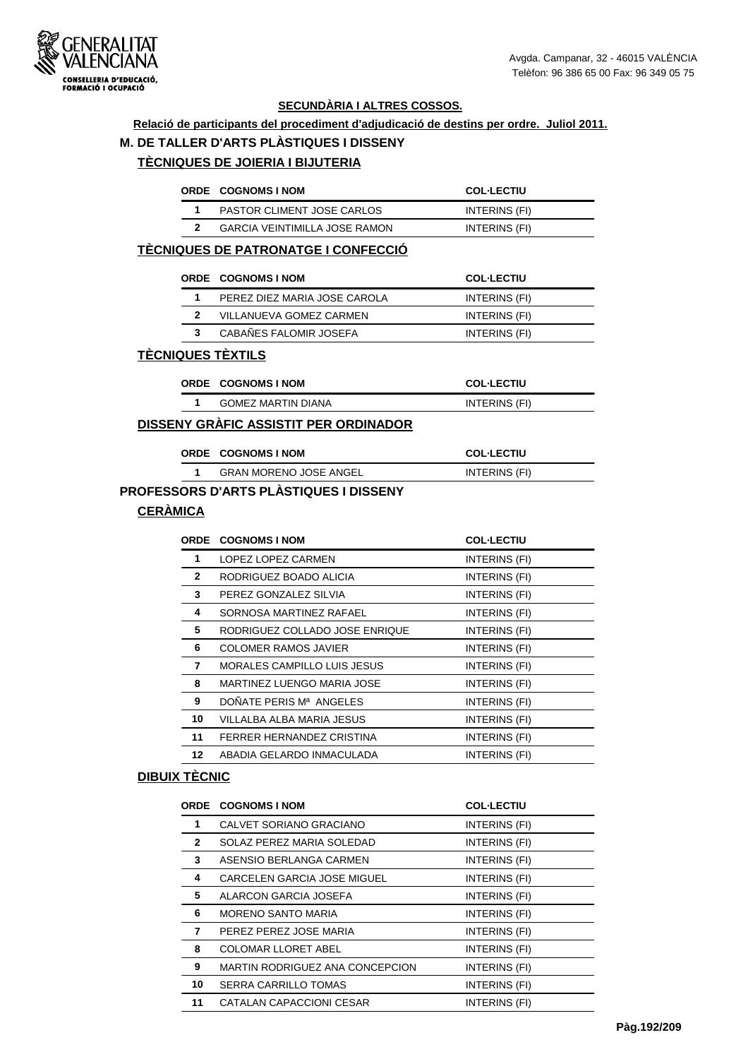

#### **Relació de participants del procediment d'adjudicació de destins per ordre. Juliol 2011.**

## **M. DE TALLER D'ARTS PLÀSTIQUES I DISSENY**

## **TÈCNIQUES DE JOIERIA I BIJUTERIA**

|  | <b>ORDE COGNOMS INOM</b>          | <b>COL-LECTIU</b> |
|--|-----------------------------------|-------------------|
|  | <b>PASTOR CLIMENT JOSE CARLOS</b> | INTERINS (FI)     |
|  | GARCIA VEINTIMILLA JOSE RAMON     | INTERINS (FI)     |

## **TÈCNIQUES DE PATRONATGE I CONFECCIÓ**

|  | <b>ORDE COGNOMS INOM</b>     | <b>COL-LECTIU</b> |
|--|------------------------------|-------------------|
|  | PEREZ DIEZ MARIA JOSE CAROLA | INTERINS (FI)     |
|  | VILLANUEVA GOMEZ CARMEN      | INTERINS (FI)     |
|  | CABAÑES FALOMIR JOSEFA       | INTERINS (FI)     |
|  |                              |                   |

## **TÈCNIQUES TÈXTILS**

| <b>ORDE COGNOMS INOM</b> | <b>COL·LECTIU</b> |
|--------------------------|-------------------|
| GOMEZ MARTIN DIANA       | INTERINS (FI)     |

#### **DISSENY GRÀFIC ASSISTIT PER ORDINADOR**

| <b>ORDE COGNOMS INOM</b>      | <b>COL·LECTIU</b> |
|-------------------------------|-------------------|
| <b>GRAN MORENO JOSE ANGEL</b> | INTERINS (FI)     |

## **PROFESSORS D'ARTS PLÀSTIQUES I DISSENY**

## **CERÀMICA**

| ORDE         | <b>COGNOMS I NOM</b>               | <b>COL-LECTIU</b> |
|--------------|------------------------------------|-------------------|
| 1            | LOPEZ LOPEZ CARMEN                 | INTERINS (FI)     |
| $\mathbf{2}$ | RODRIGUEZ BOADO ALICIA             | INTERINS (FI)     |
| 3            | PEREZ GONZALEZ SILVIA              | INTERINS (FI)     |
| 4            | SORNOSA MARTINEZ RAFAEL            | INTERINS (FI)     |
| 5            | RODRIGUEZ COLLADO JOSE ENRIQUE     | INTERINS (FI)     |
| 6            | <b>COLOMER RAMOS JAVIER</b>        | INTERINS (FI)     |
| 7            | <b>MORALES CAMPILLO LUIS JESUS</b> | INTERINS (FI)     |
| 8            | MARTINEZ LUENGO MARIA JOSE         | INTERINS (FI)     |
| 9            | DOÑATE PERIS Mª ANGELES            | INTERINS (FI)     |
| 10           | VILLALBA ALBA MARIA JESUS          | INTERINS (FI)     |
| 11           | FERRER HERNANDEZ CRISTINA          | INTERINS (FI)     |
| 12           | ABADIA GELARDO INMACULADA          | INTERINS (FI)     |

#### **DIBUIX TÈCNIC**

|              | ORDE COGNOMS I NOM                 | <b>COL-LECTIU</b> |
|--------------|------------------------------------|-------------------|
| 1            | CALVET SORIANO GRACIANO            | INTERINS (FI)     |
| $\mathbf{2}$ | SOLAZ PEREZ MARIA SOLEDAD          | INTERINS (FI)     |
| 3            | ASENSIO BERLANGA CARMEN            | INTERINS (FI)     |
| 4            | <b>CARCELEN GARCIA JOSE MIGUEL</b> | INTERINS (FI)     |
| 5            | ALARCON GARCIA JOSEFA              | INTERINS (FI)     |
| 6            | MORENO SANTO MARIA                 | INTERINS (FI)     |
| 7            | PEREZ PEREZ JOSE MARIA             | INTERINS (FI)     |
| 8            | <b>COLOMAR LLORET ABEL</b>         | INTERINS (FI)     |
| 9            | MARTIN RODRIGUEZ ANA CONCEPCION    | INTERINS (FI)     |
| 10           | <b>SERRA CARRILLO TOMAS</b>        | INTERINS (FI)     |
| 11           | CATALAN CAPACCIONI CESAR           | INTERINS (FI)     |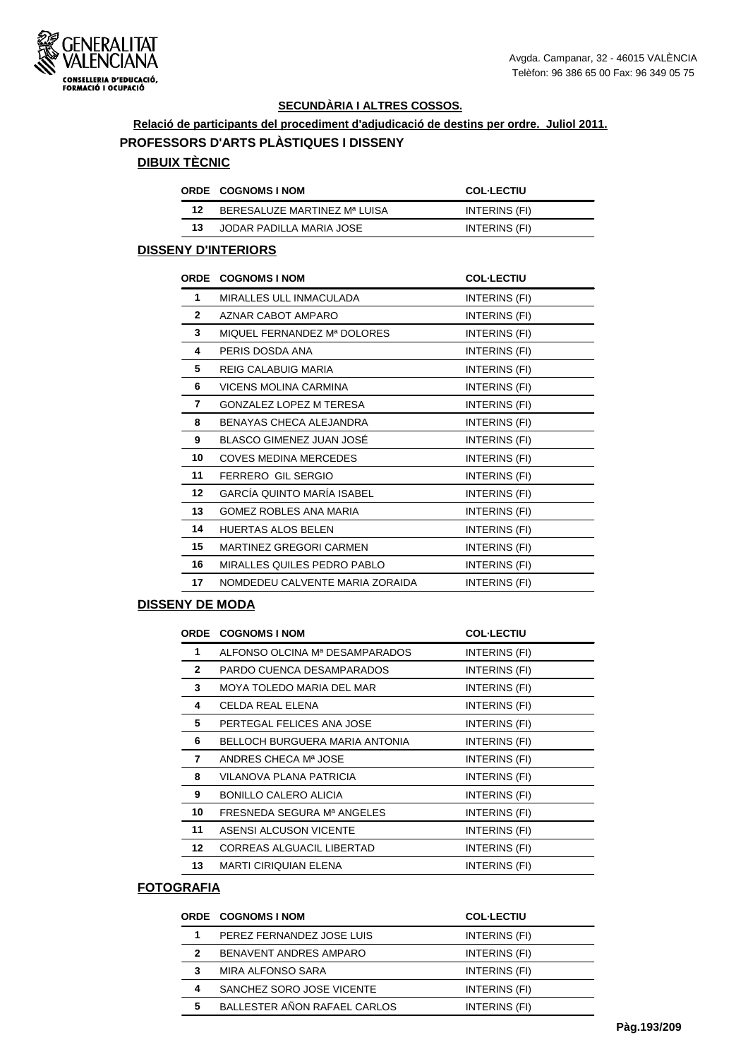

**Relació de participants del procediment d'adjudicació de destins per ordre. Juliol 2011. PROFESSORS D'ARTS PLÀSTIQUES I DISSENY**

## **DIBUIX TÈCNIC**

|    | <b>ORDE COGNOMS INOM</b>     | <b>COL-LECTIU</b> |
|----|------------------------------|-------------------|
| 12 | BERESALUZE MARTINEZ Mª LUISA | INTERINS (FI)     |
| 13 | JODAR PADILLA MARIA JOSE     | INTERINS (FI)     |

#### **DISSENY D'INTERIORS**

| <b>ORDE</b>     | <b>COGNOMS I NOM</b>              | <b>COL-LECTIU</b> |
|-----------------|-----------------------------------|-------------------|
| 1               | MIRALLES ULL INMACULADA           | INTERINS (FI)     |
| $\mathbf{2}$    | AZNAR CABOT AMPARO                | INTERINS (FI)     |
| 3               | MIQUEL FERNANDEZ Mª DOLORES       | INTERINS (FI)     |
| 4               | PERIS DOSDA ANA                   | INTERINS (FI)     |
| 5               | REIG CALABUIG MARIA               | INTERINS (FI)     |
| 6               | VICENS MOLINA CARMINA             | INTERINS (FI)     |
| 7               | GONZALEZ LOPEZ M TERESA           | INTERINS (FI)     |
| 8               | BENAYAS CHECA ALEJANDRA           | INTERINS (FI)     |
| 9               | BLASCO GIMENEZ JUAN JOSÉ          | INTERINS (FI)     |
| 10              | COVES MEDINA MERCEDES             | INTERINS (FI)     |
| 11              | FERRERO GIL SERGIO                | INTERINS (FI)     |
| 12 <sup>2</sup> | <b>GARCÍA QUINTO MARÍA ISABEL</b> | INTERINS (FI)     |
| 13              | <b>GOMEZ ROBLES ANA MARIA</b>     | INTERINS (FI)     |
| 14              | <b>HUERTAS ALOS BELEN</b>         | INTERINS (FI)     |
| 15              | <b>MARTINEZ GREGORI CARMEN</b>    | INTERINS (FI)     |
| 16              | MIRALLES QUILES PEDRO PABLO       | INTERINS (FI)     |
| 17              | NOMDEDEU CALVENTE MARIA ZORAIDA   | INTERINS (FI)     |

#### **DISSENY DE MODA**

|              | <b>ORDE COGNOMS INOM</b>         | <b>COL-LECTIU</b> |
|--------------|----------------------------------|-------------------|
| 1            | ALFONSO OLCINA Mª DESAMPARADOS   | INTERINS (FI)     |
| $\mathbf{2}$ | PARDO CUENCA DESAMPARADOS        | INTERINS (FI)     |
| 3            | MOYA TOLEDO MARIA DEL MAR        | INTERINS (FI)     |
| 4            | CELDA REAL ELENA                 | INTERINS (FI)     |
| 5            | PERTEGAL FELICES ANA JOSE        | INTERINS (FI)     |
| 6            | BELLOCH BURGUERA MARIA ANTONIA   | INTERINS (FI)     |
| 7            | ANDRES CHECA Mª JOSE             | INTERINS (FI)     |
| 8            | VILANOVA PLANA PATRICIA          | INTERINS (FI)     |
| 9            | <b>BONILLO CALERO ALICIA</b>     | INTERINS (FI)     |
| 10           | FRESNEDA SEGURA Mª ANGELES       | INTERINS (FI)     |
| 11           | ASENSI ALCUSON VICENTE           | INTERINS (FI)     |
| 12           | <b>CORREAS ALGUACIL LIBERTAD</b> | INTERINS (FI)     |
| 13           | <b>MARTI CIRIQUIAN ELENA</b>     | INTERINS (FI)     |

## **FOTOGRAFIA**

|              | <b>ORDE COGNOMS I NOM</b>    | <b>COL-LECTIU</b> |
|--------------|------------------------------|-------------------|
| 1            | PEREZ FERNANDEZ JOSE LUIS    | INTERINS (FI)     |
| $\mathbf{2}$ | BENAVENT ANDRES AMPARO       | INTERINS (FI)     |
| 3            | MIRA ALFONSO SARA            | INTERINS (FI)     |
| 4            | SANCHEZ SORO JOSE VICENTE    | INTERINS (FI)     |
| 5            | BALLESTER AÑON RAFAEL CARLOS | INTERINS (FI)     |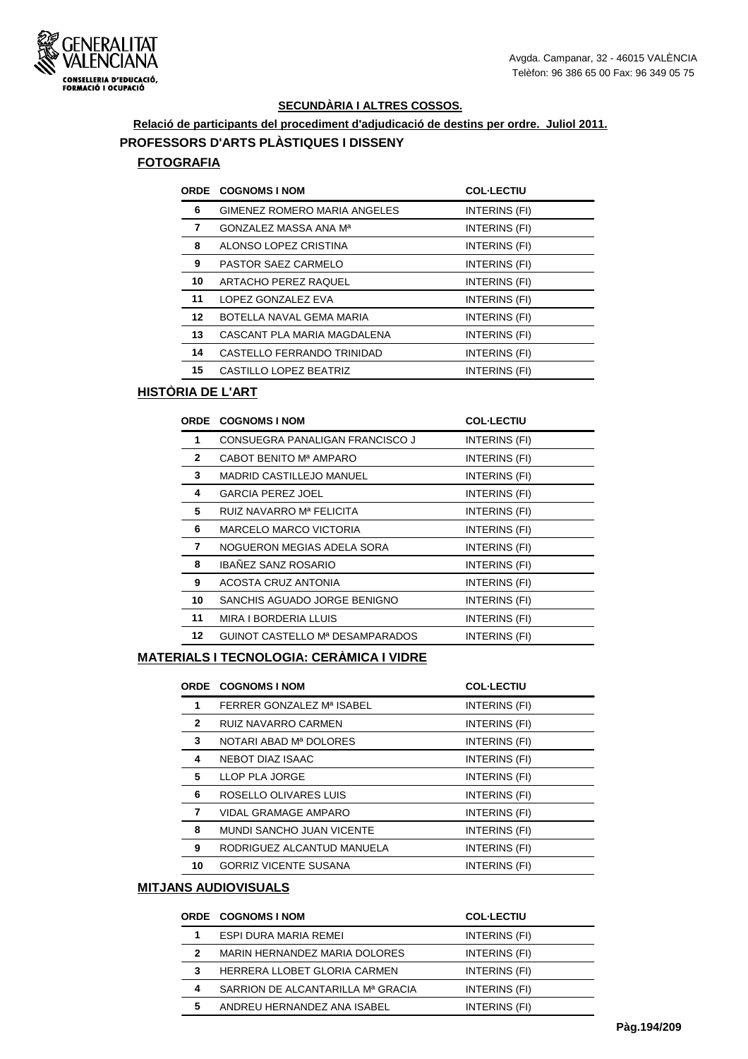

# **Relació de participants del procediment d'adjudicació de destins per ordre. Juliol 2011. PROFESSORS D'ARTS PLÀSTIQUES I DISSENY**

#### **FOTOGRAFIA**

|    | <b>ORDE COGNOMS I NOM</b>    | <b>COL-LECTIU</b> |
|----|------------------------------|-------------------|
| 6  | GIMENEZ ROMERO MARIA ANGELES | INTERINS (FI)     |
| 7  | GONZALEZ MASSA ANA Mª        | INTERINS (FI)     |
| 8  | ALONSO LOPEZ CRISTINA        | INTERINS (FI)     |
| 9  | PASTOR SAEZ CARMELO          | INTERINS (FI)     |
| 10 | ARTACHO PEREZ RAQUEL         | INTERINS (FI)     |
| 11 | LOPEZ GONZALEZ EVA           | INTERINS (FI)     |
| 12 | BOTELLA NAVAL GEMA MARIA     | INTERINS (FI)     |
| 13 | CASCANT PLA MARIA MAGDALENA  | INTERINS (FI)     |
| 14 | CASTELLO FERRANDO TRINIDAD   | INTERINS (FI)     |
| 15 | CASTILLO LOPEZ BEATRIZ       | INTERINS (FI)     |

## **HISTÒRIA DE L'ART**

|              | <b>ORDE COGNOMS I NOM</b>       | <b>COL-LECTIU</b> |
|--------------|---------------------------------|-------------------|
| 1            | CONSUEGRA PANALIGAN FRANCISCO J | INTERINS (FI)     |
| $\mathbf{2}$ | CABOT BENITO Mª AMPARO          | INTERINS (FI)     |
| 3            | <b>MADRID CASTILLEJO MANUEL</b> | INTERINS (FI)     |
| 4            | <b>GARCIA PEREZ JOEL</b>        | INTERINS (FI)     |
| 5            | RUIZ NAVARRO Mª FELICITA        | INTERINS (FI)     |
| 6            | <b>MARCELO MARCO VICTORIA</b>   | INTERINS (FI)     |
| 7            | NOGUERON MEGIAS ADELA SORA      | INTERINS (FI)     |
| 8            | <b>IBAÑEZ SANZ ROSARIO</b>      | INTERINS (FI)     |
| 9            | ACOSTA CRUZ ANTONIA             | INTERINS (FI)     |
| 10           | SANCHIS AGUADO JORGE BENIGNO    | INTERINS (FI)     |
| 11           | MIRA I BORDERIA LLUIS           | INTERINS (FI)     |
| 12           | GUINOT CASTELLO Mª DESAMPARADOS | INTERINS (FI)     |
|              |                                 |                   |

#### **MATERIALS I TECNOLOGIA: CERÀMICA I VIDRE**

|              | <b>ORDE COGNOMS I NOM</b>    | <b>COL-LECTIU</b> |
|--------------|------------------------------|-------------------|
| 1            | FERRER GONZALEZ Mª ISABEL    | INTERINS (FI)     |
| $\mathbf{2}$ | RUIZ NAVARRO CARMEN          | INTERINS (FI)     |
| 3            | NOTARI ABAD Mª DOLORES       | INTERINS (FI)     |
| 4            | NEBOT DIAZ ISAAC             | INTERINS (FI)     |
| 5            | LLOP PLA JORGE               | INTERINS (FI)     |
| 6            | ROSELLO OLIVARES LUIS        | INTERINS (FI)     |
| 7            | VIDAL GRAMAGE AMPARO         | INTERINS (FI)     |
| 8            | MUNDI SANCHO JUAN VICENTE    | INTERINS (FI)     |
| 9            | RODRIGUEZ ALCANTUD MANUELA   | INTERINS (FI)     |
| 10           | <b>GORRIZ VICENTE SUSANA</b> | INTERINS (FI)     |

## **MITJANS AUDIOVISUALS**

|   | <b>ORDE COGNOMS I NOM</b>         | <b>COL-LECTIU</b> |
|---|-----------------------------------|-------------------|
| 1 | ESPI DURA MARIA REMEI             | INTERINS (FI)     |
| 2 | MARIN HERNANDEZ MARIA DOLORES     | INTERINS (FI)     |
| 3 | HERRERA LLOBET GLORIA CARMEN      | INTERINS (FI)     |
| 4 | SARRION DE ALCANTARILLA Mª GRACIA | INTERINS (FI)     |
| 5 | ANDREU HERNANDEZ ANA ISABEL       | INTERINS (FI)     |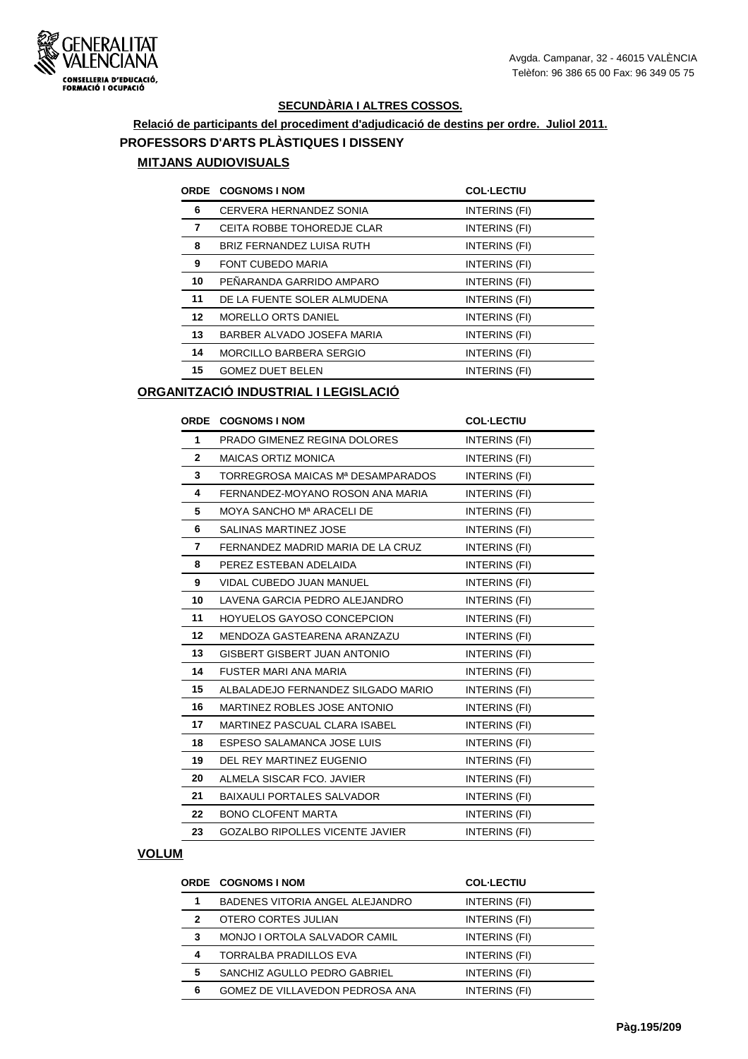

## **Relació de participants del procediment d'adjudicació de destins per ordre. Juliol 2011. PROFESSORS D'ARTS PLÀSTIQUES I DISSENY MITJANS AUDIOVISUALS**

|    | <b>ORDE COGNOMS I NOM</b>      | <b>COL-LECTIU</b> |
|----|--------------------------------|-------------------|
| 6  | CERVERA HERNANDEZ SONIA        | INTERINS (FI)     |
| 7  | CEITA ROBBE TOHOREDJE CLAR     | INTERINS (FI)     |
| 8  | BRIZ FERNANDEZ LUISA RUTH      | INTERINS (FI)     |
| 9  | <b>FONT CUBEDO MARIA</b>       | INTERINS (FI)     |
| 10 | PEÑARANDA GARRIDO AMPARO       | INTERINS (FI)     |
| 11 | DE LA FUENTE SOLER ALMUDENA    | INTERINS (FI)     |
| 12 | <b>MORELLO ORTS DANIEL</b>     | INTERINS (FI)     |
| 13 | BARBER ALVADO JOSEFA MARIA     | INTERINS (FI)     |
| 14 | <b>MORCILLO BARBERA SERGIO</b> | INTERINS (FI)     |
| 15 | <b>GOMEZ DUET BELEN</b>        | INTERINS (FI)     |

## **ORGANITZACIÓ INDUSTRIAL I LEGISLACIÓ**

| <b>ORDE</b>  | <b>COGNOMS I NOM</b>                   | <b>COL-LECTIU</b> |
|--------------|----------------------------------------|-------------------|
| $\mathbf{1}$ | PRADO GIMENEZ REGINA DOLORES           | INTERINS (FI)     |
| $\mathbf{2}$ | <b>MAICAS ORTIZ MONICA</b>             | INTERINS (FI)     |
| 3            | TORREGROSA MAICAS Mª DESAMPARADOS      | INTERINS (FI)     |
| 4            | FERNANDEZ-MOYANO ROSON ANA MARIA       | INTERINS (FI)     |
| 5            | MOYA SANCHO Mª ARACELI DE              | INTERINS (FI)     |
| 6            | <b>SALINAS MARTINEZ JOSE</b>           | INTERINS (FI)     |
| 7            | FERNANDEZ MADRID MARIA DE LA CRUZ      | INTERINS (FI)     |
| 8            | PEREZ ESTEBAN ADELAIDA                 | INTERINS (FI)     |
| 9            | VIDAL CUBEDO JUAN MANUEL               | INTERINS (FI)     |
| 10           | LAVENA GARCIA PEDRO ALEJANDRO          | INTERINS (FI)     |
| 11           | <b>HOYUELOS GAYOSO CONCEPCION</b>      | INTERINS (FI)     |
| 12           | MENDOZA GASTEARENA ARANZAZU            | INTERINS (FI)     |
| 13           | <b>GISBERT GISBERT JUAN ANTONIO</b>    | INTERINS (FI)     |
| 14           | <b>FUSTER MARI ANA MARIA</b>           | INTERINS (FI)     |
| 15           | ALBALADEJO FERNANDEZ SILGADO MARIO     | INTERINS (FI)     |
| 16           | MARTINEZ ROBLES JOSE ANTONIO           | INTERINS (FI)     |
| 17           | MARTINEZ PASCUAL CLARA ISABEL          | INTERINS (FI)     |
| 18           | ESPESO SALAMANCA JOSE LUIS             | INTERINS (FI)     |
| 19           | DEL REY MARTINEZ EUGENIO               | INTERINS (FI)     |
| 20           | ALMELA SISCAR FCO. JAVIER              | INTERINS (FI)     |
| 21           | <b>BAIXAULI PORTALES SALVADOR</b>      | INTERINS (FI)     |
| 22           | <b>BONO CLOFENT MARTA</b>              | INTERINS (FI)     |
| 23           | <b>GOZALBO RIPOLLES VICENTE JAVIER</b> | INTERINS (FI)     |

#### **VOLUM**

|   | <b>ORDE COGNOMS I NOM</b>       | <b>COL-LECTIU</b> |
|---|---------------------------------|-------------------|
| 1 | BADENES VITORIA ANGEL ALEJANDRO | INTERINS (FI)     |
| 2 | OTERO CORTES JULIAN             | INTERINS (FI)     |
| 3 | MONJO I ORTOLA SALVADOR CAMIL   | INTERINS (FI)     |
| 4 | TORRALBA PRADILLOS EVA          | INTERINS (FI)     |
| 5 | SANCHIZ AGULLO PEDRO GABRIEL    | INTERINS (FI)     |
| 6 | GOMEZ DE VILLAVEDON PEDROSA ANA | INTERINS (FI)     |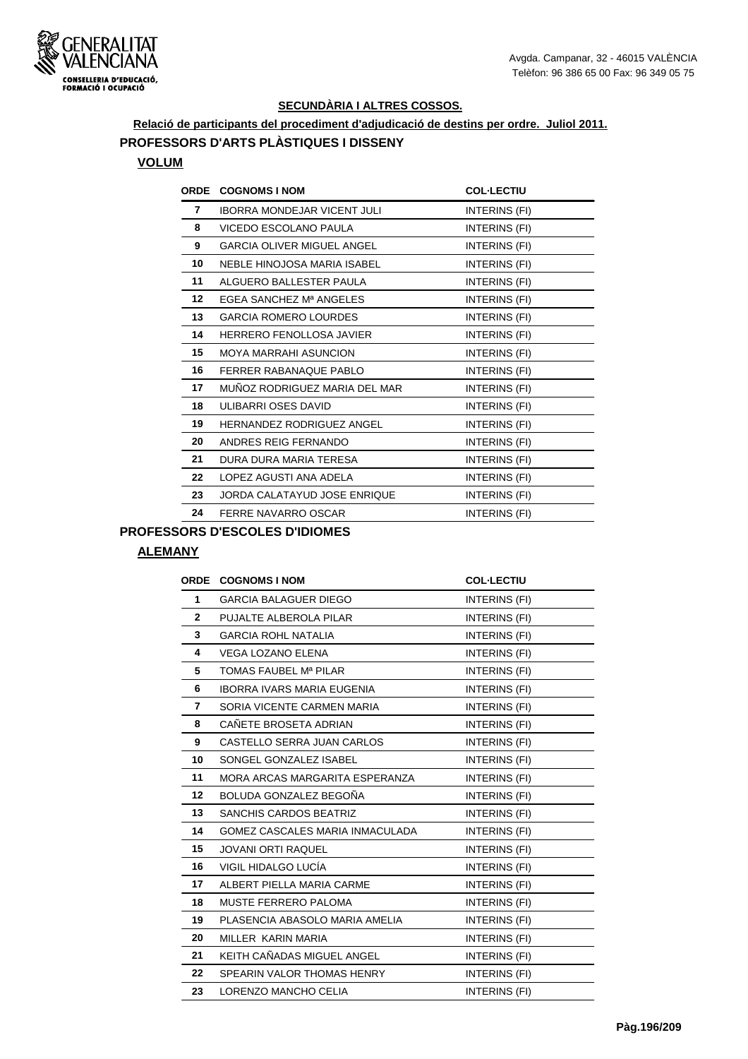

## **Relació de participants del procediment d'adjudicació de destins per ordre. Juliol 2011. PROFESSORS D'ARTS PLÀSTIQUES I DISSENY**

#### **VOLUM**

|         | <b>ORDE COGNOMS INOM</b>           | <b>COL-LECTIU</b> |
|---------|------------------------------------|-------------------|
| 7       | <b>IBORRA MONDEJAR VICENT JULI</b> | INTERINS (FI)     |
| 8       | VICEDO ESCOLANO PAULA              | INTERINS (FI)     |
| 9       | <b>GARCIA OLIVER MIGUEL ANGEL</b>  | INTERINS (FI)     |
| 10      | NEBLE HINOJOSA MARIA ISABEL        | INTERINS (FI)     |
| 11      | ALGUERO BALLESTER PAULA            | INTERINS (FI)     |
| $12 \,$ | EGEA SANCHEZ Mª ANGELES            | INTERINS (FI)     |
| 13      | <b>GARCIA ROMERO LOURDES</b>       | INTERINS (FI)     |
| 14      | <b>HERRERO FENOLLOSA JAVIER</b>    | INTERINS (FI)     |
| 15      | <b>MOYA MARRAHI ASUNCION</b>       | INTERINS (FI)     |
| 16      | FERRER RABANAQUE PABLO             | INTERINS (FI)     |
| 17      | MUÑOZ RODRIGUEZ MARIA DEL MAR      | INTERINS (FI)     |
| 18      | ULIBARRI OSES DAVID                | INTERINS (FI)     |
| 19      | <b>HERNANDEZ RODRIGUEZ ANGEL</b>   | INTERINS (FI)     |
| 20      | ANDRES REIG FERNANDO               | INTERINS (FI)     |
| 21      | DURA DURA MARIA TERESA             | INTERINS (FI)     |
| 22      | LOPEZ AGUSTI ANA ADELA             | INTERINS (FI)     |
| 23      | JORDA CALATAYUD JOSE ENRIQUE       | INTERINS (FI)     |
| 24      | FERRE NAVARRO OSCAR                | INTERINS (FI)     |

## **PROFESSORS D'ESCOLES D'IDIOMES**

#### **ALEMANY**

| <b>ORDE</b>    | <b>COGNOMS I NOM</b>              | <b>COL-LECTIU</b> |
|----------------|-----------------------------------|-------------------|
| 1              | <b>GARCIA BALAGUER DIEGO</b>      | INTERINS (FI)     |
| $\overline{2}$ | PUJALTE ALBEROLA PILAR            | INTERINS (FI)     |
| 3              | <b>GARCIA ROHL NATALIA</b>        | INTERINS (FI)     |
| 4              | <b>VEGA LOZANO ELENA</b>          | INTERINS (FI)     |
| 5              | TOMAS FAUBEL Mª PILAR             | INTERINS (FI)     |
| 6              | <b>IBORRA IVARS MARIA EUGENIA</b> | INTERINS (FI)     |
| 7              | SORIA VICENTE CARMEN MARIA        | INTERINS (FI)     |
| 8              | CAÑETE BROSETA ADRIAN             | INTERINS (FI)     |
| 9              | CASTELLO SERRA JUAN CARLOS        | INTERINS (FI)     |
| 10             | SONGEL GONZALEZ ISABEL            | INTERINS (FI)     |
| 11             | MORA ARCAS MARGARITA ESPERANZA    | INTERINS (FI)     |
| 12             | BOLUDA GONZALEZ BEGOÑA            | INTERINS (FI)     |
| 13             | <b>SANCHIS CARDOS BEATRIZ</b>     | INTERINS (FI)     |
| 14             | GOMEZ CASCALES MARIA INMACULADA   | INTERINS (FI)     |
| 15             | <b>JOVANI ORTI RAQUEL</b>         | INTERINS (FI)     |
| 16             | VIGIL HIDALGO LUCÍA               | INTERINS (FI)     |
| 17             | ALBERT PIELLA MARIA CARME         | INTERINS (FI)     |
| 18             | <b>MUSTE FERRERO PALOMA</b>       | INTERINS (FI)     |
| 19             | PLASENCIA ABASOLO MARIA AMELIA    | INTERINS (FI)     |
| 20             | MILLER KARIN MARIA                | INTERINS (FI)     |
| 21             | KEITH CAÑADAS MIGUEL ANGEL        | INTERINS (FI)     |
| 22             | SPEARIN VALOR THOMAS HENRY        | INTERINS (FI)     |
| 23             | LORENZO MANCHO CELIA              | INTERINS (FI)     |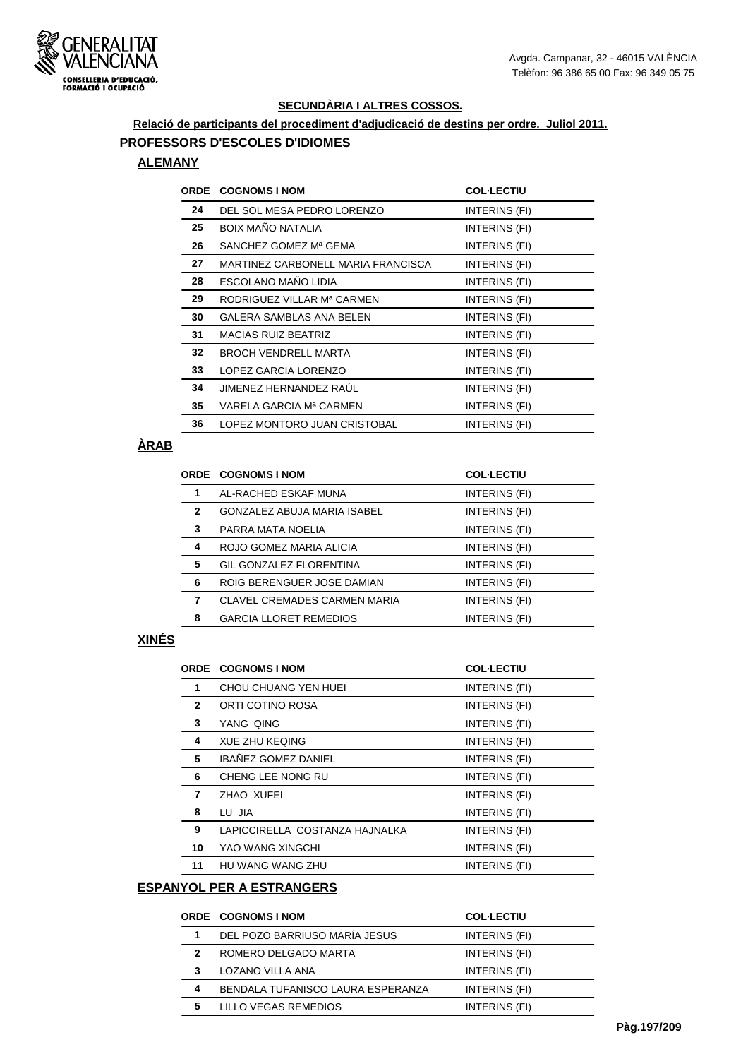

#### **Relació de participants del procediment d'adjudicació de destins per ordre. Juliol 2011. PROFESSORS D'ESCOLES D'IDIOMES**

#### **ALEMANY**

| <b>ORDE</b> | <b>COGNOMS I NOM</b>               | <b>COL-LECTIU</b> |
|-------------|------------------------------------|-------------------|
| 24          | DEL SOL MESA PEDRO LORENZO         | INTERINS (FI)     |
| 25          | <b>BOIX MAÑO NATALIA</b>           | INTERINS (FI)     |
| 26          | SANCHEZ GOMEZ Mª GEMA              | INTERINS (FI)     |
| 27          | MARTINEZ CARBONELL MARIA FRANCISCA | INTERINS (FI)     |
| 28          | ESCOLANO MAÑO LIDIA                | INTERINS (FI)     |
| 29          | RODRIGUEZ VILLAR Mª CARMEN         | INTERINS (FI)     |
| 30          | GALERA SAMBLAS ANA BELEN           | INTERINS (FI)     |
| 31          | <b>MACIAS RUIZ BEATRIZ</b>         | INTERINS (FI)     |
| 32          | <b>BROCH VENDRELL MARTA</b>        | INTERINS (FI)     |
| 33          | LOPEZ GARCIA LORENZO               | INTERINS (FI)     |
| 34          | JIMENEZ HERNANDEZ RAUL             | INTERINS (FI)     |
| 35          | VARELA GARCIA Mª CARMEN            | INTERINS (FI)     |
| 36          | LOPEZ MONTORO JUAN CRISTOBAL       | INTERINS (FI)     |

## **ÀRAB**

|              | <b>ORDE COGNOMS I NOM</b>           | <b>COL-LECTIU</b> |
|--------------|-------------------------------------|-------------------|
| 1            | AL-RACHED ESKAF MUNA                | INTERINS (FI)     |
| $\mathbf{2}$ | GONZALEZ ABUJA MARIA ISABEL         | INTERINS (FI)     |
| 3            | PARRA MATA NOELIA                   | INTERINS (FI)     |
| 4            | ROJO GOMEZ MARIA ALICIA             | INTERINS (FI)     |
| 5            | <b>GIL GONZALEZ FLORENTINA</b>      | INTERINS (FI)     |
| 6            | ROIG BERENGUER JOSE DAMIAN          | INTERINS (FI)     |
| 7            | <b>CLAVEL CREMADES CARMEN MARIA</b> | INTERINS (FI)     |
| 8            | <b>GARCIA LLORET REMEDIOS</b>       | INTERINS (FI)     |
|              |                                     |                   |

#### **XINÉS**

|              | <b>ORDE COGNOMS I NOM</b>      | <b>COL-LECTIU</b> |
|--------------|--------------------------------|-------------------|
| 1            | CHOU CHUANG YEN HUEI           | INTERINS (FI)     |
| $\mathbf{2}$ | ORTI COTINO ROSA               | INTERINS (FI)     |
| 3            | YANG QING                      | INTERINS (FI)     |
| 4            | <b>XUE ZHU KEQING</b>          | INTERINS (FI)     |
| 5            | <b>IBAÑEZ GOMEZ DANIEL</b>     | INTERINS (FI)     |
| 6            | CHENG LEE NONG RU              | INTERINS (FI)     |
| 7            | ZHAO XUFEI                     | INTERINS (FI)     |
| 8            | LU JIA                         | INTERINS (FI)     |
| 9            | LAPICCIRELLA COSTANZA HAJNALKA | INTERINS (FI)     |
| 10           | YAO WANG XINGCHI               | INTERINS (FI)     |
| 11           | HU WANG WANG ZHU               | INTERINS (FI)     |

## **ESPANYOL PER A ESTRANGERS**

|   | <b>ORDE COGNOMS I NOM</b>         | <b>COL-LECTIU</b> |
|---|-----------------------------------|-------------------|
|   | DEL POZO BARRIUSO MARÍA JESUS     | INTERINS (FI)     |
| 2 | ROMERO DELGADO MARTA              | INTERINS (FI)     |
| 3 | LOZANO VILLA ANA                  | INTERINS (FI)     |
| 4 | BENDALA TUFANISCO LAURA ESPERANZA | INTERINS (FI)     |
| 5 | LILLO VEGAS REMEDIOS              | INTERINS (FI)     |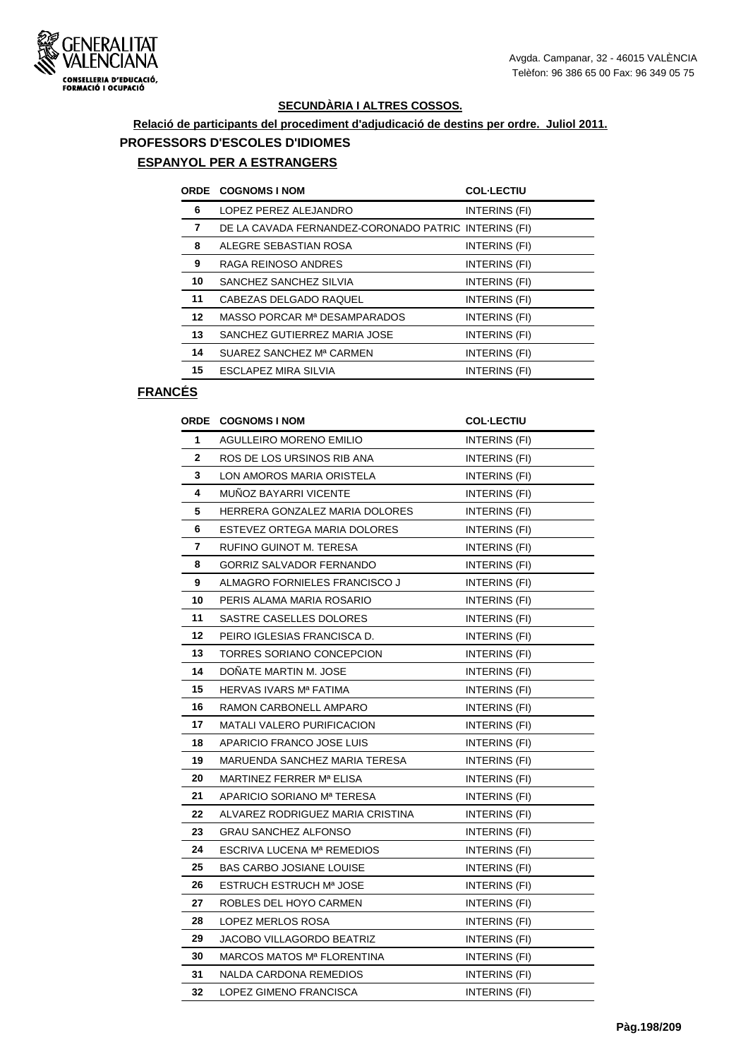

# **Relació de participants del procediment d'adjudicació de destins per ordre. Juliol 2011. PROFESSORS D'ESCOLES D'IDIOMES**

## **ESPANYOL PER A ESTRANGERS**

|    | <b>ORDE COGNOMS I NOM</b>                            | <b>COL-LECTIU</b> |
|----|------------------------------------------------------|-------------------|
| 6  | LOPEZ PEREZ ALEJANDRO                                | INTERINS (FI)     |
| 7  | DE LA CAVADA FERNANDEZ-CORONADO PATRIC INTERINS (FI) |                   |
| 8  | ALEGRE SEBASTIAN ROSA                                | INTERINS (FI)     |
| 9  | RAGA REINOSO ANDRES                                  | INTERINS (FI)     |
| 10 | SANCHEZ SANCHEZ SILVIA                               | INTERINS (FI)     |
| 11 | CABEZAS DELGADO RAQUEL                               | INTERINS (FI)     |
| 12 | MASSO PORCAR Mª DESAMPARADOS                         | INTERINS (FI)     |
| 13 | SANCHEZ GUTIERREZ MARIA JOSE                         | INTERINS (FI)     |
| 14 | SUAREZ SANCHEZ Mª CARMEN                             | INTERINS (FI)     |
| 15 | ESCLAPEZ MIRA SILVIA                                 | INTERINS (FI)     |

## **FRANCÉS**

|    | <b>ORDE COGNOMS I NOM</b>        | <b>COL-LECTIU</b>    |
|----|----------------------------------|----------------------|
| 1  | AGULLEIRO MORENO EMILIO          | INTERINS (FI)        |
| 2  | ROS DE LOS URSINOS RIB ANA       | INTERINS (FI)        |
| 3  | LON AMOROS MARIA ORISTELA        | INTERINS (FI)        |
| 4  | MUNOZ BAYARRI VICENTE            | INTERINS (FI)        |
| 5  | HERRERA GONZALEZ MARIA DOLORES   | INTERINS (FI)        |
| 6  | ESTEVEZ ORTEGA MARIA DOLORES     | INTERINS (FI)        |
| 7  | RUFINO GUINOT M. TERESA          | <b>INTERINS (FI)</b> |
| 8  | GORRIZ SALVADOR FERNANDO         | INTERINS (FI)        |
| 9  | ALMAGRO FORNIELES FRANCISCO J    | <b>INTERINS (FI)</b> |
| 10 | PERIS ALAMA MARIA ROSARIO        | INTERINS (FI)        |
| 11 | SASTRE CASELLES DOLORES          | INTERINS (FI)        |
| 12 | PEIRO IGLESIAS FRANCISCA D.      | INTERINS (FI)        |
| 13 | TORRES SORIANO CONCEPCION        | INTERINS (FI)        |
| 14 | DOÑATE MARTIN M. JOSE            | INTERINS (FI)        |
| 15 | HERVAS IVARS Mª FATIMA           | INTERINS (FI)        |
| 16 | RAMON CARBONELL AMPARO           | INTERINS (FI)        |
| 17 | MATALI VALERO PURIFICACION       | INTERINS (FI)        |
| 18 | APARICIO FRANCO JOSE LUIS        | INTERINS (FI)        |
| 19 | MARUENDA SANCHEZ MARIA TERESA    | <b>INTERINS (FI)</b> |
| 20 | MARTINEZ FERRER Mª ELISA         | INTERINS (FI)        |
| 21 | APARICIO SORIANO Mª TERESA       | INTERINS (FI)        |
| 22 | ALVAREZ RODRIGUEZ MARIA CRISTINA | INTERINS (FI)        |
| 23 | <b>GRAU SANCHEZ ALFONSO</b>      | INTERINS (FI)        |
| 24 | ESCRIVA LUCENA Mª REMEDIOS       | INTERINS (FI)        |
| 25 | <b>BAS CARBO JOSIANE LOUISE</b>  | INTERINS (FI)        |
| 26 | <b>ESTRUCH ESTRUCH Mª JOSE</b>   | INTERINS (FI)        |
| 27 | ROBLES DEL HOYO CARMEN           | <b>INTERINS (FI)</b> |
| 28 | LOPEZ MERLOS ROSA                | INTERINS (FI)        |
| 29 | JACOBO VILLAGORDO BEATRIZ        | INTERINS (FI)        |
| 30 | MARCOS MATOS Mª FLORENTINA       | INTERINS (FI)        |
| 31 | NALDA CARDONA REMEDIOS           | INTERINS (FI)        |
| 32 | LOPEZ GIMENO FRANCISCA           | INTERINS (FI)        |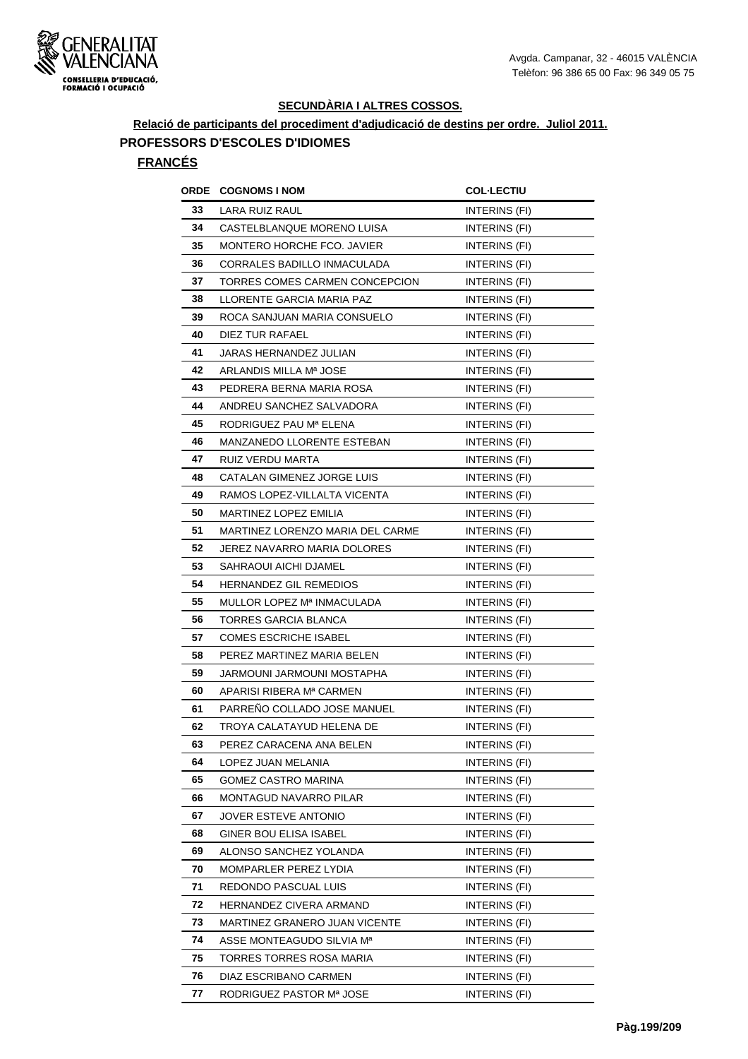

## **Relació de participants del procediment d'adjudicació de destins per ordre. Juliol 2011. PROFESSORS D'ESCOLES D'IDIOMES**

#### **FRANCÉS**

| ORDE | <b>COGNOMS I NOM</b>             | <b>COL-LECTIU</b>    |
|------|----------------------------------|----------------------|
| 33   | LARA RUIZ RAUL                   | INTERINS (FI)        |
| 34   | CASTELBLANQUE MORENO LUISA       | INTERINS (FI)        |
| 35   | MONTERO HORCHE FCO. JAVIER       | INTERINS (FI)        |
| 36   | CORRALES BADILLO INMACULADA      | INTERINS (FI)        |
| 37   | TORRES COMES CARMEN CONCEPCION   | INTERINS (FI)        |
| 38   | LLORENTE GARCIA MARIA PAZ        | INTERINS (FI)        |
| 39   | ROCA SANJUAN MARIA CONSUELO      | INTERINS (FI)        |
| 40   | DIEZ TUR RAFAEL                  | INTERINS (FI)        |
| 41   | JARAS HERNANDEZ JULIAN           | INTERINS (FI)        |
| 42   | ARLANDIS MILLA Mª JOSE           | INTERINS (FI)        |
| 43   | PEDRERA BERNA MARIA ROSA         | INTERINS (FI)        |
| 44   | ANDREU SANCHEZ SALVADORA         | INTERINS (FI)        |
| 45   | RODRIGUEZ PAU Mª ELENA           | INTERINS (FI)        |
| 46   | MANZANEDO LLORENTE ESTEBAN       | INTERINS (FI)        |
| 47   | RUIZ VERDU MARTA                 | INTERINS (FI)        |
| 48   | CATALAN GIMENEZ JORGE LUIS       | INTERINS (FI)        |
| 49   | RAMOS LOPEZ-VILLALTA VICENTA     | INTERINS (FI)        |
| 50   | MARTINEZ LOPEZ EMILIA            | INTERINS (FI)        |
| 51   | MARTINEZ LORENZO MARIA DEL CARME | <b>INTERINS (FI)</b> |
| 52   | JEREZ NAVARRO MARIA DOLORES      | INTERINS (FI)        |
| 53   | SAHRAOUI AICHI DJAMEL            | INTERINS (FI)        |
| 54   | <b>HERNANDEZ GIL REMEDIOS</b>    | INTERINS (FI)        |
| 55   | MULLOR LOPEZ Mª INMACULADA       | INTERINS (FI)        |
| 56   | TORRES GARCIA BLANCA             | INTERINS (FI)        |
| 57   | <b>COMES ESCRICHE ISABEL</b>     | INTERINS (FI)        |
| 58   | PEREZ MARTINEZ MARIA BELEN       | INTERINS (FI)        |
| 59   | JARMOUNI JARMOUNI MOSTAPHA       | INTERINS (FI)        |
| 60   | APARISI RIBERA Mª CARMEN         | INTERINS (FI)        |
| 61   | PARREÑO COLLADO JOSE MANUEL      | INTERINS (FI)        |
| 62   | TROYA CALATAYUD HELENA DE        | INTERINS (FI)        |
| 63   | PEREZ CARACENA ANA BELEN         | INTERINS (FI)        |
| 64   | LOPEZ JUAN MELANIA               | INTERINS (FI)        |
| 65   | GOMEZ CASTRO MARINA              | INTERINS (FI)        |
| 66   | MONTAGUD NAVARRO PILAR           | INTERINS (FI)        |
| 67   | JOVER ESTEVE ANTONIO             | INTERINS (FI)        |
| 68   | GINER BOU ELISA ISABEL           | INTERINS (FI)        |
| 69   | ALONSO SANCHEZ YOLANDA           | INTERINS (FI)        |
| 70   | MOMPARLER PEREZ LYDIA            | INTERINS (FI)        |
| 71   | REDONDO PASCUAL LUIS             | INTERINS (FI)        |
| 72   | HERNANDEZ CIVERA ARMAND          | INTERINS (FI)        |
| 73   | MARTINEZ GRANERO JUAN VICENTE    | INTERINS (FI)        |
| 74   | ASSE MONTEAGUDO SILVIA Mª        | INTERINS (FI)        |
| 75   | TORRES TORRES ROSA MARIA         | INTERINS (FI)        |
| 76   | DIAZ ESCRIBANO CARMEN            | INTERINS (FI)        |
| 77   | RODRIGUEZ PASTOR Mª JOSE         | INTERINS (FI)        |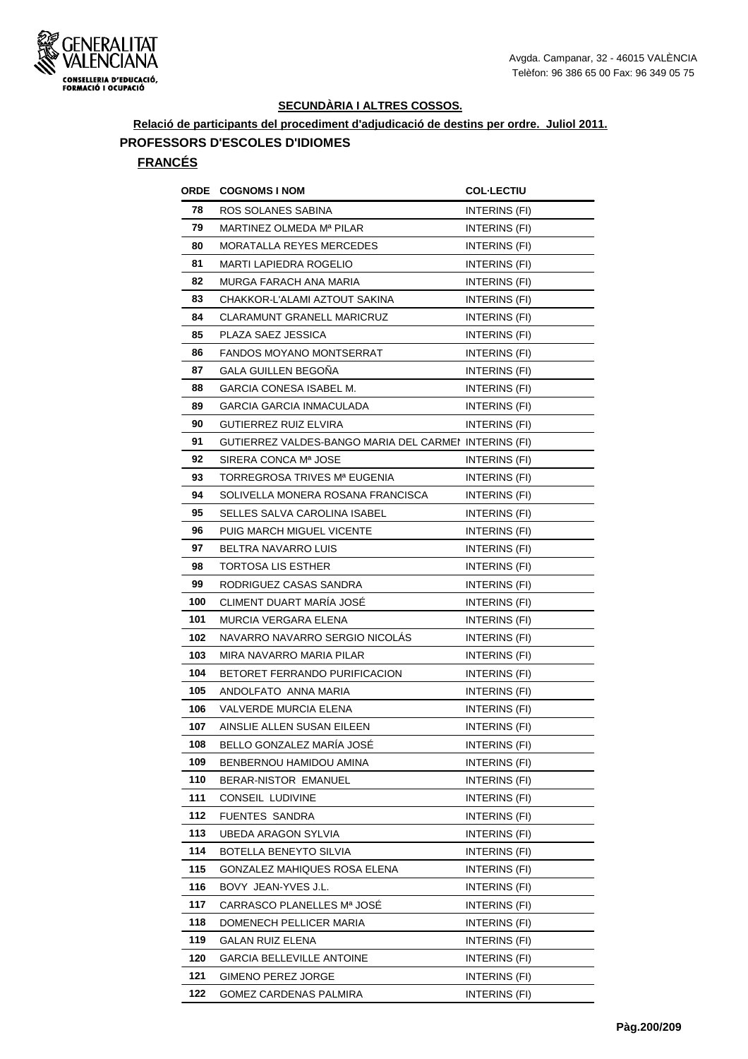

## **Relació de participants del procediment d'adjudicació de destins per ordre. Juliol 2011. PROFESSORS D'ESCOLES D'IDIOMES**

#### **FRANCÉS**

| ORDE | <b>COGNOMS I NOM</b>                                  | <b>COL-LECTIU</b>    |
|------|-------------------------------------------------------|----------------------|
| 78   | ROS SOLANES SABINA                                    | INTERINS (FI)        |
| 79   | MARTINEZ OLMEDA Mª PILAR                              | INTERINS (FI)        |
| 80   | <b>MORATALLA REYES MERCEDES</b>                       | INTERINS (FI)        |
| 81   | <b>MARTI LAPIEDRA ROGELIO</b>                         | INTERINS (FI)        |
| 82   | MURGA FARACH ANA MARIA                                | INTERINS (FI)        |
| 83   | CHAKKOR-L'ALAMI AZTOUT SAKINA                         | INTERINS (FI)        |
| 84   | <b>CLARAMUNT GRANELL MARICRUZ</b>                     | <b>INTERINS (FI)</b> |
| 85   | PLAZA SAEZ JESSICA                                    | INTERINS (FI)        |
| 86   | <b>FANDOS MOYANO MONTSERRAT</b>                       | INTERINS (FI)        |
| 87   | GALA GUILLEN BEGOÑA                                   | INTERINS (FI)        |
| 88   | GARCIA CONESA ISABEL M.                               | INTERINS (FI)        |
| 89   | GARCIA GARCIA INMACULADA                              | INTERINS (FI)        |
| 90   | GUTIERREZ RUIZ ELVIRA                                 | <b>INTERINS (FI)</b> |
| 91   | GUTIERREZ VALDES-BANGO MARIA DEL CARMEI INTERINS (FI) |                      |
| 92   | SIRERA CONCA Mª JOSE                                  | INTERINS (FI)        |
| 93   | TORREGROSA TRIVES Mª EUGENIA                          | INTERINS (FI)        |
| 94   | SOLIVELLA MONERA ROSANA FRANCISCA                     | INTERINS (FI)        |
| 95   | SELLES SALVA CAROLINA ISABEL                          | INTERINS (FI)        |
| 96   | PUIG MARCH MIGUEL VICENTE                             | INTERINS (FI)        |
| 97   | BELTRA NAVARRO LUIS                                   | INTERINS (FI)        |
| 98   | <b>TORTOSA LIS ESTHER</b>                             | <b>INTERINS (FI)</b> |
| 99   | RODRIGUEZ CASAS SANDRA                                | INTERINS (FI)        |
| 100  | CLIMENT DUART MARIA JOSE                              | INTERINS (FI)        |
| 101  | MURCIA VERGARA ELENA                                  | INTERINS (FI)        |
| 102  | NAVARRO NAVARRO SERGIO NICOLAS                        | <b>INTERINS (FI)</b> |
| 103  | MIRA NAVARRO MARIA PILAR                              | INTERINS (FI)        |
| 104  | BETORET FERRANDO PURIFICACION                         | INTERINS (FI)        |
| 105  | ANDOLFATO ANNA MARIA                                  | INTERINS (FI)        |
| 106  | VALVERDE MURCIA ELENA                                 | INTERINS (FI)        |
| 107  | AINSLIE ALLEN SUSAN EILEEN                            | INTERINS (FI)        |
| 108  | BELLO GONZALEZ MARÍA JOSÉ                             | INTERINS (FI)        |
| 109  | BENBERNOU HAMIDOU AMINA                               | INTERINS (FI)        |
| 110  | BERAR-NISTOR EMANUEL                                  | INTERINS (FI)        |
| 111  | CONSEIL LUDIVINE                                      | INTERINS (FI)        |
| 112  | <b>FUENTES SANDRA</b>                                 | INTERINS (FI)        |
| 113  | UBEDA ARAGON SYLVIA                                   | INTERINS (FI)        |
| 114  | BOTELLA BENEYTO SILVIA                                | INTERINS (FI)        |
| 115  | GONZALEZ MAHIQUES ROSA ELENA                          | INTERINS (FI)        |
| 116  | BOVY JEAN-YVES J.L.                                   | INTERINS (FI)        |
| 117  | CARRASCO PLANELLES Mª JOSÉ                            | INTERINS (FI)        |
| 118  | DOMENECH PELLICER MARIA                               | INTERINS (FI)        |
| 119  | <b>GALAN RUIZ ELENA</b>                               | INTERINS (FI)        |
| 120  | <b>GARCIA BELLEVILLE ANTOINE</b>                      | INTERINS (FI)        |
| 121  | GIMENO PEREZ JORGE                                    | INTERINS (FI)        |
| 122  | GOMEZ CARDENAS PALMIRA                                | INTERINS (FI)        |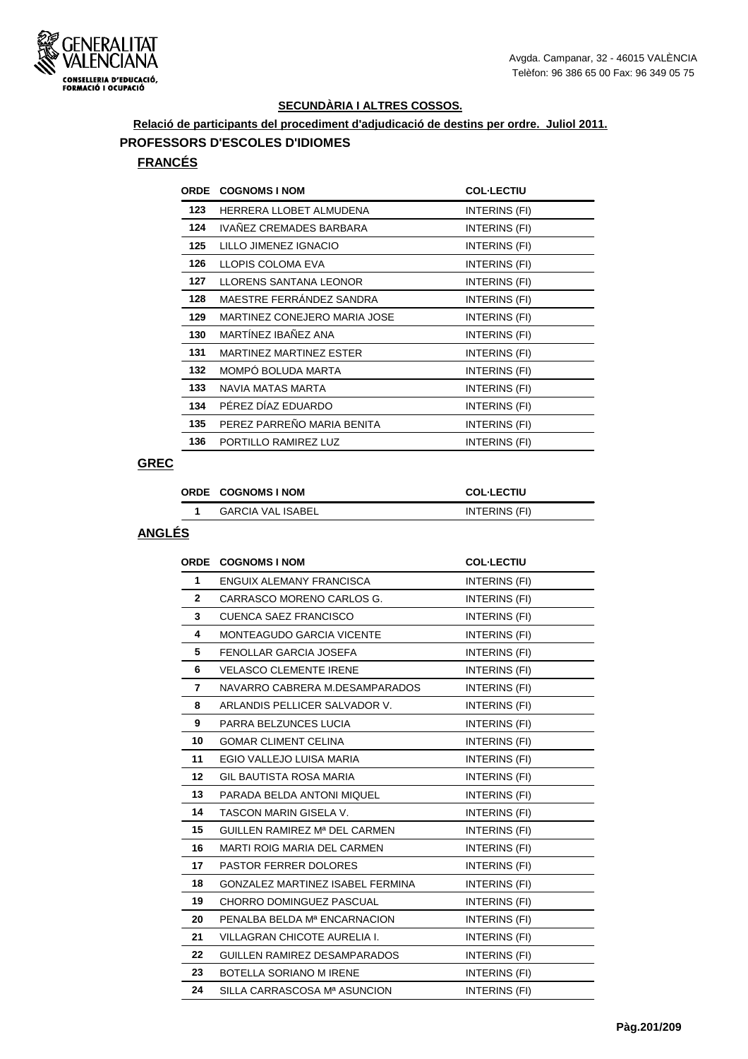

## **Relació de participants del procediment d'adjudicació de destins per ordre. Juliol 2011. PROFESSORS D'ESCOLES D'IDIOMES**

#### **FRANCÉS**

| ORDE | <b>COGNOMS I NOM</b>           | <b>COL-LECTIU</b> |
|------|--------------------------------|-------------------|
| 123  | HERRERA LLOBET ALMUDENA        | INTERINS (FI)     |
| 124  | IVAÑEZ CREMADES BARBARA        | INTERINS (FI)     |
| 125  | LILLO JIMENEZ IGNACIO          | INTERINS (FI)     |
| 126  | LLOPIS COLOMA EVA              | INTERINS (FI)     |
| 127  | LLORENS SANTANA LEONOR         | INTERINS (FI)     |
| 128  | MAESTRE FERRANDEZ SANDRA       | INTERINS (FI)     |
| 129  | MARTINEZ CONEJERO MARIA JOSE   | INTERINS (FI)     |
| 130  | MARTÍNEZ IBAÑEZ ANA            | INTERINS (FI)     |
| 131  | <b>MARTINEZ MARTINEZ ESTER</b> | INTERINS (FI)     |
| 132  | MOMPO BOLUDA MARTA             | INTERINS (FI)     |
| 133  | NAVIA MATAS MARTA              | INTERINS (FI)     |
| 134  | PÉREZ DÍAZ EDUARDO             | INTERINS (FI)     |
| 135  | PEREZ PARREÑO MARIA BENITA     | INTERINS (FI)     |
| 136  | PORTILLO RAMIREZ LUZ           | INTERINS (FI)     |

#### **GREC**

| <b>ORDE COGNOMS INOM</b> | <b>COL-LECTIU</b> |
|--------------------------|-------------------|
| <b>GARCIA VAL ISABEL</b> | INTERINS (FI)     |

|              | ORDE COGNOMS I NOM                 | <b>COL-LECTIU</b> |
|--------------|------------------------------------|-------------------|
| 1            | <b>ENGUIX ALEMANY FRANCISCA</b>    | INTERINS (FI)     |
| $\mathbf{2}$ | CARRASCO MORENO CARLOS G.          | INTERINS (FI)     |
| 3            | <b>CUENCA SAEZ FRANCISCO</b>       | INTERINS (FI)     |
| 4            | <b>MONTEAGUDO GARCIA VICENTE</b>   | INTERINS (FI)     |
| 5            | FENOLLAR GARCIA JOSEFA             | INTERINS (FI)     |
| 6            | <b>VELASCO CLEMENTE IRENE</b>      | INTERINS (FI)     |
| 7            | NAVARRO CABRERA M.DESAMPARADOS     | INTERINS (FI)     |
| 8            | ARLANDIS PELLICER SALVADOR V.      | INTERINS (FI)     |
| 9            | PARRA BELZUNCES LUCIA              | INTERINS (FI)     |
| 10           | <b>GOMAR CLIMENT CELINA</b>        | INTERINS (FI)     |
| 11           | EGIO VALLEJO LUISA MARIA           | INTERINS (FI)     |
| $12 \,$      | <b>GIL BAUTISTA ROSA MARIA</b>     | INTERINS (FI)     |
| 13           | PARADA BELDA ANTONI MIQUEL         | INTERINS (FI)     |
| 14           | <b>TASCON MARIN GISELA V.</b>      | INTERINS (FI)     |
| 15           | GUILLEN RAMIREZ Mª DEL CARMEN      | INTERINS (FI)     |
| 16           | <b>MARTI ROIG MARIA DEL CARMEN</b> | INTERINS (FI)     |
| 17           | <b>PASTOR FERRER DOLORES</b>       | INTERINS (FI)     |
| 18           | GONZALEZ MARTINEZ ISABEL FERMINA   | INTERINS (FI)     |
| 19           | CHORRO DOMINGUEZ PASCUAL           | INTERINS (FI)     |
| 20           | PENALBA BELDA Mª ENCARNACION       | INTERINS (FI)     |
| 21           | VILLAGRAN CHICOTE AURELIA I.       | INTERINS (FI)     |
| 22           | GUILLEN RAMIREZ DESAMPARADOS       | INTERINS (FI)     |
| 23           | <b>BOTELLA SORIANO M IRENE</b>     | INTERINS (FI)     |
| 24           | SILLA CARRASCOSA Mª ASUNCION       | INTERINS (FI)     |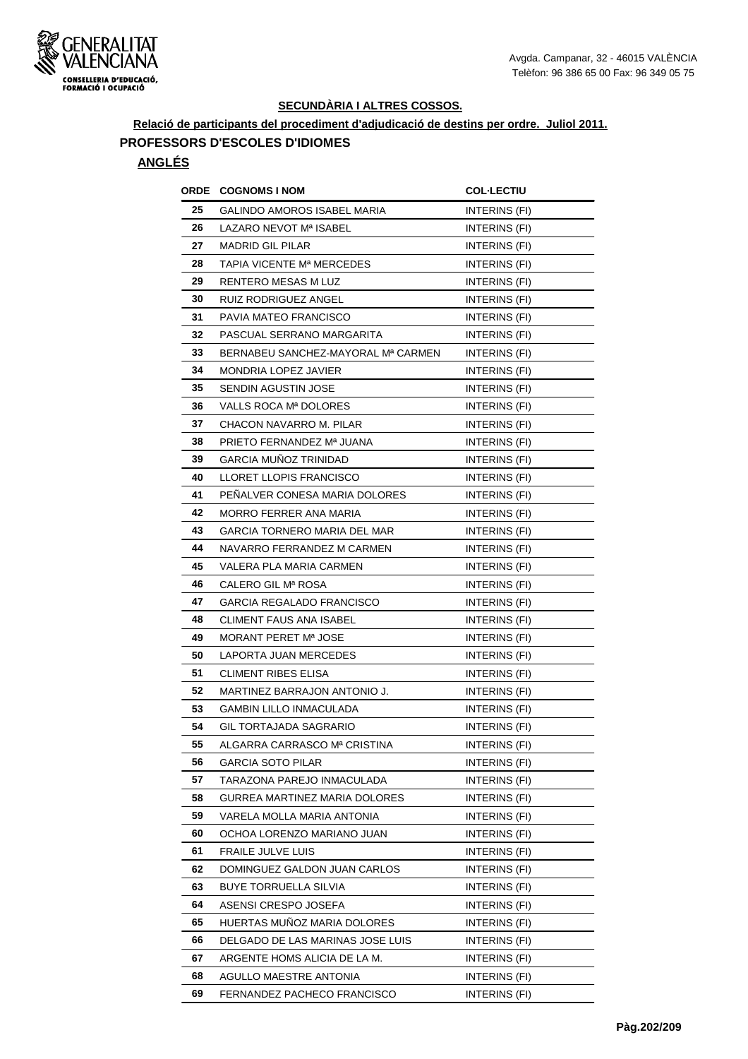

## **Relació de participants del procediment d'adjudicació de destins per ordre. Juliol 2011. PROFESSORS D'ESCOLES D'IDIOMES**

| ORDE | <b>COGNOMS I NOM</b>               | <b>COL-LECTIU</b> |
|------|------------------------------------|-------------------|
| 25   | GALINDO AMOROS ISABEL MARIA        | INTERINS (FI)     |
| 26   | LAZARO NEVOT Mª ISABEL             | INTERINS (FI)     |
| 27   | <b>MADRID GIL PILAR</b>            | INTERINS (FI)     |
| 28   | TAPIA VICENTE Mª MERCEDES          | INTERINS (FI)     |
| 29   | RENTERO MESAS M LUZ                | INTERINS (FI)     |
| 30   | RUIZ RODRIGUEZ ANGEL               | INTERINS (FI)     |
| 31   | PAVIA MATEO FRANCISCO              | INTERINS (FI)     |
| 32   | PASCUAL SERRANO MARGARITA          | INTERINS (FI)     |
| 33   | BERNABEU SANCHEZ-MAYORAL Mª CARMEN | INTERINS (FI)     |
| 34   | MONDRIA LOPEZ JAVIER               | INTERINS (FI)     |
| 35   | SENDIN AGUSTIN JOSE                | INTERINS (FI)     |
| 36   | VALLS ROCA Mª DOLORES              | INTERINS (FI)     |
| 37   | CHACON NAVARRO M. PILAR            | INTERINS (FI)     |
| 38   | PRIETO FERNANDEZ Mª JUANA          | INTERINS (FI)     |
| 39   | GARCIA MUÑOZ TRINIDAD              | INTERINS (FI)     |
| 40   | LLORET LLOPIS FRANCISCO            | INTERINS (FI)     |
| 41   | PENALVER CONESA MARIA DOLORES      | INTERINS (FI)     |
| 42   | MORRO FERRER ANA MARIA             | INTERINS (FI)     |
| 43   | GARCIA TORNERO MARIA DEL MAR       | INTERINS (FI)     |
| 44   | NAVARRO FERRANDEZ M CARMEN         | INTERINS (FI)     |
| 45   | VALERA PLA MARIA CARMEN            | INTERINS (FI)     |
| 46   | CALERO GIL Mª ROSA                 | INTERINS (FI)     |
| 47   | GARCIA REGALADO FRANCISCO          | INTERINS (FI)     |
| 48   | CLIMENT FAUS ANA ISABEL            | INTERINS (FI)     |
| 49   | MORANT PERET Mª JOSE               | INTERINS (FI)     |
| 50   | LAPORTA JUAN MERCEDES              | INTERINS (FI)     |
| 51   | <b>CLIMENT RIBES ELISA</b>         | INTERINS (FI)     |
| 52   | MARTINEZ BARRAJON ANTONIO J.       | INTERINS (FI)     |
| 53   | GAMBIN LILLO INMACULADA            | INTERINS (FI)     |
| 54   | <b>GIL TORTAJADA SAGRARIO</b>      | INTERINS (FI)     |
| 55   | ALGARRA CARRASCO Mª CRISTINA       | INTERINS (FI)     |
| 56   | <b>GARCIA SOTO PILAR</b>           | INTERINS (FI)     |
| 57   | TARAZONA PAREJO INMACULADA         | INTERINS (FI)     |
| 58   | GURREA MARTINEZ MARIA DOLORES      | INTERINS (FI)     |
| 59   | VARELA MOLLA MARIA ANTONIA         | INTERINS (FI)     |
| 60   | OCHOA LORENZO MARIANO JUAN         | INTERINS (FI)     |
| 61   | FRAILE JULVE LUIS                  | INTERINS (FI)     |
| 62   | DOMINGUEZ GALDON JUAN CARLOS       | INTERINS (FI)     |
| 63   | BUYE TORRUELLA SILVIA              | INTERINS (FI)     |
| 64   | ASENSI CRESPO JOSEFA               | INTERINS (FI)     |
| 65   | HUERTAS MUNOZ MARIA DOLORES        | INTERINS (FI)     |
| 66   | DELGADO DE LAS MARINAS JOSE LUIS   | INTERINS (FI)     |
| 67   | ARGENTE HOMS ALICIA DE LA M.       | INTERINS (FI)     |
| 68   | AGULLO MAESTRE ANTONIA             | INTERINS (FI)     |
| 69   | FERNANDEZ PACHECO FRANCISCO        | INTERINS (FI)     |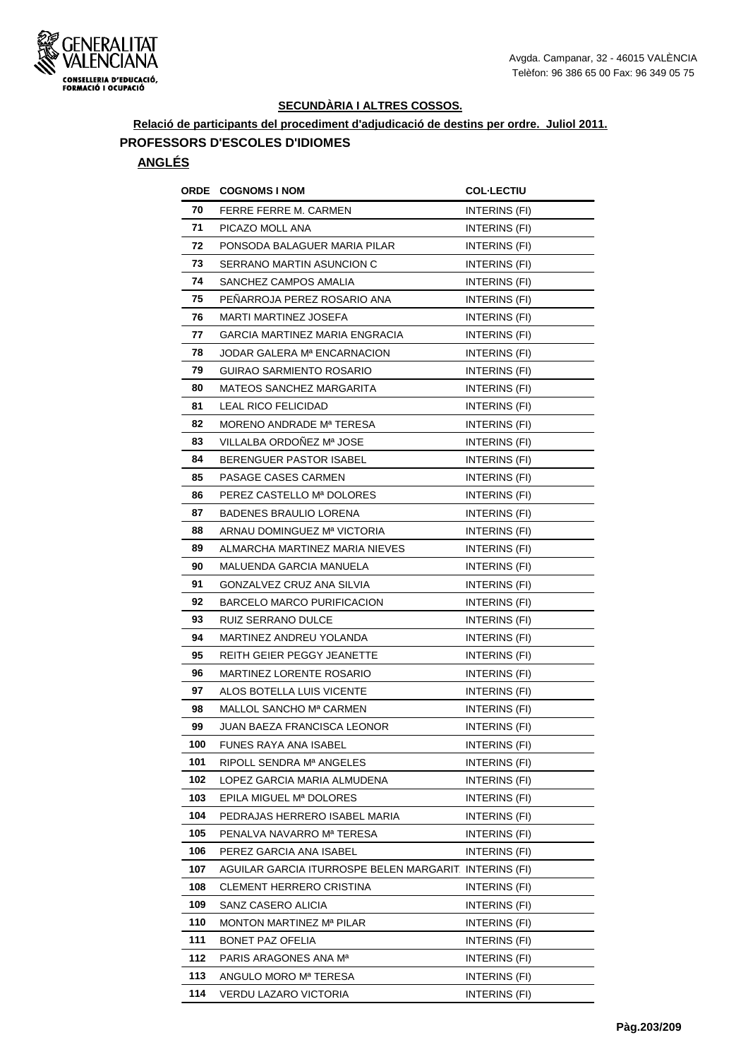

## **Relació de participants del procediment d'adjudicació de destins per ordre. Juliol 2011. PROFESSORS D'ESCOLES D'IDIOMES**

|     | <b>ORDE COGNOMS INOM</b>                               | <b>COL·LECTIU</b>    |
|-----|--------------------------------------------------------|----------------------|
| 70  | FERRE FERRE M. CARMEN                                  | INTERINS (FI)        |
| 71  | PICAZO MOLL ANA                                        | <b>INTERINS (FI)</b> |
| 72  | PONSODA BALAGUER MARIA PILAR                           | INTERINS (FI)        |
| 73  | SERRANO MARTIN ASUNCION C                              | INTERINS (FI)        |
| 74  | SANCHEZ CAMPOS AMALIA                                  | INTERINS (FI)        |
| 75  | PENARROJA PEREZ ROSARIO ANA                            | INTERINS (FI)        |
| 76  | MARTI MARTINEZ JOSEFA                                  | INTERINS (FI)        |
| 77  | GARCIA MARTINEZ MARIA ENGRACIA                         | <b>INTERINS (FI)</b> |
| 78  | JODAR GALERA Mª ENCARNACION                            | INTERINS (FI)        |
| 79  | GUIRAO SARMIENTO ROSARIO                               | INTERINS (FI)        |
| 80  | <b>MATEOS SANCHEZ MARGARITA</b>                        | INTERINS (FI)        |
| 81  | LEAL RICO FELICIDAD                                    | INTERINS (FI)        |
| 82  | MORENO ANDRADE Mª TERESA                               | INTERINS (FI)        |
| 83  | VILLALBA ORDOÑEZ Mª JOSE                               | INTERINS (FI)        |
| 84  | BERENGUER PASTOR ISABEL                                | INTERINS (FI)        |
| 85  | PASAGE CASES CARMEN                                    | INTERINS (FI)        |
| 86  | PEREZ CASTELLO Mª DOLORES                              | INTERINS (FI)        |
| 87  | <b>BADENES BRAULIO LORENA</b>                          | INTERINS (FI)        |
| 88  | ARNAU DOMINGUEZ Mª VICTORIA                            | INTERINS (FI)        |
| 89  | ALMARCHA MARTINEZ MARIA NIEVES                         | INTERINS (FI)        |
| 90  | MALUENDA GARCIA MANUELA                                | INTERINS (FI)        |
| 91  | GONZALVEZ CRUZ ANA SILVIA                              | INTERINS (FI)        |
| 92  | BARCELO MARCO PURIFICACION                             | INTERINS (FI)        |
| 93  | <b>RUIZ SERRANO DULCE</b>                              | <b>INTERINS (FI)</b> |
| 94  | MARTINEZ ANDREU YOLANDA                                | INTERINS (FI)        |
| 95  | REITH GEIER PEGGY JEANETTE                             | INTERINS (FI)        |
| 96  | MARTINEZ LORENTE ROSARIO                               | INTERINS (FI)        |
| 97  | ALOS BOTELLA LUIS VICENTE                              | INTERINS (FI)        |
| 98  | MALLOL SANCHO Mª CARMEN                                | INTERINS (FI)        |
| 99  | JUAN BAEZA FRANCISCA LEONOR                            | INTERINS (FI)        |
| 100 | FUNES RAYA ANA ISABEL                                  | INTERINS (FI)        |
| 101 | RIPOLL SENDRA Mª ANGELES                               | INTERINS (FI)        |
| 102 | LOPEZ GARCIA MARIA ALMUDENA                            | INTERINS (FI)        |
| 103 | EPILA MIGUEL Mª DOLORES                                | INTERINS (FI)        |
| 104 | PEDRAJAS HERRERO ISABEL MARIA                          | INTERINS (FI)        |
| 105 | PENALVA NAVARRO Mª TERESA                              | INTERINS (FI)        |
| 106 | PEREZ GARCIA ANA ISABEL                                | INTERINS (FI)        |
| 107 | AGUILAR GARCIA ITURROSPE BELEN MARGARIT. INTERINS (FI) |                      |
| 108 | <b>CLEMENT HERRERO CRISTINA</b>                        | INTERINS (FI)        |
| 109 | SANZ CASERO ALICIA                                     | INTERINS (FI)        |
| 110 | MONTON MARTINEZ Mª PILAR                               | INTERINS (FI)        |
| 111 | BONET PAZ OFELIA                                       | INTERINS (FI)        |
| 112 | PARIS ARAGONES ANA M <sup>a</sup>                      | INTERINS (FI)        |
| 113 | ANGULO MORO Mª TERESA                                  | INTERINS (FI)        |
| 114 | VERDU LAZARO VICTORIA                                  | INTERINS (FI)        |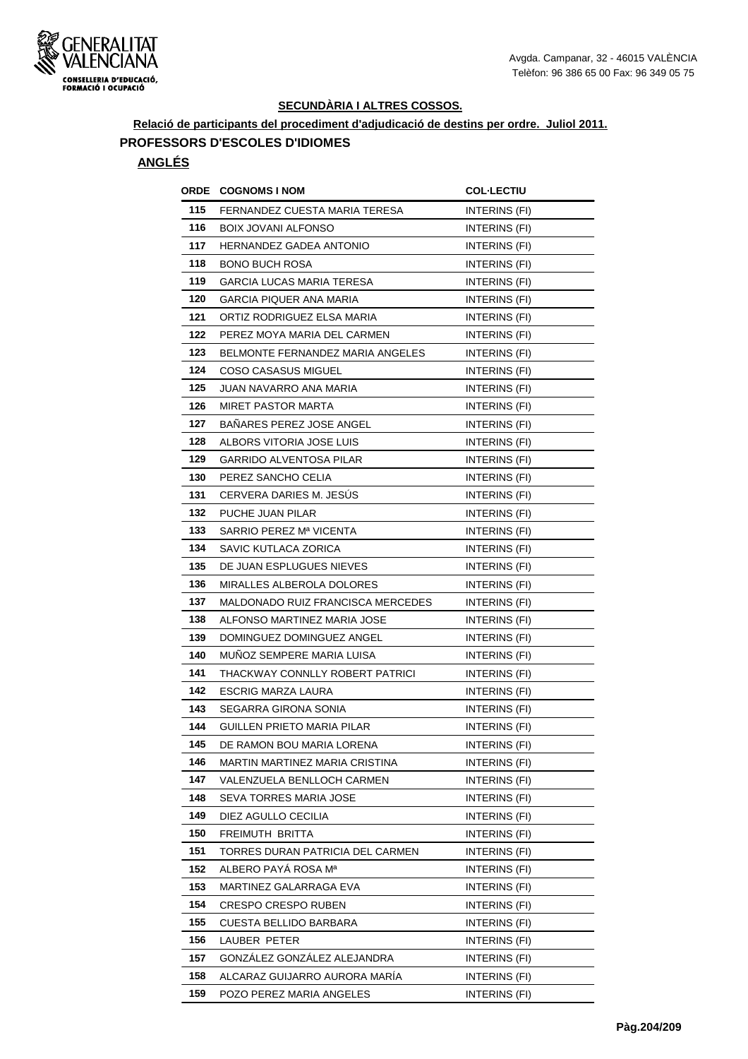

## **Relació de participants del procediment d'adjudicació de destins per ordre. Juliol 2011. PROFESSORS D'ESCOLES D'IDIOMES**

|     | <b>ORDE COGNOMS INOM</b>                | <b>COL-LECTIU</b>    |
|-----|-----------------------------------------|----------------------|
| 115 | FERNANDEZ CUESTA MARIA TERESA           | INTERINS (FI)        |
| 116 | <b>BOIX JOVANI ALFONSO</b>              | INTERINS (FI)        |
| 117 | HERNANDEZ GADEA ANTONIO                 | INTERINS (FI)        |
| 118 | <b>BONO BUCH ROSA</b>                   | INTERINS (FI)        |
| 119 | GARCIA LUCAS MARIA TERESA               | INTERINS (FI)        |
| 120 | <b>GARCIA PIQUER ANA MARIA</b>          | INTERINS (FI)        |
| 121 | ORTIZ RODRIGUEZ ELSA MARIA              | INTERINS (FI)        |
| 122 | PEREZ MOYA MARIA DEL CARMEN             | INTERINS (FI)        |
| 123 | <b>BELMONTE FERNANDEZ MARIA ANGELES</b> | INTERINS (FI)        |
| 124 | COSO CASASUS MIGUEL                     | INTERINS (FI)        |
| 125 | JUAN NAVARRO ANA MARIA                  | INTERINS (FI)        |
| 126 | <b>MIRET PASTOR MARTA</b>               | <b>INTERINS (FI)</b> |
| 127 | BAÑARES PEREZ JOSE ANGEL                | INTERINS (FI)        |
| 128 | ALBORS VITORIA JOSE LUIS                | INTERINS (FI)        |
| 129 | <b>GARRIDO ALVENTOSA PILAR</b>          | INTERINS (FI)        |
| 130 | PEREZ SANCHO CELIA                      | INTERINS (FI)        |
| 131 | CERVERA DARIES M. JESUS                 | INTERINS (FI)        |
| 132 | PUCHE JUAN PILAR                        | INTERINS (FI)        |
| 133 | SARRIO PEREZ Mª VICENTA                 | INTERINS (FI)        |
| 134 | SAVIC KUTLACA ZORICA                    | INTERINS (FI)        |
| 135 | DE JUAN ESPLUGUES NIEVES                | INTERINS (FI)        |
| 136 | <b>MIRALLES ALBEROLA DOLORES</b>        | INTERINS (FI)        |
| 137 | MALDONADO RUIZ FRANCISCA MERCEDES       | INTERINS (FI)        |
| 138 | ALFONSO MARTINEZ MARIA JOSE             | INTERINS (FI)        |
| 139 | DOMINGUEZ DOMINGUEZ ANGEL               | INTERINS (FI)        |
| 140 | MUNOZ SEMPERE MARIA LUISA               | INTERINS (FI)        |
| 141 | THACKWAY CONNLLY ROBERT PATRICI         | INTERINS (FI)        |
| 142 | ESCRIG MARZA LAURA                      | INTERINS (FI)        |
| 143 | SEGARRA GIRONA SONIA                    | INTERINS (FI)        |
| 144 | GUILLEN PRIETO MARIA PILAR              | INTERINS (FI)        |
| 145 | DE RAMON BOU MARIA LORENA               | INTERINS (FI)        |
| 146 | MARTIN MARTINEZ MARIA CRISTINA          | INTERINS (FI)        |
| 147 | VALENZUELA BENLLOCH CARMEN              | INTERINS (FI)        |
| 148 | SEVA TORRES MARIA JOSE                  | INTERINS (FI)        |
| 149 | DIEZ AGULLO CECILIA                     | INTERINS (FI)        |
| 150 | FREIMUTH BRITTA                         | INTERINS (FI)        |
| 151 | TORRES DURAN PATRICIA DEL CARMEN        | INTERINS (FI)        |
| 152 | ALBERO PAYA ROSA Mª                     | INTERINS (FI)        |
| 153 | MARTINEZ GALARRAGA EVA                  | INTERINS (FI)        |
| 154 | <b>CRESPO CRESPO RUBEN</b>              | INTERINS (FI)        |
| 155 | CUESTA BELLIDO BARBARA                  | INTERINS (FI)        |
| 156 | LAUBER PETER                            | INTERINS (FI)        |
| 157 | GONZÁLEZ GONZÁLEZ ALEJANDRA             | INTERINS (FI)        |
| 158 | ALCARAZ GUIJARRO AURORA MARÍA           | INTERINS (FI)        |
| 159 | POZO PEREZ MARIA ANGELES                | INTERINS (FI)        |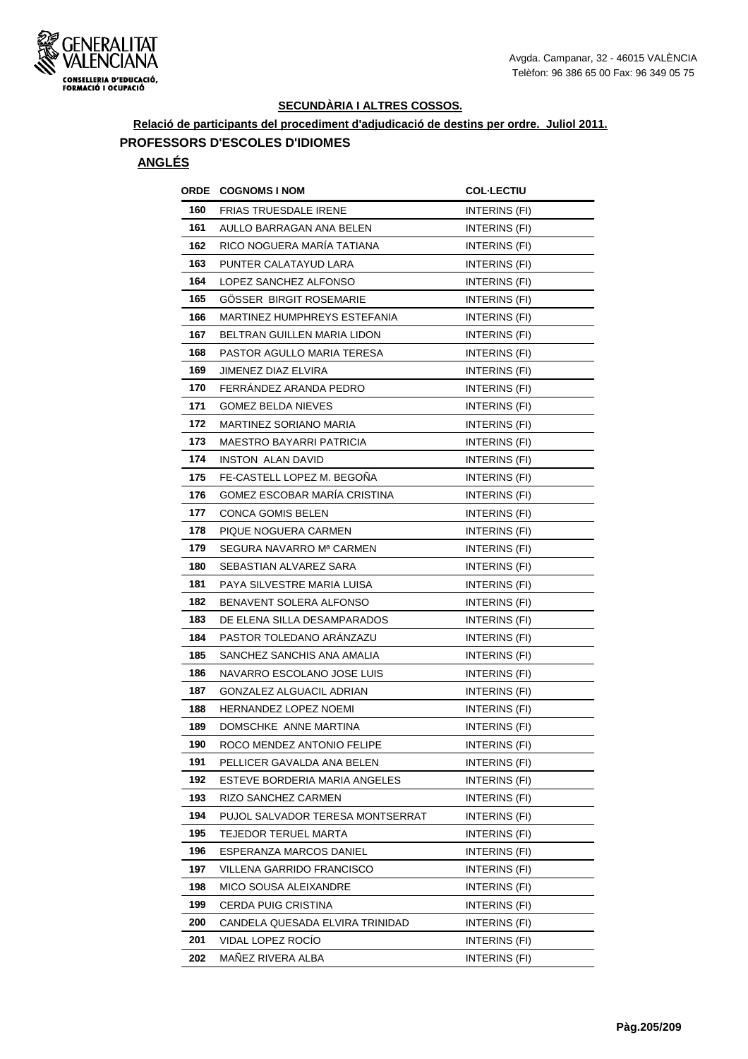

## **Relació de participants del procediment d'adjudicació de destins per ordre. Juliol 2011. PROFESSORS D'ESCOLES D'IDIOMES**

| ORDE | <b>COGNOMS I NOM</b>               | <b>COL·LECTIU</b>    |
|------|------------------------------------|----------------------|
| 160  | <b>FRIAS TRUESDALE IRENE</b>       | INTERINS (FI)        |
| 161  | AULLO BARRAGAN ANA BELEN           | INTERINS (FI)        |
| 162  | RICO NOGUERA MARÍA TATIANA         | INTERINS (FI)        |
| 163  | PUNTER CALATAYUD LARA              | INTERINS (FI)        |
| 164  | LOPEZ SANCHEZ ALFONSO              | INTERINS (FI)        |
| 165  | GOSSER BIRGIT ROSEMARIE            | INTERINS (FI)        |
| 166  | MARTINEZ HUMPHREYS ESTEFANIA       | INTERINS (FI)        |
| 167  | <b>BELTRAN GUILLEN MARIA LIDON</b> | INTERINS (FI)        |
| 168  | PASTOR AGULLO MARIA TERESA         | INTERINS (FI)        |
| 169  | JIMENEZ DIAZ ELVIRA                | INTERINS (FI)        |
| 170  | FERRÁNDEZ ARANDA PEDRO             | INTERINS (FI)        |
| 171  | <b>GOMEZ BELDA NIEVES</b>          | INTERINS (FI)        |
| 172  | MARTINEZ SORIANO MARIA             | INTERINS (FI)        |
| 173  | MAESTRO BAYARRI PATRICIA           | INTERINS (FI)        |
| 174  | <b>INSTON ALAN DAVID</b>           | INTERINS (FI)        |
| 175  | FE-CASTELL LOPEZ M. BEGOÑA         | INTERINS (FI)        |
| 176  | GOMEZ ESCOBAR MARÍA CRISTINA       | INTERINS (FI)        |
| 177  | <b>CONCA GOMIS BELEN</b>           | INTERINS (FI)        |
| 178  | PIQUE NOGUERA CARMEN               | INTERINS (FI)        |
| 179  | SEGURA NAVARRO Mª CARMEN           | INTERINS (FI)        |
| 180  | SEBASTIAN ALVAREZ SARA             | <b>INTERINS (FI)</b> |
| 181  | PAYA SILVESTRE MARIA LUISA         | INTERINS (FI)        |
| 182  | BENAVENT SOLERA ALFONSO            | INTERINS (FI)        |
| 183  | DE ELENA SILLA DESAMPARADOS        | INTERINS (FI)        |
| 184  | PASTOR TOLEDANO ARANZAZU           | INTERINS (FI)        |
| 185  | SANCHEZ SANCHIS ANA AMALIA         | INTERINS (FI)        |
| 186  | NAVARRO ESCOLANO JOSE LUIS         | INTERINS (FI)        |
| 187  | GONZALEZ ALGUACIL ADRIAN           | INTERINS (FI)        |
| 188  | <b>HERNANDEZ LOPEZ NOEMI</b>       | INTERINS (FI)        |
| 189  | DOMSCHKE ANNE MARTINA              | INTERINS (FI)        |
| 190  | ROCO MENDEZ ANTONIO FELIPE         | INTERINS (FI)        |
| 191  | PELLICER GAVALDA ANA BELEN         | INTERINS (FI)        |
| 192  | ESTEVE BORDERIA MARIA ANGELES      | INTERINS (FI)        |
| 193  | RIZO SANCHEZ CARMEN                | INTERINS (FI)        |
| 194  | PUJOL SALVADOR TERESA MONTSERRAT   | INTERINS (FI)        |
| 195  | TEJEDOR TERUEL MARTA               | INTERINS (FI)        |
| 196  | ESPERANZA MARCOS DANIEL            | INTERINS (FI)        |
| 197  | VILLENA GARRIDO FRANCISCO          | INTERINS (FI)        |
| 198  | MICO SOUSA ALEIXANDRE              | INTERINS (FI)        |
| 199  | CERDA PUIG CRISTINA                | INTERINS (FI)        |
| 200  | CANDELA QUESADA ELVIRA TRINIDAD    | INTERINS (FI)        |
| 201  | VIDAL LOPEZ ROCIO                  | INTERINS (FI)        |
| 202  | MAÑEZ RIVERA ALBA                  | INTERINS (FI)        |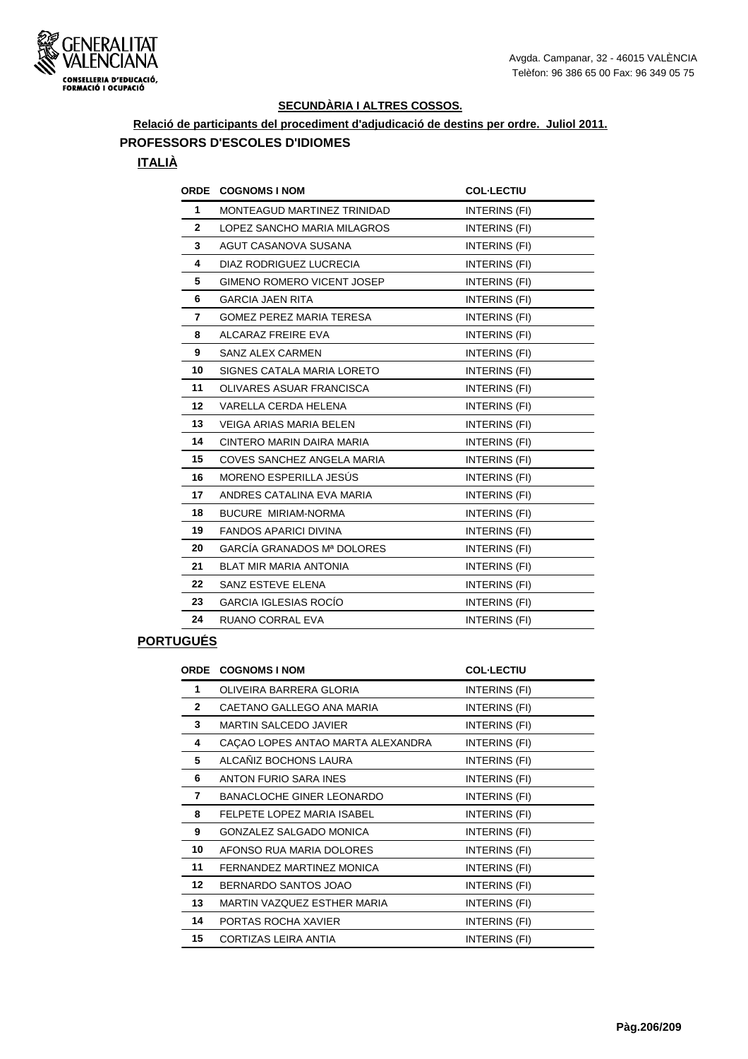

## **Relació de participants del procediment d'adjudicació de destins per ordre. Juliol 2011. PROFESSORS D'ESCOLES D'IDIOMES**

#### **ITALIÀ**

| <b>ORDE</b>  | <b>COGNOMS I NOM</b>              | <b>COL·LECTIU</b> |
|--------------|-----------------------------------|-------------------|
| $\mathbf{1}$ | MONTEAGUD MARTINEZ TRINIDAD       | INTERINS (FI)     |
| $\mathbf{2}$ | LOPEZ SANCHO MARIA MILAGROS       | INTERINS (FI)     |
| 3            | AGUT CASANOVA SUSANA              | INTERINS (FI)     |
| 4            | DIAZ RODRIGUEZ LUCRECIA           | INTERINS (FI)     |
| 5            | <b>GIMENO ROMERO VICENT JOSEP</b> | INTERINS (FI)     |
| 6            | <b>GARCIA JAEN RITA</b>           | INTERINS (FI)     |
| 7            | <b>GOMEZ PEREZ MARIA TERESA</b>   | INTERINS (FI)     |
| 8            | ALCARAZ FREIRE EVA                | INTERINS (FI)     |
| 9            | <b>SANZ ALEX CARMEN</b>           | INTERINS (FI)     |
| 10           | SIGNES CATALA MARIA LORETO        | INTERINS (FI)     |
| 11           | OLIVARES ASUAR FRANCISCA          | INTERINS (FI)     |
| $12 \,$      | VARELLA CERDA HELENA              | INTERINS (FI)     |
| 13           | <b>VEIGA ARIAS MARIA BELEN</b>    | INTERINS (FI)     |
| 14           | CINTERO MARIN DAIRA MARIA         | INTERINS (FI)     |
| 15           | COVES SANCHEZ ANGELA MARIA        | INTERINS (FI)     |
| 16           | MORENO ESPERILLA JESÚS            | INTERINS (FI)     |
| 17           | ANDRES CATALINA EVA MARIA         | INTERINS (FI)     |
| 18           | BUCURE MIRIAM-NORMA               | INTERINS (FI)     |
| 19           | <b>FANDOS APARICI DIVINA</b>      | INTERINS (FI)     |
| 20           | GARCÍA GRANADOS Mª DOLORES        | INTERINS (FI)     |
| 21           | BLAT MIR MARIA ANTONIA            | INTERINS (FI)     |
| 22           | SANZ ESTEVE ELENA                 | INTERINS (FI)     |
| 23           | <b>GARCIA IGLESIAS ROCÍO</b>      | INTERINS (FI)     |
| 24           | <b>RUANO CORRAL EVA</b>           | INTERINS (FI)     |

## **PORTUGUÉS**

| ORDE         | <b>COGNOMS I NOM</b>              | <b>COL-LECTIU</b> |
|--------------|-----------------------------------|-------------------|
| 1            | OLIVEIRA BARRERA GLORIA           | INTERINS (FI)     |
| $\mathbf{2}$ | CAETANO GALLEGO ANA MARIA         | INTERINS (FI)     |
| 3            | <b>MARTIN SALCEDO JAVIER</b>      | INTERINS (FI)     |
| 4            | CAÇAO LOPES ANTAO MARTA ALEXANDRA | INTERINS (FI)     |
| 5            | ALCAÑIZ BOCHONS LAURA             | INTERINS (FI)     |
| 6            | ANTON FURIO SARA INES             | INTERINS (FI)     |
| 7            | <b>BANACLOCHE GINER LEONARDO</b>  | INTERINS (FI)     |
| 8            | FELPETE LOPEZ MARIA ISABEL        | INTERINS (FI)     |
| 9            | <b>GONZALEZ SALGADO MONICA</b>    | INTERINS (FI)     |
| 10           | AFONSO RUA MARIA DOLORES          | INTERINS (FI)     |
| 11           | FERNANDEZ MARTINEZ MONICA         | INTERINS (FI)     |
| 12           | BERNARDO SANTOS JOAO              | INTERINS (FI)     |
| 13           | MARTIN VAZQUEZ ESTHER MARIA       | INTERINS (FI)     |
| 14           | PORTAS ROCHA XAVIER               | INTERINS (FI)     |
| 15           | CORTIZAS LEIRA ANTIA              | INTERINS (FI)     |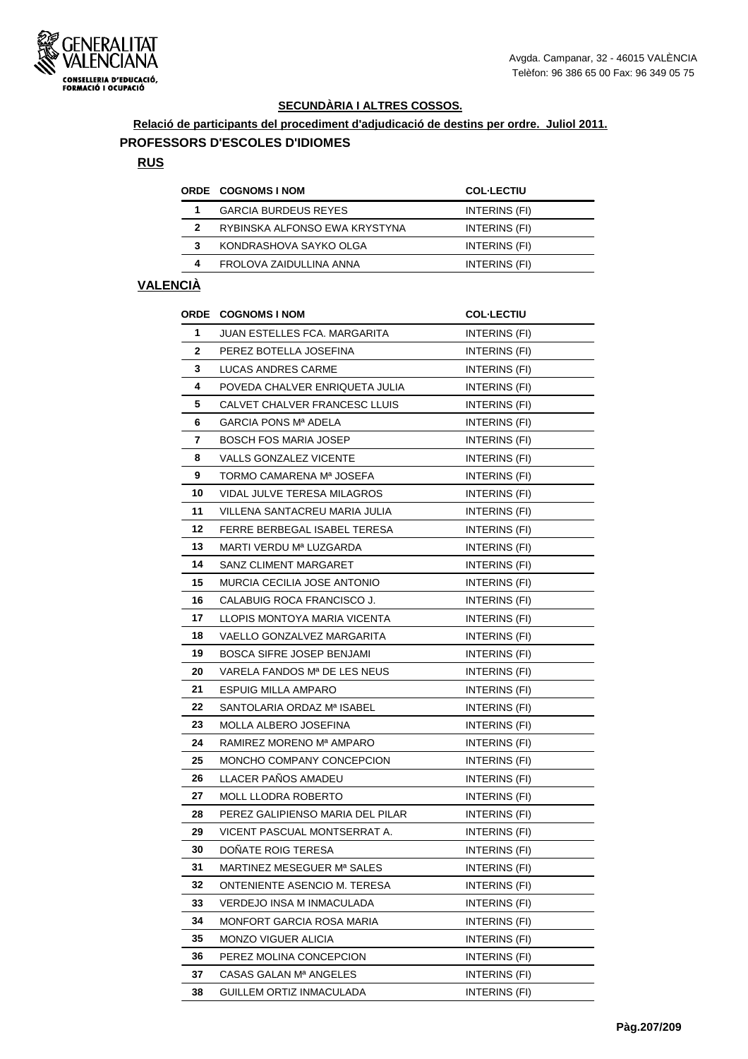

#### **Relació de participants del procediment d'adjudicació de destins per ordre. Juliol 2011. PROFESSORS D'ESCOLES D'IDIOMES**

#### **RUS**

|   | <b>ORDE COGNOMS INOM</b>      | <b>COL-LECTIU</b> |
|---|-------------------------------|-------------------|
|   | <b>GARCIA BURDEUS REYES</b>   | INTERINS (FI)     |
| 2 | RYBINSKA ALFONSO EWA KRYSTYNA | INTERINS (FI)     |
| з | KONDRASHOVA SAYKO OLGA        | INTERINS (FI)     |
| 4 | FROLOVA ZAIDULLINA ANNA       | INTERINS (FI)     |

## **VALENCIÀ**

|              | <b>ORDE COGNOMS INOM</b>         | <b>COL-LECTIU</b>    |
|--------------|----------------------------------|----------------------|
| 1            | JUAN ESTELLES FCA. MARGARITA     | <b>INTERINS (FI)</b> |
| $\mathbf{2}$ | PEREZ BOTELLA JOSEFINA           | INTERINS (FI)        |
| 3            | LUCAS ANDRES CARME               | <b>INTERINS (FI)</b> |
| 4            | POVEDA CHALVER ENRIQUETA JULIA   | INTERINS (FI)        |
| 5            | CALVET CHALVER FRANCESC LLUIS    | INTERINS (FI)        |
| 6            | GARCIA PONS Mª ADELA             | INTERINS (FI)        |
| 7            | <b>BOSCH FOS MARIA JOSEP</b>     | INTERINS (FI)        |
| 8            | <b>VALLS GONZALEZ VICENTE</b>    | INTERINS (FI)        |
| 9            | TORMO CAMARENA Mª JOSEFA         | INTERINS (FI)        |
| 10           | VIDAL JULVE TERESA MILAGROS      | INTERINS (FI)        |
| 11           | VILLENA SANTACREU MARIA JULIA    | INTERINS (FI)        |
| 12           | FERRE BERBEGAL ISABEL TERESA     | INTERINS (FI)        |
| 13           | MARTI VERDU Mª LUZGARDA          | INTERINS (FI)        |
| 14           | <b>SANZ CLIMENT MARGARET</b>     | INTERINS (FI)        |
| 15           | MURCIA CECILIA JOSE ANTONIO      | INTERINS (FI)        |
| 16           | CALABUIG ROCA FRANCISCO J.       | <b>INTERINS (FI)</b> |
| 17           | LLOPIS MONTOYA MARIA VICENTA     | INTERINS (FI)        |
| 18           | VAELLO GONZALVEZ MARGARITA       | INTERINS (FI)        |
| 19           | <b>BOSCA SIFRE JOSEP BENJAMI</b> | INTERINS (FI)        |
| 20           | VARELA FANDOS Mª DE LES NEUS     | INTERINS (FI)        |
| 21           | <b>ESPUIG MILLA AMPARO</b>       | INTERINS (FI)        |
| 22           | SANTOLARIA ORDAZ Mª ISABEL       | INTERINS (FI)        |
| 23           | <b>MOLLA ALBERO JOSEFINA</b>     | INTERINS (FI)        |
| 24           | RAMIREZ MORENO Mª AMPARO         | INTERINS (FI)        |
| 25           | MONCHO COMPANY CONCEPCION        | INTERINS (FI)        |
| 26           | LLACER PANOS AMADEU              | INTERINS (FI)        |
| 27           | <b>MOLL LLODRA ROBERTO</b>       | INTERINS (FI)        |
| 28           | PEREZ GALIPIENSO MARIA DEL PILAR | INTERINS (FI)        |
| 29           | VICENT PASCUAL MONTSERRAT A.     | INTERINS (FI)        |
| 30           | DOÑATE ROIG TERESA               | INTERINS (FI)        |
| 31           | MARTINEZ MESEGUER Mª SALES       | INTERINS (FI)        |
| 32           | ONTENIENTE ASENCIO M. TERESA     | INTERINS (FI)        |
| 33           | VERDEJO INSA M INMACULADA        | INTERINS (FI)        |
| 34           | MONFORT GARCIA ROSA MARIA        | <b>INTERINS (FI)</b> |
| 35           | MONZO VIGUER ALICIA              | INTERINS (FI)        |
| 36           | PEREZ MOLINA CONCEPCION          | INTERINS (FI)        |
| 37           | CASAS GALAN Mª ANGELES           | INTERINS (FI)        |
| 38           | GUILLEM ORTIZ INMACULADA         | INTERINS (FI)        |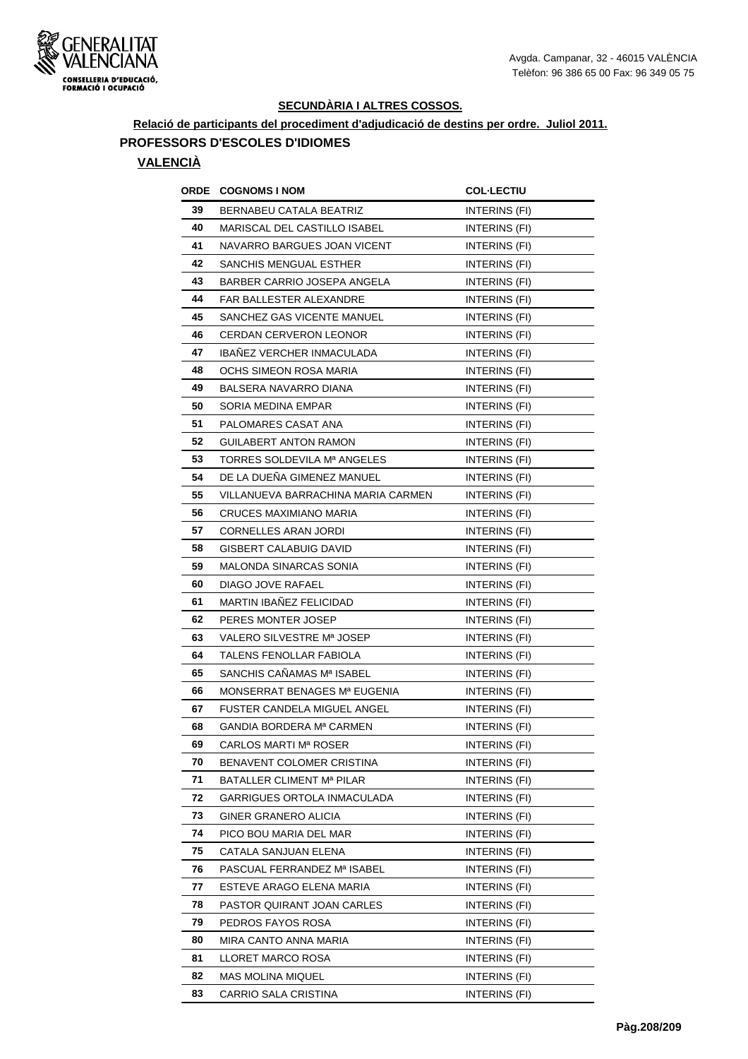

## **Relació de participants del procediment d'adjudicació de destins per ordre. Juliol 2011. PROFESSORS D'ESCOLES D'IDIOMES**

#### **VALENCIÀ**

|    | <b>ORDE COGNOMS INOM</b>           | <b>COL·LECTIU</b>    |
|----|------------------------------------|----------------------|
| 39 | BERNABEU CATALA BEATRIZ            | INTERINS (FI)        |
| 40 | MARISCAL DEL CASTILLO ISABEL       | <b>INTERINS (FI)</b> |
| 41 | NAVARRO BARGUES JOAN VICENT        | INTERINS (FI)        |
| 42 | <b>SANCHIS MENGUAL ESTHER</b>      | <b>INTERINS (FI)</b> |
| 43 | BARBER CARRIO JOSEPA ANGELA        | INTERINS (FI)        |
| 44 | FAR BALLESTER ALEXANDRE            | <b>INTERINS (FI)</b> |
| 45 | SANCHEZ GAS VICENTE MANUEL         | <b>INTERINS (FI)</b> |
| 46 | <b>CERDAN CERVERON LEONOR</b>      | INTERINS (FI)        |
| 47 | <b>IBANEZ VERCHER INMACULADA</b>   | INTERINS (FI)        |
| 48 | OCHS SIMEON ROSA MARIA             | INTERINS (FI)        |
| 49 | BALSERA NAVARRO DIANA              | INTERINS (FI)        |
| 50 | SORIA MEDINA EMPAR                 | INTERINS (FI)        |
| 51 | PALOMARES CASAT ANA                | INTERINS (FI)        |
| 52 | <b>GUILABERT ANTON RAMON</b>       | <b>INTERINS (FI)</b> |
| 53 | TORRES SOLDEVILA Mª ANGELES        | INTERINS (FI)        |
| 54 | DE LA DUENA GIMENEZ MANUEL         | INTERINS (FI)        |
| 55 | VILLANUEVA BARRACHINA MARIA CARMEN | INTERINS (FI)        |
| 56 | <b>CRUCES MAXIMIANO MARIA</b>      | INTERINS (FI)        |
| 57 | <b>CORNELLES ARAN JORDI</b>        | INTERINS (FI)        |
| 58 | <b>GISBERT CALABUIG DAVID</b>      | <b>INTERINS (FI)</b> |
| 59 | <b>MALONDA SINARCAS SONIA</b>      | INTERINS (FI)        |
| 60 | DIAGO JOVE RAFAEL                  | INTERINS (FI)        |
| 61 | <b>MARTIN IBANEZ FELICIDAD</b>     | INTERINS (FI)        |
| 62 | PERES MONTER JOSEP                 | INTERINS (FI)        |
| 63 | VALERO SILVESTRE Mª JOSEP          | INTERINS (FI)        |
| 64 | TALENS FENOLLAR FABIOLA            | INTERINS (FI)        |
| 65 | SANCHIS CAÑAMAS Mª ISABEL          | INTERINS (FI)        |
| 66 | MONSERRAT BENAGES Mª EUGENIA       | INTERINS (FI)        |
| 67 | FUSTER CANDELA MIGUEL ANGEL        | <b>INTERINS (FI)</b> |
| 68 | GANDIA BORDERA Mª CARMEN           | INTERINS (FI)        |
| 69 | CARLOS MARTI Mª ROSER              | INTERINS (FI)        |
| 70 | BENAVENT COLOMER CRISTINA          | INTERINS (FI)        |
| 71 | BATALLER CLIMENT Mª PILAR          | INTERINS (FI)        |
| 72 | GARRIGUES ORTOLA INMACULADA        | INTERINS (FI)        |
| 73 | GINER GRANERO ALICIA               | INTERINS (FI)        |
| 74 | PICO BOU MARIA DEL MAR             | INTERINS (FI)        |
| 75 | CATALA SANJUAN ELENA               | INTERINS (FI)        |
| 76 | PASCUAL FERRANDEZ Mª ISABEL        | INTERINS (FI)        |
| 77 | ESTEVE ARAGO ELENA MARIA           | INTERINS (FI)        |
| 78 | PASTOR QUIRANT JOAN CARLES         | INTERINS (FI)        |
| 79 | PEDROS FAYOS ROSA                  | INTERINS (FI)        |
| 80 | MIRA CANTO ANNA MARIA              | INTERINS (FI)        |
| 81 | LLORET MARCO ROSA                  | INTERINS (FI)        |
| 82 | MAS MOLINA MIQUEL                  | INTERINS (FI)        |
| 83 | CARRIO SALA CRISTINA               | INTERINS (FI)        |